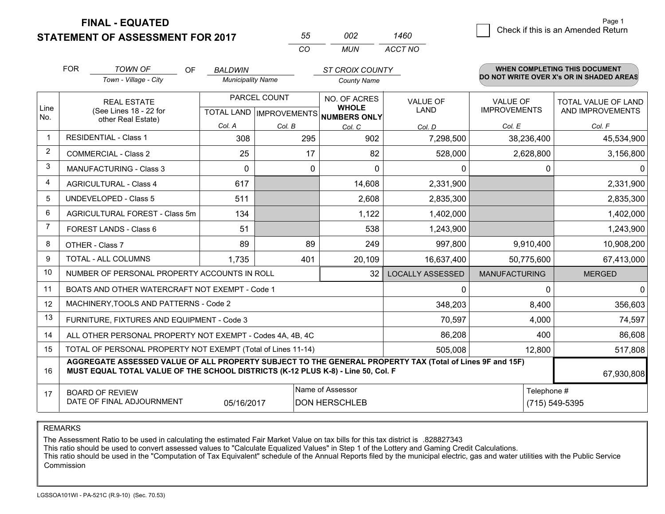**STATEMENT OF ASSESSMENT FOR 2017** 

| 55  | nnə | 1460    |
|-----|-----|---------|
| CO. | MUN | ACCT NO |

|                | <b>FOR</b>                                                                                                                                                                                   | <b>TOWN OF</b><br>OF                           | <b>BALDWIN</b>           |                           | <b>ST CROIX COUNTY</b>              |                         |                      | <b>WHEN COMPLETING THIS DOCUMENT</b>     |
|----------------|----------------------------------------------------------------------------------------------------------------------------------------------------------------------------------------------|------------------------------------------------|--------------------------|---------------------------|-------------------------------------|-------------------------|----------------------|------------------------------------------|
|                |                                                                                                                                                                                              | Town - Village - City                          | <b>Municipality Name</b> |                           | <b>County Name</b>                  |                         |                      | DO NOT WRITE OVER X's OR IN SHADED AREAS |
|                |                                                                                                                                                                                              | <b>REAL ESTATE</b>                             |                          | PARCEL COUNT              | NO. OF ACRES                        | <b>VALUE OF</b>         | <b>VALUE OF</b>      | TOTAL VALUE OF LAND                      |
| Line<br>No.    |                                                                                                                                                                                              | (See Lines 18 - 22 for<br>other Real Estate)   |                          | TOTAL LAND   IMPROVEMENTS | <b>WHOLE</b><br><b>NUMBERS ONLY</b> | <b>LAND</b>             | <b>IMPROVEMENTS</b>  | AND IMPROVEMENTS                         |
|                |                                                                                                                                                                                              |                                                | Col. A                   | Col. B                    | Col. C                              | Col. D                  | Col. E               | Col. F                                   |
| $\mathbf 1$    |                                                                                                                                                                                              | <b>RESIDENTIAL - Class 1</b>                   | 308                      | 295                       | 902                                 | 7,298,500               | 38,236,400           | 45,534,900                               |
| $\overline{2}$ |                                                                                                                                                                                              | <b>COMMERCIAL - Class 2</b>                    | 25                       | 17                        | 82                                  | 528,000                 | 2,628,800            | 3,156,800                                |
| 3              |                                                                                                                                                                                              | <b>MANUFACTURING - Class 3</b>                 | $\Omega$                 | 0                         | $\Omega$                            | 0                       | 0                    | 0.                                       |
| 4              |                                                                                                                                                                                              | <b>AGRICULTURAL - Class 4</b>                  | 617                      |                           | 14,608                              | 2,331,900               |                      | 2,331,900                                |
| 5              |                                                                                                                                                                                              | <b>UNDEVELOPED - Class 5</b>                   | 511                      |                           | 2,608                               | 2,835,300               |                      | 2,835,300                                |
| 6              |                                                                                                                                                                                              | AGRICULTURAL FOREST - Class 5m                 | 134                      |                           | 1,122                               | 1,402,000               |                      | 1,402,000                                |
| $\overline{7}$ |                                                                                                                                                                                              | FOREST LANDS - Class 6                         | 51                       |                           | 538                                 | 1,243,900               |                      | 1,243,900                                |
| 8              |                                                                                                                                                                                              | OTHER - Class 7                                | 89                       | 89                        | 249                                 | 997,800                 | 9,910,400            | 10,908,200                               |
| 9              |                                                                                                                                                                                              | TOTAL - ALL COLUMNS                            | 1,735                    | 401                       | 20,109                              | 16,637,400              | 50,775,600           | 67,413,000                               |
| 10             |                                                                                                                                                                                              | NUMBER OF PERSONAL PROPERTY ACCOUNTS IN ROLL   |                          |                           | 32                                  | <b>LOCALLY ASSESSED</b> | <b>MANUFACTURING</b> | <b>MERGED</b>                            |
| 11             |                                                                                                                                                                                              | BOATS AND OTHER WATERCRAFT NOT EXEMPT - Code 1 |                          |                           |                                     | $\mathbf{0}$            | $\Omega$             | $\Omega$                                 |
| 12             |                                                                                                                                                                                              | MACHINERY, TOOLS AND PATTERNS - Code 2         |                          |                           |                                     | 348,203                 | 8,400                | 356,603                                  |
| 13             |                                                                                                                                                                                              | FURNITURE, FIXTURES AND EQUIPMENT - Code 3     |                          |                           |                                     | 70,597                  | 4,000                | 74,597                                   |
| 14             | ALL OTHER PERSONAL PROPERTY NOT EXEMPT - Codes 4A, 4B, 4C                                                                                                                                    |                                                |                          |                           |                                     | 86,208                  | 400                  | 86,608                                   |
| 15             | TOTAL OF PERSONAL PROPERTY NOT EXEMPT (Total of Lines 11-14)<br>505,008                                                                                                                      |                                                |                          |                           |                                     |                         | 12,800               | 517,808                                  |
| 16             | AGGREGATE ASSESSED VALUE OF ALL PROPERTY SUBJECT TO THE GENERAL PROPERTY TAX (Total of Lines 9F and 15F)<br>MUST EQUAL TOTAL VALUE OF THE SCHOOL DISTRICTS (K-12 PLUS K-8) - Line 50, Col. F |                                                |                          |                           |                                     |                         | 67,930,808           |                                          |
| 17             |                                                                                                                                                                                              | <b>BOARD OF REVIEW</b>                         |                          |                           | Name of Assessor                    |                         | Telephone #          |                                          |
|                |                                                                                                                                                                                              | DATE OF FINAL ADJOURNMENT                      | 05/16/2017               |                           | <b>DON HERSCHLEB</b>                |                         |                      | (715) 549-5395                           |

REMARKS

The Assessment Ratio to be used in calculating the estimated Fair Market Value on tax bills for this tax district is .828827343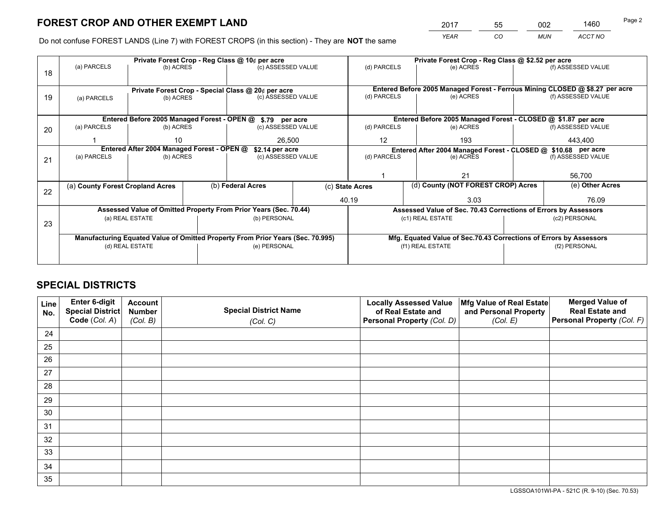*YEAR CO MUN ACCT NO* <sup>2017</sup> <sup>55</sup> <sup>002</sup> <sup>1460</sup>

Do not confuse FOREST LANDS (Line 7) with FOREST CROPS (in this section) - They are **NOT** the same

|    |                                                                                |                                             |  | Private Forest Crop - Reg Class @ 10¢ per acre                           |                    | Private Forest Crop - Reg Class @ \$2.52 per acre                            |                                                                              |               |                    |  |
|----|--------------------------------------------------------------------------------|---------------------------------------------|--|--------------------------------------------------------------------------|--------------------|------------------------------------------------------------------------------|------------------------------------------------------------------------------|---------------|--------------------|--|
| 18 | (a) PARCELS                                                                    | (b) ACRES                                   |  | (c) ASSESSED VALUE                                                       |                    | (d) PARCELS                                                                  | (e) ACRES                                                                    |               | (f) ASSESSED VALUE |  |
|    |                                                                                |                                             |  |                                                                          |                    |                                                                              | Entered Before 2005 Managed Forest - Ferrous Mining CLOSED @ \$8.27 per acre |               |                    |  |
| 19 | (a) PARCELS                                                                    | (b) ACRES                                   |  | Private Forest Crop - Special Class @ 20¢ per acre<br>(c) ASSESSED VALUE |                    | (d) PARCELS                                                                  | (e) ACRES                                                                    |               | (f) ASSESSED VALUE |  |
|    |                                                                                |                                             |  |                                                                          |                    |                                                                              |                                                                              |               |                    |  |
|    |                                                                                |                                             |  |                                                                          |                    |                                                                              |                                                                              |               |                    |  |
|    |                                                                                | Entered Before 2005 Managed Forest - OPEN @ |  | \$.79 per acre                                                           |                    |                                                                              | Entered Before 2005 Managed Forest - CLOSED @ \$1.87 per acre                |               |                    |  |
| 20 | (a) PARCELS                                                                    | (b) ACRES                                   |  | (c) ASSESSED VALUE                                                       |                    | (d) PARCELS                                                                  | (e) ACRES                                                                    |               | (f) ASSESSED VALUE |  |
|    |                                                                                | 10                                          |  | 26.500                                                                   |                    | 12                                                                           | 193                                                                          |               | 443.400            |  |
|    |                                                                                | Entered After 2004 Managed Forest - OPEN @  |  |                                                                          |                    |                                                                              |                                                                              |               |                    |  |
|    |                                                                                |                                             |  | \$2.14 per acre                                                          |                    | Entered After 2004 Managed Forest - CLOSED @ \$10.68 per acre<br>(d) PARCELS |                                                                              |               |                    |  |
| 21 | (a) PARCELS                                                                    | (b) ACRES                                   |  |                                                                          | (c) ASSESSED VALUE |                                                                              | (e) ACRES                                                                    |               | (f) ASSESSED VALUE |  |
|    |                                                                                |                                             |  |                                                                          |                    |                                                                              |                                                                              |               |                    |  |
|    |                                                                                |                                             |  |                                                                          |                    |                                                                              | 21                                                                           |               | 56,700             |  |
|    | (a) County Forest Cropland Acres                                               |                                             |  | (b) Federal Acres                                                        |                    | (c) State Acres                                                              | (d) County (NOT FOREST CROP) Acres                                           |               | (e) Other Acres    |  |
| 22 |                                                                                |                                             |  |                                                                          |                    |                                                                              |                                                                              |               |                    |  |
|    |                                                                                |                                             |  |                                                                          |                    | 40.19                                                                        | 3.03                                                                         |               | 76.09              |  |
|    |                                                                                |                                             |  | Assessed Value of Omitted Property From Prior Years (Sec. 70.44)         |                    |                                                                              | Assessed Value of Sec. 70.43 Corrections of Errors by Assessors              |               |                    |  |
|    |                                                                                | (a) REAL ESTATE                             |  | (b) PERSONAL                                                             |                    |                                                                              | (c1) REAL ESTATE                                                             |               | (c2) PERSONAL      |  |
| 23 |                                                                                |                                             |  |                                                                          |                    |                                                                              |                                                                              |               |                    |  |
|    | Manufacturing Equated Value of Omitted Property From Prior Years (Sec. 70.995) |                                             |  |                                                                          |                    |                                                                              | Mfg. Equated Value of Sec.70.43 Corrections of Errors by Assessors           |               |                    |  |
|    |                                                                                | (d) REAL ESTATE                             |  | (e) PERSONAL                                                             |                    |                                                                              | (f1) REAL ESTATE                                                             | (f2) PERSONAL |                    |  |
|    |                                                                                |                                             |  |                                                                          |                    |                                                                              |                                                                              |               |                    |  |
|    |                                                                                |                                             |  |                                                                          |                    |                                                                              |                                                                              |               |                    |  |

## **SPECIAL DISTRICTS**

| Line<br>No. | Enter 6-digit<br><b>Special District</b> | <b>Account</b><br><b>Number</b> | <b>Special District Name</b> | <b>Locally Assessed Value</b><br>of Real Estate and | Mfg Value of Real Estate<br>and Personal Property | <b>Merged Value of</b><br><b>Real Estate and</b> |
|-------------|------------------------------------------|---------------------------------|------------------------------|-----------------------------------------------------|---------------------------------------------------|--------------------------------------------------|
|             | Code (Col. A)                            | (Col. B)                        | (Col. C)                     | Personal Property (Col. D)                          | (Col. E)                                          | Personal Property (Col. F)                       |
| 24          |                                          |                                 |                              |                                                     |                                                   |                                                  |
| 25          |                                          |                                 |                              |                                                     |                                                   |                                                  |
| 26          |                                          |                                 |                              |                                                     |                                                   |                                                  |
| 27          |                                          |                                 |                              |                                                     |                                                   |                                                  |
| 28          |                                          |                                 |                              |                                                     |                                                   |                                                  |
| 29          |                                          |                                 |                              |                                                     |                                                   |                                                  |
| 30          |                                          |                                 |                              |                                                     |                                                   |                                                  |
| 31          |                                          |                                 |                              |                                                     |                                                   |                                                  |
| 32          |                                          |                                 |                              |                                                     |                                                   |                                                  |
| 33          |                                          |                                 |                              |                                                     |                                                   |                                                  |
| 34          |                                          |                                 |                              |                                                     |                                                   |                                                  |
| 35          |                                          |                                 |                              |                                                     |                                                   |                                                  |

LGSSOA101WI-PA - 521C (R. 9-10) (Sec. 70.53)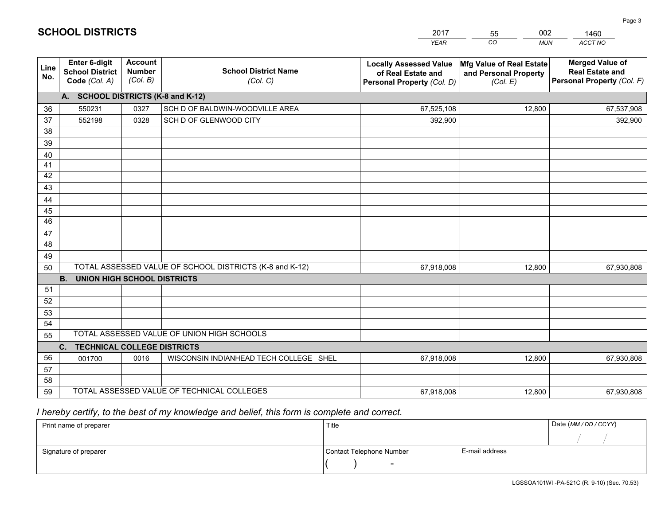| <b>Account</b><br><b>Enter 6-digit</b><br><b>Locally Assessed Value</b><br>Mfg Value of Real Estate<br>Line<br><b>Number</b><br><b>School District Name</b><br><b>School District</b> | <b>Merged Value of</b><br><b>Real Estate and</b> |
|---------------------------------------------------------------------------------------------------------------------------------------------------------------------------------------|--------------------------------------------------|
| of Real Estate and<br>and Personal Property<br>No.<br>(Col. B)<br>Code (Col. A)<br>(Col. C)<br>Personal Property (Col. D)<br>(Col. E)                                                 | Personal Property (Col. F)                       |
| A. SCHOOL DISTRICTS (K-8 and K-12)                                                                                                                                                    |                                                  |
| 0327<br>SCH D OF BALDWIN-WOODVILLE AREA<br>67,525,108<br>12,800<br>36<br>550231                                                                                                       | 67,537,908                                       |
| 37<br>552198<br>0328<br>SCH D OF GLENWOOD CITY<br>392,900                                                                                                                             | 392,900                                          |
| 38                                                                                                                                                                                    |                                                  |
| 39                                                                                                                                                                                    |                                                  |
| 40                                                                                                                                                                                    |                                                  |
| 41<br>42                                                                                                                                                                              |                                                  |
| 43                                                                                                                                                                                    |                                                  |
| 44                                                                                                                                                                                    |                                                  |
| 45                                                                                                                                                                                    |                                                  |
| $\overline{46}$                                                                                                                                                                       |                                                  |
| 47                                                                                                                                                                                    |                                                  |
| 48                                                                                                                                                                                    |                                                  |
| 49                                                                                                                                                                                    |                                                  |
| TOTAL ASSESSED VALUE OF SCHOOL DISTRICTS (K-8 and K-12)<br>50<br>67,918,008<br>12,800                                                                                                 | 67,930,808                                       |
| <b>B.</b><br>UNION HIGH SCHOOL DISTRICTS                                                                                                                                              |                                                  |
| 51                                                                                                                                                                                    |                                                  |
| 52                                                                                                                                                                                    |                                                  |
| 53                                                                                                                                                                                    |                                                  |
| 54<br>TOTAL ASSESSED VALUE OF UNION HIGH SCHOOLS                                                                                                                                      |                                                  |
| 55                                                                                                                                                                                    |                                                  |
| C.<br><b>TECHNICAL COLLEGE DISTRICTS</b><br>56                                                                                                                                        |                                                  |
| 0016<br>WISCONSIN INDIANHEAD TECH COLLEGE SHEL<br>67,918,008<br>12,800<br>001700<br>57                                                                                                | 67,930,808                                       |
| 58                                                                                                                                                                                    |                                                  |
| TOTAL ASSESSED VALUE OF TECHNICAL COLLEGES<br>59<br>12,800<br>67,918,008                                                                                                              | 67,930,808                                       |

55

002

 *I hereby certify, to the best of my knowledge and belief, this form is complete and correct.*

**SCHOOL DISTRICTS**

| Print name of preparer | Title                    |                | Date (MM / DD / CCYY) |
|------------------------|--------------------------|----------------|-----------------------|
|                        |                          |                |                       |
| Signature of preparer  | Contact Telephone Number | E-mail address |                       |
|                        | $\sim$                   |                |                       |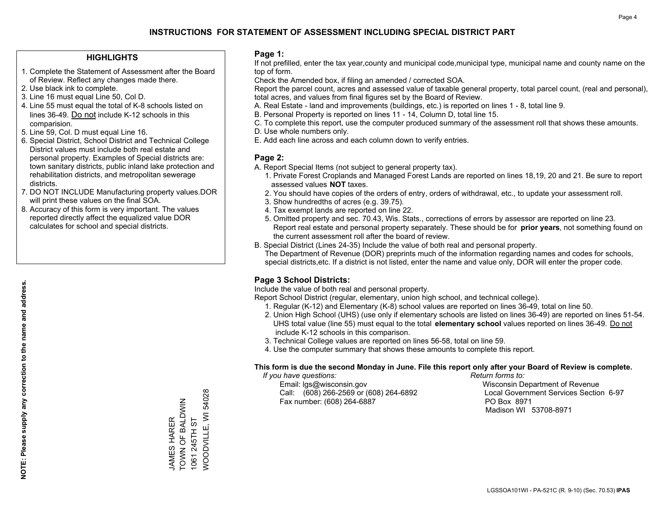### **HIGHLIGHTS**

- 1. Complete the Statement of Assessment after the Board of Review. Reflect any changes made there.
- 2. Use black ink to complete.
- 3. Line 16 must equal Line 50, Col D.
- 4. Line 55 must equal the total of K-8 schools listed on lines 36-49. Do not include K-12 schools in this comparision.
- 5. Line 59, Col. D must equal Line 16.
- 6. Special District, School District and Technical College District values must include both real estate and personal property. Examples of Special districts are: town sanitary districts, public inland lake protection and rehabilitation districts, and metropolitan sewerage districts.
- 7. DO NOT INCLUDE Manufacturing property values.DOR will print these values on the final SOA.
- 8. Accuracy of this form is very important. The values reported directly affect the equalized value DOR calculates for school and special districts.

#### **Page 1:**

 If not prefilled, enter the tax year,county and municipal code,municipal type, municipal name and county name on the top of form.

Check the Amended box, if filing an amended / corrected SOA.

 Report the parcel count, acres and assessed value of taxable general property, total parcel count, (real and personal), total acres, and values from final figures set by the Board of Review.

- A. Real Estate land and improvements (buildings, etc.) is reported on lines 1 8, total line 9.
- B. Personal Property is reported on lines 11 14, Column D, total line 15.
- C. To complete this report, use the computer produced summary of the assessment roll that shows these amounts.
- D. Use whole numbers only.
- E. Add each line across and each column down to verify entries.

### **Page 2:**

- A. Report Special Items (not subject to general property tax).
- 1. Private Forest Croplands and Managed Forest Lands are reported on lines 18,19, 20 and 21. Be sure to report assessed values **NOT** taxes.
- 2. You should have copies of the orders of entry, orders of withdrawal, etc., to update your assessment roll.
	- 3. Show hundredths of acres (e.g. 39.75).
- 4. Tax exempt lands are reported on line 22.
- 5. Omitted property and sec. 70.43, Wis. Stats., corrections of errors by assessor are reported on line 23. Report real estate and personal property separately. These should be for **prior years**, not something found on the current assessment roll after the board of review.
- B. Special District (Lines 24-35) Include the value of both real and personal property.
- The Department of Revenue (DOR) preprints much of the information regarding names and codes for schools, special districts,etc. If a district is not listed, enter the name and value only, DOR will enter the proper code.

## **Page 3 School Districts:**

Include the value of both real and personal property.

Report School District (regular, elementary, union high school, and technical college).

- 1. Regular (K-12) and Elementary (K-8) school values are reported on lines 36-49, total on line 50.
- 2. Union High School (UHS) (use only if elementary schools are listed on lines 36-49) are reported on lines 51-54. UHS total value (line 55) must equal to the total **elementary school** values reported on lines 36-49. Do notinclude K-12 schools in this comparison.
- 3. Technical College values are reported on lines 56-58, total on line 59.
- 4. Use the computer summary that shows these amounts to complete this report.

#### **This form is due the second Monday in June. File this report only after your Board of Review is complete.**

 *If you have questions: Return forms to:*

 Email: lgs@wisconsin.gov Wisconsin Department of RevenueCall:  $(608)$  266-2569 or  $(608)$  264-6892 Fax number: (608) 264-6887 PO Box 8971

Local Government Services Section 6-97 Madison WI 53708-8971

WOODVILLE, WI 54028 WOODVILLE, WI 54028 TOWN OF BALDWIN JAMES HARER<br>TOWN OF BALDWIN 1061 245TH ST JAMES HARER 1061 245TH ST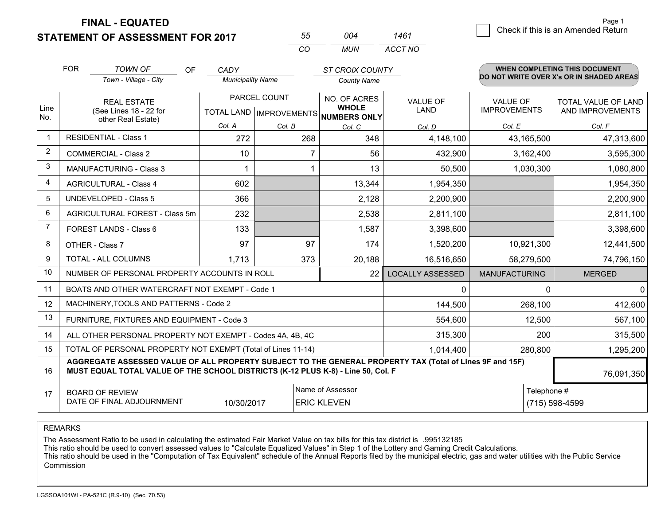**STATEMENT OF ASSESSMENT FOR 2017** 

| 55 | ∩∩4   | 1461    |
|----|-------|---------|
| CО | MI IN | ACCT NO |

|                         | <b>FOR</b>                                                                                                                                                                                   | <b>TOWN OF</b><br>OF                           | CADY                     |              | <b>ST CROIX COUNTY</b>                               |                         |                      | WHEN COMPLETING THIS DOCUMENT            |
|-------------------------|----------------------------------------------------------------------------------------------------------------------------------------------------------------------------------------------|------------------------------------------------|--------------------------|--------------|------------------------------------------------------|-------------------------|----------------------|------------------------------------------|
|                         |                                                                                                                                                                                              | Town - Village - City                          | <b>Municipality Name</b> |              | <b>County Name</b>                                   |                         |                      | DO NOT WRITE OVER X's OR IN SHADED AREAS |
|                         |                                                                                                                                                                                              | <b>REAL ESTATE</b>                             |                          | PARCEL COUNT | NO. OF ACRES                                         | <b>VALUE OF</b>         | <b>VALUE OF</b>      | TOTAL VALUE OF LAND                      |
| Line<br>No.             |                                                                                                                                                                                              | (See Lines 18 - 22 for<br>other Real Estate)   |                          |              | <b>WHOLE</b><br>TOTAL LAND IMPROVEMENTS NUMBERS ONLY | <b>LAND</b>             | <b>IMPROVEMENTS</b>  | AND IMPROVEMENTS                         |
|                         |                                                                                                                                                                                              |                                                | Col. A                   | Col. B       | Col. C                                               | Col. D                  | Col. E               | Col. F                                   |
| $\overline{\mathbf{1}}$ |                                                                                                                                                                                              | <b>RESIDENTIAL - Class 1</b>                   | 272                      | 268          | 348                                                  | 4,148,100               | 43,165,500           | 47,313,600                               |
| 2                       |                                                                                                                                                                                              | <b>COMMERCIAL - Class 2</b>                    | 10                       | 7            | 56                                                   | 432,900                 | 3,162,400            | 3,595,300                                |
| 3                       |                                                                                                                                                                                              | <b>MANUFACTURING - Class 3</b>                 |                          |              | 13                                                   | 50,500                  | 1,030,300            | 1,080,800                                |
| 4                       |                                                                                                                                                                                              | <b>AGRICULTURAL - Class 4</b>                  | 602                      |              | 13,344                                               | 1,954,350               |                      | 1,954,350                                |
| 5                       |                                                                                                                                                                                              | UNDEVELOPED - Class 5                          | 366                      |              | 2,128                                                | 2,200,900               |                      | 2,200,900                                |
| 6                       |                                                                                                                                                                                              | AGRICULTURAL FOREST - Class 5m                 | 232                      |              | 2,538                                                | 2,811,100               |                      | 2,811,100                                |
| $\overline{7}$          |                                                                                                                                                                                              | FOREST LANDS - Class 6                         | 133                      |              | 1,587                                                | 3,398,600               |                      | 3,398,600                                |
| 8                       |                                                                                                                                                                                              | OTHER - Class 7                                | 97                       | 97           | 174                                                  | 1,520,200               | 10,921,300           | 12,441,500                               |
| 9                       |                                                                                                                                                                                              | TOTAL - ALL COLUMNS                            | 1.713                    | 373          | 20,188                                               | 16,516,650              | 58,279,500           | 74,796,150                               |
| 10                      |                                                                                                                                                                                              | NUMBER OF PERSONAL PROPERTY ACCOUNTS IN ROLL   |                          |              | 22                                                   | <b>LOCALLY ASSESSED</b> | <b>MANUFACTURING</b> | <b>MERGED</b>                            |
| 11                      |                                                                                                                                                                                              | BOATS AND OTHER WATERCRAFT NOT EXEMPT - Code 1 |                          |              |                                                      | $\mathbf{0}$            | $\Omega$             | $\mathbf{0}$                             |
| 12                      |                                                                                                                                                                                              | MACHINERY, TOOLS AND PATTERNS - Code 2         |                          |              |                                                      | 144,500                 | 268,100              | 412,600                                  |
| 13                      |                                                                                                                                                                                              | FURNITURE, FIXTURES AND EQUIPMENT - Code 3     |                          |              |                                                      | 554,600                 | 12,500               | 567,100                                  |
| 14                      | ALL OTHER PERSONAL PROPERTY NOT EXEMPT - Codes 4A, 4B, 4C                                                                                                                                    |                                                |                          |              |                                                      | 315,300                 | 200                  | 315,500                                  |
| 15                      | TOTAL OF PERSONAL PROPERTY NOT EXEMPT (Total of Lines 11-14)<br>1,014,400                                                                                                                    |                                                |                          |              |                                                      |                         | 280,800              | 1,295,200                                |
| 16                      | AGGREGATE ASSESSED VALUE OF ALL PROPERTY SUBJECT TO THE GENERAL PROPERTY TAX (Total of Lines 9F and 15F)<br>MUST EQUAL TOTAL VALUE OF THE SCHOOL DISTRICTS (K-12 PLUS K-8) - Line 50, Col. F |                                                |                          |              |                                                      |                         | 76,091,350           |                                          |
| 17                      |                                                                                                                                                                                              | <b>BOARD OF REVIEW</b>                         |                          |              | Name of Assessor                                     |                         | Telephone #          |                                          |
|                         | DATE OF FINAL ADJOURNMENT<br>10/30/2017<br><b>ERIC KLEVEN</b><br>(715) 598-4599                                                                                                              |                                                |                          |              |                                                      |                         |                      |                                          |

REMARKS

The Assessment Ratio to be used in calculating the estimated Fair Market Value on tax bills for this tax district is .995132185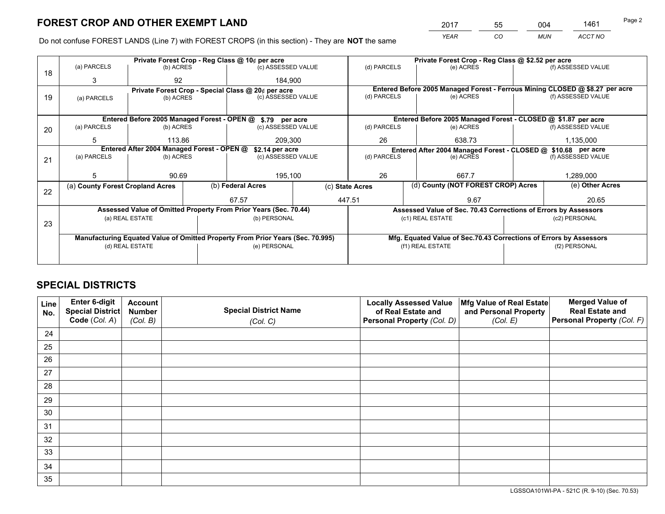*YEAR CO MUN ACCT NO* <sup>2017</sup> <sup>55</sup> <sup>004</sup> <sup>1461</sup>

Do not confuse FOREST LANDS (Line 7) with FOREST CROPS (in this section) - They are **NOT** the same

|    |                                            |                                             |  | Private Forest Crop - Reg Class @ 10¢ per acre                                 |                                                               | Private Forest Crop - Reg Class @ \$2.52 per acre |                                                                              |  |                    |
|----|--------------------------------------------|---------------------------------------------|--|--------------------------------------------------------------------------------|---------------------------------------------------------------|---------------------------------------------------|------------------------------------------------------------------------------|--|--------------------|
| 18 | (a) PARCELS                                | (b) ACRES                                   |  | (c) ASSESSED VALUE                                                             |                                                               | (d) PARCELS                                       | (e) ACRES                                                                    |  | (f) ASSESSED VALUE |
|    | 3                                          | 92                                          |  | 184.900                                                                        |                                                               |                                                   |                                                                              |  |                    |
|    |                                            |                                             |  | Private Forest Crop - Special Class @ 20¢ per acre                             |                                                               |                                                   | Entered Before 2005 Managed Forest - Ferrous Mining CLOSED @ \$8.27 per acre |  |                    |
| 19 | (a) PARCELS                                | (b) ACRES                                   |  | (c) ASSESSED VALUE                                                             |                                                               | (d) PARCELS                                       | (e) ACRES                                                                    |  | (f) ASSESSED VALUE |
|    |                                            |                                             |  |                                                                                |                                                               |                                                   |                                                                              |  |                    |
|    |                                            | Entered Before 2005 Managed Forest - OPEN @ |  | \$.79 per acre                                                                 |                                                               |                                                   | Entered Before 2005 Managed Forest - CLOSED @ \$1.87 per acre                |  |                    |
| 20 | (a) PARCELS                                | (b) ACRES                                   |  | (c) ASSESSED VALUE                                                             |                                                               | (d) PARCELS                                       | (e) ACRES                                                                    |  | (f) ASSESSED VALUE |
|    | 5                                          | 113.86                                      |  | 209,300                                                                        |                                                               | 26                                                | 638.73                                                                       |  | 1,135,000          |
|    | Entered After 2004 Managed Forest - OPEN @ |                                             |  | \$2.14 per acre                                                                | Entered After 2004 Managed Forest - CLOSED @ \$10.68 per acre |                                                   |                                                                              |  |                    |
| 21 | (a) PARCELS                                | (b) ACRES                                   |  | (c) ASSESSED VALUE                                                             |                                                               | (d) PARCELS                                       | (e) ACRES                                                                    |  | (f) ASSESSED VALUE |
|    |                                            |                                             |  |                                                                                |                                                               |                                                   |                                                                              |  |                    |
|    |                                            | 90.69                                       |  | 195,100                                                                        |                                                               | 26                                                | 667.7                                                                        |  | 1,289,000          |
|    | (a) County Forest Cropland Acres           |                                             |  | (b) Federal Acres                                                              |                                                               | (c) State Acres                                   | (d) County (NOT FOREST CROP) Acres                                           |  | (e) Other Acres    |
| 22 |                                            |                                             |  | 67.57                                                                          |                                                               | 447.51<br>9.67                                    |                                                                              |  | 20.65              |
|    |                                            |                                             |  | Assessed Value of Omitted Property From Prior Years (Sec. 70.44)               |                                                               |                                                   | Assessed Value of Sec. 70.43 Corrections of Errors by Assessors              |  |                    |
|    | (a) REAL ESTATE                            |                                             |  | (b) PERSONAL                                                                   |                                                               |                                                   | (c1) REAL ESTATE                                                             |  | (c2) PERSONAL      |
| 23 |                                            |                                             |  |                                                                                |                                                               |                                                   |                                                                              |  |                    |
|    |                                            |                                             |  | Manufacturing Equated Value of Omitted Property From Prior Years (Sec. 70.995) |                                                               |                                                   | Mfg. Equated Value of Sec.70.43 Corrections of Errors by Assessors           |  |                    |
|    | (d) REAL ESTATE                            |                                             |  | (e) PERSONAL                                                                   |                                                               |                                                   | (f1) REAL ESTATE                                                             |  | (f2) PERSONAL      |
|    |                                            |                                             |  |                                                                                |                                                               |                                                   |                                                                              |  |                    |

## **SPECIAL DISTRICTS**

| Line<br>No. | Enter 6-digit<br>Special District<br>Code (Col. A) | <b>Account</b><br><b>Number</b> | <b>Special District Name</b> | <b>Locally Assessed Value</b><br>of Real Estate and | Mfg Value of Real Estate<br>and Personal Property | <b>Merged Value of</b><br><b>Real Estate and</b><br>Personal Property (Col. F) |
|-------------|----------------------------------------------------|---------------------------------|------------------------------|-----------------------------------------------------|---------------------------------------------------|--------------------------------------------------------------------------------|
|             |                                                    | (Col. B)                        | (Col. C)                     | Personal Property (Col. D)                          | (Col. E)                                          |                                                                                |
| 24          |                                                    |                                 |                              |                                                     |                                                   |                                                                                |
| 25          |                                                    |                                 |                              |                                                     |                                                   |                                                                                |
| 26          |                                                    |                                 |                              |                                                     |                                                   |                                                                                |
| 27          |                                                    |                                 |                              |                                                     |                                                   |                                                                                |
| 28          |                                                    |                                 |                              |                                                     |                                                   |                                                                                |
| 29          |                                                    |                                 |                              |                                                     |                                                   |                                                                                |
| 30          |                                                    |                                 |                              |                                                     |                                                   |                                                                                |
| 31          |                                                    |                                 |                              |                                                     |                                                   |                                                                                |
| 32          |                                                    |                                 |                              |                                                     |                                                   |                                                                                |
| 33          |                                                    |                                 |                              |                                                     |                                                   |                                                                                |
| 34          |                                                    |                                 |                              |                                                     |                                                   |                                                                                |
| 35          |                                                    |                                 |                              |                                                     |                                                   |                                                                                |

LGSSOA101WI-PA - 521C (R. 9-10) (Sec. 70.53)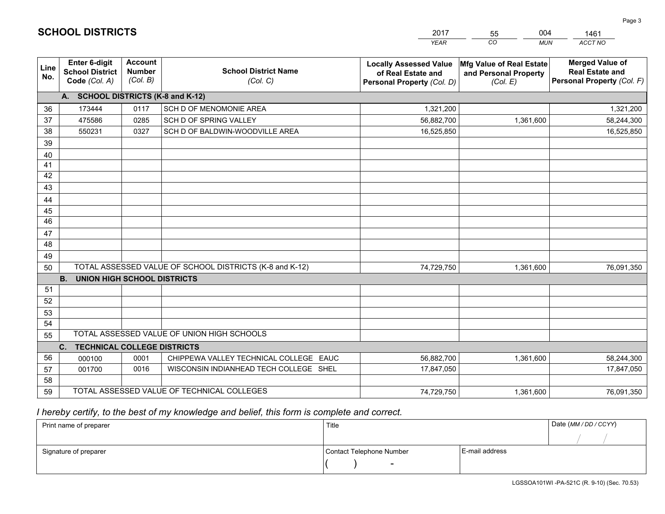|             |                                                                 |                                             |                                                         | <b>YEAR</b>                                                                       | CO<br><b>MUN</b>                                              | <b>ACCT NO</b>                                                                 |
|-------------|-----------------------------------------------------------------|---------------------------------------------|---------------------------------------------------------|-----------------------------------------------------------------------------------|---------------------------------------------------------------|--------------------------------------------------------------------------------|
| Line<br>No. | <b>Enter 6-digit</b><br><b>School District</b><br>Code (Col. A) | <b>Account</b><br><b>Number</b><br>(Col. B) | <b>School District Name</b><br>(Col. C)                 | <b>Locally Assessed Value</b><br>of Real Estate and<br>Personal Property (Col. D) | Mfg Value of Real Estate<br>and Personal Property<br>(Col. E) | <b>Merged Value of</b><br><b>Real Estate and</b><br>Personal Property (Col. F) |
|             | A. SCHOOL DISTRICTS (K-8 and K-12)                              |                                             |                                                         |                                                                                   |                                                               |                                                                                |
| 36          | 173444                                                          | 0117                                        | SCH D OF MENOMONIE AREA                                 | 1,321,200                                                                         |                                                               | 1,321,200                                                                      |
| 37          | 475586                                                          | 0285                                        | SCH D OF SPRING VALLEY                                  | 56,882,700                                                                        | 1,361,600                                                     | 58,244,300                                                                     |
| 38          | 550231                                                          | 0327                                        | SCH D OF BALDWIN-WOODVILLE AREA                         | 16,525,850                                                                        |                                                               | 16,525,850                                                                     |
| 39          |                                                                 |                                             |                                                         |                                                                                   |                                                               |                                                                                |
| 40          |                                                                 |                                             |                                                         |                                                                                   |                                                               |                                                                                |
| 41          |                                                                 |                                             |                                                         |                                                                                   |                                                               |                                                                                |
| 42          |                                                                 |                                             |                                                         |                                                                                   |                                                               |                                                                                |
| 43          |                                                                 |                                             |                                                         |                                                                                   |                                                               |                                                                                |
| 44          |                                                                 |                                             |                                                         |                                                                                   |                                                               |                                                                                |
| 45          |                                                                 |                                             |                                                         |                                                                                   |                                                               |                                                                                |
| 46          |                                                                 |                                             |                                                         |                                                                                   |                                                               |                                                                                |
| 47          |                                                                 |                                             |                                                         |                                                                                   |                                                               |                                                                                |
| 48          |                                                                 |                                             |                                                         |                                                                                   |                                                               |                                                                                |
| 49          |                                                                 |                                             |                                                         |                                                                                   |                                                               |                                                                                |
| 50          |                                                                 |                                             | TOTAL ASSESSED VALUE OF SCHOOL DISTRICTS (K-8 and K-12) | 74,729,750                                                                        | 1,361,600                                                     | 76,091,350                                                                     |
|             | <b>B.</b><br>UNION HIGH SCHOOL DISTRICTS                        |                                             |                                                         |                                                                                   |                                                               |                                                                                |
| 51<br>52    |                                                                 |                                             |                                                         |                                                                                   |                                                               |                                                                                |
|             |                                                                 |                                             |                                                         |                                                                                   |                                                               |                                                                                |
| 53<br>54    |                                                                 |                                             |                                                         |                                                                                   |                                                               |                                                                                |
| 55          |                                                                 |                                             | TOTAL ASSESSED VALUE OF UNION HIGH SCHOOLS              |                                                                                   |                                                               |                                                                                |
|             | C.<br><b>TECHNICAL COLLEGE DISTRICTS</b>                        |                                             |                                                         |                                                                                   |                                                               |                                                                                |
| 56          | 000100                                                          | 0001                                        | CHIPPEWA VALLEY TECHNICAL COLLEGE EAUC                  | 56,882,700                                                                        | 1,361,600                                                     | 58,244,300                                                                     |
| 57          | 001700                                                          | 0016                                        | WISCONSIN INDIANHEAD TECH COLLEGE SHEL                  | 17,847,050                                                                        |                                                               | 17,847,050                                                                     |
| 58          |                                                                 |                                             |                                                         |                                                                                   |                                                               |                                                                                |
| 59          |                                                                 |                                             | TOTAL ASSESSED VALUE OF TECHNICAL COLLEGES              | 74,729,750                                                                        | 1,361,600                                                     | 76,091,350                                                                     |

55

004

# *I hereby certify, to the best of my knowledge and belief, this form is complete and correct.*

**SCHOOL DISTRICTS**

| Print name of preparer | Title                    |                | Date (MM / DD / CCYY) |
|------------------------|--------------------------|----------------|-----------------------|
|                        |                          |                |                       |
| Signature of preparer  | Contact Telephone Number | E-mail address |                       |
|                        | $\overline{\phantom{0}}$ |                |                       |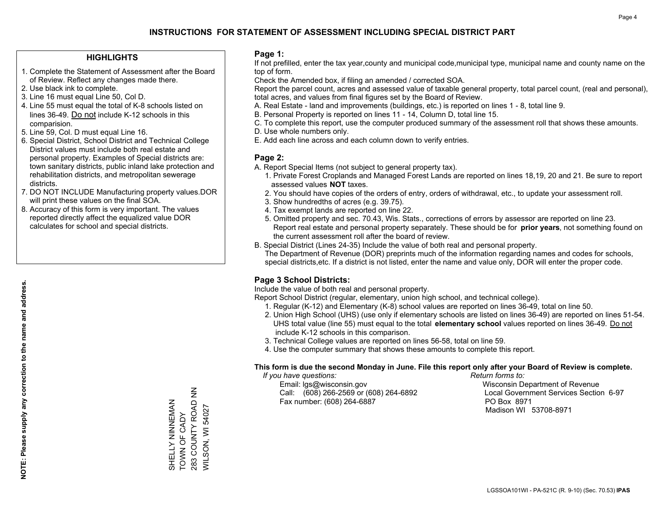## **HIGHLIGHTS**

- 1. Complete the Statement of Assessment after the Board of Review. Reflect any changes made there.
- 2. Use black ink to complete.
- 3. Line 16 must equal Line 50, Col D.
- 4. Line 55 must equal the total of K-8 schools listed on lines 36-49. Do not include K-12 schools in this comparision.
- 5. Line 59, Col. D must equal Line 16.
- 6. Special District, School District and Technical College District values must include both real estate and personal property. Examples of Special districts are: town sanitary districts, public inland lake protection and rehabilitation districts, and metropolitan sewerage districts.
- 7. DO NOT INCLUDE Manufacturing property values.DOR will print these values on the final SOA.
- 8. Accuracy of this form is very important. The values reported directly affect the equalized value DOR calculates for school and special districts.

### **Page 1:**

 If not prefilled, enter the tax year,county and municipal code,municipal type, municipal name and county name on the top of form.

Check the Amended box, if filing an amended / corrected SOA.

 Report the parcel count, acres and assessed value of taxable general property, total parcel count, (real and personal), total acres, and values from final figures set by the Board of Review.

- A. Real Estate land and improvements (buildings, etc.) is reported on lines 1 8, total line 9.
- B. Personal Property is reported on lines 11 14, Column D, total line 15.
- C. To complete this report, use the computer produced summary of the assessment roll that shows these amounts.
- D. Use whole numbers only.
- E. Add each line across and each column down to verify entries.

## **Page 2:**

- A. Report Special Items (not subject to general property tax).
- 1. Private Forest Croplands and Managed Forest Lands are reported on lines 18,19, 20 and 21. Be sure to report assessed values **NOT** taxes.
- 2. You should have copies of the orders of entry, orders of withdrawal, etc., to update your assessment roll.
	- 3. Show hundredths of acres (e.g. 39.75).
- 4. Tax exempt lands are reported on line 22.
- 5. Omitted property and sec. 70.43, Wis. Stats., corrections of errors by assessor are reported on line 23. Report real estate and personal property separately. These should be for **prior years**, not something found on the current assessment roll after the board of review.
- B. Special District (Lines 24-35) Include the value of both real and personal property.
- The Department of Revenue (DOR) preprints much of the information regarding names and codes for schools, special districts,etc. If a district is not listed, enter the name and value only, DOR will enter the proper code.

## **Page 3 School Districts:**

Include the value of both real and personal property.

Report School District (regular, elementary, union high school, and technical college).

- 1. Regular (K-12) and Elementary (K-8) school values are reported on lines 36-49, total on line 50.
- 2. Union High School (UHS) (use only if elementary schools are listed on lines 36-49) are reported on lines 51-54. UHS total value (line 55) must equal to the total **elementary school** values reported on lines 36-49. Do notinclude K-12 schools in this comparison.
- 3. Technical College values are reported on lines 56-58, total on line 59.
- 4. Use the computer summary that shows these amounts to complete this report.

#### **This form is due the second Monday in June. File this report only after your Board of Review is complete.**

 *If you have questions: Return forms to:*

 Email: lgs@wisconsin.gov Wisconsin Department of RevenueCall:  $(608)$  266-2569 or  $(608)$  264-6892 Fax number: (608) 264-6887 PO Box 8971

Local Government Services Section 6-97 Madison WI 53708-8971

**NOTE: Please supply any correction to the name and address.**

NOTE: Please supply any correction to the name and address.

283 COUNTY ROAD NN 283 COUNTY ROAD NN SHELLY NINNEMAN<br>TOWN OF CADY SHELLY NINNEMAN **WILSON, WI 54027** WILSON, WI 54027 TOWN OF CADY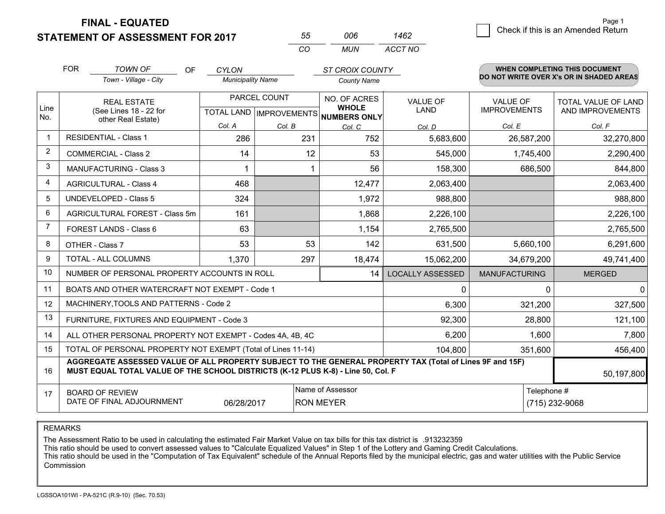|  | <b>STATEMENT OF ASSESSMENT FOR 2017</b> |
|--|-----------------------------------------|
|--|-----------------------------------------|

| 55  | NUE | 1462    |
|-----|-----|---------|
| ΓO. | MUN | ACCT NO |

|                | <b>FOR</b>                                                                                                                                                                                   | <b>TOWN OF</b><br>OF                           | <b>CYLON</b>             |              | <b>ST CROIX COUNTY</b>                               |                         |                      | <b>WHEN COMPLETING THIS DOCUMENT</b>     |
|----------------|----------------------------------------------------------------------------------------------------------------------------------------------------------------------------------------------|------------------------------------------------|--------------------------|--------------|------------------------------------------------------|-------------------------|----------------------|------------------------------------------|
|                |                                                                                                                                                                                              | Town - Village - City                          | <b>Municipality Name</b> |              | <b>County Name</b>                                   |                         |                      | DO NOT WRITE OVER X's OR IN SHADED AREAS |
|                |                                                                                                                                                                                              | <b>REAL ESTATE</b>                             |                          | PARCEL COUNT | NO. OF ACRES                                         | <b>VALUE OF</b>         | <b>VALUE OF</b>      | TOTAL VALUE OF LAND                      |
| Line<br>No.    |                                                                                                                                                                                              | (See Lines 18 - 22 for<br>other Real Estate)   |                          |              | <b>WHOLE</b><br>TOTAL LAND IMPROVEMENTS NUMBERS ONLY | LAND                    | <b>IMPROVEMENTS</b>  | AND IMPROVEMENTS                         |
|                |                                                                                                                                                                                              |                                                | Col. A                   | Col. B       | Col. C                                               | Col. D                  | Col. E               | Col. F                                   |
| $\mathbf 1$    |                                                                                                                                                                                              | <b>RESIDENTIAL - Class 1</b>                   | 286                      | 231          | 752                                                  | 5,683,600               | 26,587,200           | 32,270,800                               |
| 2              |                                                                                                                                                                                              | <b>COMMERCIAL - Class 2</b>                    | 14                       | 12           | 53                                                   | 545,000                 | 1,745,400            | 2,290,400                                |
| 3              |                                                                                                                                                                                              | <b>MANUFACTURING - Class 3</b>                 |                          |              | 56                                                   | 158,300                 | 686,500              | 844,800                                  |
| 4              |                                                                                                                                                                                              | <b>AGRICULTURAL - Class 4</b>                  | 468                      |              | 12,477                                               | 2,063,400               |                      | 2,063,400                                |
| 5              |                                                                                                                                                                                              | <b>UNDEVELOPED - Class 5</b>                   | 324                      |              | 1,972                                                | 988,800                 |                      | 988,800                                  |
| 6              |                                                                                                                                                                                              | AGRICULTURAL FOREST - Class 5m                 | 161                      |              | 1,868                                                | 2,226,100               |                      | 2,226,100                                |
| $\overline{7}$ |                                                                                                                                                                                              | FOREST LANDS - Class 6                         | 63                       |              | 1,154                                                | 2,765,500               |                      | 2,765,500                                |
| 8              |                                                                                                                                                                                              | OTHER - Class 7                                | 53                       | 53           | 142                                                  | 631,500                 | 5,660,100            | 6,291,600                                |
| 9              |                                                                                                                                                                                              | TOTAL - ALL COLUMNS                            | 1,370                    | 297          | 18,474                                               | 15,062,200              | 34,679,200           | 49,741,400                               |
| 10             |                                                                                                                                                                                              | NUMBER OF PERSONAL PROPERTY ACCOUNTS IN ROLL   |                          |              | 14                                                   | <b>LOCALLY ASSESSED</b> | <b>MANUFACTURING</b> | <b>MERGED</b>                            |
| 11             |                                                                                                                                                                                              | BOATS AND OTHER WATERCRAFT NOT EXEMPT - Code 1 |                          |              |                                                      | $\Omega$                | $\Omega$             | $\Omega$                                 |
| 12             |                                                                                                                                                                                              | MACHINERY, TOOLS AND PATTERNS - Code 2         |                          |              |                                                      | 6,300                   | 321,200              | 327,500                                  |
| 13             |                                                                                                                                                                                              | FURNITURE, FIXTURES AND EQUIPMENT - Code 3     |                          |              |                                                      | 92,300                  | 28,800               | 121,100                                  |
| 14             | 6,200<br>ALL OTHER PERSONAL PROPERTY NOT EXEMPT - Codes 4A, 4B, 4C                                                                                                                           |                                                |                          |              |                                                      |                         | 1,600                | 7,800                                    |
| 15             | TOTAL OF PERSONAL PROPERTY NOT EXEMPT (Total of Lines 11-14)<br>104,800                                                                                                                      |                                                |                          |              |                                                      |                         | 351,600              | 456,400                                  |
| 16             | AGGREGATE ASSESSED VALUE OF ALL PROPERTY SUBJECT TO THE GENERAL PROPERTY TAX (Total of Lines 9F and 15F)<br>MUST EQUAL TOTAL VALUE OF THE SCHOOL DISTRICTS (K-12 PLUS K-8) - Line 50, Col. F |                                                |                          |              |                                                      |                         | 50,197,800           |                                          |
| 17             |                                                                                                                                                                                              | <b>BOARD OF REVIEW</b>                         |                          |              | Name of Assessor                                     |                         | Telephone #          |                                          |
|                | DATE OF FINAL ADJOURNMENT<br>06/28/2017<br><b>RON MEYER</b><br>(715) 232-9068                                                                                                                |                                                |                          |              |                                                      |                         |                      |                                          |

REMARKS

The Assessment Ratio to be used in calculating the estimated Fair Market Value on tax bills for this tax district is .913232359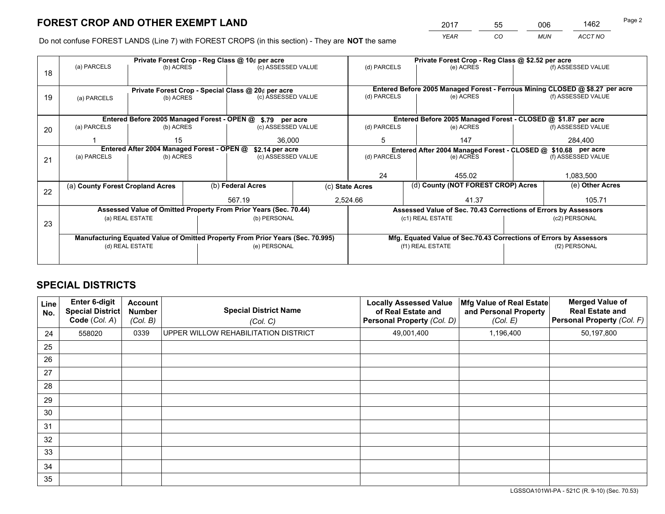*YEAR CO MUN ACCT NO* <sup>2017</sup> <sup>55</sup> <sup>006</sup> <sup>1462</sup>

Do not confuse FOREST LANDS (Line 7) with FOREST CROPS (in this section) - They are **NOT** the same

|    |                                                                                |                 |  | Private Forest Crop - Reg Class @ 10¢ per acre                   |   | Private Forest Crop - Reg Class @ \$2.52 per acre                            |                                                                 |         |                    |
|----|--------------------------------------------------------------------------------|-----------------|--|------------------------------------------------------------------|---|------------------------------------------------------------------------------|-----------------------------------------------------------------|---------|--------------------|
| 18 | (a) PARCELS                                                                    | (b) ACRES       |  | (c) ASSESSED VALUE                                               |   | (d) PARCELS                                                                  | (e) ACRES                                                       |         | (f) ASSESSED VALUE |
|    |                                                                                |                 |  |                                                                  |   |                                                                              |                                                                 |         |                    |
|    |                                                                                |                 |  | Private Forest Crop - Special Class @ 20¢ per acre               |   | Entered Before 2005 Managed Forest - Ferrous Mining CLOSED @ \$8.27 per acre |                                                                 |         |                    |
| 19 | (a) PARCELS                                                                    | (b) ACRES       |  | (c) ASSESSED VALUE                                               |   | (d) PARCELS                                                                  | (e) ACRES                                                       |         | (f) ASSESSED VALUE |
|    |                                                                                |                 |  |                                                                  |   |                                                                              |                                                                 |         |                    |
|    |                                                                                |                 |  | Entered Before 2005 Managed Forest - OPEN @ \$.79 per acre       |   |                                                                              | Entered Before 2005 Managed Forest - CLOSED @ \$1.87 per acre   |         |                    |
| 20 | (a) PARCELS                                                                    | (b) ACRES       |  | (c) ASSESSED VALUE                                               |   | (d) PARCELS                                                                  | (e) ACRES                                                       |         | (f) ASSESSED VALUE |
|    |                                                                                | 15<br>36,000    |  |                                                                  | 5 | 147                                                                          |                                                                 | 284,400 |                    |
|    | Entered After 2004 Managed Forest - OPEN @<br>\$2.14 per acre                  |                 |  |                                                                  |   | Entered After 2004 Managed Forest - CLOSED @ \$10.68 per acre                |                                                                 |         |                    |
| 21 | (a) PARCELS                                                                    | (b) ACRES       |  | (c) ASSESSED VALUE                                               |   | (d) PARCELS                                                                  | (e) ACRES                                                       |         | (f) ASSESSED VALUE |
|    |                                                                                |                 |  |                                                                  |   |                                                                              |                                                                 |         |                    |
|    |                                                                                |                 |  |                                                                  |   | 24                                                                           | 455.02                                                          |         | 1,083,500          |
|    | (a) County Forest Cropland Acres                                               |                 |  | (b) Federal Acres                                                |   | (c) State Acres                                                              | (d) County (NOT FOREST CROP) Acres                              |         | (e) Other Acres    |
| 22 |                                                                                |                 |  | 567.19                                                           |   | 2,524.66                                                                     | 41.37                                                           |         | 105.71             |
|    |                                                                                |                 |  |                                                                  |   |                                                                              |                                                                 |         |                    |
|    |                                                                                |                 |  | Assessed Value of Omitted Property From Prior Years (Sec. 70.44) |   |                                                                              | Assessed Value of Sec. 70.43 Corrections of Errors by Assessors |         |                    |
| 23 |                                                                                | (a) REAL ESTATE |  | (b) PERSONAL                                                     |   |                                                                              | (c1) REAL ESTATE                                                |         | (c2) PERSONAL      |
|    |                                                                                |                 |  |                                                                  |   |                                                                              |                                                                 |         |                    |
|    | Manufacturing Equated Value of Omitted Property From Prior Years (Sec. 70.995) |                 |  |                                                                  |   | Mfg. Equated Value of Sec.70.43 Corrections of Errors by Assessors           |                                                                 |         |                    |
|    |                                                                                | (d) REAL ESTATE |  | (e) PERSONAL                                                     |   |                                                                              | (f1) REAL ESTATE                                                |         | (f2) PERSONAL      |
|    |                                                                                |                 |  |                                                                  |   |                                                                              |                                                                 |         |                    |

## **SPECIAL DISTRICTS**

| Line<br>No. | Enter 6-digit<br><b>Special District</b><br>Code (Col. A) | <b>Account</b><br><b>Number</b><br>(Col. B) | <b>Special District Name</b><br>(Col. C) | <b>Locally Assessed Value</b><br>of Real Estate and<br><b>Personal Property (Col. D)</b> | Mfg Value of Real Estate<br>and Personal Property<br>(Col. E) | <b>Merged Value of</b><br><b>Real Estate and</b><br>Personal Property (Col. F) |
|-------------|-----------------------------------------------------------|---------------------------------------------|------------------------------------------|------------------------------------------------------------------------------------------|---------------------------------------------------------------|--------------------------------------------------------------------------------|
| 24          | 558020                                                    | 0339                                        | UPPER WILLOW REHABILITATION DISTRICT     | 49,001,400                                                                               | 1,196,400                                                     | 50,197,800                                                                     |
| 25          |                                                           |                                             |                                          |                                                                                          |                                                               |                                                                                |
| 26          |                                                           |                                             |                                          |                                                                                          |                                                               |                                                                                |
| 27          |                                                           |                                             |                                          |                                                                                          |                                                               |                                                                                |
| 28          |                                                           |                                             |                                          |                                                                                          |                                                               |                                                                                |
| 29          |                                                           |                                             |                                          |                                                                                          |                                                               |                                                                                |
| 30          |                                                           |                                             |                                          |                                                                                          |                                                               |                                                                                |
| 31          |                                                           |                                             |                                          |                                                                                          |                                                               |                                                                                |
| 32          |                                                           |                                             |                                          |                                                                                          |                                                               |                                                                                |
| 33          |                                                           |                                             |                                          |                                                                                          |                                                               |                                                                                |
| 34          |                                                           |                                             |                                          |                                                                                          |                                                               |                                                                                |
| 35          |                                                           |                                             |                                          |                                                                                          |                                                               |                                                                                |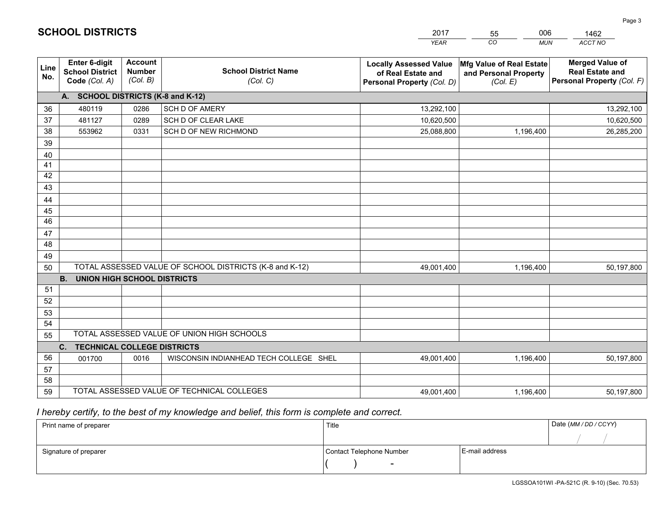|             |                                                          |                                             |                                                         | <b>YEAR</b>                                                                       | CO<br><b>MUN</b>                                              | ACCT NO                                                                        |
|-------------|----------------------------------------------------------|---------------------------------------------|---------------------------------------------------------|-----------------------------------------------------------------------------------|---------------------------------------------------------------|--------------------------------------------------------------------------------|
| Line<br>No. | Enter 6-digit<br><b>School District</b><br>Code (Col. A) | <b>Account</b><br><b>Number</b><br>(Col. B) | <b>School District Name</b><br>(Col. C)                 | <b>Locally Assessed Value</b><br>of Real Estate and<br>Personal Property (Col. D) | Mfg Value of Real Estate<br>and Personal Property<br>(Col. E) | <b>Merged Value of</b><br><b>Real Estate and</b><br>Personal Property (Col. F) |
|             | A. SCHOOL DISTRICTS (K-8 and K-12)                       |                                             |                                                         |                                                                                   |                                                               |                                                                                |
| 36          | 480119                                                   | 0286                                        | <b>SCH D OF AMERY</b>                                   | 13,292,100                                                                        |                                                               | 13,292,100                                                                     |
| 37          | 481127                                                   | 0289                                        | SCH D OF CLEAR LAKE                                     | 10,620,500                                                                        |                                                               | 10,620,500                                                                     |
| 38          | 553962                                                   | 0331                                        | SCH D OF NEW RICHMOND                                   | 25,088,800                                                                        | 1,196,400                                                     | 26,285,200                                                                     |
| 39          |                                                          |                                             |                                                         |                                                                                   |                                                               |                                                                                |
| 40          |                                                          |                                             |                                                         |                                                                                   |                                                               |                                                                                |
| 41          |                                                          |                                             |                                                         |                                                                                   |                                                               |                                                                                |
| 42          |                                                          |                                             |                                                         |                                                                                   |                                                               |                                                                                |
| 43          |                                                          |                                             |                                                         |                                                                                   |                                                               |                                                                                |
| 44          |                                                          |                                             |                                                         |                                                                                   |                                                               |                                                                                |
| 45          |                                                          |                                             |                                                         |                                                                                   |                                                               |                                                                                |
| 46          |                                                          |                                             |                                                         |                                                                                   |                                                               |                                                                                |
| 47          |                                                          |                                             |                                                         |                                                                                   |                                                               |                                                                                |
| 48          |                                                          |                                             |                                                         |                                                                                   |                                                               |                                                                                |
| 49          |                                                          |                                             |                                                         |                                                                                   |                                                               |                                                                                |
| 50          |                                                          |                                             | TOTAL ASSESSED VALUE OF SCHOOL DISTRICTS (K-8 and K-12) | 49,001,400                                                                        | 1,196,400                                                     | 50,197,800                                                                     |
| 51          | <b>B.</b><br><b>UNION HIGH SCHOOL DISTRICTS</b>          |                                             |                                                         |                                                                                   |                                                               |                                                                                |
| 52          |                                                          |                                             |                                                         |                                                                                   |                                                               |                                                                                |
|             |                                                          |                                             |                                                         |                                                                                   |                                                               |                                                                                |
| 53<br>54    |                                                          |                                             |                                                         |                                                                                   |                                                               |                                                                                |
| 55          |                                                          |                                             | TOTAL ASSESSED VALUE OF UNION HIGH SCHOOLS              |                                                                                   |                                                               |                                                                                |
|             | C.<br><b>TECHNICAL COLLEGE DISTRICTS</b>                 |                                             |                                                         |                                                                                   |                                                               |                                                                                |
| 56          | 001700                                                   | 0016                                        | WISCONSIN INDIANHEAD TECH COLLEGE SHEL                  | 49,001,400                                                                        | 1,196,400                                                     | 50,197,800                                                                     |
| 57          |                                                          |                                             |                                                         |                                                                                   |                                                               |                                                                                |
| 58          |                                                          |                                             |                                                         |                                                                                   |                                                               |                                                                                |
| 59          |                                                          |                                             | TOTAL ASSESSED VALUE OF TECHNICAL COLLEGES              | 49,001,400                                                                        | 1,196,400                                                     | 50,197,800                                                                     |

55

006

 *I hereby certify, to the best of my knowledge and belief, this form is complete and correct.*

**SCHOOL DISTRICTS**

| Print name of preparer | Title                    |                | Date (MM/DD/CCYY) |
|------------------------|--------------------------|----------------|-------------------|
|                        |                          |                |                   |
| Signature of preparer  | Contact Telephone Number | E-mail address |                   |
|                        | $\overline{\phantom{a}}$ |                |                   |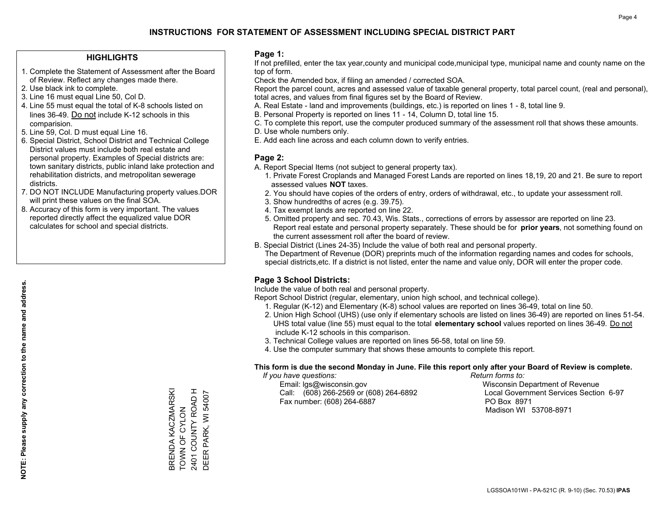## **HIGHLIGHTS**

- 1. Complete the Statement of Assessment after the Board of Review. Reflect any changes made there.
- 2. Use black ink to complete.
- 3. Line 16 must equal Line 50, Col D.
- 4. Line 55 must equal the total of K-8 schools listed on lines 36-49. Do not include K-12 schools in this comparision.
- 5. Line 59, Col. D must equal Line 16.
- 6. Special District, School District and Technical College District values must include both real estate and personal property. Examples of Special districts are: town sanitary districts, public inland lake protection and rehabilitation districts, and metropolitan sewerage districts.
- 7. DO NOT INCLUDE Manufacturing property values.DOR will print these values on the final SOA.
- 8. Accuracy of this form is very important. The values reported directly affect the equalized value DOR calculates for school and special districts.

### **Page 1:**

 If not prefilled, enter the tax year,county and municipal code,municipal type, municipal name and county name on the top of form.

Check the Amended box, if filing an amended / corrected SOA.

 Report the parcel count, acres and assessed value of taxable general property, total parcel count, (real and personal), total acres, and values from final figures set by the Board of Review.

- A. Real Estate land and improvements (buildings, etc.) is reported on lines 1 8, total line 9.
- B. Personal Property is reported on lines 11 14, Column D, total line 15.
- C. To complete this report, use the computer produced summary of the assessment roll that shows these amounts.
- D. Use whole numbers only.
- E. Add each line across and each column down to verify entries.

## **Page 2:**

- A. Report Special Items (not subject to general property tax).
- 1. Private Forest Croplands and Managed Forest Lands are reported on lines 18,19, 20 and 21. Be sure to report assessed values **NOT** taxes.
- 2. You should have copies of the orders of entry, orders of withdrawal, etc., to update your assessment roll.
	- 3. Show hundredths of acres (e.g. 39.75).
- 4. Tax exempt lands are reported on line 22.
- 5. Omitted property and sec. 70.43, Wis. Stats., corrections of errors by assessor are reported on line 23. Report real estate and personal property separately. These should be for **prior years**, not something found on the current assessment roll after the board of review.
- B. Special District (Lines 24-35) Include the value of both real and personal property.

 The Department of Revenue (DOR) preprints much of the information regarding names and codes for schools, special districts,etc. If a district is not listed, enter the name and value only, DOR will enter the proper code.

## **Page 3 School Districts:**

Include the value of both real and personal property.

Report School District (regular, elementary, union high school, and technical college).

- 1. Regular (K-12) and Elementary (K-8) school values are reported on lines 36-49, total on line 50.
- 2. Union High School (UHS) (use only if elementary schools are listed on lines 36-49) are reported on lines 51-54. UHS total value (line 55) must equal to the total **elementary school** values reported on lines 36-49. Do notinclude K-12 schools in this comparison.
- 3. Technical College values are reported on lines 56-58, total on line 59.
- 4. Use the computer summary that shows these amounts to complete this report.

#### **This form is due the second Monday in June. File this report only after your Board of Review is complete.**

 *If you have questions: Return forms to:*

 Email: lgs@wisconsin.gov Wisconsin Department of RevenueCall:  $(608)$  266-2569 or  $(608)$  264-6892 Fax number: (608) 264-6887 PO Box 8971

Local Government Services Section 6-97 Madison WI 53708-8971

BRENDA KACZMARSKI<br>TOWN OF CYLON 2401 COUNTY ROAD H<br>DEER PARK, WI 54007 BRENDA KACZMARSKI 2401 COUNTY ROAD H TOWN OF CYLON

DEER PARK, WI 54007

**NOTE: Please supply any correction to the name and address.**

NOTE: Please supply any correction to the name and address.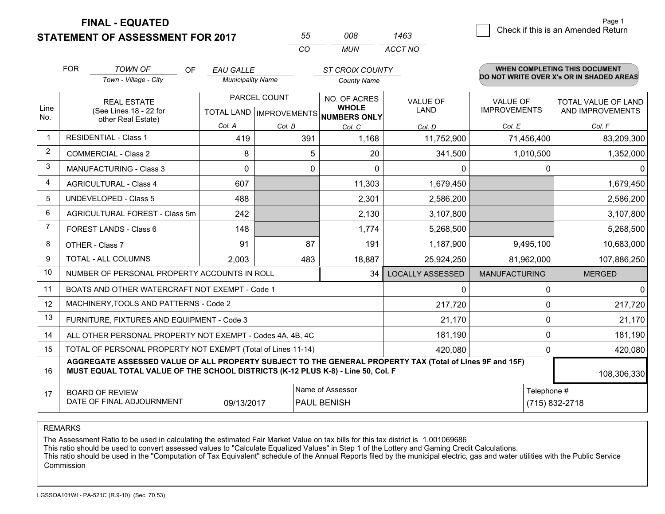**STATEMENT OF ASSESSMENT FOR 2017** 

| 55  | 008 | 1463    |
|-----|-----|---------|
| CO. | MUN | ACCT NO |

|                | <b>FOR</b>                                                                                                                                                                                   | <b>TOWN OF</b><br><b>OF</b><br>Town - Village - City | <b>EAU GALLE</b><br><b>Municipality Name</b>        |          | <b>ST CROIX COUNTY</b><br><b>County Name</b> |                                |                                        | <b>WHEN COMPLETING THIS DOCUMENT</b><br>DO NOT WRITE OVER X's OR IN SHADED AREAS |
|----------------|----------------------------------------------------------------------------------------------------------------------------------------------------------------------------------------------|------------------------------------------------------|-----------------------------------------------------|----------|----------------------------------------------|--------------------------------|----------------------------------------|----------------------------------------------------------------------------------|
| Line<br>No.    | <b>REAL ESTATE</b><br>(See Lines 18 - 22 for                                                                                                                                                 |                                                      | PARCEL COUNT<br>TOTAL LAND MPROVEMENTS NUMBERS ONLY |          | NO. OF ACRES<br><b>WHOLE</b>                 | <b>VALUE OF</b><br><b>LAND</b> | <b>VALUE OF</b><br><b>IMPROVEMENTS</b> | TOTAL VALUE OF LAND<br>AND IMPROVEMENTS                                          |
|                |                                                                                                                                                                                              | other Real Estate)                                   | Col. A                                              | Col. B   | Col. C                                       | Col. D                         | Col. E                                 | Col. F                                                                           |
| $\mathbf 1$    |                                                                                                                                                                                              | <b>RESIDENTIAL - Class 1</b>                         | 419                                                 | 391      | 1,168                                        | 11,752,900                     | 71,456,400                             | 83,209,300                                                                       |
| 2              |                                                                                                                                                                                              | <b>COMMERCIAL - Class 2</b>                          | 8                                                   | 5        | 20                                           | 341,500                        | 1,010,500                              | 1,352,000                                                                        |
| 3              |                                                                                                                                                                                              | <b>MANUFACTURING - Class 3</b>                       | $\Omega$                                            | $\Omega$ | $\Omega$                                     | $\mathbf{0}$                   | $\mathbf{0}$                           | 0                                                                                |
| $\overline{4}$ |                                                                                                                                                                                              | <b>AGRICULTURAL - Class 4</b>                        | 607                                                 |          | 11,303                                       | 1,679,450                      |                                        | 1,679,450                                                                        |
| 5              |                                                                                                                                                                                              | <b>UNDEVELOPED - Class 5</b>                         | 488                                                 |          | 2,301                                        | 2,586,200                      |                                        | 2,586,200                                                                        |
| 6              |                                                                                                                                                                                              | AGRICULTURAL FOREST - Class 5m                       | 242                                                 |          | 2,130                                        | 3,107,800                      |                                        | 3,107,800                                                                        |
| $\overline{7}$ |                                                                                                                                                                                              | FOREST LANDS - Class 6                               | 148                                                 |          | 1,774                                        | 5,268,500                      |                                        | 5,268,500                                                                        |
| 8              |                                                                                                                                                                                              | OTHER - Class 7                                      | 91                                                  | 87       | 191                                          | 1,187,900                      | 9,495,100                              | 10,683,000                                                                       |
| 9              |                                                                                                                                                                                              | TOTAL - ALL COLUMNS                                  | 2,003                                               | 483      | 18,887                                       | 25,924,250                     | 81,962,000                             | 107,886,250                                                                      |
| 10             |                                                                                                                                                                                              | NUMBER OF PERSONAL PROPERTY ACCOUNTS IN ROLL         |                                                     |          | 34                                           | <b>LOCALLY ASSESSED</b>        | <b>MANUFACTURING</b>                   | <b>MERGED</b>                                                                    |
| 11             |                                                                                                                                                                                              | BOATS AND OTHER WATERCRAFT NOT EXEMPT - Code 1       |                                                     |          |                                              | $\mathbf{0}$                   | 0                                      | $\mathbf 0$                                                                      |
| 12             |                                                                                                                                                                                              | MACHINERY, TOOLS AND PATTERNS - Code 2               |                                                     |          |                                              | 217,720                        | $\mathbf 0$                            | 217,720                                                                          |
| 13             |                                                                                                                                                                                              | FURNITURE, FIXTURES AND EQUIPMENT - Code 3           |                                                     |          |                                              | 21,170                         | $\mathbf 0$                            | 21,170                                                                           |
| 14             | 181,190<br>ALL OTHER PERSONAL PROPERTY NOT EXEMPT - Codes 4A, 4B, 4C                                                                                                                         |                                                      |                                                     |          |                                              |                                | $\mathbf 0$                            | 181,190                                                                          |
| 15             | TOTAL OF PERSONAL PROPERTY NOT EXEMPT (Total of Lines 11-14)<br>420,080                                                                                                                      |                                                      |                                                     |          |                                              | $\mathbf 0$                    | 420,080                                |                                                                                  |
| 16             | AGGREGATE ASSESSED VALUE OF ALL PROPERTY SUBJECT TO THE GENERAL PROPERTY TAX (Total of Lines 9F and 15F)<br>MUST EQUAL TOTAL VALUE OF THE SCHOOL DISTRICTS (K-12 PLUS K-8) - Line 50, Col. F |                                                      |                                                     |          |                                              |                                | 108,306,330                            |                                                                                  |
| 17             |                                                                                                                                                                                              | <b>BOARD OF REVIEW</b>                               |                                                     |          | Name of Assessor                             |                                | Telephone #                            |                                                                                  |
|                | DATE OF FINAL ADJOURNMENT<br>09/13/2017<br>PAUL BENISH                                                                                                                                       |                                                      |                                                     |          |                                              | (715) 832-2718                 |                                        |                                                                                  |

REMARKS

The Assessment Ratio to be used in calculating the estimated Fair Market Value on tax bills for this tax district is 1.001069686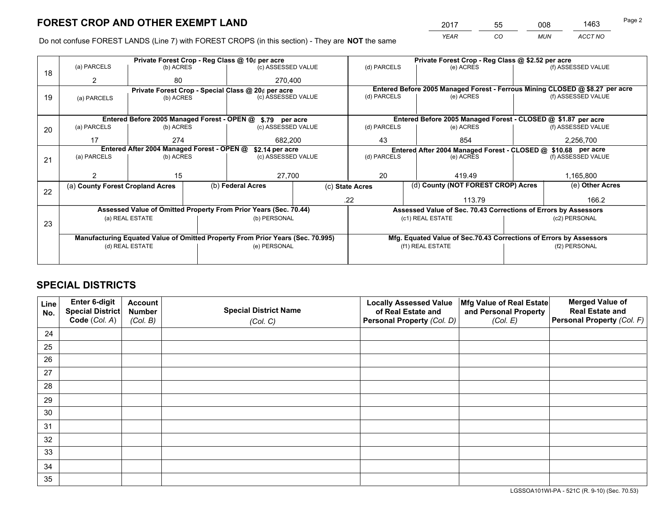*YEAR CO MUN ACCT NO* <sup>2017</sup> <sup>55</sup> <sup>008</sup> <sup>1463</sup>

Do not confuse FOREST LANDS (Line 7) with FOREST CROPS (in this section) - They are **NOT** the same

|    |                                                                                |                 |  | Private Forest Crop - Reg Class @ 10¢ per acre                   |                 |                          | Private Forest Crop - Reg Class @ \$2.52 per acre                            |                                                               |                    |  |
|----|--------------------------------------------------------------------------------|-----------------|--|------------------------------------------------------------------|-----------------|--------------------------|------------------------------------------------------------------------------|---------------------------------------------------------------|--------------------|--|
| 18 | (a) PARCELS                                                                    | (b) ACRES       |  | (c) ASSESSED VALUE                                               |                 | (d) PARCELS              | (e) ACRES                                                                    |                                                               | (f) ASSESSED VALUE |  |
|    | 2                                                                              | 80              |  | 270,400                                                          |                 |                          |                                                                              |                                                               |                    |  |
|    |                                                                                |                 |  | Private Forest Crop - Special Class @ 20¢ per acre               |                 |                          | Entered Before 2005 Managed Forest - Ferrous Mining CLOSED @ \$8.27 per acre |                                                               |                    |  |
| 19 | (a) PARCELS                                                                    | (b) ACRES       |  | (c) ASSESSED VALUE                                               |                 | (d) PARCELS              | (e) ACRES                                                                    |                                                               | (f) ASSESSED VALUE |  |
|    |                                                                                |                 |  |                                                                  |                 |                          |                                                                              |                                                               |                    |  |
|    |                                                                                |                 |  | Entered Before 2005 Managed Forest - OPEN @ \$.79 per acre       |                 |                          | Entered Before 2005 Managed Forest - CLOSED @ \$1.87 per acre                |                                                               |                    |  |
| 20 | (a) PARCELS                                                                    | (b) ACRES       |  | (c) ASSESSED VALUE                                               |                 | (d) PARCELS              | (e) ACRES                                                                    |                                                               | (f) ASSESSED VALUE |  |
|    | 17                                                                             | 274             |  | 43<br>682.200                                                    |                 | 854                      |                                                                              | 2,256,700                                                     |                    |  |
|    | Entered After 2004 Managed Forest - OPEN @                                     |                 |  |                                                                  | \$2.14 per acre |                          |                                                                              | Entered After 2004 Managed Forest - CLOSED @ \$10.68 per acre |                    |  |
| 21 | (a) PARCELS                                                                    | (b) ACRES       |  | (c) ASSESSED VALUE                                               |                 | (d) PARCELS<br>(e) ACRES |                                                                              |                                                               | (f) ASSESSED VALUE |  |
|    |                                                                                |                 |  |                                                                  |                 |                          |                                                                              |                                                               |                    |  |
|    |                                                                                | 15              |  | 27,700                                                           |                 | 20                       | 419.49                                                                       |                                                               | 1,165,800          |  |
| 22 | (a) County Forest Cropland Acres                                               |                 |  | (b) Federal Acres                                                |                 | (c) State Acres          | (d) County (NOT FOREST CROP) Acres                                           |                                                               | (e) Other Acres    |  |
|    |                                                                                |                 |  |                                                                  |                 | .22                      | 113.79                                                                       |                                                               | 166.2              |  |
|    |                                                                                |                 |  | Assessed Value of Omitted Property From Prior Years (Sec. 70.44) |                 |                          | Assessed Value of Sec. 70.43 Corrections of Errors by Assessors              |                                                               |                    |  |
| 23 |                                                                                | (a) REAL ESTATE |  | (b) PERSONAL                                                     |                 |                          | (c1) REAL ESTATE                                                             |                                                               | (c2) PERSONAL      |  |
|    |                                                                                |                 |  |                                                                  |                 |                          |                                                                              |                                                               |                    |  |
|    | Manufacturing Equated Value of Omitted Property From Prior Years (Sec. 70.995) |                 |  |                                                                  |                 |                          | Mfg. Equated Value of Sec.70.43 Corrections of Errors by Assessors           |                                                               |                    |  |
|    | (d) REAL ESTATE                                                                |                 |  | (e) PERSONAL                                                     |                 | (f1) REAL ESTATE         |                                                                              | (f2) PERSONAL                                                 |                    |  |
|    |                                                                                |                 |  |                                                                  |                 |                          |                                                                              |                                                               |                    |  |

## **SPECIAL DISTRICTS**

| Line<br>No. | Enter 6-digit<br>Special District<br>Code (Col. A) | <b>Account</b><br><b>Number</b><br>(Col. B) | <b>Special District Name</b><br>(Col. C) | <b>Locally Assessed Value</b><br>of Real Estate and<br>Personal Property (Col. D) | Mfg Value of Real Estate<br>and Personal Property<br>(Col. E) | <b>Merged Value of</b><br><b>Real Estate and</b><br>Personal Property (Col. F) |
|-------------|----------------------------------------------------|---------------------------------------------|------------------------------------------|-----------------------------------------------------------------------------------|---------------------------------------------------------------|--------------------------------------------------------------------------------|
| 24          |                                                    |                                             |                                          |                                                                                   |                                                               |                                                                                |
| 25          |                                                    |                                             |                                          |                                                                                   |                                                               |                                                                                |
| 26          |                                                    |                                             |                                          |                                                                                   |                                                               |                                                                                |
| 27          |                                                    |                                             |                                          |                                                                                   |                                                               |                                                                                |
| 28          |                                                    |                                             |                                          |                                                                                   |                                                               |                                                                                |
| 29          |                                                    |                                             |                                          |                                                                                   |                                                               |                                                                                |
| 30          |                                                    |                                             |                                          |                                                                                   |                                                               |                                                                                |
| 31          |                                                    |                                             |                                          |                                                                                   |                                                               |                                                                                |
| 32          |                                                    |                                             |                                          |                                                                                   |                                                               |                                                                                |
| 33          |                                                    |                                             |                                          |                                                                                   |                                                               |                                                                                |
| 34          |                                                    |                                             |                                          |                                                                                   |                                                               |                                                                                |
| 35          |                                                    |                                             |                                          |                                                                                   |                                                               |                                                                                |

LGSSOA101WI-PA - 521C (R. 9-10) (Sec. 70.53)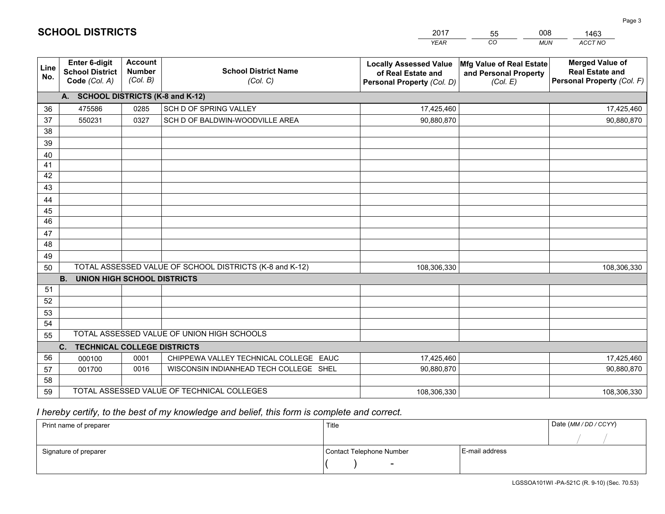|             |                                                          |                                             |                                                         | <b>YEAR</b>                                                                       | CO<br><b>MUN</b>                                              | ACCT NO                                                                        |
|-------------|----------------------------------------------------------|---------------------------------------------|---------------------------------------------------------|-----------------------------------------------------------------------------------|---------------------------------------------------------------|--------------------------------------------------------------------------------|
| Line<br>No. | Enter 6-digit<br><b>School District</b><br>Code (Col. A) | <b>Account</b><br><b>Number</b><br>(Col. B) | <b>School District Name</b><br>(Col. C)                 | <b>Locally Assessed Value</b><br>of Real Estate and<br>Personal Property (Col. D) | Mfg Value of Real Estate<br>and Personal Property<br>(Col. E) | <b>Merged Value of</b><br><b>Real Estate and</b><br>Personal Property (Col. F) |
|             | A. SCHOOL DISTRICTS (K-8 and K-12)                       |                                             |                                                         |                                                                                   |                                                               |                                                                                |
| 36          | 475586                                                   | 0285                                        | SCH D OF SPRING VALLEY                                  | 17,425,460                                                                        |                                                               | 17,425,460                                                                     |
| 37          | 550231                                                   | 0327                                        | SCH D OF BALDWIN-WOODVILLE AREA                         | 90,880,870                                                                        |                                                               | 90,880,870                                                                     |
| 38          |                                                          |                                             |                                                         |                                                                                   |                                                               |                                                                                |
| 39          |                                                          |                                             |                                                         |                                                                                   |                                                               |                                                                                |
| 40          |                                                          |                                             |                                                         |                                                                                   |                                                               |                                                                                |
| 41          |                                                          |                                             |                                                         |                                                                                   |                                                               |                                                                                |
| 42          |                                                          |                                             |                                                         |                                                                                   |                                                               |                                                                                |
| 43          |                                                          |                                             |                                                         |                                                                                   |                                                               |                                                                                |
| 44          |                                                          |                                             |                                                         |                                                                                   |                                                               |                                                                                |
| 45          |                                                          |                                             |                                                         |                                                                                   |                                                               |                                                                                |
| 46          |                                                          |                                             |                                                         |                                                                                   |                                                               |                                                                                |
| 47          |                                                          |                                             |                                                         |                                                                                   |                                                               |                                                                                |
| 48          |                                                          |                                             |                                                         |                                                                                   |                                                               |                                                                                |
| 49          |                                                          |                                             |                                                         |                                                                                   |                                                               |                                                                                |
| 50          |                                                          |                                             | TOTAL ASSESSED VALUE OF SCHOOL DISTRICTS (K-8 and K-12) | 108,306,330                                                                       |                                                               | 108,306,330                                                                    |
|             | <b>B.</b><br><b>UNION HIGH SCHOOL DISTRICTS</b>          |                                             |                                                         |                                                                                   |                                                               |                                                                                |
| 51          |                                                          |                                             |                                                         |                                                                                   |                                                               |                                                                                |
| 52          |                                                          |                                             |                                                         |                                                                                   |                                                               |                                                                                |
| 53          |                                                          |                                             |                                                         |                                                                                   |                                                               |                                                                                |
| 54          |                                                          |                                             |                                                         |                                                                                   |                                                               |                                                                                |
| 55          |                                                          |                                             | TOTAL ASSESSED VALUE OF UNION HIGH SCHOOLS              |                                                                                   |                                                               |                                                                                |
|             | C. TECHNICAL COLLEGE DISTRICTS                           |                                             |                                                         |                                                                                   |                                                               |                                                                                |
| 56          | 000100                                                   | 0001                                        | CHIPPEWA VALLEY TECHNICAL COLLEGE EAUC                  | 17,425,460                                                                        |                                                               | 17,425,460                                                                     |
| 57          | 001700                                                   | 0016                                        | WISCONSIN INDIANHEAD TECH COLLEGE SHEL                  | 90,880,870                                                                        |                                                               | 90,880,870                                                                     |
| 58          |                                                          |                                             |                                                         |                                                                                   |                                                               |                                                                                |
| 59          |                                                          |                                             | TOTAL ASSESSED VALUE OF TECHNICAL COLLEGES              | 108,306,330                                                                       |                                                               | 108,306,330                                                                    |

55

008

# *I hereby certify, to the best of my knowledge and belief, this form is complete and correct.*

**SCHOOL DISTRICTS**

| Print name of preparer | Title                    |                | Date (MM / DD / CCYY) |
|------------------------|--------------------------|----------------|-----------------------|
|                        |                          |                |                       |
| Signature of preparer  | Contact Telephone Number | E-mail address |                       |
|                        | $\overline{\phantom{0}}$ |                |                       |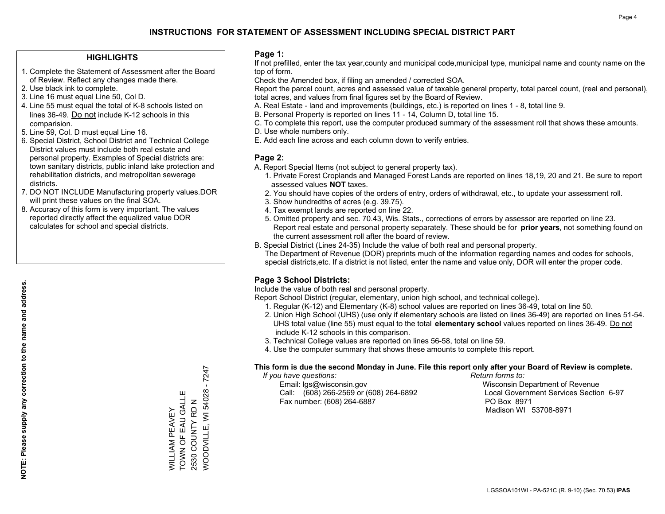## **HIGHLIGHTS**

- 1. Complete the Statement of Assessment after the Board of Review. Reflect any changes made there.
- 2. Use black ink to complete.
- 3. Line 16 must equal Line 50, Col D.
- 4. Line 55 must equal the total of K-8 schools listed on lines 36-49. Do not include K-12 schools in this comparision.
- 5. Line 59, Col. D must equal Line 16.
- 6. Special District, School District and Technical College District values must include both real estate and personal property. Examples of Special districts are: town sanitary districts, public inland lake protection and rehabilitation districts, and metropolitan sewerage districts.
- 7. DO NOT INCLUDE Manufacturing property values.DOR will print these values on the final SOA.
- 8. Accuracy of this form is very important. The values reported directly affect the equalized value DOR calculates for school and special districts.

### **Page 1:**

 If not prefilled, enter the tax year,county and municipal code,municipal type, municipal name and county name on the top of form.

Check the Amended box, if filing an amended / corrected SOA.

 Report the parcel count, acres and assessed value of taxable general property, total parcel count, (real and personal), total acres, and values from final figures set by the Board of Review.

- A. Real Estate land and improvements (buildings, etc.) is reported on lines 1 8, total line 9.
- B. Personal Property is reported on lines 11 14, Column D, total line 15.
- C. To complete this report, use the computer produced summary of the assessment roll that shows these amounts.
- D. Use whole numbers only.
- E. Add each line across and each column down to verify entries.

## **Page 2:**

- A. Report Special Items (not subject to general property tax).
- 1. Private Forest Croplands and Managed Forest Lands are reported on lines 18,19, 20 and 21. Be sure to report assessed values **NOT** taxes.
- 2. You should have copies of the orders of entry, orders of withdrawal, etc., to update your assessment roll.
	- 3. Show hundredths of acres (e.g. 39.75).
- 4. Tax exempt lands are reported on line 22.
- 5. Omitted property and sec. 70.43, Wis. Stats., corrections of errors by assessor are reported on line 23. Report real estate and personal property separately. These should be for **prior years**, not something found on the current assessment roll after the board of review.
- B. Special District (Lines 24-35) Include the value of both real and personal property.

 The Department of Revenue (DOR) preprints much of the information regarding names and codes for schools, special districts,etc. If a district is not listed, enter the name and value only, DOR will enter the proper code.

## **Page 3 School Districts:**

Include the value of both real and personal property.

Report School District (regular, elementary, union high school, and technical college).

- 1. Regular (K-12) and Elementary (K-8) school values are reported on lines 36-49, total on line 50.
- 2. Union High School (UHS) (use only if elementary schools are listed on lines 36-49) are reported on lines 51-54. UHS total value (line 55) must equal to the total **elementary school** values reported on lines 36-49. Do notinclude K-12 schools in this comparison.
- 3. Technical College values are reported on lines 56-58, total on line 59.
- 4. Use the computer summary that shows these amounts to complete this report.

#### **This form is due the second Monday in June. File this report only after your Board of Review is complete.**

 *If you have questions: Return forms to:*

 Email: lgs@wisconsin.gov Wisconsin Department of RevenueCall:  $(608)$  266-2569 or  $(608)$  264-6892 Fax number: (608) 264-6887 PO Box 8971

Local Government Services Section 6-97 Madison WI 53708-8971

WOODVILLE, WI 54028 - 7247 WOODVILLE, WI 54028 - 7247 Ш TOWN OF EAU GALLE WILLIAM PEAVEY<br>TOWN OF EAU GALL 2530 COUNTY RD N 2530 COUNTY RD N WILLIAM PEAVEY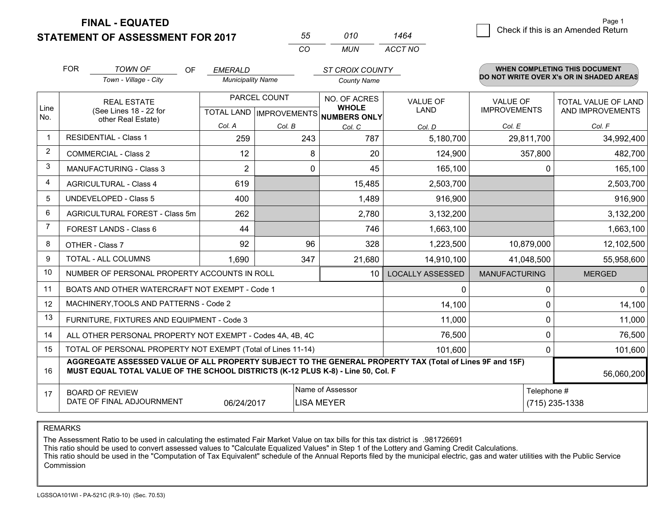**STATEMENT OF ASSESSMENT FOR 2017** 

| 55           | 01 O | 464     |
|--------------|------|---------|
| $\mathbf{r}$ | MUN. | ACCT NO |

|                | <b>FOR</b>                                                                                                                                                                                                 | <b>TOWN OF</b><br>OF                                         | <b>EMERALD</b>           |                           | <b>ST CROIX COUNTY</b>              |                         |                                          | <b>WHEN COMPLETING THIS DOCUMENT</b> |  |
|----------------|------------------------------------------------------------------------------------------------------------------------------------------------------------------------------------------------------------|--------------------------------------------------------------|--------------------------|---------------------------|-------------------------------------|-------------------------|------------------------------------------|--------------------------------------|--|
|                |                                                                                                                                                                                                            | Town - Village - City                                        | <b>Municipality Name</b> |                           | <b>County Name</b>                  |                         | DO NOT WRITE OVER X's OR IN SHADED AREAS |                                      |  |
|                |                                                                                                                                                                                                            | <b>REAL ESTATE</b>                                           |                          | PARCEL COUNT              | NO. OF ACRES                        | <b>VALUE OF</b>         | <b>VALUE OF</b>                          | TOTAL VALUE OF LAND                  |  |
| Line<br>No.    | (See Lines 18 - 22 for<br>other Real Estate)                                                                                                                                                               |                                                              |                          | TOTAL LAND   IMPROVEMENTS | <b>WHOLE</b><br><b>NUMBERS ONLY</b> | LAND                    | <b>IMPROVEMENTS</b>                      | AND IMPROVEMENTS                     |  |
|                |                                                                                                                                                                                                            |                                                              | Col. A                   | Col. B                    | Col. C                              | Col. D                  | Col. E                                   | Col. F                               |  |
| $\mathbf{1}$   |                                                                                                                                                                                                            | <b>RESIDENTIAL - Class 1</b>                                 | 259                      | 243                       | 787                                 | 5,180,700               | 29,811,700                               | 34,992,400                           |  |
| $\overline{2}$ |                                                                                                                                                                                                            | <b>COMMERCIAL - Class 2</b>                                  | 12                       | 8                         | 20                                  | 124,900                 | 357,800                                  | 482,700                              |  |
| 3              |                                                                                                                                                                                                            | <b>MANUFACTURING - Class 3</b>                               | 2                        | $\Omega$                  | 45                                  | 165,100                 | $\Omega$                                 | 165,100                              |  |
| 4              |                                                                                                                                                                                                            | <b>AGRICULTURAL - Class 4</b>                                | 619                      |                           | 15,485                              | 2,503,700               |                                          | 2,503,700                            |  |
| 5              |                                                                                                                                                                                                            | <b>UNDEVELOPED - Class 5</b>                                 | 400                      |                           | 1,489                               | 916,900                 |                                          | 916,900                              |  |
| 6              |                                                                                                                                                                                                            | AGRICULTURAL FOREST - Class 5m                               | 262                      |                           | 2,780                               | 3,132,200               |                                          | 3,132,200                            |  |
| $\overline{7}$ |                                                                                                                                                                                                            | FOREST LANDS - Class 6                                       | 44                       |                           | 746                                 | 1,663,100               |                                          | 1,663,100                            |  |
| 8              |                                                                                                                                                                                                            | OTHER - Class 7                                              | 92                       | 96                        | 328                                 | 1,223,500               | 10,879,000                               | 12,102,500                           |  |
| 9              |                                                                                                                                                                                                            | <b>TOTAL - ALL COLUMNS</b>                                   | 1.690                    | 347                       | 21,680                              | 14,910,100              | 41,048,500                               | 55,958,600                           |  |
| 10             |                                                                                                                                                                                                            | NUMBER OF PERSONAL PROPERTY ACCOUNTS IN ROLL                 |                          |                           | 10 <sup>°</sup>                     | <b>LOCALLY ASSESSED</b> | <b>MANUFACTURING</b>                     | <b>MERGED</b>                        |  |
| 11             |                                                                                                                                                                                                            | BOATS AND OTHER WATERCRAFT NOT EXEMPT - Code 1               |                          |                           |                                     | 0                       | $\mathbf{0}$                             | $\Omega$                             |  |
| 12             |                                                                                                                                                                                                            | MACHINERY, TOOLS AND PATTERNS - Code 2                       |                          |                           |                                     | 14,100                  | 0                                        | 14,100                               |  |
| 13             |                                                                                                                                                                                                            | FURNITURE, FIXTURES AND EQUIPMENT - Code 3                   |                          |                           |                                     | 11,000                  | 0                                        | 11,000                               |  |
| 14             |                                                                                                                                                                                                            | ALL OTHER PERSONAL PROPERTY NOT EXEMPT - Codes 4A, 4B, 4C    |                          |                           |                                     | 76,500                  | 0                                        | 76,500                               |  |
| 15             |                                                                                                                                                                                                            | TOTAL OF PERSONAL PROPERTY NOT EXEMPT (Total of Lines 11-14) |                          |                           |                                     | 101,600                 | 0                                        | 101,600                              |  |
| 16             | AGGREGATE ASSESSED VALUE OF ALL PROPERTY SUBJECT TO THE GENERAL PROPERTY TAX (Total of Lines 9F and 15F)<br>MUST EQUAL TOTAL VALUE OF THE SCHOOL DISTRICTS (K-12 PLUS K-8) - Line 50, Col. F<br>56,060,200 |                                                              |                          |                           |                                     |                         |                                          |                                      |  |
| 17             | Name of Assessor<br><b>BOARD OF REVIEW</b>                                                                                                                                                                 |                                                              |                          |                           |                                     | Telephone #             |                                          |                                      |  |
|                | DATE OF FINAL ADJOURNMENT<br>06/24/2017<br><b>LISA MEYER</b>                                                                                                                                               |                                                              |                          |                           |                                     |                         | (715) 235-1338                           |                                      |  |

REMARKS

The Assessment Ratio to be used in calculating the estimated Fair Market Value on tax bills for this tax district is .981726691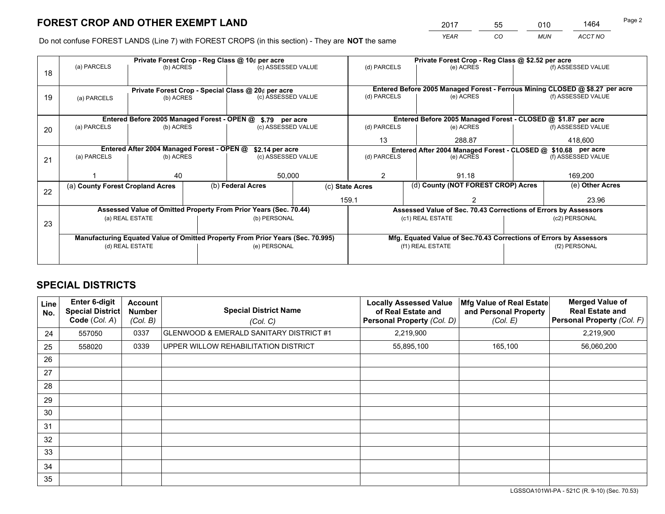*YEAR CO MUN ACCT NO* <sup>2017</sup> <sup>55</sup> <sup>010</sup> <sup>1464</sup>

Do not confuse FOREST LANDS (Line 7) with FOREST CROPS (in this section) - They are **NOT** the same

|    |                                                                                |                                             |  | Private Forest Crop - Reg Class @ 10¢ per acre                           |                 |                  | Private Forest Crop - Reg Class @ \$2.52 per acre                            |                                    |                    |  |
|----|--------------------------------------------------------------------------------|---------------------------------------------|--|--------------------------------------------------------------------------|-----------------|------------------|------------------------------------------------------------------------------|------------------------------------|--------------------|--|
| 18 | (a) PARCELS                                                                    | (b) ACRES                                   |  | (c) ASSESSED VALUE                                                       |                 | (d) PARCELS      | (e) ACRES                                                                    |                                    | (f) ASSESSED VALUE |  |
|    |                                                                                |                                             |  |                                                                          |                 |                  | Entered Before 2005 Managed Forest - Ferrous Mining CLOSED @ \$8.27 per acre |                                    |                    |  |
| 19 | (a) PARCELS                                                                    | (b) ACRES                                   |  | Private Forest Crop - Special Class @ 20¢ per acre<br>(c) ASSESSED VALUE |                 | (d) PARCELS      | (e) ACRES                                                                    |                                    | (f) ASSESSED VALUE |  |
|    |                                                                                | Entered Before 2005 Managed Forest - OPEN @ |  | \$.79 per acre                                                           |                 |                  | Entered Before 2005 Managed Forest - CLOSED @ \$1.87 per acre                |                                    |                    |  |
| 20 | (a) PARCELS                                                                    | (b) ACRES                                   |  | (c) ASSESSED VALUE                                                       |                 | (d) PARCELS      | (e) ACRES                                                                    |                                    | (f) ASSESSED VALUE |  |
|    |                                                                                |                                             |  |                                                                          |                 | 13               | 288.87                                                                       |                                    | 418.600            |  |
|    |                                                                                | Entered After 2004 Managed Forest - OPEN @  |  | \$2.14 per acre                                                          |                 |                  | Entered After 2004 Managed Forest - CLOSED @ \$10.68 per acre                |                                    |                    |  |
| 21 | (a) PARCELS                                                                    | (b) ACRES                                   |  | (c) ASSESSED VALUE                                                       | (d) PARCELS     |                  | (e) ACRES                                                                    |                                    |                    |  |
|    |                                                                                | 40                                          |  | 50,000                                                                   |                 | 2<br>91.18       |                                                                              |                                    | 169,200            |  |
| 22 | (a) County Forest Cropland Acres                                               |                                             |  | (b) Federal Acres                                                        | (c) State Acres |                  |                                                                              | (d) County (NOT FOREST CROP) Acres |                    |  |
|    |                                                                                |                                             |  |                                                                          | 159.1           |                  |                                                                              |                                    | 23.96              |  |
|    |                                                                                |                                             |  | Assessed Value of Omitted Property From Prior Years (Sec. 70.44)         |                 |                  | Assessed Value of Sec. 70.43 Corrections of Errors by Assessors              |                                    |                    |  |
| 23 |                                                                                | (a) REAL ESTATE                             |  | (b) PERSONAL                                                             |                 | (c1) REAL ESTATE |                                                                              |                                    | (c2) PERSONAL      |  |
|    | Manufacturing Equated Value of Omitted Property From Prior Years (Sec. 70.995) |                                             |  |                                                                          |                 |                  | Mfg. Equated Value of Sec.70.43 Corrections of Errors by Assessors           |                                    |                    |  |
|    | (d) REAL ESTATE                                                                |                                             |  | (e) PERSONAL                                                             |                 | (f1) REAL ESTATE |                                                                              |                                    | (f2) PERSONAL      |  |
|    |                                                                                |                                             |  |                                                                          |                 |                  |                                                                              |                                    |                    |  |

## **SPECIAL DISTRICTS**

| Line<br>No. | Enter 6-digit<br><b>Special District</b><br>Code (Col. A) | <b>Account</b><br><b>Number</b><br>(Col. B) | <b>Special District Name</b><br>(Col. C) | <b>Locally Assessed Value</b><br>of Real Estate and<br>Personal Property (Col. D) | Mfg Value of Real Estate<br>and Personal Property<br>(Col. E) | <b>Merged Value of</b><br><b>Real Estate and</b><br>Personal Property (Col. F) |
|-------------|-----------------------------------------------------------|---------------------------------------------|------------------------------------------|-----------------------------------------------------------------------------------|---------------------------------------------------------------|--------------------------------------------------------------------------------|
| 24          | 557050                                                    | 0337                                        | GLENWOOD & EMERALD SANITARY DISTRICT #1  | 2,219,900                                                                         |                                                               | 2,219,900                                                                      |
| 25          | 558020                                                    | 0339                                        | UPPER WILLOW REHABILITATION DISTRICT     | 55,895,100                                                                        | 165,100                                                       | 56,060,200                                                                     |
| 26          |                                                           |                                             |                                          |                                                                                   |                                                               |                                                                                |
| 27          |                                                           |                                             |                                          |                                                                                   |                                                               |                                                                                |
| 28          |                                                           |                                             |                                          |                                                                                   |                                                               |                                                                                |
| 29          |                                                           |                                             |                                          |                                                                                   |                                                               |                                                                                |
| 30          |                                                           |                                             |                                          |                                                                                   |                                                               |                                                                                |
| 31          |                                                           |                                             |                                          |                                                                                   |                                                               |                                                                                |
| 32          |                                                           |                                             |                                          |                                                                                   |                                                               |                                                                                |
| 33          |                                                           |                                             |                                          |                                                                                   |                                                               |                                                                                |
| 34          |                                                           |                                             |                                          |                                                                                   |                                                               |                                                                                |
| 35          |                                                           |                                             |                                          |                                                                                   |                                                               |                                                                                |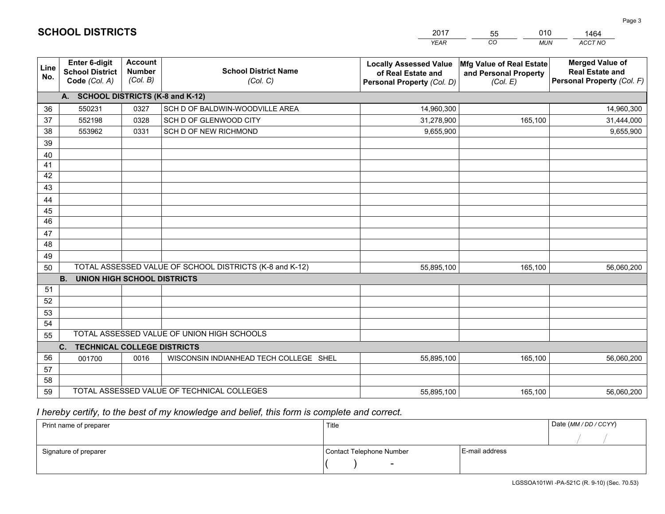|                 |                                                                 |                                             |                                                         | YEAR                                                                              | CO.<br><b>MUN</b>                                             | ACCT NO                                                                        |
|-----------------|-----------------------------------------------------------------|---------------------------------------------|---------------------------------------------------------|-----------------------------------------------------------------------------------|---------------------------------------------------------------|--------------------------------------------------------------------------------|
| Line<br>No.     | <b>Enter 6-digit</b><br><b>School District</b><br>Code (Col. A) | <b>Account</b><br><b>Number</b><br>(Col. B) | <b>School District Name</b><br>(Col. C)                 | <b>Locally Assessed Value</b><br>of Real Estate and<br>Personal Property (Col. D) | Mfg Value of Real Estate<br>and Personal Property<br>(Col. E) | <b>Merged Value of</b><br><b>Real Estate and</b><br>Personal Property (Col. F) |
|                 | A. SCHOOL DISTRICTS (K-8 and K-12)                              |                                             |                                                         |                                                                                   |                                                               |                                                                                |
| 36              | 550231                                                          | 0327                                        | SCH D OF BALDWIN-WOODVILLE AREA                         | 14,960,300                                                                        |                                                               | 14,960,300                                                                     |
| 37              | 552198                                                          | 0328                                        | SCH D OF GLENWOOD CITY                                  | 31,278,900                                                                        | 165,100                                                       | 31,444,000                                                                     |
| 38              | 553962                                                          | 0331                                        | SCH D OF NEW RICHMOND                                   | 9,655,900                                                                         |                                                               | 9,655,900                                                                      |
| 39              |                                                                 |                                             |                                                         |                                                                                   |                                                               |                                                                                |
| 40              |                                                                 |                                             |                                                         |                                                                                   |                                                               |                                                                                |
| 41              |                                                                 |                                             |                                                         |                                                                                   |                                                               |                                                                                |
| 42              |                                                                 |                                             |                                                         |                                                                                   |                                                               |                                                                                |
| 43              |                                                                 |                                             |                                                         |                                                                                   |                                                               |                                                                                |
| 44              |                                                                 |                                             |                                                         |                                                                                   |                                                               |                                                                                |
| 45              |                                                                 |                                             |                                                         |                                                                                   |                                                               |                                                                                |
| $\overline{46}$ |                                                                 |                                             |                                                         |                                                                                   |                                                               |                                                                                |
| 47<br>48        |                                                                 |                                             |                                                         |                                                                                   |                                                               |                                                                                |
| 49              |                                                                 |                                             |                                                         |                                                                                   |                                                               |                                                                                |
| 50              |                                                                 |                                             | TOTAL ASSESSED VALUE OF SCHOOL DISTRICTS (K-8 and K-12) | 55,895,100                                                                        | 165,100                                                       | 56,060,200                                                                     |
|                 | <b>B.</b><br><b>UNION HIGH SCHOOL DISTRICTS</b>                 |                                             |                                                         |                                                                                   |                                                               |                                                                                |
| 51              |                                                                 |                                             |                                                         |                                                                                   |                                                               |                                                                                |
| 52              |                                                                 |                                             |                                                         |                                                                                   |                                                               |                                                                                |
| 53              |                                                                 |                                             |                                                         |                                                                                   |                                                               |                                                                                |
| 54              |                                                                 |                                             |                                                         |                                                                                   |                                                               |                                                                                |
| 55              |                                                                 |                                             | TOTAL ASSESSED VALUE OF UNION HIGH SCHOOLS              |                                                                                   |                                                               |                                                                                |
|                 | C.<br><b>TECHNICAL COLLEGE DISTRICTS</b>                        |                                             |                                                         |                                                                                   |                                                               |                                                                                |
| 56              | 001700                                                          | 0016                                        | WISCONSIN INDIANHEAD TECH COLLEGE SHEL                  | 55,895,100                                                                        | 165,100                                                       | 56,060,200                                                                     |
| 57              |                                                                 |                                             |                                                         |                                                                                   |                                                               |                                                                                |
| 58              |                                                                 |                                             |                                                         |                                                                                   |                                                               |                                                                                |
| 59              |                                                                 |                                             | TOTAL ASSESSED VALUE OF TECHNICAL COLLEGES              | 55,895,100                                                                        | 165,100                                                       | 56,060,200                                                                     |

55

010

 *I hereby certify, to the best of my knowledge and belief, this form is complete and correct.*

**SCHOOL DISTRICTS**

| Print name of preparer | Title                    |                | Date (MM / DD / CCYY) |
|------------------------|--------------------------|----------------|-----------------------|
|                        |                          |                |                       |
| Signature of preparer  | Contact Telephone Number | E-mail address |                       |
|                        | $\sim$                   |                |                       |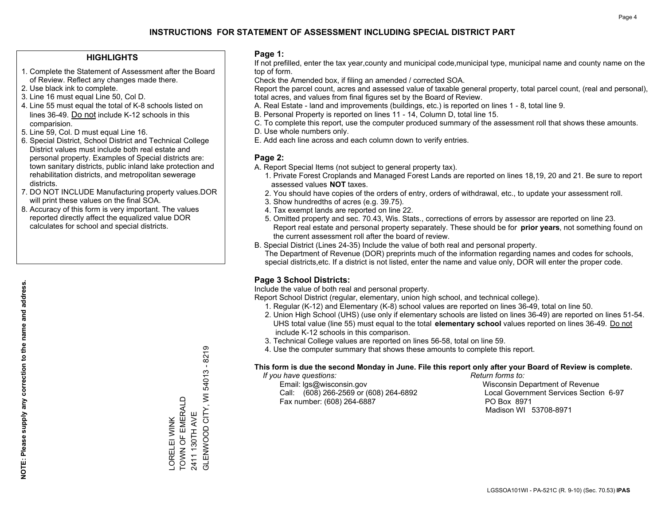## **HIGHLIGHTS**

- 1. Complete the Statement of Assessment after the Board of Review. Reflect any changes made there.
- 2. Use black ink to complete.
- 3. Line 16 must equal Line 50, Col D.
- 4. Line 55 must equal the total of K-8 schools listed on lines 36-49. Do not include K-12 schools in this comparision.
- 5. Line 59, Col. D must equal Line 16.
- 6. Special District, School District and Technical College District values must include both real estate and personal property. Examples of Special districts are: town sanitary districts, public inland lake protection and rehabilitation districts, and metropolitan sewerage districts.
- 7. DO NOT INCLUDE Manufacturing property values.DOR will print these values on the final SOA.

LORELEI WINK TOWN OF EMERALD 2411 130TH AVE

LORELEI WINK<br>TOWN OF EMERALD

GLENWOOD CITY, WI 54013 - 8219

**GLENWOOD CITY, WI** 

2411 130TH AVE

54013 - 8219

 8. Accuracy of this form is very important. The values reported directly affect the equalized value DOR calculates for school and special districts.

### **Page 1:**

 If not prefilled, enter the tax year,county and municipal code,municipal type, municipal name and county name on the top of form.

Check the Amended box, if filing an amended / corrected SOA.

 Report the parcel count, acres and assessed value of taxable general property, total parcel count, (real and personal), total acres, and values from final figures set by the Board of Review.

- A. Real Estate land and improvements (buildings, etc.) is reported on lines 1 8, total line 9.
- B. Personal Property is reported on lines 11 14, Column D, total line 15.
- C. To complete this report, use the computer produced summary of the assessment roll that shows these amounts.
- D. Use whole numbers only.
- E. Add each line across and each column down to verify entries.

## **Page 2:**

- A. Report Special Items (not subject to general property tax).
- 1. Private Forest Croplands and Managed Forest Lands are reported on lines 18,19, 20 and 21. Be sure to report assessed values **NOT** taxes.
- 2. You should have copies of the orders of entry, orders of withdrawal, etc., to update your assessment roll.
	- 3. Show hundredths of acres (e.g. 39.75).
- 4. Tax exempt lands are reported on line 22.
- 5. Omitted property and sec. 70.43, Wis. Stats., corrections of errors by assessor are reported on line 23. Report real estate and personal property separately. These should be for **prior years**, not something found on the current assessment roll after the board of review.
- B. Special District (Lines 24-35) Include the value of both real and personal property.
- The Department of Revenue (DOR) preprints much of the information regarding names and codes for schools, special districts,etc. If a district is not listed, enter the name and value only, DOR will enter the proper code.

## **Page 3 School Districts:**

Include the value of both real and personal property.

Report School District (regular, elementary, union high school, and technical college).

- 1. Regular (K-12) and Elementary (K-8) school values are reported on lines 36-49, total on line 50.
- 2. Union High School (UHS) (use only if elementary schools are listed on lines 36-49) are reported on lines 51-54. UHS total value (line 55) must equal to the total **elementary school** values reported on lines 36-49. Do notinclude K-12 schools in this comparison.
- 3. Technical College values are reported on lines 56-58, total on line 59.
- 4. Use the computer summary that shows these amounts to complete this report.

#### **This form is due the second Monday in June. File this report only after your Board of Review is complete.**

 *If you have questions: Return forms to:*

 Email: lgs@wisconsin.gov Wisconsin Department of RevenueCall:  $(608)$  266-2569 or  $(608)$  264-6892 Fax number: (608) 264-6887 PO Box 8971

Local Government Services Section 6-97 Madison WI 53708-8971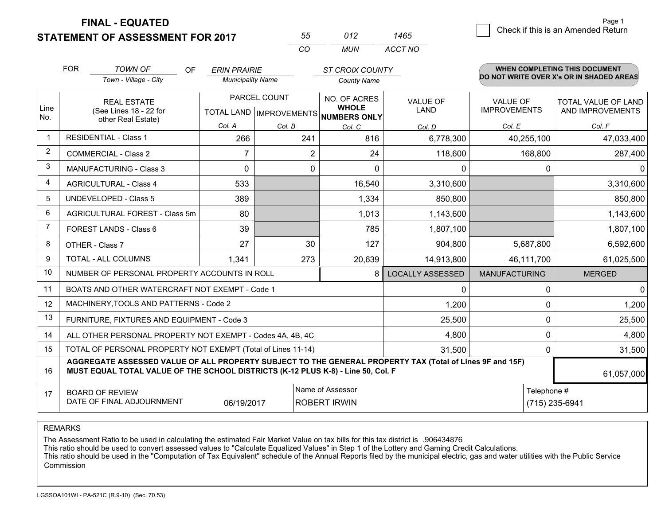**STATEMENT OF ASSESSMENT FOR 2017** 

| 55       | 112   | 1465    |
|----------|-------|---------|
| $\cdots$ | MI IN | ACCT NO |

|                | <b>FOR</b>                                                                                                                                                                                                 | <b>TOWN OF</b><br><b>OF</b>                                  | <b>ERIN PRAIRIE</b><br><b>Municipality Name</b> |                | <b>ST CROIX COUNTY</b>                               |                         | <b>WHEN COMPLETING THIS DOCUMENT</b><br>DO NOT WRITE OVER X's OR IN SHADED AREAS |                     |
|----------------|------------------------------------------------------------------------------------------------------------------------------------------------------------------------------------------------------------|--------------------------------------------------------------|-------------------------------------------------|----------------|------------------------------------------------------|-------------------------|----------------------------------------------------------------------------------|---------------------|
|                |                                                                                                                                                                                                            | Town - Village - City                                        |                                                 |                | <b>County Name</b>                                   |                         |                                                                                  |                     |
|                |                                                                                                                                                                                                            | <b>REAL ESTATE</b>                                           | PARCEL COUNT                                    |                | NO. OF ACRES                                         | <b>VALUE OF</b>         | <b>VALUE OF</b>                                                                  | TOTAL VALUE OF LAND |
| Line<br>No.    |                                                                                                                                                                                                            | (See Lines 18 - 22 for<br>other Real Estate)                 |                                                 |                | <b>WHOLE</b><br>TOTAL LAND IMPROVEMENTS NUMBERS ONLY | <b>LAND</b>             | <b>IMPROVEMENTS</b>                                                              | AND IMPROVEMENTS    |
|                |                                                                                                                                                                                                            |                                                              | Col. A                                          | Col. B         | Col. C                                               | Col. D                  | Col. E                                                                           | Col. F              |
| -1             | <b>RESIDENTIAL - Class 1</b>                                                                                                                                                                               |                                                              | 266                                             | 241            | 816                                                  | 6,778,300               | 40,255,100                                                                       | 47,033,400          |
| 2              |                                                                                                                                                                                                            | <b>COMMERCIAL - Class 2</b>                                  | $\overline{7}$                                  | $\overline{2}$ | 24                                                   | 118,600                 | 168,800                                                                          | 287,400             |
| 3              |                                                                                                                                                                                                            | <b>MANUFACTURING - Class 3</b>                               | $\Omega$                                        | 0              | $\Omega$                                             | 0                       |                                                                                  | 0<br>0              |
| 4              |                                                                                                                                                                                                            | <b>AGRICULTURAL - Class 4</b>                                | 533                                             |                | 16,540                                               | 3,310,600               |                                                                                  | 3,310,600           |
| 5              |                                                                                                                                                                                                            | UNDEVELOPED - Class 5                                        | 389                                             |                | 1,334                                                | 850,800                 |                                                                                  | 850,800             |
| 6              |                                                                                                                                                                                                            | AGRICULTURAL FOREST - Class 5m                               | 80                                              |                | 1,013                                                | 1,143,600               |                                                                                  | 1,143,600           |
| $\overline{7}$ |                                                                                                                                                                                                            | FOREST LANDS - Class 6                                       | 39                                              |                | 785                                                  | 1,807,100               |                                                                                  | 1,807,100           |
| 8              |                                                                                                                                                                                                            | OTHER - Class 7                                              | 27                                              | 30             | 127                                                  | 904,800                 | 5,687,800                                                                        | 6,592,600           |
| 9              |                                                                                                                                                                                                            | TOTAL - ALL COLUMNS                                          | 1,341                                           | 273            | 20,639                                               | 14,913,800              | 46,111,700                                                                       | 61,025,500          |
| 10             |                                                                                                                                                                                                            | NUMBER OF PERSONAL PROPERTY ACCOUNTS IN ROLL                 |                                                 |                | 8                                                    | <b>LOCALLY ASSESSED</b> | <b>MANUFACTURING</b>                                                             | <b>MERGED</b>       |
| 11             |                                                                                                                                                                                                            | BOATS AND OTHER WATERCRAFT NOT EXEMPT - Code 1               |                                                 |                |                                                      | 0                       |                                                                                  | $\overline{0}$<br>0 |
| 12             |                                                                                                                                                                                                            | MACHINERY, TOOLS AND PATTERNS - Code 2                       |                                                 |                |                                                      | 1,200                   |                                                                                  | 1,200<br>0          |
| 13             |                                                                                                                                                                                                            | FURNITURE, FIXTURES AND EQUIPMENT - Code 3                   |                                                 |                |                                                      | 25,500                  |                                                                                  | 0<br>25,500         |
| 14             |                                                                                                                                                                                                            | ALL OTHER PERSONAL PROPERTY NOT EXEMPT - Codes 4A, 4B, 4C    |                                                 |                |                                                      | 4,800                   |                                                                                  | 0<br>4,800          |
| 15             |                                                                                                                                                                                                            | TOTAL OF PERSONAL PROPERTY NOT EXEMPT (Total of Lines 11-14) |                                                 |                |                                                      | 31,500                  |                                                                                  | 31,500<br>0         |
| 16             | AGGREGATE ASSESSED VALUE OF ALL PROPERTY SUBJECT TO THE GENERAL PROPERTY TAX (Total of Lines 9F and 15F)<br>MUST EQUAL TOTAL VALUE OF THE SCHOOL DISTRICTS (K-12 PLUS K-8) - Line 50, Col. F<br>61,057,000 |                                                              |                                                 |                |                                                      |                         |                                                                                  |                     |
| 17             | Name of Assessor<br><b>BOARD OF REVIEW</b>                                                                                                                                                                 |                                                              |                                                 |                |                                                      |                         | Telephone #                                                                      |                     |
|                | DATE OF FINAL ADJOURNMENT<br><b>ROBERT IRWIN</b><br>(715) 235-6941<br>06/19/2017                                                                                                                           |                                                              |                                                 |                |                                                      |                         |                                                                                  |                     |

REMARKS

The Assessment Ratio to be used in calculating the estimated Fair Market Value on tax bills for this tax district is .906434876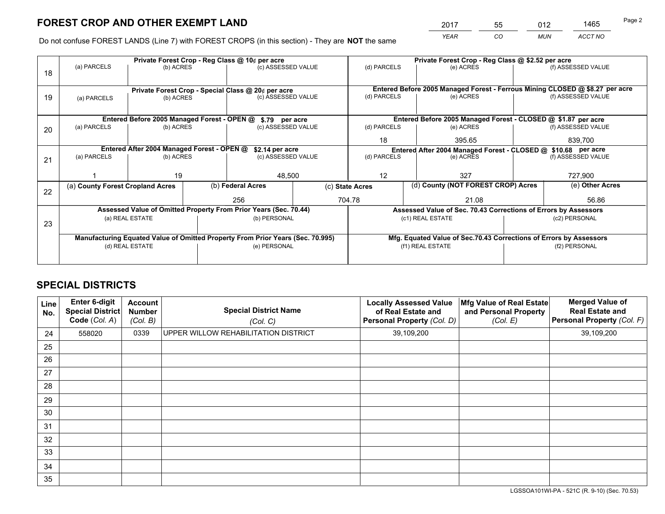*YEAR CO MUN ACCT NO* <sup>2017</sup> <sup>55</sup> <sup>012</sup> <sup>1465</sup>

Do not confuse FOREST LANDS (Line 7) with FOREST CROPS (in this section) - They are **NOT** the same

|    |                                                                                |                                            |  | Private Forest Crop - Reg Class @ 10¢ per acre                   |  | Private Forest Crop - Reg Class @ \$2.52 per acre                                         |                  |                                                                 |               |                                                                              |
|----|--------------------------------------------------------------------------------|--------------------------------------------|--|------------------------------------------------------------------|--|-------------------------------------------------------------------------------------------|------------------|-----------------------------------------------------------------|---------------|------------------------------------------------------------------------------|
| 18 | (a) PARCELS                                                                    | (b) ACRES                                  |  | (c) ASSESSED VALUE                                               |  | (d) PARCELS                                                                               |                  | (e) ACRES                                                       |               | (f) ASSESSED VALUE                                                           |
|    |                                                                                |                                            |  |                                                                  |  |                                                                                           |                  |                                                                 |               |                                                                              |
|    |                                                                                |                                            |  | Private Forest Crop - Special Class @ 20¢ per acre               |  |                                                                                           |                  |                                                                 |               | Entered Before 2005 Managed Forest - Ferrous Mining CLOSED @ \$8.27 per acre |
| 19 | (b) ACRES<br>(a) PARCELS                                                       |                                            |  | (c) ASSESSED VALUE                                               |  | (d) PARCELS                                                                               |                  | (e) ACRES                                                       |               | (f) ASSESSED VALUE                                                           |
|    |                                                                                |                                            |  |                                                                  |  |                                                                                           |                  |                                                                 |               |                                                                              |
|    |                                                                                |                                            |  | Entered Before 2005 Managed Forest - OPEN @ \$.79 per acre       |  |                                                                                           |                  | Entered Before 2005 Managed Forest - CLOSED @ \$1.87 per acre   |               |                                                                              |
| 20 | (a) PARCELS                                                                    | (b) ACRES                                  |  | (c) ASSESSED VALUE                                               |  | (d) PARCELS                                                                               |                  | (e) ACRES                                                       |               | (f) ASSESSED VALUE                                                           |
|    |                                                                                |                                            |  |                                                                  |  | 18                                                                                        |                  | 395.65                                                          |               | 839,700                                                                      |
|    |                                                                                | Entered After 2004 Managed Forest - OPEN @ |  |                                                                  |  |                                                                                           |                  |                                                                 |               |                                                                              |
|    | (a) PARCELS                                                                    | (b) ACRES                                  |  | \$2.14 per acre<br>(c) ASSESSED VALUE                            |  | Entered After 2004 Managed Forest - CLOSED @ \$10.68 per acre<br>(d) PARCELS<br>(e) ACRES |                  | (f) ASSESSED VALUE                                              |               |                                                                              |
| 21 |                                                                                |                                            |  |                                                                  |  |                                                                                           |                  |                                                                 |               |                                                                              |
|    |                                                                                | 19                                         |  | 48,500                                                           |  | 12                                                                                        |                  | 327                                                             |               | 727,900                                                                      |
|    |                                                                                |                                            |  |                                                                  |  |                                                                                           |                  |                                                                 |               |                                                                              |
| 22 | (a) County Forest Cropland Acres                                               |                                            |  | (b) Federal Acres                                                |  | (c) State Acres                                                                           |                  | (d) County (NOT FOREST CROP) Acres                              |               | (e) Other Acres                                                              |
|    |                                                                                |                                            |  | 256                                                              |  | 704.78<br>21.08                                                                           |                  |                                                                 |               | 56.86                                                                        |
|    |                                                                                |                                            |  | Assessed Value of Omitted Property From Prior Years (Sec. 70.44) |  |                                                                                           |                  | Assessed Value of Sec. 70.43 Corrections of Errors by Assessors |               |                                                                              |
|    |                                                                                | (a) REAL ESTATE                            |  | (b) PERSONAL                                                     |  |                                                                                           | (c1) REAL ESTATE |                                                                 |               | (c2) PERSONAL                                                                |
| 23 |                                                                                |                                            |  |                                                                  |  |                                                                                           |                  |                                                                 |               |                                                                              |
|    | Manufacturing Equated Value of Omitted Property From Prior Years (Sec. 70.995) |                                            |  |                                                                  |  |                                                                                           |                  |                                                                 |               | Mfg. Equated Value of Sec.70.43 Corrections of Errors by Assessors           |
|    |                                                                                | (d) REAL ESTATE                            |  | (e) PERSONAL                                                     |  | (f1) REAL ESTATE                                                                          |                  |                                                                 | (f2) PERSONAL |                                                                              |
|    |                                                                                |                                            |  |                                                                  |  |                                                                                           |                  |                                                                 |               |                                                                              |
|    |                                                                                |                                            |  |                                                                  |  |                                                                                           |                  |                                                                 |               |                                                                              |

## **SPECIAL DISTRICTS**

| Line<br>No. | Enter 6-digit<br><b>Special District</b><br>Code (Col. A) | <b>Account</b><br><b>Number</b><br>(Col. B) | <b>Special District Name</b><br>(Col. C)    | <b>Locally Assessed Value</b><br>of Real Estate and<br>Personal Property (Col. D) | Mfg Value of Real Estate<br>and Personal Property<br>(Col. E) | <b>Merged Value of</b><br><b>Real Estate and</b><br>Personal Property (Col. F) |
|-------------|-----------------------------------------------------------|---------------------------------------------|---------------------------------------------|-----------------------------------------------------------------------------------|---------------------------------------------------------------|--------------------------------------------------------------------------------|
| 24          | 558020                                                    | 0339                                        | <b>UPPER WILLOW REHABILITATION DISTRICT</b> | 39,109,200                                                                        |                                                               | 39,109,200                                                                     |
| 25          |                                                           |                                             |                                             |                                                                                   |                                                               |                                                                                |
| 26          |                                                           |                                             |                                             |                                                                                   |                                                               |                                                                                |
| 27          |                                                           |                                             |                                             |                                                                                   |                                                               |                                                                                |
| 28          |                                                           |                                             |                                             |                                                                                   |                                                               |                                                                                |
| 29          |                                                           |                                             |                                             |                                                                                   |                                                               |                                                                                |
| 30          |                                                           |                                             |                                             |                                                                                   |                                                               |                                                                                |
| 31          |                                                           |                                             |                                             |                                                                                   |                                                               |                                                                                |
| 32          |                                                           |                                             |                                             |                                                                                   |                                                               |                                                                                |
| 33          |                                                           |                                             |                                             |                                                                                   |                                                               |                                                                                |
| 34          |                                                           |                                             |                                             |                                                                                   |                                                               |                                                                                |
| 35          |                                                           |                                             |                                             |                                                                                   |                                                               |                                                                                |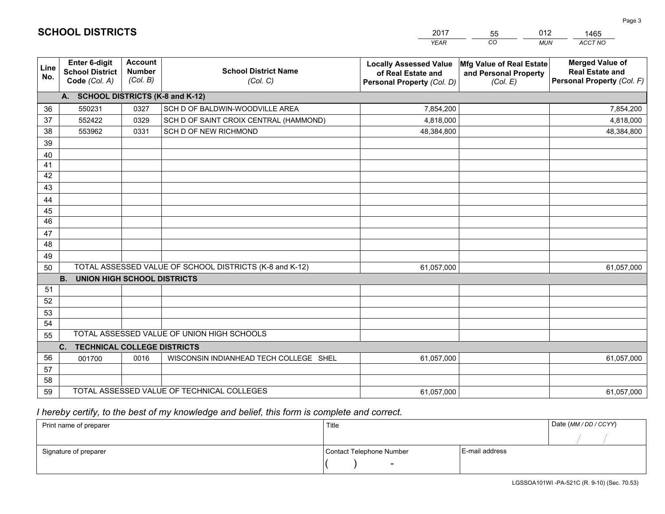|             |                                                          |                                             |                                                         | YEAR                                                                              | CO.<br><b>MUN</b>                                             | ACCT NO                                                                        |
|-------------|----------------------------------------------------------|---------------------------------------------|---------------------------------------------------------|-----------------------------------------------------------------------------------|---------------------------------------------------------------|--------------------------------------------------------------------------------|
| Line<br>No. | Enter 6-digit<br><b>School District</b><br>Code (Col. A) | <b>Account</b><br><b>Number</b><br>(Col. B) | <b>School District Name</b><br>(Col. C)                 | <b>Locally Assessed Value</b><br>of Real Estate and<br>Personal Property (Col. D) | Mfg Value of Real Estate<br>and Personal Property<br>(Col. E) | <b>Merged Value of</b><br><b>Real Estate and</b><br>Personal Property (Col. F) |
|             | A. SCHOOL DISTRICTS (K-8 and K-12)                       |                                             |                                                         |                                                                                   |                                                               |                                                                                |
| 36          | 550231                                                   | 0327                                        | SCH D OF BALDWIN-WOODVILLE AREA                         | 7,854,200                                                                         |                                                               | 7,854,200                                                                      |
| 37          | 552422                                                   | 0329                                        | SCH D OF SAINT CROIX CENTRAL (HAMMOND)                  | 4,818,000                                                                         |                                                               | 4,818,000                                                                      |
| 38          | 553962                                                   | 0331                                        | SCH D OF NEW RICHMOND                                   | 48,384,800                                                                        |                                                               | 48,384,800                                                                     |
| 39          |                                                          |                                             |                                                         |                                                                                   |                                                               |                                                                                |
| 40          |                                                          |                                             |                                                         |                                                                                   |                                                               |                                                                                |
| 41          |                                                          |                                             |                                                         |                                                                                   |                                                               |                                                                                |
| 42          |                                                          |                                             |                                                         |                                                                                   |                                                               |                                                                                |
| 43          |                                                          |                                             |                                                         |                                                                                   |                                                               |                                                                                |
| 44          |                                                          |                                             |                                                         |                                                                                   |                                                               |                                                                                |
| 45          |                                                          |                                             |                                                         |                                                                                   |                                                               |                                                                                |
| 46          |                                                          |                                             |                                                         |                                                                                   |                                                               |                                                                                |
| 47          |                                                          |                                             |                                                         |                                                                                   |                                                               |                                                                                |
| 48          |                                                          |                                             |                                                         |                                                                                   |                                                               |                                                                                |
| 49          |                                                          |                                             |                                                         |                                                                                   |                                                               |                                                                                |
| 50          | <b>B.</b>                                                |                                             | TOTAL ASSESSED VALUE OF SCHOOL DISTRICTS (K-8 and K-12) | 61,057,000                                                                        |                                                               | 61,057,000                                                                     |
| 51          | <b>UNION HIGH SCHOOL DISTRICTS</b>                       |                                             |                                                         |                                                                                   |                                                               |                                                                                |
| 52          |                                                          |                                             |                                                         |                                                                                   |                                                               |                                                                                |
| 53          |                                                          |                                             |                                                         |                                                                                   |                                                               |                                                                                |
| 54          |                                                          |                                             |                                                         |                                                                                   |                                                               |                                                                                |
| 55          |                                                          |                                             | TOTAL ASSESSED VALUE OF UNION HIGH SCHOOLS              |                                                                                   |                                                               |                                                                                |
|             | C.<br><b>TECHNICAL COLLEGE DISTRICTS</b>                 |                                             |                                                         |                                                                                   |                                                               |                                                                                |
| 56          | 001700                                                   | 0016                                        | WISCONSIN INDIANHEAD TECH COLLEGE SHEL                  | 61,057,000                                                                        |                                                               | 61,057,000                                                                     |
| 57          |                                                          |                                             |                                                         |                                                                                   |                                                               |                                                                                |
| 58          |                                                          |                                             |                                                         |                                                                                   |                                                               |                                                                                |
| 59          |                                                          |                                             | TOTAL ASSESSED VALUE OF TECHNICAL COLLEGES              | 61,057,000                                                                        |                                                               | 61,057,000                                                                     |

55

012

 *I hereby certify, to the best of my knowledge and belief, this form is complete and correct.*

**SCHOOL DISTRICTS**

| Print name of preparer | Title                    |                | Date (MM / DD / CCYY) |
|------------------------|--------------------------|----------------|-----------------------|
|                        |                          |                |                       |
| Signature of preparer  | Contact Telephone Number | E-mail address |                       |
|                        | $\sim$                   |                |                       |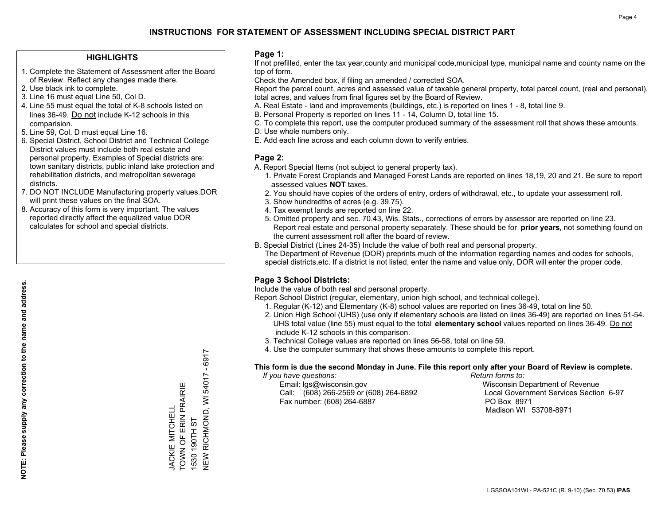## **HIGHLIGHTS**

- 1. Complete the Statement of Assessment after the Board of Review. Reflect any changes made there.
- 2. Use black ink to complete.
- 3. Line 16 must equal Line 50, Col D.
- 4. Line 55 must equal the total of K-8 schools listed on lines 36-49. Do not include K-12 schools in this comparision.
- 5. Line 59, Col. D must equal Line 16.
- 6. Special District, School District and Technical College District values must include both real estate and personal property. Examples of Special districts are: town sanitary districts, public inland lake protection and rehabilitation districts, and metropolitan sewerage districts.
- 7. DO NOT INCLUDE Manufacturing property values.DOR will print these values on the final SOA.
- 8. Accuracy of this form is very important. The values reported directly affect the equalized value DOR calculates for school and special districts.

#### **Page 1:**

 If not prefilled, enter the tax year,county and municipal code,municipal type, municipal name and county name on the top of form.

Check the Amended box, if filing an amended / corrected SOA.

 Report the parcel count, acres and assessed value of taxable general property, total parcel count, (real and personal), total acres, and values from final figures set by the Board of Review.

- A. Real Estate land and improvements (buildings, etc.) is reported on lines 1 8, total line 9.
- B. Personal Property is reported on lines 11 14, Column D, total line 15.
- C. To complete this report, use the computer produced summary of the assessment roll that shows these amounts.
- D. Use whole numbers only.
- E. Add each line across and each column down to verify entries.

## **Page 2:**

- A. Report Special Items (not subject to general property tax).
- 1. Private Forest Croplands and Managed Forest Lands are reported on lines 18,19, 20 and 21. Be sure to report assessed values **NOT** taxes.
- 2. You should have copies of the orders of entry, orders of withdrawal, etc., to update your assessment roll.
	- 3. Show hundredths of acres (e.g. 39.75).
- 4. Tax exempt lands are reported on line 22.
- 5. Omitted property and sec. 70.43, Wis. Stats., corrections of errors by assessor are reported on line 23. Report real estate and personal property separately. These should be for **prior years**, not something found on the current assessment roll after the board of review.
- B. Special District (Lines 24-35) Include the value of both real and personal property.
- The Department of Revenue (DOR) preprints much of the information regarding names and codes for schools, special districts,etc. If a district is not listed, enter the name and value only, DOR will enter the proper code.

## **Page 3 School Districts:**

Include the value of both real and personal property.

Report School District (regular, elementary, union high school, and technical college).

- 1. Regular (K-12) and Elementary (K-8) school values are reported on lines 36-49, total on line 50.
- 2. Union High School (UHS) (use only if elementary schools are listed on lines 36-49) are reported on lines 51-54. UHS total value (line 55) must equal to the total **elementary school** values reported on lines 36-49. Do notinclude K-12 schools in this comparison.
- 3. Technical College values are reported on lines 56-58, total on line 59.
- 4. Use the computer summary that shows these amounts to complete this report.

#### **This form is due the second Monday in June. File this report only after your Board of Review is complete.**

 *If you have questions: Return forms to:*

 Email: lgs@wisconsin.gov Wisconsin Department of RevenueCall:  $(608)$  266-2569 or  $(608)$  264-6892 Fax number: (608) 264-6887 PO Box 8971

Local Government Services Section 6-97 Madison WI 53708-8971

 $-6917$ NEW RICHMOND, WI 54017 - 6917 **NEW RICHMOND, WI 54017** TOWN OF ERIN PRAIRIE TOWN OF ERIN PRAIRIE **JACKIE MITCHELL** JACKIE MITCHELL 1530 190TH ST 1530 190TH ST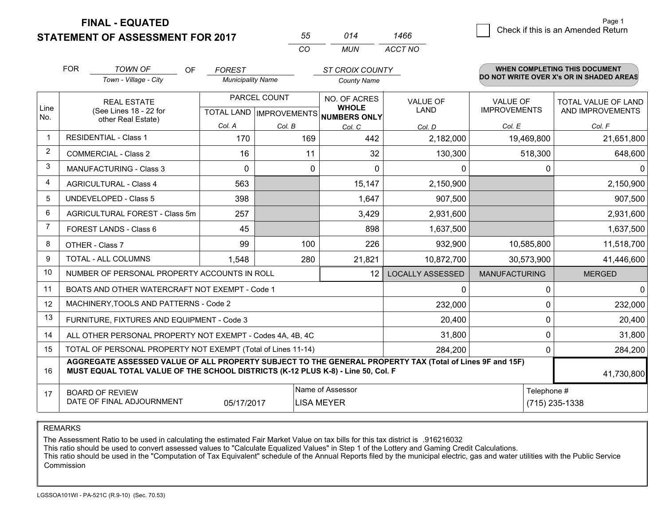**STATEMENT OF ASSESSMENT FOR 2017** 

| 55. | 014 | 1466    |
|-----|-----|---------|
| CO. | MUN | ACCT NO |

|                | <b>FOR</b>                                                                                                                                                                                   | <b>TOWN OF</b><br><b>OF</b>                    | <b>FOREST</b>            |                           | <b>ST CROIX COUNTY</b>              |                         |                                          | <b>WHEN COMPLETING THIS DOCUMENT</b> |  |
|----------------|----------------------------------------------------------------------------------------------------------------------------------------------------------------------------------------------|------------------------------------------------|--------------------------|---------------------------|-------------------------------------|-------------------------|------------------------------------------|--------------------------------------|--|
|                |                                                                                                                                                                                              | Town - Village - City                          | <b>Municipality Name</b> |                           | <b>County Name</b>                  |                         | DO NOT WRITE OVER X's OR IN SHADED AREAS |                                      |  |
|                |                                                                                                                                                                                              | <b>REAL ESTATE</b>                             |                          | PARCEL COUNT              | NO. OF ACRES                        | <b>VALUE OF</b>         | <b>VALUE OF</b>                          | TOTAL VALUE OF LAND                  |  |
| Line<br>No.    |                                                                                                                                                                                              | (See Lines 18 - 22 for<br>other Real Estate)   |                          | TOTAL LAND   IMPROVEMENTS | <b>WHOLE</b><br><b>NUMBERS ONLY</b> | LAND                    | <b>IMPROVEMENTS</b>                      | AND IMPROVEMENTS                     |  |
|                |                                                                                                                                                                                              |                                                | Col. A                   | Col. B                    | Col. C                              | Col. D                  | Col. E                                   | Col. F                               |  |
| -1             | <b>RESIDENTIAL - Class 1</b>                                                                                                                                                                 |                                                | 170                      | 169                       | 442                                 | 2,182,000               | 19,469,800                               | 21,651,800                           |  |
| 2              |                                                                                                                                                                                              | <b>COMMERCIAL - Class 2</b>                    | 16                       | 11                        | 32                                  | 130,300                 | 518,300                                  | 648,600                              |  |
| 3              |                                                                                                                                                                                              | <b>MANUFACTURING - Class 3</b>                 | $\Omega$                 | 0                         | $\Omega$                            | 0                       | 0                                        | $\Omega$                             |  |
| 4              |                                                                                                                                                                                              | <b>AGRICULTURAL - Class 4</b>                  | 563                      |                           | 15,147                              | 2,150,900               |                                          | 2,150,900                            |  |
| 5              |                                                                                                                                                                                              | UNDEVELOPED - Class 5                          | 398                      |                           | 1,647                               | 907,500                 |                                          | 907,500                              |  |
| 6              |                                                                                                                                                                                              | AGRICULTURAL FOREST - Class 5m                 | 257                      |                           | 3,429                               | 2,931,600               |                                          | 2,931,600                            |  |
| $\overline{7}$ | FOREST LANDS - Class 6                                                                                                                                                                       |                                                | 45                       |                           | 898                                 | 1,637,500               |                                          | 1,637,500                            |  |
| 8              |                                                                                                                                                                                              | OTHER - Class 7                                | 99                       | 100                       | 226                                 | 932,900                 | 10,585,800                               | 11,518,700                           |  |
| 9              |                                                                                                                                                                                              | TOTAL - ALL COLUMNS                            | 1,548                    | 280                       | 21,821                              | 10,872,700              | 30,573,900                               | 41,446,600                           |  |
| 10             |                                                                                                                                                                                              | NUMBER OF PERSONAL PROPERTY ACCOUNTS IN ROLL   |                          |                           | 12                                  | <b>LOCALLY ASSESSED</b> | <b>MANUFACTURING</b>                     | <b>MERGED</b>                        |  |
| 11             |                                                                                                                                                                                              | BOATS AND OTHER WATERCRAFT NOT EXEMPT - Code 1 |                          |                           |                                     | 0                       | 0                                        | $\Omega$                             |  |
| 12             |                                                                                                                                                                                              | MACHINERY, TOOLS AND PATTERNS - Code 2         |                          |                           |                                     | 232,000                 | 0                                        | 232,000                              |  |
| 13             |                                                                                                                                                                                              | FURNITURE, FIXTURES AND EQUIPMENT - Code 3     |                          |                           |                                     | 20,400                  | 0                                        | 20,400                               |  |
| 14             | ALL OTHER PERSONAL PROPERTY NOT EXEMPT - Codes 4A, 4B, 4C                                                                                                                                    |                                                |                          |                           |                                     |                         | 0                                        | 31,800                               |  |
| 15             | TOTAL OF PERSONAL PROPERTY NOT EXEMPT (Total of Lines 11-14)<br>284,200                                                                                                                      |                                                |                          |                           |                                     |                         | 0                                        | 284,200                              |  |
| 16             | AGGREGATE ASSESSED VALUE OF ALL PROPERTY SUBJECT TO THE GENERAL PROPERTY TAX (Total of Lines 9F and 15F)<br>MUST EQUAL TOTAL VALUE OF THE SCHOOL DISTRICTS (K-12 PLUS K-8) - Line 50, Col. F |                                                |                          |                           |                                     |                         |                                          | 41,730,800                           |  |
| 17             | Name of Assessor<br><b>BOARD OF REVIEW</b>                                                                                                                                                   |                                                |                          |                           |                                     | Telephone #             |                                          |                                      |  |
|                |                                                                                                                                                                                              | DATE OF FINAL ADJOURNMENT                      | 05/17/2017               |                           | <b>LISA MEYER</b>                   |                         |                                          | $(715)$ 235-1338                     |  |

REMARKS

The Assessment Ratio to be used in calculating the estimated Fair Market Value on tax bills for this tax district is .916216032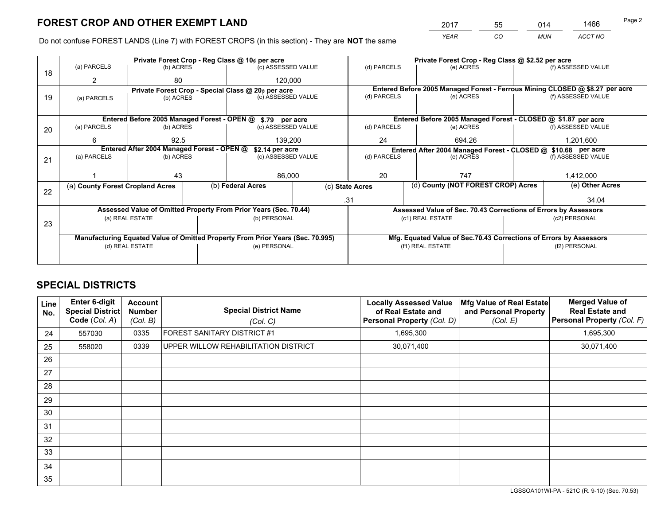*YEAR CO MUN ACCT NO* <sup>2017</sup> <sup>55</sup> <sup>014</sup> <sup>1466</sup>

Do not confuse FOREST LANDS (Line 7) with FOREST CROPS (in this section) - They are **NOT** the same

|    | Private Forest Crop - Reg Class @ 10¢ per acre                                 |                                             |  |                                                                  |     |                          | Private Forest Crop - Reg Class @ \$2.52 per acre                            |           |                    |  |
|----|--------------------------------------------------------------------------------|---------------------------------------------|--|------------------------------------------------------------------|-----|--------------------------|------------------------------------------------------------------------------|-----------|--------------------|--|
| 18 | (a) PARCELS                                                                    | (b) ACRES                                   |  | (c) ASSESSED VALUE                                               |     | (d) PARCELS              | (e) ACRES                                                                    |           | (f) ASSESSED VALUE |  |
|    |                                                                                | 80                                          |  | 120,000                                                          |     |                          |                                                                              |           |                    |  |
|    |                                                                                |                                             |  | Private Forest Crop - Special Class @ 20¢ per acre               |     |                          | Entered Before 2005 Managed Forest - Ferrous Mining CLOSED @ \$8.27 per acre |           |                    |  |
| 19 | (a) PARCELS                                                                    | (b) ACRES                                   |  | (c) ASSESSED VALUE                                               |     | (d) PARCELS              | (e) ACRES                                                                    |           | (f) ASSESSED VALUE |  |
|    |                                                                                |                                             |  |                                                                  |     |                          |                                                                              |           |                    |  |
|    |                                                                                | Entered Before 2005 Managed Forest - OPEN @ |  | \$.79 per acre                                                   |     |                          | Entered Before 2005 Managed Forest - CLOSED @ \$1.87 per acre                |           |                    |  |
| 20 | (a) PARCELS                                                                    | (b) ACRES                                   |  | (c) ASSESSED VALUE                                               |     | (d) PARCELS              | (e) ACRES                                                                    |           | (f) ASSESSED VALUE |  |
|    | 6                                                                              | 92.5                                        |  | 139,200<br>24                                                    |     | 694.26                   |                                                                              | 1,201,600 |                    |  |
|    | Entered After 2004 Managed Forest - OPEN @                                     |                                             |  | \$2.14 per acre                                                  |     |                          | Entered After 2004 Managed Forest - CLOSED @ \$10.68 per acre                |           |                    |  |
| 21 | (a) PARCELS                                                                    | (b) ACRES                                   |  | (c) ASSESSED VALUE                                               |     | (d) PARCELS<br>(e) ACRES |                                                                              |           | (f) ASSESSED VALUE |  |
|    |                                                                                |                                             |  |                                                                  |     |                          |                                                                              |           |                    |  |
|    |                                                                                | 43                                          |  | 86,000                                                           |     | 20                       | 747                                                                          |           | 1,412,000          |  |
|    | (a) County Forest Cropland Acres                                               |                                             |  | (b) Federal Acres<br>(c) State Acres                             |     |                          | (d) County (NOT FOREST CROP) Acres                                           |           | (e) Other Acres    |  |
| 22 |                                                                                |                                             |  |                                                                  | .31 |                          |                                                                              |           | 34.04              |  |
|    |                                                                                |                                             |  | Assessed Value of Omitted Property From Prior Years (Sec. 70.44) |     |                          | Assessed Value of Sec. 70.43 Corrections of Errors by Assessors              |           |                    |  |
| 23 | (a) REAL ESTATE                                                                |                                             |  | (b) PERSONAL                                                     |     |                          | (c1) REAL ESTATE                                                             |           | (c2) PERSONAL      |  |
|    |                                                                                |                                             |  |                                                                  |     |                          |                                                                              |           |                    |  |
|    | Manufacturing Equated Value of Omitted Property From Prior Years (Sec. 70.995) |                                             |  |                                                                  |     |                          | Mfg. Equated Value of Sec.70.43 Corrections of Errors by Assessors           |           |                    |  |
|    | (d) REAL ESTATE                                                                |                                             |  | (e) PERSONAL                                                     |     |                          | (f1) REAL ESTATE                                                             |           | (f2) PERSONAL      |  |
|    |                                                                                |                                             |  |                                                                  |     |                          |                                                                              |           |                    |  |

## **SPECIAL DISTRICTS**

| Line<br>No.     | Enter 6-digit<br>Special District<br>Code (Col. A) | <b>Account</b><br><b>Number</b><br>(Col. B) | <b>Special District Name</b><br>(Col. C) | <b>Locally Assessed Value</b><br>of Real Estate and<br>Personal Property (Col. D) | Mfg Value of Real Estate<br>and Personal Property<br>(Col. E) | <b>Merged Value of</b><br><b>Real Estate and</b><br>Personal Property (Col. F) |
|-----------------|----------------------------------------------------|---------------------------------------------|------------------------------------------|-----------------------------------------------------------------------------------|---------------------------------------------------------------|--------------------------------------------------------------------------------|
| 24              | 557030                                             | 0335                                        | <b>FOREST SANITARY DISTRICT #1</b>       | 1,695,300                                                                         |                                                               | 1,695,300                                                                      |
| 25              | 558020                                             | 0339                                        | UPPER WILLOW REHABILITATION DISTRICT     | 30,071,400                                                                        |                                                               | 30,071,400                                                                     |
| 26              |                                                    |                                             |                                          |                                                                                   |                                                               |                                                                                |
| 27              |                                                    |                                             |                                          |                                                                                   |                                                               |                                                                                |
| 28              |                                                    |                                             |                                          |                                                                                   |                                                               |                                                                                |
| 29              |                                                    |                                             |                                          |                                                                                   |                                                               |                                                                                |
| 30              |                                                    |                                             |                                          |                                                                                   |                                                               |                                                                                |
| 31              |                                                    |                                             |                                          |                                                                                   |                                                               |                                                                                |
| 32 <sup>2</sup> |                                                    |                                             |                                          |                                                                                   |                                                               |                                                                                |
| 33              |                                                    |                                             |                                          |                                                                                   |                                                               |                                                                                |
| 34              |                                                    |                                             |                                          |                                                                                   |                                                               |                                                                                |
| 35              |                                                    |                                             |                                          |                                                                                   |                                                               |                                                                                |

LGSSOA101WI-PA - 521C (R. 9-10) (Sec. 70.53)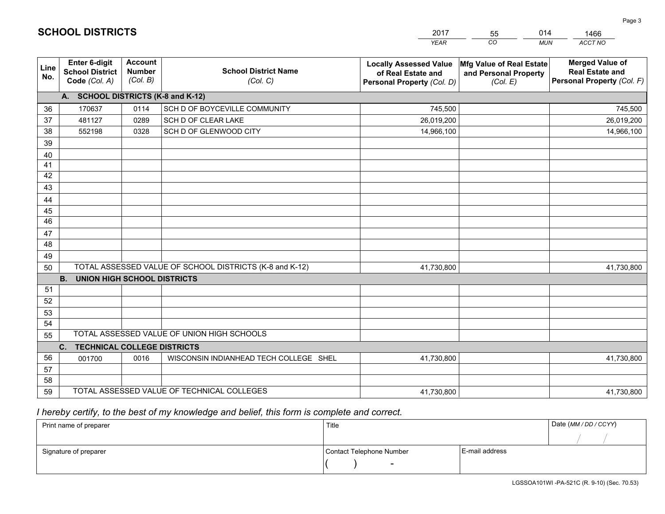|                 |                                                          |                                             |                                                         | YEAR                                                                              | CO.<br><b>MUN</b>                                             | ACCT NO                                                                        |
|-----------------|----------------------------------------------------------|---------------------------------------------|---------------------------------------------------------|-----------------------------------------------------------------------------------|---------------------------------------------------------------|--------------------------------------------------------------------------------|
| Line<br>No.     | Enter 6-digit<br><b>School District</b><br>Code (Col. A) | <b>Account</b><br><b>Number</b><br>(Col. B) | <b>School District Name</b><br>(Col. C)                 | <b>Locally Assessed Value</b><br>of Real Estate and<br>Personal Property (Col. D) | Mfg Value of Real Estate<br>and Personal Property<br>(Col. E) | <b>Merged Value of</b><br><b>Real Estate and</b><br>Personal Property (Col. F) |
|                 | A. SCHOOL DISTRICTS (K-8 and K-12)                       |                                             |                                                         |                                                                                   |                                                               |                                                                                |
| 36              | 170637                                                   | 0114                                        | SCH D OF BOYCEVILLE COMMUNITY                           | 745,500                                                                           |                                                               | 745,500                                                                        |
| 37              | 481127                                                   | 0289                                        | SCH D OF CLEAR LAKE                                     | 26,019,200                                                                        |                                                               | 26,019,200                                                                     |
| 38              | 552198                                                   | 0328                                        | SCH D OF GLENWOOD CITY                                  | 14,966,100                                                                        |                                                               | 14,966,100                                                                     |
| 39              |                                                          |                                             |                                                         |                                                                                   |                                                               |                                                                                |
| 40              |                                                          |                                             |                                                         |                                                                                   |                                                               |                                                                                |
| 41              |                                                          |                                             |                                                         |                                                                                   |                                                               |                                                                                |
| 42              |                                                          |                                             |                                                         |                                                                                   |                                                               |                                                                                |
| 43              |                                                          |                                             |                                                         |                                                                                   |                                                               |                                                                                |
| 44              |                                                          |                                             |                                                         |                                                                                   |                                                               |                                                                                |
| 45              |                                                          |                                             |                                                         |                                                                                   |                                                               |                                                                                |
| $\overline{46}$ |                                                          |                                             |                                                         |                                                                                   |                                                               |                                                                                |
| 47              |                                                          |                                             |                                                         |                                                                                   |                                                               |                                                                                |
| 48              |                                                          |                                             |                                                         |                                                                                   |                                                               |                                                                                |
| 49              |                                                          |                                             | TOTAL ASSESSED VALUE OF SCHOOL DISTRICTS (K-8 and K-12) |                                                                                   |                                                               |                                                                                |
| 50              | <b>UNION HIGH SCHOOL DISTRICTS</b><br><b>B.</b>          |                                             |                                                         | 41,730,800                                                                        |                                                               | 41,730,800                                                                     |
| 51              |                                                          |                                             |                                                         |                                                                                   |                                                               |                                                                                |
| 52              |                                                          |                                             |                                                         |                                                                                   |                                                               |                                                                                |
| 53              |                                                          |                                             |                                                         |                                                                                   |                                                               |                                                                                |
| 54              |                                                          |                                             |                                                         |                                                                                   |                                                               |                                                                                |
| 55              |                                                          |                                             | TOTAL ASSESSED VALUE OF UNION HIGH SCHOOLS              |                                                                                   |                                                               |                                                                                |
|                 | C.<br><b>TECHNICAL COLLEGE DISTRICTS</b>                 |                                             |                                                         |                                                                                   |                                                               |                                                                                |
| 56              | 001700                                                   | 0016                                        | WISCONSIN INDIANHEAD TECH COLLEGE SHEL                  | 41,730,800                                                                        |                                                               | 41,730,800                                                                     |
| 57              |                                                          |                                             |                                                         |                                                                                   |                                                               |                                                                                |
| 58              |                                                          |                                             |                                                         |                                                                                   |                                                               |                                                                                |
| 59              |                                                          |                                             | TOTAL ASSESSED VALUE OF TECHNICAL COLLEGES              | 41,730,800                                                                        |                                                               | 41,730,800                                                                     |

55

014

 *I hereby certify, to the best of my knowledge and belief, this form is complete and correct.*

**SCHOOL DISTRICTS**

| Print name of preparer | Title                    |                | Date (MM / DD / CCYY) |
|------------------------|--------------------------|----------------|-----------------------|
|                        |                          |                |                       |
| Signature of preparer  | Contact Telephone Number | E-mail address |                       |
|                        | $\overline{\phantom{0}}$ |                |                       |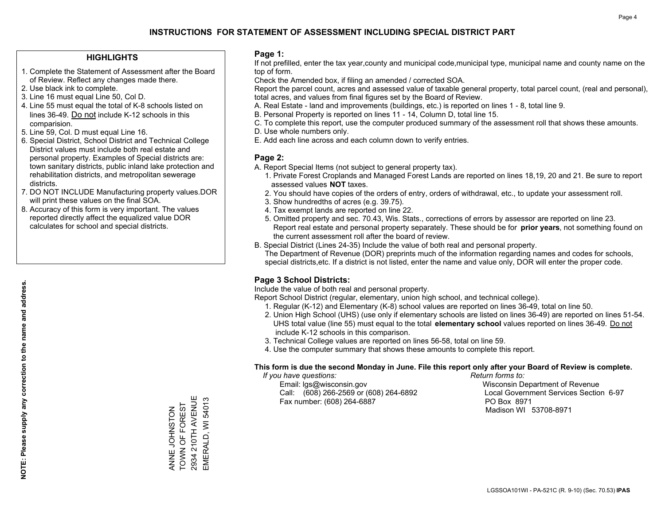## **HIGHLIGHTS**

- 1. Complete the Statement of Assessment after the Board of Review. Reflect any changes made there.
- 2. Use black ink to complete.

**NOTE: Please supply any correction to the name and address.**

NOTE: Please supply any correction to the name and address.

- 3. Line 16 must equal Line 50, Col D.
- 4. Line 55 must equal the total of K-8 schools listed on lines 36-49. Do not include K-12 schools in this comparision.
- 5. Line 59, Col. D must equal Line 16.
- 6. Special District, School District and Technical College District values must include both real estate and personal property. Examples of Special districts are: town sanitary districts, public inland lake protection and rehabilitation districts, and metropolitan sewerage districts.
- 7. DO NOT INCLUDE Manufacturing property values.DOR will print these values on the final SOA.
- 8. Accuracy of this form is very important. The values reported directly affect the equalized value DOR calculates for school and special districts.

### **Page 1:**

 If not prefilled, enter the tax year,county and municipal code,municipal type, municipal name and county name on the top of form.

Check the Amended box, if filing an amended / corrected SOA.

 Report the parcel count, acres and assessed value of taxable general property, total parcel count, (real and personal), total acres, and values from final figures set by the Board of Review.

- A. Real Estate land and improvements (buildings, etc.) is reported on lines 1 8, total line 9.
- B. Personal Property is reported on lines 11 14, Column D, total line 15.
- C. To complete this report, use the computer produced summary of the assessment roll that shows these amounts.
- D. Use whole numbers only.
- E. Add each line across and each column down to verify entries.

### **Page 2:**

- A. Report Special Items (not subject to general property tax).
- 1. Private Forest Croplands and Managed Forest Lands are reported on lines 18,19, 20 and 21. Be sure to report assessed values **NOT** taxes.
- 2. You should have copies of the orders of entry, orders of withdrawal, etc., to update your assessment roll.
	- 3. Show hundredths of acres (e.g. 39.75).
- 4. Tax exempt lands are reported on line 22.
- 5. Omitted property and sec. 70.43, Wis. Stats., corrections of errors by assessor are reported on line 23. Report real estate and personal property separately. These should be for **prior years**, not something found on the current assessment roll after the board of review.
- B. Special District (Lines 24-35) Include the value of both real and personal property.
- The Department of Revenue (DOR) preprints much of the information regarding names and codes for schools, special districts,etc. If a district is not listed, enter the name and value only, DOR will enter the proper code.

## **Page 3 School Districts:**

Include the value of both real and personal property.

Report School District (regular, elementary, union high school, and technical college).

- 1. Regular (K-12) and Elementary (K-8) school values are reported on lines 36-49, total on line 50.
- 2. Union High School (UHS) (use only if elementary schools are listed on lines 36-49) are reported on lines 51-54. UHS total value (line 55) must equal to the total **elementary school** values reported on lines 36-49. Do notinclude K-12 schools in this comparison.
- 3. Technical College values are reported on lines 56-58, total on line 59.
- 4. Use the computer summary that shows these amounts to complete this report.

#### **This form is due the second Monday in June. File this report only after your Board of Review is complete.**

 *If you have questions: Return forms to:*

 Email: lgs@wisconsin.gov Wisconsin Department of RevenueCall:  $(608)$  266-2569 or  $(608)$  264-6892 Fax number: (608) 264-6887 PO Box 8971

Local Government Services Section 6-97

Madison WI 53708-8971

2934 210TH AVENUE 2934 210TH AVENUE EMERALD, WI 54013 EMERALD, WI 54013 TOWN OF FOREST ANNE JOHNSTON<br>TOWN OF FOREST ZOHSNHOT WNNK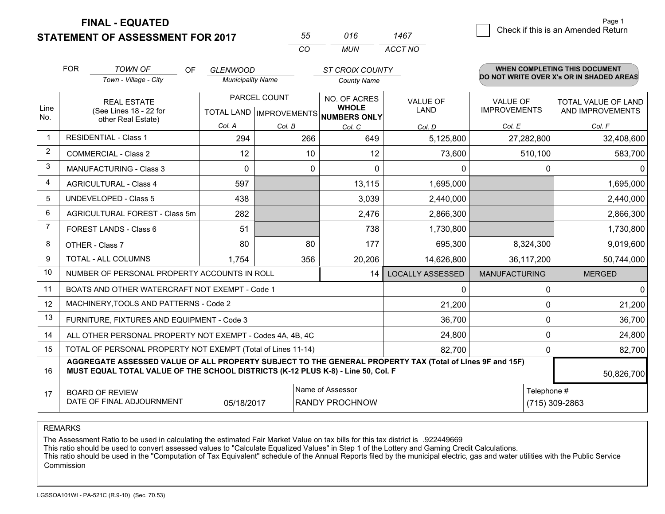**STATEMENT OF ASSESSMENT FOR 2017** 

| 55       | 016 | 1467    |
|----------|-----|---------|
| $\cdots$ | MUN | ACCT NO |

|      | <b>FOR</b>                                                                                                                                                                                   | <b>TOWN OF</b><br>OF                                      | <b>GLENWOOD</b>                           |        | <b>ST CROIX COUNTY</b>       |                                |                                        | <b>WHEN COMPLETING THIS DOCUMENT</b>           |
|------|----------------------------------------------------------------------------------------------------------------------------------------------------------------------------------------------|-----------------------------------------------------------|-------------------------------------------|--------|------------------------------|--------------------------------|----------------------------------------|------------------------------------------------|
|      |                                                                                                                                                                                              | Town - Village - City                                     | <b>Municipality Name</b>                  |        | <b>County Name</b>           |                                |                                        | DO NOT WRITE OVER X's OR IN SHADED AREAS       |
| Line |                                                                                                                                                                                              | <b>REAL ESTATE</b><br>(See Lines 18 - 22 for              | PARCEL COUNT<br>TOTAL LAND   IMPROVEMENTS |        | NO. OF ACRES<br><b>WHOLE</b> | <b>VALUE OF</b><br><b>LAND</b> | <b>VALUE OF</b><br><b>IMPROVEMENTS</b> | <b>TOTAL VALUE OF LAND</b><br>AND IMPROVEMENTS |
| No.  |                                                                                                                                                                                              | other Real Estate)                                        | Col. A                                    | Col. B | NUMBERS ONLY                 |                                | Col. E                                 | Col. F                                         |
|      | <b>RESIDENTIAL - Class 1</b>                                                                                                                                                                 |                                                           | 294                                       | 266    | Col. C<br>649                | Col. D<br>5,125,800            | 27,282,800                             | 32,408,600                                     |
| 2    |                                                                                                                                                                                              | <b>COMMERCIAL - Class 2</b>                               | 12                                        | 10     | 12                           | 73,600                         | 510,100                                | 583,700                                        |
| 3    |                                                                                                                                                                                              | <b>MANUFACTURING - Class 3</b>                            | $\Omega$                                  | 0      | $\Omega$                     | 0                              | $\Omega$                               | $\mathbf{0}$                                   |
| 4    |                                                                                                                                                                                              | <b>AGRICULTURAL - Class 4</b>                             | 597                                       |        | 13,115                       | 1,695,000                      |                                        | 1,695,000                                      |
| 5    |                                                                                                                                                                                              | <b>UNDEVELOPED - Class 5</b>                              | 438                                       |        | 3,039                        | 2,440,000                      |                                        | 2,440,000                                      |
| 6    |                                                                                                                                                                                              | AGRICULTURAL FOREST - Class 5m                            | 282                                       |        | 2,476                        | 2,866,300                      |                                        | 2,866,300                                      |
| 7    |                                                                                                                                                                                              | FOREST LANDS - Class 6                                    | 51                                        |        | 738                          | 1,730,800                      |                                        | 1,730,800                                      |
| 8    |                                                                                                                                                                                              | OTHER - Class 7                                           | 80                                        | 80     | 177                          | 695,300                        | 8,324,300                              | 9,019,600                                      |
| 9    |                                                                                                                                                                                              | TOTAL - ALL COLUMNS                                       | 1,754                                     | 356    | 20,206                       | 14,626,800                     | 36,117,200                             | 50,744,000                                     |
| 10   |                                                                                                                                                                                              | NUMBER OF PERSONAL PROPERTY ACCOUNTS IN ROLL              |                                           |        | 14                           | <b>LOCALLY ASSESSED</b>        | <b>MANUFACTURING</b>                   | <b>MERGED</b>                                  |
| 11   |                                                                                                                                                                                              | BOATS AND OTHER WATERCRAFT NOT EXEMPT - Code 1            |                                           |        |                              | 0                              | $\Omega$                               | $\mathbf{0}$                                   |
| 12   |                                                                                                                                                                                              | MACHINERY, TOOLS AND PATTERNS - Code 2                    |                                           |        |                              | 21,200                         | 0                                      | 21,200                                         |
| 13   |                                                                                                                                                                                              | FURNITURE, FIXTURES AND EQUIPMENT - Code 3                |                                           |        |                              | 36,700                         | $\Omega$                               | 36,700                                         |
| 14   |                                                                                                                                                                                              | ALL OTHER PERSONAL PROPERTY NOT EXEMPT - Codes 4A, 4B, 4C |                                           |        | 24,800                       | 0                              | 24,800                                 |                                                |
| 15   | TOTAL OF PERSONAL PROPERTY NOT EXEMPT (Total of Lines 11-14)<br>82,700                                                                                                                       |                                                           |                                           |        |                              |                                | 0                                      | 82,700                                         |
| 16   | AGGREGATE ASSESSED VALUE OF ALL PROPERTY SUBJECT TO THE GENERAL PROPERTY TAX (Total of Lines 9F and 15F)<br>MUST EQUAL TOTAL VALUE OF THE SCHOOL DISTRICTS (K-12 PLUS K-8) - Line 50, Col. F |                                                           |                                           |        |                              |                                | 50,826,700                             |                                                |
| 17   | Name of Assessor<br>Telephone #<br><b>BOARD OF REVIEW</b><br>DATE OF FINAL ADJOURNMENT<br>05/18/2017<br><b>RANDY PROCHNOW</b><br>(715) 309-2863                                              |                                                           |                                           |        |                              |                                |                                        |                                                |

REMARKS

The Assessment Ratio to be used in calculating the estimated Fair Market Value on tax bills for this tax district is .922449669<br>This ratio should be used to convert assessed values to "Calculate Equalized Values" in Step 1 Commission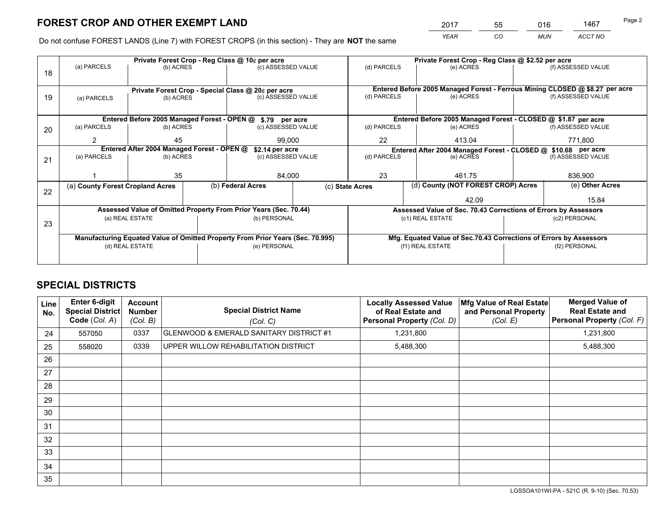*YEAR CO MUN ACCT NO* <sup>2017</sup> <sup>55</sup> <sup>016</sup> <sup>1467</sup>

Do not confuse FOREST LANDS (Line 7) with FOREST CROPS (in this section) - They are **NOT** the same

|    |                                                                                |                 |  | Private Forest Crop - Reg Class @ 10¢ per acre                   |                                   | Private Forest Crop - Reg Class @ \$2.52 per acre             |                                                                              |  |                    |  |
|----|--------------------------------------------------------------------------------|-----------------|--|------------------------------------------------------------------|-----------------------------------|---------------------------------------------------------------|------------------------------------------------------------------------------|--|--------------------|--|
| 18 | (a) PARCELS                                                                    | (b) ACRES       |  | (c) ASSESSED VALUE                                               |                                   | (d) PARCELS                                                   | (e) ACRES                                                                    |  | (f) ASSESSED VALUE |  |
|    |                                                                                |                 |  |                                                                  |                                   |                                                               |                                                                              |  |                    |  |
|    |                                                                                |                 |  | Private Forest Crop - Special Class @ 20¢ per acre               |                                   |                                                               | Entered Before 2005 Managed Forest - Ferrous Mining CLOSED @ \$8.27 per acre |  |                    |  |
| 19 | (a) PARCELS                                                                    | (b) ACRES       |  | (c) ASSESSED VALUE                                               |                                   | (d) PARCELS                                                   | (e) ACRES                                                                    |  | (f) ASSESSED VALUE |  |
|    |                                                                                |                 |  |                                                                  |                                   |                                                               |                                                                              |  |                    |  |
|    |                                                                                |                 |  | Entered Before 2005 Managed Forest - OPEN @ \$.79 per acre       |                                   |                                                               | Entered Before 2005 Managed Forest - CLOSED @ \$1.87 per acre                |  |                    |  |
| 20 | (a) PARCELS                                                                    | (b) ACRES       |  | (c) ASSESSED VALUE                                               |                                   | (d) PARCELS                                                   | (e) ACRES                                                                    |  | (f) ASSESSED VALUE |  |
|    | 2                                                                              | 45              |  | 99,000                                                           |                                   | 22                                                            | 413.04                                                                       |  | 771,800            |  |
|    | Entered After 2004 Managed Forest - OPEN @                                     |                 |  | \$2.14 per acre                                                  |                                   | Entered After 2004 Managed Forest - CLOSED @ \$10.68 per acre |                                                                              |  |                    |  |
| 21 | (a) PARCELS                                                                    | (b) ACRES       |  |                                                                  | (d) PARCELS<br>(c) ASSESSED VALUE |                                                               | (e) ACRES                                                                    |  | (f) ASSESSED VALUE |  |
|    |                                                                                |                 |  |                                                                  |                                   |                                                               |                                                                              |  |                    |  |
|    |                                                                                | 35              |  | 84,000                                                           |                                   | 23                                                            | 461.75                                                                       |  | 836,900            |  |
|    | (a) County Forest Cropland Acres                                               |                 |  | (b) Federal Acres                                                | (c) State Acres                   |                                                               | (d) County (NOT FOREST CROP) Acres                                           |  | (e) Other Acres    |  |
| 22 |                                                                                |                 |  |                                                                  |                                   |                                                               | 42.09                                                                        |  | 15.84              |  |
|    |                                                                                |                 |  | Assessed Value of Omitted Property From Prior Years (Sec. 70.44) |                                   |                                                               | Assessed Value of Sec. 70.43 Corrections of Errors by Assessors              |  |                    |  |
|    |                                                                                | (a) REAL ESTATE |  | (b) PERSONAL                                                     |                                   |                                                               | (c1) REAL ESTATE                                                             |  | (c2) PERSONAL      |  |
| 23 |                                                                                |                 |  |                                                                  |                                   |                                                               |                                                                              |  |                    |  |
|    | Manufacturing Equated Value of Omitted Property From Prior Years (Sec. 70.995) |                 |  |                                                                  |                                   |                                                               | Mfg. Equated Value of Sec.70.43 Corrections of Errors by Assessors           |  |                    |  |
|    |                                                                                | (d) REAL ESTATE |  | (e) PERSONAL                                                     |                                   | (f1) REAL ESTATE                                              |                                                                              |  | (f2) PERSONAL      |  |
|    |                                                                                |                 |  |                                                                  |                                   |                                                               |                                                                              |  |                    |  |

## **SPECIAL DISTRICTS**

| Line<br>No.     | <b>Enter 6-digit</b><br>Special District<br>Code (Col. A) | <b>Account</b><br><b>Number</b><br>(Col. B) | <b>Special District Name</b><br>(Col. C) | <b>Locally Assessed Value</b><br>of Real Estate and<br><b>Personal Property (Col. D)</b> | Mfg Value of Real Estate<br>and Personal Property<br>(Col. E) | <b>Merged Value of</b><br><b>Real Estate and</b><br><b>Personal Property (Col. F)</b> |
|-----------------|-----------------------------------------------------------|---------------------------------------------|------------------------------------------|------------------------------------------------------------------------------------------|---------------------------------------------------------------|---------------------------------------------------------------------------------------|
| 24              | 557050                                                    | 0337                                        | GLENWOOD & EMERALD SANITARY DISTRICT #1  | 1,231,800                                                                                |                                                               | 1,231,800                                                                             |
| 25              | 558020                                                    | 0339                                        | UPPER WILLOW REHABILITATION DISTRICT     | 5,488,300                                                                                |                                                               | 5,488,300                                                                             |
| 26              |                                                           |                                             |                                          |                                                                                          |                                                               |                                                                                       |
| 27              |                                                           |                                             |                                          |                                                                                          |                                                               |                                                                                       |
| 28              |                                                           |                                             |                                          |                                                                                          |                                                               |                                                                                       |
| 29              |                                                           |                                             |                                          |                                                                                          |                                                               |                                                                                       |
| 30              |                                                           |                                             |                                          |                                                                                          |                                                               |                                                                                       |
| 31              |                                                           |                                             |                                          |                                                                                          |                                                               |                                                                                       |
| 32 <sup>2</sup> |                                                           |                                             |                                          |                                                                                          |                                                               |                                                                                       |
| 33              |                                                           |                                             |                                          |                                                                                          |                                                               |                                                                                       |
| 34              |                                                           |                                             |                                          |                                                                                          |                                                               |                                                                                       |
| 35              |                                                           |                                             |                                          |                                                                                          |                                                               |                                                                                       |

LGSSOA101WI-PA - 521C (R. 9-10) (Sec. 70.53)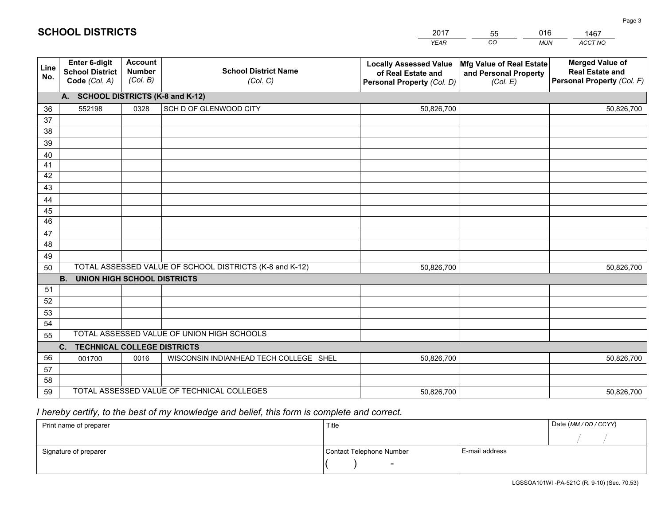|             |                                                          |                                             |                                                         | <b>YEAR</b>                                                                       | CO<br><b>MUN</b>                                              | ACCT NO                                                                        |
|-------------|----------------------------------------------------------|---------------------------------------------|---------------------------------------------------------|-----------------------------------------------------------------------------------|---------------------------------------------------------------|--------------------------------------------------------------------------------|
| Line<br>No. | Enter 6-digit<br><b>School District</b><br>Code (Col. A) | <b>Account</b><br><b>Number</b><br>(Col. B) | <b>School District Name</b><br>(Col. C)                 | <b>Locally Assessed Value</b><br>of Real Estate and<br>Personal Property (Col. D) | Mfg Value of Real Estate<br>and Personal Property<br>(Col. E) | <b>Merged Value of</b><br><b>Real Estate and</b><br>Personal Property (Col. F) |
|             | A. SCHOOL DISTRICTS (K-8 and K-12)                       |                                             |                                                         |                                                                                   |                                                               |                                                                                |
| 36          | 552198                                                   | 0328                                        | SCH D OF GLENWOOD CITY                                  | 50,826,700                                                                        |                                                               | 50,826,700                                                                     |
| 37          |                                                          |                                             |                                                         |                                                                                   |                                                               |                                                                                |
| 38          |                                                          |                                             |                                                         |                                                                                   |                                                               |                                                                                |
| 39          |                                                          |                                             |                                                         |                                                                                   |                                                               |                                                                                |
| 40          |                                                          |                                             |                                                         |                                                                                   |                                                               |                                                                                |
| 41          |                                                          |                                             |                                                         |                                                                                   |                                                               |                                                                                |
| 42          |                                                          |                                             |                                                         |                                                                                   |                                                               |                                                                                |
| 43          |                                                          |                                             |                                                         |                                                                                   |                                                               |                                                                                |
| 44<br>45    |                                                          |                                             |                                                         |                                                                                   |                                                               |                                                                                |
| 46          |                                                          |                                             |                                                         |                                                                                   |                                                               |                                                                                |
| 47          |                                                          |                                             |                                                         |                                                                                   |                                                               |                                                                                |
| 48          |                                                          |                                             |                                                         |                                                                                   |                                                               |                                                                                |
| 49          |                                                          |                                             |                                                         |                                                                                   |                                                               |                                                                                |
| 50          |                                                          |                                             | TOTAL ASSESSED VALUE OF SCHOOL DISTRICTS (K-8 and K-12) | 50,826,700                                                                        |                                                               | 50,826,700                                                                     |
|             | <b>B.</b><br><b>UNION HIGH SCHOOL DISTRICTS</b>          |                                             |                                                         |                                                                                   |                                                               |                                                                                |
| 51          |                                                          |                                             |                                                         |                                                                                   |                                                               |                                                                                |
| 52          |                                                          |                                             |                                                         |                                                                                   |                                                               |                                                                                |
| 53          |                                                          |                                             |                                                         |                                                                                   |                                                               |                                                                                |
| 54          |                                                          |                                             |                                                         |                                                                                   |                                                               |                                                                                |
| 55          |                                                          |                                             | TOTAL ASSESSED VALUE OF UNION HIGH SCHOOLS              |                                                                                   |                                                               |                                                                                |
|             | C.<br><b>TECHNICAL COLLEGE DISTRICTS</b>                 |                                             |                                                         |                                                                                   |                                                               |                                                                                |
| 56          | 001700                                                   | 0016                                        | WISCONSIN INDIANHEAD TECH COLLEGE SHEL                  | 50,826,700                                                                        |                                                               | 50,826,700                                                                     |
| 57          |                                                          |                                             |                                                         |                                                                                   |                                                               |                                                                                |
| 58          |                                                          |                                             | TOTAL ASSESSED VALUE OF TECHNICAL COLLEGES              |                                                                                   |                                                               |                                                                                |
| 59          |                                                          |                                             |                                                         | 50,826,700                                                                        |                                                               | 50,826,700                                                                     |

55

016

 *I hereby certify, to the best of my knowledge and belief, this form is complete and correct.*

**SCHOOL DISTRICTS**

| Print name of preparer | Title                    | Date (MM / DD / CCYY) |  |
|------------------------|--------------------------|-----------------------|--|
|                        |                          |                       |  |
| Signature of preparer  | Contact Telephone Number | E-mail address        |  |
|                        | $\overline{\phantom{0}}$ |                       |  |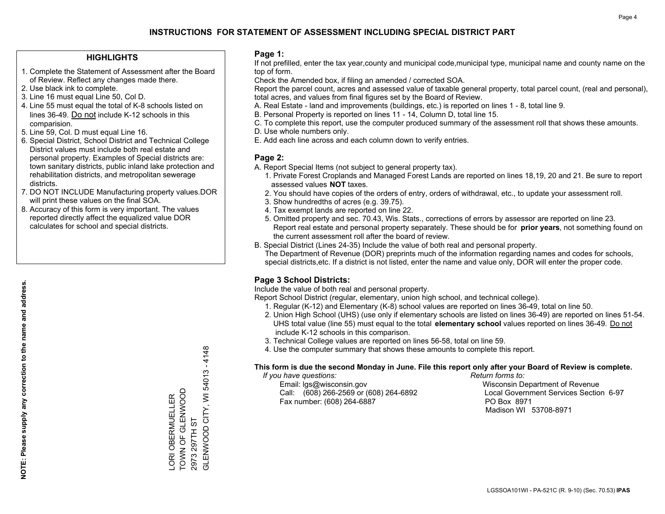## **HIGHLIGHTS**

- 1. Complete the Statement of Assessment after the Board of Review. Reflect any changes made there.
- 2. Use black ink to complete.
- 3. Line 16 must equal Line 50, Col D.
- 4. Line 55 must equal the total of K-8 schools listed on lines 36-49. Do not include K-12 schools in this comparision.
- 5. Line 59, Col. D must equal Line 16.
- 6. Special District, School District and Technical College District values must include both real estate and personal property. Examples of Special districts are: town sanitary districts, public inland lake protection and rehabilitation districts, and metropolitan sewerage districts.
- 7. DO NOT INCLUDE Manufacturing property values.DOR will print these values on the final SOA.

LORI OBERMUELLER TOWN OF GLENWOOD

LORI OBERMUELLER<br>TOWN OF GLENWOOD

2973 297TH ST

2973 297TH ST

GLENWOOD CITY, WI 54013 - 4148

GLENWOOD CITY, WI 54013 - 4148

 8. Accuracy of this form is very important. The values reported directly affect the equalized value DOR calculates for school and special districts.

### **Page 1:**

 If not prefilled, enter the tax year,county and municipal code,municipal type, municipal name and county name on the top of form.

Check the Amended box, if filing an amended / corrected SOA.

 Report the parcel count, acres and assessed value of taxable general property, total parcel count, (real and personal), total acres, and values from final figures set by the Board of Review.

- A. Real Estate land and improvements (buildings, etc.) is reported on lines 1 8, total line 9.
- B. Personal Property is reported on lines 11 14, Column D, total line 15.
- C. To complete this report, use the computer produced summary of the assessment roll that shows these amounts.
- D. Use whole numbers only.
- E. Add each line across and each column down to verify entries.

## **Page 2:**

- A. Report Special Items (not subject to general property tax).
- 1. Private Forest Croplands and Managed Forest Lands are reported on lines 18,19, 20 and 21. Be sure to report assessed values **NOT** taxes.
- 2. You should have copies of the orders of entry, orders of withdrawal, etc., to update your assessment roll.
	- 3. Show hundredths of acres (e.g. 39.75).
- 4. Tax exempt lands are reported on line 22.
- 5. Omitted property and sec. 70.43, Wis. Stats., corrections of errors by assessor are reported on line 23. Report real estate and personal property separately. These should be for **prior years**, not something found on the current assessment roll after the board of review.
- B. Special District (Lines 24-35) Include the value of both real and personal property.

 The Department of Revenue (DOR) preprints much of the information regarding names and codes for schools, special districts,etc. If a district is not listed, enter the name and value only, DOR will enter the proper code.

## **Page 3 School Districts:**

Include the value of both real and personal property.

Report School District (regular, elementary, union high school, and technical college).

- 1. Regular (K-12) and Elementary (K-8) school values are reported on lines 36-49, total on line 50.
- 2. Union High School (UHS) (use only if elementary schools are listed on lines 36-49) are reported on lines 51-54. UHS total value (line 55) must equal to the total **elementary school** values reported on lines 36-49. Do notinclude K-12 schools in this comparison.
- 3. Technical College values are reported on lines 56-58, total on line 59.
- 4. Use the computer summary that shows these amounts to complete this report.

#### **This form is due the second Monday in June. File this report only after your Board of Review is complete.**

 *If you have questions: Return forms to:*

 Email: lgs@wisconsin.gov Wisconsin Department of RevenueCall:  $(608)$  266-2569 or  $(608)$  264-6892 Fax number: (608) 264-6887 PO Box 8971

Local Government Services Section 6-97 Madison WI 53708-8971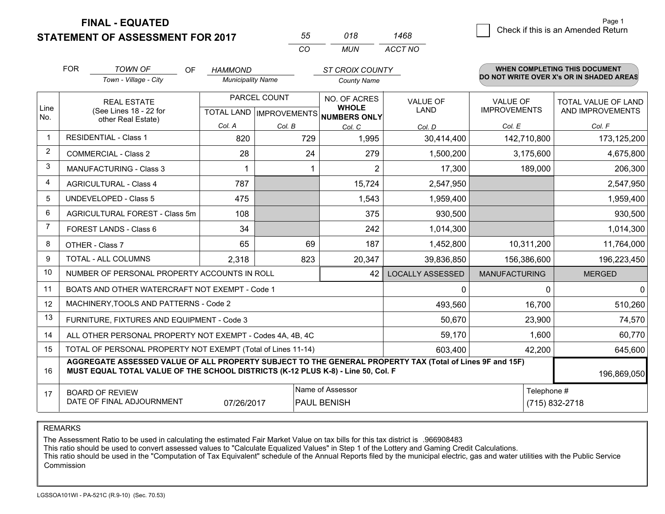**STATEMENT OF ASSESSMENT FOR 2017** 

| 55       | 018  | '468    |
|----------|------|---------|
| $\cdots$ | MUN. | ACCT NO |

|             | <b>FOR</b>                                                                                                                                                                                   | <b>TOWN OF</b><br>OF<br>Town - Village - City  | <b>HAMMOND</b><br><b>Municipality Name</b> |        | <b>ST CROIX COUNTY</b><br><b>County Name</b> |                                |                                        | <b>WHEN COMPLETING THIS DOCUMENT</b><br>DO NOT WRITE OVER X's OR IN SHADED AREAS |
|-------------|----------------------------------------------------------------------------------------------------------------------------------------------------------------------------------------------|------------------------------------------------|--------------------------------------------|--------|----------------------------------------------|--------------------------------|----------------------------------------|----------------------------------------------------------------------------------|
| Line<br>No. | <b>REAL ESTATE</b><br>(See Lines 18 - 22 for<br>other Real Estate)                                                                                                                           |                                                | PARCEL COUNT<br>TOTAL LAND   IMPROVEMENTS  |        | NO. OF ACRES<br><b>WHOLE</b><br>NUMBERS ONLY | <b>VALUE OF</b><br><b>LAND</b> | <b>VALUE OF</b><br><b>IMPROVEMENTS</b> | <b>TOTAL VALUE OF LAND</b><br>AND IMPROVEMENTS                                   |
|             |                                                                                                                                                                                              |                                                | Col. A                                     | Col. B | Col. C                                       | Col. D                         | Col. E                                 | Col. F                                                                           |
|             |                                                                                                                                                                                              | <b>RESIDENTIAL - Class 1</b>                   | 820                                        | 729    | 1,995                                        | 30,414,400                     | 142,710,800                            | 173,125,200                                                                      |
| 2           |                                                                                                                                                                                              | <b>COMMERCIAL - Class 2</b>                    | 28                                         | 24     | 279                                          | 1,500,200                      | 3,175,600                              | 4,675,800                                                                        |
| 3           |                                                                                                                                                                                              | <b>MANUFACTURING - Class 3</b>                 |                                            |        | $\overline{2}$                               | 17,300                         | 189,000                                | 206,300                                                                          |
| 4           |                                                                                                                                                                                              | <b>AGRICULTURAL - Class 4</b>                  | 787                                        |        | 15,724                                       | 2,547,950                      |                                        | 2,547,950                                                                        |
| 5           |                                                                                                                                                                                              | UNDEVELOPED - Class 5                          | 475                                        |        | 1,543                                        | 1,959,400                      |                                        | 1,959,400                                                                        |
| 6           |                                                                                                                                                                                              | AGRICULTURAL FOREST - Class 5m                 | 108                                        |        | 375                                          | 930,500                        |                                        | 930,500                                                                          |
| 7           | FOREST LANDS - Class 6                                                                                                                                                                       |                                                | 34                                         |        | 242                                          | 1,014,300                      |                                        | 1,014,300                                                                        |
| 8           | OTHER - Class 7                                                                                                                                                                              |                                                | 65                                         | 69     | 187                                          | 1,452,800                      | 10,311,200                             | 11,764,000                                                                       |
| 9           | TOTAL - ALL COLUMNS                                                                                                                                                                          |                                                | 2,318                                      | 823    | 20,347                                       | 39,836,850                     | 156,386,600                            | 196,223,450                                                                      |
| 10          |                                                                                                                                                                                              | NUMBER OF PERSONAL PROPERTY ACCOUNTS IN ROLL   |                                            |        | 42                                           | <b>LOCALLY ASSESSED</b>        | <b>MANUFACTURING</b>                   | <b>MERGED</b>                                                                    |
| 11          |                                                                                                                                                                                              | BOATS AND OTHER WATERCRAFT NOT EXEMPT - Code 1 |                                            |        |                                              | $\Omega$                       | $\Omega$                               | $\Omega$                                                                         |
| 12          |                                                                                                                                                                                              | MACHINERY, TOOLS AND PATTERNS - Code 2         |                                            |        |                                              | 493,560                        | 16,700                                 | 510,260                                                                          |
| 13          |                                                                                                                                                                                              | FURNITURE, FIXTURES AND EQUIPMENT - Code 3     |                                            |        |                                              | 50,670                         | 23,900                                 | 74,570                                                                           |
| 14          | ALL OTHER PERSONAL PROPERTY NOT EXEMPT - Codes 4A, 4B, 4C                                                                                                                                    |                                                |                                            |        |                                              |                                | 1,600                                  | 60,770                                                                           |
| 15          | TOTAL OF PERSONAL PROPERTY NOT EXEMPT (Total of Lines 11-14)<br>603,400                                                                                                                      |                                                |                                            |        |                                              |                                | 42,200                                 | 645,600                                                                          |
| 16          | AGGREGATE ASSESSED VALUE OF ALL PROPERTY SUBJECT TO THE GENERAL PROPERTY TAX (Total of Lines 9F and 15F)<br>MUST EQUAL TOTAL VALUE OF THE SCHOOL DISTRICTS (K-12 PLUS K-8) - Line 50, Col. F |                                                |                                            |        |                                              |                                | 196,869,050                            |                                                                                  |
| 17          | Name of Assessor<br>Telephone #<br><b>BOARD OF REVIEW</b><br>DATE OF FINAL ADJOURNMENT<br>PAUL BENISH<br>(715) 832-2718<br>07/26/2017                                                        |                                                |                                            |        |                                              |                                |                                        |                                                                                  |

REMARKS

The Assessment Ratio to be used in calculating the estimated Fair Market Value on tax bills for this tax district is .966908483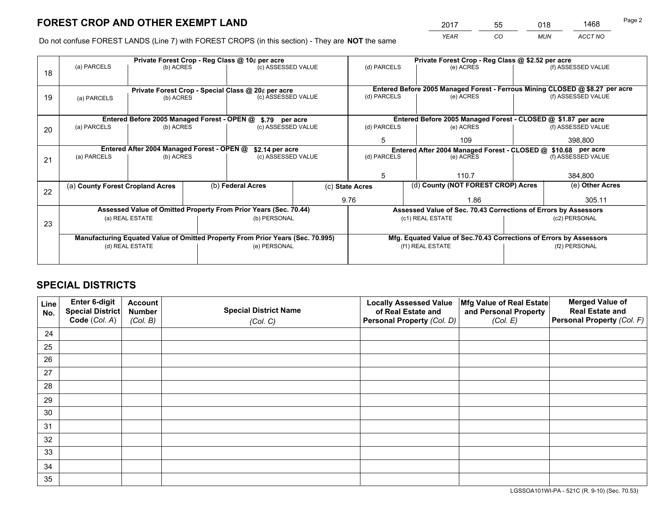*YEAR CO MUN ACCT NO* <sup>2017</sup> <sup>55</sup> <sup>018</sup> <sup>1468</sup>

Do not confuse FOREST LANDS (Line 7) with FOREST CROPS (in this section) - They are **NOT** the same

|    | Private Forest Crop - Reg Class @ 10¢ per acre                                 |                                             |                                                    |                                                                  |                                   |                                                                              | Private Forest Crop - Reg Class @ \$2.52 per acre               |         |                    |  |
|----|--------------------------------------------------------------------------------|---------------------------------------------|----------------------------------------------------|------------------------------------------------------------------|-----------------------------------|------------------------------------------------------------------------------|-----------------------------------------------------------------|---------|--------------------|--|
| 18 | (a) PARCELS                                                                    | (b) ACRES                                   |                                                    | (c) ASSESSED VALUE                                               |                                   | (d) PARCELS                                                                  | (e) ACRES                                                       |         | (f) ASSESSED VALUE |  |
|    |                                                                                |                                             | Private Forest Crop - Special Class @ 20¢ per acre |                                                                  |                                   | Entered Before 2005 Managed Forest - Ferrous Mining CLOSED @ \$8.27 per acre |                                                                 |         |                    |  |
| 19 | (a) PARCELS                                                                    | (b) ACRES                                   |                                                    | (c) ASSESSED VALUE                                               |                                   | (d) PARCELS                                                                  | (e) ACRES                                                       |         | (f) ASSESSED VALUE |  |
|    |                                                                                |                                             |                                                    |                                                                  |                                   |                                                                              |                                                                 |         |                    |  |
|    |                                                                                | Entered Before 2005 Managed Forest - OPEN @ |                                                    | \$.79 per acre                                                   |                                   |                                                                              | Entered Before 2005 Managed Forest - CLOSED @ \$1.87 per acre   |         |                    |  |
| 20 | (a) PARCELS                                                                    | (b) ACRES                                   |                                                    | (c) ASSESSED VALUE                                               |                                   | (d) PARCELS                                                                  | (e) ACRES                                                       |         | (f) ASSESSED VALUE |  |
|    |                                                                                |                                             |                                                    |                                                                  |                                   | 109                                                                          |                                                                 | 398,800 |                    |  |
|    |                                                                                | Entered After 2004 Managed Forest - OPEN @  |                                                    | \$2.14 per acre                                                  |                                   | Entered After 2004 Managed Forest - CLOSED @ \$10.68 per acre                |                                                                 |         |                    |  |
| 21 | (a) PARCELS                                                                    | (b) ACRES                                   |                                                    |                                                                  | (d) PARCELS<br>(c) ASSESSED VALUE |                                                                              | (e) ACRES                                                       |         | (f) ASSESSED VALUE |  |
|    |                                                                                |                                             |                                                    |                                                                  |                                   |                                                                              |                                                                 |         |                    |  |
|    |                                                                                |                                             |                                                    |                                                                  |                                   | 5                                                                            | 110.7                                                           |         | 384,800            |  |
| 22 | (a) County Forest Cropland Acres                                               |                                             |                                                    | (b) Federal Acres                                                |                                   | (d) County (NOT FOREST CROP) Acres<br>(c) State Acres                        |                                                                 |         | (e) Other Acres    |  |
|    |                                                                                |                                             |                                                    |                                                                  |                                   | 9.76                                                                         | 1.86                                                            |         | 305.11             |  |
|    |                                                                                |                                             |                                                    | Assessed Value of Omitted Property From Prior Years (Sec. 70.44) |                                   |                                                                              | Assessed Value of Sec. 70.43 Corrections of Errors by Assessors |         |                    |  |
|    | (a) REAL ESTATE<br>(b) PERSONAL                                                |                                             |                                                    |                                                                  | (c1) REAL ESTATE                  |                                                                              | (c2) PERSONAL                                                   |         |                    |  |
| 23 |                                                                                |                                             |                                                    |                                                                  |                                   |                                                                              |                                                                 |         |                    |  |
|    | Manufacturing Equated Value of Omitted Property From Prior Years (Sec. 70.995) |                                             |                                                    |                                                                  |                                   | Mfg. Equated Value of Sec.70.43 Corrections of Errors by Assessors           |                                                                 |         |                    |  |
|    | (d) REAL ESTATE                                                                |                                             |                                                    | (e) PERSONAL                                                     |                                   | (f1) REAL ESTATE                                                             |                                                                 |         | (f2) PERSONAL      |  |
|    |                                                                                |                                             |                                                    |                                                                  |                                   |                                                                              |                                                                 |         |                    |  |

## **SPECIAL DISTRICTS**

| Line<br>No. | Enter 6-digit<br><b>Special District</b> | <b>Account</b><br><b>Number</b> | <b>Special District Name</b> | <b>Locally Assessed Value</b><br>of Real Estate and | Mfg Value of Real Estate<br>and Personal Property | <b>Merged Value of</b><br><b>Real Estate and</b> |
|-------------|------------------------------------------|---------------------------------|------------------------------|-----------------------------------------------------|---------------------------------------------------|--------------------------------------------------|
|             | Code (Col. A)                            | (Col. B)                        | (Col. C)                     | Personal Property (Col. D)                          | (Col. E)                                          | Personal Property (Col. F)                       |
| 24          |                                          |                                 |                              |                                                     |                                                   |                                                  |
| 25          |                                          |                                 |                              |                                                     |                                                   |                                                  |
| 26          |                                          |                                 |                              |                                                     |                                                   |                                                  |
| 27          |                                          |                                 |                              |                                                     |                                                   |                                                  |
| 28          |                                          |                                 |                              |                                                     |                                                   |                                                  |
| 29          |                                          |                                 |                              |                                                     |                                                   |                                                  |
| 30          |                                          |                                 |                              |                                                     |                                                   |                                                  |
| 31          |                                          |                                 |                              |                                                     |                                                   |                                                  |
| 32          |                                          |                                 |                              |                                                     |                                                   |                                                  |
| 33          |                                          |                                 |                              |                                                     |                                                   |                                                  |
| 34          |                                          |                                 |                              |                                                     |                                                   |                                                  |
| 35          |                                          |                                 |                              |                                                     |                                                   |                                                  |

LGSSOA101WI-PA - 521C (R. 9-10) (Sec. 70.53)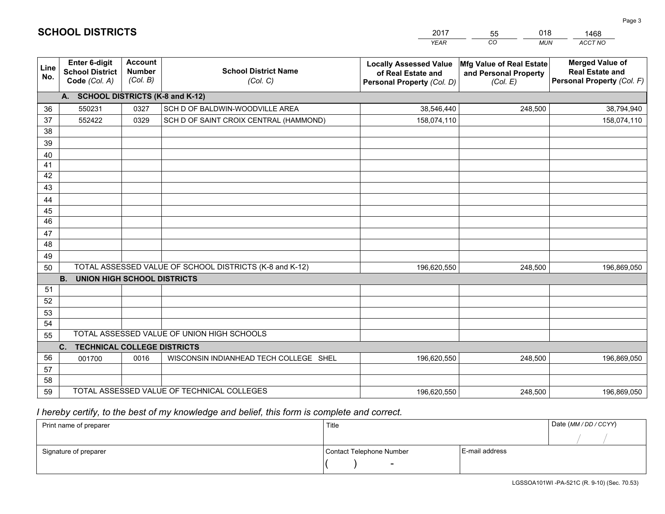|                       |                                                          |                                             |                                                         | <b>YEAR</b>                                                                       | CO<br><b>MUN</b>                                                     | ACCT NO                                                                        |
|-----------------------|----------------------------------------------------------|---------------------------------------------|---------------------------------------------------------|-----------------------------------------------------------------------------------|----------------------------------------------------------------------|--------------------------------------------------------------------------------|
| Line<br>No.           | Enter 6-digit<br><b>School District</b><br>Code (Col. A) | <b>Account</b><br><b>Number</b><br>(Col. B) | <b>School District Name</b><br>(Col. C)                 | <b>Locally Assessed Value</b><br>of Real Estate and<br>Personal Property (Col. D) | <b>Mfg Value of Real Estate</b><br>and Personal Property<br>(Col. E) | <b>Merged Value of</b><br><b>Real Estate and</b><br>Personal Property (Col. F) |
|                       | A. SCHOOL DISTRICTS (K-8 and K-12)                       |                                             |                                                         |                                                                                   |                                                                      |                                                                                |
| 36                    | 550231                                                   | 0327                                        | SCH D OF BALDWIN-WOODVILLE AREA                         | 38,546,440                                                                        | 248,500                                                              | 38,794,940                                                                     |
| 37                    | 552422                                                   | 0329                                        | SCH D OF SAINT CROIX CENTRAL (HAMMOND)                  | 158,074,110                                                                       |                                                                      | 158,074,110                                                                    |
| 38                    |                                                          |                                             |                                                         |                                                                                   |                                                                      |                                                                                |
| 39                    |                                                          |                                             |                                                         |                                                                                   |                                                                      |                                                                                |
| 40                    |                                                          |                                             |                                                         |                                                                                   |                                                                      |                                                                                |
| 41                    |                                                          |                                             |                                                         |                                                                                   |                                                                      |                                                                                |
| 42                    |                                                          |                                             |                                                         |                                                                                   |                                                                      |                                                                                |
| 43                    |                                                          |                                             |                                                         |                                                                                   |                                                                      |                                                                                |
| 44                    |                                                          |                                             |                                                         |                                                                                   |                                                                      |                                                                                |
| 45<br>$\overline{46}$ |                                                          |                                             |                                                         |                                                                                   |                                                                      |                                                                                |
|                       |                                                          |                                             |                                                         |                                                                                   |                                                                      |                                                                                |
| 47<br>48              |                                                          |                                             |                                                         |                                                                                   |                                                                      |                                                                                |
| 49                    |                                                          |                                             |                                                         |                                                                                   |                                                                      |                                                                                |
| 50                    |                                                          |                                             | TOTAL ASSESSED VALUE OF SCHOOL DISTRICTS (K-8 and K-12) | 196,620,550                                                                       | 248.500                                                              | 196,869,050                                                                    |
|                       | <b>B.</b><br><b>UNION HIGH SCHOOL DISTRICTS</b>          |                                             |                                                         |                                                                                   |                                                                      |                                                                                |
| 51                    |                                                          |                                             |                                                         |                                                                                   |                                                                      |                                                                                |
| 52                    |                                                          |                                             |                                                         |                                                                                   |                                                                      |                                                                                |
| 53                    |                                                          |                                             |                                                         |                                                                                   |                                                                      |                                                                                |
| 54                    |                                                          |                                             |                                                         |                                                                                   |                                                                      |                                                                                |
| 55                    |                                                          |                                             | TOTAL ASSESSED VALUE OF UNION HIGH SCHOOLS              |                                                                                   |                                                                      |                                                                                |
|                       | C.<br><b>TECHNICAL COLLEGE DISTRICTS</b>                 |                                             |                                                         |                                                                                   |                                                                      |                                                                                |
| 56                    | 001700                                                   | 0016                                        | WISCONSIN INDIANHEAD TECH COLLEGE SHEL                  | 196,620,550                                                                       | 248,500                                                              | 196,869,050                                                                    |
| 57                    |                                                          |                                             |                                                         |                                                                                   |                                                                      |                                                                                |
| 58                    |                                                          |                                             |                                                         |                                                                                   |                                                                      |                                                                                |
| 59                    |                                                          |                                             | TOTAL ASSESSED VALUE OF TECHNICAL COLLEGES              | 196,620,550                                                                       | 248,500                                                              | 196,869,050                                                                    |

55

018

 *I hereby certify, to the best of my knowledge and belief, this form is complete and correct.*

**SCHOOL DISTRICTS**

| Print name of preparer | Title                    | Date (MM / DD / CCYY) |  |
|------------------------|--------------------------|-----------------------|--|
|                        |                          |                       |  |
| Signature of preparer  | Contact Telephone Number | E-mail address        |  |
|                        | $\sim$                   |                       |  |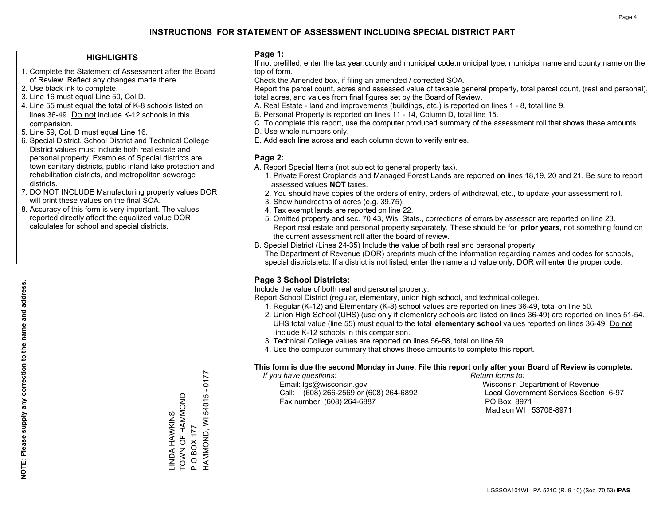## **HIGHLIGHTS**

- 1. Complete the Statement of Assessment after the Board of Review. Reflect any changes made there.
- 2. Use black ink to complete.
- 3. Line 16 must equal Line 50, Col D.
- 4. Line 55 must equal the total of K-8 schools listed on lines 36-49. Do not include K-12 schools in this comparision.
- 5. Line 59, Col. D must equal Line 16.
- 6. Special District, School District and Technical College District values must include both real estate and personal property. Examples of Special districts are: town sanitary districts, public inland lake protection and rehabilitation districts, and metropolitan sewerage districts.
- 7. DO NOT INCLUDE Manufacturing property values.DOR will print these values on the final SOA.
- 8. Accuracy of this form is very important. The values reported directly affect the equalized value DOR calculates for school and special districts.

#### **Page 1:**

 If not prefilled, enter the tax year,county and municipal code,municipal type, municipal name and county name on the top of form.

Check the Amended box, if filing an amended / corrected SOA.

 Report the parcel count, acres and assessed value of taxable general property, total parcel count, (real and personal), total acres, and values from final figures set by the Board of Review.

- A. Real Estate land and improvements (buildings, etc.) is reported on lines 1 8, total line 9.
- B. Personal Property is reported on lines 11 14, Column D, total line 15.
- C. To complete this report, use the computer produced summary of the assessment roll that shows these amounts.
- D. Use whole numbers only.
- E. Add each line across and each column down to verify entries.

## **Page 2:**

- A. Report Special Items (not subject to general property tax).
- 1. Private Forest Croplands and Managed Forest Lands are reported on lines 18,19, 20 and 21. Be sure to report assessed values **NOT** taxes.
- 2. You should have copies of the orders of entry, orders of withdrawal, etc., to update your assessment roll.
	- 3. Show hundredths of acres (e.g. 39.75).
- 4. Tax exempt lands are reported on line 22.
- 5. Omitted property and sec. 70.43, Wis. Stats., corrections of errors by assessor are reported on line 23. Report real estate and personal property separately. These should be for **prior years**, not something found on the current assessment roll after the board of review.
- B. Special District (Lines 24-35) Include the value of both real and personal property.

 The Department of Revenue (DOR) preprints much of the information regarding names and codes for schools, special districts,etc. If a district is not listed, enter the name and value only, DOR will enter the proper code.

## **Page 3 School Districts:**

Include the value of both real and personal property.

Report School District (regular, elementary, union high school, and technical college).

- 1. Regular (K-12) and Elementary (K-8) school values are reported on lines 36-49, total on line 50.
- 2. Union High School (UHS) (use only if elementary schools are listed on lines 36-49) are reported on lines 51-54. UHS total value (line 55) must equal to the total **elementary school** values reported on lines 36-49. Do notinclude K-12 schools in this comparison.
- 3. Technical College values are reported on lines 56-58, total on line 59.
- 4. Use the computer summary that shows these amounts to complete this report.

#### **This form is due the second Monday in June. File this report only after your Board of Review is complete.**

 *If you have questions: Return forms to:*

 Email: lgs@wisconsin.gov Wisconsin Department of RevenueCall:  $(608)$  266-2569 or  $(608)$  264-6892 Fax number: (608) 264-6887 PO Box 8971

Local Government Services Section 6-97 Madison WI 53708-8971

HAMMOND, WI 54015 - 0177 HAMMOND, WI 54015 - 0177 TOWN OF HAMMOND \_INDA HAWKINS<br>TOWN OF HAMMOND LINDA HAWKINS **OBOX177** P O BOX 177  $\mathbf{a}$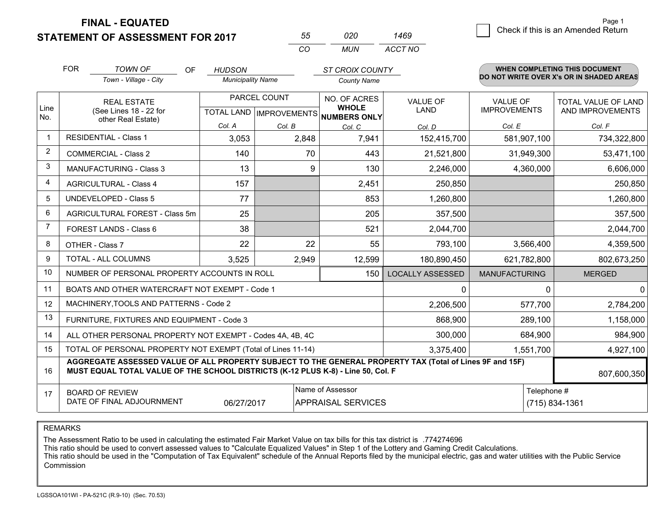**FINAL - EQUATED**

## **STATEMENT OF ASSESSMENT FOR 2017**

| 55 | 020 | 1469    |
|----|-----|---------|
| rη | MUN | ACCT NO |

|              | <b>FOR</b>                                                                                                                                                                                   | <b>TOWN OF</b><br>OF<br>Town - Village - City                | <b>HUDSON</b><br><b>Municipality Name</b> |                           | <b>ST CROIX COUNTY</b><br><b>County Name</b> |                         |                      | <b>WHEN COMPLETING THIS DOCUMENT</b><br>DO NOT WRITE OVER X's OR IN SHADED AREAS |
|--------------|----------------------------------------------------------------------------------------------------------------------------------------------------------------------------------------------|--------------------------------------------------------------|-------------------------------------------|---------------------------|----------------------------------------------|-------------------------|----------------------|----------------------------------------------------------------------------------|
|              |                                                                                                                                                                                              | <b>REAL ESTATE</b>                                           |                                           | PARCEL COUNT              | NO. OF ACRES<br><b>VALUE OF</b>              |                         | <b>VALUE OF</b>      | TOTAL VALUE OF LAND                                                              |
| Line<br>No.  |                                                                                                                                                                                              | (See Lines 18 - 22 for<br>other Real Estate)                 |                                           | TOTAL LAND   IMPROVEMENTS | <b>WHOLE</b><br><b>NUMBERS ONLY</b>          | <b>LAND</b>             | <b>IMPROVEMENTS</b>  | AND IMPROVEMENTS                                                                 |
|              |                                                                                                                                                                                              |                                                              | Col. A                                    | Col. B                    | Col. C                                       | Col. D                  | Col. E               | Col. F                                                                           |
| $\mathbf{1}$ |                                                                                                                                                                                              | <b>RESIDENTIAL - Class 1</b>                                 | 3,053                                     | 2,848                     | 7,941                                        | 152,415,700             | 581,907,100          | 734,322,800                                                                      |
| 2            |                                                                                                                                                                                              | <b>COMMERCIAL - Class 2</b>                                  | 140                                       | 70                        | 443                                          | 21,521,800              | 31,949,300           | 53,471,100                                                                       |
| 3            |                                                                                                                                                                                              | <b>MANUFACTURING - Class 3</b>                               | 13                                        | 9                         | 130                                          | 2,246,000               | 4,360,000            | 6,606,000                                                                        |
| 4            |                                                                                                                                                                                              | <b>AGRICULTURAL - Class 4</b>                                | 157                                       |                           | 2,451                                        | 250,850                 |                      | 250,850                                                                          |
| 5            |                                                                                                                                                                                              | <b>UNDEVELOPED - Class 5</b>                                 | 77                                        |                           | 853                                          | 1,260,800               |                      | 1,260,800                                                                        |
| 6            | <b>AGRICULTURAL FOREST - Class 5m</b>                                                                                                                                                        |                                                              | 25                                        |                           | 205                                          | 357,500                 |                      | 357,500                                                                          |
| 7            | FOREST LANDS - Class 6                                                                                                                                                                       |                                                              | 38                                        |                           | 521                                          | 2,044,700               |                      | 2,044,700                                                                        |
| 8            | OTHER - Class 7                                                                                                                                                                              |                                                              | 22                                        | 22                        | 55                                           | 793,100                 | 3,566,400            | 4,359,500                                                                        |
| 9            |                                                                                                                                                                                              | TOTAL - ALL COLUMNS                                          | 3,525                                     | 2,949                     | 12,599                                       | 180,890,450             | 621,782,800          | 802,673,250                                                                      |
| 10           |                                                                                                                                                                                              | NUMBER OF PERSONAL PROPERTY ACCOUNTS IN ROLL                 |                                           |                           | 150                                          | <b>LOCALLY ASSESSED</b> | <b>MANUFACTURING</b> | <b>MERGED</b>                                                                    |
| 11           |                                                                                                                                                                                              | BOATS AND OTHER WATERCRAFT NOT EXEMPT - Code 1               |                                           |                           |                                              | 0                       | $\Omega$             | $\Omega$                                                                         |
| 12           |                                                                                                                                                                                              | MACHINERY, TOOLS AND PATTERNS - Code 2                       |                                           |                           |                                              | 2,206,500               | 577,700              | 2,784,200                                                                        |
| 13           |                                                                                                                                                                                              | FURNITURE, FIXTURES AND EQUIPMENT - Code 3                   |                                           |                           |                                              | 868,900                 | 289,100              | 1,158,000                                                                        |
| 14           |                                                                                                                                                                                              | ALL OTHER PERSONAL PROPERTY NOT EXEMPT - Codes 4A, 4B, 4C    |                                           |                           |                                              | 300,000                 | 684,900              | 984,900                                                                          |
| 15           |                                                                                                                                                                                              | TOTAL OF PERSONAL PROPERTY NOT EXEMPT (Total of Lines 11-14) |                                           |                           |                                              | 3,375,400               | 1,551,700            | 4,927,100                                                                        |
| 16           | AGGREGATE ASSESSED VALUE OF ALL PROPERTY SUBJECT TO THE GENERAL PROPERTY TAX (Total of Lines 9F and 15F)<br>MUST EQUAL TOTAL VALUE OF THE SCHOOL DISTRICTS (K-12 PLUS K-8) - Line 50, Col. F |                                                              |                                           |                           |                                              |                         | 807,600,350          |                                                                                  |
| 17           |                                                                                                                                                                                              | <b>BOARD OF REVIEW</b>                                       |                                           |                           | Name of Assessor                             |                         | Telephone #          |                                                                                  |
|              |                                                                                                                                                                                              | DATE OF FINAL ADJOURNMENT                                    | 06/27/2017                                |                           | <b>APPRAISAL SERVICES</b>                    |                         |                      | (715) 834-1361                                                                   |

REMARKS

The Assessment Ratio to be used in calculating the estimated Fair Market Value on tax bills for this tax district is .774274696<br>This ratio should be used to convert assessed values to "Calculate Equalized Values" in Step 1 Commission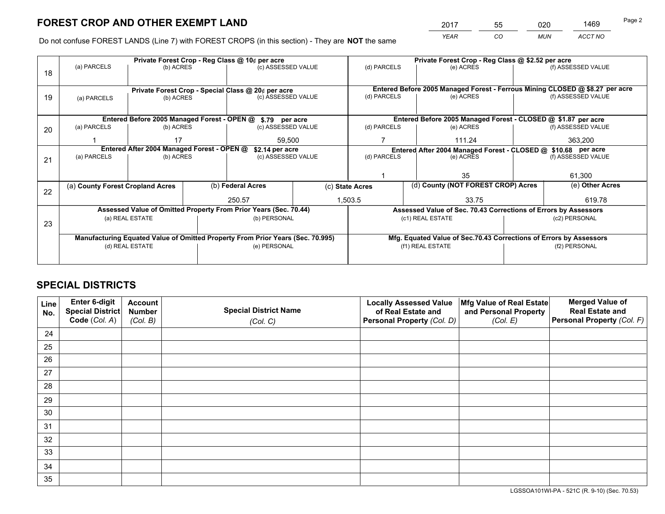*YEAR CO MUN ACCT NO* <sup>2017</sup> <sup>55</sup> <sup>020</sup> <sup>1469</sup>

Do not confuse FOREST LANDS (Line 7) with FOREST CROPS (in this section) - They are **NOT** the same

|    |                                                                                |                                             |  | Private Forest Crop - Reg Class @ 10¢ per acre                   |                 | Private Forest Crop - Reg Class @ \$2.52 per acre                  |                                                                              |  |                    |  |
|----|--------------------------------------------------------------------------------|---------------------------------------------|--|------------------------------------------------------------------|-----------------|--------------------------------------------------------------------|------------------------------------------------------------------------------|--|--------------------|--|
| 18 | (a) PARCELS                                                                    | (b) ACRES                                   |  | (c) ASSESSED VALUE                                               |                 | (d) PARCELS                                                        | (e) ACRES                                                                    |  | (f) ASSESSED VALUE |  |
|    |                                                                                |                                             |  |                                                                  |                 |                                                                    |                                                                              |  |                    |  |
|    |                                                                                |                                             |  | Private Forest Crop - Special Class @ 20¢ per acre               |                 |                                                                    | Entered Before 2005 Managed Forest - Ferrous Mining CLOSED @ \$8.27 per acre |  |                    |  |
| 19 | (a) PARCELS                                                                    | (b) ACRES                                   |  | (c) ASSESSED VALUE                                               |                 | (d) PARCELS                                                        | (e) ACRES                                                                    |  | (f) ASSESSED VALUE |  |
|    |                                                                                |                                             |  |                                                                  |                 |                                                                    |                                                                              |  |                    |  |
|    |                                                                                | Entered Before 2005 Managed Forest - OPEN @ |  | \$.79 per acre                                                   |                 |                                                                    | Entered Before 2005 Managed Forest - CLOSED @ \$1.87 per acre                |  |                    |  |
| 20 | (a) PARCELS                                                                    | (b) ACRES                                   |  | (c) ASSESSED VALUE                                               |                 | (d) PARCELS                                                        | (e) ACRES                                                                    |  | (f) ASSESSED VALUE |  |
|    |                                                                                | 17                                          |  | 59,500                                                           |                 |                                                                    | 111.24                                                                       |  |                    |  |
|    | Entered After 2004 Managed Forest - OPEN @<br>\$2.14 per acre                  |                                             |  |                                                                  |                 | Entered After 2004 Managed Forest - CLOSED @ \$10.68 per acre      |                                                                              |  |                    |  |
| 21 | (a) PARCELS                                                                    | (b) ACRES                                   |  | (c) ASSESSED VALUE                                               |                 | (d) PARCELS                                                        | (e) ACRES                                                                    |  |                    |  |
|    |                                                                                |                                             |  |                                                                  |                 |                                                                    |                                                                              |  |                    |  |
|    |                                                                                |                                             |  |                                                                  |                 |                                                                    | 35                                                                           |  | 61,300             |  |
| 22 | (a) County Forest Cropland Acres                                               |                                             |  | (b) Federal Acres                                                | (c) State Acres |                                                                    | (d) County (NOT FOREST CROP) Acres                                           |  | (e) Other Acres    |  |
|    |                                                                                |                                             |  | 1,503.5<br>250.57                                                |                 |                                                                    | 33.75                                                                        |  | 619.78             |  |
|    |                                                                                |                                             |  | Assessed Value of Omitted Property From Prior Years (Sec. 70.44) |                 |                                                                    | Assessed Value of Sec. 70.43 Corrections of Errors by Assessors              |  |                    |  |
|    |                                                                                | (a) REAL ESTATE                             |  | (b) PERSONAL                                                     |                 |                                                                    | (c1) REAL ESTATE                                                             |  | (c2) PERSONAL      |  |
| 23 |                                                                                |                                             |  |                                                                  |                 |                                                                    |                                                                              |  |                    |  |
|    | Manufacturing Equated Value of Omitted Property From Prior Years (Sec. 70.995) |                                             |  |                                                                  |                 | Mfg. Equated Value of Sec.70.43 Corrections of Errors by Assessors |                                                                              |  |                    |  |
|    | (d) REAL ESTATE                                                                |                                             |  | (e) PERSONAL                                                     |                 | (f1) REAL ESTATE                                                   |                                                                              |  | (f2) PERSONAL      |  |
|    |                                                                                |                                             |  |                                                                  |                 |                                                                    |                                                                              |  |                    |  |

## **SPECIAL DISTRICTS**

| Line<br>No. | Enter 6-digit<br>Special District<br>Code (Col. A) | <b>Account</b><br><b>Number</b> | <b>Special District Name</b> | <b>Locally Assessed Value</b><br>of Real Estate and | Mfg Value of Real Estate<br>and Personal Property | <b>Merged Value of</b><br><b>Real Estate and</b><br>Personal Property (Col. F) |
|-------------|----------------------------------------------------|---------------------------------|------------------------------|-----------------------------------------------------|---------------------------------------------------|--------------------------------------------------------------------------------|
|             |                                                    | (Col. B)                        | (Col. C)                     | Personal Property (Col. D)                          | (Col. E)                                          |                                                                                |
| 24          |                                                    |                                 |                              |                                                     |                                                   |                                                                                |
| 25          |                                                    |                                 |                              |                                                     |                                                   |                                                                                |
| 26          |                                                    |                                 |                              |                                                     |                                                   |                                                                                |
| 27          |                                                    |                                 |                              |                                                     |                                                   |                                                                                |
| 28          |                                                    |                                 |                              |                                                     |                                                   |                                                                                |
| 29          |                                                    |                                 |                              |                                                     |                                                   |                                                                                |
| 30          |                                                    |                                 |                              |                                                     |                                                   |                                                                                |
| 31          |                                                    |                                 |                              |                                                     |                                                   |                                                                                |
| 32          |                                                    |                                 |                              |                                                     |                                                   |                                                                                |
| 33          |                                                    |                                 |                              |                                                     |                                                   |                                                                                |
| 34          |                                                    |                                 |                              |                                                     |                                                   |                                                                                |
| 35          |                                                    |                                 |                              |                                                     |                                                   |                                                                                |

LGSSOA101WI-PA - 521C (R. 9-10) (Sec. 70.53)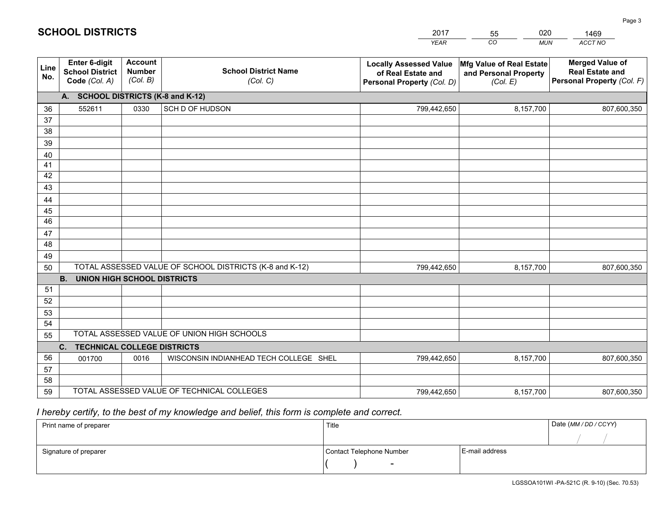|             |                                                                 |                                             |                                                         | <b>YEAR</b>                                                                       | CO<br><b>MUN</b>                                              | <b>ACCT NO</b>                                                                 |
|-------------|-----------------------------------------------------------------|---------------------------------------------|---------------------------------------------------------|-----------------------------------------------------------------------------------|---------------------------------------------------------------|--------------------------------------------------------------------------------|
| Line<br>No. | <b>Enter 6-digit</b><br><b>School District</b><br>Code (Col. A) | <b>Account</b><br><b>Number</b><br>(Col. B) | <b>School District Name</b><br>(Col. C)                 | <b>Locally Assessed Value</b><br>of Real Estate and<br>Personal Property (Col. D) | Mfg Value of Real Estate<br>and Personal Property<br>(Col. E) | <b>Merged Value of</b><br><b>Real Estate and</b><br>Personal Property (Col. F) |
|             | A. SCHOOL DISTRICTS (K-8 and K-12)                              |                                             |                                                         |                                                                                   |                                                               |                                                                                |
| 36          | 552611                                                          | 0330                                        | SCH D OF HUDSON                                         | 799,442,650                                                                       | 8,157,700                                                     | 807,600,350                                                                    |
| 37          |                                                                 |                                             |                                                         |                                                                                   |                                                               |                                                                                |
| 38          |                                                                 |                                             |                                                         |                                                                                   |                                                               |                                                                                |
| 39          |                                                                 |                                             |                                                         |                                                                                   |                                                               |                                                                                |
| 40          |                                                                 |                                             |                                                         |                                                                                   |                                                               |                                                                                |
| 41          |                                                                 |                                             |                                                         |                                                                                   |                                                               |                                                                                |
| 42          |                                                                 |                                             |                                                         |                                                                                   |                                                               |                                                                                |
| 43          |                                                                 |                                             |                                                         |                                                                                   |                                                               |                                                                                |
| 44<br>45    |                                                                 |                                             |                                                         |                                                                                   |                                                               |                                                                                |
| 46          |                                                                 |                                             |                                                         |                                                                                   |                                                               |                                                                                |
| 47          |                                                                 |                                             |                                                         |                                                                                   |                                                               |                                                                                |
| 48          |                                                                 |                                             |                                                         |                                                                                   |                                                               |                                                                                |
| 49          |                                                                 |                                             |                                                         |                                                                                   |                                                               |                                                                                |
| 50          |                                                                 |                                             | TOTAL ASSESSED VALUE OF SCHOOL DISTRICTS (K-8 and K-12) | 799,442,650                                                                       | 8,157,700                                                     | 807,600,350                                                                    |
|             | <b>B.</b><br><b>UNION HIGH SCHOOL DISTRICTS</b>                 |                                             |                                                         |                                                                                   |                                                               |                                                                                |
| 51          |                                                                 |                                             |                                                         |                                                                                   |                                                               |                                                                                |
| 52          |                                                                 |                                             |                                                         |                                                                                   |                                                               |                                                                                |
| 53          |                                                                 |                                             |                                                         |                                                                                   |                                                               |                                                                                |
| 54          |                                                                 |                                             |                                                         |                                                                                   |                                                               |                                                                                |
| 55          |                                                                 |                                             | TOTAL ASSESSED VALUE OF UNION HIGH SCHOOLS              |                                                                                   |                                                               |                                                                                |
|             | C.<br><b>TECHNICAL COLLEGE DISTRICTS</b>                        |                                             |                                                         |                                                                                   |                                                               |                                                                                |
| 56          | 001700                                                          | 0016                                        | WISCONSIN INDIANHEAD TECH COLLEGE SHEL                  | 799,442,650                                                                       | 8,157,700                                                     | 807,600,350                                                                    |
| 57          |                                                                 |                                             |                                                         |                                                                                   |                                                               |                                                                                |
| 58          |                                                                 |                                             | TOTAL ASSESSED VALUE OF TECHNICAL COLLEGES              |                                                                                   |                                                               |                                                                                |
| 59          |                                                                 |                                             |                                                         | 799,442,650                                                                       | 8,157,700                                                     | 807,600,350                                                                    |

55

020

 *I hereby certify, to the best of my knowledge and belief, this form is complete and correct.*

**SCHOOL DISTRICTS**

| Print name of preparer | Title                    |                | Date (MM / DD / CCYY) |
|------------------------|--------------------------|----------------|-----------------------|
|                        |                          |                |                       |
| Signature of preparer  | Contact Telephone Number | E-mail address |                       |
|                        | $\overline{\phantom{0}}$ |                |                       |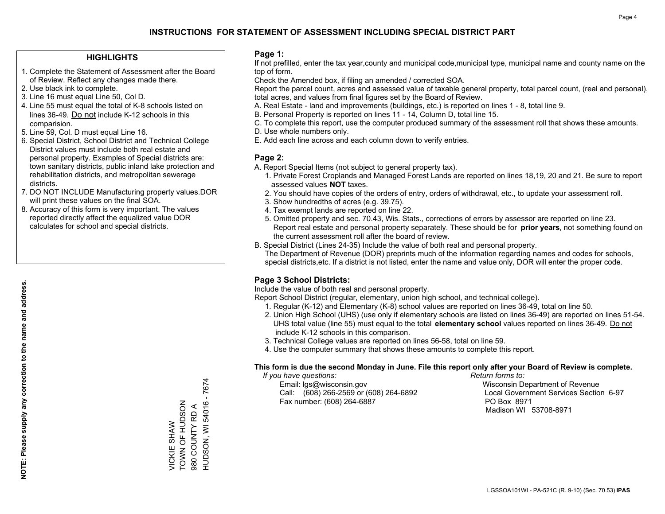### **HIGHLIGHTS**

- 1. Complete the Statement of Assessment after the Board of Review. Reflect any changes made there.
- 2. Use black ink to complete.
- 3. Line 16 must equal Line 50, Col D.
- 4. Line 55 must equal the total of K-8 schools listed on lines 36-49. Do not include K-12 schools in this comparision.
- 5. Line 59, Col. D must equal Line 16.
- 6. Special District, School District and Technical College District values must include both real estate and personal property. Examples of Special districts are: town sanitary districts, public inland lake protection and rehabilitation districts, and metropolitan sewerage districts.
- 7. DO NOT INCLUDE Manufacturing property values.DOR will print these values on the final SOA.
- 8. Accuracy of this form is very important. The values reported directly affect the equalized value DOR calculates for school and special districts.

#### **Page 1:**

 If not prefilled, enter the tax year,county and municipal code,municipal type, municipal name and county name on the top of form.

Check the Amended box, if filing an amended / corrected SOA.

 Report the parcel count, acres and assessed value of taxable general property, total parcel count, (real and personal), total acres, and values from final figures set by the Board of Review.

- A. Real Estate land and improvements (buildings, etc.) is reported on lines 1 8, total line 9.
- B. Personal Property is reported on lines 11 14, Column D, total line 15.
- C. To complete this report, use the computer produced summary of the assessment roll that shows these amounts.
- D. Use whole numbers only.
- E. Add each line across and each column down to verify entries.

#### **Page 2:**

- A. Report Special Items (not subject to general property tax).
- 1. Private Forest Croplands and Managed Forest Lands are reported on lines 18,19, 20 and 21. Be sure to report assessed values **NOT** taxes.
- 2. You should have copies of the orders of entry, orders of withdrawal, etc., to update your assessment roll.
	- 3. Show hundredths of acres (e.g. 39.75).
- 4. Tax exempt lands are reported on line 22.
- 5. Omitted property and sec. 70.43, Wis. Stats., corrections of errors by assessor are reported on line 23. Report real estate and personal property separately. These should be for **prior years**, not something found on the current assessment roll after the board of review.
- B. Special District (Lines 24-35) Include the value of both real and personal property.
- The Department of Revenue (DOR) preprints much of the information regarding names and codes for schools, special districts,etc. If a district is not listed, enter the name and value only, DOR will enter the proper code.

## **Page 3 School Districts:**

Include the value of both real and personal property.

Report School District (regular, elementary, union high school, and technical college).

- 1. Regular (K-12) and Elementary (K-8) school values are reported on lines 36-49, total on line 50.
- 2. Union High School (UHS) (use only if elementary schools are listed on lines 36-49) are reported on lines 51-54. UHS total value (line 55) must equal to the total **elementary school** values reported on lines 36-49. Do notinclude K-12 schools in this comparison.
- 3. Technical College values are reported on lines 56-58, total on line 59.
- 4. Use the computer summary that shows these amounts to complete this report.

#### **This form is due the second Monday in June. File this report only after your Board of Review is complete.**

 *If you have questions: Return forms to:*

 Email: lgs@wisconsin.gov Wisconsin Department of RevenueCall:  $(608)$  266-2569 or  $(608)$  264-6892 Fax number: (608) 264-6887 PO Box 8971

Local Government Services Section 6-97 Madison WI 53708-8971

HUDSON, WI 54016 - 7674 HUDSON, WI 54016 - 7674 TOWN OF HUDSON TOWN OF HUDSON 980 COUNTY RD A 980 COUNTY RD A *JICKIE SHAW* VICKIE SHAW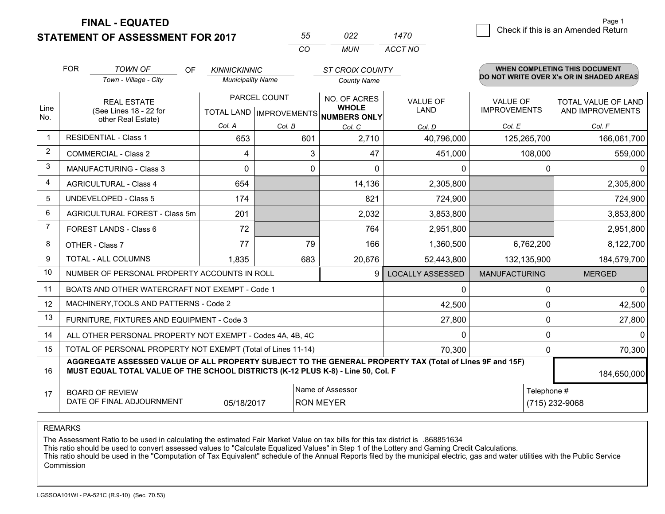**STATEMENT OF ASSESSMENT FOR 2017** 

**FINAL - EQUATED**

| 55. | 022 | 1470    |
|-----|-----|---------|
| CO. | MUN | ACCT NO |

|                | <b>FOR</b>                                                                    | <b>TOWN OF</b><br>OF                                                                                                                                                                         | <b>KINNICKINNIC</b>      |              | <b>ST CROIX COUNTY</b>                              |                                |                      | <b>WHEN COMPLETING THIS DOCUMENT</b><br>DO NOT WRITE OVER X's OR IN SHADED AREAS |
|----------------|-------------------------------------------------------------------------------|----------------------------------------------------------------------------------------------------------------------------------------------------------------------------------------------|--------------------------|--------------|-----------------------------------------------------|--------------------------------|----------------------|----------------------------------------------------------------------------------|
|                |                                                                               | Town - Village - City                                                                                                                                                                        | <b>Municipality Name</b> |              | <b>County Name</b>                                  |                                |                      |                                                                                  |
|                |                                                                               | <b>REAL ESTATE</b>                                                                                                                                                                           |                          | PARCEL COUNT | NO. OF ACRES                                        | <b>VALUE OF</b><br><b>LAND</b> | <b>VALUE OF</b>      | <b>TOTAL VALUE OF LAND</b>                                                       |
| Line<br>No.    |                                                                               | (See Lines 18 - 22 for<br>other Real Estate)                                                                                                                                                 |                          |              | <b>WHOLE</b><br>TOTAL LAND MPROVEMENTS NUMBERS ONLY |                                | <b>IMPROVEMENTS</b>  | AND IMPROVEMENTS                                                                 |
|                |                                                                               |                                                                                                                                                                                              | Col. A                   | Col. B       | Col. C                                              | Col. D                         | Col. E               | Col. F                                                                           |
| $\mathbf{1}$   | <b>RESIDENTIAL - Class 1</b>                                                  |                                                                                                                                                                                              | 653                      | 601          | 2,710                                               | 40,796,000                     | 125,265,700          | 166,061,700                                                                      |
| $\overline{2}$ |                                                                               | <b>COMMERCIAL - Class 2</b>                                                                                                                                                                  | 4                        | 3            | 47                                                  | 451,000                        | 108,000              | 559,000                                                                          |
| 3              |                                                                               | MANUFACTURING - Class 3                                                                                                                                                                      | $\mathbf 0$              | 0            | $\mathbf{0}$                                        | 0                              | 0                    | $\mathbf{0}$                                                                     |
| $\overline{4}$ |                                                                               | <b>AGRICULTURAL - Class 4</b>                                                                                                                                                                | 654                      |              | 14,136                                              | 2,305,800                      |                      | 2,305,800                                                                        |
| 5              |                                                                               | <b>UNDEVELOPED - Class 5</b>                                                                                                                                                                 | 174                      |              | 821                                                 | 724,900                        |                      | 724,900                                                                          |
| 6              | AGRICULTURAL FOREST - Class 5m                                                |                                                                                                                                                                                              | 201                      |              | 2,032                                               | 3,853,800                      |                      | 3,853,800                                                                        |
| 7              | FOREST LANDS - Class 6                                                        |                                                                                                                                                                                              | 72                       |              | 764                                                 | 2,951,800                      |                      | 2,951,800                                                                        |
| 8              |                                                                               | OTHER - Class 7                                                                                                                                                                              | 77                       | 79           | 166                                                 | 1,360,500                      | 6,762,200            | 8,122,700                                                                        |
| 9              |                                                                               | TOTAL - ALL COLUMNS                                                                                                                                                                          | 1,835                    | 683          | 20,676                                              | 52,443,800                     | 132,135,900          | 184,579,700                                                                      |
| 10             |                                                                               | NUMBER OF PERSONAL PROPERTY ACCOUNTS IN ROLL                                                                                                                                                 |                          |              | 9                                                   | <b>LOCALLY ASSESSED</b>        | <b>MANUFACTURING</b> | <b>MERGED</b>                                                                    |
| 11             |                                                                               | BOATS AND OTHER WATERCRAFT NOT EXEMPT - Code 1                                                                                                                                               |                          |              |                                                     | 0                              | 0                    | $\mathbf 0$                                                                      |
| 12             |                                                                               | MACHINERY, TOOLS AND PATTERNS - Code 2                                                                                                                                                       |                          |              |                                                     | 42,500                         | 0                    | 42,500                                                                           |
| 13             |                                                                               | FURNITURE, FIXTURES AND EQUIPMENT - Code 3                                                                                                                                                   |                          |              |                                                     | 27,800                         | $\mathbf{0}$         | 27,800                                                                           |
| 14             |                                                                               | ALL OTHER PERSONAL PROPERTY NOT EXEMPT - Codes 4A, 4B, 4C                                                                                                                                    |                          |              |                                                     | $\mathbf{0}$                   | $\mathbf{0}$         | $\mathbf 0$                                                                      |
| 15             |                                                                               | TOTAL OF PERSONAL PROPERTY NOT EXEMPT (Total of Lines 11-14)                                                                                                                                 |                          |              |                                                     | 70,300                         | $\Omega$             | 70,300                                                                           |
| 16             |                                                                               | AGGREGATE ASSESSED VALUE OF ALL PROPERTY SUBJECT TO THE GENERAL PROPERTY TAX (Total of Lines 9F and 15F)<br>MUST EQUAL TOTAL VALUE OF THE SCHOOL DISTRICTS (K-12 PLUS K-8) - Line 50, Col. F |                          |              |                                                     |                                |                      | 184,650,000                                                                      |
| 17             |                                                                               | <b>BOARD OF REVIEW</b>                                                                                                                                                                       |                          |              | Name of Assessor                                    |                                | Telephone #          |                                                                                  |
|                | DATE OF FINAL ADJOURNMENT<br>05/18/2017<br><b>RON MEYER</b><br>(715) 232-9068 |                                                                                                                                                                                              |                          |              |                                                     |                                |                      |                                                                                  |

REMARKS

The Assessment Ratio to be used in calculating the estimated Fair Market Value on tax bills for this tax district is .868851634

This ratio should be used to convert assessed values to "Calculate Equalized Values" in Step 1 of the Lottery and Gaming Credit Calculations.<br>This ratio should be used in the "Computation of Tax Equivalent" schedule of the Commission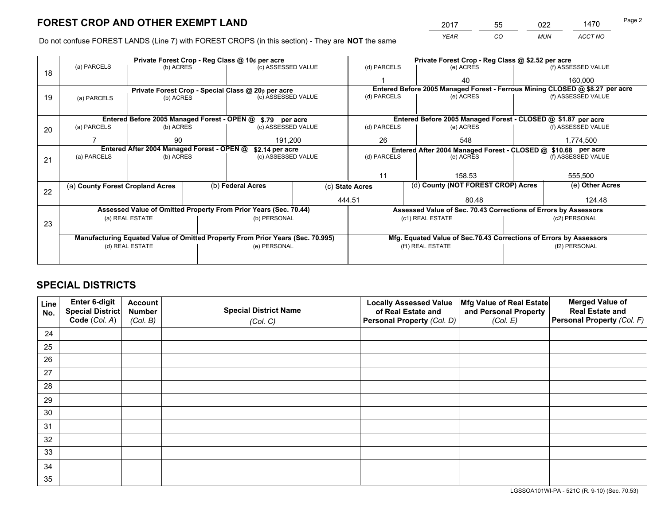*YEAR CO MUN ACCT NO* 2017 55 022 1470 Page 2

Do not confuse FOREST LANDS (Line 7) with FOREST CROPS (in this section) - They are **NOT** the same

|    |                                                                                |                                             |  | Private Forest Crop - Reg Class @ 10¢ per acre                   |                                                               | Private Forest Crop - Reg Class @ \$2.52 per acre |                  |                                    |               |                                                                              |
|----|--------------------------------------------------------------------------------|---------------------------------------------|--|------------------------------------------------------------------|---------------------------------------------------------------|---------------------------------------------------|------------------|------------------------------------|---------------|------------------------------------------------------------------------------|
| 18 | (a) PARCELS                                                                    | (b) ACRES                                   |  | (c) ASSESSED VALUE                                               |                                                               | (d) PARCELS                                       |                  | (e) ACRES                          |               | (f) ASSESSED VALUE                                                           |
|    |                                                                                |                                             |  |                                                                  |                                                               |                                                   |                  | 40                                 |               | 160,000                                                                      |
|    |                                                                                |                                             |  | Private Forest Crop - Special Class @ 20¢ per acre               |                                                               |                                                   |                  |                                    |               | Entered Before 2005 Managed Forest - Ferrous Mining CLOSED @ \$8.27 per acre |
| 19 | (a) PARCELS                                                                    | (b) ACRES                                   |  | (c) ASSESSED VALUE                                               |                                                               | (d) PARCELS                                       |                  | (e) ACRES                          |               | (f) ASSESSED VALUE                                                           |
|    |                                                                                |                                             |  |                                                                  |                                                               |                                                   |                  |                                    |               |                                                                              |
|    |                                                                                | Entered Before 2005 Managed Forest - OPEN @ |  | \$.79 per acre                                                   |                                                               |                                                   |                  |                                    |               | Entered Before 2005 Managed Forest - CLOSED @ \$1.87 per acre                |
| 20 | (a) PARCELS                                                                    | (b) ACRES                                   |  | (c) ASSESSED VALUE                                               |                                                               | (d) PARCELS                                       |                  | (e) ACRES                          |               | (f) ASSESSED VALUE                                                           |
|    |                                                                                | 90                                          |  | 191.200                                                          |                                                               | 26                                                |                  | 548                                |               | 1,774,500                                                                    |
|    | Entered After 2004 Managed Forest - OPEN @<br>\$2.14 per acre                  |                                             |  |                                                                  | Entered After 2004 Managed Forest - CLOSED @ \$10.68 per acre |                                                   |                  |                                    |               |                                                                              |
| 21 | (a) PARCELS                                                                    | (b) ACRES                                   |  | (c) ASSESSED VALUE                                               |                                                               | (d) PARCELS<br>(e) ACRES                          |                  |                                    |               | (f) ASSESSED VALUE                                                           |
|    |                                                                                |                                             |  |                                                                  |                                                               |                                                   |                  |                                    |               |                                                                              |
|    |                                                                                |                                             |  |                                                                  |                                                               | 11                                                |                  | 158.53                             |               | 555,500                                                                      |
|    | (a) County Forest Cropland Acres                                               |                                             |  | (b) Federal Acres                                                | (c) State Acres                                               |                                                   |                  | (d) County (NOT FOREST CROP) Acres |               | (e) Other Acres                                                              |
| 22 |                                                                                |                                             |  |                                                                  |                                                               | 444.51                                            |                  | 80.48                              |               | 124.48                                                                       |
|    |                                                                                |                                             |  | Assessed Value of Omitted Property From Prior Years (Sec. 70.44) |                                                               |                                                   |                  |                                    |               | Assessed Value of Sec. 70.43 Corrections of Errors by Assessors              |
|    |                                                                                | (a) REAL ESTATE                             |  | (b) PERSONAL                                                     |                                                               |                                                   | (c1) REAL ESTATE |                                    |               | (c2) PERSONAL                                                                |
| 23 |                                                                                |                                             |  |                                                                  |                                                               |                                                   |                  |                                    |               |                                                                              |
|    | Manufacturing Equated Value of Omitted Property From Prior Years (Sec. 70.995) |                                             |  |                                                                  |                                                               |                                                   |                  |                                    |               | Mfg. Equated Value of Sec.70.43 Corrections of Errors by Assessors           |
|    |                                                                                | (d) REAL ESTATE                             |  | (e) PERSONAL                                                     |                                                               | (f1) REAL ESTATE                                  |                  |                                    | (f2) PERSONAL |                                                                              |
|    |                                                                                |                                             |  |                                                                  |                                                               |                                                   |                  |                                    |               |                                                                              |

## **SPECIAL DISTRICTS**

| Line<br>No. | Enter 6-digit<br><b>Special District</b> | <b>Account</b><br><b>Number</b> | <b>Special District Name</b> | <b>Locally Assessed Value</b><br>of Real Estate and | Mfg Value of Real Estate<br>and Personal Property | <b>Merged Value of</b><br><b>Real Estate and</b> |
|-------------|------------------------------------------|---------------------------------|------------------------------|-----------------------------------------------------|---------------------------------------------------|--------------------------------------------------|
|             | Code (Col. A)                            | (Col. B)                        | (Col. C)                     | Personal Property (Col. D)                          | (Col. E)                                          | Personal Property (Col. F)                       |
| 24          |                                          |                                 |                              |                                                     |                                                   |                                                  |
| 25          |                                          |                                 |                              |                                                     |                                                   |                                                  |
| 26          |                                          |                                 |                              |                                                     |                                                   |                                                  |
| 27          |                                          |                                 |                              |                                                     |                                                   |                                                  |
| 28          |                                          |                                 |                              |                                                     |                                                   |                                                  |
| 29          |                                          |                                 |                              |                                                     |                                                   |                                                  |
| 30          |                                          |                                 |                              |                                                     |                                                   |                                                  |
| 31          |                                          |                                 |                              |                                                     |                                                   |                                                  |
| 32          |                                          |                                 |                              |                                                     |                                                   |                                                  |
| 33          |                                          |                                 |                              |                                                     |                                                   |                                                  |
| 34          |                                          |                                 |                              |                                                     |                                                   |                                                  |
| 35          |                                          |                                 |                              |                                                     |                                                   |                                                  |

LGSSOA101WI-PA - 521C (R. 9-10) (Sec. 70.53)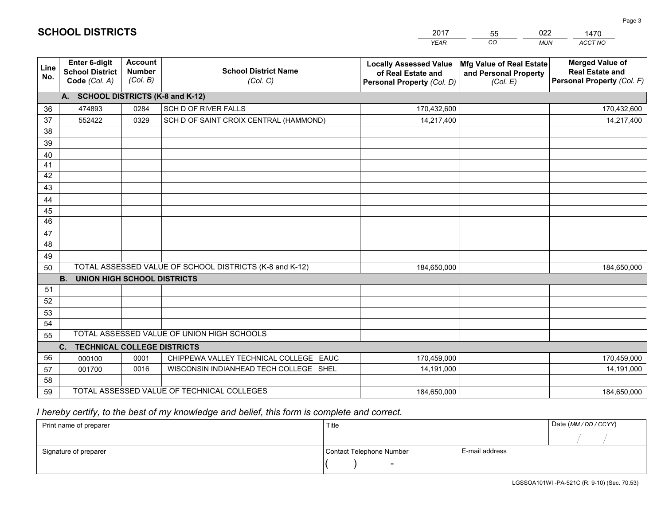|             |                                                          |                                             |                                                         | <b>YEAR</b>                                                                       | CO.<br><b>MUN</b>                                             | <b>ACCT NO</b>                                                                 |
|-------------|----------------------------------------------------------|---------------------------------------------|---------------------------------------------------------|-----------------------------------------------------------------------------------|---------------------------------------------------------------|--------------------------------------------------------------------------------|
| Line<br>No. | Enter 6-digit<br><b>School District</b><br>Code (Col. A) | <b>Account</b><br><b>Number</b><br>(Col. B) | <b>School District Name</b><br>(Col. C)                 | <b>Locally Assessed Value</b><br>of Real Estate and<br>Personal Property (Col. D) | Mfg Value of Real Estate<br>and Personal Property<br>(Col. E) | <b>Merged Value of</b><br><b>Real Estate and</b><br>Personal Property (Col. F) |
|             | A. SCHOOL DISTRICTS (K-8 and K-12)                       |                                             |                                                         |                                                                                   |                                                               |                                                                                |
| 36          | 474893                                                   | 0284                                        | SCH D OF RIVER FALLS                                    | 170,432,600                                                                       |                                                               | 170,432,600                                                                    |
| 37          | 552422                                                   | 0329                                        | SCH D OF SAINT CROIX CENTRAL (HAMMOND)                  | 14,217,400                                                                        |                                                               | 14,217,400                                                                     |
| 38          |                                                          |                                             |                                                         |                                                                                   |                                                               |                                                                                |
| 39          |                                                          |                                             |                                                         |                                                                                   |                                                               |                                                                                |
| 40          |                                                          |                                             |                                                         |                                                                                   |                                                               |                                                                                |
| 41          |                                                          |                                             |                                                         |                                                                                   |                                                               |                                                                                |
| 42          |                                                          |                                             |                                                         |                                                                                   |                                                               |                                                                                |
| 43          |                                                          |                                             |                                                         |                                                                                   |                                                               |                                                                                |
| 44          |                                                          |                                             |                                                         |                                                                                   |                                                               |                                                                                |
| 45          |                                                          |                                             |                                                         |                                                                                   |                                                               |                                                                                |
| 46          |                                                          |                                             |                                                         |                                                                                   |                                                               |                                                                                |
| 47          |                                                          |                                             |                                                         |                                                                                   |                                                               |                                                                                |
| 48          |                                                          |                                             |                                                         |                                                                                   |                                                               |                                                                                |
| 49          |                                                          |                                             |                                                         |                                                                                   |                                                               |                                                                                |
| 50          |                                                          |                                             | TOTAL ASSESSED VALUE OF SCHOOL DISTRICTS (K-8 and K-12) | 184,650,000                                                                       |                                                               | 184,650,000                                                                    |
|             | <b>B.</b><br><b>UNION HIGH SCHOOL DISTRICTS</b>          |                                             |                                                         |                                                                                   |                                                               |                                                                                |
| 51          |                                                          |                                             |                                                         |                                                                                   |                                                               |                                                                                |
| 52          |                                                          |                                             |                                                         |                                                                                   |                                                               |                                                                                |
| 53          |                                                          |                                             |                                                         |                                                                                   |                                                               |                                                                                |
| 54          |                                                          |                                             | TOTAL ASSESSED VALUE OF UNION HIGH SCHOOLS              |                                                                                   |                                                               |                                                                                |
| 55          |                                                          |                                             |                                                         |                                                                                   |                                                               |                                                                                |
|             | C.<br><b>TECHNICAL COLLEGE DISTRICTS</b>                 |                                             |                                                         |                                                                                   |                                                               |                                                                                |
| 56          | 000100                                                   | 0001                                        | CHIPPEWA VALLEY TECHNICAL COLLEGE EAUC                  | 170,459,000                                                                       |                                                               | 170,459,000                                                                    |
| 57          | 001700                                                   | 0016                                        | WISCONSIN INDIANHEAD TECH COLLEGE SHEL                  | 14,191,000                                                                        |                                                               | 14,191,000                                                                     |
| 58          |                                                          |                                             |                                                         |                                                                                   |                                                               |                                                                                |
| 59          |                                                          |                                             | TOTAL ASSESSED VALUE OF TECHNICAL COLLEGES              | 184,650,000                                                                       |                                                               | 184,650,000                                                                    |

55

022

## *I hereby certify, to the best of my knowledge and belief, this form is complete and correct.*

**SCHOOL DISTRICTS**

| Print name of preparer | Title                    |                | Date (MM / DD / CCYY) |
|------------------------|--------------------------|----------------|-----------------------|
|                        |                          |                |                       |
| Signature of preparer  | Contact Telephone Number | E-mail address |                       |
|                        | $\overline{\phantom{0}}$ |                |                       |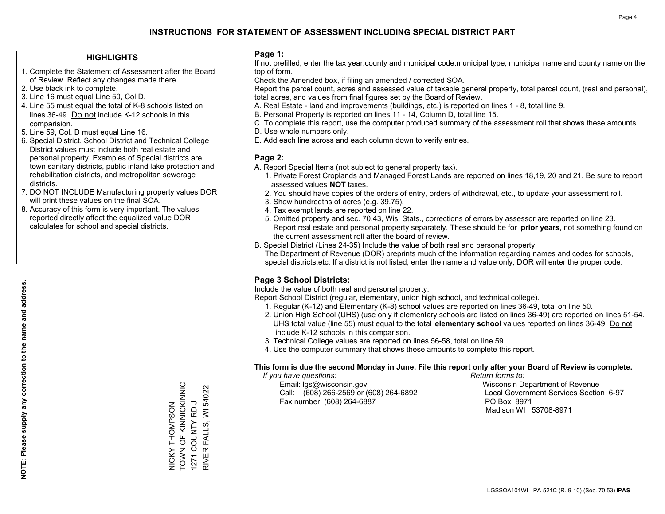### **HIGHLIGHTS**

- 1. Complete the Statement of Assessment after the Board of Review. Reflect any changes made there.
- 2. Use black ink to complete.
- 3. Line 16 must equal Line 50, Col D.
- 4. Line 55 must equal the total of K-8 schools listed on lines 36-49. Do not include K-12 schools in this comparision.
- 5. Line 59, Col. D must equal Line 16.
- 6. Special District, School District and Technical College District values must include both real estate and personal property. Examples of Special districts are: town sanitary districts, public inland lake protection and rehabilitation districts, and metropolitan sewerage districts.
- 7. DO NOT INCLUDE Manufacturing property values.DOR will print these values on the final SOA.

NICKY THOMPSON TOWN OF KINNICKINNIC 1271 COUNTY RD J RIVER FALLS, WI 54022

NICKY THOMPSON<br>TOWN OF KINNICKINNIC<br>1271 COUNTY RD J

FALLS, WI 54022

RIVER<sub>I</sub>

 8. Accuracy of this form is very important. The values reported directly affect the equalized value DOR calculates for school and special districts.

#### **Page 1:**

 If not prefilled, enter the tax year,county and municipal code,municipal type, municipal name and county name on the top of form.

Check the Amended box, if filing an amended / corrected SOA.

 Report the parcel count, acres and assessed value of taxable general property, total parcel count, (real and personal), total acres, and values from final figures set by the Board of Review.

- A. Real Estate land and improvements (buildings, etc.) is reported on lines 1 8, total line 9.
- B. Personal Property is reported on lines 11 14, Column D, total line 15.
- C. To complete this report, use the computer produced summary of the assessment roll that shows these amounts.
- D. Use whole numbers only.
- E. Add each line across and each column down to verify entries.

### **Page 2:**

- A. Report Special Items (not subject to general property tax).
- 1. Private Forest Croplands and Managed Forest Lands are reported on lines 18,19, 20 and 21. Be sure to report assessed values **NOT** taxes.
- 2. You should have copies of the orders of entry, orders of withdrawal, etc., to update your assessment roll.
	- 3. Show hundredths of acres (e.g. 39.75).
- 4. Tax exempt lands are reported on line 22.
- 5. Omitted property and sec. 70.43, Wis. Stats., corrections of errors by assessor are reported on line 23. Report real estate and personal property separately. These should be for **prior years**, not something found on the current assessment roll after the board of review.
- B. Special District (Lines 24-35) Include the value of both real and personal property.

 The Department of Revenue (DOR) preprints much of the information regarding names and codes for schools, special districts,etc. If a district is not listed, enter the name and value only, DOR will enter the proper code.

## **Page 3 School Districts:**

Include the value of both real and personal property.

Report School District (regular, elementary, union high school, and technical college).

- 1. Regular (K-12) and Elementary (K-8) school values are reported on lines 36-49, total on line 50.
- 2. Union High School (UHS) (use only if elementary schools are listed on lines 36-49) are reported on lines 51-54. UHS total value (line 55) must equal to the total **elementary school** values reported on lines 36-49. Do notinclude K-12 schools in this comparison.
- 3. Technical College values are reported on lines 56-58, total on line 59.
- 4. Use the computer summary that shows these amounts to complete this report.

#### **This form is due the second Monday in June. File this report only after your Board of Review is complete.**

 *If you have questions: Return forms to:*

 Email: lgs@wisconsin.gov Wisconsin Department of RevenueCall:  $(608)$  266-2569 or  $(608)$  264-6892 Fax number: (608) 264-6887 PO Box 8971

Local Government Services Section 6-97 Madison WI 53708-8971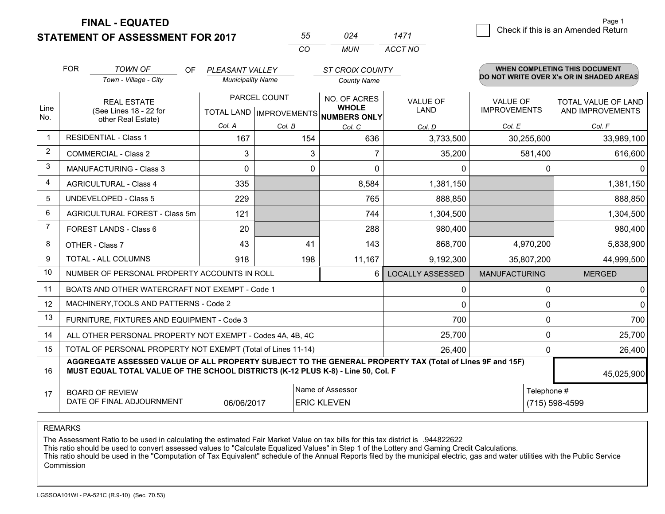**STATEMENT OF ASSESSMENT FOR 2017** 

**FINAL - EQUATED**

| 55  | 024 | 1471    |
|-----|-----|---------|
| CO. | MUN | ACCT NO |

|                | <b>FOR</b><br><b>TOWN OF</b><br>OF<br>Town - Village - City                                                                                                                                  |                                                              | PLEASANT VALLEY<br><b>Municipality Name</b>          |        | <b>ST CROIX COUNTY</b><br><b>County Name</b>            |                         | WHEN COMPLETING THIS DOCUMENT<br>DO NOT WRITE OVER X's OR IN SHADED AREAS |                                         |  |
|----------------|----------------------------------------------------------------------------------------------------------------------------------------------------------------------------------------------|--------------------------------------------------------------|------------------------------------------------------|--------|---------------------------------------------------------|-------------------------|---------------------------------------------------------------------------|-----------------------------------------|--|
| Line<br>No.    |                                                                                                                                                                                              | <b>REAL ESTATE</b><br>(See Lines 18 - 22 for                 | PARCEL COUNT<br>TOTAL LAND IMPROVEMENTS NUMBERS ONLY |        | NO. OF ACRES<br><b>VALUE OF</b><br><b>WHOLE</b><br>LAND |                         | <b>VALUE OF</b><br><b>IMPROVEMENTS</b>                                    | TOTAL VALUE OF LAND<br>AND IMPROVEMENTS |  |
|                |                                                                                                                                                                                              | other Real Estate)                                           | Col. A                                               | Col. B | Col. C                                                  | Col. D                  | Col. E                                                                    | Col. F                                  |  |
| $\mathbf 1$    | <b>RESIDENTIAL - Class 1</b>                                                                                                                                                                 |                                                              | 167                                                  | 154    | 636                                                     | 3,733,500               | 30,255,600                                                                | 33,989,100                              |  |
| $\overline{2}$ |                                                                                                                                                                                              | <b>COMMERCIAL - Class 2</b>                                  | 3                                                    | 3      |                                                         | 35,200                  | 581,400                                                                   | 616,600                                 |  |
| 3              |                                                                                                                                                                                              | <b>MANUFACTURING - Class 3</b>                               | $\Omega$                                             | 0      | $\Omega$                                                | 0                       | $\Omega$                                                                  | $\Omega$                                |  |
| $\overline{4}$ |                                                                                                                                                                                              | <b>AGRICULTURAL - Class 4</b>                                | 335                                                  |        | 8,584                                                   | 1,381,150               |                                                                           | 1,381,150                               |  |
| 5              |                                                                                                                                                                                              | <b>UNDEVELOPED - Class 5</b>                                 | 229                                                  |        | 765                                                     | 888,850                 |                                                                           | 888,850                                 |  |
| 6              |                                                                                                                                                                                              | AGRICULTURAL FOREST - Class 5m                               | 121                                                  |        | 744                                                     | 1,304,500               |                                                                           | 1,304,500                               |  |
| 7              |                                                                                                                                                                                              | FOREST LANDS - Class 6                                       | 20                                                   |        | 288                                                     | 980,400                 |                                                                           | 980,400                                 |  |
| 8              |                                                                                                                                                                                              | OTHER - Class 7                                              | 43                                                   | 41     | 143                                                     | 868,700                 | 4,970,200                                                                 | 5,838,900                               |  |
| 9              |                                                                                                                                                                                              | TOTAL - ALL COLUMNS                                          | 918                                                  | 198    | 11,167                                                  | 9,192,300               | 35,807,200                                                                | 44,999,500                              |  |
| 10             |                                                                                                                                                                                              | NUMBER OF PERSONAL PROPERTY ACCOUNTS IN ROLL                 |                                                      |        | 6                                                       | <b>LOCALLY ASSESSED</b> | <b>MANUFACTURING</b>                                                      | <b>MERGED</b>                           |  |
| 11             |                                                                                                                                                                                              | BOATS AND OTHER WATERCRAFT NOT EXEMPT - Code 1               |                                                      |        |                                                         | 0                       | 0                                                                         | $\mathbf 0$                             |  |
| 12             |                                                                                                                                                                                              | MACHINERY, TOOLS AND PATTERNS - Code 2                       |                                                      |        |                                                         | 0                       | $\mathbf{0}$                                                              | 0                                       |  |
| 13             |                                                                                                                                                                                              | FURNITURE, FIXTURES AND EQUIPMENT - Code 3                   |                                                      |        |                                                         | 700                     | $\mathbf 0$                                                               | 700                                     |  |
| 14             |                                                                                                                                                                                              | ALL OTHER PERSONAL PROPERTY NOT EXEMPT - Codes 4A, 4B, 4C    |                                                      |        |                                                         | 25,700                  | $\mathbf 0$                                                               | 25,700                                  |  |
| 15             |                                                                                                                                                                                              | TOTAL OF PERSONAL PROPERTY NOT EXEMPT (Total of Lines 11-14) |                                                      |        | 26,400                                                  | $\mathbf{0}$            | 26,400                                                                    |                                         |  |
| 16             | AGGREGATE ASSESSED VALUE OF ALL PROPERTY SUBJECT TO THE GENERAL PROPERTY TAX (Total of Lines 9F and 15F)<br>MUST EQUAL TOTAL VALUE OF THE SCHOOL DISTRICTS (K-12 PLUS K-8) - Line 50, Col. F |                                                              |                                                      |        |                                                         |                         |                                                                           | 45,025,900                              |  |
| 17             |                                                                                                                                                                                              | <b>BOARD OF REVIEW</b>                                       |                                                      |        | Name of Assessor                                        |                         | Telephone #                                                               |                                         |  |
|                |                                                                                                                                                                                              | DATE OF FINAL ADJOURNMENT                                    | 06/06/2017                                           |        | <b>ERIC KLEVEN</b>                                      |                         |                                                                           | (715) 598-4599                          |  |

REMARKS

The Assessment Ratio to be used in calculating the estimated Fair Market Value on tax bills for this tax district is .944822622

This ratio should be used to convert assessed values to "Calculate Equalized Values" in Step 1 of the Lottery and Gaming Credit Calculations.

 This ratio should be used in the "Computation of Tax Equivalent" schedule of the Annual Reports filed by the municipal electric, gas and water utilities with the Public Service Commission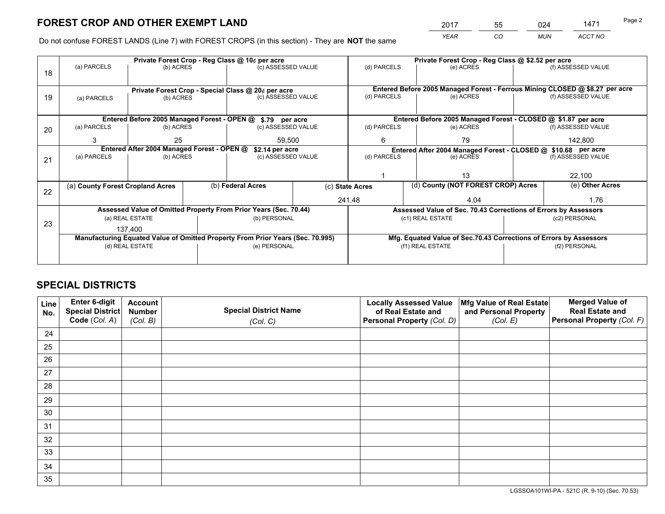*YEAR CO MUN ACCT NO* <sup>2017</sup> <sup>55</sup> <sup>024</sup> <sup>1471</sup>

Do not confuse FOREST LANDS (Line 7) with FOREST CROPS (in this section) - They are **NOT** the same

|    |                                                                                |                                             |                    | Private Forest Crop - Reg Class @ 10¢ per acre                   |                 | Private Forest Crop - Reg Class @ \$2.52 per acre                  |                                                                              |                    |                    |
|----|--------------------------------------------------------------------------------|---------------------------------------------|--------------------|------------------------------------------------------------------|-----------------|--------------------------------------------------------------------|------------------------------------------------------------------------------|--------------------|--------------------|
| 18 | (a) PARCELS                                                                    | (b) ACRES                                   |                    | (c) ASSESSED VALUE                                               |                 | (d) PARCELS                                                        | (e) ACRES                                                                    |                    | (f) ASSESSED VALUE |
|    |                                                                                |                                             |                    |                                                                  |                 |                                                                    | Entered Before 2005 Managed Forest - Ferrous Mining CLOSED @ \$8.27 per acre |                    |                    |
| 19 | Private Forest Crop - Special Class @ 20¢ per acre<br>(b) ACRES<br>(a) PARCELS |                                             | (c) ASSESSED VALUE |                                                                  | (d) PARCELS     | (e) ACRES                                                          |                                                                              | (f) ASSESSED VALUE |                    |
|    |                                                                                |                                             |                    |                                                                  |                 |                                                                    |                                                                              |                    |                    |
|    |                                                                                | Entered Before 2005 Managed Forest - OPEN @ |                    | \$.79 per acre                                                   |                 |                                                                    | Entered Before 2005 Managed Forest - CLOSED @ \$1.87 per acre                |                    |                    |
| 20 | (a) PARCELS                                                                    | (b) ACRES                                   |                    | (c) ASSESSED VALUE                                               |                 | (d) PARCELS                                                        | (e) ACRES                                                                    |                    | (f) ASSESSED VALUE |
|    | 3                                                                              | 25                                          |                    |                                                                  | 59.500          |                                                                    | 79<br>6                                                                      |                    | 142.800            |
|    | Entered After 2004 Managed Forest - OPEN @                                     |                                             |                    | \$2.14 per acre                                                  |                 | Entered After 2004 Managed Forest - CLOSED @ \$10.68 per acre      |                                                                              |                    |                    |
| 21 | (a) PARCELS                                                                    | (b) ACRES                                   |                    | (c) ASSESSED VALUE                                               | (d) PARCELS     |                                                                    | (e) ACRES                                                                    |                    |                    |
|    |                                                                                |                                             |                    |                                                                  |                 |                                                                    |                                                                              |                    |                    |
|    |                                                                                |                                             |                    |                                                                  |                 |                                                                    | 13                                                                           |                    |                    |
| 22 | (a) County Forest Cropland Acres                                               |                                             |                    | (b) Federal Acres                                                | (c) State Acres |                                                                    | (d) County (NOT FOREST CROP) Acres                                           |                    | (e) Other Acres    |
|    |                                                                                |                                             |                    |                                                                  |                 | 241.48                                                             | 4.04                                                                         |                    | 1.76               |
|    |                                                                                |                                             |                    | Assessed Value of Omitted Property From Prior Years (Sec. 70.44) |                 |                                                                    | Assessed Value of Sec. 70.43 Corrections of Errors by Assessors              |                    |                    |
| 23 |                                                                                | (a) REAL ESTATE                             |                    | (b) PERSONAL                                                     |                 |                                                                    | (c1) REAL ESTATE                                                             |                    | (c2) PERSONAL      |
|    |                                                                                | 137.400                                     |                    |                                                                  |                 |                                                                    |                                                                              |                    |                    |
|    | Manufacturing Equated Value of Omitted Property From Prior Years (Sec. 70.995) |                                             |                    |                                                                  |                 | Mfg. Equated Value of Sec.70.43 Corrections of Errors by Assessors |                                                                              |                    |                    |
|    |                                                                                | (d) REAL ESTATE                             |                    | (e) PERSONAL                                                     |                 | (f1) REAL ESTATE                                                   |                                                                              | (f2) PERSONAL      |                    |
|    |                                                                                |                                             |                    |                                                                  |                 |                                                                    |                                                                              |                    |                    |

## **SPECIAL DISTRICTS**

| Line<br>No. | Enter 6-digit<br>Special District<br>Code (Col. A) | <b>Account</b><br><b>Number</b><br>(Col. B) | <b>Special District Name</b><br>(Col. C) | <b>Locally Assessed Value</b><br>of Real Estate and<br>Personal Property (Col. D) | Mfg Value of Real Estate<br>and Personal Property<br>(Col. E) | <b>Merged Value of</b><br><b>Real Estate and</b><br>Personal Property (Col. F) |
|-------------|----------------------------------------------------|---------------------------------------------|------------------------------------------|-----------------------------------------------------------------------------------|---------------------------------------------------------------|--------------------------------------------------------------------------------|
| 24          |                                                    |                                             |                                          |                                                                                   |                                                               |                                                                                |
| 25          |                                                    |                                             |                                          |                                                                                   |                                                               |                                                                                |
| 26          |                                                    |                                             |                                          |                                                                                   |                                                               |                                                                                |
| 27          |                                                    |                                             |                                          |                                                                                   |                                                               |                                                                                |
| 28          |                                                    |                                             |                                          |                                                                                   |                                                               |                                                                                |
| 29          |                                                    |                                             |                                          |                                                                                   |                                                               |                                                                                |
| 30          |                                                    |                                             |                                          |                                                                                   |                                                               |                                                                                |
| 31          |                                                    |                                             |                                          |                                                                                   |                                                               |                                                                                |
| 32          |                                                    |                                             |                                          |                                                                                   |                                                               |                                                                                |
| 33          |                                                    |                                             |                                          |                                                                                   |                                                               |                                                                                |
| 34          |                                                    |                                             |                                          |                                                                                   |                                                               |                                                                                |
| 35          |                                                    |                                             |                                          |                                                                                   |                                                               |                                                                                |

LGSSOA101WI-PA - 521C (R. 9-10) (Sec. 70.53)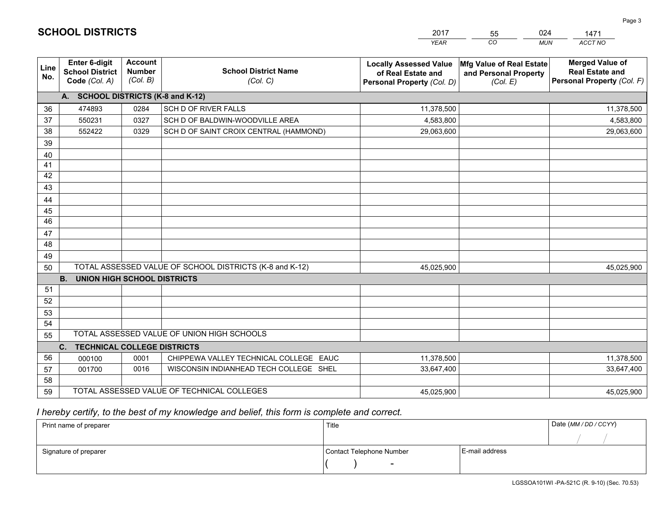|                 |                                                          |                                             |                                                         | YEAR                                                                              | CO.<br><b>MUN</b>                                             | ACCT NO                                                                        |
|-----------------|----------------------------------------------------------|---------------------------------------------|---------------------------------------------------------|-----------------------------------------------------------------------------------|---------------------------------------------------------------|--------------------------------------------------------------------------------|
| Line<br>No.     | Enter 6-digit<br><b>School District</b><br>Code (Col. A) | <b>Account</b><br><b>Number</b><br>(Col. B) | <b>School District Name</b><br>(Col. C)                 | <b>Locally Assessed Value</b><br>of Real Estate and<br>Personal Property (Col. D) | Mfg Value of Real Estate<br>and Personal Property<br>(Col. E) | <b>Merged Value of</b><br><b>Real Estate and</b><br>Personal Property (Col. F) |
|                 | A. SCHOOL DISTRICTS (K-8 and K-12)                       |                                             |                                                         |                                                                                   |                                                               |                                                                                |
| 36              | 474893                                                   | 0284                                        | SCH D OF RIVER FALLS                                    | 11,378,500                                                                        |                                                               | 11,378,500                                                                     |
| 37              | 550231                                                   | 0327                                        | SCH D OF BALDWIN-WOODVILLE AREA                         | 4,583,800                                                                         |                                                               | 4,583,800                                                                      |
| 38              | 552422                                                   | 0329                                        | SCH D OF SAINT CROIX CENTRAL (HAMMOND)                  | 29,063,600                                                                        |                                                               | 29,063,600                                                                     |
| 39              |                                                          |                                             |                                                         |                                                                                   |                                                               |                                                                                |
| 40              |                                                          |                                             |                                                         |                                                                                   |                                                               |                                                                                |
| 41              |                                                          |                                             |                                                         |                                                                                   |                                                               |                                                                                |
| 42              |                                                          |                                             |                                                         |                                                                                   |                                                               |                                                                                |
| 43              |                                                          |                                             |                                                         |                                                                                   |                                                               |                                                                                |
| 44              |                                                          |                                             |                                                         |                                                                                   |                                                               |                                                                                |
| 45              |                                                          |                                             |                                                         |                                                                                   |                                                               |                                                                                |
| $\overline{46}$ |                                                          |                                             |                                                         |                                                                                   |                                                               |                                                                                |
| 47              |                                                          |                                             |                                                         |                                                                                   |                                                               |                                                                                |
| 48              |                                                          |                                             |                                                         |                                                                                   |                                                               |                                                                                |
| 49              |                                                          |                                             |                                                         |                                                                                   |                                                               |                                                                                |
| 50              |                                                          |                                             | TOTAL ASSESSED VALUE OF SCHOOL DISTRICTS (K-8 and K-12) | 45,025,900                                                                        |                                                               | 45,025,900                                                                     |
|                 | <b>B.</b><br><b>UNION HIGH SCHOOL DISTRICTS</b>          |                                             |                                                         |                                                                                   |                                                               |                                                                                |
| 51              |                                                          |                                             |                                                         |                                                                                   |                                                               |                                                                                |
| 52              |                                                          |                                             |                                                         |                                                                                   |                                                               |                                                                                |
| 53              |                                                          |                                             |                                                         |                                                                                   |                                                               |                                                                                |
| 54              |                                                          |                                             |                                                         |                                                                                   |                                                               |                                                                                |
| 55              |                                                          |                                             | TOTAL ASSESSED VALUE OF UNION HIGH SCHOOLS              |                                                                                   |                                                               |                                                                                |
|                 | C.<br><b>TECHNICAL COLLEGE DISTRICTS</b>                 |                                             |                                                         |                                                                                   |                                                               |                                                                                |
| 56              | 000100                                                   | 0001                                        | CHIPPEWA VALLEY TECHNICAL COLLEGE EAUC                  | 11,378,500                                                                        |                                                               | 11,378,500                                                                     |
| 57              | 001700                                                   | 0016                                        | WISCONSIN INDIANHEAD TECH COLLEGE SHEL                  | 33,647,400                                                                        |                                                               | 33,647,400                                                                     |
| 58              |                                                          |                                             |                                                         |                                                                                   |                                                               |                                                                                |
| 59              |                                                          |                                             | TOTAL ASSESSED VALUE OF TECHNICAL COLLEGES              | 45,025,900                                                                        |                                                               | 45,025,900                                                                     |

55

024

## *I hereby certify, to the best of my knowledge and belief, this form is complete and correct.*

**SCHOOL DISTRICTS**

| Print name of preparer | Title                    |                | Date (MM / DD / CCYY) |
|------------------------|--------------------------|----------------|-----------------------|
|                        |                          |                |                       |
| Signature of preparer  | Contact Telephone Number | E-mail address |                       |
|                        | $\overline{\phantom{0}}$ |                |                       |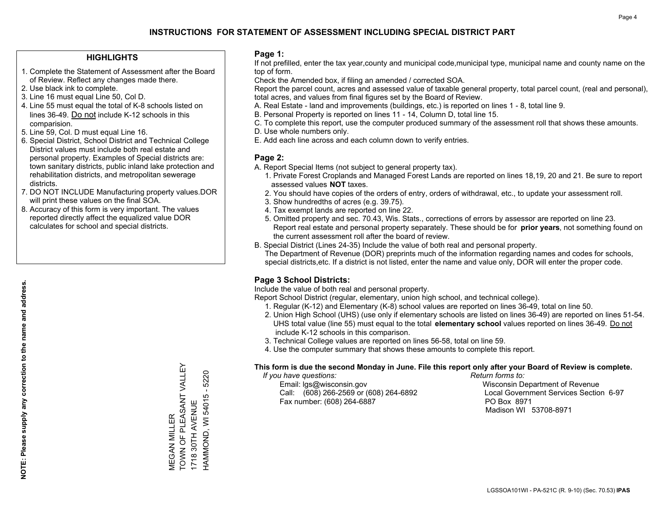### **HIGHLIGHTS**

- 1. Complete the Statement of Assessment after the Board of Review. Reflect any changes made there.
- 2. Use black ink to complete.
- 3. Line 16 must equal Line 50, Col D.
- 4. Line 55 must equal the total of K-8 schools listed on lines 36-49. Do not include K-12 schools in this comparision.
- 5. Line 59, Col. D must equal Line 16.
- 6. Special District, School District and Technical College District values must include both real estate and personal property. Examples of Special districts are: town sanitary districts, public inland lake protection and rehabilitation districts, and metropolitan sewerage districts.
- 7. DO NOT INCLUDE Manufacturing property values.DOR will print these values on the final SOA.
- 8. Accuracy of this form is very important. The values reported directly affect the equalized value DOR calculates for school and special districts.

#### **Page 1:**

 If not prefilled, enter the tax year,county and municipal code,municipal type, municipal name and county name on the top of form.

Check the Amended box, if filing an amended / corrected SOA.

 Report the parcel count, acres and assessed value of taxable general property, total parcel count, (real and personal), total acres, and values from final figures set by the Board of Review.

- A. Real Estate land and improvements (buildings, etc.) is reported on lines 1 8, total line 9.
- B. Personal Property is reported on lines 11 14, Column D, total line 15.
- C. To complete this report, use the computer produced summary of the assessment roll that shows these amounts.
- D. Use whole numbers only.
- E. Add each line across and each column down to verify entries.

## **Page 2:**

- A. Report Special Items (not subject to general property tax).
- 1. Private Forest Croplands and Managed Forest Lands are reported on lines 18,19, 20 and 21. Be sure to report assessed values **NOT** taxes.
- 2. You should have copies of the orders of entry, orders of withdrawal, etc., to update your assessment roll.
	- 3. Show hundredths of acres (e.g. 39.75).
- 4. Tax exempt lands are reported on line 22.
- 5. Omitted property and sec. 70.43, Wis. Stats., corrections of errors by assessor are reported on line 23. Report real estate and personal property separately. These should be for **prior years**, not something found on the current assessment roll after the board of review.
- B. Special District (Lines 24-35) Include the value of both real and personal property.
- The Department of Revenue (DOR) preprints much of the information regarding names and codes for schools, special districts,etc. If a district is not listed, enter the name and value only, DOR will enter the proper code.

## **Page 3 School Districts:**

Include the value of both real and personal property.

Report School District (regular, elementary, union high school, and technical college).

- 1. Regular (K-12) and Elementary (K-8) school values are reported on lines 36-49, total on line 50.
- 2. Union High School (UHS) (use only if elementary schools are listed on lines 36-49) are reported on lines 51-54. UHS total value (line 55) must equal to the total **elementary school** values reported on lines 36-49. Do notinclude K-12 schools in this comparison.
- 3. Technical College values are reported on lines 56-58, total on line 59.
- 4. Use the computer summary that shows these amounts to complete this report.

#### **This form is due the second Monday in June. File this report only after your Board of Review is complete.**

 *If you have questions: Return forms to:*

 Email: lgs@wisconsin.gov Wisconsin Department of RevenueCall:  $(608)$  266-2569 or  $(608)$  264-6892 Fax number: (608) 264-6887 PO Box 8971

Local Government Services Section 6-97 Madison WI 53708-8971

TOWN OF PLEASANT VALLEY VIEGAN MILLER<br>TOWN OF PLEASANT VALLEY 5220 HAMMOND, WI 54015 - 5220 HAMMOND, WI 54015 -1718 30TH AVENUE 1718 30TH AVENUE MEGAN MILLER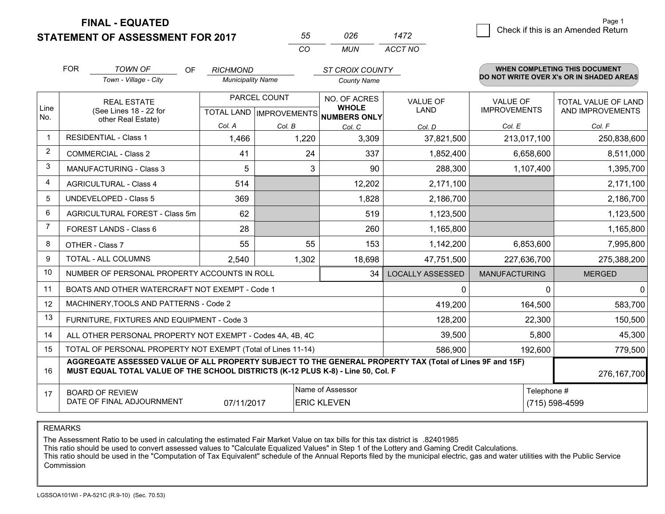**FINAL - EQUATED**

**STATEMENT OF ASSESSMENT FOR 2017** 

| 55       | ハンド | 1472    |
|----------|-----|---------|
| $\cdots$ | MUN | ACCT NO |

|                         | <b>FOR</b>                                                                                                                                                                                   | <b>TOWN OF</b><br>OF                                         | <b>RICHMOND</b>          |                                      | <b>ST CROIX COUNTY</b>       |                         |                      | WHEN COMPLETING THIS DOCUMENT            |
|-------------------------|----------------------------------------------------------------------------------------------------------------------------------------------------------------------------------------------|--------------------------------------------------------------|--------------------------|--------------------------------------|------------------------------|-------------------------|----------------------|------------------------------------------|
|                         |                                                                                                                                                                                              | Town - Village - City                                        | <b>Municipality Name</b> |                                      | <b>County Name</b>           |                         |                      | DO NOT WRITE OVER X's OR IN SHADED AREAS |
| Line                    |                                                                                                                                                                                              | <b>REAL ESTATE</b>                                           | PARCEL COUNT             |                                      | NO. OF ACRES<br><b>WHOLE</b> | <b>VALUE OF</b>         | <b>VALUE OF</b>      | <b>TOTAL VALUE OF LAND</b>               |
| No.                     | (See Lines 18 - 22 for<br>other Real Estate)                                                                                                                                                 |                                                              |                          | TOTAL LAND IMPROVEMENTS NUMBERS ONLY | LAND                         | <b>IMPROVEMENTS</b>     | AND IMPROVEMENTS     |                                          |
|                         |                                                                                                                                                                                              |                                                              | Col. A                   | Col. B                               | Col. C                       | Col. D                  | Col. E               | Col. F                                   |
| $\mathbf 1$             |                                                                                                                                                                                              | <b>RESIDENTIAL - Class 1</b>                                 | 1,466                    | 1,220                                | 3,309                        | 37,821,500              | 213,017,100          | 250,838,600                              |
| $\overline{2}$          |                                                                                                                                                                                              | <b>COMMERCIAL - Class 2</b>                                  | 41                       | 24                                   | 337                          | 1,852,400               | 6,658,600            | 8,511,000                                |
| 3                       |                                                                                                                                                                                              | <b>MANUFACTURING - Class 3</b>                               | 5                        | 3                                    | 90                           | 288,300                 | 1,107,400            | 1,395,700                                |
| $\overline{\mathbf{4}}$ |                                                                                                                                                                                              | <b>AGRICULTURAL - Class 4</b>                                | 514                      |                                      | 12,202                       | 2,171,100               |                      | 2,171,100                                |
| 5                       |                                                                                                                                                                                              | <b>UNDEVELOPED - Class 5</b>                                 | 369                      |                                      | 1,828                        | 2,186,700               |                      | 2,186,700                                |
| 6                       |                                                                                                                                                                                              | AGRICULTURAL FOREST - Class 5m                               | 62                       |                                      | 519                          | 1,123,500               |                      | 1,123,500                                |
| $\overline{7}$          |                                                                                                                                                                                              | FOREST LANDS - Class 6                                       | 28                       |                                      | 260                          | 1,165,800               |                      | 1,165,800                                |
| 8                       |                                                                                                                                                                                              | OTHER - Class 7                                              | 55                       | 55                                   | 153                          | 1,142,200               | 6,853,600            | 7,995,800                                |
| 9                       |                                                                                                                                                                                              | TOTAL - ALL COLUMNS                                          | 2,540                    | 1,302                                | 18,698                       | 47,751,500              | 227,636,700          | 275,388,200                              |
| 10                      |                                                                                                                                                                                              | NUMBER OF PERSONAL PROPERTY ACCOUNTS IN ROLL                 |                          |                                      | 34                           | <b>LOCALLY ASSESSED</b> | <b>MANUFACTURING</b> | <b>MERGED</b>                            |
| 11                      |                                                                                                                                                                                              | BOATS AND OTHER WATERCRAFT NOT EXEMPT - Code 1               |                          |                                      |                              | 0                       | $\Omega$             | $\mathbf{0}$                             |
| 12                      |                                                                                                                                                                                              | MACHINERY, TOOLS AND PATTERNS - Code 2                       |                          |                                      |                              | 419,200                 | 164,500              | 583,700                                  |
| 13                      |                                                                                                                                                                                              | FURNITURE, FIXTURES AND EQUIPMENT - Code 3                   |                          |                                      |                              | 128,200                 | 22,300               | 150,500                                  |
| 14                      |                                                                                                                                                                                              | ALL OTHER PERSONAL PROPERTY NOT EXEMPT - Codes 4A, 4B, 4C    |                          |                                      |                              | 39,500                  | 5,800                | 45,300                                   |
| 15                      |                                                                                                                                                                                              | TOTAL OF PERSONAL PROPERTY NOT EXEMPT (Total of Lines 11-14) | 586,900                  | 192,600                              | 779,500                      |                         |                      |                                          |
| 16                      | AGGREGATE ASSESSED VALUE OF ALL PROPERTY SUBJECT TO THE GENERAL PROPERTY TAX (Total of Lines 9F and 15F)<br>MUST EQUAL TOTAL VALUE OF THE SCHOOL DISTRICTS (K-12 PLUS K-8) - Line 50, Col. F |                                                              |                          |                                      |                              |                         | 276, 167, 700        |                                          |
| 17                      |                                                                                                                                                                                              | <b>BOARD OF REVIEW</b>                                       |                          |                                      | Name of Assessor             |                         | Telephone #          |                                          |
|                         | DATE OF FINAL ADJOURNMENT<br>07/11/2017<br><b>ERIC KLEVEN</b><br>(715) 598-4599                                                                                                              |                                                              |                          |                                      |                              |                         |                      |                                          |

REMARKS

The Assessment Ratio to be used in calculating the estimated Fair Market Value on tax bills for this tax district is .82401985<br>This ratio should be used to convert assessed values to "Calculate Equalized Values" in Step 1 Commission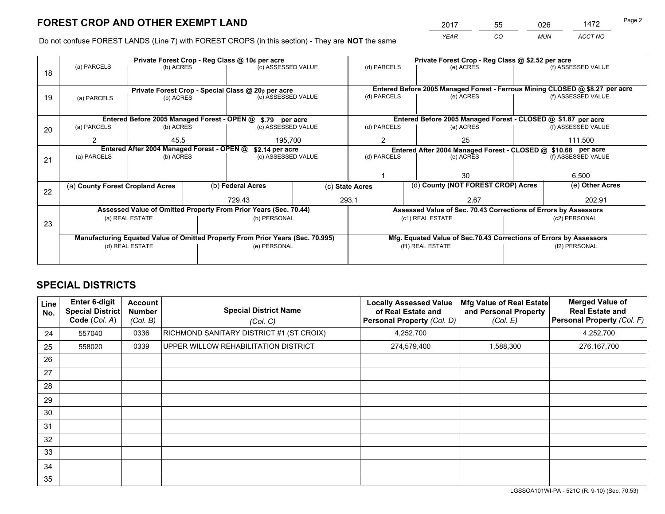*YEAR CO MUN ACCT NO* 2017 55 026 1472 Page 2

Do not confuse FOREST LANDS (Line 7) with FOREST CROPS (in this section) - They are **NOT** the same

|    |                                                                                |                 |                    | Private Forest Crop - Reg Class @ 10¢ per acre                   |                 | Private Forest Crop - Reg Class @ \$2.52 per acre |                                                                 |                                                                    |                                                                              |                    |
|----|--------------------------------------------------------------------------------|-----------------|--------------------|------------------------------------------------------------------|-----------------|---------------------------------------------------|-----------------------------------------------------------------|--------------------------------------------------------------------|------------------------------------------------------------------------------|--------------------|
| 18 | (a) PARCELS                                                                    | (b) ACRES       |                    | (c) ASSESSED VALUE                                               |                 | (d) PARCELS                                       |                                                                 | (e) ACRES                                                          |                                                                              | (f) ASSESSED VALUE |
|    |                                                                                |                 |                    |                                                                  |                 |                                                   |                                                                 |                                                                    |                                                                              |                    |
|    | Private Forest Crop - Special Class @ 20¢ per acre                             |                 |                    |                                                                  |                 |                                                   |                                                                 |                                                                    | Entered Before 2005 Managed Forest - Ferrous Mining CLOSED @ \$8.27 per acre |                    |
| 19 | (b) ACRES<br>(a) PARCELS                                                       |                 | (c) ASSESSED VALUE |                                                                  | (d) PARCELS     |                                                   | (e) ACRES                                                       |                                                                    | (f) ASSESSED VALUE                                                           |                    |
|    |                                                                                |                 |                    |                                                                  |                 |                                                   |                                                                 |                                                                    |                                                                              |                    |
|    |                                                                                |                 |                    | Entered Before 2005 Managed Forest - OPEN @ \$.79 per acre       |                 |                                                   |                                                                 | Entered Before 2005 Managed Forest - CLOSED @ \$1.87 per acre      |                                                                              |                    |
| 20 | (a) PARCELS                                                                    | (b) ACRES       |                    | (c) ASSESSED VALUE                                               |                 | (d) PARCELS                                       |                                                                 | (e) ACRES                                                          |                                                                              | (f) ASSESSED VALUE |
|    | $\mathfrak{p}$                                                                 | 45.5            |                    | 195,700                                                          |                 | 25<br>$\overline{2}$                              |                                                                 | 111,500                                                            |                                                                              |                    |
|    | Entered After 2004 Managed Forest - OPEN @                                     |                 |                    |                                                                  | \$2.14 per acre |                                                   |                                                                 | Entered After 2004 Managed Forest - CLOSED @ \$10.68 per acre      |                                                                              |                    |
| 21 | (a) PARCELS                                                                    | (b) ACRES       |                    | (c) ASSESSED VALUE                                               |                 | (d) PARCELS                                       |                                                                 | (e) ACRES                                                          |                                                                              | (f) ASSESSED VALUE |
|    |                                                                                |                 |                    |                                                                  |                 |                                                   |                                                                 |                                                                    |                                                                              |                    |
|    |                                                                                |                 |                    |                                                                  |                 |                                                   |                                                                 | 30                                                                 |                                                                              | 6,500              |
| 22 | (a) County Forest Cropland Acres                                               |                 |                    | (b) Federal Acres                                                | (c) State Acres |                                                   |                                                                 | (d) County (NOT FOREST CROP) Acres                                 |                                                                              | (e) Other Acres    |
|    |                                                                                |                 |                    | 729.43<br>293.1                                                  |                 | 2.67                                              |                                                                 |                                                                    | 202.91                                                                       |                    |
|    |                                                                                |                 |                    | Assessed Value of Omitted Property From Prior Years (Sec. 70.44) |                 |                                                   | Assessed Value of Sec. 70.43 Corrections of Errors by Assessors |                                                                    |                                                                              |                    |
| 23 |                                                                                | (a) REAL ESTATE |                    | (b) PERSONAL                                                     |                 |                                                   |                                                                 | (c1) REAL ESTATE                                                   |                                                                              | (c2) PERSONAL      |
|    |                                                                                |                 |                    |                                                                  |                 |                                                   |                                                                 |                                                                    |                                                                              |                    |
|    | Manufacturing Equated Value of Omitted Property From Prior Years (Sec. 70.995) |                 |                    |                                                                  |                 |                                                   |                                                                 | Mfg. Equated Value of Sec.70.43 Corrections of Errors by Assessors |                                                                              |                    |
|    |                                                                                | (d) REAL ESTATE |                    | (e) PERSONAL                                                     |                 | (f1) REAL ESTATE                                  |                                                                 |                                                                    | (f2) PERSONAL                                                                |                    |
|    |                                                                                |                 |                    |                                                                  |                 |                                                   |                                                                 |                                                                    |                                                                              |                    |

## **SPECIAL DISTRICTS**

| Line<br>No.     | Enter 6-digit<br><b>Special District</b><br>Code (Col. A) | <b>Account</b><br><b>Number</b><br>(Col. B) | <b>Special District Name</b><br>(Col. C) | <b>Locally Assessed Value</b><br>of Real Estate and<br>Personal Property (Col. D) | Mfg Value of Real Estate<br>and Personal Property<br>(Col. E) | <b>Merged Value of</b><br><b>Real Estate and</b><br>Personal Property (Col. F) |
|-----------------|-----------------------------------------------------------|---------------------------------------------|------------------------------------------|-----------------------------------------------------------------------------------|---------------------------------------------------------------|--------------------------------------------------------------------------------|
| 24              | 557040                                                    | 0336                                        | RICHMOND SANITARY DISTRICT #1 (ST CROIX) | 4,252,700                                                                         |                                                               | 4,252,700                                                                      |
| 25              | 558020                                                    | 0339                                        | UPPER WILLOW REHABILITATION DISTRICT     | 274,579,400                                                                       | 1,588,300                                                     | 276, 167, 700                                                                  |
| 26              |                                                           |                                             |                                          |                                                                                   |                                                               |                                                                                |
| 27              |                                                           |                                             |                                          |                                                                                   |                                                               |                                                                                |
| 28              |                                                           |                                             |                                          |                                                                                   |                                                               |                                                                                |
| 29              |                                                           |                                             |                                          |                                                                                   |                                                               |                                                                                |
| 30              |                                                           |                                             |                                          |                                                                                   |                                                               |                                                                                |
| 31              |                                                           |                                             |                                          |                                                                                   |                                                               |                                                                                |
| 32 <sup>2</sup> |                                                           |                                             |                                          |                                                                                   |                                                               |                                                                                |
| 33              |                                                           |                                             |                                          |                                                                                   |                                                               |                                                                                |
| 34              |                                                           |                                             |                                          |                                                                                   |                                                               |                                                                                |
| 35              |                                                           |                                             |                                          |                                                                                   |                                                               |                                                                                |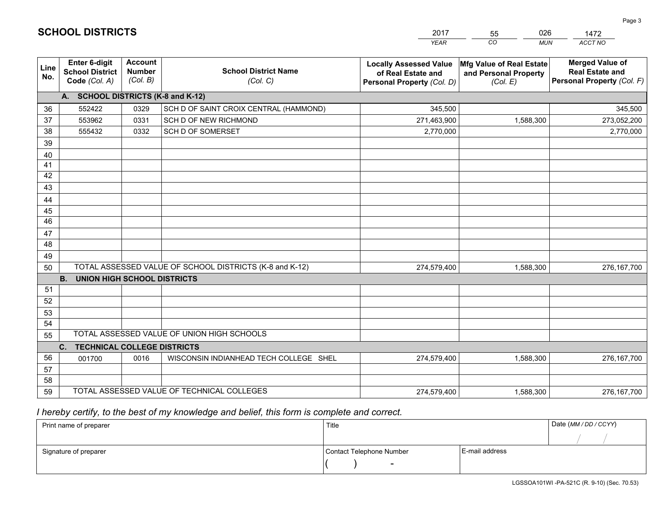|                 |                                                                 |                                             |                                                         | YEAR                                                                              | CO.<br><b>MUN</b>                                             | ACCT NO                                                                        |
|-----------------|-----------------------------------------------------------------|---------------------------------------------|---------------------------------------------------------|-----------------------------------------------------------------------------------|---------------------------------------------------------------|--------------------------------------------------------------------------------|
| Line<br>No.     | <b>Enter 6-digit</b><br><b>School District</b><br>Code (Col. A) | <b>Account</b><br><b>Number</b><br>(Col. B) | <b>School District Name</b><br>(Col. C)                 | <b>Locally Assessed Value</b><br>of Real Estate and<br>Personal Property (Col. D) | Mfg Value of Real Estate<br>and Personal Property<br>(Col. E) | <b>Merged Value of</b><br><b>Real Estate and</b><br>Personal Property (Col. F) |
|                 | A. SCHOOL DISTRICTS (K-8 and K-12)                              |                                             |                                                         |                                                                                   |                                                               |                                                                                |
| 36              | 552422                                                          | 0329                                        | SCH D OF SAINT CROIX CENTRAL (HAMMOND)                  | 345,500                                                                           |                                                               | 345,500                                                                        |
| 37              | 553962                                                          | 0331                                        | SCH D OF NEW RICHMOND                                   | 271,463,900                                                                       | 1,588,300                                                     | 273,052,200                                                                    |
| 38              | 555432                                                          | 0332                                        | SCH D OF SOMERSET                                       | 2,770,000                                                                         |                                                               | 2,770,000                                                                      |
| 39              |                                                                 |                                             |                                                         |                                                                                   |                                                               |                                                                                |
| 40              |                                                                 |                                             |                                                         |                                                                                   |                                                               |                                                                                |
| 41              |                                                                 |                                             |                                                         |                                                                                   |                                                               |                                                                                |
| 42              |                                                                 |                                             |                                                         |                                                                                   |                                                               |                                                                                |
| 43              |                                                                 |                                             |                                                         |                                                                                   |                                                               |                                                                                |
| 44              |                                                                 |                                             |                                                         |                                                                                   |                                                               |                                                                                |
| 45              |                                                                 |                                             |                                                         |                                                                                   |                                                               |                                                                                |
| $\overline{46}$ |                                                                 |                                             |                                                         |                                                                                   |                                                               |                                                                                |
| 47<br>48        |                                                                 |                                             |                                                         |                                                                                   |                                                               |                                                                                |
| 49              |                                                                 |                                             |                                                         |                                                                                   |                                                               |                                                                                |
| 50              |                                                                 |                                             | TOTAL ASSESSED VALUE OF SCHOOL DISTRICTS (K-8 and K-12) | 274,579,400                                                                       | 1,588,300                                                     | 276, 167, 700                                                                  |
|                 | <b>B.</b><br><b>UNION HIGH SCHOOL DISTRICTS</b>                 |                                             |                                                         |                                                                                   |                                                               |                                                                                |
| 51              |                                                                 |                                             |                                                         |                                                                                   |                                                               |                                                                                |
| 52              |                                                                 |                                             |                                                         |                                                                                   |                                                               |                                                                                |
| 53              |                                                                 |                                             |                                                         |                                                                                   |                                                               |                                                                                |
| 54              |                                                                 |                                             |                                                         |                                                                                   |                                                               |                                                                                |
| 55              |                                                                 |                                             | TOTAL ASSESSED VALUE OF UNION HIGH SCHOOLS              |                                                                                   |                                                               |                                                                                |
|                 | C.<br><b>TECHNICAL COLLEGE DISTRICTS</b>                        |                                             |                                                         |                                                                                   |                                                               |                                                                                |
| 56              | 001700                                                          | 0016                                        | WISCONSIN INDIANHEAD TECH COLLEGE SHEL                  | 274,579,400                                                                       | 1,588,300                                                     | 276,167,700                                                                    |
| 57              |                                                                 |                                             |                                                         |                                                                                   |                                                               |                                                                                |
| 58              |                                                                 |                                             |                                                         |                                                                                   |                                                               |                                                                                |
| 59              |                                                                 |                                             | TOTAL ASSESSED VALUE OF TECHNICAL COLLEGES              | 274,579,400                                                                       | 1,588,300                                                     | 276, 167, 700                                                                  |

55

026

 *I hereby certify, to the best of my knowledge and belief, this form is complete and correct.*

**SCHOOL DISTRICTS**

| Print name of preparer | Title                    |                | Date (MM / DD / CCYY) |
|------------------------|--------------------------|----------------|-----------------------|
|                        |                          |                |                       |
| Signature of preparer  | Contact Telephone Number | E-mail address |                       |
|                        | $\sim$                   |                |                       |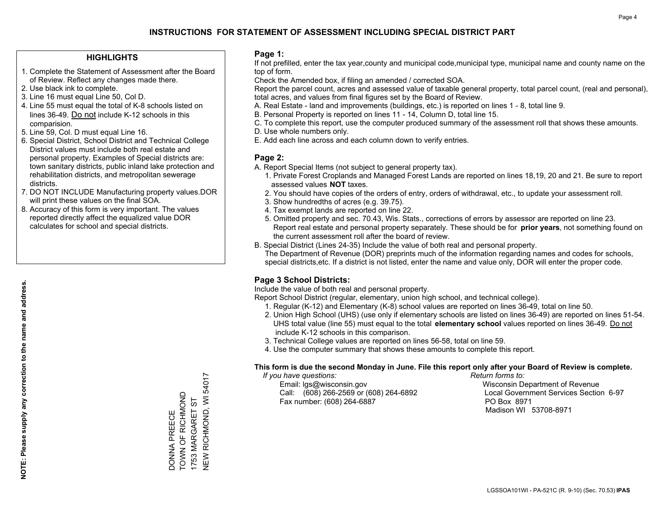### **HIGHLIGHTS**

- 1. Complete the Statement of Assessment after the Board of Review. Reflect any changes made there.
- 2. Use black ink to complete.
- 3. Line 16 must equal Line 50, Col D.
- 4. Line 55 must equal the total of K-8 schools listed on lines 36-49. Do not include K-12 schools in this comparision.
- 5. Line 59, Col. D must equal Line 16.
- 6. Special District, School District and Technical College District values must include both real estate and personal property. Examples of Special districts are: town sanitary districts, public inland lake protection and rehabilitation districts, and metropolitan sewerage districts.
- 7. DO NOT INCLUDE Manufacturing property values.DOR will print these values on the final SOA.

DONNA PREECE TOWN OF RICHMOND 1753 MARGARET ST

DONNA PREECE<br>TOWN OF RICHMOND 1753 MARGARET ST NEW RICHMOND, WI 54017

**NEW RICHMOND, WI 54017** 

 8. Accuracy of this form is very important. The values reported directly affect the equalized value DOR calculates for school and special districts.

#### **Page 1:**

 If not prefilled, enter the tax year,county and municipal code,municipal type, municipal name and county name on the top of form.

Check the Amended box, if filing an amended / corrected SOA.

 Report the parcel count, acres and assessed value of taxable general property, total parcel count, (real and personal), total acres, and values from final figures set by the Board of Review.

- A. Real Estate land and improvements (buildings, etc.) is reported on lines 1 8, total line 9.
- B. Personal Property is reported on lines 11 14, Column D, total line 15.
- C. To complete this report, use the computer produced summary of the assessment roll that shows these amounts.
- D. Use whole numbers only.
- E. Add each line across and each column down to verify entries.

### **Page 2:**

- A. Report Special Items (not subject to general property tax).
- 1. Private Forest Croplands and Managed Forest Lands are reported on lines 18,19, 20 and 21. Be sure to report assessed values **NOT** taxes.
- 2. You should have copies of the orders of entry, orders of withdrawal, etc., to update your assessment roll.
	- 3. Show hundredths of acres (e.g. 39.75).
- 4. Tax exempt lands are reported on line 22.
- 5. Omitted property and sec. 70.43, Wis. Stats., corrections of errors by assessor are reported on line 23. Report real estate and personal property separately. These should be for **prior years**, not something found on the current assessment roll after the board of review.
- B. Special District (Lines 24-35) Include the value of both real and personal property.

 The Department of Revenue (DOR) preprints much of the information regarding names and codes for schools, special districts,etc. If a district is not listed, enter the name and value only, DOR will enter the proper code.

## **Page 3 School Districts:**

Include the value of both real and personal property.

Report School District (regular, elementary, union high school, and technical college).

- 1. Regular (K-12) and Elementary (K-8) school values are reported on lines 36-49, total on line 50.
- 2. Union High School (UHS) (use only if elementary schools are listed on lines 36-49) are reported on lines 51-54. UHS total value (line 55) must equal to the total **elementary school** values reported on lines 36-49. Do notinclude K-12 schools in this comparison.
- 3. Technical College values are reported on lines 56-58, total on line 59.
- 4. Use the computer summary that shows these amounts to complete this report.

#### **This form is due the second Monday in June. File this report only after your Board of Review is complete.**

 *If you have questions: Return forms to:*

 Email: lgs@wisconsin.gov Wisconsin Department of RevenueCall:  $(608)$  266-2569 or  $(608)$  264-6892 Fax number: (608) 264-6887 PO Box 8971

Local Government Services Section 6-97 Madison WI 53708-8971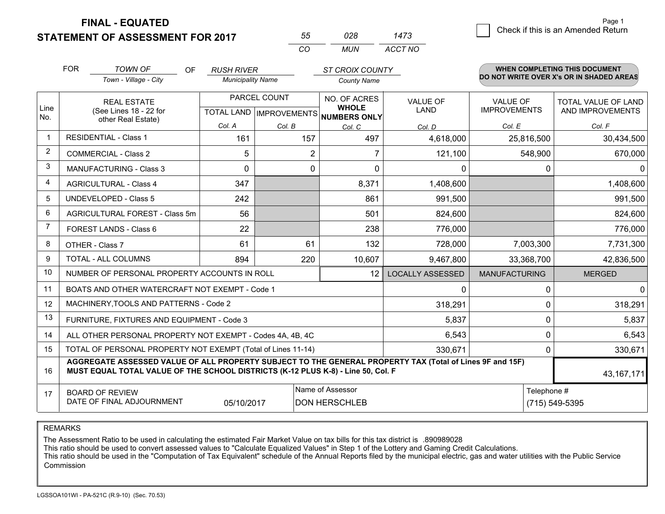**FINAL - EQUATED**

**STATEMENT OF ASSESSMENT FOR 2017** 

*CO MUN <sup>55</sup> <sup>028</sup> ACCT NO1473*

 $\overline{\mathcal{C}}$  Check if this is an Amended Return Page 1

|                | <b>FOR</b>                                                                                                                                                                                   | <b>TOWN OF</b><br>OF                                         | <b>RUSH RIVER</b>        |                                           | <b>ST CROIX COUNTY</b>                              |                               |                                        | <b>WHEN COMPLETING THIS DOCUMENT</b>           |
|----------------|----------------------------------------------------------------------------------------------------------------------------------------------------------------------------------------------|--------------------------------------------------------------|--------------------------|-------------------------------------------|-----------------------------------------------------|-------------------------------|----------------------------------------|------------------------------------------------|
|                |                                                                                                                                                                                              | Town - Village - City                                        | <b>Municipality Name</b> |                                           | <b>County Name</b>                                  |                               |                                        | DO NOT WRITE OVER X's OR IN SHADED AREAS       |
| Line<br>No.    |                                                                                                                                                                                              | <b>REAL ESTATE</b><br>(See Lines 18 - 22 for                 |                          | PARCEL COUNT<br>TOTAL LAND   IMPROVEMENTS | NO. OF ACRES<br><b>WHOLE</b><br><b>NUMBERS ONLY</b> | VALUE OF<br><b>LAND</b>       | <b>VALUE OF</b><br><b>IMPROVEMENTS</b> | <b>TOTAL VALUE OF LAND</b><br>AND IMPROVEMENTS |
|                |                                                                                                                                                                                              | other Real Estate)                                           | Col. A                   | Col. B                                    | Col. C                                              | Col. D                        | Col. E                                 | Col. F                                         |
| -1             |                                                                                                                                                                                              | <b>RESIDENTIAL - Class 1</b>                                 | 161                      | 157                                       | 497                                                 | 4,618,000                     | 25,816,500                             | 30,434,500                                     |
| 2              |                                                                                                                                                                                              | <b>COMMERCIAL - Class 2</b>                                  | 5                        | 2                                         | 7                                                   | 121,100                       | 548,900                                | 670,000                                        |
| 3              |                                                                                                                                                                                              | <b>MANUFACTURING - Class 3</b>                               | $\Omega$                 | $\Omega$                                  | $\Omega$                                            | 0                             | 0                                      |                                                |
| 4              |                                                                                                                                                                                              | <b>AGRICULTURAL - Class 4</b>                                | 347                      |                                           | 8,371                                               | 1,408,600                     |                                        | 1,408,600                                      |
| 5              |                                                                                                                                                                                              | <b>UNDEVELOPED - Class 5</b>                                 | 242                      |                                           | 861                                                 | 991,500                       |                                        | 991,500                                        |
| 6              |                                                                                                                                                                                              | AGRICULTURAL FOREST - Class 5m                               | 56                       |                                           | 501                                                 | 824,600                       |                                        | 824,600                                        |
| $\overline{7}$ |                                                                                                                                                                                              | FOREST LANDS - Class 6                                       | 22                       |                                           | 238                                                 | 776,000                       |                                        | 776,000                                        |
| 8              |                                                                                                                                                                                              | OTHER - Class 7                                              | 61                       | 61                                        | 132                                                 | 728,000                       | 7,003,300                              | 7,731,300                                      |
| 9              |                                                                                                                                                                                              | TOTAL - ALL COLUMNS                                          | 894                      | 220                                       | 10,607                                              | 9,467,800                     | 33,368,700                             | 42,836,500                                     |
| 10             |                                                                                                                                                                                              | NUMBER OF PERSONAL PROPERTY ACCOUNTS IN ROLL                 |                          |                                           | 12                                                  | <b>LOCALLY ASSESSED</b>       | <b>MANUFACTURING</b>                   | <b>MERGED</b>                                  |
| 11             |                                                                                                                                                                                              | BOATS AND OTHER WATERCRAFT NOT EXEMPT - Code 1               |                          |                                           |                                                     | 0                             | $\Omega$                               |                                                |
| 12             |                                                                                                                                                                                              | MACHINERY, TOOLS AND PATTERNS - Code 2                       |                          |                                           |                                                     | 318,291                       | 0                                      | 318,291                                        |
| 13             |                                                                                                                                                                                              | FURNITURE, FIXTURES AND EQUIPMENT - Code 3                   |                          |                                           |                                                     | 5,837                         | 0                                      | 5,837                                          |
| 14             |                                                                                                                                                                                              | ALL OTHER PERSONAL PROPERTY NOT EXEMPT - Codes 4A, 4B, 4C    |                          |                                           |                                                     | 6,543                         | 0                                      | 6,543                                          |
| 15             |                                                                                                                                                                                              | TOTAL OF PERSONAL PROPERTY NOT EXEMPT (Total of Lines 11-14) |                          |                                           |                                                     | 330,671                       | 0                                      | 330,671                                        |
| 16             | AGGREGATE ASSESSED VALUE OF ALL PROPERTY SUBJECT TO THE GENERAL PROPERTY TAX (Total of Lines 9F and 15F)<br>MUST EQUAL TOTAL VALUE OF THE SCHOOL DISTRICTS (K-12 PLUS K-8) - Line 50, Col. F |                                                              |                          |                                           |                                                     |                               |                                        | 43, 167, 171                                   |
| 17             |                                                                                                                                                                                              | <b>BOARD OF REVIEW</b><br>DATE OF FINAL ADJOURNMENT          | 05/10/2017               |                                           | Name of Assessor<br><b>DON HERSCHLEB</b>            | Telephone #<br>(715) 549-5395 |                                        |                                                |

REMARKS

The Assessment Ratio to be used in calculating the estimated Fair Market Value on tax bills for this tax district is .890989028<br>This ratio should be used to convert assessed values to "Calculate Equalized Values" in Step 1 Commission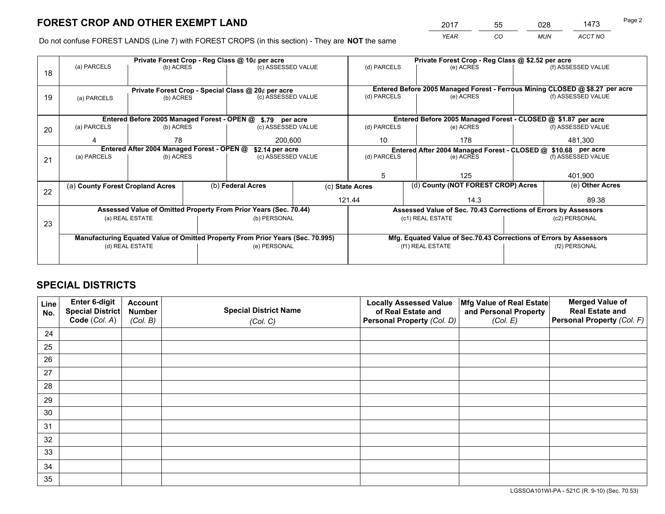*YEAR CO MUN ACCT NO* <sup>2017</sup> <sup>55</sup> <sup>028</sup> <sup>1473</sup> Page 2

Do not confuse FOREST LANDS (Line 7) with FOREST CROPS (in this section) - They are **NOT** the same

|    | Private Forest Crop - Reg Class @ 10¢ per acre                                 |                 |  |                                                                  |  |                          | Private Forest Crop - Reg Class @ \$2.52 per acre             |                                                                    |                    |                                                                              |  |
|----|--------------------------------------------------------------------------------|-----------------|--|------------------------------------------------------------------|--|--------------------------|---------------------------------------------------------------|--------------------------------------------------------------------|--------------------|------------------------------------------------------------------------------|--|
| 18 | (a) PARCELS                                                                    | (b) ACRES       |  | (c) ASSESSED VALUE                                               |  | (d) PARCELS              |                                                               | (e) ACRES                                                          |                    | (f) ASSESSED VALUE                                                           |  |
|    |                                                                                |                 |  |                                                                  |  |                          |                                                               |                                                                    |                    |                                                                              |  |
|    |                                                                                |                 |  | Private Forest Crop - Special Class @ 20¢ per acre               |  |                          |                                                               |                                                                    |                    | Entered Before 2005 Managed Forest - Ferrous Mining CLOSED @ \$8.27 per acre |  |
| 19 | (a) PARCELS                                                                    | (b) ACRES       |  | (c) ASSESSED VALUE                                               |  | (d) PARCELS              |                                                               | (e) ACRES                                                          |                    | (f) ASSESSED VALUE                                                           |  |
|    |                                                                                |                 |  |                                                                  |  |                          |                                                               |                                                                    |                    |                                                                              |  |
|    | Entered Before 2005 Managed Forest - OPEN @ \$.79 per acre                     |                 |  |                                                                  |  |                          | Entered Before 2005 Managed Forest - CLOSED @ \$1.87 per acre |                                                                    |                    |                                                                              |  |
| 20 | (a) PARCELS                                                                    | (b) ACRES       |  | (c) ASSESSED VALUE                                               |  | (d) PARCELS              |                                                               | (e) ACRES                                                          |                    | (f) ASSESSED VALUE                                                           |  |
|    |                                                                                | 78              |  | 200.600                                                          |  | 10                       |                                                               | 178                                                                |                    | 481,300                                                                      |  |
|    | Entered After 2004 Managed Forest - OPEN @<br>\$2.14 per acre                  |                 |  |                                                                  |  |                          | Entered After 2004 Managed Forest - CLOSED @ \$10.68 per acre |                                                                    |                    |                                                                              |  |
| 21 | (a) PARCELS                                                                    | (b) ACRES       |  | (c) ASSESSED VALUE                                               |  | (d) PARCELS<br>(e) ACRES |                                                               |                                                                    | (f) ASSESSED VALUE |                                                                              |  |
|    |                                                                                |                 |  |                                                                  |  |                          |                                                               |                                                                    |                    |                                                                              |  |
|    |                                                                                |                 |  |                                                                  |  | 5                        |                                                               | 125                                                                |                    | 401,900                                                                      |  |
| 22 | (a) County Forest Cropland Acres                                               |                 |  | (b) Federal Acres                                                |  | (c) State Acres          |                                                               | (d) County (NOT FOREST CROP) Acres                                 |                    | (e) Other Acres                                                              |  |
|    |                                                                                |                 |  |                                                                  |  | 121.44                   |                                                               | 14.3                                                               |                    | 89.38                                                                        |  |
|    |                                                                                |                 |  | Assessed Value of Omitted Property From Prior Years (Sec. 70.44) |  |                          |                                                               | Assessed Value of Sec. 70.43 Corrections of Errors by Assessors    |                    |                                                                              |  |
| 23 |                                                                                | (a) REAL ESTATE |  | (b) PERSONAL                                                     |  |                          |                                                               | (c1) REAL ESTATE                                                   |                    | (c2) PERSONAL                                                                |  |
|    |                                                                                |                 |  |                                                                  |  |                          |                                                               |                                                                    |                    |                                                                              |  |
|    | Manufacturing Equated Value of Omitted Property From Prior Years (Sec. 70.995) |                 |  |                                                                  |  |                          |                                                               | Mfg. Equated Value of Sec.70.43 Corrections of Errors by Assessors |                    |                                                                              |  |
|    | (d) REAL ESTATE                                                                |                 |  | (e) PERSONAL                                                     |  |                          |                                                               | (f1) REAL ESTATE                                                   |                    | (f2) PERSONAL                                                                |  |
|    |                                                                                |                 |  |                                                                  |  |                          |                                                               |                                                                    |                    |                                                                              |  |

## **SPECIAL DISTRICTS**

| Line<br>No. | Enter 6-digit<br><b>Special District</b> | <b>Account</b><br><b>Number</b> | <b>Special District Name</b> | <b>Locally Assessed Value</b><br>of Real Estate and | Mfg Value of Real Estate<br>and Personal Property | <b>Merged Value of</b><br><b>Real Estate and</b> |
|-------------|------------------------------------------|---------------------------------|------------------------------|-----------------------------------------------------|---------------------------------------------------|--------------------------------------------------|
|             | Code (Col. A)                            | (Col. B)                        | (Col. C)                     | Personal Property (Col. D)                          | (Col. E)                                          | Personal Property (Col. F)                       |
| 24          |                                          |                                 |                              |                                                     |                                                   |                                                  |
| 25          |                                          |                                 |                              |                                                     |                                                   |                                                  |
| 26          |                                          |                                 |                              |                                                     |                                                   |                                                  |
| 27          |                                          |                                 |                              |                                                     |                                                   |                                                  |
| 28          |                                          |                                 |                              |                                                     |                                                   |                                                  |
| 29          |                                          |                                 |                              |                                                     |                                                   |                                                  |
| 30          |                                          |                                 |                              |                                                     |                                                   |                                                  |
| 31          |                                          |                                 |                              |                                                     |                                                   |                                                  |
| 32          |                                          |                                 |                              |                                                     |                                                   |                                                  |
| 33          |                                          |                                 |                              |                                                     |                                                   |                                                  |
| 34          |                                          |                                 |                              |                                                     |                                                   |                                                  |
| 35          |                                          |                                 |                              |                                                     |                                                   |                                                  |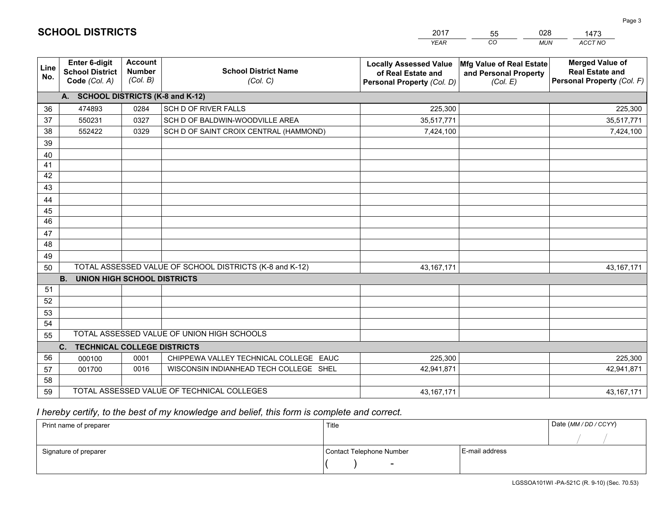|                 |                                                          |                                             |                                                         | YEAR                                                                              | CO.<br><b>MUN</b>                                             | ACCT NO                                                                        |
|-----------------|----------------------------------------------------------|---------------------------------------------|---------------------------------------------------------|-----------------------------------------------------------------------------------|---------------------------------------------------------------|--------------------------------------------------------------------------------|
| Line<br>No.     | Enter 6-digit<br><b>School District</b><br>Code (Col. A) | <b>Account</b><br><b>Number</b><br>(Col. B) | <b>School District Name</b><br>(Col. C)                 | <b>Locally Assessed Value</b><br>of Real Estate and<br>Personal Property (Col. D) | Mfg Value of Real Estate<br>and Personal Property<br>(Col. E) | <b>Merged Value of</b><br><b>Real Estate and</b><br>Personal Property (Col. F) |
|                 | A. SCHOOL DISTRICTS (K-8 and K-12)                       |                                             |                                                         |                                                                                   |                                                               |                                                                                |
| 36              | 474893                                                   | 0284                                        | SCH D OF RIVER FALLS                                    | 225,300                                                                           |                                                               | 225,300                                                                        |
| 37              | 550231                                                   | 0327                                        | SCH D OF BALDWIN-WOODVILLE AREA                         | 35,517,771                                                                        |                                                               | 35,517,771                                                                     |
| 38              | 552422                                                   | 0329                                        | SCH D OF SAINT CROIX CENTRAL (HAMMOND)                  | 7,424,100                                                                         |                                                               | 7,424,100                                                                      |
| 39              |                                                          |                                             |                                                         |                                                                                   |                                                               |                                                                                |
| 40              |                                                          |                                             |                                                         |                                                                                   |                                                               |                                                                                |
| 41              |                                                          |                                             |                                                         |                                                                                   |                                                               |                                                                                |
| 42              |                                                          |                                             |                                                         |                                                                                   |                                                               |                                                                                |
| 43              |                                                          |                                             |                                                         |                                                                                   |                                                               |                                                                                |
| 44              |                                                          |                                             |                                                         |                                                                                   |                                                               |                                                                                |
| 45              |                                                          |                                             |                                                         |                                                                                   |                                                               |                                                                                |
| $\overline{46}$ |                                                          |                                             |                                                         |                                                                                   |                                                               |                                                                                |
| 47              |                                                          |                                             |                                                         |                                                                                   |                                                               |                                                                                |
| 48              |                                                          |                                             |                                                         |                                                                                   |                                                               |                                                                                |
| 49              |                                                          |                                             |                                                         |                                                                                   |                                                               |                                                                                |
| 50              |                                                          |                                             | TOTAL ASSESSED VALUE OF SCHOOL DISTRICTS (K-8 and K-12) | 43, 167, 171                                                                      |                                                               | 43, 167, 171                                                                   |
|                 | <b>B.</b><br><b>UNION HIGH SCHOOL DISTRICTS</b>          |                                             |                                                         |                                                                                   |                                                               |                                                                                |
| 51              |                                                          |                                             |                                                         |                                                                                   |                                                               |                                                                                |
| 52              |                                                          |                                             |                                                         |                                                                                   |                                                               |                                                                                |
| 53              |                                                          |                                             |                                                         |                                                                                   |                                                               |                                                                                |
| 54              |                                                          |                                             |                                                         |                                                                                   |                                                               |                                                                                |
| 55              |                                                          |                                             | TOTAL ASSESSED VALUE OF UNION HIGH SCHOOLS              |                                                                                   |                                                               |                                                                                |
|                 | C.<br><b>TECHNICAL COLLEGE DISTRICTS</b>                 |                                             |                                                         |                                                                                   |                                                               |                                                                                |
| 56              | 000100                                                   | 0001                                        | CHIPPEWA VALLEY TECHNICAL COLLEGE EAUC                  | 225,300                                                                           |                                                               | 225,300                                                                        |
| 57              | 001700                                                   | 0016                                        | WISCONSIN INDIANHEAD TECH COLLEGE SHEL                  | 42,941,871                                                                        |                                                               | 42,941,871                                                                     |
| 58              |                                                          |                                             |                                                         |                                                                                   |                                                               |                                                                                |
| 59              |                                                          |                                             | TOTAL ASSESSED VALUE OF TECHNICAL COLLEGES              | 43, 167, 171                                                                      |                                                               | 43, 167, 171                                                                   |

55

028

## *I hereby certify, to the best of my knowledge and belief, this form is complete and correct.*

**SCHOOL DISTRICTS**

| Print name of preparer | Title                    |                | Date (MM / DD / CCYY) |
|------------------------|--------------------------|----------------|-----------------------|
|                        |                          |                |                       |
| Signature of preparer  | Contact Telephone Number | E-mail address |                       |
|                        | $\overline{\phantom{0}}$ |                |                       |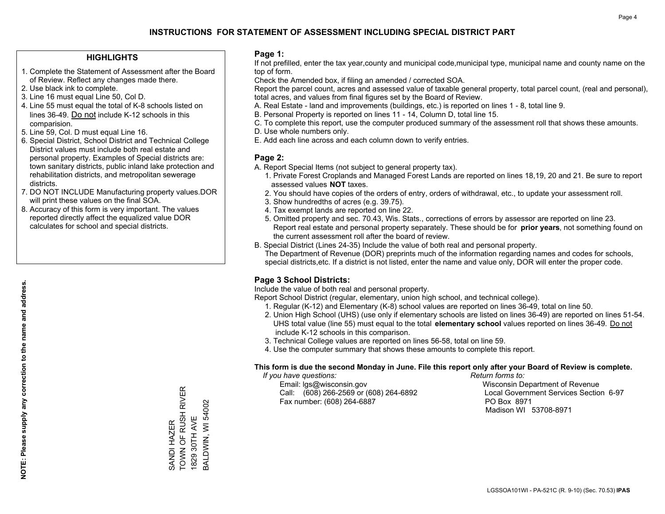### **HIGHLIGHTS**

- 1. Complete the Statement of Assessment after the Board of Review. Reflect any changes made there.
- 2. Use black ink to complete.
- 3. Line 16 must equal Line 50, Col D.
- 4. Line 55 must equal the total of K-8 schools listed on lines 36-49. Do not include K-12 schools in this comparision.
- 5. Line 59, Col. D must equal Line 16.
- 6. Special District, School District and Technical College District values must include both real estate and personal property. Examples of Special districts are: town sanitary districts, public inland lake protection and rehabilitation districts, and metropolitan sewerage districts.
- 7. DO NOT INCLUDE Manufacturing property values.DOR will print these values on the final SOA.
- 8. Accuracy of this form is very important. The values reported directly affect the equalized value DOR calculates for school and special districts.

#### **Page 1:**

 If not prefilled, enter the tax year,county and municipal code,municipal type, municipal name and county name on the top of form.

Check the Amended box, if filing an amended / corrected SOA.

 Report the parcel count, acres and assessed value of taxable general property, total parcel count, (real and personal), total acres, and values from final figures set by the Board of Review.

- A. Real Estate land and improvements (buildings, etc.) is reported on lines 1 8, total line 9.
- B. Personal Property is reported on lines 11 14, Column D, total line 15.
- C. To complete this report, use the computer produced summary of the assessment roll that shows these amounts.
- D. Use whole numbers only.
- E. Add each line across and each column down to verify entries.

### **Page 2:**

- A. Report Special Items (not subject to general property tax).
- 1. Private Forest Croplands and Managed Forest Lands are reported on lines 18,19, 20 and 21. Be sure to report assessed values **NOT** taxes.
- 2. You should have copies of the orders of entry, orders of withdrawal, etc., to update your assessment roll.
	- 3. Show hundredths of acres (e.g. 39.75).
- 4. Tax exempt lands are reported on line 22.
- 5. Omitted property and sec. 70.43, Wis. Stats., corrections of errors by assessor are reported on line 23. Report real estate and personal property separately. These should be for **prior years**, not something found on the current assessment roll after the board of review.
- B. Special District (Lines 24-35) Include the value of both real and personal property.

 The Department of Revenue (DOR) preprints much of the information regarding names and codes for schools, special districts,etc. If a district is not listed, enter the name and value only, DOR will enter the proper code.

## **Page 3 School Districts:**

Include the value of both real and personal property.

Report School District (regular, elementary, union high school, and technical college).

- 1. Regular (K-12) and Elementary (K-8) school values are reported on lines 36-49, total on line 50.
- 2. Union High School (UHS) (use only if elementary schools are listed on lines 36-49) are reported on lines 51-54. UHS total value (line 55) must equal to the total **elementary school** values reported on lines 36-49. Do notinclude K-12 schools in this comparison.
- 3. Technical College values are reported on lines 56-58, total on line 59.
- 4. Use the computer summary that shows these amounts to complete this report.

#### **This form is due the second Monday in June. File this report only after your Board of Review is complete.**

 *If you have questions: Return forms to:*

 Email: lgs@wisconsin.gov Wisconsin Department of RevenueCall:  $(608)$  266-2569 or  $(608)$  264-6892 Fax number: (608) 264-6887 PO Box 8971

Local Government Services Section 6-97 Madison WI 53708-8971

TOWN OF RUSH RIVER SANDI HAZER<br>TOWN OF RUSH RIVER BALDWIN, WI 54002 BALDWIN, WI 54002 1829 30TH AVE 1829 30TH AVE SANDI HAZER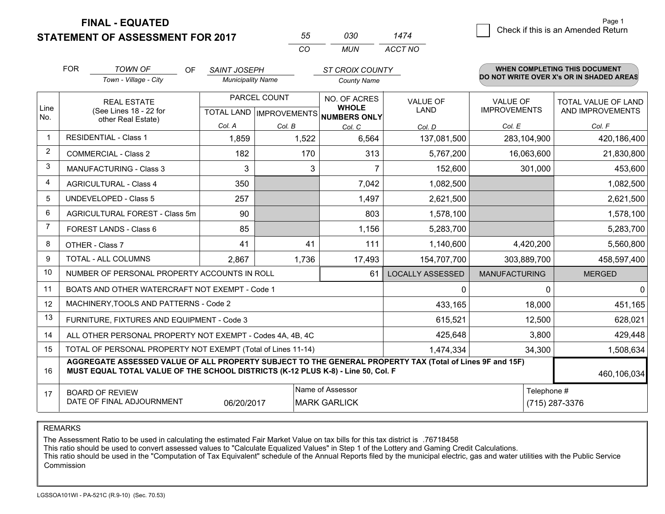**STATEMENT OF ASSESSMENT FOR 2017 FINAL - EQUATED**

| 55 | กจก | 1474    |
|----|-----|---------|
| cо | MUN | ACCT NO |

|                | <b>FOR</b><br><b>TOWN OF</b><br>OF<br><b>SAINT JOSEPH</b><br>Town - Village - City<br><b>Municipality Name</b> |                                                                                                                                                                                              | <b>ST CROIX COUNTY</b><br><b>County Name</b> |                                                                                                        |                 | WHEN COMPLETING THIS DOCUMENT<br>DO NOT WRITE OVER X's OR IN SHADED AREAS |                                                |                       |
|----------------|----------------------------------------------------------------------------------------------------------------|----------------------------------------------------------------------------------------------------------------------------------------------------------------------------------------------|----------------------------------------------|--------------------------------------------------------------------------------------------------------|-----------------|---------------------------------------------------------------------------|------------------------------------------------|-----------------------|
| Line<br>No.    | <b>REAL ESTATE</b><br>(See Lines 18 - 22 for<br>other Real Estate)<br>Col. A                                   |                                                                                                                                                                                              | PARCEL COUNT                                 | NO. OF ACRES<br><b>VALUE OF</b><br><b>WHOLE</b><br><b>LAND</b><br>TOTAL LAND IMPROVEMENTS NUMBERS ONLY |                 | <b>VALUE OF</b><br><b>IMPROVEMENTS</b>                                    | <b>TOTAL VALUE OF LAND</b><br>AND IMPROVEMENTS |                       |
| -1             |                                                                                                                | <b>RESIDENTIAL - Class 1</b>                                                                                                                                                                 | 1,859                                        | Col. B<br>1,522                                                                                        | Col. C<br>6,564 | Col. D<br>137,081,500                                                     | Col. E<br>283,104,900                          | Col. F<br>420,186,400 |
| 2              |                                                                                                                | <b>COMMERCIAL - Class 2</b>                                                                                                                                                                  | 182                                          | 170                                                                                                    | 313             | 5,767,200                                                                 | 16,063,600                                     | 21,830,800            |
| 3              |                                                                                                                | MANUFACTURING - Class 3                                                                                                                                                                      | 3                                            | 3                                                                                                      | 7               | 152,600                                                                   | 301,000                                        | 453,600               |
| 4              |                                                                                                                | <b>AGRICULTURAL - Class 4</b>                                                                                                                                                                | 350                                          |                                                                                                        | 7,042           | 1,082,500                                                                 |                                                | 1,082,500             |
| 5              |                                                                                                                | UNDEVELOPED - Class 5                                                                                                                                                                        | 257                                          |                                                                                                        | 1,497           | 2,621,500                                                                 |                                                | 2,621,500             |
| 6              | AGRICULTURAL FOREST - Class 5m                                                                                 |                                                                                                                                                                                              | 90                                           |                                                                                                        | 803             | 1,578,100                                                                 |                                                | 1,578,100             |
| $\overline{7}$ |                                                                                                                | FOREST LANDS - Class 6                                                                                                                                                                       | 85                                           |                                                                                                        | 1,156           | 5,283,700                                                                 |                                                | 5,283,700             |
| 8              |                                                                                                                | OTHER - Class 7                                                                                                                                                                              | 41                                           | 41                                                                                                     | 111             | 1,140,600                                                                 | 4,420,200                                      | 5,560,800             |
| 9              |                                                                                                                | TOTAL - ALL COLUMNS                                                                                                                                                                          | 2,867                                        | 1,736                                                                                                  | 17,493          | 154,707,700                                                               | 303,889,700                                    | 458,597,400           |
| 10             |                                                                                                                | NUMBER OF PERSONAL PROPERTY ACCOUNTS IN ROLL                                                                                                                                                 |                                              |                                                                                                        | 61              | <b>LOCALLY ASSESSED</b>                                                   | <b>MANUFACTURING</b>                           | <b>MERGED</b>         |
| 11             |                                                                                                                | BOATS AND OTHER WATERCRAFT NOT EXEMPT - Code 1                                                                                                                                               |                                              |                                                                                                        |                 | 0                                                                         | $\Omega$                                       | $\mathbf{0}$          |
| 12             |                                                                                                                | MACHINERY, TOOLS AND PATTERNS - Code 2                                                                                                                                                       |                                              |                                                                                                        |                 | 433,165                                                                   | 18,000                                         | 451,165               |
| 13             |                                                                                                                | FURNITURE, FIXTURES AND EQUIPMENT - Code 3                                                                                                                                                   |                                              |                                                                                                        |                 | 615,521                                                                   | 12,500                                         | 628,021               |
| 14             |                                                                                                                | ALL OTHER PERSONAL PROPERTY NOT EXEMPT - Codes 4A, 4B, 4C                                                                                                                                    |                                              |                                                                                                        |                 | 425,648                                                                   | 3,800                                          | 429,448               |
| 15             |                                                                                                                | TOTAL OF PERSONAL PROPERTY NOT EXEMPT (Total of Lines 11-14)                                                                                                                                 |                                              |                                                                                                        |                 | 1,474,334                                                                 | 34,300                                         | 1,508,634             |
| 16             |                                                                                                                | AGGREGATE ASSESSED VALUE OF ALL PROPERTY SUBJECT TO THE GENERAL PROPERTY TAX (Total of Lines 9F and 15F)<br>MUST EQUAL TOTAL VALUE OF THE SCHOOL DISTRICTS (K-12 PLUS K-8) - Line 50, Col. F |                                              |                                                                                                        |                 |                                                                           |                                                | 460,106,034           |
| 17             | Name of Assessor<br><b>BOARD OF REVIEW</b><br>DATE OF FINAL ADJOURNMENT<br><b>MARK GARLICK</b><br>06/20/2017   |                                                                                                                                                                                              |                                              |                                                                                                        |                 | Telephone #                                                               | (715) 287-3376                                 |                       |

REMARKS

The Assessment Ratio to be used in calculating the estimated Fair Market Value on tax bills for this tax district is .76718458

This ratio should be used to convert assessed values to "Calculate Equalized Values" in Step 1 of the Lottery and Gaming Credit Calculations.<br>This ratio should be used in the "Computation of Tax Equivalent" schedule of the Commission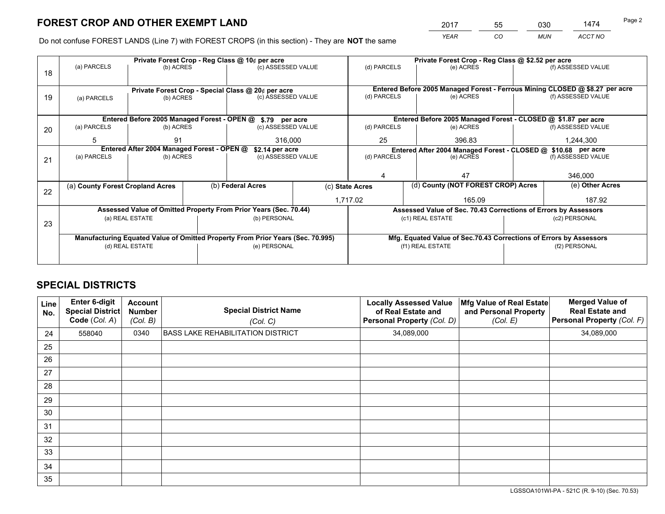*YEAR CO MUN ACCT NO* 2017 55 030 1474 Page 2

Do not confuse FOREST LANDS (Line 7) with FOREST CROPS (in this section) - They are **NOT** the same

|    | Private Forest Crop - Reg Class @ 10¢ per acre |                                                         |  |                                                                                |  |                                                                                           | Private Forest Crop - Reg Class @ \$2.52 per acre |                                                                    |  |                                                                              |  |
|----|------------------------------------------------|---------------------------------------------------------|--|--------------------------------------------------------------------------------|--|-------------------------------------------------------------------------------------------|---------------------------------------------------|--------------------------------------------------------------------|--|------------------------------------------------------------------------------|--|
| 18 | (a) PARCELS                                    | (b) ACRES                                               |  | (c) ASSESSED VALUE                                                             |  | (d) PARCELS                                                                               |                                                   | (e) ACRES                                                          |  | (f) ASSESSED VALUE                                                           |  |
|    |                                                |                                                         |  |                                                                                |  |                                                                                           |                                                   |                                                                    |  |                                                                              |  |
|    |                                                |                                                         |  | Private Forest Crop - Special Class @ 20¢ per acre                             |  |                                                                                           |                                                   |                                                                    |  | Entered Before 2005 Managed Forest - Ferrous Mining CLOSED @ \$8.27 per acre |  |
| 19 | (a) PARCELS                                    | (b) ACRES                                               |  | (c) ASSESSED VALUE                                                             |  | (d) PARCELS                                                                               |                                                   | (e) ACRES                                                          |  | (f) ASSESSED VALUE                                                           |  |
|    |                                                |                                                         |  |                                                                                |  |                                                                                           |                                                   |                                                                    |  |                                                                              |  |
|    |                                                | Entered Before 2005 Managed Forest - OPEN @             |  | \$.79 per acre                                                                 |  | Entered Before 2005 Managed Forest - CLOSED @ \$1.87 per acre                             |                                                   |                                                                    |  |                                                                              |  |
| 20 | (a) PARCELS                                    | (b) ACRES                                               |  | (c) ASSESSED VALUE                                                             |  | (d) PARCELS                                                                               |                                                   | (e) ACRES                                                          |  | (f) ASSESSED VALUE                                                           |  |
|    | 5                                              | 91                                                      |  | 316,000                                                                        |  | 25                                                                                        |                                                   | 396.83                                                             |  | 1,244,300                                                                    |  |
|    |                                                |                                                         |  |                                                                                |  |                                                                                           |                                                   |                                                                    |  |                                                                              |  |
|    | (a) PARCELS                                    | Entered After 2004 Managed Forest - OPEN @<br>(b) ACRES |  | \$2.14 per acre<br>(c) ASSESSED VALUE                                          |  | Entered After 2004 Managed Forest - CLOSED @ \$10.68 per acre<br>(d) PARCELS<br>(e) ACRES |                                                   |                                                                    |  | (f) ASSESSED VALUE                                                           |  |
| 21 |                                                |                                                         |  |                                                                                |  |                                                                                           |                                                   |                                                                    |  |                                                                              |  |
|    |                                                |                                                         |  |                                                                                |  |                                                                                           |                                                   |                                                                    |  |                                                                              |  |
|    |                                                |                                                         |  |                                                                                |  |                                                                                           |                                                   | 47                                                                 |  | 346,000                                                                      |  |
|    | (a) County Forest Cropland Acres               |                                                         |  | (b) Federal Acres                                                              |  | (c) State Acres                                                                           |                                                   | (d) County (NOT FOREST CROP) Acres                                 |  | (e) Other Acres                                                              |  |
| 22 |                                                |                                                         |  |                                                                                |  | 1,717.02                                                                                  |                                                   | 165.09                                                             |  | 187.92                                                                       |  |
|    |                                                |                                                         |  | Assessed Value of Omitted Property From Prior Years (Sec. 70.44)               |  |                                                                                           |                                                   | Assessed Value of Sec. 70.43 Corrections of Errors by Assessors    |  |                                                                              |  |
|    |                                                | (a) REAL ESTATE                                         |  | (b) PERSONAL                                                                   |  |                                                                                           |                                                   | (c1) REAL ESTATE                                                   |  | (c2) PERSONAL                                                                |  |
| 23 |                                                |                                                         |  |                                                                                |  |                                                                                           |                                                   |                                                                    |  |                                                                              |  |
|    |                                                |                                                         |  | Manufacturing Equated Value of Omitted Property From Prior Years (Sec. 70.995) |  |                                                                                           |                                                   | Mfg. Equated Value of Sec.70.43 Corrections of Errors by Assessors |  |                                                                              |  |
|    | (d) REAL ESTATE                                |                                                         |  | (e) PERSONAL                                                                   |  |                                                                                           |                                                   | (f1) REAL ESTATE                                                   |  | (f2) PERSONAL                                                                |  |
|    |                                                |                                                         |  |                                                                                |  |                                                                                           |                                                   |                                                                    |  |                                                                              |  |
|    |                                                |                                                         |  |                                                                                |  |                                                                                           |                                                   |                                                                    |  |                                                                              |  |

## **SPECIAL DISTRICTS**

| Line<br>No. | Enter 6-digit<br>Special District<br>Code (Col. A) | <b>Account</b><br><b>Number</b><br>(Col. B) | <b>Special District Name</b><br>(Col. C) | <b>Locally Assessed Value</b><br>of Real Estate and<br>Personal Property (Col. D) | Mfg Value of Real Estate<br>and Personal Property<br>(Col. E) | <b>Merged Value of</b><br><b>Real Estate and</b><br>Personal Property (Col. F) |
|-------------|----------------------------------------------------|---------------------------------------------|------------------------------------------|-----------------------------------------------------------------------------------|---------------------------------------------------------------|--------------------------------------------------------------------------------|
| 24          | 558040                                             | 0340                                        | <b>BASS LAKE REHABILITATION DISTRICT</b> | 34,089,000                                                                        |                                                               | 34,089,000                                                                     |
| 25          |                                                    |                                             |                                          |                                                                                   |                                                               |                                                                                |
| 26          |                                                    |                                             |                                          |                                                                                   |                                                               |                                                                                |
| 27          |                                                    |                                             |                                          |                                                                                   |                                                               |                                                                                |
| 28          |                                                    |                                             |                                          |                                                                                   |                                                               |                                                                                |
| 29          |                                                    |                                             |                                          |                                                                                   |                                                               |                                                                                |
| 30          |                                                    |                                             |                                          |                                                                                   |                                                               |                                                                                |
| 31          |                                                    |                                             |                                          |                                                                                   |                                                               |                                                                                |
| 32          |                                                    |                                             |                                          |                                                                                   |                                                               |                                                                                |
| 33          |                                                    |                                             |                                          |                                                                                   |                                                               |                                                                                |
| 34          |                                                    |                                             |                                          |                                                                                   |                                                               |                                                                                |
| 35          |                                                    |                                             |                                          |                                                                                   |                                                               |                                                                                |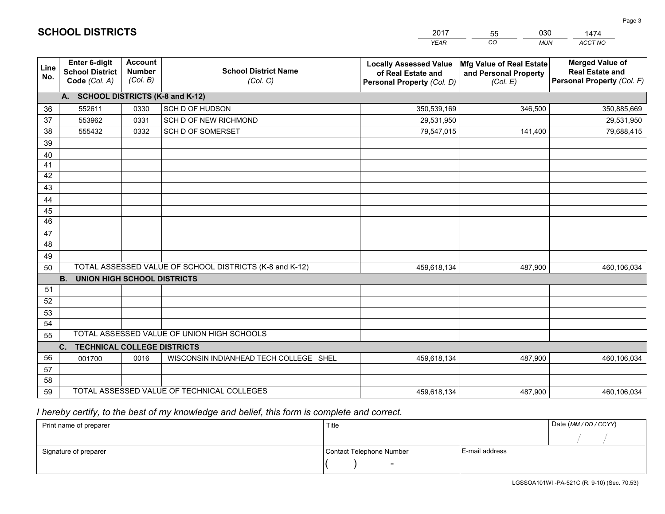|                 |                                                          |                                             |                                                         | <b>YEAR</b>                                                                       | CO<br><b>MUN</b>                                              | ACCT NO                                                                        |
|-----------------|----------------------------------------------------------|---------------------------------------------|---------------------------------------------------------|-----------------------------------------------------------------------------------|---------------------------------------------------------------|--------------------------------------------------------------------------------|
| Line<br>No.     | Enter 6-digit<br><b>School District</b><br>Code (Col. A) | <b>Account</b><br><b>Number</b><br>(Col. B) | <b>School District Name</b><br>(Col. C)                 | <b>Locally Assessed Value</b><br>of Real Estate and<br>Personal Property (Col. D) | Mfg Value of Real Estate<br>and Personal Property<br>(Col. E) | <b>Merged Value of</b><br><b>Real Estate and</b><br>Personal Property (Col. F) |
|                 | A. SCHOOL DISTRICTS (K-8 and K-12)                       |                                             |                                                         |                                                                                   |                                                               |                                                                                |
| 36              | 552611                                                   | 0330                                        | SCH D OF HUDSON                                         | 350,539,169                                                                       | 346,500                                                       | 350,885,669                                                                    |
| 37              | 553962                                                   | 0331                                        | SCH D OF NEW RICHMOND                                   | 29,531,950                                                                        |                                                               | 29,531,950                                                                     |
| 38              | 555432                                                   | 0332                                        | SCH D OF SOMERSET                                       | 79,547,015                                                                        | 141,400                                                       | 79,688,415                                                                     |
| 39              |                                                          |                                             |                                                         |                                                                                   |                                                               |                                                                                |
| 40              |                                                          |                                             |                                                         |                                                                                   |                                                               |                                                                                |
| 41              |                                                          |                                             |                                                         |                                                                                   |                                                               |                                                                                |
| 42              |                                                          |                                             |                                                         |                                                                                   |                                                               |                                                                                |
| 43              |                                                          |                                             |                                                         |                                                                                   |                                                               |                                                                                |
| 44              |                                                          |                                             |                                                         |                                                                                   |                                                               |                                                                                |
| 45              |                                                          |                                             |                                                         |                                                                                   |                                                               |                                                                                |
| $\overline{46}$ |                                                          |                                             |                                                         |                                                                                   |                                                               |                                                                                |
| 47              |                                                          |                                             |                                                         |                                                                                   |                                                               |                                                                                |
| 48              |                                                          |                                             |                                                         |                                                                                   |                                                               |                                                                                |
| 49              |                                                          |                                             |                                                         |                                                                                   |                                                               |                                                                                |
| 50              | <b>B.</b><br><b>UNION HIGH SCHOOL DISTRICTS</b>          |                                             | TOTAL ASSESSED VALUE OF SCHOOL DISTRICTS (K-8 and K-12) | 459,618,134                                                                       | 487,900                                                       | 460,106,034                                                                    |
| 51              |                                                          |                                             |                                                         |                                                                                   |                                                               |                                                                                |
| 52              |                                                          |                                             |                                                         |                                                                                   |                                                               |                                                                                |
| 53              |                                                          |                                             |                                                         |                                                                                   |                                                               |                                                                                |
| 54              |                                                          |                                             |                                                         |                                                                                   |                                                               |                                                                                |
| 55              |                                                          |                                             | TOTAL ASSESSED VALUE OF UNION HIGH SCHOOLS              |                                                                                   |                                                               |                                                                                |
|                 | C.<br><b>TECHNICAL COLLEGE DISTRICTS</b>                 |                                             |                                                         |                                                                                   |                                                               |                                                                                |
| 56              | 001700                                                   | 0016                                        | WISCONSIN INDIANHEAD TECH COLLEGE SHEL                  | 459,618,134                                                                       | 487,900                                                       | 460,106,034                                                                    |
| 57              |                                                          |                                             |                                                         |                                                                                   |                                                               |                                                                                |
| 58              |                                                          |                                             |                                                         |                                                                                   |                                                               |                                                                                |
| 59              |                                                          |                                             | TOTAL ASSESSED VALUE OF TECHNICAL COLLEGES              | 459,618,134                                                                       | 487,900                                                       | 460,106,034                                                                    |

55

030

 *I hereby certify, to the best of my knowledge and belief, this form is complete and correct.*

**SCHOOL DISTRICTS**

| Print name of preparer | Title                    |                | Date (MM / DD / CCYY) |
|------------------------|--------------------------|----------------|-----------------------|
|                        |                          |                |                       |
| Signature of preparer  | Contact Telephone Number | E-mail address |                       |
|                        | $\overline{\phantom{a}}$ |                |                       |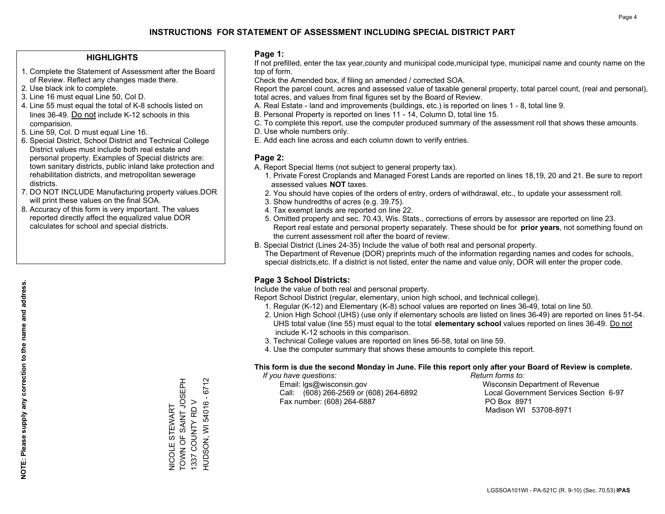### **HIGHLIGHTS**

- 1. Complete the Statement of Assessment after the Board of Review. Reflect any changes made there.
- 2. Use black ink to complete.
- 3. Line 16 must equal Line 50, Col D.
- 4. Line 55 must equal the total of K-8 schools listed on lines 36-49. Do not include K-12 schools in this comparision.
- 5. Line 59, Col. D must equal Line 16.
- 6. Special District, School District and Technical College District values must include both real estate and personal property. Examples of Special districts are: town sanitary districts, public inland lake protection and rehabilitation districts, and metropolitan sewerage districts.
- 7. DO NOT INCLUDE Manufacturing property values.DOR will print these values on the final SOA.
- 8. Accuracy of this form is very important. The values reported directly affect the equalized value DOR calculates for school and special districts.

#### **Page 1:**

 If not prefilled, enter the tax year,county and municipal code,municipal type, municipal name and county name on the top of form.

Check the Amended box, if filing an amended / corrected SOA.

 Report the parcel count, acres and assessed value of taxable general property, total parcel count, (real and personal), total acres, and values from final figures set by the Board of Review.

- A. Real Estate land and improvements (buildings, etc.) is reported on lines 1 8, total line 9.
- B. Personal Property is reported on lines 11 14, Column D, total line 15.
- C. To complete this report, use the computer produced summary of the assessment roll that shows these amounts.
- D. Use whole numbers only.
- E. Add each line across and each column down to verify entries.

## **Page 2:**

- A. Report Special Items (not subject to general property tax).
- 1. Private Forest Croplands and Managed Forest Lands are reported on lines 18,19, 20 and 21. Be sure to report assessed values **NOT** taxes.
- 2. You should have copies of the orders of entry, orders of withdrawal, etc., to update your assessment roll.
	- 3. Show hundredths of acres (e.g. 39.75).
- 4. Tax exempt lands are reported on line 22.
- 5. Omitted property and sec. 70.43, Wis. Stats., corrections of errors by assessor are reported on line 23. Report real estate and personal property separately. These should be for **prior years**, not something found on the current assessment roll after the board of review.
- B. Special District (Lines 24-35) Include the value of both real and personal property.
- The Department of Revenue (DOR) preprints much of the information regarding names and codes for schools, special districts,etc. If a district is not listed, enter the name and value only, DOR will enter the proper code.

## **Page 3 School Districts:**

Include the value of both real and personal property.

Report School District (regular, elementary, union high school, and technical college).

- 1. Regular (K-12) and Elementary (K-8) school values are reported on lines 36-49, total on line 50.
- 2. Union High School (UHS) (use only if elementary schools are listed on lines 36-49) are reported on lines 51-54. UHS total value (line 55) must equal to the total **elementary school** values reported on lines 36-49. Do notinclude K-12 schools in this comparison.
- 3. Technical College values are reported on lines 56-58, total on line 59.
- 4. Use the computer summary that shows these amounts to complete this report.

#### **This form is due the second Monday in June. File this report only after your Board of Review is complete.**

 *If you have questions: Return forms to:*

 Email: lgs@wisconsin.gov Wisconsin Department of RevenueCall:  $(608)$  266-2569 or  $(608)$  264-6892 Fax number: (608) 264-6887 PO Box 8971

Local Government Services Section 6-97 Madison WI 53708-8971

**NOTE: Please supply any correction to the name and address.**

NOTE: Please supply any correction to the name and address.

TOWN OF SAINT JOSEPH HUDSON, WI 54016 - 6712 TOWN OF SAINT JOSEPH HUDSON, WI 54016 - 6712 1337 COUNTY RD V 1337 COUNTY RD V **VICOLE STEWART** NICOLE STEWART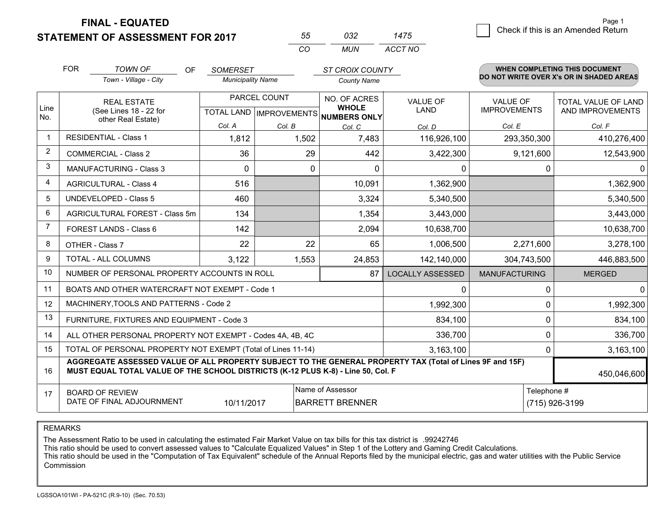**FINAL - EQUATED**

**STATEMENT OF ASSESSMENT FOR 2017** 

| わわ       | กจว   | 1475    |
|----------|-------|---------|
| $\cdots$ | MI IN | ACCT NO |

|             | <b>FOR</b>                                                                                                                                                                                   | <b>TOWN OF</b><br><b>OF</b>                               | <b>SOMERSET</b>                     |              | <b>ST CROIX COUNTY</b> |                         |                      | WHEN COMPLETING THIS DOCUMENT<br>DO NOT WRITE OVER X's OR IN SHADED AREAS |
|-------------|----------------------------------------------------------------------------------------------------------------------------------------------------------------------------------------------|-----------------------------------------------------------|-------------------------------------|--------------|------------------------|-------------------------|----------------------|---------------------------------------------------------------------------|
|             |                                                                                                                                                                                              | Town - Village - City                                     | <b>Municipality Name</b>            |              | <b>County Name</b>     |                         |                      |                                                                           |
|             | <b>REAL ESTATE</b>                                                                                                                                                                           |                                                           | PARCEL COUNT                        |              | NO. OF ACRES           | <b>VALUE OF</b>         | <b>VALUE OF</b>      | <b>TOTAL VALUE OF LAND</b>                                                |
| Line<br>No. | (See Lines 18 - 22 for<br>other Real Estate)                                                                                                                                                 |                                                           | TOTAL LAND MPROVEMENTS NUMBERS ONLY | <b>WHOLE</b> | LAND                   | <b>IMPROVEMENTS</b>     | AND IMPROVEMENTS     |                                                                           |
|             |                                                                                                                                                                                              |                                                           | Col. A                              | Col. B       | Col. C                 | Col. D                  | Col. E               | Col. F                                                                    |
| -1          |                                                                                                                                                                                              | <b>RESIDENTIAL - Class 1</b>                              | 1,812                               | 1,502        | 7,483                  | 116,926,100             | 293,350,300          | 410,276,400                                                               |
| 2           |                                                                                                                                                                                              | <b>COMMERCIAL - Class 2</b>                               | 36                                  | 29           | 442                    | 3,422,300               | 9,121,600            | 12,543,900                                                                |
| 3           |                                                                                                                                                                                              | <b>MANUFACTURING - Class 3</b>                            | 0                                   | 0            | $\Omega$               | 0                       | 0                    | $\Omega$                                                                  |
| 4           |                                                                                                                                                                                              | <b>AGRICULTURAL - Class 4</b>                             | 516                                 |              | 10,091                 | 1,362,900               |                      | 1,362,900                                                                 |
| 5           |                                                                                                                                                                                              | <b>UNDEVELOPED - Class 5</b>                              | 460                                 |              | 3,324                  | 5,340,500               |                      | 5,340,500                                                                 |
| 6           |                                                                                                                                                                                              | AGRICULTURAL FOREST - Class 5m                            | 134                                 |              | 1,354                  | 3,443,000               |                      | 3,443,000                                                                 |
| 7           |                                                                                                                                                                                              | FOREST LANDS - Class 6                                    | 142                                 |              | 2,094                  | 10,638,700              |                      | 10,638,700                                                                |
| 8           |                                                                                                                                                                                              | OTHER - Class 7                                           | 22                                  | 22           | 65                     | 1,006,500               | 2,271,600            | 3,278,100                                                                 |
| 9           |                                                                                                                                                                                              | TOTAL - ALL COLUMNS                                       | 3,122<br>1,553                      |              | 24,853                 | 142,140,000             | 304,743,500          | 446,883,500                                                               |
| 10          |                                                                                                                                                                                              | NUMBER OF PERSONAL PROPERTY ACCOUNTS IN ROLL              |                                     |              | 87                     | <b>LOCALLY ASSESSED</b> | <b>MANUFACTURING</b> | <b>MERGED</b>                                                             |
| 11          |                                                                                                                                                                                              | BOATS AND OTHER WATERCRAFT NOT EXEMPT - Code 1            |                                     |              |                        | 0                       | 0                    | $\Omega$                                                                  |
| 12          |                                                                                                                                                                                              | MACHINERY, TOOLS AND PATTERNS - Code 2                    |                                     |              |                        | 1,992,300               | 0                    | 1,992,300                                                                 |
| 13          |                                                                                                                                                                                              | FURNITURE, FIXTURES AND EQUIPMENT - Code 3                |                                     |              |                        | 834,100                 | 0                    | 834,100                                                                   |
| 14          |                                                                                                                                                                                              | ALL OTHER PERSONAL PROPERTY NOT EXEMPT - Codes 4A, 4B, 4C |                                     | 336,700      | 0                      | 336,700                 |                      |                                                                           |
| 15          | TOTAL OF PERSONAL PROPERTY NOT EXEMPT (Total of Lines 11-14)                                                                                                                                 |                                                           |                                     |              |                        |                         | 0                    | 3,163,100                                                                 |
| 16          | AGGREGATE ASSESSED VALUE OF ALL PROPERTY SUBJECT TO THE GENERAL PROPERTY TAX (Total of Lines 9F and 15F)<br>MUST EQUAL TOTAL VALUE OF THE SCHOOL DISTRICTS (K-12 PLUS K-8) - Line 50, Col. F |                                                           |                                     |              |                        |                         |                      | 450,046,600                                                               |
| 17          | Name of Assessor<br><b>BOARD OF REVIEW</b><br>DATE OF FINAL ADJOURNMENT<br>10/11/2017<br><b>BARRETT BRENNER</b>                                                                              |                                                           |                                     |              |                        | Telephone #             | (715) 926-3199       |                                                                           |

REMARKS

The Assessment Ratio to be used in calculating the estimated Fair Market Value on tax bills for this tax district is .99242746

This ratio should be used to convert assessed values to "Calculate Equalized Values" in Step 1 of the Lottery and Gaming Credit Calculations.<br>This ratio should be used in the "Computation of Tax Equivalent" schedule of the Commission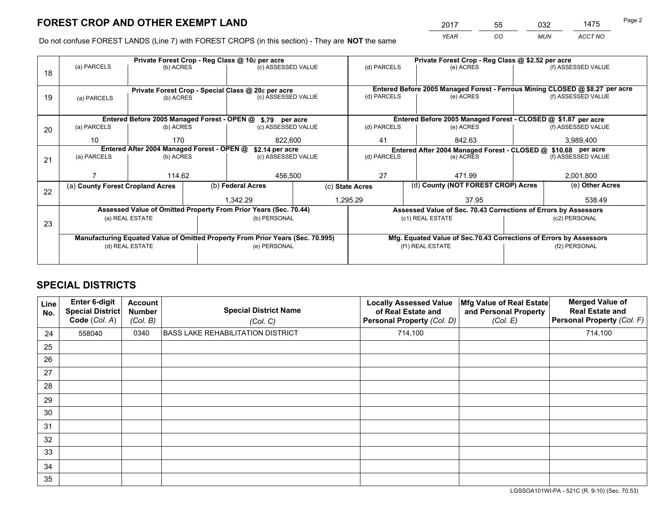*YEAR CO MUN ACCT NO* <sup>2017</sup> <sup>55</sup> <sup>032</sup> <sup>1475</sup> Page 2

Do not confuse FOREST LANDS (Line 7) with FOREST CROPS (in this section) - They are **NOT** the same

|    |                                                                                |                |  | Private Forest Crop - Reg Class @ 10¢ per acre                   |              | Private Forest Crop - Reg Class @ \$2.52 per acre                                   |                                                                    |               |                    |  |
|----|--------------------------------------------------------------------------------|----------------|--|------------------------------------------------------------------|--------------|-------------------------------------------------------------------------------------|--------------------------------------------------------------------|---------------|--------------------|--|
| 18 | (a) PARCELS                                                                    | (b) ACRES      |  | (c) ASSESSED VALUE                                               |              | (d) PARCELS                                                                         | (e) ACRES                                                          |               | (f) ASSESSED VALUE |  |
|    |                                                                                |                |  |                                                                  |              |                                                                                     |                                                                    |               |                    |  |
|    |                                                                                |                |  | Private Forest Crop - Special Class @ 20¢ per acre               |              | Entered Before 2005 Managed Forest - Ferrous Mining CLOSED @ \$8.27 per acre        |                                                                    |               |                    |  |
| 19 | (a) PARCELS                                                                    | (b) ACRES      |  | (c) ASSESSED VALUE                                               |              | (d) PARCELS                                                                         | (e) ACRES                                                          |               | (f) ASSESSED VALUE |  |
|    |                                                                                |                |  |                                                                  |              |                                                                                     |                                                                    |               |                    |  |
|    |                                                                                |                |  | Entered Before 2005 Managed Forest - OPEN @ \$.79 per acre       |              |                                                                                     | Entered Before 2005 Managed Forest - CLOSED @ \$1.87 per acre      |               |                    |  |
| 20 | (a) PARCELS                                                                    | (b) ACRES      |  | (c) ASSESSED VALUE                                               |              | (d) PARCELS                                                                         | (e) ACRES                                                          |               | (f) ASSESSED VALUE |  |
|    | 10                                                                             | 170<br>822,600 |  |                                                                  | 842.63<br>41 |                                                                                     |                                                                    | 3,989,400     |                    |  |
|    | Entered After 2004 Managed Forest - OPEN @<br>\$2.14 per acre                  |                |  |                                                                  |              | Entered After 2004 Managed Forest - CLOSED @ \$10.68 per acre<br>(f) ASSESSED VALUE |                                                                    |               |                    |  |
| 21 | (a) PARCELS                                                                    | (b) ACRES      |  | (c) ASSESSED VALUE                                               |              | (d) PARCELS                                                                         | (e) ACRES                                                          |               |                    |  |
|    |                                                                                |                |  |                                                                  |              |                                                                                     |                                                                    |               |                    |  |
|    |                                                                                | 114.62         |  | 456,500                                                          |              | 27                                                                                  | 471.99                                                             |               | 2,001,800          |  |
| 22 | (a) County Forest Cropland Acres                                               |                |  | (b) Federal Acres                                                |              | (c) State Acres                                                                     | (d) County (NOT FOREST CROP) Acres                                 |               | (e) Other Acres    |  |
|    |                                                                                |                |  | 1,342.29                                                         |              | 1,295.29<br>37.95                                                                   |                                                                    |               | 538.49             |  |
|    |                                                                                |                |  | Assessed Value of Omitted Property From Prior Years (Sec. 70.44) |              |                                                                                     | Assessed Value of Sec. 70.43 Corrections of Errors by Assessors    |               |                    |  |
|    | (a) REAL ESTATE                                                                |                |  | (b) PERSONAL                                                     |              |                                                                                     | (c1) REAL ESTATE                                                   |               | (c2) PERSONAL      |  |
| 23 |                                                                                |                |  |                                                                  |              |                                                                                     |                                                                    |               |                    |  |
|    | Manufacturing Equated Value of Omitted Property From Prior Years (Sec. 70.995) |                |  |                                                                  |              |                                                                                     | Mfg. Equated Value of Sec.70.43 Corrections of Errors by Assessors |               |                    |  |
|    | (d) REAL ESTATE                                                                |                |  | (e) PERSONAL                                                     |              | (f1) REAL ESTATE                                                                    |                                                                    | (f2) PERSONAL |                    |  |
|    |                                                                                |                |  |                                                                  |              |                                                                                     |                                                                    |               |                    |  |

## **SPECIAL DISTRICTS**

| Line<br>No. | Enter 6-digit<br><b>Special District</b><br>Code (Col. A) | <b>Account</b><br><b>Number</b><br>(Col. B) | <b>Special District Name</b><br>(Col. C) | <b>Locally Assessed Value</b><br>of Real Estate and<br>Personal Property (Col. D) | Mfg Value of Real Estate<br>and Personal Property<br>(Col. E) | <b>Merged Value of</b><br><b>Real Estate and</b><br>Personal Property (Col. F) |
|-------------|-----------------------------------------------------------|---------------------------------------------|------------------------------------------|-----------------------------------------------------------------------------------|---------------------------------------------------------------|--------------------------------------------------------------------------------|
| 24          | 558040                                                    | 0340                                        | BASS LAKE REHABILITATION DISTRICT        | 714,100                                                                           |                                                               | 714,100                                                                        |
| 25          |                                                           |                                             |                                          |                                                                                   |                                                               |                                                                                |
| 26          |                                                           |                                             |                                          |                                                                                   |                                                               |                                                                                |
| 27          |                                                           |                                             |                                          |                                                                                   |                                                               |                                                                                |
| 28          |                                                           |                                             |                                          |                                                                                   |                                                               |                                                                                |
| 29          |                                                           |                                             |                                          |                                                                                   |                                                               |                                                                                |
| 30          |                                                           |                                             |                                          |                                                                                   |                                                               |                                                                                |
| 31          |                                                           |                                             |                                          |                                                                                   |                                                               |                                                                                |
| 32          |                                                           |                                             |                                          |                                                                                   |                                                               |                                                                                |
| 33          |                                                           |                                             |                                          |                                                                                   |                                                               |                                                                                |
| 34          |                                                           |                                             |                                          |                                                                                   |                                                               |                                                                                |
| 35          |                                                           |                                             |                                          |                                                                                   |                                                               |                                                                                |

LGSSOA101WI-PA - 521C (R. 9-10) (Sec. 70.53)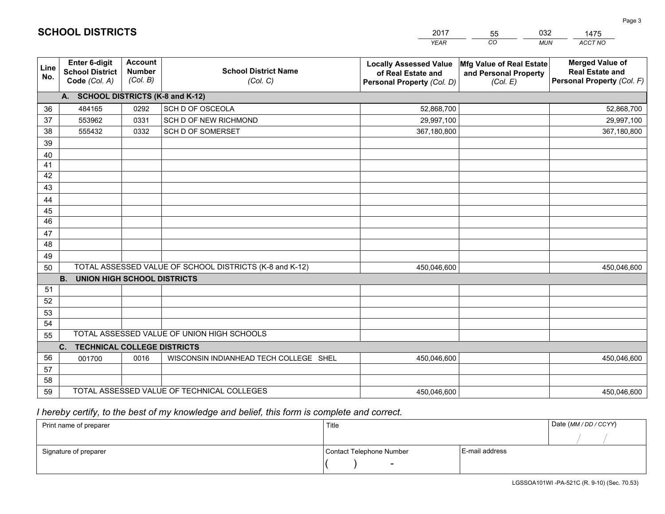|             |                                                                 |                                             |                                                         | <b>YEAR</b>                                                                       | CO<br><b>MUN</b>                                              | ACCT NO                                                                        |
|-------------|-----------------------------------------------------------------|---------------------------------------------|---------------------------------------------------------|-----------------------------------------------------------------------------------|---------------------------------------------------------------|--------------------------------------------------------------------------------|
| Line<br>No. | <b>Enter 6-digit</b><br><b>School District</b><br>Code (Col. A) | <b>Account</b><br><b>Number</b><br>(Col. B) | <b>School District Name</b><br>(Col. C)                 | <b>Locally Assessed Value</b><br>of Real Estate and<br>Personal Property (Col. D) | Mfg Value of Real Estate<br>and Personal Property<br>(Col. E) | <b>Merged Value of</b><br><b>Real Estate and</b><br>Personal Property (Col. F) |
|             | A. SCHOOL DISTRICTS (K-8 and K-12)                              |                                             |                                                         |                                                                                   |                                                               |                                                                                |
| 36          | 484165                                                          | 0292                                        | SCH D OF OSCEOLA                                        | 52,868,700                                                                        |                                                               | 52,868,700                                                                     |
| 37          | 553962                                                          | 0331                                        | SCH D OF NEW RICHMOND                                   | 29,997,100                                                                        |                                                               | 29,997,100                                                                     |
| 38          | 555432                                                          | 0332                                        | SCH D OF SOMERSET                                       | 367,180,800                                                                       |                                                               | 367,180,800                                                                    |
| 39          |                                                                 |                                             |                                                         |                                                                                   |                                                               |                                                                                |
| 40          |                                                                 |                                             |                                                         |                                                                                   |                                                               |                                                                                |
| 41          |                                                                 |                                             |                                                         |                                                                                   |                                                               |                                                                                |
| 42          |                                                                 |                                             |                                                         |                                                                                   |                                                               |                                                                                |
| 43          |                                                                 |                                             |                                                         |                                                                                   |                                                               |                                                                                |
| 44          |                                                                 |                                             |                                                         |                                                                                   |                                                               |                                                                                |
| 45          |                                                                 |                                             |                                                         |                                                                                   |                                                               |                                                                                |
| 46          |                                                                 |                                             |                                                         |                                                                                   |                                                               |                                                                                |
| 47<br>48    |                                                                 |                                             |                                                         |                                                                                   |                                                               |                                                                                |
|             |                                                                 |                                             |                                                         |                                                                                   |                                                               |                                                                                |
| 49          |                                                                 |                                             | TOTAL ASSESSED VALUE OF SCHOOL DISTRICTS (K-8 and K-12) |                                                                                   |                                                               |                                                                                |
| 50          | <b>B.</b><br><b>UNION HIGH SCHOOL DISTRICTS</b>                 |                                             |                                                         | 450,046,600                                                                       |                                                               | 450,046,600                                                                    |
| 51          |                                                                 |                                             |                                                         |                                                                                   |                                                               |                                                                                |
| 52          |                                                                 |                                             |                                                         |                                                                                   |                                                               |                                                                                |
| 53          |                                                                 |                                             |                                                         |                                                                                   |                                                               |                                                                                |
| 54          |                                                                 |                                             |                                                         |                                                                                   |                                                               |                                                                                |
| 55          |                                                                 |                                             | TOTAL ASSESSED VALUE OF UNION HIGH SCHOOLS              |                                                                                   |                                                               |                                                                                |
|             | C.<br><b>TECHNICAL COLLEGE DISTRICTS</b>                        |                                             |                                                         |                                                                                   |                                                               |                                                                                |
| 56          | 001700                                                          | 0016                                        | WISCONSIN INDIANHEAD TECH COLLEGE SHEL                  | 450,046,600                                                                       |                                                               | 450,046,600                                                                    |
| 57          |                                                                 |                                             |                                                         |                                                                                   |                                                               |                                                                                |
| 58          |                                                                 |                                             |                                                         |                                                                                   |                                                               |                                                                                |
| 59          |                                                                 |                                             | TOTAL ASSESSED VALUE OF TECHNICAL COLLEGES              | 450,046,600                                                                       |                                                               | 450,046,600                                                                    |

 *I hereby certify, to the best of my knowledge and belief, this form is complete and correct.*

| Print name of preparer | Title                    |                | Date (MM / DD / CCYY) |
|------------------------|--------------------------|----------------|-----------------------|
|                        |                          |                |                       |
| Signature of preparer  | Contact Telephone Number | E-mail address |                       |
|                        | $\sim$                   |                |                       |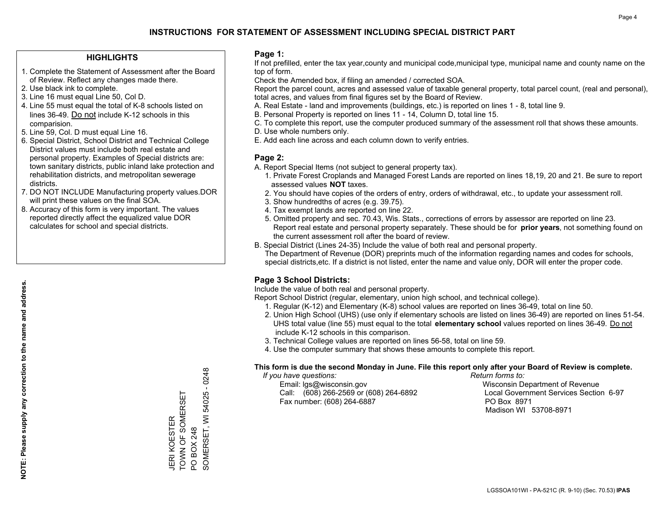### **HIGHLIGHTS**

- 1. Complete the Statement of Assessment after the Board of Review. Reflect any changes made there.
- 2. Use black ink to complete.
- 3. Line 16 must equal Line 50, Col D.
- 4. Line 55 must equal the total of K-8 schools listed on lines 36-49. Do not include K-12 schools in this comparision.
- 5. Line 59, Col. D must equal Line 16.
- 6. Special District, School District and Technical College District values must include both real estate and personal property. Examples of Special districts are: town sanitary districts, public inland lake protection and rehabilitation districts, and metropolitan sewerage districts.
- 7. DO NOT INCLUDE Manufacturing property values.DOR will print these values on the final SOA.
- 8. Accuracy of this form is very important. The values reported directly affect the equalized value DOR calculates for school and special districts.

#### **Page 1:**

 If not prefilled, enter the tax year,county and municipal code,municipal type, municipal name and county name on the top of form.

Check the Amended box, if filing an amended / corrected SOA.

 Report the parcel count, acres and assessed value of taxable general property, total parcel count, (real and personal), total acres, and values from final figures set by the Board of Review.

- A. Real Estate land and improvements (buildings, etc.) is reported on lines 1 8, total line 9.
- B. Personal Property is reported on lines 11 14, Column D, total line 15.
- C. To complete this report, use the computer produced summary of the assessment roll that shows these amounts.
- D. Use whole numbers only.
- E. Add each line across and each column down to verify entries.

#### **Page 2:**

- A. Report Special Items (not subject to general property tax).
- 1. Private Forest Croplands and Managed Forest Lands are reported on lines 18,19, 20 and 21. Be sure to report assessed values **NOT** taxes.
- 2. You should have copies of the orders of entry, orders of withdrawal, etc., to update your assessment roll.
	- 3. Show hundredths of acres (e.g. 39.75).
- 4. Tax exempt lands are reported on line 22.
- 5. Omitted property and sec. 70.43, Wis. Stats., corrections of errors by assessor are reported on line 23. Report real estate and personal property separately. These should be for **prior years**, not something found on the current assessment roll after the board of review.
- B. Special District (Lines 24-35) Include the value of both real and personal property.
- The Department of Revenue (DOR) preprints much of the information regarding names and codes for schools, special districts,etc. If a district is not listed, enter the name and value only, DOR will enter the proper code.

## **Page 3 School Districts:**

Include the value of both real and personal property.

Report School District (regular, elementary, union high school, and technical college).

- 1. Regular (K-12) and Elementary (K-8) school values are reported on lines 36-49, total on line 50.
- 2. Union High School (UHS) (use only if elementary schools are listed on lines 36-49) are reported on lines 51-54. UHS total value (line 55) must equal to the total **elementary school** values reported on lines 36-49. Do notinclude K-12 schools in this comparison.
- 3. Technical College values are reported on lines 56-58, total on line 59.
- 4. Use the computer summary that shows these amounts to complete this report.

#### **This form is due the second Monday in June. File this report only after your Board of Review is complete.**

 *If you have questions: Return forms to:*

 Email: lgs@wisconsin.gov Wisconsin Department of RevenueCall:  $(608)$  266-2569 or  $(608)$  264-6892 Fax number: (608) 264-6887 PO Box 8971

Local Government Services Section 6-97 Madison WI 53708-8971

54025 - 0248 SOMERSET, WI 54025 - 0248 TOWN OF SOMERSET TOWN OF SOMERSET SOMERSET, WI JERI KOESTER JERI KOESTER PO BOX 248 PO BOX 248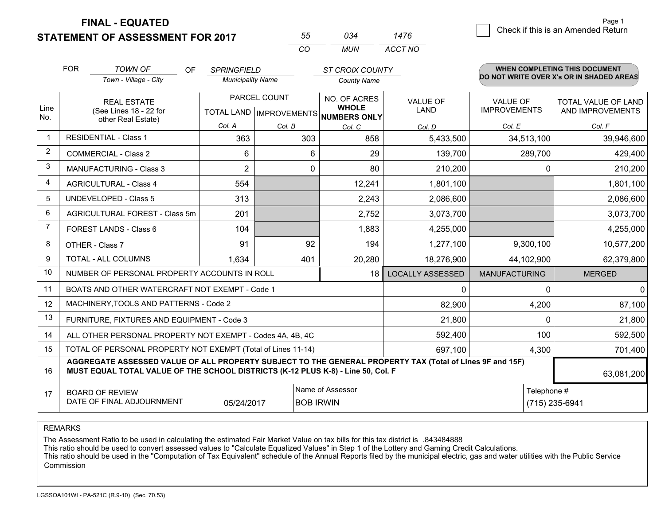**STATEMENT OF ASSESSMENT FOR 2017 FINAL - EQUATED**

| 55. | 034 | 1476    |
|-----|-----|---------|
| CO. | MUN | ACCT NO |

|                | <b>FOR</b>                                                                                                                                                                                   | <b>TOWN OF</b><br><b>OF</b><br>Town - Village - City      | <b>SPRINGFIELD</b><br><b>Municipality Name</b> |         | ST CROIX COUNTY<br><b>County Name</b>          |                         |                               | WHEN COMPLETING THIS DOCUMENT<br>DO NOT WRITE OVER X's OR IN SHADED AREAS |
|----------------|----------------------------------------------------------------------------------------------------------------------------------------------------------------------------------------------|-----------------------------------------------------------|------------------------------------------------|---------|------------------------------------------------|-------------------------|-------------------------------|---------------------------------------------------------------------------|
| Line           |                                                                                                                                                                                              | <b>REAL ESTATE</b>                                        | PARCEL COUNT                                   |         | NO. OF ACRES<br><b>WHOLE</b>                   | <b>VALUE OF</b>         | <b>VALUE OF</b>               | <b>TOTAL VALUE OF LAND</b>                                                |
| No.            |                                                                                                                                                                                              | (See Lines 18 - 22 for<br>other Real Estate)              | Col. A                                         | Col. B  | TOTAL LAND IMPROVEMENTS NUMBERS ONLY<br>Col. C | <b>LAND</b><br>Col. D   | <b>IMPROVEMENTS</b><br>Col. E | AND IMPROVEMENTS<br>Col. F                                                |
| $\mathbf 1$    |                                                                                                                                                                                              | <b>RESIDENTIAL - Class 1</b>                              | 363                                            | 303     | 858                                            | 5,433,500               | 34,513,100                    | 39,946,600                                                                |
| $\overline{2}$ |                                                                                                                                                                                              | <b>COMMERCIAL - Class 2</b>                               | 6                                              | 6       | 29                                             | 139,700                 | 289,700                       | 429,400                                                                   |
| 3              |                                                                                                                                                                                              | MANUFACTURING - Class 3                                   | $\overline{2}$                                 | 0       | 80                                             | 210,200                 | 0                             | 210,200                                                                   |
| 4              |                                                                                                                                                                                              | <b>AGRICULTURAL - Class 4</b>                             | 554                                            |         | 12,241                                         | 1,801,100               |                               | 1,801,100                                                                 |
| 5              |                                                                                                                                                                                              | <b>UNDEVELOPED - Class 5</b>                              | 313                                            |         | 2,243                                          | 2,086,600               |                               | 2,086,600                                                                 |
| 6              |                                                                                                                                                                                              | AGRICULTURAL FOREST - Class 5m                            | 201                                            |         | 2,752                                          | 3,073,700               |                               | 3,073,700                                                                 |
| $\overline{7}$ |                                                                                                                                                                                              | FOREST LANDS - Class 6                                    | 104                                            |         | 1,883                                          | 4,255,000               |                               | 4,255,000                                                                 |
| 8              |                                                                                                                                                                                              | OTHER - Class 7                                           | 91                                             | 92      | 194                                            | 1,277,100               | 9,300,100                     | 10,577,200                                                                |
| 9              |                                                                                                                                                                                              | TOTAL - ALL COLUMNS                                       | 1,634<br>401                                   |         | 20,280                                         | 18,276,900              | 44,102,900                    | 62,379,800                                                                |
| 10             |                                                                                                                                                                                              | NUMBER OF PERSONAL PROPERTY ACCOUNTS IN ROLL              |                                                |         | 18                                             | <b>LOCALLY ASSESSED</b> | <b>MANUFACTURING</b>          | <b>MERGED</b>                                                             |
| 11             |                                                                                                                                                                                              | BOATS AND OTHER WATERCRAFT NOT EXEMPT - Code 1            |                                                |         |                                                | 0                       | 0                             | $\mathbf 0$                                                               |
| 12             |                                                                                                                                                                                              | MACHINERY, TOOLS AND PATTERNS - Code 2                    |                                                |         |                                                | 82,900                  | 4,200                         | 87,100                                                                    |
| 13             |                                                                                                                                                                                              | FURNITURE, FIXTURES AND EQUIPMENT - Code 3                |                                                |         |                                                | 21,800                  | $\Omega$                      | 21,800                                                                    |
| 14             |                                                                                                                                                                                              | ALL OTHER PERSONAL PROPERTY NOT EXEMPT - Codes 4A, 4B, 4C |                                                | 592,400 | 100                                            | 592,500                 |                               |                                                                           |
| 15             | TOTAL OF PERSONAL PROPERTY NOT EXEMPT (Total of Lines 11-14)<br>697,100                                                                                                                      |                                                           |                                                |         |                                                |                         | 4,300                         | 701,400                                                                   |
| 16             | AGGREGATE ASSESSED VALUE OF ALL PROPERTY SUBJECT TO THE GENERAL PROPERTY TAX (Total of Lines 9F and 15F)<br>MUST EQUAL TOTAL VALUE OF THE SCHOOL DISTRICTS (K-12 PLUS K-8) - Line 50, Col. F |                                                           |                                                |         |                                                |                         |                               | 63,081,200                                                                |
| 17             | Name of Assessor<br>Telephone #<br><b>BOARD OF REVIEW</b><br>DATE OF FINAL ADJOURNMENT<br><b>BOB IRWIN</b><br>05/24/2017                                                                     |                                                           |                                                |         |                                                | (715) 235-6941          |                               |                                                                           |

REMARKS

The Assessment Ratio to be used in calculating the estimated Fair Market Value on tax bills for this tax district is .843484888

This ratio should be used to convert assessed values to "Calculate Equalized Values" in Step 1 of the Lottery and Gaming Credit Calculations.

 This ratio should be used in the "Computation of Tax Equivalent" schedule of the Annual Reports filed by the municipal electric, gas and water utilities with the Public Service Commission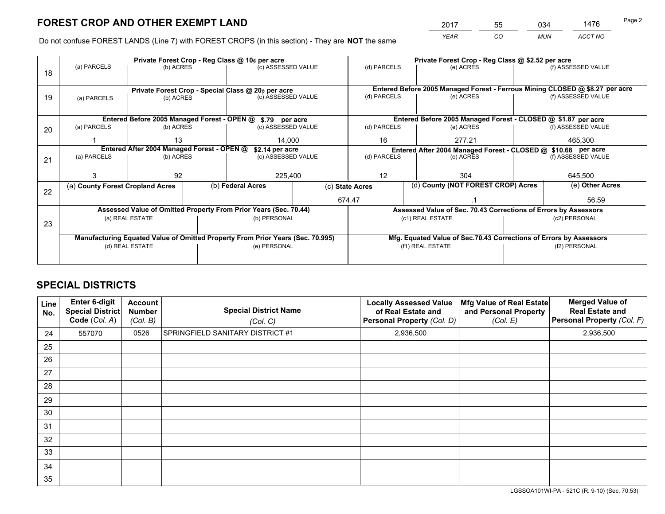*YEAR CO MUN ACCT NO* <sup>2017</sup> <sup>55</sup> <sup>034</sup> <sup>1476</sup> Page 2

Do not confuse FOREST LANDS (Line 7) with FOREST CROPS (in this section) - They are **NOT** the same

|    |                                                                                |                                            |  | Private Forest Crop - Reg Class @ 10¢ per acre                   |                                                                              | Private Forest Crop - Reg Class @ \$2.52 per acre     |                                                                              |                                                                    |                    |                    |  |
|----|--------------------------------------------------------------------------------|--------------------------------------------|--|------------------------------------------------------------------|------------------------------------------------------------------------------|-------------------------------------------------------|------------------------------------------------------------------------------|--------------------------------------------------------------------|--------------------|--------------------|--|
| 18 | (a) PARCELS                                                                    | (b) ACRES                                  |  | (c) ASSESSED VALUE                                               |                                                                              | (d) PARCELS                                           |                                                                              | (e) ACRES                                                          |                    | (f) ASSESSED VALUE |  |
|    |                                                                                |                                            |  |                                                                  |                                                                              |                                                       |                                                                              |                                                                    |                    |                    |  |
|    | Private Forest Crop - Special Class @ 20¢ per acre                             |                                            |  |                                                                  | Entered Before 2005 Managed Forest - Ferrous Mining CLOSED @ \$8.27 per acre |                                                       |                                                                              |                                                                    |                    |                    |  |
| 19 | (a) PARCELS                                                                    | (b) ACRES                                  |  | (c) ASSESSED VALUE                                               |                                                                              | (d) PARCELS                                           |                                                                              | (e) ACRES                                                          |                    | (f) ASSESSED VALUE |  |
|    |                                                                                |                                            |  |                                                                  |                                                                              |                                                       |                                                                              |                                                                    |                    |                    |  |
|    |                                                                                |                                            |  | Entered Before 2005 Managed Forest - OPEN @ \$.79 per acre       |                                                                              |                                                       |                                                                              | Entered Before 2005 Managed Forest - CLOSED @ \$1.87 per acre      |                    |                    |  |
| 20 | (a) PARCELS                                                                    | (b) ACRES                                  |  | (c) ASSESSED VALUE                                               |                                                                              | (d) PARCELS                                           |                                                                              | (e) ACRES                                                          |                    | (f) ASSESSED VALUE |  |
|    |                                                                                | 13                                         |  | 14.000                                                           |                                                                              | 16                                                    |                                                                              | 277.21                                                             |                    |                    |  |
|    |                                                                                | Entered After 2004 Managed Forest - OPEN @ |  |                                                                  |                                                                              |                                                       |                                                                              |                                                                    | 465,300            |                    |  |
|    |                                                                                |                                            |  |                                                                  | \$2.14 per acre<br>(c) ASSESSED VALUE                                        |                                                       | Entered After 2004 Managed Forest - CLOSED @ \$10.68 per acre<br>(d) PARCELS |                                                                    | (f) ASSESSED VALUE |                    |  |
| 21 | (a) PARCELS                                                                    | (b) ACRES                                  |  |                                                                  |                                                                              |                                                       |                                                                              | (e) ACRES                                                          |                    |                    |  |
|    |                                                                                |                                            |  |                                                                  |                                                                              |                                                       |                                                                              |                                                                    |                    |                    |  |
|    |                                                                                | 92                                         |  | 225,400                                                          |                                                                              | 12                                                    |                                                                              | 304                                                                |                    | 645,500            |  |
|    | (a) County Forest Cropland Acres                                               |                                            |  | (b) Federal Acres                                                |                                                                              | (d) County (NOT FOREST CROP) Acres<br>(c) State Acres |                                                                              |                                                                    |                    | (e) Other Acres    |  |
| 22 |                                                                                |                                            |  |                                                                  |                                                                              | 674.47                                                |                                                                              |                                                                    |                    | 56.59              |  |
|    |                                                                                |                                            |  |                                                                  |                                                                              |                                                       |                                                                              |                                                                    |                    |                    |  |
|    |                                                                                |                                            |  | Assessed Value of Omitted Property From Prior Years (Sec. 70.44) |                                                                              |                                                       |                                                                              | Assessed Value of Sec. 70.43 Corrections of Errors by Assessors    |                    |                    |  |
| 23 |                                                                                | (a) REAL ESTATE                            |  | (b) PERSONAL                                                     |                                                                              | (c1) REAL ESTATE                                      |                                                                              |                                                                    | (c2) PERSONAL      |                    |  |
|    |                                                                                |                                            |  |                                                                  |                                                                              |                                                       |                                                                              |                                                                    |                    |                    |  |
|    | Manufacturing Equated Value of Omitted Property From Prior Years (Sec. 70.995) |                                            |  |                                                                  |                                                                              |                                                       |                                                                              | Mfg. Equated Value of Sec.70.43 Corrections of Errors by Assessors |                    |                    |  |
|    | (d) REAL ESTATE                                                                |                                            |  | (e) PERSONAL                                                     |                                                                              | (f1) REAL ESTATE                                      |                                                                              |                                                                    | (f2) PERSONAL      |                    |  |
|    |                                                                                |                                            |  |                                                                  |                                                                              |                                                       |                                                                              |                                                                    |                    |                    |  |
|    |                                                                                |                                            |  |                                                                  |                                                                              |                                                       |                                                                              |                                                                    |                    |                    |  |

## **SPECIAL DISTRICTS**

| Line<br>No. | Enter 6-digit<br><b>Special District</b><br>Code (Col. A) | <b>Account</b><br><b>Number</b><br>(Col. B) | <b>Special District Name</b><br>(Col. C) | <b>Locally Assessed Value</b><br>of Real Estate and<br>Personal Property (Col. D) | Mfg Value of Real Estate<br>and Personal Property<br>(Col. E) | <b>Merged Value of</b><br><b>Real Estate and</b><br>Personal Property (Col. F) |
|-------------|-----------------------------------------------------------|---------------------------------------------|------------------------------------------|-----------------------------------------------------------------------------------|---------------------------------------------------------------|--------------------------------------------------------------------------------|
| 24          | 557070                                                    | 0526                                        | SPRINGFIELD SANITARY DISTRICT #1         | 2,936,500                                                                         |                                                               | 2,936,500                                                                      |
| 25          |                                                           |                                             |                                          |                                                                                   |                                                               |                                                                                |
| 26          |                                                           |                                             |                                          |                                                                                   |                                                               |                                                                                |
| 27          |                                                           |                                             |                                          |                                                                                   |                                                               |                                                                                |
| 28          |                                                           |                                             |                                          |                                                                                   |                                                               |                                                                                |
| 29          |                                                           |                                             |                                          |                                                                                   |                                                               |                                                                                |
| 30          |                                                           |                                             |                                          |                                                                                   |                                                               |                                                                                |
| 31          |                                                           |                                             |                                          |                                                                                   |                                                               |                                                                                |
| 32          |                                                           |                                             |                                          |                                                                                   |                                                               |                                                                                |
| 33          |                                                           |                                             |                                          |                                                                                   |                                                               |                                                                                |
| 34          |                                                           |                                             |                                          |                                                                                   |                                                               |                                                                                |
| 35          |                                                           |                                             |                                          |                                                                                   |                                                               |                                                                                |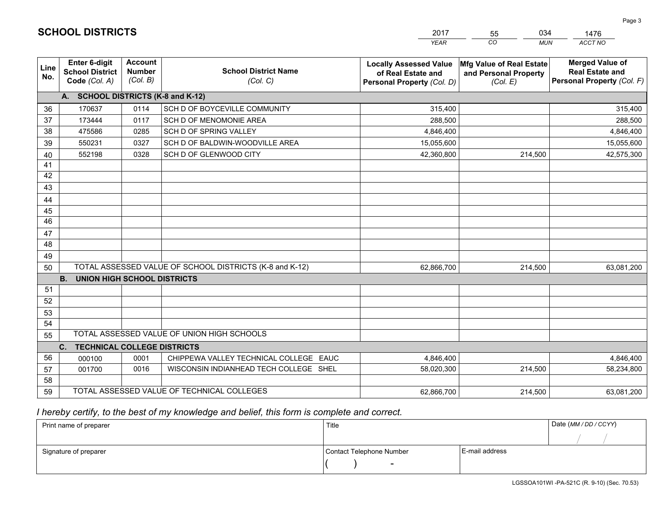|             |                                                          |                                             |                                                         | <b>YEAR</b>                                                                       | CO<br><b>MUN</b>                                              | <b>ACCT NO</b>                                                                 |
|-------------|----------------------------------------------------------|---------------------------------------------|---------------------------------------------------------|-----------------------------------------------------------------------------------|---------------------------------------------------------------|--------------------------------------------------------------------------------|
| Line<br>No. | Enter 6-digit<br><b>School District</b><br>Code (Col. A) | <b>Account</b><br><b>Number</b><br>(Col. B) | <b>School District Name</b><br>(Col. C)                 | <b>Locally Assessed Value</b><br>of Real Estate and<br>Personal Property (Col. D) | Mfg Value of Real Estate<br>and Personal Property<br>(Col. E) | <b>Merged Value of</b><br><b>Real Estate and</b><br>Personal Property (Col. F) |
|             | A. SCHOOL DISTRICTS (K-8 and K-12)                       |                                             |                                                         |                                                                                   |                                                               |                                                                                |
| 36          | 170637                                                   | 0114                                        | SCH D OF BOYCEVILLE COMMUNITY                           | 315,400                                                                           |                                                               | 315,400                                                                        |
| 37          | 173444                                                   | 0117                                        | SCH D OF MENOMONIE AREA                                 | 288,500                                                                           |                                                               | 288,500                                                                        |
| 38          | 475586                                                   | 0285                                        | SCH D OF SPRING VALLEY                                  | 4,846,400                                                                         |                                                               | 4,846,400                                                                      |
| 39          | 550231                                                   | 0327                                        | SCH D OF BALDWIN-WOODVILLE AREA                         | 15,055,600                                                                        |                                                               | 15,055,600                                                                     |
| 40          | 552198                                                   | 0328                                        | SCH D OF GLENWOOD CITY                                  | 42,360,800                                                                        | 214,500                                                       | 42,575,300                                                                     |
| 41          |                                                          |                                             |                                                         |                                                                                   |                                                               |                                                                                |
| 42          |                                                          |                                             |                                                         |                                                                                   |                                                               |                                                                                |
| 43          |                                                          |                                             |                                                         |                                                                                   |                                                               |                                                                                |
| 44          |                                                          |                                             |                                                         |                                                                                   |                                                               |                                                                                |
| 45          |                                                          |                                             |                                                         |                                                                                   |                                                               |                                                                                |
| 46          |                                                          |                                             |                                                         |                                                                                   |                                                               |                                                                                |
| 47          |                                                          |                                             |                                                         |                                                                                   |                                                               |                                                                                |
| 48          |                                                          |                                             |                                                         |                                                                                   |                                                               |                                                                                |
| 49          |                                                          |                                             |                                                         |                                                                                   |                                                               |                                                                                |
| 50          |                                                          |                                             | TOTAL ASSESSED VALUE OF SCHOOL DISTRICTS (K-8 and K-12) | 62,866,700                                                                        | 214,500                                                       | 63,081,200                                                                     |
|             | <b>B. UNION HIGH SCHOOL DISTRICTS</b>                    |                                             |                                                         |                                                                                   |                                                               |                                                                                |
| 51          |                                                          |                                             |                                                         |                                                                                   |                                                               |                                                                                |
| 52          |                                                          |                                             |                                                         |                                                                                   |                                                               |                                                                                |
| 53          |                                                          |                                             |                                                         |                                                                                   |                                                               |                                                                                |
| 54          |                                                          |                                             |                                                         |                                                                                   |                                                               |                                                                                |
| 55          |                                                          |                                             | TOTAL ASSESSED VALUE OF UNION HIGH SCHOOLS              |                                                                                   |                                                               |                                                                                |
|             | C.<br><b>TECHNICAL COLLEGE DISTRICTS</b>                 |                                             |                                                         |                                                                                   |                                                               |                                                                                |
| 56          | 000100                                                   | 0001                                        | CHIPPEWA VALLEY TECHNICAL COLLEGE EAUC                  | 4,846,400                                                                         |                                                               | 4,846,400                                                                      |
| 57          | 001700                                                   | 0016                                        | WISCONSIN INDIANHEAD TECH COLLEGE SHEL                  | 58,020,300                                                                        | 214,500                                                       | 58,234,800                                                                     |
| 58          |                                                          |                                             |                                                         |                                                                                   |                                                               |                                                                                |
| 59          |                                                          |                                             | TOTAL ASSESSED VALUE OF TECHNICAL COLLEGES              | 62,866,700                                                                        | 214,500                                                       | 63,081,200                                                                     |

55

034

## *I hereby certify, to the best of my knowledge and belief, this form is complete and correct.*

**SCHOOL DISTRICTS**

| Print name of preparer | Title                    |                | Date (MM / DD / CCYY) |
|------------------------|--------------------------|----------------|-----------------------|
|                        |                          |                |                       |
| Signature of preparer  | Contact Telephone Number | E-mail address |                       |
|                        | $\sim$                   |                |                       |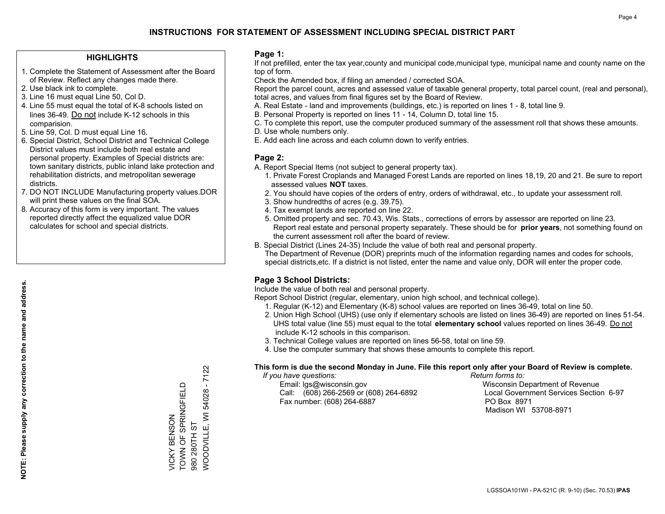### **HIGHLIGHTS**

- 1. Complete the Statement of Assessment after the Board of Review. Reflect any changes made there.
- 2. Use black ink to complete.
- 3. Line 16 must equal Line 50, Col D.
- 4. Line 55 must equal the total of K-8 schools listed on lines 36-49. Do not include K-12 schools in this comparision.
- 5. Line 59, Col. D must equal Line 16.
- 6. Special District, School District and Technical College District values must include both real estate and personal property. Examples of Special districts are: town sanitary districts, public inland lake protection and rehabilitation districts, and metropolitan sewerage districts.
- 7. DO NOT INCLUDE Manufacturing property values.DOR will print these values on the final SOA.
- 8. Accuracy of this form is very important. The values reported directly affect the equalized value DOR calculates for school and special districts.

#### **Page 1:**

 If not prefilled, enter the tax year,county and municipal code,municipal type, municipal name and county name on the top of form.

Check the Amended box, if filing an amended / corrected SOA.

 Report the parcel count, acres and assessed value of taxable general property, total parcel count, (real and personal), total acres, and values from final figures set by the Board of Review.

- A. Real Estate land and improvements (buildings, etc.) is reported on lines 1 8, total line 9.
- B. Personal Property is reported on lines 11 14, Column D, total line 15.
- C. To complete this report, use the computer produced summary of the assessment roll that shows these amounts.
- D. Use whole numbers only.
- E. Add each line across and each column down to verify entries.

#### **Page 2:**

- A. Report Special Items (not subject to general property tax).
- 1. Private Forest Croplands and Managed Forest Lands are reported on lines 18,19, 20 and 21. Be sure to report assessed values **NOT** taxes.
- 2. You should have copies of the orders of entry, orders of withdrawal, etc., to update your assessment roll.
	- 3. Show hundredths of acres (e.g. 39.75).
- 4. Tax exempt lands are reported on line 22.
- 5. Omitted property and sec. 70.43, Wis. Stats., corrections of errors by assessor are reported on line 23. Report real estate and personal property separately. These should be for **prior years**, not something found on the current assessment roll after the board of review.
- B. Special District (Lines 24-35) Include the value of both real and personal property.
- The Department of Revenue (DOR) preprints much of the information regarding names and codes for schools, special districts,etc. If a district is not listed, enter the name and value only, DOR will enter the proper code.

## **Page 3 School Districts:**

Include the value of both real and personal property.

Report School District (regular, elementary, union high school, and technical college).

- 1. Regular (K-12) and Elementary (K-8) school values are reported on lines 36-49, total on line 50.
- 2. Union High School (UHS) (use only if elementary schools are listed on lines 36-49) are reported on lines 51-54. UHS total value (line 55) must equal to the total **elementary school** values reported on lines 36-49. Do notinclude K-12 schools in this comparison.
- 3. Technical College values are reported on lines 56-58, total on line 59.
- 4. Use the computer summary that shows these amounts to complete this report.

#### **This form is due the second Monday in June. File this report only after your Board of Review is complete.**

 *If you have questions: Return forms to:*

 Email: lgs@wisconsin.gov Wisconsin Department of RevenueCall:  $(608)$  266-2569 or  $(608)$  264-6892 Fax number: (608) 264-6887 PO Box 8971

Local Government Services Section 6-97 Madison WI 53708-8971

 $-7122$ WOODVILLE, WI 54028 - 7122 TOWN OF SPRINGFIELD VICKY BENSON<br>TOWN OF SPRINGFIELD 54028 **NOODVILLE, WI** VICKY BENSON 980 280TH ST 980 280TH ST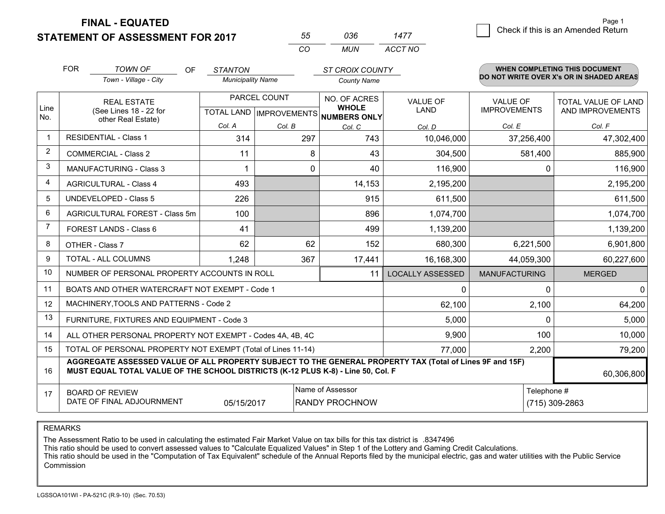**FINAL - EQUATED**

**STATEMENT OF ASSESSMENT FOR 2017** 

| 55. | กวค | 1477    |  |
|-----|-----|---------|--|
| CO. | MUN | ACCT NO |  |

|                         | <b>FOR</b>                                                   | <b>TOWN OF</b><br><b>OF</b>                                                                                                                                                                  | <b>STANTON</b>           |        | <b>ST CROIX COUNTY</b>                               |                         |                      | WHEN COMPLETING THIS DOCUMENT<br>DO NOT WRITE OVER X's OR IN SHADED AREAS |  |
|-------------------------|--------------------------------------------------------------|----------------------------------------------------------------------------------------------------------------------------------------------------------------------------------------------|--------------------------|--------|------------------------------------------------------|-------------------------|----------------------|---------------------------------------------------------------------------|--|
|                         |                                                              | Town - Village - City                                                                                                                                                                        | <b>Municipality Name</b> |        | <b>County Name</b>                                   |                         |                      |                                                                           |  |
|                         |                                                              | <b>REAL ESTATE</b>                                                                                                                                                                           | PARCEL COUNT             |        | NO. OF ACRES                                         | <b>VALUE OF</b>         | <b>VALUE OF</b>      | TOTAL VALUE OF LAND                                                       |  |
| Line<br>No.             |                                                              | (See Lines 18 - 22 for<br>other Real Estate)                                                                                                                                                 |                          |        | <b>WHOLE</b><br>TOTAL LAND IMPROVEMENTS NUMBERS ONLY | <b>LAND</b>             | <b>IMPROVEMENTS</b>  | AND IMPROVEMENTS                                                          |  |
|                         |                                                              |                                                                                                                                                                                              | Col. A                   | Col. B | Col. C                                               | Col. D                  | Col. E               | Col. F                                                                    |  |
| $\overline{\mathbf{1}}$ |                                                              | <b>RESIDENTIAL - Class 1</b>                                                                                                                                                                 | 314                      | 297    | 743                                                  | 10,046,000              | 37,256,400           | 47,302,400                                                                |  |
| 2                       |                                                              | <b>COMMERCIAL - Class 2</b>                                                                                                                                                                  | 11                       | 8      | 43                                                   | 304,500                 | 581,400              | 885,900                                                                   |  |
| 3                       |                                                              | MANUFACTURING - Class 3                                                                                                                                                                      |                          | 0      | 40                                                   | 116,900                 | $\Omega$             | 116,900                                                                   |  |
| 4                       |                                                              | <b>AGRICULTURAL - Class 4</b>                                                                                                                                                                | 493                      |        | 14,153                                               | 2,195,200               |                      | 2,195,200                                                                 |  |
| 5                       |                                                              | <b>UNDEVELOPED - Class 5</b>                                                                                                                                                                 | 226                      |        | 915                                                  | 611,500                 |                      | 611,500                                                                   |  |
| 6                       |                                                              | AGRICULTURAL FOREST - Class 5m                                                                                                                                                               | 100                      |        | 896                                                  | 1,074,700               |                      | 1,074,700                                                                 |  |
| 7                       |                                                              | FOREST LANDS - Class 6                                                                                                                                                                       | 41                       |        | 499                                                  | 1,139,200               |                      | 1,139,200                                                                 |  |
| 8                       | OTHER - Class 7                                              |                                                                                                                                                                                              | 62                       | 62     | 152                                                  | 680,300                 | 6,221,500            | 6,901,800                                                                 |  |
| 9                       | TOTAL - ALL COLUMNS                                          |                                                                                                                                                                                              | 1,248                    | 367    | 17,441                                               | 16,168,300              | 44,059,300           | 60,227,600                                                                |  |
| 10                      |                                                              | NUMBER OF PERSONAL PROPERTY ACCOUNTS IN ROLL                                                                                                                                                 |                          |        | 11                                                   | <b>LOCALLY ASSESSED</b> | <b>MANUFACTURING</b> | <b>MERGED</b>                                                             |  |
| 11                      | BOATS AND OTHER WATERCRAFT NOT EXEMPT - Code 1<br>0          |                                                                                                                                                                                              |                          |        |                                                      |                         |                      | $\mathbf{0}$<br>0                                                         |  |
| 12                      |                                                              | MACHINERY, TOOLS AND PATTERNS - Code 2                                                                                                                                                       |                          |        |                                                      | 62,100                  | 2,100                | 64,200                                                                    |  |
| 13                      |                                                              | FURNITURE, FIXTURES AND EQUIPMENT - Code 3                                                                                                                                                   |                          |        |                                                      | 5,000                   | $\Omega$             | 5,000                                                                     |  |
| 14                      | ALL OTHER PERSONAL PROPERTY NOT EXEMPT - Codes 4A, 4B, 4C    |                                                                                                                                                                                              |                          |        |                                                      |                         | 100                  | 10,000                                                                    |  |
| 15                      | TOTAL OF PERSONAL PROPERTY NOT EXEMPT (Total of Lines 11-14) |                                                                                                                                                                                              |                          |        |                                                      | 77,000                  | 2,200                | 79,200                                                                    |  |
| 16                      |                                                              | AGGREGATE ASSESSED VALUE OF ALL PROPERTY SUBJECT TO THE GENERAL PROPERTY TAX (Total of Lines 9F and 15F)<br>MUST EQUAL TOTAL VALUE OF THE SCHOOL DISTRICTS (K-12 PLUS K-8) - Line 50, Col. F |                          |        |                                                      |                         |                      | 60,306,800                                                                |  |
| 17                      |                                                              | <b>BOARD OF REVIEW</b>                                                                                                                                                                       |                          |        | Name of Assessor                                     | Telephone #             |                      |                                                                           |  |
|                         |                                                              | DATE OF FINAL ADJOURNMENT                                                                                                                                                                    | 05/15/2017               |        | <b>RANDY PROCHNOW</b>                                | (715) 309-2863          |                      |                                                                           |  |

REMARKS

The Assessment Ratio to be used in calculating the estimated Fair Market Value on tax bills for this tax district is .8347496

This ratio should be used to convert assessed values to "Calculate Equalized Values" in Step 1 of the Lottery and Gaming Credit Calculations.<br>This ratio should be used in the "Computation of Tax Equivalent" schedule of the Commission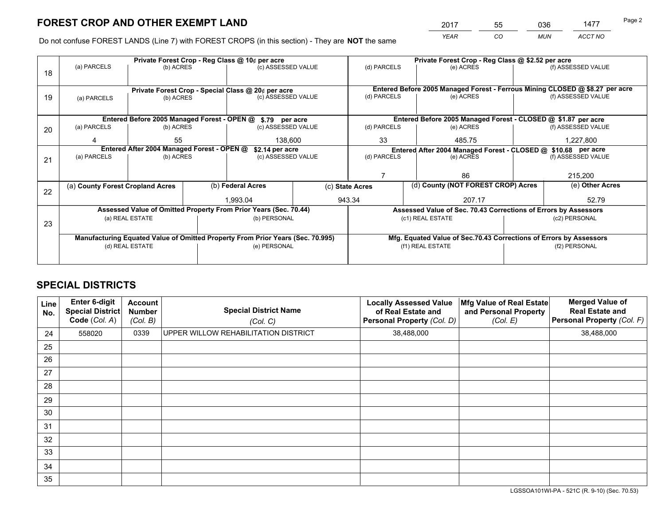*YEAR CO MUN ACCT NO* <sup>2017</sup> <sup>55</sup> <sup>036</sup> <sup>1477</sup> Page 2

Do not confuse FOREST LANDS (Line 7) with FOREST CROPS (in this section) - They are **NOT** the same

|    | Private Forest Crop - Reg Class @ 10¢ per acre                                 |                                                |  |                                                            |             | Private Forest Crop - Reg Class @ \$2.52 per acre                  |           |                                                               |                    |                                                                              |  |
|----|--------------------------------------------------------------------------------|------------------------------------------------|--|------------------------------------------------------------|-------------|--------------------------------------------------------------------|-----------|---------------------------------------------------------------|--------------------|------------------------------------------------------------------------------|--|
| 18 | (a) PARCELS<br>(b) ACRES                                                       |                                                |  | (c) ASSESSED VALUE                                         |             | (d) PARCELS                                                        |           | (e) ACRES                                                     |                    | (f) ASSESSED VALUE                                                           |  |
|    |                                                                                |                                                |  |                                                            |             |                                                                    |           |                                                               |                    |                                                                              |  |
|    |                                                                                |                                                |  | Private Forest Crop - Special Class @ 20¢ per acre         |             |                                                                    |           |                                                               |                    | Entered Before 2005 Managed Forest - Ferrous Mining CLOSED @ \$8.27 per acre |  |
| 19 | (b) ACRES<br>(a) PARCELS                                                       |                                                |  | (c) ASSESSED VALUE                                         |             | (d) PARCELS                                                        |           | (e) ACRES                                                     |                    | (f) ASSESSED VALUE                                                           |  |
|    |                                                                                |                                                |  |                                                            |             |                                                                    |           |                                                               |                    |                                                                              |  |
|    |                                                                                |                                                |  | Entered Before 2005 Managed Forest - OPEN @ \$.79 per acre |             |                                                                    |           | Entered Before 2005 Managed Forest - CLOSED @ \$1.87 per acre |                    |                                                                              |  |
| 20 | (a) PARCELS<br>(b) ACRES                                                       |                                                |  | (c) ASSESSED VALUE                                         |             | (d) PARCELS<br>(e) ACRES                                           |           |                                                               |                    | (f) ASSESSED VALUE                                                           |  |
|    |                                                                                | 55                                             |  |                                                            |             | 33                                                                 |           |                                                               |                    |                                                                              |  |
|    |                                                                                | 138,600                                        |  |                                                            | 485.75      |                                                                    |           | 1,227,800                                                     |                    |                                                                              |  |
|    | Entered After 2004 Managed Forest - OPEN @                                     |                                                |  | \$2.14 per acre                                            |             | Entered After 2004 Managed Forest - CLOSED @ \$10.68 per acre      |           |                                                               |                    |                                                                              |  |
| 21 |                                                                                | (a) PARCELS<br>(c) ASSESSED VALUE<br>(b) ACRES |  |                                                            | (d) PARCELS |                                                                    | (e) ACRES |                                                               | (f) ASSESSED VALUE |                                                                              |  |
|    |                                                                                |                                                |  |                                                            |             |                                                                    |           |                                                               |                    |                                                                              |  |
|    |                                                                                |                                                |  |                                                            |             |                                                                    |           | 86                                                            |                    | 215,200                                                                      |  |
|    | (a) County Forest Cropland Acres                                               |                                                |  | (b) Federal Acres                                          |             | (c) State Acres                                                    |           | (d) County (NOT FOREST CROP) Acres                            |                    | (e) Other Acres                                                              |  |
| 22 |                                                                                |                                                |  | 1.993.04                                                   |             | 943.34                                                             |           | 207.17                                                        |                    | 52.79                                                                        |  |
|    |                                                                                |                                                |  |                                                            |             |                                                                    |           |                                                               |                    |                                                                              |  |
|    | Assessed Value of Omitted Property From Prior Years (Sec. 70.44)               |                                                |  |                                                            |             | Assessed Value of Sec. 70.43 Corrections of Errors by Assessors    |           |                                                               |                    |                                                                              |  |
| 23 | (a) REAL ESTATE                                                                |                                                |  | (b) PERSONAL                                               |             |                                                                    |           | (c1) REAL ESTATE                                              |                    | (c2) PERSONAL                                                                |  |
|    |                                                                                |                                                |  |                                                            |             |                                                                    |           |                                                               |                    |                                                                              |  |
|    | Manufacturing Equated Value of Omitted Property From Prior Years (Sec. 70.995) |                                                |  |                                                            |             | Mfg. Equated Value of Sec.70.43 Corrections of Errors by Assessors |           |                                                               |                    |                                                                              |  |
|    | (d) REAL ESTATE                                                                |                                                |  | (e) PERSONAL                                               |             | (f1) REAL ESTATE                                                   |           | (f2) PERSONAL                                                 |                    |                                                                              |  |
|    |                                                                                |                                                |  |                                                            |             |                                                                    |           |                                                               |                    |                                                                              |  |
|    |                                                                                |                                                |  |                                                            |             |                                                                    |           |                                                               |                    |                                                                              |  |

## **SPECIAL DISTRICTS**

| Line<br>No. | Enter 6-digit<br>Special District<br>Code (Col. A) | <b>Account</b><br><b>Number</b><br>(Col. B) | <b>Special District Name</b><br>(Col. C) | <b>Locally Assessed Value</b><br>of Real Estate and<br>Personal Property (Col. D) | Mfg Value of Real Estate<br>and Personal Property<br>(Col. E) | <b>Merged Value of</b><br><b>Real Estate and</b><br>Personal Property (Col. F) |
|-------------|----------------------------------------------------|---------------------------------------------|------------------------------------------|-----------------------------------------------------------------------------------|---------------------------------------------------------------|--------------------------------------------------------------------------------|
| 24          | 558020                                             | 0339                                        | UPPER WILLOW REHABILITATION DISTRICT     | 38,488,000                                                                        |                                                               | 38,488,000                                                                     |
| 25          |                                                    |                                             |                                          |                                                                                   |                                                               |                                                                                |
| 26          |                                                    |                                             |                                          |                                                                                   |                                                               |                                                                                |
| 27          |                                                    |                                             |                                          |                                                                                   |                                                               |                                                                                |
| 28          |                                                    |                                             |                                          |                                                                                   |                                                               |                                                                                |
| 29          |                                                    |                                             |                                          |                                                                                   |                                                               |                                                                                |
| 30          |                                                    |                                             |                                          |                                                                                   |                                                               |                                                                                |
| 31          |                                                    |                                             |                                          |                                                                                   |                                                               |                                                                                |
| 32          |                                                    |                                             |                                          |                                                                                   |                                                               |                                                                                |
| 33          |                                                    |                                             |                                          |                                                                                   |                                                               |                                                                                |
| 34          |                                                    |                                             |                                          |                                                                                   |                                                               |                                                                                |
| 35          |                                                    |                                             |                                          |                                                                                   |                                                               |                                                                                |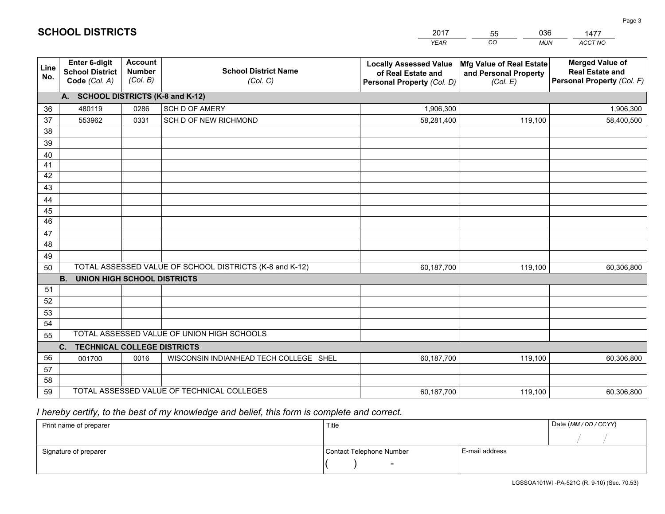|             |                                                                 |                                             |                                                         | <b>YEAR</b>                                                                       | CO<br><b>MUN</b>                                              | ACCT NO                                                                        |  |  |  |  |  |
|-------------|-----------------------------------------------------------------|---------------------------------------------|---------------------------------------------------------|-----------------------------------------------------------------------------------|---------------------------------------------------------------|--------------------------------------------------------------------------------|--|--|--|--|--|
| Line<br>No. | <b>Enter 6-digit</b><br><b>School District</b><br>Code (Col. A) | <b>Account</b><br><b>Number</b><br>(Col. B) | <b>School District Name</b><br>(Col. C)                 | <b>Locally Assessed Value</b><br>of Real Estate and<br>Personal Property (Col. D) | Mfg Value of Real Estate<br>and Personal Property<br>(Col. E) | <b>Merged Value of</b><br><b>Real Estate and</b><br>Personal Property (Col. F) |  |  |  |  |  |
|             | A. SCHOOL DISTRICTS (K-8 and K-12)                              |                                             |                                                         |                                                                                   |                                                               |                                                                                |  |  |  |  |  |
| 36          | 480119                                                          | 0286                                        | <b>SCH D OF AMERY</b>                                   | 1,906,300                                                                         |                                                               | 1,906,300                                                                      |  |  |  |  |  |
| 37          | 553962                                                          | 0331                                        | SCH D OF NEW RICHMOND                                   | 58,281,400                                                                        | 119,100                                                       | 58,400,500                                                                     |  |  |  |  |  |
| 38          |                                                                 |                                             |                                                         |                                                                                   |                                                               |                                                                                |  |  |  |  |  |
| 39          |                                                                 |                                             |                                                         |                                                                                   |                                                               |                                                                                |  |  |  |  |  |
| 40          |                                                                 |                                             |                                                         |                                                                                   |                                                               |                                                                                |  |  |  |  |  |
| 41          |                                                                 |                                             |                                                         |                                                                                   |                                                               |                                                                                |  |  |  |  |  |
| 42          |                                                                 |                                             |                                                         |                                                                                   |                                                               |                                                                                |  |  |  |  |  |
| 43          |                                                                 |                                             |                                                         |                                                                                   |                                                               |                                                                                |  |  |  |  |  |
| 44<br>45    |                                                                 |                                             |                                                         |                                                                                   |                                                               |                                                                                |  |  |  |  |  |
| 46          |                                                                 |                                             |                                                         |                                                                                   |                                                               |                                                                                |  |  |  |  |  |
| 47          |                                                                 |                                             |                                                         |                                                                                   |                                                               |                                                                                |  |  |  |  |  |
| 48          |                                                                 |                                             |                                                         |                                                                                   |                                                               |                                                                                |  |  |  |  |  |
| 49          |                                                                 |                                             |                                                         |                                                                                   |                                                               |                                                                                |  |  |  |  |  |
| 50          |                                                                 |                                             | TOTAL ASSESSED VALUE OF SCHOOL DISTRICTS (K-8 and K-12) | 60,187,700                                                                        | 119,100                                                       | 60,306,800                                                                     |  |  |  |  |  |
|             | <b>B.</b><br><b>UNION HIGH SCHOOL DISTRICTS</b>                 |                                             |                                                         |                                                                                   |                                                               |                                                                                |  |  |  |  |  |
| 51          |                                                                 |                                             |                                                         |                                                                                   |                                                               |                                                                                |  |  |  |  |  |
| 52          |                                                                 |                                             |                                                         |                                                                                   |                                                               |                                                                                |  |  |  |  |  |
| 53          |                                                                 |                                             |                                                         |                                                                                   |                                                               |                                                                                |  |  |  |  |  |
| 54          |                                                                 |                                             |                                                         |                                                                                   |                                                               |                                                                                |  |  |  |  |  |
| 55          |                                                                 |                                             | TOTAL ASSESSED VALUE OF UNION HIGH SCHOOLS              |                                                                                   |                                                               |                                                                                |  |  |  |  |  |
|             | C.<br><b>TECHNICAL COLLEGE DISTRICTS</b>                        |                                             |                                                         |                                                                                   |                                                               |                                                                                |  |  |  |  |  |
| 56          | 001700                                                          | 0016                                        | WISCONSIN INDIANHEAD TECH COLLEGE SHEL                  | 60,187,700                                                                        | 119,100                                                       | 60,306,800                                                                     |  |  |  |  |  |
| 57          |                                                                 |                                             |                                                         |                                                                                   |                                                               |                                                                                |  |  |  |  |  |
| 58          |                                                                 |                                             |                                                         |                                                                                   |                                                               |                                                                                |  |  |  |  |  |
| 59          |                                                                 |                                             | TOTAL ASSESSED VALUE OF TECHNICAL COLLEGES              | 60,187,700                                                                        | 119,100                                                       | 60,306,800                                                                     |  |  |  |  |  |

55

036

 *I hereby certify, to the best of my knowledge and belief, this form is complete and correct.*

**SCHOOL DISTRICTS**

| Print name of preparer | Title                    | Date (MM / DD / CCYY) |  |
|------------------------|--------------------------|-----------------------|--|
|                        |                          |                       |  |
| Signature of preparer  | Contact Telephone Number | E-mail address        |  |
|                        | $\sim$                   |                       |  |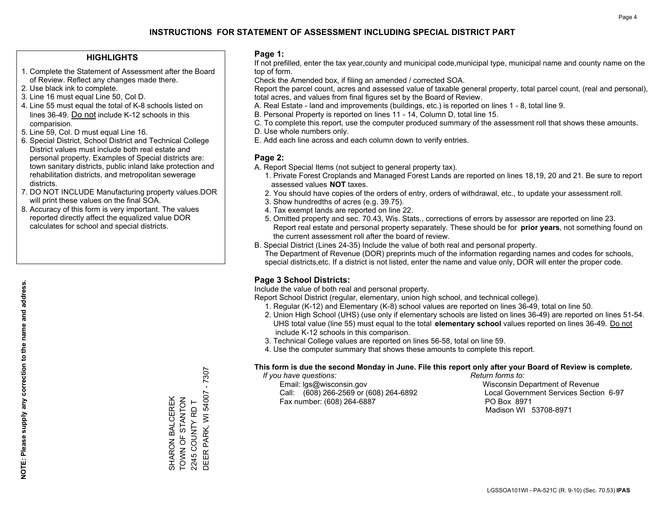### **HIGHLIGHTS**

- 1. Complete the Statement of Assessment after the Board of Review. Reflect any changes made there.
- 2. Use black ink to complete.
- 3. Line 16 must equal Line 50, Col D.
- 4. Line 55 must equal the total of K-8 schools listed on lines 36-49. Do not include K-12 schools in this comparision.
- 5. Line 59, Col. D must equal Line 16.
- 6. Special District, School District and Technical College District values must include both real estate and personal property. Examples of Special districts are: town sanitary districts, public inland lake protection and rehabilitation districts, and metropolitan sewerage districts.
- 7. DO NOT INCLUDE Manufacturing property values.DOR will print these values on the final SOA.
- 8. Accuracy of this form is very important. The values reported directly affect the equalized value DOR calculates for school and special districts.

#### **Page 1:**

 If not prefilled, enter the tax year,county and municipal code,municipal type, municipal name and county name on the top of form.

Check the Amended box, if filing an amended / corrected SOA.

 Report the parcel count, acres and assessed value of taxable general property, total parcel count, (real and personal), total acres, and values from final figures set by the Board of Review.

- A. Real Estate land and improvements (buildings, etc.) is reported on lines 1 8, total line 9.
- B. Personal Property is reported on lines 11 14, Column D, total line 15.
- C. To complete this report, use the computer produced summary of the assessment roll that shows these amounts.
- D. Use whole numbers only.
- E. Add each line across and each column down to verify entries.

## **Page 2:**

- A. Report Special Items (not subject to general property tax).
- 1. Private Forest Croplands and Managed Forest Lands are reported on lines 18,19, 20 and 21. Be sure to report assessed values **NOT** taxes.
- 2. You should have copies of the orders of entry, orders of withdrawal, etc., to update your assessment roll.
	- 3. Show hundredths of acres (e.g. 39.75).
- 4. Tax exempt lands are reported on line 22.
- 5. Omitted property and sec. 70.43, Wis. Stats., corrections of errors by assessor are reported on line 23. Report real estate and personal property separately. These should be for **prior years**, not something found on the current assessment roll after the board of review.
- B. Special District (Lines 24-35) Include the value of both real and personal property.
- The Department of Revenue (DOR) preprints much of the information regarding names and codes for schools, special districts,etc. If a district is not listed, enter the name and value only, DOR will enter the proper code.

## **Page 3 School Districts:**

Include the value of both real and personal property.

Report School District (regular, elementary, union high school, and technical college).

- 1. Regular (K-12) and Elementary (K-8) school values are reported on lines 36-49, total on line 50.
- 2. Union High School (UHS) (use only if elementary schools are listed on lines 36-49) are reported on lines 51-54. UHS total value (line 55) must equal to the total **elementary school** values reported on lines 36-49. Do notinclude K-12 schools in this comparison.
- 3. Technical College values are reported on lines 56-58, total on line 59.
- 4. Use the computer summary that shows these amounts to complete this report.

#### **This form is due the second Monday in June. File this report only after your Board of Review is complete.**

 *If you have questions: Return forms to:*

 Email: lgs@wisconsin.gov Wisconsin Department of RevenueCall:  $(608)$  266-2569 or  $(608)$  264-6892 Fax number: (608) 264-6887 PO Box 8971

Local Government Services Section 6-97 Madison WI 53708-8971

 $-7307$ DEER PARK, WI 54007 - 7307 2245 COUNTY RD T<br>DEER PARK, WI 54007 TOWN OF STANTON SHARON BALCEREK<br>TOWN OF STANTON SHARON BALCEREK 2245 COUNTY RD T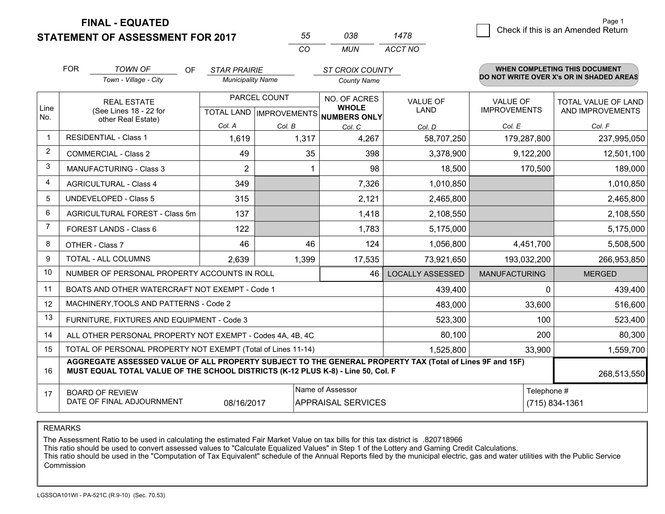**FINAL - EQUATED**

**STATEMENT OF ASSESSMENT FOR 2017** 

| 55. | กาล | 1478    |
|-----|-----|---------|
| CO. | MUN | ACCT NO |

|                | <b>FOR</b><br><b>TOWN OF</b><br><b>OF</b><br><b>STAR PRAIRIE</b><br><b>ST CROIX COUNTY</b>                                                                                                   |                                                           |                              | <b>WHEN COMPLETING THIS DOCUMENT</b> |                                        |                                         |                      |                                          |
|----------------|----------------------------------------------------------------------------------------------------------------------------------------------------------------------------------------------|-----------------------------------------------------------|------------------------------|--------------------------------------|----------------------------------------|-----------------------------------------|----------------------|------------------------------------------|
|                |                                                                                                                                                                                              | Town - Village - City                                     | <b>Municipality Name</b>     |                                      | <b>County Name</b>                     |                                         |                      | DO NOT WRITE OVER X's OR IN SHADED AREAS |
| Line           | PARCEL COUNT<br><b>REAL ESTATE</b><br>(See Lines 18 - 22 for<br>TOTAL LAND IMPROVEMENTS NUMBERS ONLY                                                                                         |                                                           | NO. OF ACRES<br><b>WHOLE</b> | <b>VALUE OF</b><br><b>LAND</b>       | <b>VALUE OF</b><br><b>IMPROVEMENTS</b> | TOTAL VALUE OF LAND<br>AND IMPROVEMENTS |                      |                                          |
| No.            |                                                                                                                                                                                              | other Real Estate)                                        | Col. A                       | Col. B                               | Col. C                                 | Col. D                                  | Col. E               | Col. F                                   |
| $\mathbf 1$    |                                                                                                                                                                                              | <b>RESIDENTIAL - Class 1</b>                              | 1,619                        | 1,317                                | 4,267                                  | 58,707,250                              | 179,287,800          | 237,995,050                              |
| 2              | <b>COMMERCIAL - Class 2</b>                                                                                                                                                                  |                                                           | 49                           | 35                                   | 398                                    | 3,378,900                               | 9,122,200            | 12,501,100                               |
| 3              |                                                                                                                                                                                              | <b>MANUFACTURING - Class 3</b>                            | $\overline{2}$               |                                      | 98                                     | 18,500                                  | 170,500              | 189,000                                  |
| 4              |                                                                                                                                                                                              | <b>AGRICULTURAL - Class 4</b>                             | 349                          |                                      | 7,326                                  | 1,010,850                               |                      | 1,010,850                                |
| 5              |                                                                                                                                                                                              | <b>UNDEVELOPED - Class 5</b>                              | 315                          |                                      | 2,121                                  | 2,465,800                               |                      | 2,465,800                                |
| 6              | AGRICULTURAL FOREST - Class 5m                                                                                                                                                               |                                                           | 137                          |                                      | 1,418                                  | 2,108,550                               |                      | 2,108,550                                |
| $\overline{7}$ |                                                                                                                                                                                              | FOREST LANDS - Class 6                                    | 122                          |                                      | 1,783                                  | 5,175,000                               |                      | 5,175,000                                |
| 8              |                                                                                                                                                                                              | OTHER - Class 7                                           | 46                           | 46                                   | 124                                    | 1,056,800                               | 4,451,700            | 5,508,500                                |
| 9              |                                                                                                                                                                                              | TOTAL - ALL COLUMNS                                       | 2,639                        | 1,399                                | 17,535                                 | 73,921,650                              | 193,032,200          | 266,953,850                              |
| 10             |                                                                                                                                                                                              | NUMBER OF PERSONAL PROPERTY ACCOUNTS IN ROLL              |                              |                                      | 46                                     | <b>LOCALLY ASSESSED</b>                 | <b>MANUFACTURING</b> | <b>MERGED</b>                            |
| 11             |                                                                                                                                                                                              | BOATS AND OTHER WATERCRAFT NOT EXEMPT - Code 1            |                              |                                      |                                        | 439,400                                 | $\Omega$             | 439,400                                  |
| 12             |                                                                                                                                                                                              | MACHINERY, TOOLS AND PATTERNS - Code 2                    |                              |                                      |                                        | 483,000                                 | 33,600               | 516,600                                  |
| 13             |                                                                                                                                                                                              | FURNITURE, FIXTURES AND EQUIPMENT - Code 3                |                              |                                      |                                        | 523,300                                 | 100                  | 523,400                                  |
| 14             |                                                                                                                                                                                              | ALL OTHER PERSONAL PROPERTY NOT EXEMPT - Codes 4A, 4B, 4C |                              |                                      |                                        | 80,100                                  | 200                  | 80,300                                   |
| 15             | TOTAL OF PERSONAL PROPERTY NOT EXEMPT (Total of Lines 11-14)                                                                                                                                 |                                                           |                              |                                      |                                        |                                         | 33,900               | 1,559,700                                |
| 16             | AGGREGATE ASSESSED VALUE OF ALL PROPERTY SUBJECT TO THE GENERAL PROPERTY TAX (Total of Lines 9F and 15F)<br>MUST EQUAL TOTAL VALUE OF THE SCHOOL DISTRICTS (K-12 PLUS K-8) - Line 50, Col. F |                                                           |                              |                                      |                                        |                                         | 268,513,550          |                                          |
| 17             | Name of Assessor<br>Telephone #<br><b>BOARD OF REVIEW</b><br>DATE OF FINAL ADJOURNMENT<br>08/16/2017<br><b>APPRAISAL SERVICES</b>                                                            |                                                           |                              |                                      |                                        |                                         | (715) 834-1361       |                                          |

REMARKS

The Assessment Ratio to be used in calculating the estimated Fair Market Value on tax bills for this tax district is .820718966

This ratio should be used to convert assessed values to "Calculate Equalized Values" in Step 1 of the Lottery and Gaming Credit Calculations.<br>This ratio should be used in the "Computation of Tax Equivalent" schedule of the Commission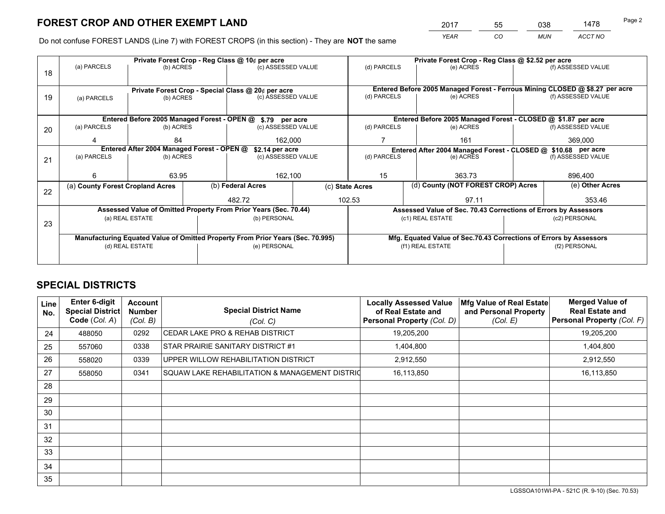*YEAR CO MUN ACCT NO* <sup>2017</sup> <sup>55</sup> <sup>038</sup> <sup>1478</sup>

Do not confuse FOREST LANDS (Line 7) with FOREST CROPS (in this section) - They are **NOT** the same

|    |                                                                                |                 |  | Private Forest Crop - Reg Class @ 10¢ per acre                   |                 | Private Forest Crop - Reg Class @ \$2.52 per acre |                                                                              |  |                    |  |
|----|--------------------------------------------------------------------------------|-----------------|--|------------------------------------------------------------------|-----------------|---------------------------------------------------|------------------------------------------------------------------------------|--|--------------------|--|
| 18 | (a) PARCELS                                                                    | (b) ACRES       |  | (c) ASSESSED VALUE                                               |                 | (d) PARCELS                                       | (e) ACRES                                                                    |  | (f) ASSESSED VALUE |  |
|    |                                                                                |                 |  |                                                                  |                 |                                                   |                                                                              |  |                    |  |
|    |                                                                                |                 |  | Private Forest Crop - Special Class @ 20¢ per acre               |                 |                                                   | Entered Before 2005 Managed Forest - Ferrous Mining CLOSED @ \$8.27 per acre |  |                    |  |
| 19 | (a) PARCELS                                                                    | (b) ACRES       |  | (c) ASSESSED VALUE                                               |                 | (d) PARCELS                                       | (e) ACRES                                                                    |  | (f) ASSESSED VALUE |  |
|    |                                                                                |                 |  |                                                                  |                 |                                                   |                                                                              |  |                    |  |
|    |                                                                                |                 |  | Entered Before 2005 Managed Forest - OPEN @ \$.79 per acre       |                 |                                                   | Entered Before 2005 Managed Forest - CLOSED @ \$1.87 per acre                |  |                    |  |
| 20 | (a) PARCELS                                                                    | (b) ACRES       |  | (c) ASSESSED VALUE                                               |                 | (d) PARCELS                                       | (e) ACRES                                                                    |  | (f) ASSESSED VALUE |  |
|    |                                                                                | 84              |  | 162,000                                                          |                 |                                                   | 161                                                                          |  | 369,000            |  |
|    | Entered After 2004 Managed Forest - OPEN @                                     |                 |  |                                                                  | \$2.14 per acre |                                                   | Entered After 2004 Managed Forest - CLOSED @ \$10.68 per acre                |  |                    |  |
| 21 | (a) PARCELS                                                                    | (b) ACRES       |  | (c) ASSESSED VALUE                                               |                 | (d) PARCELS                                       | (e) ACRES                                                                    |  | (f) ASSESSED VALUE |  |
|    |                                                                                |                 |  |                                                                  |                 |                                                   |                                                                              |  |                    |  |
|    | 6                                                                              | 63.95           |  | 162,100                                                          |                 | 15                                                | 363.73                                                                       |  | 896,400            |  |
| 22 | (a) County Forest Cropland Acres                                               |                 |  | (b) Federal Acres                                                |                 | (c) State Acres                                   | (d) County (NOT FOREST CROP) Acres                                           |  | (e) Other Acres    |  |
|    |                                                                                |                 |  | 102.53<br>482.72                                                 |                 | 97.11                                             |                                                                              |  | 353.46             |  |
|    |                                                                                |                 |  | Assessed Value of Omitted Property From Prior Years (Sec. 70.44) |                 |                                                   | Assessed Value of Sec. 70.43 Corrections of Errors by Assessors              |  |                    |  |
|    |                                                                                | (a) REAL ESTATE |  | (b) PERSONAL                                                     |                 |                                                   | (c1) REAL ESTATE                                                             |  | (c2) PERSONAL      |  |
| 23 |                                                                                |                 |  |                                                                  |                 |                                                   |                                                                              |  |                    |  |
|    | Manufacturing Equated Value of Omitted Property From Prior Years (Sec. 70.995) |                 |  |                                                                  |                 |                                                   | Mfg. Equated Value of Sec.70.43 Corrections of Errors by Assessors           |  |                    |  |
|    |                                                                                | (d) REAL ESTATE |  | (e) PERSONAL                                                     |                 |                                                   | (f1) REAL ESTATE                                                             |  | (f2) PERSONAL      |  |
|    |                                                                                |                 |  |                                                                  |                 |                                                   |                                                                              |  |                    |  |

## **SPECIAL DISTRICTS**

| <b>Line</b><br>No. | <b>Enter 6-digit</b><br>Special District<br>Code (Col. A) | <b>Account</b><br><b>Number</b><br>(Col. B) | <b>Special District Name</b><br>(Col. C)       | <b>Locally Assessed Value</b><br>of Real Estate and<br>Personal Property (Col. D) | Mfg Value of Real Estate<br>and Personal Property<br>(Col. E) | <b>Merged Value of</b><br><b>Real Estate and</b><br>Personal Property (Col. F) |
|--------------------|-----------------------------------------------------------|---------------------------------------------|------------------------------------------------|-----------------------------------------------------------------------------------|---------------------------------------------------------------|--------------------------------------------------------------------------------|
| 24                 | 488050                                                    | 0292                                        | <b>CEDAR LAKE PRO &amp; REHAB DISTRICT</b>     | 19,205,200                                                                        |                                                               | 19,205,200                                                                     |
| 25                 | 557060                                                    | 0338                                        | STAR PRAIRIE SANITARY DISTRICT #1              | 1,404,800                                                                         |                                                               | 1,404,800                                                                      |
| 26                 | 558020                                                    | 0339                                        | UPPER WILLOW REHABILITATION DISTRICT           | 2,912,550                                                                         |                                                               | 2,912,550                                                                      |
| 27                 | 558050                                                    | 0341                                        | SQUAW LAKE REHABILITATION & MANAGEMENT DISTRIC | 16,113,850                                                                        |                                                               | 16,113,850                                                                     |
| 28                 |                                                           |                                             |                                                |                                                                                   |                                                               |                                                                                |
| 29                 |                                                           |                                             |                                                |                                                                                   |                                                               |                                                                                |
| 30                 |                                                           |                                             |                                                |                                                                                   |                                                               |                                                                                |
| 31                 |                                                           |                                             |                                                |                                                                                   |                                                               |                                                                                |
| 32                 |                                                           |                                             |                                                |                                                                                   |                                                               |                                                                                |
| 33                 |                                                           |                                             |                                                |                                                                                   |                                                               |                                                                                |
| 34                 |                                                           |                                             |                                                |                                                                                   |                                                               |                                                                                |
| 35                 |                                                           |                                             |                                                |                                                                                   |                                                               |                                                                                |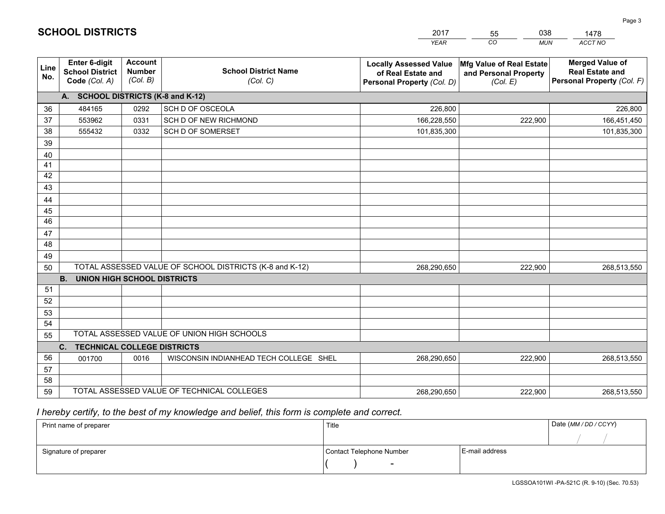|             |                                                                 |                                             |                                                         | <b>YEAR</b>                                                                       | CO<br><b>MUN</b>                                              | ACCT NO                                                                        |
|-------------|-----------------------------------------------------------------|---------------------------------------------|---------------------------------------------------------|-----------------------------------------------------------------------------------|---------------------------------------------------------------|--------------------------------------------------------------------------------|
| Line<br>No. | <b>Enter 6-digit</b><br><b>School District</b><br>Code (Col. A) | <b>Account</b><br><b>Number</b><br>(Col. B) | <b>School District Name</b><br>(Col. C)                 | <b>Locally Assessed Value</b><br>of Real Estate and<br>Personal Property (Col. D) | Mfg Value of Real Estate<br>and Personal Property<br>(Col. E) | <b>Merged Value of</b><br><b>Real Estate and</b><br>Personal Property (Col. F) |
|             | A. SCHOOL DISTRICTS (K-8 and K-12)                              |                                             |                                                         |                                                                                   |                                                               |                                                                                |
| 36          | 484165                                                          | 0292                                        | SCH D OF OSCEOLA                                        | 226.800                                                                           |                                                               | 226,800                                                                        |
| 37          | 553962                                                          | 0331                                        | SCH D OF NEW RICHMOND                                   | 166,228,550                                                                       | 222,900                                                       | 166,451,450                                                                    |
| 38          | 555432                                                          | 0332                                        | SCH D OF SOMERSET                                       | 101,835,300                                                                       |                                                               | 101,835,300                                                                    |
| 39          |                                                                 |                                             |                                                         |                                                                                   |                                                               |                                                                                |
| 40          |                                                                 |                                             |                                                         |                                                                                   |                                                               |                                                                                |
| 41          |                                                                 |                                             |                                                         |                                                                                   |                                                               |                                                                                |
| 42          |                                                                 |                                             |                                                         |                                                                                   |                                                               |                                                                                |
| 43          |                                                                 |                                             |                                                         |                                                                                   |                                                               |                                                                                |
| 44          |                                                                 |                                             |                                                         |                                                                                   |                                                               |                                                                                |
| 45          |                                                                 |                                             |                                                         |                                                                                   |                                                               |                                                                                |
| 46          |                                                                 |                                             |                                                         |                                                                                   |                                                               |                                                                                |
| 47          |                                                                 |                                             |                                                         |                                                                                   |                                                               |                                                                                |
| 48          |                                                                 |                                             |                                                         |                                                                                   |                                                               |                                                                                |
| 49          |                                                                 |                                             | TOTAL ASSESSED VALUE OF SCHOOL DISTRICTS (K-8 and K-12) |                                                                                   |                                                               |                                                                                |
| 50          | <b>B.</b><br><b>UNION HIGH SCHOOL DISTRICTS</b>                 |                                             |                                                         | 268,290,650                                                                       | 222,900                                                       | 268,513,550                                                                    |
| 51          |                                                                 |                                             |                                                         |                                                                                   |                                                               |                                                                                |
| 52          |                                                                 |                                             |                                                         |                                                                                   |                                                               |                                                                                |
| 53          |                                                                 |                                             |                                                         |                                                                                   |                                                               |                                                                                |
| 54          |                                                                 |                                             |                                                         |                                                                                   |                                                               |                                                                                |
| 55          |                                                                 |                                             | TOTAL ASSESSED VALUE OF UNION HIGH SCHOOLS              |                                                                                   |                                                               |                                                                                |
|             | C.<br><b>TECHNICAL COLLEGE DISTRICTS</b>                        |                                             |                                                         |                                                                                   |                                                               |                                                                                |
| 56          | 001700                                                          | 0016                                        | WISCONSIN INDIANHEAD TECH COLLEGE SHEL                  | 268,290,650                                                                       | 222,900                                                       | 268,513,550                                                                    |
| 57          |                                                                 |                                             |                                                         |                                                                                   |                                                               |                                                                                |
| 58          |                                                                 |                                             |                                                         |                                                                                   |                                                               |                                                                                |
| 59          |                                                                 |                                             | TOTAL ASSESSED VALUE OF TECHNICAL COLLEGES              | 268,290,650                                                                       | 222,900                                                       | 268,513,550                                                                    |

 *I hereby certify, to the best of my knowledge and belief, this form is complete and correct.*

| Print name of preparer | Title                    |                | Date (MM / DD / CCYY) |
|------------------------|--------------------------|----------------|-----------------------|
|                        |                          |                |                       |
| Signature of preparer  | Contact Telephone Number | E-mail address |                       |
|                        | $\overline{\phantom{0}}$ |                |                       |

| <b>SCHOOL DISTRICTS</b> |  |
|-------------------------|--|
|-------------------------|--|

2017550381478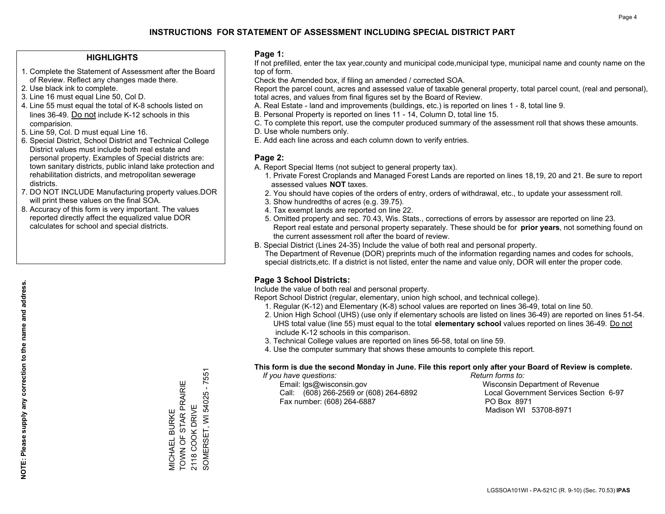### **HIGHLIGHTS**

- 1. Complete the Statement of Assessment after the Board of Review. Reflect any changes made there.
- 2. Use black ink to complete.
- 3. Line 16 must equal Line 50, Col D.
- 4. Line 55 must equal the total of K-8 schools listed on lines 36-49. Do not include K-12 schools in this comparision.
- 5. Line 59, Col. D must equal Line 16.
- 6. Special District, School District and Technical College District values must include both real estate and personal property. Examples of Special districts are: town sanitary districts, public inland lake protection and rehabilitation districts, and metropolitan sewerage districts.
- 7. DO NOT INCLUDE Manufacturing property values.DOR will print these values on the final SOA.
- 8. Accuracy of this form is very important. The values reported directly affect the equalized value DOR calculates for school and special districts.

#### **Page 1:**

 If not prefilled, enter the tax year,county and municipal code,municipal type, municipal name and county name on the top of form.

Check the Amended box, if filing an amended / corrected SOA.

 Report the parcel count, acres and assessed value of taxable general property, total parcel count, (real and personal), total acres, and values from final figures set by the Board of Review.

- A. Real Estate land and improvements (buildings, etc.) is reported on lines 1 8, total line 9.
- B. Personal Property is reported on lines 11 14, Column D, total line 15.
- C. To complete this report, use the computer produced summary of the assessment roll that shows these amounts.
- D. Use whole numbers only.
- E. Add each line across and each column down to verify entries.

#### **Page 2:**

- A. Report Special Items (not subject to general property tax).
- 1. Private Forest Croplands and Managed Forest Lands are reported on lines 18,19, 20 and 21. Be sure to report assessed values **NOT** taxes.
- 2. You should have copies of the orders of entry, orders of withdrawal, etc., to update your assessment roll.
	- 3. Show hundredths of acres (e.g. 39.75).
- 4. Tax exempt lands are reported on line 22.
- 5. Omitted property and sec. 70.43, Wis. Stats., corrections of errors by assessor are reported on line 23. Report real estate and personal property separately. These should be for **prior years**, not something found on the current assessment roll after the board of review.
- B. Special District (Lines 24-35) Include the value of both real and personal property.
- The Department of Revenue (DOR) preprints much of the information regarding names and codes for schools, special districts,etc. If a district is not listed, enter the name and value only, DOR will enter the proper code.

## **Page 3 School Districts:**

Include the value of both real and personal property.

Report School District (regular, elementary, union high school, and technical college).

- 1. Regular (K-12) and Elementary (K-8) school values are reported on lines 36-49, total on line 50.
- 2. Union High School (UHS) (use only if elementary schools are listed on lines 36-49) are reported on lines 51-54. UHS total value (line 55) must equal to the total **elementary school** values reported on lines 36-49. Do notinclude K-12 schools in this comparison.
- 3. Technical College values are reported on lines 56-58, total on line 59.
- 4. Use the computer summary that shows these amounts to complete this report.

#### **This form is due the second Monday in June. File this report only after your Board of Review is complete.**

 *If you have questions: Return forms to:*

 Email: lgs@wisconsin.gov Wisconsin Department of RevenueCall:  $(608)$  266-2569 or  $(608)$  264-6892 Fax number: (608) 264-6887 PO Box 8971

Local Government Services Section 6-97

Madison WI 53708-8971

SOMERSET, WI 54025 - 7551 SOMERSET, WI 54025 - 7551 TOWN OF STAR PRAIRIE TOWN OF STAR PRAIRIE 2118 COOK DRIVE 2118 COOK DRIVE **VICHAEL BURKE** MICHAEL BURKE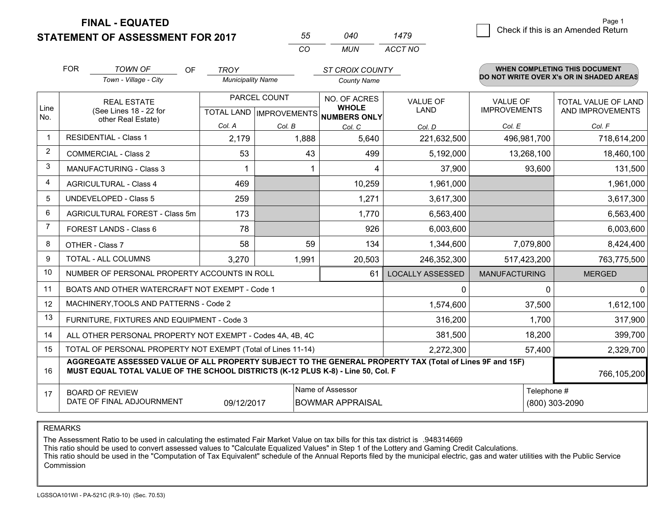**FINAL - EQUATED**

**STATEMENT OF ASSESSMENT FOR 2017** 

| 55  | 040 | 1479    |
|-----|-----|---------|
| CO. | MUN | ACCT NO |

|              | <b>FOR</b>                                                                                                                                                                                   | <b>TOWN OF</b><br>OF                                      | <b>TROY</b>              |              | <b>ST CROIX COUNTY</b>                                   |                         |                      | <b>WHEN COMPLETING THIS DOCUMENT</b>     |
|--------------|----------------------------------------------------------------------------------------------------------------------------------------------------------------------------------------------|-----------------------------------------------------------|--------------------------|--------------|----------------------------------------------------------|-------------------------|----------------------|------------------------------------------|
|              |                                                                                                                                                                                              | Town - Village - City                                     | <b>Municipality Name</b> |              | <b>County Name</b>                                       |                         |                      | DO NOT WRITE OVER X's OR IN SHADED AREAS |
|              |                                                                                                                                                                                              | <b>REAL ESTATE</b>                                        |                          | PARCEL COUNT | NO. OF ACRES                                             | <b>VALUE OF</b>         | <b>VALUE OF</b>      | TOTAL VALUE OF LAND                      |
| Line<br>No.  |                                                                                                                                                                                              | (See Lines 18 - 22 for<br>other Real Estate)              |                          |              | <b>WHOLE</b><br>TOTAL LAND   IMPROVEMENTS   NUMBERS ONLY | <b>LAND</b>             | <b>IMPROVEMENTS</b>  | AND IMPROVEMENTS                         |
|              |                                                                                                                                                                                              |                                                           | Col. A                   | Col. B       | Col. C                                                   | Col. D                  | Col. E               | Col. F                                   |
| $\mathbf{1}$ |                                                                                                                                                                                              | <b>RESIDENTIAL - Class 1</b>                              | 2,179                    | 1,888        | 5,640                                                    | 221,632,500             | 496,981,700          | 718,614,200                              |
| 2            |                                                                                                                                                                                              | <b>COMMERCIAL - Class 2</b>                               | 53                       | 43           | 499                                                      | 5,192,000               | 13,268,100           | 18,460,100                               |
| 3            |                                                                                                                                                                                              | <b>MANUFACTURING - Class 3</b>                            |                          |              | 4                                                        | 37,900                  | 93,600               | 131,500                                  |
| 4            |                                                                                                                                                                                              | <b>AGRICULTURAL - Class 4</b>                             | 469                      |              | 10,259                                                   | 1,961,000               |                      | 1,961,000                                |
| 5            |                                                                                                                                                                                              | <b>UNDEVELOPED - Class 5</b>                              | 259                      |              | 1,271                                                    | 3,617,300               |                      | 3,617,300                                |
| 6            | AGRICULTURAL FOREST - Class 5m                                                                                                                                                               |                                                           | 173                      |              | 1,770                                                    | 6,563,400               |                      | 6,563,400                                |
| 7            |                                                                                                                                                                                              | FOREST LANDS - Class 6                                    | 78                       |              | 926                                                      | 6,003,600               |                      | 6,003,600                                |
| 8            |                                                                                                                                                                                              | OTHER - Class 7                                           | 58                       | 59           | 134                                                      | 1,344,600               | 7,079,800            | 8,424,400                                |
| 9            |                                                                                                                                                                                              | <b>TOTAL - ALL COLUMNS</b>                                | 3,270                    | 1,991        | 20,503                                                   | 246,352,300             | 517,423,200          | 763,775,500                              |
| 10           |                                                                                                                                                                                              | NUMBER OF PERSONAL PROPERTY ACCOUNTS IN ROLL              |                          |              | 61                                                       | <b>LOCALLY ASSESSED</b> | <b>MANUFACTURING</b> | <b>MERGED</b>                            |
| 11           |                                                                                                                                                                                              | BOATS AND OTHER WATERCRAFT NOT EXEMPT - Code 1            |                          |              |                                                          | 0                       |                      | $\Omega$<br>0                            |
| 12           |                                                                                                                                                                                              | MACHINERY, TOOLS AND PATTERNS - Code 2                    |                          |              |                                                          | 1,574,600               | 37,500               | 1,612,100                                |
| 13           |                                                                                                                                                                                              | FURNITURE, FIXTURES AND EQUIPMENT - Code 3                |                          |              |                                                          | 316,200                 | 1,700                | 317,900                                  |
| 14           |                                                                                                                                                                                              | ALL OTHER PERSONAL PROPERTY NOT EXEMPT - Codes 4A, 4B, 4C |                          |              |                                                          | 381,500                 | 18,200               | 399,700                                  |
| 15           | TOTAL OF PERSONAL PROPERTY NOT EXEMPT (Total of Lines 11-14)<br>2,272,300                                                                                                                    |                                                           |                          |              |                                                          |                         | 57,400               | 2,329,700                                |
| 16           | AGGREGATE ASSESSED VALUE OF ALL PROPERTY SUBJECT TO THE GENERAL PROPERTY TAX (Total of Lines 9F and 15F)<br>MUST EQUAL TOTAL VALUE OF THE SCHOOL DISTRICTS (K-12 PLUS K-8) - Line 50, Col. F |                                                           |                          |              |                                                          |                         |                      | 766,105,200                              |
| 17           | Name of Assessor<br><b>BOARD OF REVIEW</b><br>DATE OF FINAL ADJOURNMENT<br>09/12/2017<br><b>BOWMAR APPRAISAL</b>                                                                             |                                                           |                          |              |                                                          |                         |                      | Telephone #<br>(800) 303-2090            |

REMARKS

The Assessment Ratio to be used in calculating the estimated Fair Market Value on tax bills for this tax district is .948314669<br>This ratio should be used to convert assessed values to "Calculate Equalized Values" in Step 1 Commission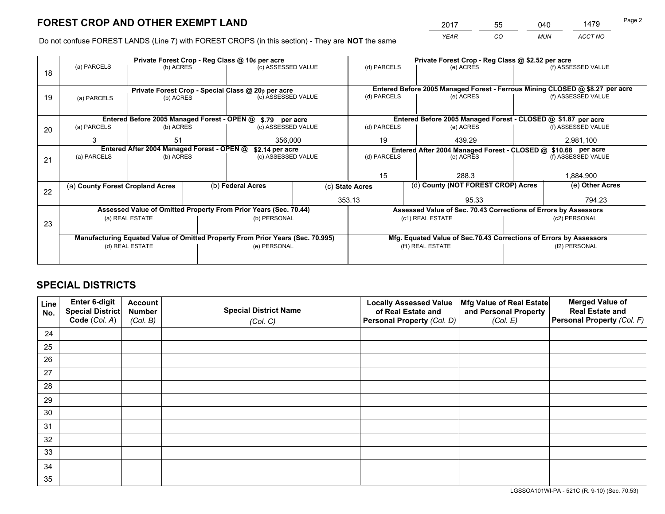*YEAR CO MUN ACCT NO* <sup>2017</sup> <sup>55</sup> <sup>040</sup> <sup>1479</sup>

Do not confuse FOREST LANDS (Line 7) with FOREST CROPS (in this section) - They are **NOT** the same

|    |                                                                                |                                            |  | Private Forest Crop - Reg Class @ 10¢ per acre                   |  | Private Forest Crop - Reg Class @ \$2.52 per acre                                         |                                                                    |  |                                                                              |  |
|----|--------------------------------------------------------------------------------|--------------------------------------------|--|------------------------------------------------------------------|--|-------------------------------------------------------------------------------------------|--------------------------------------------------------------------|--|------------------------------------------------------------------------------|--|
| 18 | (a) PARCELS                                                                    | (b) ACRES                                  |  | (c) ASSESSED VALUE                                               |  | (d) PARCELS                                                                               | (e) ACRES                                                          |  | (f) ASSESSED VALUE                                                           |  |
|    |                                                                                |                                            |  |                                                                  |  |                                                                                           |                                                                    |  |                                                                              |  |
|    |                                                                                |                                            |  | Private Forest Crop - Special Class @ 20¢ per acre               |  |                                                                                           |                                                                    |  | Entered Before 2005 Managed Forest - Ferrous Mining CLOSED @ \$8.27 per acre |  |
| 19 | (a) PARCELS                                                                    | (b) ACRES                                  |  | (c) ASSESSED VALUE                                               |  | (d) PARCELS                                                                               | (e) ACRES                                                          |  | (f) ASSESSED VALUE                                                           |  |
|    |                                                                                |                                            |  |                                                                  |  |                                                                                           |                                                                    |  |                                                                              |  |
|    |                                                                                |                                            |  | Entered Before 2005 Managed Forest - OPEN @ \$.79 per acre       |  | Entered Before 2005 Managed Forest - CLOSED @ \$1.87 per acre                             |                                                                    |  |                                                                              |  |
| 20 | (a) PARCELS                                                                    | (b) ACRES                                  |  | (c) ASSESSED VALUE                                               |  | (d) PARCELS                                                                               | (e) ACRES                                                          |  | (f) ASSESSED VALUE                                                           |  |
|    | 3                                                                              | 51                                         |  | 356,000                                                          |  | 19                                                                                        | 439.29                                                             |  | 2,981,100                                                                    |  |
|    |                                                                                | Entered After 2004 Managed Forest - OPEN @ |  |                                                                  |  |                                                                                           |                                                                    |  |                                                                              |  |
|    | (a) PARCELS                                                                    | (b) ACRES                                  |  | \$2.14 per acre<br>(c) ASSESSED VALUE                            |  | Entered After 2004 Managed Forest - CLOSED @ \$10.68 per acre<br>(d) PARCELS<br>(e) ACRES |                                                                    |  | (f) ASSESSED VALUE                                                           |  |
| 21 |                                                                                |                                            |  |                                                                  |  |                                                                                           |                                                                    |  |                                                                              |  |
|    |                                                                                |                                            |  |                                                                  |  |                                                                                           |                                                                    |  |                                                                              |  |
|    |                                                                                |                                            |  |                                                                  |  | 15                                                                                        | 288.3                                                              |  | 1,884,900                                                                    |  |
| 22 | (a) County Forest Cropland Acres                                               |                                            |  | (b) Federal Acres                                                |  | (c) State Acres                                                                           | (d) County (NOT FOREST CROP) Acres                                 |  | (e) Other Acres                                                              |  |
|    |                                                                                |                                            |  |                                                                  |  | 353.13                                                                                    | 95.33                                                              |  | 794.23                                                                       |  |
|    |                                                                                |                                            |  | Assessed Value of Omitted Property From Prior Years (Sec. 70.44) |  |                                                                                           | Assessed Value of Sec. 70.43 Corrections of Errors by Assessors    |  |                                                                              |  |
|    |                                                                                | (a) REAL ESTATE                            |  | (b) PERSONAL                                                     |  |                                                                                           | (c1) REAL ESTATE                                                   |  | (c2) PERSONAL                                                                |  |
| 23 |                                                                                |                                            |  |                                                                  |  |                                                                                           |                                                                    |  |                                                                              |  |
|    | Manufacturing Equated Value of Omitted Property From Prior Years (Sec. 70.995) |                                            |  |                                                                  |  |                                                                                           | Mfg. Equated Value of Sec.70.43 Corrections of Errors by Assessors |  |                                                                              |  |
|    | (d) REAL ESTATE                                                                |                                            |  | (e) PERSONAL                                                     |  |                                                                                           | (f1) REAL ESTATE                                                   |  | (f2) PERSONAL                                                                |  |
|    |                                                                                |                                            |  |                                                                  |  |                                                                                           |                                                                    |  |                                                                              |  |
|    |                                                                                |                                            |  |                                                                  |  |                                                                                           |                                                                    |  |                                                                              |  |

## **SPECIAL DISTRICTS**

| Line<br>No. | Enter 6-digit<br><b>Special District</b> | <b>Account</b><br><b>Number</b> | <b>Special District Name</b> | <b>Locally Assessed Value</b><br>of Real Estate and | Mfg Value of Real Estate<br>and Personal Property | <b>Merged Value of</b><br><b>Real Estate and</b> |
|-------------|------------------------------------------|---------------------------------|------------------------------|-----------------------------------------------------|---------------------------------------------------|--------------------------------------------------|
|             | Code (Col. A)                            | (Col. B)                        | (Col. C)                     | Personal Property (Col. D)                          | (Col. E)                                          | Personal Property (Col. F)                       |
| 24          |                                          |                                 |                              |                                                     |                                                   |                                                  |
| 25          |                                          |                                 |                              |                                                     |                                                   |                                                  |
| 26          |                                          |                                 |                              |                                                     |                                                   |                                                  |
| 27          |                                          |                                 |                              |                                                     |                                                   |                                                  |
| 28          |                                          |                                 |                              |                                                     |                                                   |                                                  |
| 29          |                                          |                                 |                              |                                                     |                                                   |                                                  |
| 30          |                                          |                                 |                              |                                                     |                                                   |                                                  |
| 31          |                                          |                                 |                              |                                                     |                                                   |                                                  |
| 32          |                                          |                                 |                              |                                                     |                                                   |                                                  |
| 33          |                                          |                                 |                              |                                                     |                                                   |                                                  |
| 34          |                                          |                                 |                              |                                                     |                                                   |                                                  |
| 35          |                                          |                                 |                              |                                                     |                                                   |                                                  |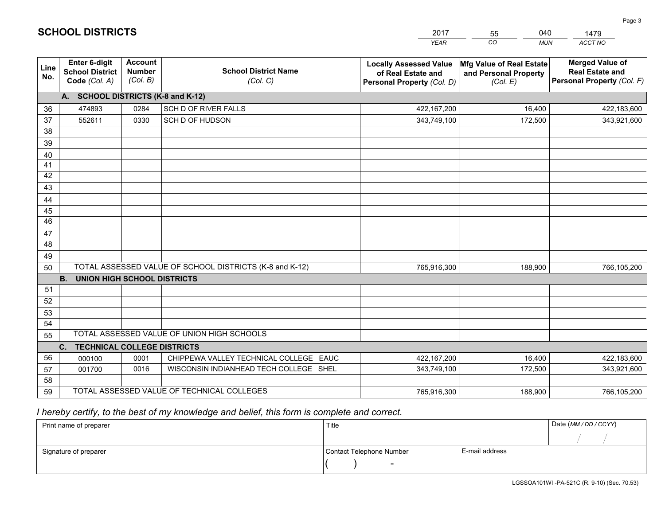|             |                                                          |                                             |                                                         | <b>YEAR</b>                                                                       | CO<br><b>MUN</b>                                              | <b>ACCT NO</b>                                                                 |
|-------------|----------------------------------------------------------|---------------------------------------------|---------------------------------------------------------|-----------------------------------------------------------------------------------|---------------------------------------------------------------|--------------------------------------------------------------------------------|
| Line<br>No. | Enter 6-digit<br><b>School District</b><br>Code (Col. A) | <b>Account</b><br><b>Number</b><br>(Col. B) | <b>School District Name</b><br>(Col. C)                 | <b>Locally Assessed Value</b><br>of Real Estate and<br>Personal Property (Col. D) | Mfg Value of Real Estate<br>and Personal Property<br>(Col. E) | <b>Merged Value of</b><br><b>Real Estate and</b><br>Personal Property (Col. F) |
|             | A. SCHOOL DISTRICTS (K-8 and K-12)                       |                                             |                                                         |                                                                                   |                                                               |                                                                                |
| 36          | 474893                                                   | 0284                                        | SCH D OF RIVER FALLS                                    | 422,167,200                                                                       | 16,400                                                        | 422,183,600                                                                    |
| 37          | 552611                                                   | 0330                                        | SCH D OF HUDSON                                         | 343,749,100                                                                       | 172,500                                                       | 343,921,600                                                                    |
| 38          |                                                          |                                             |                                                         |                                                                                   |                                                               |                                                                                |
| 39          |                                                          |                                             |                                                         |                                                                                   |                                                               |                                                                                |
| 40          |                                                          |                                             |                                                         |                                                                                   |                                                               |                                                                                |
| 41          |                                                          |                                             |                                                         |                                                                                   |                                                               |                                                                                |
| 42          |                                                          |                                             |                                                         |                                                                                   |                                                               |                                                                                |
| 43          |                                                          |                                             |                                                         |                                                                                   |                                                               |                                                                                |
| 44          |                                                          |                                             |                                                         |                                                                                   |                                                               |                                                                                |
| 45          |                                                          |                                             |                                                         |                                                                                   |                                                               |                                                                                |
| 46          |                                                          |                                             |                                                         |                                                                                   |                                                               |                                                                                |
| 47          |                                                          |                                             |                                                         |                                                                                   |                                                               |                                                                                |
| 48          |                                                          |                                             |                                                         |                                                                                   |                                                               |                                                                                |
| 49          |                                                          |                                             |                                                         |                                                                                   |                                                               |                                                                                |
| 50          |                                                          |                                             | TOTAL ASSESSED VALUE OF SCHOOL DISTRICTS (K-8 and K-12) | 765,916,300                                                                       | 188,900                                                       | 766,105,200                                                                    |
|             | <b>B.</b><br><b>UNION HIGH SCHOOL DISTRICTS</b>          |                                             |                                                         |                                                                                   |                                                               |                                                                                |
| 51          |                                                          |                                             |                                                         |                                                                                   |                                                               |                                                                                |
| 52          |                                                          |                                             |                                                         |                                                                                   |                                                               |                                                                                |
| 53          |                                                          |                                             |                                                         |                                                                                   |                                                               |                                                                                |
| 54          |                                                          |                                             |                                                         |                                                                                   |                                                               |                                                                                |
| 55          |                                                          |                                             | TOTAL ASSESSED VALUE OF UNION HIGH SCHOOLS              |                                                                                   |                                                               |                                                                                |
|             | C.<br><b>TECHNICAL COLLEGE DISTRICTS</b>                 |                                             |                                                         |                                                                                   |                                                               |                                                                                |
| 56          | 000100                                                   | 0001                                        | CHIPPEWA VALLEY TECHNICAL COLLEGE EAUC                  | 422,167,200                                                                       | 16,400                                                        | 422,183,600                                                                    |
| 57          | 001700                                                   | 0016                                        | WISCONSIN INDIANHEAD TECH COLLEGE SHEL                  | 343,749,100                                                                       | 172,500                                                       | 343,921,600                                                                    |
| 58          |                                                          |                                             |                                                         |                                                                                   |                                                               |                                                                                |
| 59          |                                                          |                                             | TOTAL ASSESSED VALUE OF TECHNICAL COLLEGES              | 765,916,300                                                                       | 188,900                                                       | 766,105,200                                                                    |

2017

55

040

 *I hereby certify, to the best of my knowledge and belief, this form is complete and correct.*

**SCHOOL DISTRICTS**

| Print name of preparer | Title                    |                | Date (MM / DD / CCYY) |
|------------------------|--------------------------|----------------|-----------------------|
|                        |                          |                |                       |
| Signature of preparer  | Contact Telephone Number | E-mail address |                       |
|                        | $\overline{\phantom{0}}$ |                |                       |

1479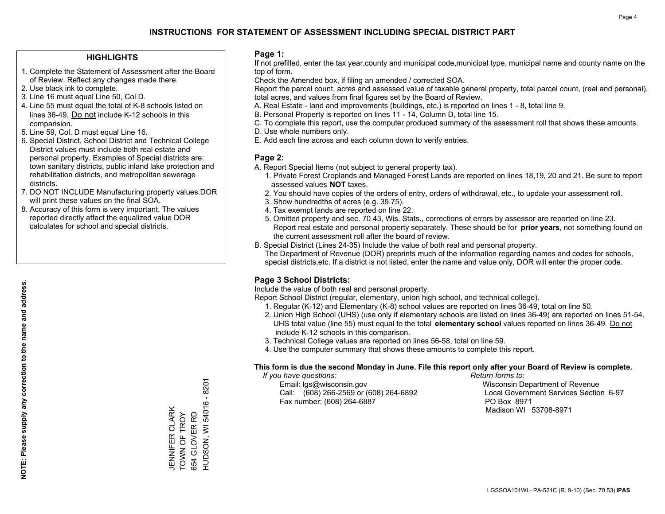### **HIGHLIGHTS**

- 1. Complete the Statement of Assessment after the Board of Review. Reflect any changes made there.
- 2. Use black ink to complete.
- 3. Line 16 must equal Line 50, Col D.
- 4. Line 55 must equal the total of K-8 schools listed on lines 36-49. Do not include K-12 schools in this comparision.
- 5. Line 59, Col. D must equal Line 16.
- 6. Special District, School District and Technical College District values must include both real estate and personal property. Examples of Special districts are: town sanitary districts, public inland lake protection and rehabilitation districts, and metropolitan sewerage districts.
- 7. DO NOT INCLUDE Manufacturing property values.DOR will print these values on the final SOA.
- 8. Accuracy of this form is very important. The values reported directly affect the equalized value DOR calculates for school and special districts.

#### **Page 1:**

 If not prefilled, enter the tax year,county and municipal code,municipal type, municipal name and county name on the top of form.

Check the Amended box, if filing an amended / corrected SOA.

 Report the parcel count, acres and assessed value of taxable general property, total parcel count, (real and personal), total acres, and values from final figures set by the Board of Review.

- A. Real Estate land and improvements (buildings, etc.) is reported on lines 1 8, total line 9.
- B. Personal Property is reported on lines 11 14, Column D, total line 15.
- C. To complete this report, use the computer produced summary of the assessment roll that shows these amounts.
- D. Use whole numbers only.
- E. Add each line across and each column down to verify entries.

### **Page 2:**

- A. Report Special Items (not subject to general property tax).
- 1. Private Forest Croplands and Managed Forest Lands are reported on lines 18,19, 20 and 21. Be sure to report assessed values **NOT** taxes.
- 2. You should have copies of the orders of entry, orders of withdrawal, etc., to update your assessment roll.
	- 3. Show hundredths of acres (e.g. 39.75).
- 4. Tax exempt lands are reported on line 22.
- 5. Omitted property and sec. 70.43, Wis. Stats., corrections of errors by assessor are reported on line 23. Report real estate and personal property separately. These should be for **prior years**, not something found on the current assessment roll after the board of review.
- B. Special District (Lines 24-35) Include the value of both real and personal property.

 The Department of Revenue (DOR) preprints much of the information regarding names and codes for schools, special districts,etc. If a district is not listed, enter the name and value only, DOR will enter the proper code.

## **Page 3 School Districts:**

Include the value of both real and personal property.

Report School District (regular, elementary, union high school, and technical college).

- 1. Regular (K-12) and Elementary (K-8) school values are reported on lines 36-49, total on line 50.
- 2. Union High School (UHS) (use only if elementary schools are listed on lines 36-49) are reported on lines 51-54. UHS total value (line 55) must equal to the total **elementary school** values reported on lines 36-49. Do notinclude K-12 schools in this comparison.
- 3. Technical College values are reported on lines 56-58, total on line 59.
- 4. Use the computer summary that shows these amounts to complete this report.

#### **This form is due the second Monday in June. File this report only after your Board of Review is complete.**

 *If you have questions: Return forms to:*

 Email: lgs@wisconsin.gov Wisconsin Department of RevenueCall:  $(608)$  266-2569 or  $(608)$  264-6892 Fax number: (608) 264-6887 PO Box 8971

Local Government Services Section 6-97

Madison WI 53708-8971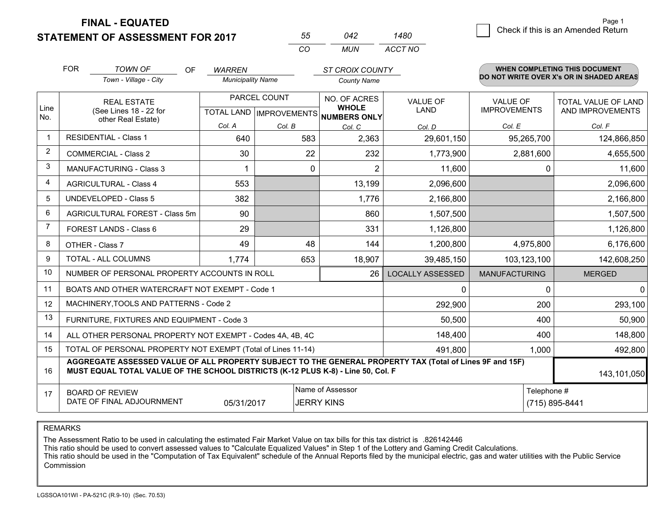**FINAL - EQUATED**

**STATEMENT OF ASSESSMENT FOR 2017** 

| 55  | 042 | 1480    |
|-----|-----|---------|
| CO. | MUN | ACCT NO |

|                | <b>FOR</b>                                                                     | <b>TOWN OF</b><br><b>OF</b>                                                                                                                                                                  | <b>WARREN</b>            |              | <b>ST CROIX COUNTY</b>                              |                         |                      | <b>WHEN COMPLETING THIS DOCUMENT</b>     |  |  |
|----------------|--------------------------------------------------------------------------------|----------------------------------------------------------------------------------------------------------------------------------------------------------------------------------------------|--------------------------|--------------|-----------------------------------------------------|-------------------------|----------------------|------------------------------------------|--|--|
|                |                                                                                | Town - Village - City                                                                                                                                                                        | <b>Municipality Name</b> |              | <b>County Name</b>                                  |                         |                      | DO NOT WRITE OVER X's OR IN SHADED AREAS |  |  |
|                | <b>REAL ESTATE</b>                                                             |                                                                                                                                                                                              |                          | PARCEL COUNT | NO. OF ACRES                                        | <b>VALUE OF</b>         | <b>VALUE OF</b>      | TOTAL VALUE OF LAND                      |  |  |
| Line<br>No.    |                                                                                | (See Lines 18 - 22 for<br>other Real Estate)                                                                                                                                                 |                          |              | <b>WHOLE</b><br>TOTAL LAND MPROVEMENTS NUMBERS ONLY | <b>LAND</b>             | <b>IMPROVEMENTS</b>  | AND IMPROVEMENTS                         |  |  |
|                |                                                                                |                                                                                                                                                                                              | Col. A                   | Col. B       | Col. C                                              | Col. D                  | Col. E               | Col. F                                   |  |  |
| $\mathbf 1$    |                                                                                | <b>RESIDENTIAL - Class 1</b>                                                                                                                                                                 | 640                      | 583          | 2,363                                               | 29,601,150              | 95,265,700           | 124,866,850                              |  |  |
| $\overline{2}$ |                                                                                | <b>COMMERCIAL - Class 2</b>                                                                                                                                                                  | 30                       | 22           | 232                                                 | 1,773,900               | 2,881,600            | 4,655,500                                |  |  |
| 3              |                                                                                | <b>MANUFACTURING - Class 3</b>                                                                                                                                                               |                          | $\mathbf{0}$ | 2                                                   | 11,600                  |                      | 0<br>11,600                              |  |  |
| 4              |                                                                                | <b>AGRICULTURAL - Class 4</b>                                                                                                                                                                | 553                      |              | 13,199                                              | 2,096,600               |                      | 2,096,600                                |  |  |
| 5              |                                                                                | <b>UNDEVELOPED - Class 5</b>                                                                                                                                                                 | 382                      |              | 1,776                                               | 2,166,800               |                      | 2,166,800                                |  |  |
| 6              | AGRICULTURAL FOREST - Class 5m                                                 |                                                                                                                                                                                              | 90                       |              | 860                                                 | 1,507,500               |                      | 1,507,500                                |  |  |
| 7              |                                                                                | FOREST LANDS - Class 6                                                                                                                                                                       | 29                       |              | 331                                                 | 1,126,800               |                      | 1,126,800                                |  |  |
| 8              |                                                                                | OTHER - Class 7                                                                                                                                                                              | 49                       | 48           | 144                                                 | 1,200,800               | 4,975,800            | 6,176,600                                |  |  |
| 9              |                                                                                | <b>TOTAL - ALL COLUMNS</b>                                                                                                                                                                   | 1,774                    | 653          | 18,907                                              | 39,485,150              | 103,123,100          | 142,608,250                              |  |  |
| 10             |                                                                                | NUMBER OF PERSONAL PROPERTY ACCOUNTS IN ROLL                                                                                                                                                 |                          |              | 26                                                  | <b>LOCALLY ASSESSED</b> | <b>MANUFACTURING</b> | <b>MERGED</b>                            |  |  |
| 11             |                                                                                | BOATS AND OTHER WATERCRAFT NOT EXEMPT - Code 1                                                                                                                                               |                          |              |                                                     | 0                       | $\Omega$             | $\overline{0}$                           |  |  |
| 12             |                                                                                | MACHINERY, TOOLS AND PATTERNS - Code 2                                                                                                                                                       |                          |              |                                                     | 292,900                 | 200                  | 293,100                                  |  |  |
| 13             |                                                                                | FURNITURE, FIXTURES AND EQUIPMENT - Code 3                                                                                                                                                   |                          |              |                                                     | 50,500                  | 400                  | 50,900                                   |  |  |
| 14             |                                                                                | ALL OTHER PERSONAL PROPERTY NOT EXEMPT - Codes 4A, 4B, 4C                                                                                                                                    |                          |              |                                                     | 148,400                 | 400                  | 148,800                                  |  |  |
| 15             |                                                                                | TOTAL OF PERSONAL PROPERTY NOT EXEMPT (Total of Lines 11-14)                                                                                                                                 |                          |              |                                                     | 491,800                 | 1,000                | 492,800                                  |  |  |
| 16             |                                                                                | AGGREGATE ASSESSED VALUE OF ALL PROPERTY SUBJECT TO THE GENERAL PROPERTY TAX (Total of Lines 9F and 15F)<br>MUST EQUAL TOTAL VALUE OF THE SCHOOL DISTRICTS (K-12 PLUS K-8) - Line 50, Col. F |                          |              |                                                     |                         |                      | 143,101,050                              |  |  |
| 17             | Name of Assessor<br><b>BOARD OF REVIEW</b>                                     |                                                                                                                                                                                              |                          |              |                                                     |                         | Telephone #          |                                          |  |  |
|                | DATE OF FINAL ADJOURNMENT<br><b>JERRY KINS</b><br>(715) 895-8441<br>05/31/2017 |                                                                                                                                                                                              |                          |              |                                                     |                         |                      |                                          |  |  |

REMARKS

The Assessment Ratio to be used in calculating the estimated Fair Market Value on tax bills for this tax district is .826142446

This ratio should be used to convert assessed values to "Calculate Equalized Values" in Step 1 of the Lottery and Gaming Credit Calculations.<br>This ratio should be used in the "Computation of Tax Equivalent" schedule of the Commission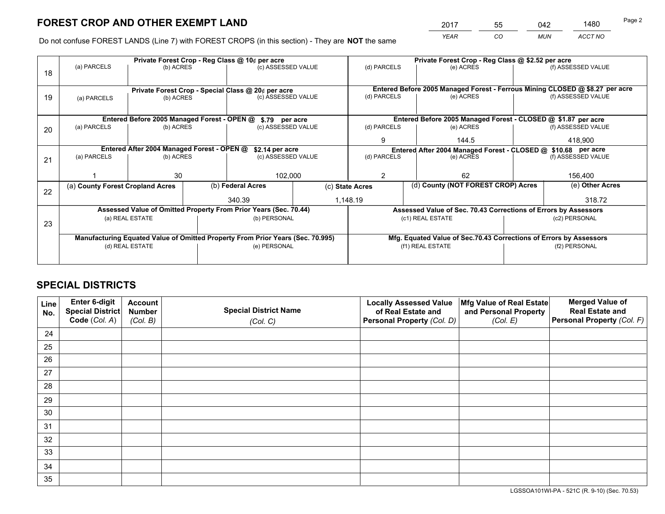*YEAR CO MUN ACCT NO* <sup>2017</sup> <sup>55</sup> <sup>042</sup> <sup>1480</sup>

Do not confuse FOREST LANDS (Line 7) with FOREST CROPS (in this section) - They are **NOT** the same

|    |                                  |                                             |  | Private Forest Crop - Reg Class @ 10¢ per acre                                 |             | Private Forest Crop - Reg Class @ \$2.52 per acre |                                                                              |  |                    |  |
|----|----------------------------------|---------------------------------------------|--|--------------------------------------------------------------------------------|-------------|---------------------------------------------------|------------------------------------------------------------------------------|--|--------------------|--|
| 18 | (a) PARCELS                      | (b) ACRES                                   |  | (c) ASSESSED VALUE                                                             |             | (d) PARCELS                                       | (e) ACRES                                                                    |  | (f) ASSESSED VALUE |  |
|    |                                  |                                             |  |                                                                                |             |                                                   | Entered Before 2005 Managed Forest - Ferrous Mining CLOSED @ \$8.27 per acre |  |                    |  |
| 19 | (a) PARCELS                      | (b) ACRES                                   |  | Private Forest Crop - Special Class @ 20¢ per acre<br>(c) ASSESSED VALUE       |             | (d) PARCELS                                       | (e) ACRES                                                                    |  | (f) ASSESSED VALUE |  |
|    |                                  |                                             |  |                                                                                |             |                                                   |                                                                              |  |                    |  |
|    |                                  |                                             |  |                                                                                |             |                                                   |                                                                              |  |                    |  |
|    |                                  | Entered Before 2005 Managed Forest - OPEN @ |  | \$.79 per acre                                                                 |             |                                                   | Entered Before 2005 Managed Forest - CLOSED @ \$1.87 per acre                |  |                    |  |
| 20 | (a) PARCELS                      | (b) ACRES                                   |  | (c) ASSESSED VALUE                                                             |             | (d) PARCELS                                       | (e) ACRES                                                                    |  | (f) ASSESSED VALUE |  |
|    |                                  |                                             |  | 144.5<br>9                                                                     |             | 418.900                                           |                                                                              |  |                    |  |
|    |                                  | Entered After 2004 Managed Forest - OPEN @  |  | \$2.14 per acre                                                                |             |                                                   | Entered After 2004 Managed Forest - CLOSED @ \$10.68 per acre                |  |                    |  |
| 21 | (a) PARCELS                      | (b) ACRES                                   |  | (c) ASSESSED VALUE                                                             | (d) PARCELS |                                                   | (e) ACRES                                                                    |  | (f) ASSESSED VALUE |  |
|    |                                  |                                             |  |                                                                                |             |                                                   |                                                                              |  |                    |  |
|    |                                  | 30                                          |  | 102,000                                                                        |             | 2                                                 | 62                                                                           |  |                    |  |
|    | (a) County Forest Cropland Acres |                                             |  | (b) Federal Acres                                                              |             | (c) State Acres                                   | (d) County (NOT FOREST CROP) Acres                                           |  | (e) Other Acres    |  |
| 22 |                                  |                                             |  | 340.39                                                                         |             | 1,148.19                                          |                                                                              |  | 318.72             |  |
|    |                                  |                                             |  | Assessed Value of Omitted Property From Prior Years (Sec. 70.44)               |             |                                                   | Assessed Value of Sec. 70.43 Corrections of Errors by Assessors              |  |                    |  |
|    |                                  | (a) REAL ESTATE                             |  | (b) PERSONAL                                                                   |             |                                                   | (c1) REAL ESTATE                                                             |  | (c2) PERSONAL      |  |
| 23 |                                  |                                             |  |                                                                                |             |                                                   |                                                                              |  |                    |  |
|    |                                  |                                             |  | Manufacturing Equated Value of Omitted Property From Prior Years (Sec. 70.995) |             |                                                   | Mfg. Equated Value of Sec.70.43 Corrections of Errors by Assessors           |  |                    |  |
|    |                                  | (d) REAL ESTATE                             |  | (e) PERSONAL                                                                   |             | (f1) REAL ESTATE                                  |                                                                              |  | (f2) PERSONAL      |  |
|    |                                  |                                             |  |                                                                                |             |                                                   |                                                                              |  |                    |  |
|    |                                  |                                             |  |                                                                                |             |                                                   |                                                                              |  |                    |  |

## **SPECIAL DISTRICTS**

| Line<br>No. | Enter 6-digit<br><b>Special District</b> | <b>Account</b><br><b>Number</b> | <b>Special District Name</b> | <b>Locally Assessed Value</b><br>of Real Estate and | Mfg Value of Real Estate<br>and Personal Property | <b>Merged Value of</b><br><b>Real Estate and</b> |
|-------------|------------------------------------------|---------------------------------|------------------------------|-----------------------------------------------------|---------------------------------------------------|--------------------------------------------------|
|             | Code (Col. A)                            | (Col. B)                        | (Col. C)                     | Personal Property (Col. D)                          | (Col. E)                                          | Personal Property (Col. F)                       |
| 24          |                                          |                                 |                              |                                                     |                                                   |                                                  |
| 25          |                                          |                                 |                              |                                                     |                                                   |                                                  |
| 26          |                                          |                                 |                              |                                                     |                                                   |                                                  |
| 27          |                                          |                                 |                              |                                                     |                                                   |                                                  |
| 28          |                                          |                                 |                              |                                                     |                                                   |                                                  |
| 29          |                                          |                                 |                              |                                                     |                                                   |                                                  |
| 30          |                                          |                                 |                              |                                                     |                                                   |                                                  |
| 31          |                                          |                                 |                              |                                                     |                                                   |                                                  |
| 32          |                                          |                                 |                              |                                                     |                                                   |                                                  |
| 33          |                                          |                                 |                              |                                                     |                                                   |                                                  |
| 34          |                                          |                                 |                              |                                                     |                                                   |                                                  |
| 35          |                                          |                                 |                              |                                                     |                                                   |                                                  |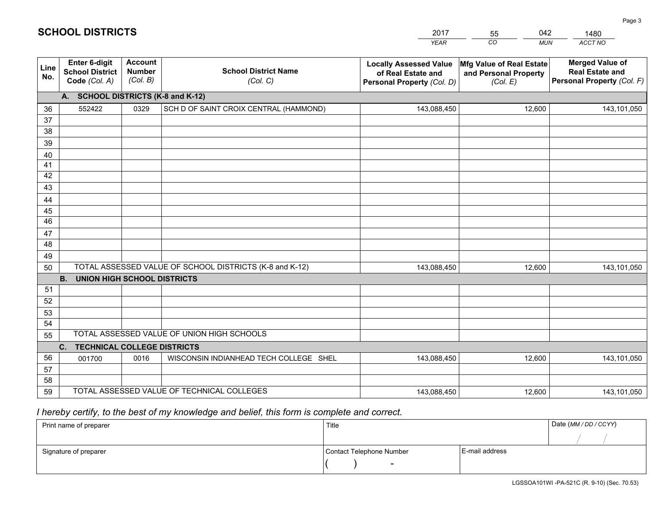|             | <b>SCHOOL DISTRICTS</b>                                         |                                             |                                         | 2017<br><b>YEAR</b>                                                               | 042<br>55<br>CO<br><b>MUN</b>                                 | 1480<br>ACCT NO                                                                |
|-------------|-----------------------------------------------------------------|---------------------------------------------|-----------------------------------------|-----------------------------------------------------------------------------------|---------------------------------------------------------------|--------------------------------------------------------------------------------|
| Line<br>No. | <b>Enter 6-digit</b><br><b>School District</b><br>Code (Col. A) | <b>Account</b><br><b>Number</b><br>(Col. B) | <b>School District Name</b><br>(Col. C) | <b>Locally Assessed Value</b><br>of Real Estate and<br>Personal Property (Col. D) | Mfg Value of Real Estate<br>and Personal Property<br>(Col. E) | <b>Merged Value of</b><br><b>Real Estate and</b><br>Personal Property (Col. F) |
|             | <b>SCHOOL DISTRICTS (K-8 and K-12)</b><br>А.                    |                                             |                                         |                                                                                   |                                                               |                                                                                |
| 36          | 552422                                                          | 0329                                        | SCH D OF SAINT CROIX CENTRAL (HAMMOND)  | 143,088,450                                                                       | 12,600                                                        | 143,101,050                                                                    |
| 37          |                                                                 |                                             |                                         |                                                                                   |                                                               |                                                                                |
| 38          |                                                                 |                                             |                                         |                                                                                   |                                                               |                                                                                |
| 39          |                                                                 |                                             |                                         |                                                                                   |                                                               |                                                                                |
| 40          |                                                                 |                                             |                                         |                                                                                   |                                                               |                                                                                |
| 41          |                                                                 |                                             |                                         |                                                                                   |                                                               |                                                                                |
|             |                                                                 |                                             |                                         |                                                                                   |                                                               |                                                                                |

| 38 |                                                                                                 |      |                                            |             |        |             |
|----|-------------------------------------------------------------------------------------------------|------|--------------------------------------------|-------------|--------|-------------|
| 39 |                                                                                                 |      |                                            |             |        |             |
| 40 |                                                                                                 |      |                                            |             |        |             |
| 41 |                                                                                                 |      |                                            |             |        |             |
| 42 |                                                                                                 |      |                                            |             |        |             |
| 43 |                                                                                                 |      |                                            |             |        |             |
| 44 |                                                                                                 |      |                                            |             |        |             |
| 45 |                                                                                                 |      |                                            |             |        |             |
| 46 |                                                                                                 |      |                                            |             |        |             |
| 47 |                                                                                                 |      |                                            |             |        |             |
| 48 |                                                                                                 |      |                                            |             |        |             |
| 49 |                                                                                                 |      |                                            |             |        |             |
| 50 | TOTAL ASSESSED VALUE OF SCHOOL DISTRICTS (K-8 and K-12)<br>143,088,450<br>12,600<br>143,101,050 |      |                                            |             |        |             |
|    | UNION HIGH SCHOOL DISTRICTS<br><b>B.</b>                                                        |      |                                            |             |        |             |
| 51 |                                                                                                 |      |                                            |             |        |             |
| 52 |                                                                                                 |      |                                            |             |        |             |
| 53 |                                                                                                 |      |                                            |             |        |             |
| 54 |                                                                                                 |      |                                            |             |        |             |
| 55 |                                                                                                 |      | TOTAL ASSESSED VALUE OF UNION HIGH SCHOOLS |             |        |             |
|    | C. TECHNICAL COLLEGE DISTRICTS                                                                  |      |                                            |             |        |             |
| 56 | 001700                                                                                          | 0016 | WISCONSIN INDIANHEAD TECH COLLEGE SHEL     | 143,088,450 | 12,600 | 143,101,050 |
| 57 |                                                                                                 |      |                                            |             |        |             |
| 58 |                                                                                                 |      |                                            |             |        |             |
| 59 |                                                                                                 |      | TOTAL ASSESSED VALUE OF TECHNICAL COLLEGES | 143,088,450 | 12,600 | 143,101,050 |

## *I hereby certify, to the best of my knowledge and belief, this form is complete and correct.*

| Print name of preparer | Title                    |                | Date (MM / DD / CCYY) |
|------------------------|--------------------------|----------------|-----------------------|
|                        |                          |                |                       |
| Signature of preparer  | Contact Telephone Number | E-mail address |                       |
|                        | $\overline{\phantom{0}}$ |                |                       |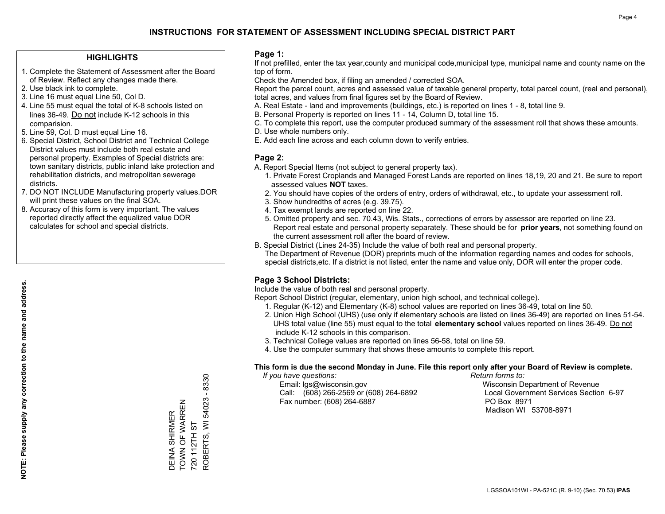### **HIGHLIGHTS**

- 1. Complete the Statement of Assessment after the Board of Review. Reflect any changes made there.
- 2. Use black ink to complete.
- 3. Line 16 must equal Line 50, Col D.
- 4. Line 55 must equal the total of K-8 schools listed on lines 36-49. Do not include K-12 schools in this comparision.
- 5. Line 59, Col. D must equal Line 16.
- 6. Special District, School District and Technical College District values must include both real estate and personal property. Examples of Special districts are: town sanitary districts, public inland lake protection and rehabilitation districts, and metropolitan sewerage districts.
- 7. DO NOT INCLUDE Manufacturing property values.DOR will print these values on the final SOA.

DEINA SHIRMER TOWN OF WARREN 720 112TH ST

DEINA SHIRMER<br>TOWN OF WARREN

ROBERTS, WI 54023 - 8330

ROBERTS, WI 54023 - 8330

720 112TH ST

 8. Accuracy of this form is very important. The values reported directly affect the equalized value DOR calculates for school and special districts.

#### **Page 1:**

 If not prefilled, enter the tax year,county and municipal code,municipal type, municipal name and county name on the top of form.

Check the Amended box, if filing an amended / corrected SOA.

 Report the parcel count, acres and assessed value of taxable general property, total parcel count, (real and personal), total acres, and values from final figures set by the Board of Review.

- A. Real Estate land and improvements (buildings, etc.) is reported on lines 1 8, total line 9.
- B. Personal Property is reported on lines 11 14, Column D, total line 15.
- C. To complete this report, use the computer produced summary of the assessment roll that shows these amounts.
- D. Use whole numbers only.
- E. Add each line across and each column down to verify entries.

#### **Page 2:**

- A. Report Special Items (not subject to general property tax).
- 1. Private Forest Croplands and Managed Forest Lands are reported on lines 18,19, 20 and 21. Be sure to report assessed values **NOT** taxes.
- 2. You should have copies of the orders of entry, orders of withdrawal, etc., to update your assessment roll.
	- 3. Show hundredths of acres (e.g. 39.75).
- 4. Tax exempt lands are reported on line 22.
- 5. Omitted property and sec. 70.43, Wis. Stats., corrections of errors by assessor are reported on line 23. Report real estate and personal property separately. These should be for **prior years**, not something found on the current assessment roll after the board of review.
- B. Special District (Lines 24-35) Include the value of both real and personal property.
- The Department of Revenue (DOR) preprints much of the information regarding names and codes for schools, special districts,etc. If a district is not listed, enter the name and value only, DOR will enter the proper code.

## **Page 3 School Districts:**

Include the value of both real and personal property.

Report School District (regular, elementary, union high school, and technical college).

- 1. Regular (K-12) and Elementary (K-8) school values are reported on lines 36-49, total on line 50.
- 2. Union High School (UHS) (use only if elementary schools are listed on lines 36-49) are reported on lines 51-54. UHS total value (line 55) must equal to the total **elementary school** values reported on lines 36-49. Do notinclude K-12 schools in this comparison.
- 3. Technical College values are reported on lines 56-58, total on line 59.
- 4. Use the computer summary that shows these amounts to complete this report.

#### **This form is due the second Monday in June. File this report only after your Board of Review is complete.**

 *If you have questions: Return forms to:*

 Email: lgs@wisconsin.gov Wisconsin Department of RevenueCall:  $(608)$  266-2569 or  $(608)$  264-6892 Fax number: (608) 264-6887 PO Box 8971

Local Government Services Section 6-97 Madison WI 53708-8971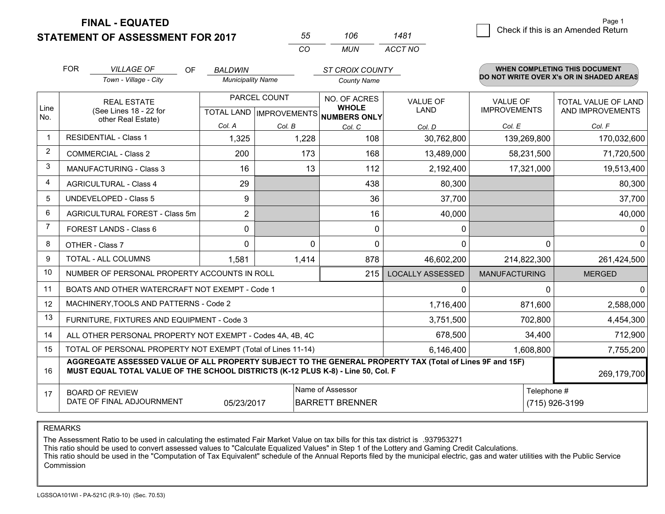**STATEMENT OF ASSESSMENT FOR 2017 FINAL - EQUATED**

| 55  | 106 | 1481    |
|-----|-----|---------|
| CO. | MUN | ACCT NO |

|                | <b>FOR</b>                                 | <b>VILLAGE OF</b><br>OF                                                                                                                                                                      | <b>BALDWIN</b>                                         |              | <b>ST CROIX COUNTY</b>                               |                         |                      | <b>WHEN COMPLETING THIS DOCUMENT</b><br>DO NOT WRITE OVER X's OR IN SHADED AREAS |  |
|----------------|--------------------------------------------|----------------------------------------------------------------------------------------------------------------------------------------------------------------------------------------------|--------------------------------------------------------|--------------|------------------------------------------------------|-------------------------|----------------------|----------------------------------------------------------------------------------|--|
|                |                                            | Town - Village - City                                                                                                                                                                        | <b>Municipality Name</b>                               |              | <b>County Name</b>                                   |                         |                      |                                                                                  |  |
|                |                                            | <b>REAL ESTATE</b>                                                                                                                                                                           |                                                        | PARCEL COUNT | NO. OF ACRES                                         | <b>VALUE OF</b>         | <b>VALUE OF</b>      | <b>TOTAL VALUE OF LAND</b>                                                       |  |
| Line<br>No.    |                                            | (See Lines 18 - 22 for<br>other Real Estate)                                                                                                                                                 |                                                        |              | <b>WHOLE</b><br>TOTAL LAND IMPROVEMENTS NUMBERS ONLY | <b>LAND</b>             | <b>IMPROVEMENTS</b>  | AND IMPROVEMENTS                                                                 |  |
|                |                                            |                                                                                                                                                                                              | Col. A                                                 | Col. B       | Col. C                                               | Col. D                  | Col. E               | Col. F                                                                           |  |
| -1             |                                            | <b>RESIDENTIAL - Class 1</b>                                                                                                                                                                 | 1,325                                                  | 1,228        | 108                                                  | 30,762,800              | 139,269,800          | 170,032,600                                                                      |  |
| 2              |                                            | <b>COMMERCIAL - Class 2</b>                                                                                                                                                                  | 200                                                    | 173          | 168                                                  | 13,489,000              | 58,231,500           | 71,720,500                                                                       |  |
| 3              |                                            | <b>MANUFACTURING - Class 3</b>                                                                                                                                                               | 16                                                     | 13           | 112                                                  | 2,192,400               | 17,321,000           | 19,513,400                                                                       |  |
| 4              |                                            | <b>AGRICULTURAL - Class 4</b>                                                                                                                                                                | 29                                                     |              | 438                                                  | 80,300                  |                      | 80,300                                                                           |  |
| 5              |                                            | <b>UNDEVELOPED - Class 5</b>                                                                                                                                                                 | 9                                                      |              | 36                                                   | 37,700                  |                      | 37,700                                                                           |  |
| 6              |                                            | AGRICULTURAL FOREST - Class 5m                                                                                                                                                               | $\overline{2}$                                         |              | 16                                                   | 40,000                  |                      | 40,000                                                                           |  |
| $\overline{7}$ | FOREST LANDS - Class 6                     |                                                                                                                                                                                              | 0                                                      |              | $\Omega$                                             | 0                       |                      | 0                                                                                |  |
| 8              |                                            | OTHER - Class 7                                                                                                                                                                              | $\Omega$                                               | 0            | 0                                                    | 0                       | $\Omega$             | $\mathbf{0}$                                                                     |  |
| 9              |                                            | TOTAL - ALL COLUMNS                                                                                                                                                                          | 1,581                                                  | 1,414        | 878                                                  | 46,602,200              | 214,822,300          | 261,424,500                                                                      |  |
| 10             |                                            | NUMBER OF PERSONAL PROPERTY ACCOUNTS IN ROLL                                                                                                                                                 |                                                        |              | 215                                                  | <b>LOCALLY ASSESSED</b> | <b>MANUFACTURING</b> | <b>MERGED</b>                                                                    |  |
| 11             |                                            | BOATS AND OTHER WATERCRAFT NOT EXEMPT - Code 1                                                                                                                                               |                                                        |              |                                                      | 0                       | $\Omega$             | $\mathbf{0}$                                                                     |  |
| 12             |                                            | MACHINERY, TOOLS AND PATTERNS - Code 2                                                                                                                                                       |                                                        |              |                                                      | 1,716,400               | 871,600              | 2,588,000                                                                        |  |
| 13             |                                            | FURNITURE, FIXTURES AND EQUIPMENT - Code 3                                                                                                                                                   |                                                        |              |                                                      | 3,751,500               | 702,800              | 4,454,300                                                                        |  |
| 14             |                                            | ALL OTHER PERSONAL PROPERTY NOT EXEMPT - Codes 4A, 4B, 4C                                                                                                                                    |                                                        |              |                                                      | 678,500                 | 34,400               | 712,900                                                                          |  |
| 15             |                                            | TOTAL OF PERSONAL PROPERTY NOT EXEMPT (Total of Lines 11-14)                                                                                                                                 |                                                        |              |                                                      | 6,146,400               | 1,608,800            | 7,755,200                                                                        |  |
| 16             |                                            | AGGREGATE ASSESSED VALUE OF ALL PROPERTY SUBJECT TO THE GENERAL PROPERTY TAX (Total of Lines 9F and 15F)<br>MUST EQUAL TOTAL VALUE OF THE SCHOOL DISTRICTS (K-12 PLUS K-8) - Line 50, Col. F |                                                        |              |                                                      |                         |                      | 269,179,700                                                                      |  |
| 17             | Name of Assessor<br><b>BOARD OF REVIEW</b> |                                                                                                                                                                                              |                                                        |              | Telephone #                                          |                         |                      |                                                                                  |  |
|                |                                            | DATE OF FINAL ADJOURNMENT                                                                                                                                                                    | 05/23/2017<br><b>BARRETT BRENNER</b><br>(715) 926-3199 |              |                                                      |                         |                      |                                                                                  |  |

REMARKS

The Assessment Ratio to be used in calculating the estimated Fair Market Value on tax bills for this tax district is .937953271

This ratio should be used to convert assessed values to "Calculate Equalized Values" in Step 1 of the Lottery and Gaming Credit Calculations.

 This ratio should be used in the "Computation of Tax Equivalent" schedule of the Annual Reports filed by the municipal electric, gas and water utilities with the Public Service Commission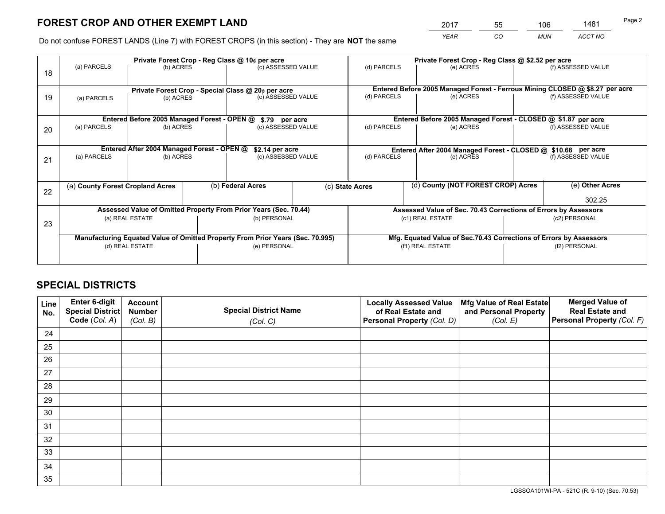*YEAR CO MUN ACCT NO* <sup>2017</sup> <sup>55</sup> <sup>106</sup> <sup>1481</sup>

Do not confuse FOREST LANDS (Line 7) with FOREST CROPS (in this section) - They are **NOT** the same

|    | Private Forest Crop - Reg Class @ 10¢ per acre |                                                                                |                   |                                      |                 |                                    | Private Forest Crop - Reg Class @ \$2.52 per acre                  |  |                    |                                                                              |
|----|------------------------------------------------|--------------------------------------------------------------------------------|-------------------|--------------------------------------|-----------------|------------------------------------|--------------------------------------------------------------------|--|--------------------|------------------------------------------------------------------------------|
| 18 | (a) PARCELS                                    | (b) ACRES                                                                      |                   | (c) ASSESSED VALUE                   |                 | (d) PARCELS                        | (e) ACRES                                                          |  |                    | (f) ASSESSED VALUE                                                           |
|    |                                                | Private Forest Crop - Special Class @ 20¢ per acre                             |                   |                                      |                 |                                    |                                                                    |  |                    | Entered Before 2005 Managed Forest - Ferrous Mining CLOSED @ \$8.27 per acre |
| 19 | (a) PARCELS                                    | (b) ACRES                                                                      |                   | (c) ASSESSED VALUE                   |                 | (d) PARCELS                        | (e) ACRES                                                          |  |                    | (f) ASSESSED VALUE                                                           |
|    |                                                | Entered Before 2005 Managed Forest - OPEN @                                    |                   |                                      |                 |                                    | Entered Before 2005 Managed Forest - CLOSED @ \$1.87 per acre      |  |                    |                                                                              |
| 20 | (a) PARCELS<br>(b) ACRES                       |                                                                                |                   | \$.79 per acre<br>(c) ASSESSED VALUE |                 | (d) PARCELS<br>(e) ACRES           |                                                                    |  | (f) ASSESSED VALUE |                                                                              |
|    |                                                | Entered After 2004 Managed Forest - OPEN @                                     |                   | \$2.14 per acre                      |                 |                                    | Entered After 2004 Managed Forest - CLOSED @ \$10.68 per acre      |  |                    |                                                                              |
| 21 | (a) PARCELS<br>(b) ACRES                       |                                                                                |                   | (c) ASSESSED VALUE                   |                 | (d) PARCELS                        | (e) ACRES                                                          |  |                    | (f) ASSESSED VALUE                                                           |
| 22 | (a) County Forest Cropland Acres               |                                                                                | (b) Federal Acres |                                      | (c) State Acres | (d) County (NOT FOREST CROP) Acres |                                                                    |  | (e) Other Acres    |                                                                              |
|    |                                                |                                                                                |                   |                                      |                 |                                    |                                                                    |  |                    | 302.25                                                                       |
|    |                                                | Assessed Value of Omitted Property From Prior Years (Sec. 70.44)               |                   |                                      |                 |                                    | Assessed Value of Sec. 70.43 Corrections of Errors by Assessors    |  |                    |                                                                              |
| 23 | (a) REAL ESTATE                                |                                                                                |                   | (b) PERSONAL                         |                 | (c1) REAL ESTATE                   |                                                                    |  | (c2) PERSONAL      |                                                                              |
|    |                                                | Manufacturing Equated Value of Omitted Property From Prior Years (Sec. 70.995) |                   |                                      |                 |                                    | Mfg. Equated Value of Sec.70.43 Corrections of Errors by Assessors |  |                    |                                                                              |
|    | (d) REAL ESTATE                                |                                                                                |                   | (e) PERSONAL                         |                 | (f1) REAL ESTATE                   |                                                                    |  | (f2) PERSONAL      |                                                                              |
|    |                                                |                                                                                |                   |                                      |                 |                                    |                                                                    |  |                    |                                                                              |

## **SPECIAL DISTRICTS**

| Line<br>No. | Enter 6-digit<br><b>Special District</b> | <b>Account</b><br><b>Number</b> | <b>Special District Name</b> | <b>Locally Assessed Value</b><br>of Real Estate and | Mfg Value of Real Estate<br>and Personal Property | <b>Merged Value of</b><br><b>Real Estate and</b> |
|-------------|------------------------------------------|---------------------------------|------------------------------|-----------------------------------------------------|---------------------------------------------------|--------------------------------------------------|
|             | Code (Col. A)                            | (Col. B)                        | (Col. C)                     | Personal Property (Col. D)                          | (Col. E)                                          | Personal Property (Col. F)                       |
| 24          |                                          |                                 |                              |                                                     |                                                   |                                                  |
| 25          |                                          |                                 |                              |                                                     |                                                   |                                                  |
| 26          |                                          |                                 |                              |                                                     |                                                   |                                                  |
| 27          |                                          |                                 |                              |                                                     |                                                   |                                                  |
| 28          |                                          |                                 |                              |                                                     |                                                   |                                                  |
| 29          |                                          |                                 |                              |                                                     |                                                   |                                                  |
| 30          |                                          |                                 |                              |                                                     |                                                   |                                                  |
| 31          |                                          |                                 |                              |                                                     |                                                   |                                                  |
| 32          |                                          |                                 |                              |                                                     |                                                   |                                                  |
| 33          |                                          |                                 |                              |                                                     |                                                   |                                                  |
| 34          |                                          |                                 |                              |                                                     |                                                   |                                                  |
| 35          |                                          |                                 |                              |                                                     |                                                   |                                                  |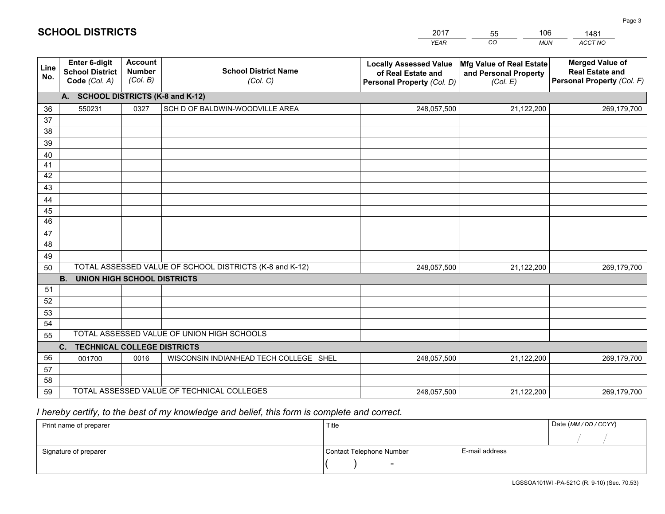|             |                                                          |                                             |                                                         | <b>YEAR</b>                                                                       | CO<br><b>MUN</b>                                              | ACCT NO                                                                        |  |  |  |
|-------------|----------------------------------------------------------|---------------------------------------------|---------------------------------------------------------|-----------------------------------------------------------------------------------|---------------------------------------------------------------|--------------------------------------------------------------------------------|--|--|--|
| Line<br>No. | Enter 6-digit<br><b>School District</b><br>Code (Col. A) | <b>Account</b><br><b>Number</b><br>(Col. B) | <b>School District Name</b><br>(Col. C)                 | <b>Locally Assessed Value</b><br>of Real Estate and<br>Personal Property (Col. D) | Mfg Value of Real Estate<br>and Personal Property<br>(Col. E) | <b>Merged Value of</b><br><b>Real Estate and</b><br>Personal Property (Col. F) |  |  |  |
|             | A. SCHOOL DISTRICTS (K-8 and K-12)                       |                                             |                                                         |                                                                                   |                                                               |                                                                                |  |  |  |
| 36          | 550231                                                   | 0327                                        | SCH D OF BALDWIN-WOODVILLE AREA                         | 248,057,500                                                                       | 21,122,200                                                    | 269,179,700                                                                    |  |  |  |
| 37          |                                                          |                                             |                                                         |                                                                                   |                                                               |                                                                                |  |  |  |
| 38          |                                                          |                                             |                                                         |                                                                                   |                                                               |                                                                                |  |  |  |
| 39          |                                                          |                                             |                                                         |                                                                                   |                                                               |                                                                                |  |  |  |
| 40          |                                                          |                                             |                                                         |                                                                                   |                                                               |                                                                                |  |  |  |
| 41<br>42    |                                                          |                                             |                                                         |                                                                                   |                                                               |                                                                                |  |  |  |
| 43          |                                                          |                                             |                                                         |                                                                                   |                                                               |                                                                                |  |  |  |
| 44          |                                                          |                                             |                                                         |                                                                                   |                                                               |                                                                                |  |  |  |
| 45          |                                                          |                                             |                                                         |                                                                                   |                                                               |                                                                                |  |  |  |
| 46          |                                                          |                                             |                                                         |                                                                                   |                                                               |                                                                                |  |  |  |
| 47          |                                                          |                                             |                                                         |                                                                                   |                                                               |                                                                                |  |  |  |
| 48          |                                                          |                                             |                                                         |                                                                                   |                                                               |                                                                                |  |  |  |
| 49          |                                                          |                                             |                                                         |                                                                                   |                                                               |                                                                                |  |  |  |
| 50          |                                                          |                                             | TOTAL ASSESSED VALUE OF SCHOOL DISTRICTS (K-8 and K-12) | 248,057,500                                                                       | 21,122,200                                                    | 269,179,700                                                                    |  |  |  |
|             | <b>B.</b><br>UNION HIGH SCHOOL DISTRICTS                 |                                             |                                                         |                                                                                   |                                                               |                                                                                |  |  |  |
| 51          |                                                          |                                             |                                                         |                                                                                   |                                                               |                                                                                |  |  |  |
| 52          |                                                          |                                             |                                                         |                                                                                   |                                                               |                                                                                |  |  |  |
| 53<br>54    |                                                          |                                             |                                                         |                                                                                   |                                                               |                                                                                |  |  |  |
| 55          |                                                          |                                             | TOTAL ASSESSED VALUE OF UNION HIGH SCHOOLS              |                                                                                   |                                                               |                                                                                |  |  |  |
|             | C.<br><b>TECHNICAL COLLEGE DISTRICTS</b>                 |                                             |                                                         |                                                                                   |                                                               |                                                                                |  |  |  |
| 56          | 001700                                                   | 0016                                        | WISCONSIN INDIANHEAD TECH COLLEGE SHEL                  | 248,057,500                                                                       | 21,122,200                                                    | 269,179,700                                                                    |  |  |  |
| 57          |                                                          |                                             |                                                         |                                                                                   |                                                               |                                                                                |  |  |  |
| 58          |                                                          |                                             |                                                         |                                                                                   |                                                               |                                                                                |  |  |  |
| 59          |                                                          |                                             | TOTAL ASSESSED VALUE OF TECHNICAL COLLEGES              | 248,057,500                                                                       | 21,122,200                                                    | 269,179,700                                                                    |  |  |  |

2017

55

106

 *I hereby certify, to the best of my knowledge and belief, this form is complete and correct.*

**SCHOOL DISTRICTS**

| Print name of preparer | Title                    |                | Date (MM / DD / CCYY) |
|------------------------|--------------------------|----------------|-----------------------|
|                        |                          |                |                       |
| Signature of preparer  | Contact Telephone Number | E-mail address |                       |
|                        | $\sim$                   |                |                       |

1481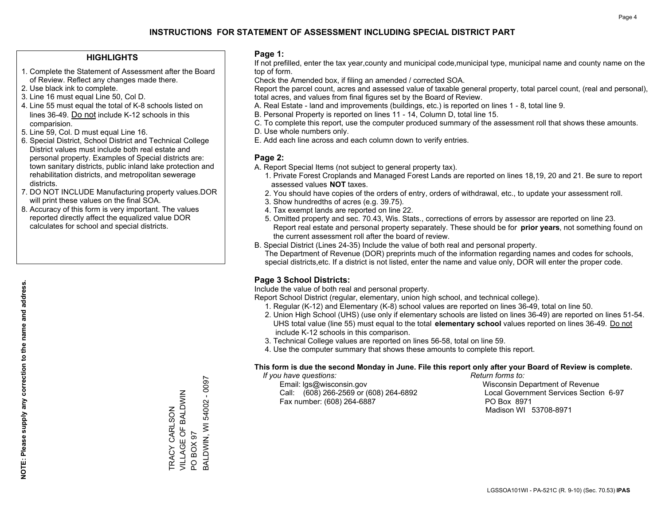### **HIGHLIGHTS**

- 1. Complete the Statement of Assessment after the Board of Review. Reflect any changes made there.
- 2. Use black ink to complete.
- 3. Line 16 must equal Line 50, Col D.
- 4. Line 55 must equal the total of K-8 schools listed on lines 36-49. Do not include K-12 schools in this comparision.
- 5. Line 59, Col. D must equal Line 16.
- 6. Special District, School District and Technical College District values must include both real estate and personal property. Examples of Special districts are: town sanitary districts, public inland lake protection and rehabilitation districts, and metropolitan sewerage districts.
- 7. DO NOT INCLUDE Manufacturing property values.DOR will print these values on the final SOA.

TRACY CARLSON VILLAGE OF BALDWIN

TRACY CARLSON<br>VILLAGE OF BALDWIN

PO BOX 97

PO BOX 97

BALDWIN, WI 54002 - 0097

BALDWIN, WI 54002 - 0097

 8. Accuracy of this form is very important. The values reported directly affect the equalized value DOR calculates for school and special districts.

#### **Page 1:**

 If not prefilled, enter the tax year,county and municipal code,municipal type, municipal name and county name on the top of form.

Check the Amended box, if filing an amended / corrected SOA.

 Report the parcel count, acres and assessed value of taxable general property, total parcel count, (real and personal), total acres, and values from final figures set by the Board of Review.

- A. Real Estate land and improvements (buildings, etc.) is reported on lines 1 8, total line 9.
- B. Personal Property is reported on lines 11 14, Column D, total line 15.
- C. To complete this report, use the computer produced summary of the assessment roll that shows these amounts.
- D. Use whole numbers only.
- E. Add each line across and each column down to verify entries.

## **Page 2:**

- A. Report Special Items (not subject to general property tax).
- 1. Private Forest Croplands and Managed Forest Lands are reported on lines 18,19, 20 and 21. Be sure to report assessed values **NOT** taxes.
- 2. You should have copies of the orders of entry, orders of withdrawal, etc., to update your assessment roll.
	- 3. Show hundredths of acres (e.g. 39.75).
- 4. Tax exempt lands are reported on line 22.
- 5. Omitted property and sec. 70.43, Wis. Stats., corrections of errors by assessor are reported on line 23. Report real estate and personal property separately. These should be for **prior years**, not something found on the current assessment roll after the board of review.
- B. Special District (Lines 24-35) Include the value of both real and personal property.

 The Department of Revenue (DOR) preprints much of the information regarding names and codes for schools, special districts,etc. If a district is not listed, enter the name and value only, DOR will enter the proper code.

## **Page 3 School Districts:**

Include the value of both real and personal property.

Report School District (regular, elementary, union high school, and technical college).

- 1. Regular (K-12) and Elementary (K-8) school values are reported on lines 36-49, total on line 50.
- 2. Union High School (UHS) (use only if elementary schools are listed on lines 36-49) are reported on lines 51-54. UHS total value (line 55) must equal to the total **elementary school** values reported on lines 36-49. Do notinclude K-12 schools in this comparison.
- 3. Technical College values are reported on lines 56-58, total on line 59.
- 4. Use the computer summary that shows these amounts to complete this report.

#### **This form is due the second Monday in June. File this report only after your Board of Review is complete.**

 *If you have questions: Return forms to:*

 Email: lgs@wisconsin.gov Wisconsin Department of RevenueCall:  $(608)$  266-2569 or  $(608)$  264-6892 Fax number: (608) 264-6887 PO Box 8971

Local Government Services Section 6-97 Madison WI 53708-8971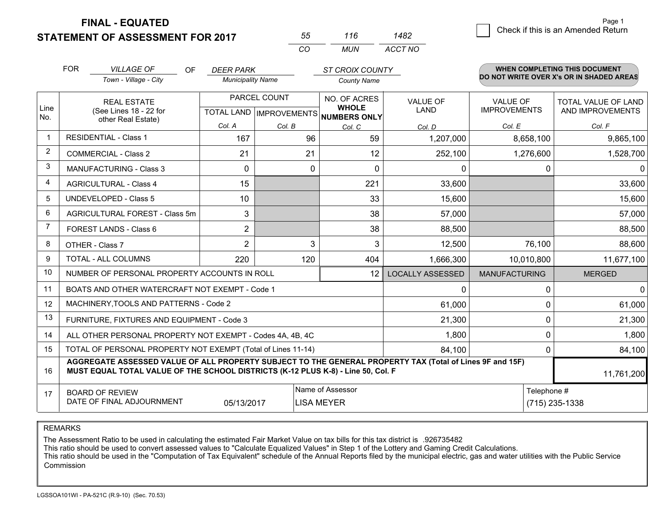**STATEMENT OF ASSESSMENT FOR 2017 FINAL - EQUATED**

| 55  | 116 | 1482    |
|-----|-----|---------|
| -CO | MUN | ACCT NO |

|                | <b>FOR</b><br><b>VILLAGE OF</b><br><b>OF</b><br><b>DEER PARK</b><br><b>ST CROIX COUNTY</b>                                                                                                                 |                          |              |                                      |                         |                      | <b>WHEN COMPLETING THIS DOCUMENT</b>     |
|----------------|------------------------------------------------------------------------------------------------------------------------------------------------------------------------------------------------------------|--------------------------|--------------|--------------------------------------|-------------------------|----------------------|------------------------------------------|
|                | Town - Village - City                                                                                                                                                                                      | <b>Municipality Name</b> |              | <b>County Name</b>                   |                         |                      | DO NOT WRITE OVER X's OR IN SHADED AREAS |
| Line           | <b>REAL ESTATE</b>                                                                                                                                                                                         |                          | PARCEL COUNT | NO. OF ACRES<br><b>WHOLE</b>         | <b>VALUE OF</b>         | VALUE OF             | TOTAL VALUE OF LAND                      |
| No.            | (See Lines 18 - 22 for<br>other Real Estate)                                                                                                                                                               |                          |              | TOTAL LAND IMPROVEMENTS NUMBERS ONLY | LAND                    | <b>IMPROVEMENTS</b>  | AND IMPROVEMENTS                         |
|                |                                                                                                                                                                                                            | Col. A                   | Col. B       | Col. C                               | Col. D                  | Col. E               | Col. F                                   |
| $\mathbf{1}$   | <b>RESIDENTIAL - Class 1</b>                                                                                                                                                                               | 167                      | 96           | 59                                   | 1,207,000               | 8,658,100            | 9,865,100                                |
| 2              | <b>COMMERCIAL - Class 2</b>                                                                                                                                                                                | 21                       | 21           | 12                                   | 252,100                 | 1,276,600            | 1,528,700                                |
| 3              | MANUFACTURING - Class 3                                                                                                                                                                                    | $\Omega$                 | 0            | 0                                    | 0                       | 0                    | $\mathbf 0$                              |
| 4              | <b>AGRICULTURAL - Class 4</b>                                                                                                                                                                              | 15                       |              | 221                                  | 33,600                  |                      | 33,600                                   |
| 5              | <b>UNDEVELOPED - Class 5</b><br>10                                                                                                                                                                         |                          |              | 33                                   | 15,600                  |                      | 15,600                                   |
| 6              | AGRICULTURAL FOREST - Class 5m<br>3                                                                                                                                                                        |                          |              | 38                                   | 57,000                  |                      | 57,000                                   |
| $\overline{7}$ | FOREST LANDS - Class 6                                                                                                                                                                                     | $\overline{2}$           |              | 38                                   | 88,500                  |                      | 88,500                                   |
| 8              | OTHER - Class 7                                                                                                                                                                                            | $\overline{2}$           | 3            | 3                                    | 12,500                  | 76,100               | 88,600                                   |
| 9              | TOTAL - ALL COLUMNS                                                                                                                                                                                        | 220                      | 120          | 404                                  | 1,666,300               | 10,010,800           | 11,677,100                               |
| 10             | NUMBER OF PERSONAL PROPERTY ACCOUNTS IN ROLL                                                                                                                                                               |                          |              | 12                                   | <b>LOCALLY ASSESSED</b> | <b>MANUFACTURING</b> | <b>MERGED</b>                            |
| 11             | BOATS AND OTHER WATERCRAFT NOT EXEMPT - Code 1                                                                                                                                                             |                          |              |                                      | $\Omega$                | 0                    | 0                                        |
| 12             | MACHINERY, TOOLS AND PATTERNS - Code 2                                                                                                                                                                     |                          |              |                                      | 61,000                  | 0                    | 61,000                                   |
| 13             | FURNITURE, FIXTURES AND EQUIPMENT - Code 3                                                                                                                                                                 |                          |              |                                      | 21,300                  | 0                    | 21,300                                   |
| 14             | ALL OTHER PERSONAL PROPERTY NOT EXEMPT - Codes 4A, 4B, 4C                                                                                                                                                  |                          |              |                                      | 1,800                   | 0                    | 1,800                                    |
| 15             | TOTAL OF PERSONAL PROPERTY NOT EXEMPT (Total of Lines 11-14)                                                                                                                                               | 84,100                   | 0            | 84,100                               |                         |                      |                                          |
| 16             | AGGREGATE ASSESSED VALUE OF ALL PROPERTY SUBJECT TO THE GENERAL PROPERTY TAX (Total of Lines 9F and 15F)<br>MUST EQUAL TOTAL VALUE OF THE SCHOOL DISTRICTS (K-12 PLUS K-8) - Line 50, Col. F<br>11,761,200 |                          |              |                                      |                         |                      |                                          |
| 17             | <b>BOARD OF REVIEW</b>                                                                                                                                                                                     |                          |              | Name of Assessor                     |                         | Telephone #          |                                          |
|                | DATE OF FINAL ADJOURNMENT<br>05/13/2017<br>LISA MEYER                                                                                                                                                      |                          |              |                                      |                         |                      | (715) 235-1338                           |

REMARKS

The Assessment Ratio to be used in calculating the estimated Fair Market Value on tax bills for this tax district is .926735482

This ratio should be used to convert assessed values to "Calculate Equalized Values" in Step 1 of the Lottery and Gaming Credit Calculations.

 This ratio should be used in the "Computation of Tax Equivalent" schedule of the Annual Reports filed by the municipal electric, gas and water utilities with the Public Service Commission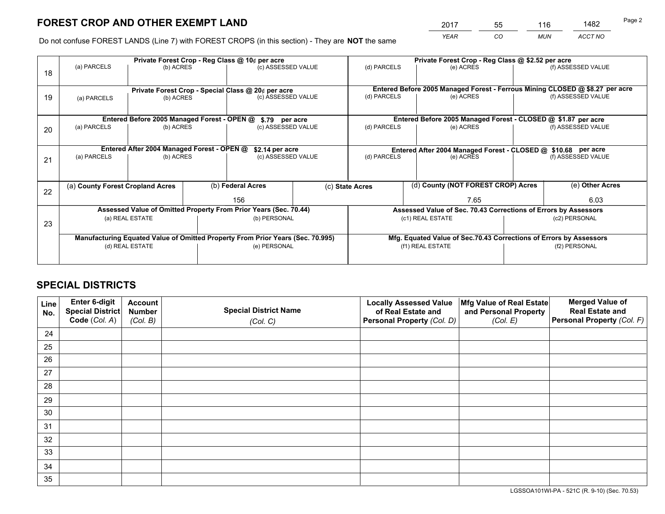*YEAR CO MUN ACCT NO* <sup>2017</sup> <sup>55</sup> <sup>116</sup> <sup>1482</sup>

Do not confuse FOREST LANDS (Line 7) with FOREST CROPS (in this section) - They are **NOT** the same

|    | Private Forest Crop - Reg Class @ 10¢ per acre                                 |                                             |  |                                                                  |  |                                                               | Private Forest Crop - Reg Class @ \$2.52 per acre                            |                                    |                    |                                                                    |  |
|----|--------------------------------------------------------------------------------|---------------------------------------------|--|------------------------------------------------------------------|--|---------------------------------------------------------------|------------------------------------------------------------------------------|------------------------------------|--------------------|--------------------------------------------------------------------|--|
| 18 | (a) PARCELS                                                                    | (b) ACRES                                   |  | (c) ASSESSED VALUE                                               |  | (d) PARCELS                                                   |                                                                              | (e) ACRES                          |                    | (f) ASSESSED VALUE                                                 |  |
|    | Private Forest Crop - Special Class @ 20¢ per acre                             |                                             |  |                                                                  |  |                                                               | Entered Before 2005 Managed Forest - Ferrous Mining CLOSED @ \$8.27 per acre |                                    |                    |                                                                    |  |
| 19 | (b) ACRES<br>(a) PARCELS                                                       |                                             |  | (c) ASSESSED VALUE                                               |  | (d) PARCELS<br>(e) ACRES                                      |                                                                              | (f) ASSESSED VALUE                 |                    |                                                                    |  |
|    |                                                                                | Entered Before 2005 Managed Forest - OPEN @ |  | \$.79 per acre                                                   |  |                                                               | Entered Before 2005 Managed Forest - CLOSED @ \$1.87 per acre                |                                    |                    |                                                                    |  |
|    | (a) PARCELS                                                                    | (b) ACRES                                   |  | (c) ASSESSED VALUE                                               |  | (d) PARCELS                                                   |                                                                              | (e) ACRES                          |                    | (f) ASSESSED VALUE                                                 |  |
| 20 |                                                                                |                                             |  |                                                                  |  |                                                               |                                                                              |                                    |                    |                                                                    |  |
|    | Entered After 2004 Managed Forest - OPEN @<br>\$2.14 per acre                  |                                             |  |                                                                  |  | Entered After 2004 Managed Forest - CLOSED @ \$10.68 per acre |                                                                              |                                    |                    |                                                                    |  |
| 21 | (a) PARCELS                                                                    | (b) ACRES                                   |  | (c) ASSESSED VALUE                                               |  | (d) PARCELS                                                   |                                                                              | (e) ACRES                          | (f) ASSESSED VALUE |                                                                    |  |
|    |                                                                                |                                             |  |                                                                  |  |                                                               |                                                                              |                                    |                    |                                                                    |  |
| 22 | (a) County Forest Cropland Acres                                               |                                             |  | (b) Federal Acres                                                |  | (c) State Acres                                               |                                                                              | (d) County (NOT FOREST CROP) Acres |                    | (e) Other Acres                                                    |  |
|    |                                                                                |                                             |  |                                                                  |  |                                                               |                                                                              | 7.65                               |                    | 6.03                                                               |  |
|    |                                                                                |                                             |  | Assessed Value of Omitted Property From Prior Years (Sec. 70.44) |  |                                                               |                                                                              |                                    |                    | Assessed Value of Sec. 70.43 Corrections of Errors by Assessors    |  |
| 23 |                                                                                | (a) REAL ESTATE                             |  | (b) PERSONAL                                                     |  | (c1) REAL ESTATE                                              |                                                                              |                                    | (c2) PERSONAL      |                                                                    |  |
|    |                                                                                |                                             |  |                                                                  |  |                                                               |                                                                              |                                    |                    |                                                                    |  |
|    | Manufacturing Equated Value of Omitted Property From Prior Years (Sec. 70.995) |                                             |  |                                                                  |  |                                                               |                                                                              |                                    |                    | Mfg. Equated Value of Sec.70.43 Corrections of Errors by Assessors |  |
|    |                                                                                | (d) REAL ESTATE                             |  | (e) PERSONAL                                                     |  |                                                               | (f1) REAL ESTATE                                                             |                                    |                    | (f2) PERSONAL                                                      |  |
|    |                                                                                |                                             |  |                                                                  |  |                                                               |                                                                              |                                    |                    |                                                                    |  |

## **SPECIAL DISTRICTS**

| Line<br>No. | Enter 6-digit<br><b>Special District</b> | <b>Account</b><br><b>Number</b> | <b>Special District Name</b> | <b>Locally Assessed Value</b><br>of Real Estate and | Mfg Value of Real Estate<br>and Personal Property | <b>Merged Value of</b><br><b>Real Estate and</b> |
|-------------|------------------------------------------|---------------------------------|------------------------------|-----------------------------------------------------|---------------------------------------------------|--------------------------------------------------|
|             | Code (Col. A)                            | (Col. B)                        | (Col. C)                     | Personal Property (Col. D)                          | (Col. E)                                          | Personal Property (Col. F)                       |
| 24          |                                          |                                 |                              |                                                     |                                                   |                                                  |
| 25          |                                          |                                 |                              |                                                     |                                                   |                                                  |
| 26          |                                          |                                 |                              |                                                     |                                                   |                                                  |
| 27          |                                          |                                 |                              |                                                     |                                                   |                                                  |
| 28          |                                          |                                 |                              |                                                     |                                                   |                                                  |
| 29          |                                          |                                 |                              |                                                     |                                                   |                                                  |
| 30          |                                          |                                 |                              |                                                     |                                                   |                                                  |
| 31          |                                          |                                 |                              |                                                     |                                                   |                                                  |
| 32          |                                          |                                 |                              |                                                     |                                                   |                                                  |
| 33          |                                          |                                 |                              |                                                     |                                                   |                                                  |
| 34          |                                          |                                 |                              |                                                     |                                                   |                                                  |
| 35          |                                          |                                 |                              |                                                     |                                                   |                                                  |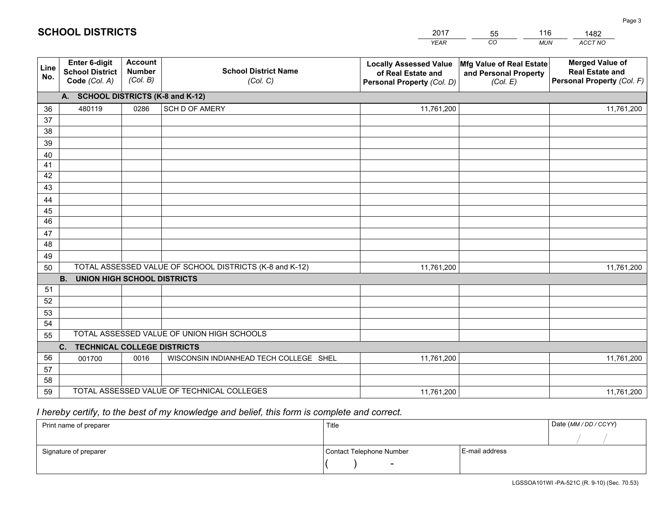| <b>Account</b><br><b>Merged Value of</b><br>Enter 6-digit<br><b>Locally Assessed Value</b><br>Mfg Value of Real Estate<br>Line<br><b>School District Name</b><br><b>Number</b><br><b>School District</b><br><b>Real Estate and</b><br>of Real Estate and<br>and Personal Property<br>No.<br>(Col. B)<br>Personal Property (Col. F)<br>Code (Col. A)<br>(Col. C)<br>Personal Property (Col. D)<br>(Col. E)<br>A. SCHOOL DISTRICTS (K-8 and K-12)<br>480119<br>0286<br>SCH D OF AMERY<br>11,761,200<br>11,761,200<br>36<br>37<br>38<br>39<br>40<br>41<br>42<br>43<br>44<br>45<br>46<br>47<br>48<br>49<br>TOTAL ASSESSED VALUE OF SCHOOL DISTRICTS (K-8 and K-12)<br>11,761,200<br>11,761,200<br>50<br>B <sub>1</sub><br><b>UNION HIGH SCHOOL DISTRICTS</b><br>51<br>52<br>53<br>54 |                                                  |  |  | <b>YEAR</b> | CO<br><b>MUN</b> | ACCT NO |  |  |  |
|----------------------------------------------------------------------------------------------------------------------------------------------------------------------------------------------------------------------------------------------------------------------------------------------------------------------------------------------------------------------------------------------------------------------------------------------------------------------------------------------------------------------------------------------------------------------------------------------------------------------------------------------------------------------------------------------------------------------------------------------------------------------------------|--------------------------------------------------|--|--|-------------|------------------|---------|--|--|--|
|                                                                                                                                                                                                                                                                                                                                                                                                                                                                                                                                                                                                                                                                                                                                                                                  |                                                  |  |  |             |                  |         |  |  |  |
|                                                                                                                                                                                                                                                                                                                                                                                                                                                                                                                                                                                                                                                                                                                                                                                  |                                                  |  |  |             |                  |         |  |  |  |
|                                                                                                                                                                                                                                                                                                                                                                                                                                                                                                                                                                                                                                                                                                                                                                                  |                                                  |  |  |             |                  |         |  |  |  |
|                                                                                                                                                                                                                                                                                                                                                                                                                                                                                                                                                                                                                                                                                                                                                                                  |                                                  |  |  |             |                  |         |  |  |  |
|                                                                                                                                                                                                                                                                                                                                                                                                                                                                                                                                                                                                                                                                                                                                                                                  |                                                  |  |  |             |                  |         |  |  |  |
|                                                                                                                                                                                                                                                                                                                                                                                                                                                                                                                                                                                                                                                                                                                                                                                  |                                                  |  |  |             |                  |         |  |  |  |
|                                                                                                                                                                                                                                                                                                                                                                                                                                                                                                                                                                                                                                                                                                                                                                                  |                                                  |  |  |             |                  |         |  |  |  |
|                                                                                                                                                                                                                                                                                                                                                                                                                                                                                                                                                                                                                                                                                                                                                                                  |                                                  |  |  |             |                  |         |  |  |  |
|                                                                                                                                                                                                                                                                                                                                                                                                                                                                                                                                                                                                                                                                                                                                                                                  |                                                  |  |  |             |                  |         |  |  |  |
|                                                                                                                                                                                                                                                                                                                                                                                                                                                                                                                                                                                                                                                                                                                                                                                  |                                                  |  |  |             |                  |         |  |  |  |
|                                                                                                                                                                                                                                                                                                                                                                                                                                                                                                                                                                                                                                                                                                                                                                                  |                                                  |  |  |             |                  |         |  |  |  |
|                                                                                                                                                                                                                                                                                                                                                                                                                                                                                                                                                                                                                                                                                                                                                                                  |                                                  |  |  |             |                  |         |  |  |  |
|                                                                                                                                                                                                                                                                                                                                                                                                                                                                                                                                                                                                                                                                                                                                                                                  |                                                  |  |  |             |                  |         |  |  |  |
|                                                                                                                                                                                                                                                                                                                                                                                                                                                                                                                                                                                                                                                                                                                                                                                  |                                                  |  |  |             |                  |         |  |  |  |
|                                                                                                                                                                                                                                                                                                                                                                                                                                                                                                                                                                                                                                                                                                                                                                                  |                                                  |  |  |             |                  |         |  |  |  |
|                                                                                                                                                                                                                                                                                                                                                                                                                                                                                                                                                                                                                                                                                                                                                                                  |                                                  |  |  |             |                  |         |  |  |  |
|                                                                                                                                                                                                                                                                                                                                                                                                                                                                                                                                                                                                                                                                                                                                                                                  |                                                  |  |  |             |                  |         |  |  |  |
|                                                                                                                                                                                                                                                                                                                                                                                                                                                                                                                                                                                                                                                                                                                                                                                  |                                                  |  |  |             |                  |         |  |  |  |
|                                                                                                                                                                                                                                                                                                                                                                                                                                                                                                                                                                                                                                                                                                                                                                                  |                                                  |  |  |             |                  |         |  |  |  |
|                                                                                                                                                                                                                                                                                                                                                                                                                                                                                                                                                                                                                                                                                                                                                                                  |                                                  |  |  |             |                  |         |  |  |  |
|                                                                                                                                                                                                                                                                                                                                                                                                                                                                                                                                                                                                                                                                                                                                                                                  |                                                  |  |  |             |                  |         |  |  |  |
|                                                                                                                                                                                                                                                                                                                                                                                                                                                                                                                                                                                                                                                                                                                                                                                  | TOTAL ASSESSED VALUE OF UNION HIGH SCHOOLS<br>55 |  |  |             |                  |         |  |  |  |
| C. TECHNICAL COLLEGE DISTRICTS                                                                                                                                                                                                                                                                                                                                                                                                                                                                                                                                                                                                                                                                                                                                                   |                                                  |  |  |             |                  |         |  |  |  |
| 56<br>WISCONSIN INDIANHEAD TECH COLLEGE SHEL<br>001700<br>0016<br>11,761,200<br>11,761,200<br>57                                                                                                                                                                                                                                                                                                                                                                                                                                                                                                                                                                                                                                                                                 |                                                  |  |  |             |                  |         |  |  |  |
| 58                                                                                                                                                                                                                                                                                                                                                                                                                                                                                                                                                                                                                                                                                                                                                                               |                                                  |  |  |             |                  |         |  |  |  |
| TOTAL ASSESSED VALUE OF TECHNICAL COLLEGES<br>59<br>11,761,200<br>11,761,200                                                                                                                                                                                                                                                                                                                                                                                                                                                                                                                                                                                                                                                                                                     |                                                  |  |  |             |                  |         |  |  |  |

2017

55

116

## *I hereby certify, to the best of my knowledge and belief, this form is complete and correct.*

**SCHOOL DISTRICTS**

| Print name of preparer | Title                    |                | Date (MM / DD / CCYY) |
|------------------------|--------------------------|----------------|-----------------------|
|                        |                          |                |                       |
| Signature of preparer  | Contact Telephone Number | E-mail address |                       |
|                        | $\overline{\phantom{0}}$ |                |                       |

1482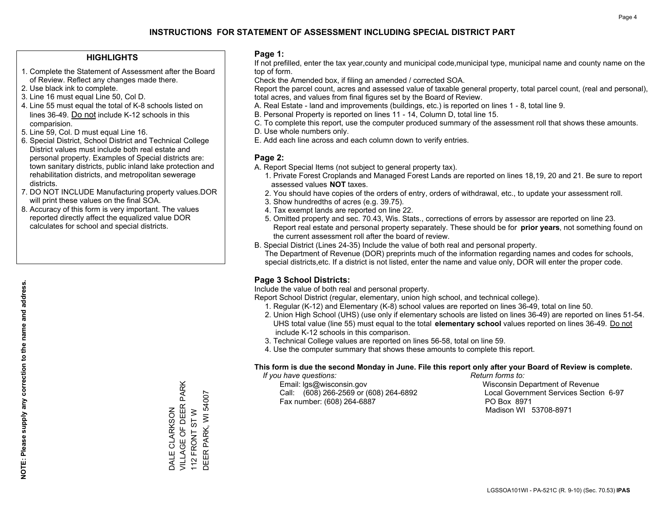### **HIGHLIGHTS**

- 1. Complete the Statement of Assessment after the Board of Review. Reflect any changes made there.
- 2. Use black ink to complete.
- 3. Line 16 must equal Line 50, Col D.
- 4. Line 55 must equal the total of K-8 schools listed on lines 36-49. Do not include K-12 schools in this comparision.
- 5. Line 59, Col. D must equal Line 16.
- 6. Special District, School District and Technical College District values must include both real estate and personal property. Examples of Special districts are: town sanitary districts, public inland lake protection and rehabilitation districts, and metropolitan sewerage districts.
- 7. DO NOT INCLUDE Manufacturing property values.DOR will print these values on the final SOA.
- 8. Accuracy of this form is very important. The values reported directly affect the equalized value DOR calculates for school and special districts.

#### **Page 1:**

 If not prefilled, enter the tax year,county and municipal code,municipal type, municipal name and county name on the top of form.

Check the Amended box, if filing an amended / corrected SOA.

 Report the parcel count, acres and assessed value of taxable general property, total parcel count, (real and personal), total acres, and values from final figures set by the Board of Review.

- A. Real Estate land and improvements (buildings, etc.) is reported on lines 1 8, total line 9.
- B. Personal Property is reported on lines 11 14, Column D, total line 15.
- C. To complete this report, use the computer produced summary of the assessment roll that shows these amounts.
- D. Use whole numbers only.
- E. Add each line across and each column down to verify entries.

### **Page 2:**

- A. Report Special Items (not subject to general property tax).
- 1. Private Forest Croplands and Managed Forest Lands are reported on lines 18,19, 20 and 21. Be sure to report assessed values **NOT** taxes.
- 2. You should have copies of the orders of entry, orders of withdrawal, etc., to update your assessment roll.
	- 3. Show hundredths of acres (e.g. 39.75).
- 4. Tax exempt lands are reported on line 22.
- 5. Omitted property and sec. 70.43, Wis. Stats., corrections of errors by assessor are reported on line 23. Report real estate and personal property separately. These should be for **prior years**, not something found on the current assessment roll after the board of review.
- B. Special District (Lines 24-35) Include the value of both real and personal property.

 The Department of Revenue (DOR) preprints much of the information regarding names and codes for schools, special districts,etc. If a district is not listed, enter the name and value only, DOR will enter the proper code.

## **Page 3 School Districts:**

Include the value of both real and personal property.

Report School District (regular, elementary, union high school, and technical college).

- 1. Regular (K-12) and Elementary (K-8) school values are reported on lines 36-49, total on line 50.
- 2. Union High School (UHS) (use only if elementary schools are listed on lines 36-49) are reported on lines 51-54. UHS total value (line 55) must equal to the total **elementary school** values reported on lines 36-49. Do notinclude K-12 schools in this comparison.
- 3. Technical College values are reported on lines 56-58, total on line 59.
- 4. Use the computer summary that shows these amounts to complete this report.

#### **This form is due the second Monday in June. File this report only after your Board of Review is complete.**

 *If you have questions: Return forms to:*

 Email: lgs@wisconsin.gov Wisconsin Department of RevenueCall:  $(608)$  266-2569 or  $(608)$  264-6892 Fax number: (608) 264-6887 PO Box 8971

Local Government Services Section 6-97 Madison WI 53708-8971

VILLAGE OF DEER PARK DALE CLARKSON<br>VILLAGE OF DEER PARK DEER PARK, WI 54007 DEER PARK, WI 54007 112 FRONT ST W DALE CLARKSON 112 FRONT ST W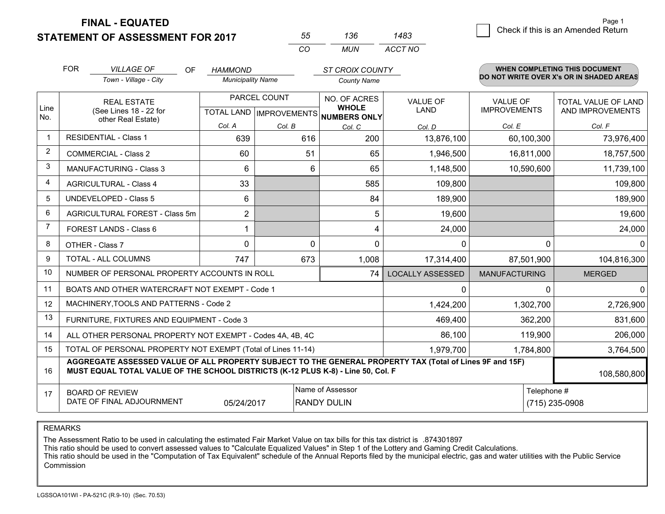**STATEMENT OF ASSESSMENT FOR 2017 FINAL - EQUATED**

3 Check if this is an Amended Return<br>3

Page 1Return

|                | <b>FOR</b>                                                                                                                                                                                                  | <b>VILLAGE OF</b><br>OF                                      | <b>HAMMOND</b>           |        | <b>ST CROIX COUNTY</b>               |                         |                      | <b>WHEN COMPLETING THIS DOCUMENT</b>     |
|----------------|-------------------------------------------------------------------------------------------------------------------------------------------------------------------------------------------------------------|--------------------------------------------------------------|--------------------------|--------|--------------------------------------|-------------------------|----------------------|------------------------------------------|
|                |                                                                                                                                                                                                             | Town - Village - City                                        | <b>Municipality Name</b> |        | <b>County Name</b>                   |                         |                      | DO NOT WRITE OVER X's OR IN SHADED AREAS |
| Line           |                                                                                                                                                                                                             | <b>REAL ESTATE</b>                                           | PARCEL COUNT             |        | NO. OF ACRES<br><b>WHOLE</b>         | <b>VALUE OF</b>         | <b>VALUE OF</b>      | <b>TOTAL VALUE OF LAND</b>               |
| No.            |                                                                                                                                                                                                             | (See Lines 18 - 22 for<br>other Real Estate)                 |                          |        | TOTAL LAND IMPROVEMENTS NUMBERS ONLY | <b>LAND</b>             | <b>IMPROVEMENTS</b>  | AND IMPROVEMENTS                         |
|                |                                                                                                                                                                                                             |                                                              | Col. A                   | Col. B | Col. C                               | Col. D                  | Col. E               | Col. F                                   |
| $\mathbf 1$    |                                                                                                                                                                                                             | <b>RESIDENTIAL - Class 1</b>                                 | 639                      | 616    | 200                                  | 13,876,100              | 60,100,300           | 73,976,400                               |
| $\overline{2}$ |                                                                                                                                                                                                             | <b>COMMERCIAL - Class 2</b>                                  | 60                       | 51     | 65                                   | 1,946,500               | 16,811,000           | 18,757,500                               |
| 3              |                                                                                                                                                                                                             | <b>MANUFACTURING - Class 3</b>                               | 6                        |        | 6<br>65                              | 1,148,500               | 10,590,600           | 11,739,100                               |
| 4              |                                                                                                                                                                                                             | <b>AGRICULTURAL - Class 4</b>                                | 33                       |        | 585                                  | 109,800                 |                      | 109,800                                  |
| 5              |                                                                                                                                                                                                             | <b>UNDEVELOPED - Class 5</b>                                 | 6                        |        | 84                                   | 189,900                 |                      | 189,900                                  |
| 6              |                                                                                                                                                                                                             | AGRICULTURAL FOREST - Class 5m                               | $\overline{2}$           |        | 5                                    | 19,600                  |                      | 19,600                                   |
| 7              |                                                                                                                                                                                                             | FOREST LANDS - Class 6                                       | 1                        |        | 4                                    | 24,000                  |                      | 24,000                                   |
| 8              |                                                                                                                                                                                                             | $\Omega$<br>OTHER - Class 7                                  |                          |        | $\Omega$<br>$\Omega$                 | 0                       | $\Omega$             | $\Omega$                                 |
| 9              |                                                                                                                                                                                                             | TOTAL - ALL COLUMNS                                          | 747                      | 673    | 1,008                                | 17,314,400              | 87,501,900           | 104,816,300                              |
| 10             |                                                                                                                                                                                                             | NUMBER OF PERSONAL PROPERTY ACCOUNTS IN ROLL                 |                          |        | 74                                   | <b>LOCALLY ASSESSED</b> | <b>MANUFACTURING</b> | <b>MERGED</b>                            |
| 11             |                                                                                                                                                                                                             | BOATS AND OTHER WATERCRAFT NOT EXEMPT - Code 1               |                          |        |                                      | 0                       | 0                    | $\mathbf{0}$                             |
| 12             |                                                                                                                                                                                                             | MACHINERY, TOOLS AND PATTERNS - Code 2                       |                          |        |                                      | 1,424,200               | 1,302,700            | 2,726,900                                |
| 13             |                                                                                                                                                                                                             | FURNITURE, FIXTURES AND EQUIPMENT - Code 3                   |                          |        | 469,400                              | 362,200                 | 831,600              |                                          |
| 14             |                                                                                                                                                                                                             | ALL OTHER PERSONAL PROPERTY NOT EXEMPT - Codes 4A, 4B, 4C    |                          |        | 86,100                               | 119,900                 | 206,000              |                                          |
| 15             |                                                                                                                                                                                                             | TOTAL OF PERSONAL PROPERTY NOT EXEMPT (Total of Lines 11-14) |                          |        | 1,979,700                            | 1,784,800               | 3,764,500            |                                          |
| 16             | AGGREGATE ASSESSED VALUE OF ALL PROPERTY SUBJECT TO THE GENERAL PROPERTY TAX (Total of Lines 9F and 15F)<br>MUST EQUAL TOTAL VALUE OF THE SCHOOL DISTRICTS (K-12 PLUS K-8) - Line 50, Col. F<br>108,580,800 |                                                              |                          |        |                                      |                         |                      |                                          |
| 17             |                                                                                                                                                                                                             | <b>BOARD OF REVIEW</b>                                       |                          |        | Name of Assessor                     |                         | Telephone #          |                                          |
|                | DATE OF FINAL ADJOURNMENT<br><b>RANDY DULIN</b><br>05/24/2017                                                                                                                                               |                                                              |                          |        |                                      |                         |                      | (715) 235-0908                           |

*CO*

*MUN*

*ACCT NO1483*

*<sup>55</sup> <sup>136</sup>*

REMARKS

The Assessment Ratio to be used in calculating the estimated Fair Market Value on tax bills for this tax district is .874301897<br>This ratio should be used to convert assessed values to "Calculate Equalized Values" in Step 1 Commission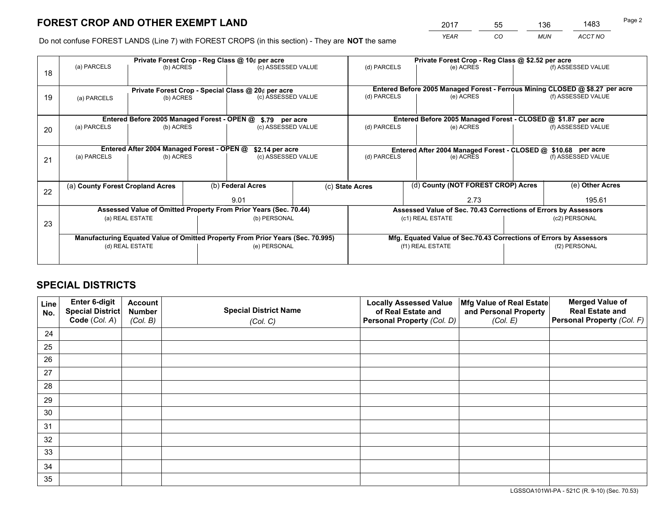*YEAR CO MUN ACCT NO* <sup>2017</sup> <sup>55</sup> <sup>136</sup> <sup>1483</sup>

Do not confuse FOREST LANDS (Line 7) with FOREST CROPS (in this section) - They are **NOT** the same

|    |                                                                                |                                             |  | Private Forest Crop - Reg Class @ 10¢ per acre                   |                    | Private Forest Crop - Reg Class @ \$2.52 per acre                            |                          |                                                                    |                    |                    |
|----|--------------------------------------------------------------------------------|---------------------------------------------|--|------------------------------------------------------------------|--------------------|------------------------------------------------------------------------------|--------------------------|--------------------------------------------------------------------|--------------------|--------------------|
| 18 | (a) PARCELS                                                                    | (b) ACRES                                   |  | (c) ASSESSED VALUE                                               |                    | (d) PARCELS                                                                  |                          | (e) ACRES                                                          |                    | (f) ASSESSED VALUE |
|    |                                                                                |                                             |  |                                                                  |                    | Entered Before 2005 Managed Forest - Ferrous Mining CLOSED @ \$8.27 per acre |                          |                                                                    |                    |                    |
| 19 | Private Forest Crop - Special Class @ 20¢ per acre<br>(b) ACRES<br>(a) PARCELS |                                             |  | (c) ASSESSED VALUE                                               |                    | (d) PARCELS<br>(e) ACRES                                                     |                          |                                                                    | (f) ASSESSED VALUE |                    |
|    |                                                                                |                                             |  |                                                                  |                    |                                                                              |                          |                                                                    |                    |                    |
|    |                                                                                | Entered Before 2005 Managed Forest - OPEN @ |  | \$.79 per acre                                                   |                    |                                                                              |                          | Entered Before 2005 Managed Forest - CLOSED @ \$1.87 per acre      |                    |                    |
| 20 | (a) PARCELS<br>(b) ACRES                                                       |                                             |  | (c) ASSESSED VALUE                                               |                    | (d) PARCELS                                                                  |                          | (e) ACRES                                                          |                    | (f) ASSESSED VALUE |
|    | Entered After 2004 Managed Forest - OPEN @<br>\$2.14 per acre                  |                                             |  |                                                                  |                    | Entered After 2004 Managed Forest - CLOSED @ \$10.68 per acre                |                          |                                                                    |                    |                    |
| 21 | (a) PARCELS                                                                    | (b) ACRES                                   |  |                                                                  | (c) ASSESSED VALUE |                                                                              | (d) PARCELS<br>(e) ACRES |                                                                    | (f) ASSESSED VALUE |                    |
|    |                                                                                |                                             |  |                                                                  |                    |                                                                              |                          |                                                                    |                    |                    |
|    | (a) County Forest Cropland Acres                                               |                                             |  | (b) Federal Acres                                                |                    | (c) State Acres                                                              |                          | (d) County (NOT FOREST CROP) Acres                                 |                    | (e) Other Acres    |
| 22 |                                                                                |                                             |  | 9.01                                                             |                    |                                                                              |                          | 2.73                                                               |                    | 195.61             |
|    |                                                                                |                                             |  | Assessed Value of Omitted Property From Prior Years (Sec. 70.44) |                    |                                                                              |                          | Assessed Value of Sec. 70.43 Corrections of Errors by Assessors    |                    |                    |
| 23 | (a) REAL ESTATE                                                                |                                             |  | (b) PERSONAL                                                     |                    |                                                                              |                          | (c1) REAL ESTATE                                                   | (c2) PERSONAL      |                    |
|    | Manufacturing Equated Value of Omitted Property From Prior Years (Sec. 70.995) |                                             |  |                                                                  |                    |                                                                              |                          | Mfg. Equated Value of Sec.70.43 Corrections of Errors by Assessors |                    |                    |
|    |                                                                                | (d) REAL ESTATE                             |  | (e) PERSONAL                                                     |                    |                                                                              | (f1) REAL ESTATE         |                                                                    |                    | (f2) PERSONAL      |
|    |                                                                                |                                             |  |                                                                  |                    |                                                                              |                          |                                                                    |                    |                    |

## **SPECIAL DISTRICTS**

| Line<br>No. | Enter 6-digit<br><b>Special District</b> | <b>Account</b><br><b>Number</b> | <b>Special District Name</b> | <b>Locally Assessed Value</b><br>of Real Estate and | Mfg Value of Real Estate<br>and Personal Property | <b>Merged Value of</b><br><b>Real Estate and</b> |
|-------------|------------------------------------------|---------------------------------|------------------------------|-----------------------------------------------------|---------------------------------------------------|--------------------------------------------------|
|             | Code (Col. A)                            | (Col. B)                        | (Col. C)                     | Personal Property (Col. D)                          | (Col. E)                                          | Personal Property (Col. F)                       |
| 24          |                                          |                                 |                              |                                                     |                                                   |                                                  |
| 25          |                                          |                                 |                              |                                                     |                                                   |                                                  |
| 26          |                                          |                                 |                              |                                                     |                                                   |                                                  |
| 27          |                                          |                                 |                              |                                                     |                                                   |                                                  |
| 28          |                                          |                                 |                              |                                                     |                                                   |                                                  |
| 29          |                                          |                                 |                              |                                                     |                                                   |                                                  |
| 30          |                                          |                                 |                              |                                                     |                                                   |                                                  |
| 31          |                                          |                                 |                              |                                                     |                                                   |                                                  |
| 32          |                                          |                                 |                              |                                                     |                                                   |                                                  |
| 33          |                                          |                                 |                              |                                                     |                                                   |                                                  |
| 34          |                                          |                                 |                              |                                                     |                                                   |                                                  |
| 35          |                                          |                                 |                              |                                                     |                                                   |                                                  |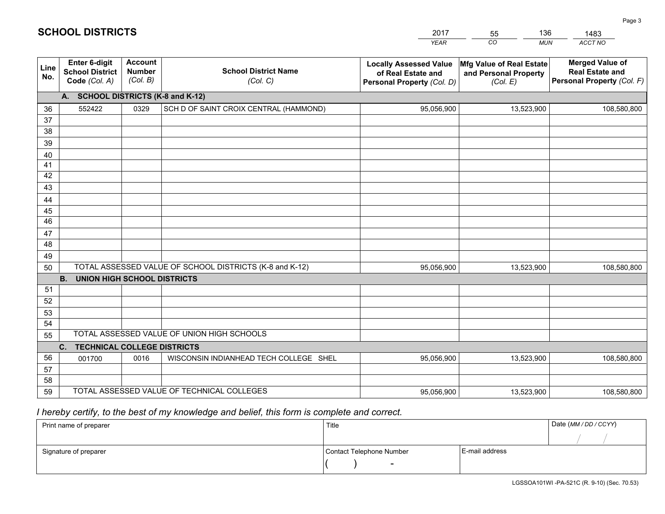|             |                                                          |                                             |                                                         | YEAR                                                                              | CO.<br><b>MUN</b>                                                    | ACCT NO                                                                        |
|-------------|----------------------------------------------------------|---------------------------------------------|---------------------------------------------------------|-----------------------------------------------------------------------------------|----------------------------------------------------------------------|--------------------------------------------------------------------------------|
| Line<br>No. | Enter 6-digit<br><b>School District</b><br>Code (Col. A) | <b>Account</b><br><b>Number</b><br>(Col. B) | <b>School District Name</b><br>(Col. C)                 | <b>Locally Assessed Value</b><br>of Real Estate and<br>Personal Property (Col. D) | <b>Mfg Value of Real Estate</b><br>and Personal Property<br>(Col. E) | <b>Merged Value of</b><br><b>Real Estate and</b><br>Personal Property (Col. F) |
|             | A.                                                       |                                             | <b>SCHOOL DISTRICTS (K-8 and K-12)</b>                  |                                                                                   |                                                                      |                                                                                |
| 36          | 552422                                                   | 0329                                        | SCH D OF SAINT CROIX CENTRAL (HAMMOND)                  | 95,056,900                                                                        | 13,523,900                                                           | 108,580,800                                                                    |
| 37          |                                                          |                                             |                                                         |                                                                                   |                                                                      |                                                                                |
| 38          |                                                          |                                             |                                                         |                                                                                   |                                                                      |                                                                                |
| 39          |                                                          |                                             |                                                         |                                                                                   |                                                                      |                                                                                |
| 40          |                                                          |                                             |                                                         |                                                                                   |                                                                      |                                                                                |
| 41          |                                                          |                                             |                                                         |                                                                                   |                                                                      |                                                                                |
| 42          |                                                          |                                             |                                                         |                                                                                   |                                                                      |                                                                                |
| 43          |                                                          |                                             |                                                         |                                                                                   |                                                                      |                                                                                |
| 44          |                                                          |                                             |                                                         |                                                                                   |                                                                      |                                                                                |
| 45          |                                                          |                                             |                                                         |                                                                                   |                                                                      |                                                                                |
| 46          |                                                          |                                             |                                                         |                                                                                   |                                                                      |                                                                                |
| 47          |                                                          |                                             |                                                         |                                                                                   |                                                                      |                                                                                |
| 48          |                                                          |                                             |                                                         |                                                                                   |                                                                      |                                                                                |
| 49          |                                                          |                                             |                                                         |                                                                                   |                                                                      |                                                                                |
| 50          | <b>B.</b><br><b>UNION HIGH SCHOOL DISTRICTS</b>          |                                             | TOTAL ASSESSED VALUE OF SCHOOL DISTRICTS (K-8 and K-12) | 95,056,900                                                                        | 13,523,900                                                           | 108,580,800                                                                    |
| 51          |                                                          |                                             |                                                         |                                                                                   |                                                                      |                                                                                |
| 52          |                                                          |                                             |                                                         |                                                                                   |                                                                      |                                                                                |
| 53          |                                                          |                                             |                                                         |                                                                                   |                                                                      |                                                                                |
| 54          |                                                          |                                             |                                                         |                                                                                   |                                                                      |                                                                                |
| 55          |                                                          |                                             | TOTAL ASSESSED VALUE OF UNION HIGH SCHOOLS              |                                                                                   |                                                                      |                                                                                |
|             | C <sub>1</sub><br><b>TECHNICAL COLLEGE DISTRICTS</b>     |                                             |                                                         |                                                                                   |                                                                      |                                                                                |
| 56          | 001700                                                   | 0016                                        | WISCONSIN INDIANHEAD TECH COLLEGE SHEL                  | 95,056,900                                                                        | 13,523,900                                                           | 108,580,800                                                                    |
|             |                                                          |                                             |                                                         |                                                                                   |                                                                      |                                                                                |

 *I hereby certify, to the best of my knowledge and belief, this form is complete and correct.*

TOTAL ASSESSED VALUE OF TECHNICAL COLLEGES

| Print name of preparer | Title                    | Date (MM / DD / CCYY) |  |
|------------------------|--------------------------|-----------------------|--|
|                        |                          |                       |  |
| Signature of preparer  | Contact Telephone Number | E-mail address        |  |
|                        | $\overline{\phantom{0}}$ |                       |  |

13,523,900 108,580,800

|  |  |  |  |  | <b>SCHOOL DISTRICTS</b> |  |  |  |
|--|--|--|--|--|-------------------------|--|--|--|
|--|--|--|--|--|-------------------------|--|--|--|

 57 5859 201755

95,056,900

*MUN* 1361483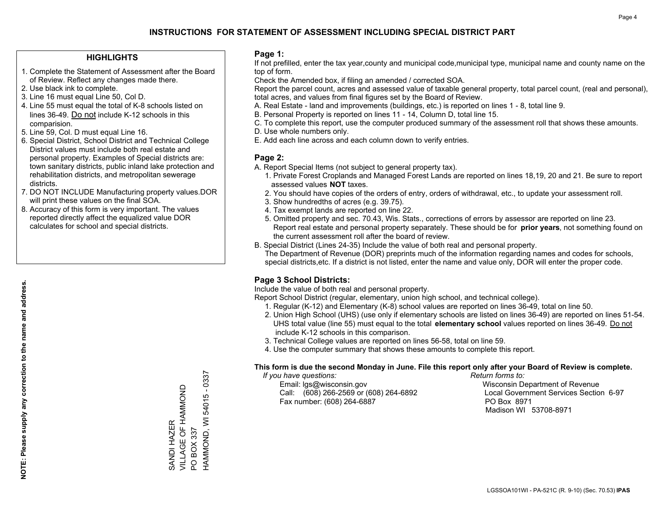### **HIGHLIGHTS**

- 1. Complete the Statement of Assessment after the Board of Review. Reflect any changes made there.
- 2. Use black ink to complete.
- 3. Line 16 must equal Line 50, Col D.
- 4. Line 55 must equal the total of K-8 schools listed on lines 36-49. Do not include K-12 schools in this comparision.
- 5. Line 59, Col. D must equal Line 16.
- 6. Special District, School District and Technical College District values must include both real estate and personal property. Examples of Special districts are: town sanitary districts, public inland lake protection and rehabilitation districts, and metropolitan sewerage districts.
- 7. DO NOT INCLUDE Manufacturing property values.DOR will print these values on the final SOA.
- 8. Accuracy of this form is very important. The values reported directly affect the equalized value DOR calculates for school and special districts.

#### **Page 1:**

 If not prefilled, enter the tax year,county and municipal code,municipal type, municipal name and county name on the top of form.

Check the Amended box, if filing an amended / corrected SOA.

 Report the parcel count, acres and assessed value of taxable general property, total parcel count, (real and personal), total acres, and values from final figures set by the Board of Review.

- A. Real Estate land and improvements (buildings, etc.) is reported on lines 1 8, total line 9.
- B. Personal Property is reported on lines 11 14, Column D, total line 15.
- C. To complete this report, use the computer produced summary of the assessment roll that shows these amounts.
- D. Use whole numbers only.
- E. Add each line across and each column down to verify entries.

## **Page 2:**

- A. Report Special Items (not subject to general property tax).
- 1. Private Forest Croplands and Managed Forest Lands are reported on lines 18,19, 20 and 21. Be sure to report assessed values **NOT** taxes.
- 2. You should have copies of the orders of entry, orders of withdrawal, etc., to update your assessment roll.
	- 3. Show hundredths of acres (e.g. 39.75).
- 4. Tax exempt lands are reported on line 22.
- 5. Omitted property and sec. 70.43, Wis. Stats., corrections of errors by assessor are reported on line 23. Report real estate and personal property separately. These should be for **prior years**, not something found on the current assessment roll after the board of review.
- B. Special District (Lines 24-35) Include the value of both real and personal property.

 The Department of Revenue (DOR) preprints much of the information regarding names and codes for schools, special districts,etc. If a district is not listed, enter the name and value only, DOR will enter the proper code.

## **Page 3 School Districts:**

Include the value of both real and personal property.

Report School District (regular, elementary, union high school, and technical college).

- 1. Regular (K-12) and Elementary (K-8) school values are reported on lines 36-49, total on line 50.
- 2. Union High School (UHS) (use only if elementary schools are listed on lines 36-49) are reported on lines 51-54. UHS total value (line 55) must equal to the total **elementary school** values reported on lines 36-49. Do notinclude K-12 schools in this comparison.
- 3. Technical College values are reported on lines 56-58, total on line 59.
- 4. Use the computer summary that shows these amounts to complete this report.

#### **This form is due the second Monday in June. File this report only after your Board of Review is complete.**

 *If you have questions: Return forms to:*

 Email: lgs@wisconsin.gov Wisconsin Department of RevenueCall:  $(608)$  266-2569 or  $(608)$  264-6892 Fax number: (608) 264-6887 PO Box 8971

Local Government Services Section 6-97 Madison WI 53708-8971

54015 - 0337 HAMMOND, WI 54015 - 0337 VILLAGE OF HAMMOND SANDI HAZER<br>VILLAGE OF HAMMOND HAMMOND, WI SANDI HAZER PO BOX 337 PO BOX 337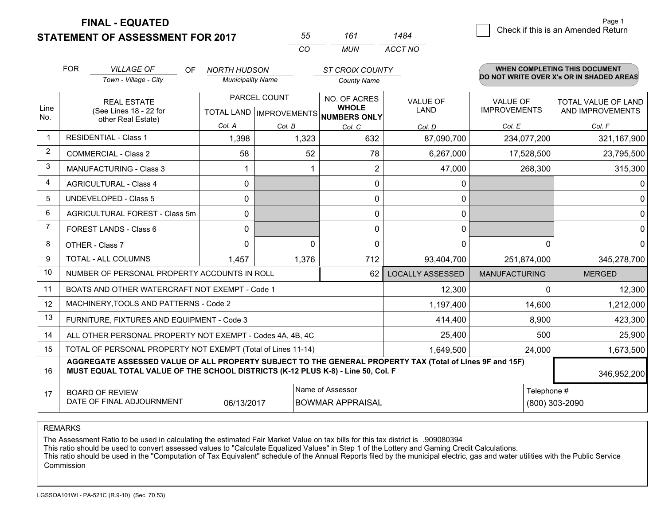**STATEMENT OF ASSESSMENT FOR 2017** 

**FINAL - EQUATED**

|   | Page 1                             |
|---|------------------------------------|
| ⊿ | Check if this is an Amended Return |
|   |                                    |

|                | <b>FOR</b>                                                                                                       | <b>VILLAGE OF</b><br>OF<br>Town - Village - City                                                                                                                                             | NORTH HUDSON<br><b>Municipality Name</b> |                                     | <b>ST CROIX COUNTY</b><br><b>County Name</b> |                                |                                        | <b>WHEN COMPLETING THIS DOCUMENT</b><br>DO NOT WRITE OVER X's OR IN SHADED AREAS |
|----------------|------------------------------------------------------------------------------------------------------------------|----------------------------------------------------------------------------------------------------------------------------------------------------------------------------------------------|------------------------------------------|-------------------------------------|----------------------------------------------|--------------------------------|----------------------------------------|----------------------------------------------------------------------------------|
| Line           | <b>REAL ESTATE</b>                                                                                               |                                                                                                                                                                                              |                                          | PARCEL COUNT                        | NO. OF ACRES<br><b>WHOLE</b>                 | <b>VALUE OF</b><br><b>LAND</b> | <b>VALUE OF</b><br><b>IMPROVEMENTS</b> | TOTAL VALUE OF LAND                                                              |
| No.            |                                                                                                                  | (See Lines 18 - 22 for<br>other Real Estate)                                                                                                                                                 | Col. A                                   | TOTAL LAND   IMPROVEMENTS<br>Col. B | NUMBERS ONLY                                 |                                | Col. E                                 | AND IMPROVEMENTS                                                                 |
| $\mathbf 1$    | <b>RESIDENTIAL - Class 1</b>                                                                                     |                                                                                                                                                                                              | 1,398                                    | 1,323                               | Col. C<br>632                                | Col. D<br>87,090,700           | 234,077,200                            | Col. F<br>321,167,900                                                            |
| 2              |                                                                                                                  | <b>COMMERCIAL - Class 2</b>                                                                                                                                                                  | 58                                       | 52                                  | 78                                           | 6,267,000                      | 17,528,500                             | 23,795,500                                                                       |
| 3              |                                                                                                                  | <b>MANUFACTURING - Class 3</b>                                                                                                                                                               |                                          |                                     | 2                                            | 47,000                         | 268,300                                | 315,300                                                                          |
| 4              |                                                                                                                  | <b>AGRICULTURAL - Class 4</b>                                                                                                                                                                | 0                                        |                                     | 0                                            | 0                              |                                        | 0                                                                                |
| 5              |                                                                                                                  | <b>UNDEVELOPED - Class 5</b>                                                                                                                                                                 | 0                                        |                                     | 0                                            | 0                              |                                        | $\Omega$                                                                         |
| 6              | AGRICULTURAL FOREST - Class 5m                                                                                   |                                                                                                                                                                                              | $\Omega$                                 |                                     | 0                                            | $\mathbf{0}$                   |                                        | 0                                                                                |
| $\overline{7}$ |                                                                                                                  | FOREST LANDS - Class 6                                                                                                                                                                       | $\Omega$                                 |                                     | 0                                            | $\mathbf 0$                    |                                        | 0                                                                                |
| 8              |                                                                                                                  | OTHER - Class 7                                                                                                                                                                              | $\Omega$                                 | $\Omega$                            | 0                                            | $\Omega$                       | 0                                      | $\Omega$                                                                         |
| 9              |                                                                                                                  | TOTAL - ALL COLUMNS                                                                                                                                                                          | 1,457                                    | 1,376                               | 712                                          | 93,404,700                     | 251,874,000                            | 345,278,700                                                                      |
| 10             |                                                                                                                  | NUMBER OF PERSONAL PROPERTY ACCOUNTS IN ROLL                                                                                                                                                 |                                          |                                     | 62                                           | <b>LOCALLY ASSESSED</b>        | <b>MANUFACTURING</b>                   | <b>MERGED</b>                                                                    |
| 11             |                                                                                                                  | BOATS AND OTHER WATERCRAFT NOT EXEMPT - Code 1                                                                                                                                               |                                          |                                     |                                              | 12,300                         | $\Omega$                               | 12,300                                                                           |
| 12             |                                                                                                                  | MACHINERY, TOOLS AND PATTERNS - Code 2                                                                                                                                                       |                                          |                                     |                                              | 1,197,400                      | 14,600                                 | 1,212,000                                                                        |
| 13             |                                                                                                                  | FURNITURE, FIXTURES AND EQUIPMENT - Code 3                                                                                                                                                   |                                          |                                     |                                              | 414,400                        | 8,900                                  | 423,300                                                                          |
| 14             |                                                                                                                  | ALL OTHER PERSONAL PROPERTY NOT EXEMPT - Codes 4A, 4B, 4C                                                                                                                                    |                                          |                                     |                                              | 25,400                         | 500                                    | 25,900                                                                           |
| 15             |                                                                                                                  | TOTAL OF PERSONAL PROPERTY NOT EXEMPT (Total of Lines 11-14)                                                                                                                                 |                                          |                                     |                                              | 1,649,500                      | 24,000                                 | 1,673,500                                                                        |
| 16             |                                                                                                                  | AGGREGATE ASSESSED VALUE OF ALL PROPERTY SUBJECT TO THE GENERAL PROPERTY TAX (Total of Lines 9F and 15F)<br>MUST EQUAL TOTAL VALUE OF THE SCHOOL DISTRICTS (K-12 PLUS K-8) - Line 50, Col. F |                                          |                                     |                                              |                                |                                        | 346,952,200                                                                      |
| 17             | Name of Assessor<br><b>BOARD OF REVIEW</b><br>DATE OF FINAL ADJOURNMENT<br>06/13/2017<br><b>BOWMAR APPRAISAL</b> |                                                                                                                                                                                              |                                          |                                     |                                              |                                | Telephone #                            | (800) 303-2090                                                                   |

*CO*

*MUN*

*ACCT NO1484*

*<sup>55</sup> <sup>161</sup>*

REMARKS

The Assessment Ratio to be used in calculating the estimated Fair Market Value on tax bills for this tax district is .909080394<br>This ratio should be used to convert assessed values to "Calculate Equalized Values" in Step 1 Commission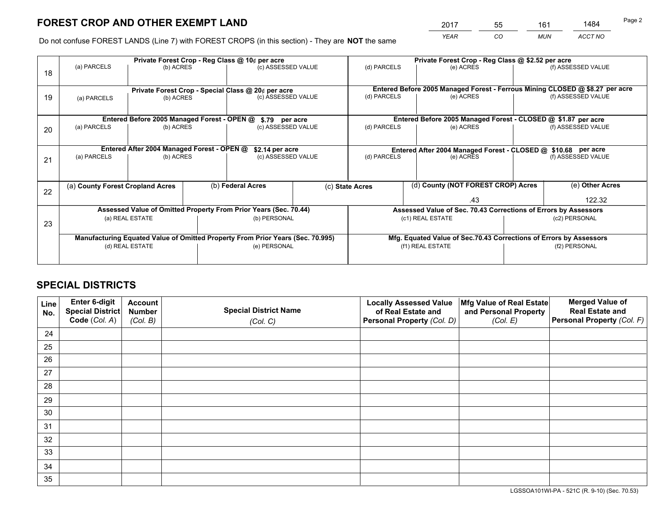*YEAR CO MUN ACCT NO* <sup>2017</sup> <sup>55</sup> <sup>161</sup> <sup>1484</sup>

Do not confuse FOREST LANDS (Line 7) with FOREST CROPS (in this section) - They are **NOT** the same

|    |                                                               |                 |                                                                          | Private Forest Crop - Reg Class @ 10¢ per acre                                 |  |                                                                                           | Private Forest Crop - Reg Class @ \$2.52 per acre                            |                    |                    |  |
|----|---------------------------------------------------------------|-----------------|--------------------------------------------------------------------------|--------------------------------------------------------------------------------|--|-------------------------------------------------------------------------------------------|------------------------------------------------------------------------------|--------------------|--------------------|--|
| 18 | (a) PARCELS                                                   | (b) ACRES       |                                                                          | (c) ASSESSED VALUE                                                             |  | (d) PARCELS                                                                               | (e) ACRES                                                                    |                    | (f) ASSESSED VALUE |  |
|    |                                                               |                 |                                                                          |                                                                                |  |                                                                                           | Entered Before 2005 Managed Forest - Ferrous Mining CLOSED @ \$8.27 per acre |                    |                    |  |
| 19 | (b) ACRES<br>(a) PARCELS                                      |                 | Private Forest Crop - Special Class @ 20¢ per acre<br>(c) ASSESSED VALUE |                                                                                |  | (d) PARCELS                                                                               | (e) ACRES                                                                    |                    | (f) ASSESSED VALUE |  |
|    | Entered Before 2005 Managed Forest - OPEN @<br>\$.79 per acre |                 |                                                                          |                                                                                |  |                                                                                           |                                                                              |                    |                    |  |
| 20 | (a) PARCELS<br>(b) ACRES                                      |                 |                                                                          | (c) ASSESSED VALUE                                                             |  | Entered Before 2005 Managed Forest - CLOSED @ \$1.87 per acre<br>(d) PARCELS<br>(e) ACRES |                                                                              | (f) ASSESSED VALUE |                    |  |
|    | Entered After 2004 Managed Forest - OPEN @<br>\$2.14 per acre |                 |                                                                          |                                                                                |  | Entered After 2004 Managed Forest - CLOSED @ \$10.68 per acre                             |                                                                              |                    |                    |  |
| 21 | (a) PARCELS                                                   | (b) ACRES       |                                                                          | (c) ASSESSED VALUE                                                             |  | (d) PARCELS                                                                               | (e) ACRES                                                                    |                    | (f) ASSESSED VALUE |  |
|    |                                                               |                 |                                                                          |                                                                                |  |                                                                                           |                                                                              |                    |                    |  |
| 22 | (a) County Forest Cropland Acres                              |                 |                                                                          | (b) Federal Acres                                                              |  | (c) State Acres                                                                           | (d) County (NOT FOREST CROP) Acres                                           |                    | (e) Other Acres    |  |
|    |                                                               |                 |                                                                          |                                                                                |  |                                                                                           | .43                                                                          |                    | 122.32             |  |
|    |                                                               |                 |                                                                          | Assessed Value of Omitted Property From Prior Years (Sec. 70.44)               |  |                                                                                           | Assessed Value of Sec. 70.43 Corrections of Errors by Assessors              |                    |                    |  |
| 23 |                                                               | (a) REAL ESTATE |                                                                          | (b) PERSONAL                                                                   |  |                                                                                           | (c1) REAL ESTATE                                                             |                    | (c2) PERSONAL      |  |
|    |                                                               |                 |                                                                          |                                                                                |  |                                                                                           |                                                                              |                    |                    |  |
|    |                                                               |                 |                                                                          | Manufacturing Equated Value of Omitted Property From Prior Years (Sec. 70.995) |  |                                                                                           | Mfg. Equated Value of Sec.70.43 Corrections of Errors by Assessors           |                    |                    |  |
|    |                                                               | (d) REAL ESTATE |                                                                          | (e) PERSONAL                                                                   |  |                                                                                           | (f1) REAL ESTATE                                                             |                    | (f2) PERSONAL      |  |
|    |                                                               |                 |                                                                          |                                                                                |  |                                                                                           |                                                                              |                    |                    |  |

## **SPECIAL DISTRICTS**

| Line<br>No. | Enter 6-digit<br><b>Special District</b> | <b>Account</b><br><b>Number</b> | <b>Special District Name</b> | <b>Locally Assessed Value</b><br>of Real Estate and | Mfg Value of Real Estate<br>and Personal Property | <b>Merged Value of</b><br><b>Real Estate and</b> |
|-------------|------------------------------------------|---------------------------------|------------------------------|-----------------------------------------------------|---------------------------------------------------|--------------------------------------------------|
|             | Code (Col. A)                            | (Col. B)                        | (Col. C)                     | Personal Property (Col. D)                          | (Col. E)                                          | Personal Property (Col. F)                       |
| 24          |                                          |                                 |                              |                                                     |                                                   |                                                  |
| 25          |                                          |                                 |                              |                                                     |                                                   |                                                  |
| 26          |                                          |                                 |                              |                                                     |                                                   |                                                  |
| 27          |                                          |                                 |                              |                                                     |                                                   |                                                  |
| 28          |                                          |                                 |                              |                                                     |                                                   |                                                  |
| 29          |                                          |                                 |                              |                                                     |                                                   |                                                  |
| 30          |                                          |                                 |                              |                                                     |                                                   |                                                  |
| 31          |                                          |                                 |                              |                                                     |                                                   |                                                  |
| 32          |                                          |                                 |                              |                                                     |                                                   |                                                  |
| 33          |                                          |                                 |                              |                                                     |                                                   |                                                  |
| 34          |                                          |                                 |                              |                                                     |                                                   |                                                  |
| 35          |                                          |                                 |                              |                                                     |                                                   |                                                  |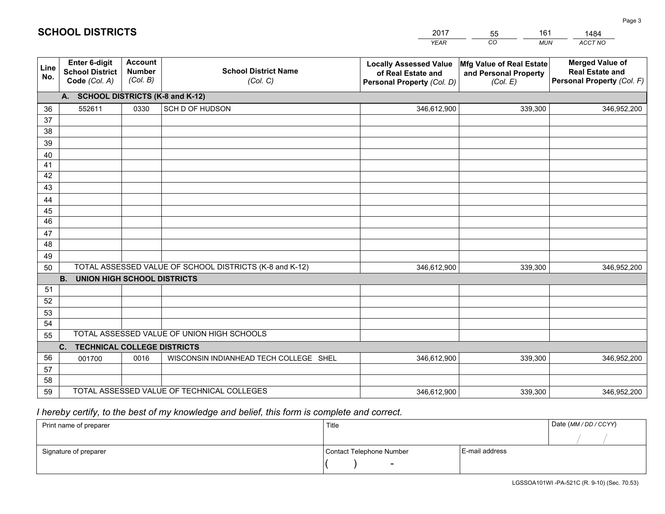|             |                                                                 |                                             |                                                         | <b>YEAR</b>                                                                       | CO<br><b>MUN</b>                                              | ACCT NO                                                                        |
|-------------|-----------------------------------------------------------------|---------------------------------------------|---------------------------------------------------------|-----------------------------------------------------------------------------------|---------------------------------------------------------------|--------------------------------------------------------------------------------|
| Line<br>No. | <b>Enter 6-digit</b><br><b>School District</b><br>Code (Col. A) | <b>Account</b><br><b>Number</b><br>(Col. B) | <b>School District Name</b><br>(Col. C)                 | <b>Locally Assessed Value</b><br>of Real Estate and<br>Personal Property (Col. D) | Mfg Value of Real Estate<br>and Personal Property<br>(Col. E) | <b>Merged Value of</b><br><b>Real Estate and</b><br>Personal Property (Col. F) |
|             | A. SCHOOL DISTRICTS (K-8 and K-12)                              |                                             |                                                         |                                                                                   |                                                               |                                                                                |
| 36          | 552611                                                          | 0330                                        | SCH D OF HUDSON                                         | 346,612,900                                                                       | 339,300                                                       | 346,952,200                                                                    |
| 37          |                                                                 |                                             |                                                         |                                                                                   |                                                               |                                                                                |
| 38          |                                                                 |                                             |                                                         |                                                                                   |                                                               |                                                                                |
| 39          |                                                                 |                                             |                                                         |                                                                                   |                                                               |                                                                                |
| 40          |                                                                 |                                             |                                                         |                                                                                   |                                                               |                                                                                |
| 41<br>42    |                                                                 |                                             |                                                         |                                                                                   |                                                               |                                                                                |
| 43          |                                                                 |                                             |                                                         |                                                                                   |                                                               |                                                                                |
|             |                                                                 |                                             |                                                         |                                                                                   |                                                               |                                                                                |
| 44<br>45    |                                                                 |                                             |                                                         |                                                                                   |                                                               |                                                                                |
| 46          |                                                                 |                                             |                                                         |                                                                                   |                                                               |                                                                                |
| 47          |                                                                 |                                             |                                                         |                                                                                   |                                                               |                                                                                |
| 48          |                                                                 |                                             |                                                         |                                                                                   |                                                               |                                                                                |
| 49          |                                                                 |                                             |                                                         |                                                                                   |                                                               |                                                                                |
| 50          |                                                                 |                                             | TOTAL ASSESSED VALUE OF SCHOOL DISTRICTS (K-8 and K-12) | 346,612,900                                                                       | 339,300                                                       | 346,952,200                                                                    |
|             | <b>B.</b><br>UNION HIGH SCHOOL DISTRICTS                        |                                             |                                                         |                                                                                   |                                                               |                                                                                |
| 51          |                                                                 |                                             |                                                         |                                                                                   |                                                               |                                                                                |
| 52          |                                                                 |                                             |                                                         |                                                                                   |                                                               |                                                                                |
| 53          |                                                                 |                                             |                                                         |                                                                                   |                                                               |                                                                                |
| 54          |                                                                 |                                             |                                                         |                                                                                   |                                                               |                                                                                |
| 55          |                                                                 |                                             | TOTAL ASSESSED VALUE OF UNION HIGH SCHOOLS              |                                                                                   |                                                               |                                                                                |
|             | C.<br><b>TECHNICAL COLLEGE DISTRICTS</b>                        |                                             |                                                         |                                                                                   |                                                               |                                                                                |
| 56          | 001700                                                          | 0016                                        | WISCONSIN INDIANHEAD TECH COLLEGE SHEL                  | 346,612,900                                                                       | 339,300                                                       | 346,952,200                                                                    |
| 57<br>58    |                                                                 |                                             |                                                         |                                                                                   |                                                               |                                                                                |
| 59          |                                                                 |                                             | TOTAL ASSESSED VALUE OF TECHNICAL COLLEGES              | 346,612,900                                                                       | 339,300                                                       | 346,952,200                                                                    |
|             |                                                                 |                                             |                                                         |                                                                                   |                                                               |                                                                                |

2017

55

161

 *I hereby certify, to the best of my knowledge and belief, this form is complete and correct.*

**SCHOOL DISTRICTS**

| Print name of preparer | Title                    |                | Date (MM / DD / CCYY) |
|------------------------|--------------------------|----------------|-----------------------|
|                        |                          |                |                       |
| Signature of preparer  | Contact Telephone Number | E-mail address |                       |
|                        | $\overline{\phantom{0}}$ |                |                       |

1484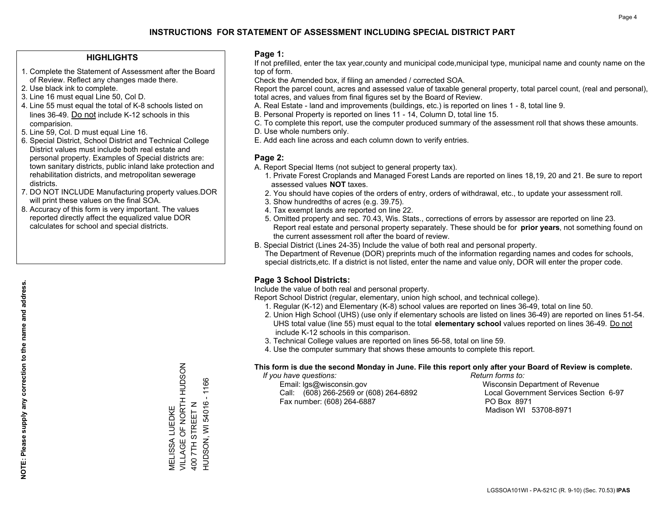### **HIGHLIGHTS**

- 1. Complete the Statement of Assessment after the Board of Review. Reflect any changes made there.
- 2. Use black ink to complete.
- 3. Line 16 must equal Line 50, Col D.
- 4. Line 55 must equal the total of K-8 schools listed on lines 36-49. Do not include K-12 schools in this comparision.
- 5. Line 59, Col. D must equal Line 16.
- 6. Special District, School District and Technical College District values must include both real estate and personal property. Examples of Special districts are: town sanitary districts, public inland lake protection and rehabilitation districts, and metropolitan sewerage districts.
- 7. DO NOT INCLUDE Manufacturing property values.DOR will print these values on the final SOA.
- 8. Accuracy of this form is very important. The values reported directly affect the equalized value DOR calculates for school and special districts.

#### **Page 1:**

 If not prefilled, enter the tax year,county and municipal code,municipal type, municipal name and county name on the top of form.

Check the Amended box, if filing an amended / corrected SOA.

 Report the parcel count, acres and assessed value of taxable general property, total parcel count, (real and personal), total acres, and values from final figures set by the Board of Review.

- A. Real Estate land and improvements (buildings, etc.) is reported on lines 1 8, total line 9.
- B. Personal Property is reported on lines 11 14, Column D, total line 15.
- C. To complete this report, use the computer produced summary of the assessment roll that shows these amounts.
- D. Use whole numbers only.
- E. Add each line across and each column down to verify entries.

## **Page 2:**

- A. Report Special Items (not subject to general property tax).
- 1. Private Forest Croplands and Managed Forest Lands are reported on lines 18,19, 20 and 21. Be sure to report assessed values **NOT** taxes.
- 2. You should have copies of the orders of entry, orders of withdrawal, etc., to update your assessment roll.
	- 3. Show hundredths of acres (e.g. 39.75).
- 4. Tax exempt lands are reported on line 22.
- 5. Omitted property and sec. 70.43, Wis. Stats., corrections of errors by assessor are reported on line 23. Report real estate and personal property separately. These should be for **prior years**, not something found on the current assessment roll after the board of review.
- B. Special District (Lines 24-35) Include the value of both real and personal property.

 The Department of Revenue (DOR) preprints much of the information regarding names and codes for schools, special districts,etc. If a district is not listed, enter the name and value only, DOR will enter the proper code.

## **Page 3 School Districts:**

Include the value of both real and personal property.

Report School District (regular, elementary, union high school, and technical college).

- 1. Regular (K-12) and Elementary (K-8) school values are reported on lines 36-49, total on line 50.
- 2. Union High School (UHS) (use only if elementary schools are listed on lines 36-49) are reported on lines 51-54. UHS total value (line 55) must equal to the total **elementary school** values reported on lines 36-49. Do notinclude K-12 schools in this comparison.
- 3. Technical College values are reported on lines 56-58, total on line 59.
- 4. Use the computer summary that shows these amounts to complete this report.

#### **This form is due the second Monday in June. File this report only after your Board of Review is complete.**

 *If you have questions: Return forms to:*

 Email: lgs@wisconsin.gov Wisconsin Department of RevenueCall:  $(608)$  266-2569 or  $(608)$  264-6892 Fax number: (608) 264-6887 PO Box 8971

Local Government Services Section 6-97 Madison WI 53708-8971

VILLAGE OF NORTH HUDSON MELISSA LUEDKE<br>VILLAGE OF NORTH HUDSON  $-1166$ HUDSON, WI 54016 - 1166 **HUDSON, WI 54016** 400 7TH STREET N 400 7TH STREET N MELISSA LUEDKE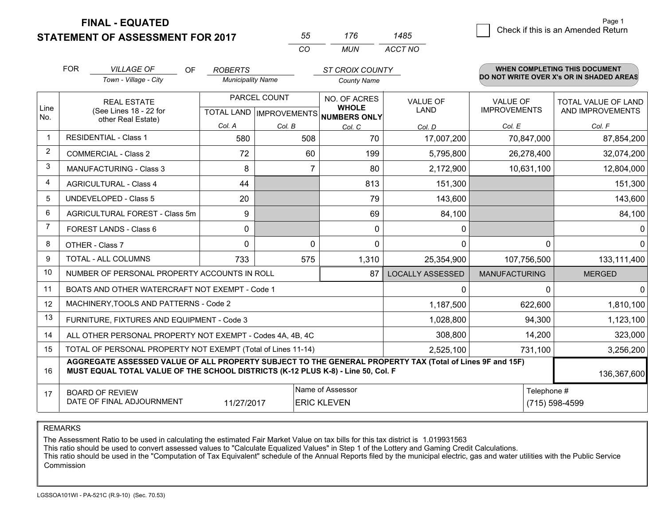**FINAL - EQUATED**

**STATEMENT OF ASSESSMENT FOR 2017** 

| 55       | 176  | '485    |
|----------|------|---------|
| $\Gamma$ | MUN. | ACCT NO |

|                | <b>FOR</b>                                                    | <b>VILLAGE OF</b><br><b>OF</b>                                                                                                                                                               | <b>ROBERTS</b>           |                                                      | <b>ST CROIX COUNTY</b> |                                |                                        | WHEN COMPLETING THIS DOCUMENT<br>DO NOT WRITE OVER X's OR IN SHADED AREAS |
|----------------|---------------------------------------------------------------|----------------------------------------------------------------------------------------------------------------------------------------------------------------------------------------------|--------------------------|------------------------------------------------------|------------------------|--------------------------------|----------------------------------------|---------------------------------------------------------------------------|
|                |                                                               | Town - Village - City                                                                                                                                                                        | <b>Municipality Name</b> |                                                      | <b>County Name</b>     |                                |                                        |                                                                           |
| Line<br>No.    | <b>REAL ESTATE</b><br>(See Lines 18 - 22 for                  |                                                                                                                                                                                              |                          | PARCEL COUNT<br>TOTAL LAND IMPROVEMENTS NUMBERS ONLY |                        | <b>VALUE OF</b><br><b>LAND</b> | <b>VALUE OF</b><br><b>IMPROVEMENTS</b> | TOTAL VALUE OF LAND<br>AND IMPROVEMENTS                                   |
|                |                                                               | other Real Estate)                                                                                                                                                                           | Col. A                   | Col. B                                               | Col. C                 | Col. D                         | Col. E                                 | Col. F                                                                    |
| -1             |                                                               | <b>RESIDENTIAL - Class 1</b>                                                                                                                                                                 | 580                      | 508                                                  | 70                     | 17,007,200                     | 70,847,000                             | 87,854,200                                                                |
| 2              |                                                               | <b>COMMERCIAL - Class 2</b>                                                                                                                                                                  | 72                       | 60                                                   | 199                    | 5,795,800                      | 26,278,400                             | 32,074,200                                                                |
| 3              |                                                               | <b>MANUFACTURING - Class 3</b>                                                                                                                                                               | 8                        | 7                                                    | 80                     | 2,172,900                      | 10,631,100                             | 12,804,000                                                                |
| 4              |                                                               | <b>AGRICULTURAL - Class 4</b>                                                                                                                                                                | 44                       |                                                      | 813                    | 151,300                        |                                        | 151,300                                                                   |
| 5              |                                                               | <b>UNDEVELOPED - Class 5</b>                                                                                                                                                                 | 20                       |                                                      | 79                     | 143,600                        |                                        | 143,600                                                                   |
| 6              |                                                               | AGRICULTURAL FOREST - Class 5m                                                                                                                                                               | 9                        |                                                      | 69                     | 84,100                         |                                        | 84,100                                                                    |
| $\overline{7}$ |                                                               | <b>FOREST LANDS - Class 6</b>                                                                                                                                                                | $\mathbf{0}$             |                                                      | $\Omega$               | $\mathbf{0}$                   |                                        | $\mathbf{0}$                                                              |
| 8              |                                                               | OTHER - Class 7                                                                                                                                                                              | $\Omega$                 | $\Omega$                                             | $\Omega$               | 0                              | $\Omega$                               | $\mathbf{0}$                                                              |
| 9              |                                                               | TOTAL - ALL COLUMNS                                                                                                                                                                          | 733                      | 575                                                  | 1,310                  | 25,354,900                     | 107,756,500                            | 133,111,400                                                               |
| 10             |                                                               | NUMBER OF PERSONAL PROPERTY ACCOUNTS IN ROLL                                                                                                                                                 |                          |                                                      | 87                     | <b>LOCALLY ASSESSED</b>        | <b>MANUFACTURING</b>                   | <b>MERGED</b>                                                             |
| 11             |                                                               | BOATS AND OTHER WATERCRAFT NOT EXEMPT - Code 1                                                                                                                                               |                          |                                                      |                        | 0                              | 0                                      | 0                                                                         |
| 12             |                                                               | MACHINERY, TOOLS AND PATTERNS - Code 2                                                                                                                                                       |                          |                                                      |                        | 1,187,500                      | 622,600                                | 1,810,100                                                                 |
| 13             |                                                               | FURNITURE, FIXTURES AND EQUIPMENT - Code 3                                                                                                                                                   |                          |                                                      |                        | 1,028,800                      | 94,300                                 | 1,123,100                                                                 |
| 14             |                                                               | ALL OTHER PERSONAL PROPERTY NOT EXEMPT - Codes 4A, 4B, 4C                                                                                                                                    |                          |                                                      |                        | 308,800                        | 14,200                                 | 323,000                                                                   |
| 15             |                                                               | TOTAL OF PERSONAL PROPERTY NOT EXEMPT (Total of Lines 11-14)                                                                                                                                 |                          |                                                      |                        | 2,525,100                      | 731,100                                | 3,256,200                                                                 |
| 16             |                                                               | AGGREGATE ASSESSED VALUE OF ALL PROPERTY SUBJECT TO THE GENERAL PROPERTY TAX (Total of Lines 9F and 15F)<br>MUST EQUAL TOTAL VALUE OF THE SCHOOL DISTRICTS (K-12 PLUS K-8) - Line 50, Col. F |                          |                                                      |                        |                                |                                        | 136,367,600                                                               |
| 17             |                                                               | <b>BOARD OF REVIEW</b>                                                                                                                                                                       |                          |                                                      | Name of Assessor       |                                | Telephone #                            |                                                                           |
|                | DATE OF FINAL ADJOURNMENT<br>11/27/2017<br><b>ERIC KLEVEN</b> |                                                                                                                                                                                              |                          |                                                      |                        |                                |                                        | (715) 598-4599                                                            |

REMARKS

The Assessment Ratio to be used in calculating the estimated Fair Market Value on tax bills for this tax district is 1.019931563<br>This ratio should be used to convert assessed values to "Calculate Equalized Values" in Step Commission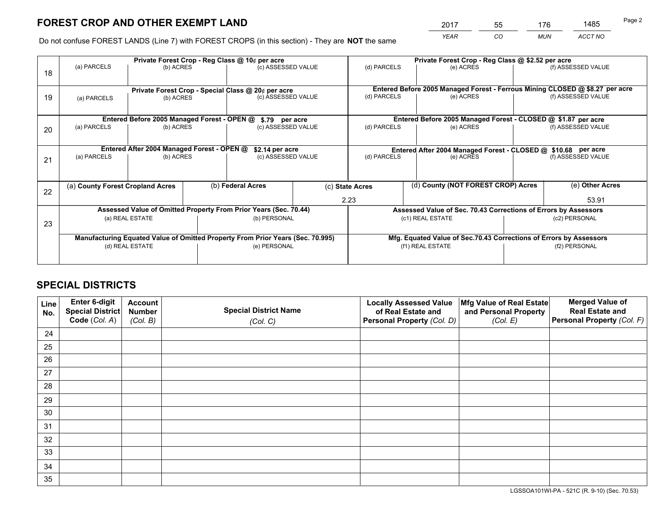*YEAR CO MUN ACCT NO* <sup>2017</sup> <sup>55</sup> <sup>176</sup> <sup>1485</sup>

Do not confuse FOREST LANDS (Line 7) with FOREST CROPS (in this section) - They are **NOT** the same

|    |                                                               |                                             |              | Private Forest Crop - Reg Class @ 10¢ per acre                                 |                  |                                                               | Private Forest Crop - Reg Class @ \$2.52 per acre                            |  |                    |  |  |
|----|---------------------------------------------------------------|---------------------------------------------|--------------|--------------------------------------------------------------------------------|------------------|---------------------------------------------------------------|------------------------------------------------------------------------------|--|--------------------|--|--|
| 18 | (a) PARCELS                                                   | (b) ACRES                                   |              | (c) ASSESSED VALUE                                                             |                  | (d) PARCELS                                                   | (e) ACRES                                                                    |  | (f) ASSESSED VALUE |  |  |
|    |                                                               |                                             |              | Private Forest Crop - Special Class @ 20¢ per acre                             |                  |                                                               | Entered Before 2005 Managed Forest - Ferrous Mining CLOSED @ \$8.27 per acre |  |                    |  |  |
| 19 | (b) ACRES<br>(a) PARCELS                                      |                                             |              | (c) ASSESSED VALUE                                                             |                  | (d) PARCELS                                                   | (e) ACRES                                                                    |  | (f) ASSESSED VALUE |  |  |
|    |                                                               | Entered Before 2005 Managed Forest - OPEN @ |              | \$.79 per acre                                                                 |                  |                                                               | Entered Before 2005 Managed Forest - CLOSED @ \$1.87 per acre                |  |                    |  |  |
| 20 | (a) PARCELS<br>(b) ACRES                                      |                                             |              | (c) ASSESSED VALUE                                                             |                  | (d) PARCELS                                                   | (e) ACRES                                                                    |  | (f) ASSESSED VALUE |  |  |
|    | Entered After 2004 Managed Forest - OPEN @<br>\$2.14 per acre |                                             |              |                                                                                |                  | Entered After 2004 Managed Forest - CLOSED @ \$10.68 per acre |                                                                              |  |                    |  |  |
| 21 | (a) PARCELS                                                   | (b) ACRES                                   |              | (c) ASSESSED VALUE                                                             |                  | (d) PARCELS                                                   | (e) ACRES                                                                    |  | (f) ASSESSED VALUE |  |  |
|    |                                                               |                                             |              |                                                                                |                  |                                                               |                                                                              |  |                    |  |  |
| 22 | (a) County Forest Cropland Acres                              |                                             |              | (b) Federal Acres                                                              |                  | (c) State Acres                                               | (d) County (NOT FOREST CROP) Acres                                           |  | (e) Other Acres    |  |  |
|    |                                                               |                                             |              |                                                                                |                  | 2.23                                                          |                                                                              |  | 53.91              |  |  |
|    |                                                               |                                             |              | Assessed Value of Omitted Property From Prior Years (Sec. 70.44)               |                  |                                                               | Assessed Value of Sec. 70.43 Corrections of Errors by Assessors              |  |                    |  |  |
| 23 | (a) REAL ESTATE                                               |                                             | (b) PERSONAL |                                                                                | (c1) REAL ESTATE |                                                               | (c2) PERSONAL                                                                |  |                    |  |  |
|    |                                                               |                                             |              | Manufacturing Equated Value of Omitted Property From Prior Years (Sec. 70.995) |                  |                                                               | Mfg. Equated Value of Sec.70.43 Corrections of Errors by Assessors           |  |                    |  |  |
|    |                                                               | (d) REAL ESTATE                             |              | (e) PERSONAL                                                                   |                  |                                                               | (f1) REAL ESTATE                                                             |  | (f2) PERSONAL      |  |  |
|    |                                                               |                                             |              |                                                                                |                  |                                                               |                                                                              |  |                    |  |  |

## **SPECIAL DISTRICTS**

| Line<br>No. | Enter 6-digit<br><b>Special District</b> | <b>Account</b><br><b>Number</b> | <b>Special District Name</b> | <b>Locally Assessed Value</b><br>of Real Estate and | Mfg Value of Real Estate<br>and Personal Property | <b>Merged Value of</b><br><b>Real Estate and</b> |
|-------------|------------------------------------------|---------------------------------|------------------------------|-----------------------------------------------------|---------------------------------------------------|--------------------------------------------------|
|             | Code (Col. A)                            | (Col. B)                        | (Col. C)                     | Personal Property (Col. D)                          | (Col. E)                                          | Personal Property (Col. F)                       |
| 24          |                                          |                                 |                              |                                                     |                                                   |                                                  |
| 25          |                                          |                                 |                              |                                                     |                                                   |                                                  |
| 26          |                                          |                                 |                              |                                                     |                                                   |                                                  |
| 27          |                                          |                                 |                              |                                                     |                                                   |                                                  |
| 28          |                                          |                                 |                              |                                                     |                                                   |                                                  |
| 29          |                                          |                                 |                              |                                                     |                                                   |                                                  |
| 30          |                                          |                                 |                              |                                                     |                                                   |                                                  |
| 31          |                                          |                                 |                              |                                                     |                                                   |                                                  |
| 32          |                                          |                                 |                              |                                                     |                                                   |                                                  |
| 33          |                                          |                                 |                              |                                                     |                                                   |                                                  |
| 34          |                                          |                                 |                              |                                                     |                                                   |                                                  |
| 35          |                                          |                                 |                              |                                                     |                                                   |                                                  |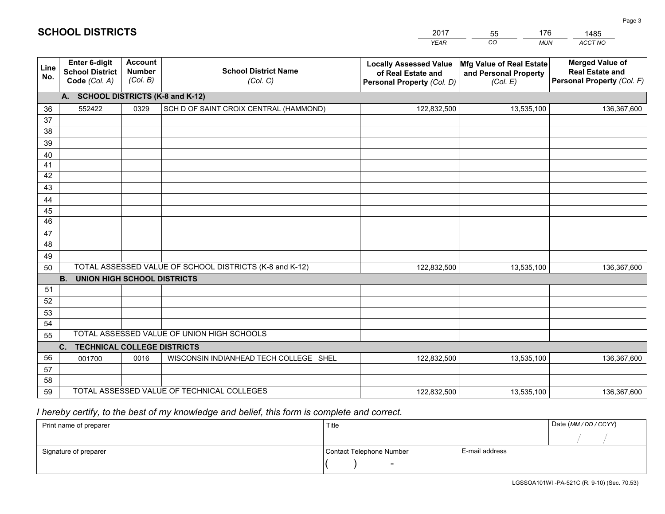| <b>SCHOOL DISTRICTS</b> |                                                          |                                             |                                                         | 2017<br><b>YEAR</b>                                                               | 176<br>55<br>$\overline{co}$<br><b>MUN</b>                           | 1485<br>ACCT NO                                                                |
|-------------------------|----------------------------------------------------------|---------------------------------------------|---------------------------------------------------------|-----------------------------------------------------------------------------------|----------------------------------------------------------------------|--------------------------------------------------------------------------------|
|                         |                                                          |                                             |                                                         |                                                                                   |                                                                      |                                                                                |
| Line<br>No.             | Enter 6-digit<br><b>School District</b><br>Code (Col. A) | <b>Account</b><br><b>Number</b><br>(Col. B) | <b>School District Name</b><br>(Col. C)                 | <b>Locally Assessed Value</b><br>of Real Estate and<br>Personal Property (Col. D) | <b>Mfg Value of Real Estate</b><br>and Personal Property<br>(Col. E) | <b>Merged Value of</b><br><b>Real Estate and</b><br>Personal Property (Col. F) |
|                         | А.                                                       |                                             | <b>SCHOOL DISTRICTS (K-8 and K-12)</b>                  |                                                                                   |                                                                      |                                                                                |
| 36                      | 552422                                                   | 0329                                        | SCH D OF SAINT CROIX CENTRAL (HAMMOND)                  | 122,832,500                                                                       | 13,535,100                                                           | 136,367,600                                                                    |
| 37                      |                                                          |                                             |                                                         |                                                                                   |                                                                      |                                                                                |
| 38                      |                                                          |                                             |                                                         |                                                                                   |                                                                      |                                                                                |
| 39                      |                                                          |                                             |                                                         |                                                                                   |                                                                      |                                                                                |
| 40                      |                                                          |                                             |                                                         |                                                                                   |                                                                      |                                                                                |
| 41                      |                                                          |                                             |                                                         |                                                                                   |                                                                      |                                                                                |
| 42                      |                                                          |                                             |                                                         |                                                                                   |                                                                      |                                                                                |
| 43                      |                                                          |                                             |                                                         |                                                                                   |                                                                      |                                                                                |
| 44                      |                                                          |                                             |                                                         |                                                                                   |                                                                      |                                                                                |
| 45                      |                                                          |                                             |                                                         |                                                                                   |                                                                      |                                                                                |
| 46                      |                                                          |                                             |                                                         |                                                                                   |                                                                      |                                                                                |
| 47                      |                                                          |                                             |                                                         |                                                                                   |                                                                      |                                                                                |
| 48                      |                                                          |                                             |                                                         |                                                                                   |                                                                      |                                                                                |
| 49                      |                                                          |                                             |                                                         |                                                                                   |                                                                      |                                                                                |
| 50                      |                                                          |                                             | TOTAL ASSESSED VALUE OF SCHOOL DISTRICTS (K-8 and K-12) | 122,832,500                                                                       | 13,535,100                                                           | 136,367,600                                                                    |
|                         | UNION HIGH SCHOOL DISTRICTS<br>В.                        |                                             |                                                         |                                                                                   |                                                                      |                                                                                |
| 51                      |                                                          |                                             |                                                         |                                                                                   |                                                                      |                                                                                |

|     | <b>B.</b><br>UNION HIGH SCHOOL DISTRICTS   |      |                                            |             |            |             |  |  |  |
|-----|--------------------------------------------|------|--------------------------------------------|-------------|------------|-------------|--|--|--|
| -51 |                                            |      |                                            |             |            |             |  |  |  |
| 52  |                                            |      |                                            |             |            |             |  |  |  |
| 53  |                                            |      |                                            |             |            |             |  |  |  |
| 54  |                                            |      |                                            |             |            |             |  |  |  |
| 55  | TOTAL ASSESSED VALUE OF UNION HIGH SCHOOLS |      |                                            |             |            |             |  |  |  |
|     | <b>TECHNICAL COLLEGE DISTRICTS</b><br>C.   |      |                                            |             |            |             |  |  |  |
| 56  | 001700                                     | 0016 | WISCONSIN INDIANHEAD TECH COLLEGE SHEL     | 122,832,500 | 13,535,100 | 136,367,600 |  |  |  |
| 57  |                                            |      |                                            |             |            |             |  |  |  |
| 58  |                                            |      |                                            |             |            |             |  |  |  |
| 59  |                                            |      | TOTAL ASSESSED VALUE OF TECHNICAL COLLEGES | 122,832,500 | 13,535,100 | 136,367,600 |  |  |  |

## *I hereby certify, to the best of my knowledge and belief, this form is complete and correct.*

| Print name of preparer | Title                    |                | Date (MM / DD / CCYY) |
|------------------------|--------------------------|----------------|-----------------------|
|                        |                          |                |                       |
| Signature of preparer  | Contact Telephone Number | E-mail address |                       |
|                        | $\overline{\phantom{a}}$ |                |                       |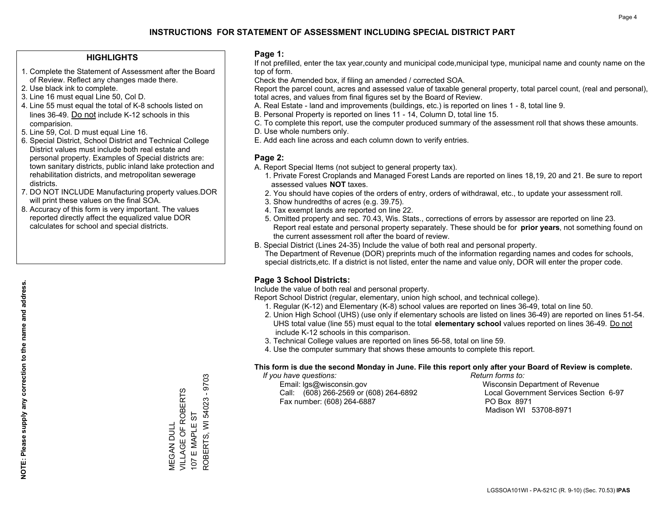### **HIGHLIGHTS**

- 1. Complete the Statement of Assessment after the Board of Review. Reflect any changes made there.
- 2. Use black ink to complete.
- 3. Line 16 must equal Line 50, Col D.
- 4. Line 55 must equal the total of K-8 schools listed on lines 36-49. Do not include K-12 schools in this comparision.
- 5. Line 59, Col. D must equal Line 16.
- 6. Special District, School District and Technical College District values must include both real estate and personal property. Examples of Special districts are: town sanitary districts, public inland lake protection and rehabilitation districts, and metropolitan sewerage districts.
- 7. DO NOT INCLUDE Manufacturing property values.DOR will print these values on the final SOA.

MEGAN DULL

**VEGAN DULL** 

VILLAGE OF ROBERTS 107 E MAPLE ST

VILLAGE OF ROBERTS 107 E MAPLE ST ROBERTS, WI 54023 - 9703

ROBERTS, WI 54023 - 9703

 8. Accuracy of this form is very important. The values reported directly affect the equalized value DOR calculates for school and special districts.

#### **Page 1:**

 If not prefilled, enter the tax year,county and municipal code,municipal type, municipal name and county name on the top of form.

Check the Amended box, if filing an amended / corrected SOA.

 Report the parcel count, acres and assessed value of taxable general property, total parcel count, (real and personal), total acres, and values from final figures set by the Board of Review.

- A. Real Estate land and improvements (buildings, etc.) is reported on lines 1 8, total line 9.
- B. Personal Property is reported on lines 11 14, Column D, total line 15.
- C. To complete this report, use the computer produced summary of the assessment roll that shows these amounts.
- D. Use whole numbers only.
- E. Add each line across and each column down to verify entries.

#### **Page 2:**

- A. Report Special Items (not subject to general property tax).
- 1. Private Forest Croplands and Managed Forest Lands are reported on lines 18,19, 20 and 21. Be sure to report assessed values **NOT** taxes.
- 2. You should have copies of the orders of entry, orders of withdrawal, etc., to update your assessment roll.
	- 3. Show hundredths of acres (e.g. 39.75).
- 4. Tax exempt lands are reported on line 22.
- 5. Omitted property and sec. 70.43, Wis. Stats., corrections of errors by assessor are reported on line 23. Report real estate and personal property separately. These should be for **prior years**, not something found on the current assessment roll after the board of review.
- B. Special District (Lines 24-35) Include the value of both real and personal property.
- The Department of Revenue (DOR) preprints much of the information regarding names and codes for schools, special districts,etc. If a district is not listed, enter the name and value only, DOR will enter the proper code.

## **Page 3 School Districts:**

Include the value of both real and personal property.

Report School District (regular, elementary, union high school, and technical college).

- 1. Regular (K-12) and Elementary (K-8) school values are reported on lines 36-49, total on line 50.
- 2. Union High School (UHS) (use only if elementary schools are listed on lines 36-49) are reported on lines 51-54. UHS total value (line 55) must equal to the total **elementary school** values reported on lines 36-49. Do notinclude K-12 schools in this comparison.
- 3. Technical College values are reported on lines 56-58, total on line 59.
- 4. Use the computer summary that shows these amounts to complete this report.

#### **This form is due the second Monday in June. File this report only after your Board of Review is complete.**

 *If you have questions: Return forms to:*

 Email: lgs@wisconsin.gov Wisconsin Department of RevenueCall:  $(608)$  266-2569 or  $(608)$  264-6892 Fax number: (608) 264-6887 PO Box 8971

Local Government Services Section 6-97 Madison WI 53708-8971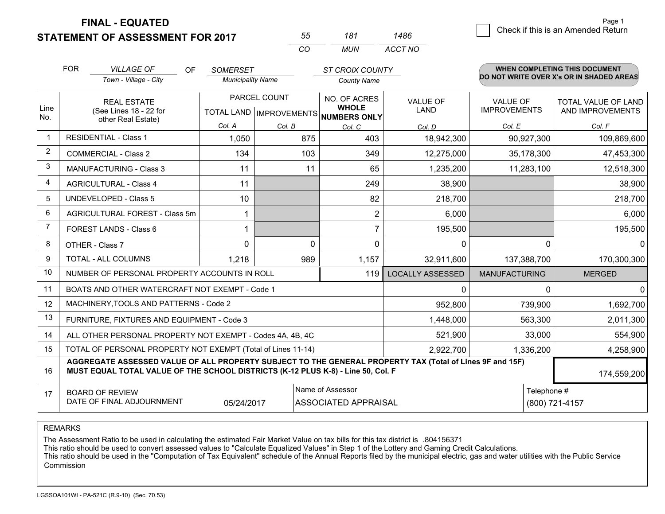**STATEMENT OF ASSESSMENT FOR 2017 FINAL - EQUATED**

|                | <b>FOR</b>                                                                                                                                                                                   | <b>VILLAGE OF</b><br>OF.                                  | <b>SOMERSET</b>          |                           | <b>ST CROIX COUNTY</b>       |                         |                      | <b>WHEN COMPLETING THIS DOCUMENT</b>     |
|----------------|----------------------------------------------------------------------------------------------------------------------------------------------------------------------------------------------|-----------------------------------------------------------|--------------------------|---------------------------|------------------------------|-------------------------|----------------------|------------------------------------------|
|                |                                                                                                                                                                                              | Town - Village - City                                     | <b>Municipality Name</b> |                           | <b>County Name</b>           |                         |                      | DO NOT WRITE OVER X's OR IN SHADED AREAS |
| Line           | <b>REAL ESTATE</b>                                                                                                                                                                           |                                                           |                          | PARCEL COUNT              | NO. OF ACRES<br><b>WHOLE</b> | <b>VALUE OF</b>         | <b>VALUE OF</b>      | <b>TOTAL VALUE OF LAND</b>               |
| No.            |                                                                                                                                                                                              | (See Lines 18 - 22 for<br>other Real Estate)              |                          | TOTAL LAND   IMPROVEMENTS | NUMBERS ONLY                 | <b>LAND</b>             | <b>IMPROVEMENTS</b>  | AND IMPROVEMENTS                         |
|                |                                                                                                                                                                                              |                                                           | Col. A                   | Col. B                    | Col. C                       | Col. D                  | Col. E               | Col. F                                   |
| $\mathbf{1}$   |                                                                                                                                                                                              | <b>RESIDENTIAL - Class 1</b>                              | 1,050                    | 875                       | 403                          | 18,942,300              | 90,927,300           | 109,869,600                              |
| 2              |                                                                                                                                                                                              | <b>COMMERCIAL - Class 2</b>                               | 134                      | 103                       | 349                          | 12,275,000              | 35,178,300           | 47,453,300                               |
| 3              |                                                                                                                                                                                              | <b>MANUFACTURING - Class 3</b>                            | 11                       |                           | 11<br>65                     | 1,235,200               | 11,283,100           | 12,518,300                               |
| $\overline{4}$ |                                                                                                                                                                                              | <b>AGRICULTURAL - Class 4</b>                             | 11                       |                           | 249                          | 38,900                  |                      | 38,900                                   |
| 5              |                                                                                                                                                                                              | UNDEVELOPED - Class 5                                     | 10                       |                           | 82                           | 218,700                 |                      | 218,700                                  |
| 6              | AGRICULTURAL FOREST - Class 5m                                                                                                                                                               |                                                           |                          |                           | $\overline{2}$               | 6,000                   |                      | 6,000                                    |
| $\overline{7}$ |                                                                                                                                                                                              | FOREST LANDS - Class 6                                    |                          |                           | $\overline{7}$               | 195,500                 |                      | 195,500                                  |
| 8              |                                                                                                                                                                                              | OTHER - Class 7                                           | 0                        |                           | 0<br>$\mathbf{0}$            | 0                       | $\Omega$             | $\Omega$                                 |
| 9              |                                                                                                                                                                                              | <b>TOTAL - ALL COLUMNS</b>                                | 1,218                    | 989                       | 1,157                        | 32,911,600              | 137,388,700          | 170,300,300                              |
| 10             |                                                                                                                                                                                              | NUMBER OF PERSONAL PROPERTY ACCOUNTS IN ROLL              |                          |                           | 119                          | <b>LOCALLY ASSESSED</b> | <b>MANUFACTURING</b> | <b>MERGED</b>                            |
| 11             |                                                                                                                                                                                              | BOATS AND OTHER WATERCRAFT NOT EXEMPT - Code 1            |                          |                           |                              | 0                       | $\Omega$             | $\Omega$                                 |
| 12             |                                                                                                                                                                                              | MACHINERY, TOOLS AND PATTERNS - Code 2                    |                          |                           |                              | 952,800                 | 739,900              | 1,692,700                                |
| 13             | FURNITURE, FIXTURES AND EQUIPMENT - Code 3                                                                                                                                                   |                                                           |                          |                           |                              | 1,448,000               | 563,300              | 2,011,300                                |
| 14             |                                                                                                                                                                                              | ALL OTHER PERSONAL PROPERTY NOT EXEMPT - Codes 4A, 4B, 4C |                          |                           | 521,900                      | 33,000                  | 554,900              |                                          |
| 15             | TOTAL OF PERSONAL PROPERTY NOT EXEMPT (Total of Lines 11-14)                                                                                                                                 |                                                           |                          |                           |                              | 2,922,700               | 1,336,200            | 4,258,900                                |
| 16             | AGGREGATE ASSESSED VALUE OF ALL PROPERTY SUBJECT TO THE GENERAL PROPERTY TAX (Total of Lines 9F and 15F)<br>MUST EQUAL TOTAL VALUE OF THE SCHOOL DISTRICTS (K-12 PLUS K-8) - Line 50, Col. F |                                                           |                          |                           |                              |                         |                      | 174,559,200                              |
| 17             |                                                                                                                                                                                              | <b>BOARD OF REVIEW</b>                                    |                          |                           | Name of Assessor             |                         | Telephone #          |                                          |
|                | DATE OF FINAL ADJOURNMENT<br>05/24/2017<br><b>ASSOCIATED APPRAISAL</b>                                                                                                                       |                                                           |                          |                           |                              |                         | (800) 721-4157       |                                          |

*CO*

*MUN*

*ACCT NO1486*

*<sup>55</sup> <sup>181</sup>*

REMARKS

The Assessment Ratio to be used in calculating the estimated Fair Market Value on tax bills for this tax district is .804156371<br>This ratio should be used to convert assessed values to "Calculate Equalized Values" in Step 1 Commission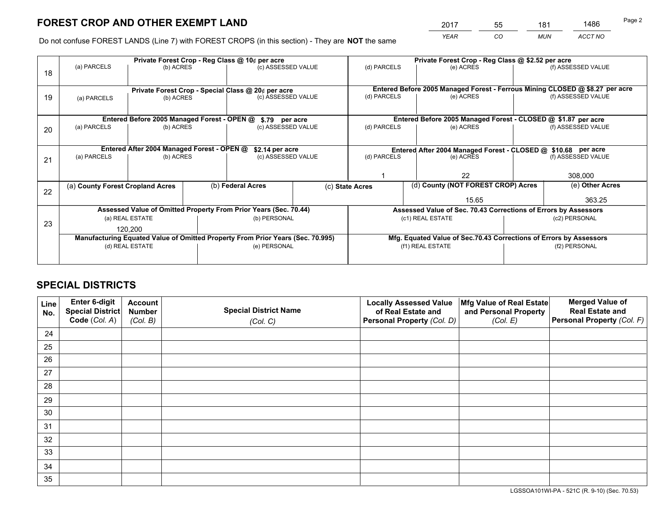*YEAR CO MUN ACCT NO* <sup>2017</sup> <sup>55</sup> <sup>181</sup> <sup>1486</sup>

Do not confuse FOREST LANDS (Line 7) with FOREST CROPS (in this section) - They are **NOT** the same

|    | Private Forest Crop - Reg Class @ 10¢ per acre                                 |                                             |  |                                                               |  |                                                                              | Private Forest Crop - Reg Class @ \$2.52 per acre                  |                    |                    |  |
|----|--------------------------------------------------------------------------------|---------------------------------------------|--|---------------------------------------------------------------|--|------------------------------------------------------------------------------|--------------------------------------------------------------------|--------------------|--------------------|--|
| 18 | (a) PARCELS                                                                    | (b) ACRES                                   |  | (c) ASSESSED VALUE                                            |  | (d) PARCELS                                                                  | (e) ACRES                                                          |                    | (f) ASSESSED VALUE |  |
|    | Private Forest Crop - Special Class @ 20¢ per acre                             |                                             |  |                                                               |  | Entered Before 2005 Managed Forest - Ferrous Mining CLOSED @ \$8.27 per acre |                                                                    |                    |                    |  |
| 19 | (a) PARCELS                                                                    | (b) ACRES                                   |  | (c) ASSESSED VALUE                                            |  | (d) PARCELS                                                                  | (e) ACRES                                                          |                    | (f) ASSESSED VALUE |  |
|    |                                                                                | Entered Before 2005 Managed Forest - OPEN @ |  | \$.79 per acre                                                |  |                                                                              | Entered Before 2005 Managed Forest - CLOSED @ \$1.87 per acre      |                    |                    |  |
| 20 | (a) PARCELS                                                                    | (b) ACRES                                   |  | (c) ASSESSED VALUE                                            |  | (d) PARCELS                                                                  | (e) ACRES                                                          |                    | (f) ASSESSED VALUE |  |
|    | Entered After 2004 Managed Forest - OPEN @                                     | \$2.14 per acre                             |  | Entered After 2004 Managed Forest - CLOSED @ \$10.68 per acre |  |                                                                              |                                                                    |                    |                    |  |
| 21 | (a) PARCELS                                                                    | (b) ACRES                                   |  | (c) ASSESSED VALUE                                            |  | (d) PARCELS                                                                  | (e) ACRES                                                          | (f) ASSESSED VALUE |                    |  |
|    |                                                                                |                                             |  |                                                               |  |                                                                              |                                                                    |                    |                    |  |
|    |                                                                                |                                             |  |                                                               |  | 22                                                                           |                                                                    | 308,000            |                    |  |
| 22 | (a) County Forest Cropland Acres                                               |                                             |  | (b) Federal Acres                                             |  | (c) State Acres                                                              | (d) County (NOT FOREST CROP) Acres                                 |                    | (e) Other Acres    |  |
|    |                                                                                |                                             |  |                                                               |  |                                                                              | 15.65                                                              | 363.25             |                    |  |
|    | Assessed Value of Omitted Property From Prior Years (Sec. 70.44)               |                                             |  |                                                               |  | Assessed Value of Sec. 70.43 Corrections of Errors by Assessors              |                                                                    |                    |                    |  |
| 23 |                                                                                | (a) REAL ESTATE                             |  | (b) PERSONAL                                                  |  | (c1) REAL ESTATE                                                             |                                                                    | (c2) PERSONAL      |                    |  |
|    | 120.200                                                                        |                                             |  |                                                               |  |                                                                              |                                                                    |                    |                    |  |
|    | Manufacturing Equated Value of Omitted Property From Prior Years (Sec. 70.995) |                                             |  |                                                               |  |                                                                              | Mfg. Equated Value of Sec.70.43 Corrections of Errors by Assessors |                    |                    |  |
|    | (d) REAL ESTATE                                                                |                                             |  | (e) PERSONAL                                                  |  |                                                                              | (f1) REAL ESTATE                                                   |                    | (f2) PERSONAL      |  |
|    |                                                                                |                                             |  |                                                               |  |                                                                              |                                                                    |                    |                    |  |

## **SPECIAL DISTRICTS**

| Line<br>No. | Enter 6-digit<br>Special District<br>Code (Col. A) | <b>Account</b><br><b>Number</b> | <b>Special District Name</b> | <b>Locally Assessed Value</b><br>of Real Estate and | Mfg Value of Real Estate<br>and Personal Property | <b>Merged Value of</b><br><b>Real Estate and</b><br>Personal Property (Col. F) |
|-------------|----------------------------------------------------|---------------------------------|------------------------------|-----------------------------------------------------|---------------------------------------------------|--------------------------------------------------------------------------------|
|             |                                                    | (Col. B)                        | (Col. C)                     | Personal Property (Col. D)                          | (Col. E)                                          |                                                                                |
| 24          |                                                    |                                 |                              |                                                     |                                                   |                                                                                |
| 25          |                                                    |                                 |                              |                                                     |                                                   |                                                                                |
| 26          |                                                    |                                 |                              |                                                     |                                                   |                                                                                |
| 27          |                                                    |                                 |                              |                                                     |                                                   |                                                                                |
| 28          |                                                    |                                 |                              |                                                     |                                                   |                                                                                |
| 29          |                                                    |                                 |                              |                                                     |                                                   |                                                                                |
| 30          |                                                    |                                 |                              |                                                     |                                                   |                                                                                |
| 31          |                                                    |                                 |                              |                                                     |                                                   |                                                                                |
| 32          |                                                    |                                 |                              |                                                     |                                                   |                                                                                |
| 33          |                                                    |                                 |                              |                                                     |                                                   |                                                                                |
| 34          |                                                    |                                 |                              |                                                     |                                                   |                                                                                |
| 35          |                                                    |                                 |                              |                                                     |                                                   |                                                                                |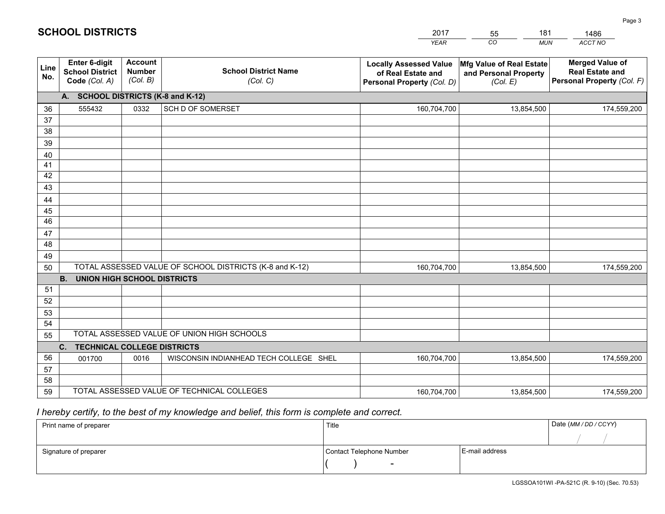|             |                                                                 |                                             |                                                         | <b>YEAR</b>                                                                       | CO<br><b>MUN</b>                                              | ACCT NO                                                                        |  |  |
|-------------|-----------------------------------------------------------------|---------------------------------------------|---------------------------------------------------------|-----------------------------------------------------------------------------------|---------------------------------------------------------------|--------------------------------------------------------------------------------|--|--|
| Line<br>No. | <b>Enter 6-digit</b><br><b>School District</b><br>Code (Col. A) | <b>Account</b><br><b>Number</b><br>(Col. B) | <b>School District Name</b><br>(Col. C)                 | <b>Locally Assessed Value</b><br>of Real Estate and<br>Personal Property (Col. D) | Mfg Value of Real Estate<br>and Personal Property<br>(Col. E) | <b>Merged Value of</b><br><b>Real Estate and</b><br>Personal Property (Col. F) |  |  |
|             | A. SCHOOL DISTRICTS (K-8 and K-12)                              |                                             |                                                         |                                                                                   |                                                               |                                                                                |  |  |
| 36          | 555432                                                          | 0332                                        | <b>SCH D OF SOMERSET</b>                                | 160,704,700                                                                       | 13,854,500                                                    | 174,559,200                                                                    |  |  |
| 37          |                                                                 |                                             |                                                         |                                                                                   |                                                               |                                                                                |  |  |
| 38          |                                                                 |                                             |                                                         |                                                                                   |                                                               |                                                                                |  |  |
| 39          |                                                                 |                                             |                                                         |                                                                                   |                                                               |                                                                                |  |  |
| 40          |                                                                 |                                             |                                                         |                                                                                   |                                                               |                                                                                |  |  |
| 41<br>42    |                                                                 |                                             |                                                         |                                                                                   |                                                               |                                                                                |  |  |
| 43          |                                                                 |                                             |                                                         |                                                                                   |                                                               |                                                                                |  |  |
| 44          |                                                                 |                                             |                                                         |                                                                                   |                                                               |                                                                                |  |  |
| 45          |                                                                 |                                             |                                                         |                                                                                   |                                                               |                                                                                |  |  |
| 46          |                                                                 |                                             |                                                         |                                                                                   |                                                               |                                                                                |  |  |
| 47          |                                                                 |                                             |                                                         |                                                                                   |                                                               |                                                                                |  |  |
| 48          |                                                                 |                                             |                                                         |                                                                                   |                                                               |                                                                                |  |  |
| 49          |                                                                 |                                             |                                                         |                                                                                   |                                                               |                                                                                |  |  |
| 50          |                                                                 |                                             | TOTAL ASSESSED VALUE OF SCHOOL DISTRICTS (K-8 and K-12) | 160,704,700                                                                       | 13,854,500                                                    | 174,559,200                                                                    |  |  |
|             | <b>B. UNION HIGH SCHOOL DISTRICTS</b>                           |                                             |                                                         |                                                                                   |                                                               |                                                                                |  |  |
| 51<br>52    |                                                                 |                                             |                                                         |                                                                                   |                                                               |                                                                                |  |  |
| 53          |                                                                 |                                             |                                                         |                                                                                   |                                                               |                                                                                |  |  |
| 54          |                                                                 |                                             |                                                         |                                                                                   |                                                               |                                                                                |  |  |
| 55          |                                                                 |                                             | TOTAL ASSESSED VALUE OF UNION HIGH SCHOOLS              |                                                                                   |                                                               |                                                                                |  |  |
|             | C.<br><b>TECHNICAL COLLEGE DISTRICTS</b>                        |                                             |                                                         |                                                                                   |                                                               |                                                                                |  |  |
| 56          | 001700                                                          | 0016                                        | WISCONSIN INDIANHEAD TECH COLLEGE SHEL                  | 160,704,700                                                                       | 13,854,500                                                    | 174,559,200                                                                    |  |  |
| 57          |                                                                 |                                             |                                                         |                                                                                   |                                                               |                                                                                |  |  |
| 58          |                                                                 |                                             |                                                         |                                                                                   |                                                               |                                                                                |  |  |
| 59          |                                                                 |                                             | TOTAL ASSESSED VALUE OF TECHNICAL COLLEGES              | 160,704,700                                                                       | 13,854,500                                                    | 174,559,200                                                                    |  |  |

2017

55

181

 *I hereby certify, to the best of my knowledge and belief, this form is complete and correct.*

**SCHOOL DISTRICTS**

| Print name of preparer | Title                    | Date (MM / DD / CCYY) |  |
|------------------------|--------------------------|-----------------------|--|
|                        |                          |                       |  |
| Signature of preparer  | Contact Telephone Number | E-mail address        |  |
|                        | $\sim$                   |                       |  |

1486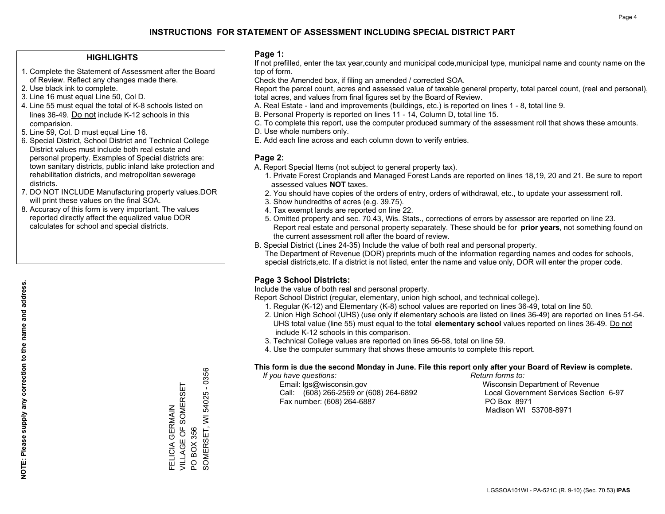### **HIGHLIGHTS**

- 1. Complete the Statement of Assessment after the Board of Review. Reflect any changes made there.
- 2. Use black ink to complete.
- 3. Line 16 must equal Line 50, Col D.
- 4. Line 55 must equal the total of K-8 schools listed on lines 36-49. Do not include K-12 schools in this comparision.
- 5. Line 59, Col. D must equal Line 16.
- 6. Special District, School District and Technical College District values must include both real estate and personal property. Examples of Special districts are: town sanitary districts, public inland lake protection and rehabilitation districts, and metropolitan sewerage districts.
- 7. DO NOT INCLUDE Manufacturing property values.DOR will print these values on the final SOA.
- 8. Accuracy of this form is very important. The values reported directly affect the equalized value DOR calculates for school and special districts.

#### **Page 1:**

 If not prefilled, enter the tax year,county and municipal code,municipal type, municipal name and county name on the top of form.

Check the Amended box, if filing an amended / corrected SOA.

 Report the parcel count, acres and assessed value of taxable general property, total parcel count, (real and personal), total acres, and values from final figures set by the Board of Review.

- A. Real Estate land and improvements (buildings, etc.) is reported on lines 1 8, total line 9.
- B. Personal Property is reported on lines 11 14, Column D, total line 15.
- C. To complete this report, use the computer produced summary of the assessment roll that shows these amounts.
- D. Use whole numbers only.
- E. Add each line across and each column down to verify entries.

## **Page 2:**

- A. Report Special Items (not subject to general property tax).
- 1. Private Forest Croplands and Managed Forest Lands are reported on lines 18,19, 20 and 21. Be sure to report assessed values **NOT** taxes.
- 2. You should have copies of the orders of entry, orders of withdrawal, etc., to update your assessment roll.
	- 3. Show hundredths of acres (e.g. 39.75).
- 4. Tax exempt lands are reported on line 22.
- 5. Omitted property and sec. 70.43, Wis. Stats., corrections of errors by assessor are reported on line 23. Report real estate and personal property separately. These should be for **prior years**, not something found on the current assessment roll after the board of review.
- B. Special District (Lines 24-35) Include the value of both real and personal property.
- The Department of Revenue (DOR) preprints much of the information regarding names and codes for schools, special districts,etc. If a district is not listed, enter the name and value only, DOR will enter the proper code.

## **Page 3 School Districts:**

Include the value of both real and personal property.

Report School District (regular, elementary, union high school, and technical college).

- 1. Regular (K-12) and Elementary (K-8) school values are reported on lines 36-49, total on line 50.
- 2. Union High School (UHS) (use only if elementary schools are listed on lines 36-49) are reported on lines 51-54. UHS total value (line 55) must equal to the total **elementary school** values reported on lines 36-49. Do notinclude K-12 schools in this comparison.
- 3. Technical College values are reported on lines 56-58, total on line 59.
- 4. Use the computer summary that shows these amounts to complete this report.

#### **This form is due the second Monday in June. File this report only after your Board of Review is complete.**

 *If you have questions: Return forms to:*

 Email: lgs@wisconsin.gov Wisconsin Department of RevenueCall:  $(608)$  266-2569 or  $(608)$  264-6892 Fax number: (608) 264-6887 PO Box 8971

Local Government Services Section 6-97 Madison WI 53708-8971

54025 - 0356 SOMERSET, WI 54025 - 0356 VILLAGE OF SOMERSET FELICIA GERMAIN<br>VILLAGE OF SOMERSET FELICIA GERMAIN SOMERSET, WI BOX 356 PO BOX 356  $\overline{S}$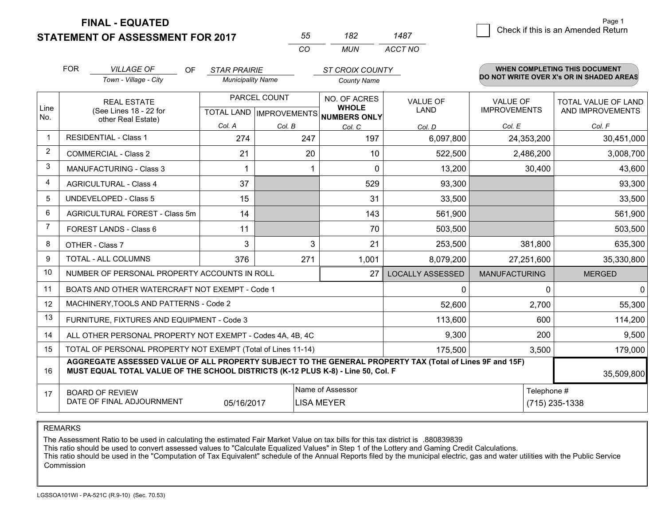**STATEMENT OF ASSESSMENT FOR 2017** 

**FINAL - EQUATED**

| 55  | 182 | 1487    |
|-----|-----|---------|
| ΓO. | MUN | ACCT NO |

|                | <b>FOR</b><br><b>VILLAGE OF</b><br>Town - Village - City                                                                                                                                     | <b>OF</b> | <b>STAR PRAIRIE</b><br><b>Municipality Name</b> |              | <b>ST CROIX COUNTY</b>              |                         |                      | <b>WHEN COMPLETING THIS DOCUMENT</b><br>DO NOT WRITE OVER X's OR IN SHADED AREAS |
|----------------|----------------------------------------------------------------------------------------------------------------------------------------------------------------------------------------------|-----------|-------------------------------------------------|--------------|-------------------------------------|-------------------------|----------------------|----------------------------------------------------------------------------------|
|                |                                                                                                                                                                                              |           |                                                 |              | <b>County Name</b>                  |                         |                      |                                                                                  |
|                | <b>REAL ESTATE</b>                                                                                                                                                                           |           |                                                 | PARCEL COUNT | NO. OF ACRES<br><b>WHOLE</b>        | <b>VALUE OF</b>         | <b>VALUE OF</b>      | TOTAL VALUE OF LAND                                                              |
| Line<br>No.    | (See Lines 18 - 22 for<br>other Real Estate)                                                                                                                                                 |           |                                                 |              | TOTAL LAND MPROVEMENTS NUMBERS ONLY | <b>LAND</b>             | <b>IMPROVEMENTS</b>  | AND IMPROVEMENTS                                                                 |
|                |                                                                                                                                                                                              |           | Col. A                                          | Col. B       | Col. C                              | Col. D                  | Col. E               | Col. F                                                                           |
| $\mathbf 1$    | <b>RESIDENTIAL - Class 1</b>                                                                                                                                                                 |           | 274                                             | 247          | 197                                 | 6,097,800               | 24,353,200           | 30,451,000                                                                       |
| $\overline{2}$ | <b>COMMERCIAL - Class 2</b>                                                                                                                                                                  |           | 21                                              |              | 20<br>10                            | 522,500                 | 2,486,200            | 3,008,700                                                                        |
| 3              | MANUFACTURING - Class 3                                                                                                                                                                      |           |                                                 |              | $\Omega$                            | 13,200                  | 30,400               | 43,600                                                                           |
| $\overline{4}$ | <b>AGRICULTURAL - Class 4</b>                                                                                                                                                                |           | 37                                              |              | 529                                 | 93,300                  |                      | 93,300                                                                           |
| 5              | <b>UNDEVELOPED - Class 5</b>                                                                                                                                                                 |           | 15                                              |              | 31                                  | 33,500                  |                      | 33,500                                                                           |
| 6              | AGRICULTURAL FOREST - Class 5m                                                                                                                                                               |           | 14                                              |              | 143                                 | 561,900                 |                      | 561,900                                                                          |
| $\overline{7}$ | FOREST LANDS - Class 6                                                                                                                                                                       |           | 11                                              |              | 70                                  | 503,500                 |                      | 503,500                                                                          |
| 8              | OTHER - Class 7                                                                                                                                                                              |           | 3                                               |              | 3<br>21                             | 253,500                 | 381,800              | 635,300                                                                          |
| 9              | TOTAL - ALL COLUMNS                                                                                                                                                                          |           | 376                                             | 271          | 1,001                               | 8,079,200               | 27,251,600           | 35,330,800                                                                       |
| 10             | NUMBER OF PERSONAL PROPERTY ACCOUNTS IN ROLL                                                                                                                                                 |           |                                                 |              | 27                                  | <b>LOCALLY ASSESSED</b> | <b>MANUFACTURING</b> | <b>MERGED</b>                                                                    |
| 11             | BOATS AND OTHER WATERCRAFT NOT EXEMPT - Code 1                                                                                                                                               |           |                                                 |              |                                     | 0                       | 0                    | $\mathbf 0$                                                                      |
| 12             | MACHINERY, TOOLS AND PATTERNS - Code 2                                                                                                                                                       |           |                                                 |              |                                     | 52,600                  | 2,700                | 55,300                                                                           |
| 13             | FURNITURE, FIXTURES AND EQUIPMENT - Code 3                                                                                                                                                   |           |                                                 |              |                                     | 113,600                 | 600                  | 114,200                                                                          |
| 14             | ALL OTHER PERSONAL PROPERTY NOT EXEMPT - Codes 4A, 4B, 4C                                                                                                                                    |           |                                                 | 9,300        | 200                                 | 9,500                   |                      |                                                                                  |
| 15             | TOTAL OF PERSONAL PROPERTY NOT EXEMPT (Total of Lines 11-14)                                                                                                                                 |           |                                                 |              |                                     | 175,500                 | 3,500                | 179,000                                                                          |
| 16             | AGGREGATE ASSESSED VALUE OF ALL PROPERTY SUBJECT TO THE GENERAL PROPERTY TAX (Total of Lines 9F and 15F)<br>MUST EQUAL TOTAL VALUE OF THE SCHOOL DISTRICTS (K-12 PLUS K-8) - Line 50, Col. F |           |                                                 |              |                                     |                         | 35,509,800           |                                                                                  |
| 17             | <b>BOARD OF REVIEW</b>                                                                                                                                                                       |           |                                                 |              | Name of Assessor                    |                         | Telephone #          |                                                                                  |
|                | DATE OF FINAL ADJOURNMENT                                                                                                                                                                    |           | 05/16/2017                                      |              | LISA MEYER                          |                         |                      | (715) 235-1338                                                                   |

REMARKS

The Assessment Ratio to be used in calculating the estimated Fair Market Value on tax bills for this tax district is .880839839

This ratio should be used to convert assessed values to "Calculate Equalized Values" in Step 1 of the Lottery and Gaming Credit Calculations.<br>This ratio should be used in the "Computation of Tax Equivalent" schedule of the Commission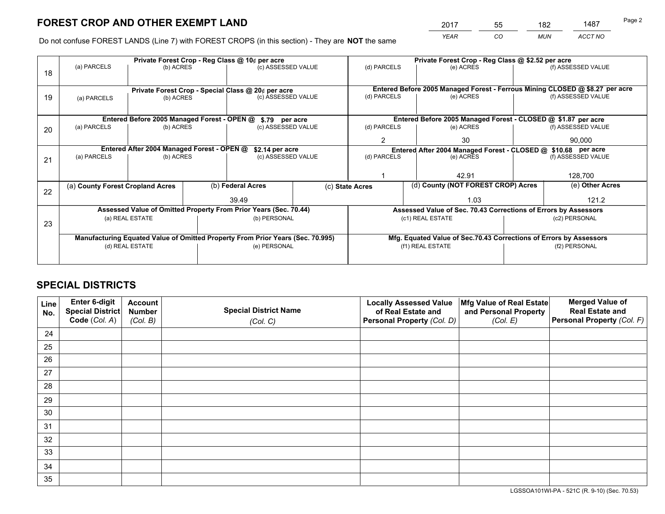*YEAR CO MUN ACCT NO* <sup>2017</sup> <sup>55</sup> <sup>182</sup> <sup>1487</sup>

Do not confuse FOREST LANDS (Line 7) with FOREST CROPS (in this section) - They are **NOT** the same

|    |                                                                                |                                             |                                   | Private Forest Crop - Reg Class @ 10¢ per acre                   |                                                                    | Private Forest Crop - Reg Class @ \$2.52 per acre             |                                                                              |  |                    |  |
|----|--------------------------------------------------------------------------------|---------------------------------------------|-----------------------------------|------------------------------------------------------------------|--------------------------------------------------------------------|---------------------------------------------------------------|------------------------------------------------------------------------------|--|--------------------|--|
| 18 | (a) PARCELS                                                                    | (b) ACRES                                   |                                   | (c) ASSESSED VALUE                                               |                                                                    | (d) PARCELS                                                   | (e) ACRES                                                                    |  | (f) ASSESSED VALUE |  |
|    |                                                                                |                                             |                                   | Private Forest Crop - Special Class @ 20¢ per acre               |                                                                    |                                                               | Entered Before 2005 Managed Forest - Ferrous Mining CLOSED @ \$8.27 per acre |  |                    |  |
| 19 | (a) PARCELS                                                                    | (b) ACRES                                   |                                   | (c) ASSESSED VALUE                                               |                                                                    | (d) PARCELS                                                   | (e) ACRES                                                                    |  | (f) ASSESSED VALUE |  |
|    |                                                                                | Entered Before 2005 Managed Forest - OPEN @ |                                   | \$.79 per acre                                                   |                                                                    |                                                               | Entered Before 2005 Managed Forest - CLOSED @ \$1.87 per acre                |  |                    |  |
| 20 | (a) PARCELS                                                                    | (b) ACRES                                   |                                   | (c) ASSESSED VALUE                                               |                                                                    | (d) PARCELS                                                   | (e) ACRES                                                                    |  | (f) ASSESSED VALUE |  |
|    |                                                                                |                                             |                                   |                                                                  |                                                                    | 2                                                             | 30                                                                           |  | 90.000             |  |
|    | Entered After 2004 Managed Forest - OPEN @<br>\$2.14 per acre                  |                                             |                                   |                                                                  |                                                                    | Entered After 2004 Managed Forest - CLOSED @ \$10.68 per acre |                                                                              |  |                    |  |
| 21 | (a) PARCELS                                                                    | (b) ACRES                                   |                                   | (c) ASSESSED VALUE                                               |                                                                    | (d) PARCELS<br>(e) ACRES                                      |                                                                              |  | (f) ASSESSED VALUE |  |
|    |                                                                                |                                             |                                   |                                                                  |                                                                    |                                                               |                                                                              |  |                    |  |
|    |                                                                                |                                             |                                   |                                                                  |                                                                    |                                                               | 42.91                                                                        |  | 128,700            |  |
| 22 | (a) County Forest Cropland Acres                                               |                                             |                                   | (b) Federal Acres                                                |                                                                    | (c) State Acres                                               | (d) County (NOT FOREST CROP) Acres                                           |  | (e) Other Acres    |  |
|    |                                                                                |                                             |                                   | 39.49                                                            |                                                                    |                                                               | 1.03                                                                         |  | 121.2              |  |
|    |                                                                                |                                             |                                   | Assessed Value of Omitted Property From Prior Years (Sec. 70.44) |                                                                    |                                                               | Assessed Value of Sec. 70.43 Corrections of Errors by Assessors              |  |                    |  |
| 23 | (a) REAL ESTATE<br>(b) PERSONAL                                                |                                             | (c1) REAL ESTATE<br>(c2) PERSONAL |                                                                  |                                                                    |                                                               |                                                                              |  |                    |  |
|    |                                                                                |                                             |                                   |                                                                  |                                                                    |                                                               |                                                                              |  |                    |  |
|    | Manufacturing Equated Value of Omitted Property From Prior Years (Sec. 70.995) |                                             |                                   |                                                                  | Mfg. Equated Value of Sec.70.43 Corrections of Errors by Assessors |                                                               |                                                                              |  |                    |  |
|    | (d) REAL ESTATE<br>(e) PERSONAL                                                |                                             |                                   | (f1) REAL ESTATE<br>(f2) PERSONAL                                |                                                                    |                                                               |                                                                              |  |                    |  |
|    |                                                                                |                                             |                                   |                                                                  |                                                                    |                                                               |                                                                              |  |                    |  |

# **SPECIAL DISTRICTS**

| Line<br>No. | Enter 6-digit<br><b>Special District</b> | <b>Account</b><br><b>Number</b> | <b>Special District Name</b> | <b>Locally Assessed Value</b><br>of Real Estate and | Mfg Value of Real Estate<br>and Personal Property | <b>Merged Value of</b><br><b>Real Estate and</b> |
|-------------|------------------------------------------|---------------------------------|------------------------------|-----------------------------------------------------|---------------------------------------------------|--------------------------------------------------|
|             | Code (Col. A)                            | (Col. B)                        | (Col. C)                     | Personal Property (Col. D)                          | (Col. E)                                          | Personal Property (Col. F)                       |
| 24          |                                          |                                 |                              |                                                     |                                                   |                                                  |
| 25          |                                          |                                 |                              |                                                     |                                                   |                                                  |
| 26          |                                          |                                 |                              |                                                     |                                                   |                                                  |
| 27          |                                          |                                 |                              |                                                     |                                                   |                                                  |
| 28          |                                          |                                 |                              |                                                     |                                                   |                                                  |
| 29          |                                          |                                 |                              |                                                     |                                                   |                                                  |
| 30          |                                          |                                 |                              |                                                     |                                                   |                                                  |
| 31          |                                          |                                 |                              |                                                     |                                                   |                                                  |
| 32          |                                          |                                 |                              |                                                     |                                                   |                                                  |
| 33          |                                          |                                 |                              |                                                     |                                                   |                                                  |
| 34          |                                          |                                 |                              |                                                     |                                                   |                                                  |
| 35          |                                          |                                 |                              |                                                     |                                                   |                                                  |

LGSSOA101WI-PA - 521C (R. 9-10) (Sec. 70.53)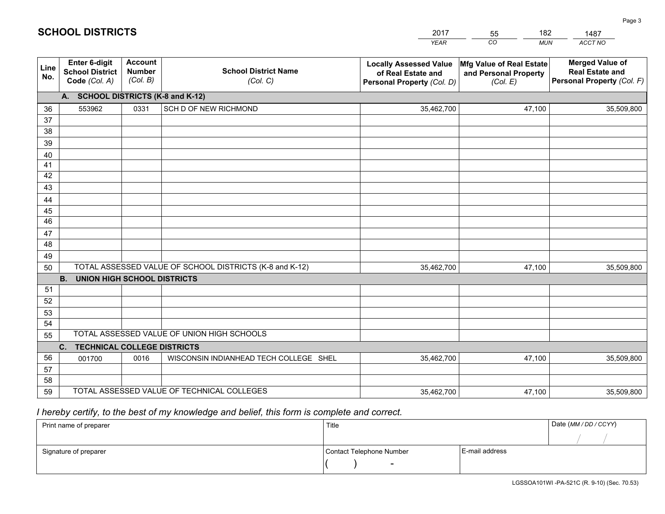|             |                                                                 |                                             |                                                         | <b>YEAR</b>                                                                       | CO<br><b>MUN</b>                                              | ACCT NO                                                                        |
|-------------|-----------------------------------------------------------------|---------------------------------------------|---------------------------------------------------------|-----------------------------------------------------------------------------------|---------------------------------------------------------------|--------------------------------------------------------------------------------|
| Line<br>No. | <b>Enter 6-digit</b><br><b>School District</b><br>Code (Col. A) | <b>Account</b><br><b>Number</b><br>(Col. B) | <b>School District Name</b><br>(Col. C)                 | <b>Locally Assessed Value</b><br>of Real Estate and<br>Personal Property (Col. D) | Mfg Value of Real Estate<br>and Personal Property<br>(Col. E) | <b>Merged Value of</b><br><b>Real Estate and</b><br>Personal Property (Col. F) |
|             | A. SCHOOL DISTRICTS (K-8 and K-12)                              |                                             |                                                         |                                                                                   |                                                               |                                                                                |
| 36          | 553962                                                          | 0331                                        | SCH D OF NEW RICHMOND                                   | 35,462,700                                                                        | 47,100                                                        | 35,509,800                                                                     |
| 37          |                                                                 |                                             |                                                         |                                                                                   |                                                               |                                                                                |
| 38          |                                                                 |                                             |                                                         |                                                                                   |                                                               |                                                                                |
| 39          |                                                                 |                                             |                                                         |                                                                                   |                                                               |                                                                                |
| 40          |                                                                 |                                             |                                                         |                                                                                   |                                                               |                                                                                |
| 41<br>42    |                                                                 |                                             |                                                         |                                                                                   |                                                               |                                                                                |
| 43          |                                                                 |                                             |                                                         |                                                                                   |                                                               |                                                                                |
|             |                                                                 |                                             |                                                         |                                                                                   |                                                               |                                                                                |
| 44<br>45    |                                                                 |                                             |                                                         |                                                                                   |                                                               |                                                                                |
| 46          |                                                                 |                                             |                                                         |                                                                                   |                                                               |                                                                                |
| 47          |                                                                 |                                             |                                                         |                                                                                   |                                                               |                                                                                |
| 48          |                                                                 |                                             |                                                         |                                                                                   |                                                               |                                                                                |
| 49          |                                                                 |                                             |                                                         |                                                                                   |                                                               |                                                                                |
| 50          |                                                                 |                                             | TOTAL ASSESSED VALUE OF SCHOOL DISTRICTS (K-8 and K-12) | 35,462,700                                                                        | 47,100                                                        | 35,509,800                                                                     |
|             | <b>B. UNION HIGH SCHOOL DISTRICTS</b>                           |                                             |                                                         |                                                                                   |                                                               |                                                                                |
| 51          |                                                                 |                                             |                                                         |                                                                                   |                                                               |                                                                                |
| 52          |                                                                 |                                             |                                                         |                                                                                   |                                                               |                                                                                |
| 53          |                                                                 |                                             |                                                         |                                                                                   |                                                               |                                                                                |
| 54          |                                                                 |                                             |                                                         |                                                                                   |                                                               |                                                                                |
|             | TOTAL ASSESSED VALUE OF UNION HIGH SCHOOLS<br>55                |                                             |                                                         |                                                                                   |                                                               |                                                                                |
|             | C.<br><b>TECHNICAL COLLEGE DISTRICTS</b>                        |                                             |                                                         |                                                                                   |                                                               |                                                                                |
| 56          | 001700                                                          | 0016                                        | WISCONSIN INDIANHEAD TECH COLLEGE SHEL                  | 35,462,700                                                                        | 47,100                                                        | 35,509,800                                                                     |
| 57<br>58    |                                                                 |                                             |                                                         |                                                                                   |                                                               |                                                                                |
| 59          |                                                                 |                                             | TOTAL ASSESSED VALUE OF TECHNICAL COLLEGES              | 35,462,700                                                                        | 47,100                                                        | 35,509,800                                                                     |
|             |                                                                 |                                             |                                                         |                                                                                   |                                                               |                                                                                |

55

182

# *I hereby certify, to the best of my knowledge and belief, this form is complete and correct.*

**SCHOOL DISTRICTS**

| Print name of preparer | Title                    |                | Date (MM / DD / CCYY) |
|------------------------|--------------------------|----------------|-----------------------|
|                        |                          |                |                       |
| Signature of preparer  | Contact Telephone Number | E-mail address |                       |
|                        | $\overline{\phantom{0}}$ |                |                       |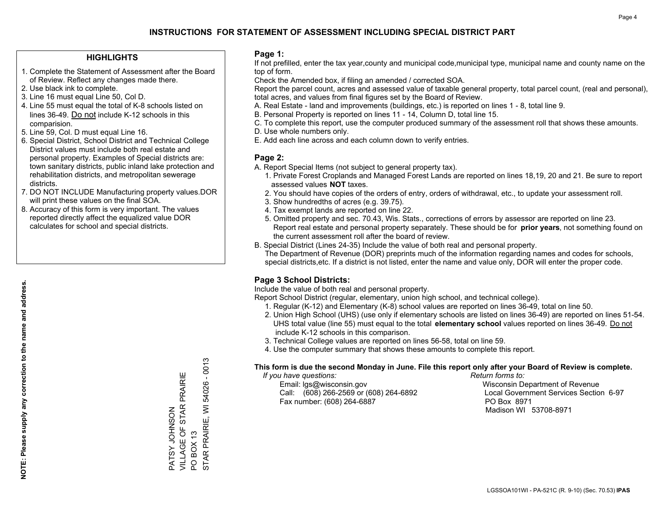### **HIGHLIGHTS**

- 1. Complete the Statement of Assessment after the Board of Review. Reflect any changes made there.
- 2. Use black ink to complete.
- 3. Line 16 must equal Line 50, Col D.
- 4. Line 55 must equal the total of K-8 schools listed on lines 36-49. Do not include K-12 schools in this comparision.
- 5. Line 59, Col. D must equal Line 16.
- 6. Special District, School District and Technical College District values must include both real estate and personal property. Examples of Special districts are: town sanitary districts, public inland lake protection and rehabilitation districts, and metropolitan sewerage districts.
- 7. DO NOT INCLUDE Manufacturing property values.DOR will print these values on the final SOA.
- 8. Accuracy of this form is very important. The values reported directly affect the equalized value DOR calculates for school and special districts.

### **Page 1:**

 If not prefilled, enter the tax year,county and municipal code,municipal type, municipal name and county name on the top of form.

Check the Amended box, if filing an amended / corrected SOA.

 Report the parcel count, acres and assessed value of taxable general property, total parcel count, (real and personal), total acres, and values from final figures set by the Board of Review.

- A. Real Estate land and improvements (buildings, etc.) is reported on lines 1 8, total line 9.
- B. Personal Property is reported on lines 11 14, Column D, total line 15.
- C. To complete this report, use the computer produced summary of the assessment roll that shows these amounts.
- D. Use whole numbers only.
- E. Add each line across and each column down to verify entries.

### **Page 2:**

- A. Report Special Items (not subject to general property tax).
- 1. Private Forest Croplands and Managed Forest Lands are reported on lines 18,19, 20 and 21. Be sure to report assessed values **NOT** taxes.
- 2. You should have copies of the orders of entry, orders of withdrawal, etc., to update your assessment roll.
	- 3. Show hundredths of acres (e.g. 39.75).
- 4. Tax exempt lands are reported on line 22.
- 5. Omitted property and sec. 70.43, Wis. Stats., corrections of errors by assessor are reported on line 23. Report real estate and personal property separately. These should be for **prior years**, not something found on the current assessment roll after the board of review.
- B. Special District (Lines 24-35) Include the value of both real and personal property.
- The Department of Revenue (DOR) preprints much of the information regarding names and codes for schools, special districts,etc. If a district is not listed, enter the name and value only, DOR will enter the proper code.

### **Page 3 School Districts:**

Include the value of both real and personal property.

Report School District (regular, elementary, union high school, and technical college).

- 1. Regular (K-12) and Elementary (K-8) school values are reported on lines 36-49, total on line 50.
- 2. Union High School (UHS) (use only if elementary schools are listed on lines 36-49) are reported on lines 51-54. UHS total value (line 55) must equal to the total **elementary school** values reported on lines 36-49. Do notinclude K-12 schools in this comparison.
- 3. Technical College values are reported on lines 56-58, total on line 59.
- 4. Use the computer summary that shows these amounts to complete this report.

#### **This form is due the second Monday in June. File this report only after your Board of Review is complete.**

 *If you have questions: Return forms to:*

 Email: lgs@wisconsin.gov Wisconsin Department of RevenueCall:  $(608)$  266-2569 or  $(608)$  264-6892 Fax number: (608) 264-6887 PO Box 8971

Local Government Services Section 6-97 Madison WI 53708-8971

54026 - 0013 STAR PRAIRIE, WI 54026 - 0013 VILLAGE OF STAR PRAIRIE PATSY JOHNSON<br>VILLAGE OF STAR PRAIRIE STAR PRAIRIE, WI PATSY JOHNSON **BOX 13** PO BOX 13  $\overline{S}$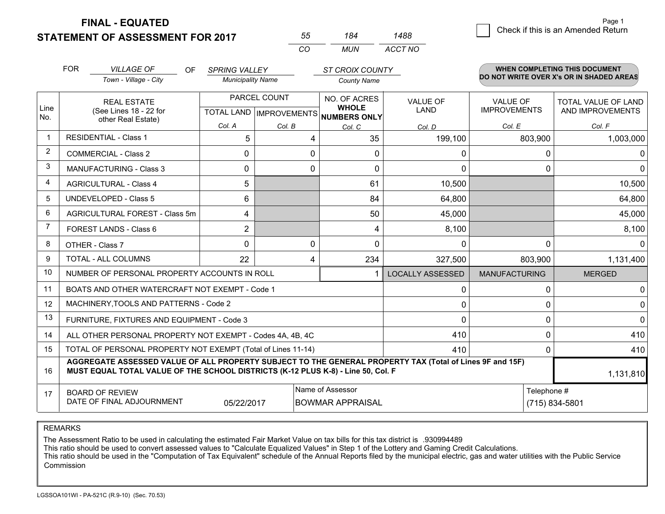**STATEMENT OF ASSESSMENT FOR 2017** 

**FINAL - EQUATED**

| <b>FOR</b><br><b>VILLAGE OF</b><br>OF.<br>Town - Village - City                                                | <b>SPRING VALLEY</b><br><b>Municipality Name</b> |                                                | <b>ST CROIX COUNTY</b><br><b>County Name</b>        |                         |                                                                                                             | <b>WHEN COMPLETING THIS DOCUMENT</b><br>DO NOT WRITE OVER X's OR IN SHADED AREAS |
|----------------------------------------------------------------------------------------------------------------|--------------------------------------------------|------------------------------------------------|-----------------------------------------------------|-------------------------|-------------------------------------------------------------------------------------------------------------|----------------------------------------------------------------------------------|
| <b>REAL ESTATE</b><br>Line<br>(See Lines 18 - 22 for                                                           |                                                  | PARCEL COUNT<br><b>TOTAL LAND IMPROVEMENTS</b> | NO. OF ACRES<br><b>WHOLE</b><br><b>NUMBERS ONLY</b> | <b>VALUE OF</b><br>LAND | <b>VALUE OF</b><br><b>IMPROVEMENTS</b>                                                                      | <b>TOTAL VALUE OF LAND</b><br>AND IMPROVEMENTS                                   |
| other Real Estate)                                                                                             | Col. A                                           | Col. B                                         | Col. C                                              | Col. D                  | Col. E                                                                                                      | Col. F                                                                           |
| <b>RESIDENTIAL - Class 1</b>                                                                                   | 5                                                | 4                                              | 35                                                  | 199,100                 | 803,900                                                                                                     | 1,003,000                                                                        |
| <b>COMMERCIAL - Class 2</b>                                                                                    | 0                                                | 0                                              | $\mathbf{0}$                                        | $\mathbf 0$             | 0                                                                                                           | 0                                                                                |
| <b>MANUFACTURING - Class 3</b>                                                                                 | 0                                                | 0                                              | $\Omega$                                            | $\Omega$                | $\Omega$                                                                                                    | $\Omega$                                                                         |
| <b>AGRICULTURAL - Class 4</b>                                                                                  | 5                                                |                                                | 61                                                  | 10,500                  |                                                                                                             | 10,500                                                                           |
| <b>UNDEVELOPED - Class 5</b>                                                                                   | 6                                                |                                                | 84                                                  | 64,800                  |                                                                                                             | 64,800                                                                           |
| AGRICULTURAL FOREST - Class 5m                                                                                 | 4                                                |                                                | 50                                                  | 45,000                  |                                                                                                             | 45,000                                                                           |
| FOREST LANDS - Class 6                                                                                         | $\overline{2}$                                   |                                                | 4                                                   | 8,100                   |                                                                                                             | 8,100                                                                            |
| OTHER - Class 7                                                                                                | $\Omega$                                         | 0                                              | $\Omega$                                            | $\mathbf{0}$            | 0                                                                                                           | $\Omega$                                                                         |
| TOTAL - ALL COLUMNS                                                                                            | 22                                               | 4                                              | 234                                                 | 327,500                 | 803,900                                                                                                     | 1,131,400                                                                        |
| 10<br>NUMBER OF PERSONAL PROPERTY ACCOUNTS IN ROLL                                                             |                                                  |                                                |                                                     | <b>LOCALLY ASSESSED</b> | <b>MANUFACTURING</b>                                                                                        | <b>MERGED</b>                                                                    |
| 11<br>BOATS AND OTHER WATERCRAFT NOT EXEMPT - Code 1                                                           |                                                  |                                                |                                                     | 0                       | 0                                                                                                           | 0                                                                                |
| MACHINERY, TOOLS AND PATTERNS - Code 2<br>12                                                                   |                                                  |                                                |                                                     | $\mathbf{0}$            | 0                                                                                                           | $\mathbf 0$                                                                      |
| 13<br>FURNITURE, FIXTURES AND EQUIPMENT - Code 3                                                               |                                                  |                                                |                                                     | $\Omega$                | 0                                                                                                           | $\mathbf 0$                                                                      |
| 14<br>ALL OTHER PERSONAL PROPERTY NOT EXEMPT - Codes 4A, 4B, 4C                                                |                                                  |                                                |                                                     | 410                     | 0                                                                                                           | 410                                                                              |
| 15<br>TOTAL OF PERSONAL PROPERTY NOT EXEMPT (Total of Lines 11-14)                                             |                                                  |                                                |                                                     | 410                     | $\Omega$                                                                                                    | 410                                                                              |
| AGGREGATE ASSESSED VALUE OF ALL PROPERTY SUBJECT TO THE GENERAL PROPERTY TAX (Total of Lines 9F and 15F)<br>16 |                                                  |                                                |                                                     |                         |                                                                                                             | 1,131,810                                                                        |
| <b>BOARD OF REVIEW</b><br>17<br>DATE OF FINAL ADJOURNMENT                                                      |                                                  |                                                |                                                     |                         |                                                                                                             |                                                                                  |
|                                                                                                                |                                                  |                                                | 05/22/2017                                          | Name of Assessor        | MUST EQUAL TOTAL VALUE OF THE SCHOOL DISTRICTS (K-12 PLUS K-8) - Line 50, Col. F<br><b>BOWMAR APPRAISAL</b> | Telephone #<br>(715) 834-5801                                                    |

*CO*

*MUN*

*ACCT NO1488*

*<sup>55</sup> <sup>184</sup>*

REMARKS

The Assessment Ratio to be used in calculating the estimated Fair Market Value on tax bills for this tax district is .930994489<br>This ratio should be used to convert assessed values to "Calculate Equalized Values" in Step 1 Commission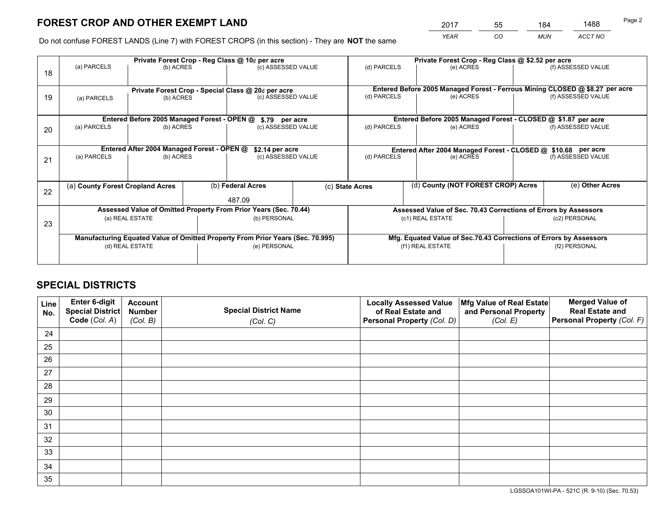*YEAR CO MUN ACCT NO* <sup>2017</sup> <sup>55</sup> <sup>184</sup> <sup>1488</sup>

Do not confuse FOREST LANDS (Line 7) with FOREST CROPS (in this section) - They are **NOT** the same

|    |                                                                                |                                             |              | Private Forest Crop - Reg Class @ 10¢ per acre     |  | Private Forest Crop - Reg Class @ \$2.52 per acre                            |                                                                 |                    |                    |
|----|--------------------------------------------------------------------------------|---------------------------------------------|--------------|----------------------------------------------------|--|------------------------------------------------------------------------------|-----------------------------------------------------------------|--------------------|--------------------|
| 18 | (a) PARCELS                                                                    | (b) ACRES                                   |              | (c) ASSESSED VALUE                                 |  | (d) PARCELS                                                                  | (e) ACRES                                                       |                    | (f) ASSESSED VALUE |
|    |                                                                                |                                             |              | Private Forest Crop - Special Class @ 20¢ per acre |  | Entered Before 2005 Managed Forest - Ferrous Mining CLOSED @ \$8.27 per acre |                                                                 |                    |                    |
| 19 | (a) PARCELS                                                                    | (b) ACRES                                   |              | (c) ASSESSED VALUE                                 |  | (d) PARCELS                                                                  | (e) ACRES                                                       |                    | (f) ASSESSED VALUE |
|    |                                                                                | Entered Before 2005 Managed Forest - OPEN @ |              | \$.79 per acre                                     |  |                                                                              | Entered Before 2005 Managed Forest - CLOSED @ \$1.87 per acre   |                    |                    |
| 20 | (a) PARCELS                                                                    | (b) ACRES                                   |              | (c) ASSESSED VALUE                                 |  | (d) PARCELS                                                                  | (e) ACRES                                                       |                    | (f) ASSESSED VALUE |
|    |                                                                                | Entered After 2004 Managed Forest - OPEN @  |              | \$2.14 per acre                                    |  |                                                                              | Entered After 2004 Managed Forest - CLOSED @ \$10.68 per acre   |                    |                    |
| 21 | (a) PARCELS                                                                    | (b) ACRES                                   |              | (c) ASSESSED VALUE                                 |  | (d) PARCELS<br>(e) ACRES                                                     |                                                                 | (f) ASSESSED VALUE |                    |
|    | (a) County Forest Cropland Acres                                               |                                             |              | (b) Federal Acres                                  |  |                                                                              | (d) County (NOT FOREST CROP) Acres                              |                    | (e) Other Acres    |
| 22 |                                                                                |                                             |              |                                                    |  | (c) State Acres                                                              |                                                                 |                    |                    |
|    |                                                                                |                                             |              | 487.09                                             |  |                                                                              |                                                                 |                    |                    |
|    | Assessed Value of Omitted Property From Prior Years (Sec. 70.44)               |                                             |              |                                                    |  |                                                                              | Assessed Value of Sec. 70.43 Corrections of Errors by Assessors |                    |                    |
| 23 | (a) REAL ESTATE<br>(b) PERSONAL                                                |                                             |              | (c1) REAL ESTATE<br>(c2) PERSONAL                  |  |                                                                              |                                                                 |                    |                    |
|    | Manufacturing Equated Value of Omitted Property From Prior Years (Sec. 70.995) |                                             |              |                                                    |  | Mfg. Equated Value of Sec.70.43 Corrections of Errors by Assessors           |                                                                 |                    |                    |
|    | (d) REAL ESTATE                                                                |                                             | (e) PERSONAL |                                                    |  | (f1) REAL ESTATE                                                             |                                                                 | (f2) PERSONAL      |                    |
|    |                                                                                |                                             |              |                                                    |  |                                                                              |                                                                 |                    |                    |

# **SPECIAL DISTRICTS**

| Line<br>No. | <b>Enter 6-digit</b><br><b>Special District</b><br>Code (Col. A) | <b>Account</b><br><b>Number</b> | <b>Special District Name</b> | <b>Locally Assessed Value</b><br>of Real Estate and | Mfg Value of Real Estate<br>and Personal Property | <b>Merged Value of</b><br><b>Real Estate and</b><br>Personal Property (Col. F) |
|-------------|------------------------------------------------------------------|---------------------------------|------------------------------|-----------------------------------------------------|---------------------------------------------------|--------------------------------------------------------------------------------|
|             |                                                                  | (Col. B)                        | (Col. C)                     | Personal Property (Col. D)                          | (Col. E)                                          |                                                                                |
| 24          |                                                                  |                                 |                              |                                                     |                                                   |                                                                                |
| 25          |                                                                  |                                 |                              |                                                     |                                                   |                                                                                |
| 26          |                                                                  |                                 |                              |                                                     |                                                   |                                                                                |
| 27          |                                                                  |                                 |                              |                                                     |                                                   |                                                                                |
| 28          |                                                                  |                                 |                              |                                                     |                                                   |                                                                                |
| 29          |                                                                  |                                 |                              |                                                     |                                                   |                                                                                |
| 30          |                                                                  |                                 |                              |                                                     |                                                   |                                                                                |
| 31          |                                                                  |                                 |                              |                                                     |                                                   |                                                                                |
| 32          |                                                                  |                                 |                              |                                                     |                                                   |                                                                                |
| 33          |                                                                  |                                 |                              |                                                     |                                                   |                                                                                |
| 34          |                                                                  |                                 |                              |                                                     |                                                   |                                                                                |
| 35          |                                                                  |                                 |                              |                                                     |                                                   |                                                                                |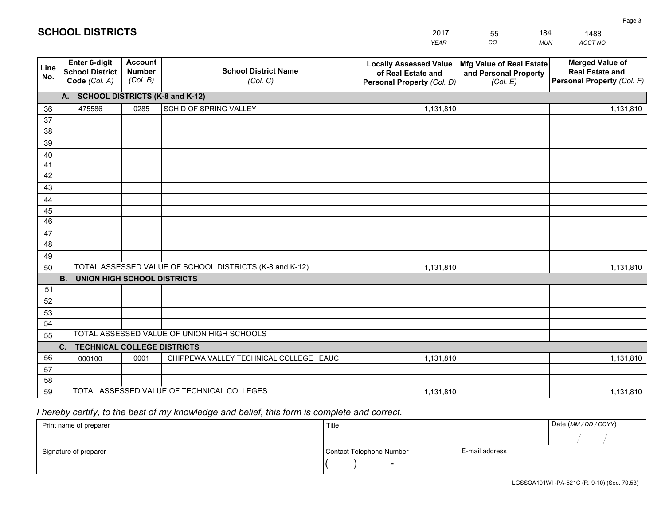|             |                                                                 |                                             |                                                         | <b>YEAR</b>                                                                       | CO<br><b>MUN</b>                                              | ACCT NO                                                                        |
|-------------|-----------------------------------------------------------------|---------------------------------------------|---------------------------------------------------------|-----------------------------------------------------------------------------------|---------------------------------------------------------------|--------------------------------------------------------------------------------|
| Line<br>No. | <b>Enter 6-digit</b><br><b>School District</b><br>Code (Col. A) | <b>Account</b><br><b>Number</b><br>(Col. B) | <b>School District Name</b><br>(Col. C)                 | <b>Locally Assessed Value</b><br>of Real Estate and<br>Personal Property (Col. D) | Mfg Value of Real Estate<br>and Personal Property<br>(Col. E) | <b>Merged Value of</b><br><b>Real Estate and</b><br>Personal Property (Col. F) |
|             | A. SCHOOL DISTRICTS (K-8 and K-12)                              |                                             |                                                         |                                                                                   |                                                               |                                                                                |
| 36          | 475586                                                          | 0285                                        | SCH D OF SPRING VALLEY                                  | 1,131,810                                                                         |                                                               | 1,131,810                                                                      |
| 37          |                                                                 |                                             |                                                         |                                                                                   |                                                               |                                                                                |
| 38          |                                                                 |                                             |                                                         |                                                                                   |                                                               |                                                                                |
| 39          |                                                                 |                                             |                                                         |                                                                                   |                                                               |                                                                                |
| 40          |                                                                 |                                             |                                                         |                                                                                   |                                                               |                                                                                |
| 41          |                                                                 |                                             |                                                         |                                                                                   |                                                               |                                                                                |
| 42          |                                                                 |                                             |                                                         |                                                                                   |                                                               |                                                                                |
| 43          |                                                                 |                                             |                                                         |                                                                                   |                                                               |                                                                                |
| 44<br>45    |                                                                 |                                             |                                                         |                                                                                   |                                                               |                                                                                |
| 46          |                                                                 |                                             |                                                         |                                                                                   |                                                               |                                                                                |
| 47          |                                                                 |                                             |                                                         |                                                                                   |                                                               |                                                                                |
| 48          |                                                                 |                                             |                                                         |                                                                                   |                                                               |                                                                                |
| 49          |                                                                 |                                             |                                                         |                                                                                   |                                                               |                                                                                |
| 50          |                                                                 |                                             | TOTAL ASSESSED VALUE OF SCHOOL DISTRICTS (K-8 and K-12) | 1,131,810                                                                         |                                                               | 1,131,810                                                                      |
|             | <b>B.</b><br><b>UNION HIGH SCHOOL DISTRICTS</b>                 |                                             |                                                         |                                                                                   |                                                               |                                                                                |
| 51          |                                                                 |                                             |                                                         |                                                                                   |                                                               |                                                                                |
| 52          |                                                                 |                                             |                                                         |                                                                                   |                                                               |                                                                                |
| 53          |                                                                 |                                             |                                                         |                                                                                   |                                                               |                                                                                |
| 54          |                                                                 |                                             |                                                         |                                                                                   |                                                               |                                                                                |
| 55          | TOTAL ASSESSED VALUE OF UNION HIGH SCHOOLS                      |                                             |                                                         |                                                                                   |                                                               |                                                                                |
|             | C.<br><b>TECHNICAL COLLEGE DISTRICTS</b>                        |                                             |                                                         |                                                                                   |                                                               |                                                                                |
| 56          | 000100                                                          | 0001                                        | CHIPPEWA VALLEY TECHNICAL COLLEGE EAUC                  | 1,131,810                                                                         |                                                               | 1,131,810                                                                      |
| 57          |                                                                 |                                             |                                                         |                                                                                   |                                                               |                                                                                |
| 58          |                                                                 |                                             |                                                         |                                                                                   |                                                               |                                                                                |
| 59          |                                                                 |                                             | TOTAL ASSESSED VALUE OF TECHNICAL COLLEGES              | 1,131,810                                                                         |                                                               | 1,131,810                                                                      |

55

184

# *I hereby certify, to the best of my knowledge and belief, this form is complete and correct.*

**SCHOOL DISTRICTS**

| Print name of preparer | Title                    |                | Date (MM / DD / CCYY) |
|------------------------|--------------------------|----------------|-----------------------|
|                        |                          |                |                       |
| Signature of preparer  | Contact Telephone Number | E-mail address |                       |
|                        | $\overline{\phantom{0}}$ |                |                       |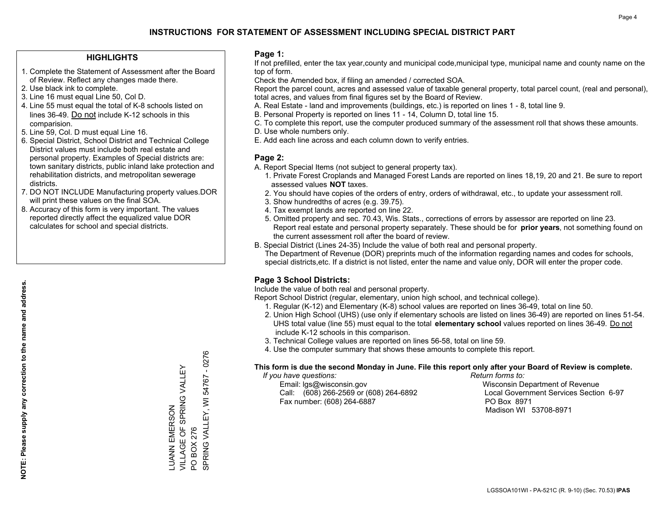### **HIGHLIGHTS**

- 1. Complete the Statement of Assessment after the Board of Review. Reflect any changes made there.
- 2. Use black ink to complete.
- 3. Line 16 must equal Line 50, Col D.
- 4. Line 55 must equal the total of K-8 schools listed on lines 36-49. Do not include K-12 schools in this comparision.
- 5. Line 59, Col. D must equal Line 16.
- 6. Special District, School District and Technical College District values must include both real estate and personal property. Examples of Special districts are: town sanitary districts, public inland lake protection and rehabilitation districts, and metropolitan sewerage districts.
- 7. DO NOT INCLUDE Manufacturing property values.DOR will print these values on the final SOA.
- 8. Accuracy of this form is very important. The values reported directly affect the equalized value DOR calculates for school and special districts.

### **Page 1:**

 If not prefilled, enter the tax year,county and municipal code,municipal type, municipal name and county name on the top of form.

Check the Amended box, if filing an amended / corrected SOA.

 Report the parcel count, acres and assessed value of taxable general property, total parcel count, (real and personal), total acres, and values from final figures set by the Board of Review.

- A. Real Estate land and improvements (buildings, etc.) is reported on lines 1 8, total line 9.
- B. Personal Property is reported on lines 11 14, Column D, total line 15.
- C. To complete this report, use the computer produced summary of the assessment roll that shows these amounts.
- D. Use whole numbers only.
- E. Add each line across and each column down to verify entries.

### **Page 2:**

- A. Report Special Items (not subject to general property tax).
- 1. Private Forest Croplands and Managed Forest Lands are reported on lines 18,19, 20 and 21. Be sure to report assessed values **NOT** taxes.
- 2. You should have copies of the orders of entry, orders of withdrawal, etc., to update your assessment roll.
	- 3. Show hundredths of acres (e.g. 39.75).
- 4. Tax exempt lands are reported on line 22.
- 5. Omitted property and sec. 70.43, Wis. Stats., corrections of errors by assessor are reported on line 23. Report real estate and personal property separately. These should be for **prior years**, not something found on the current assessment roll after the board of review.
- B. Special District (Lines 24-35) Include the value of both real and personal property.
- The Department of Revenue (DOR) preprints much of the information regarding names and codes for schools, special districts,etc. If a district is not listed, enter the name and value only, DOR will enter the proper code.

### **Page 3 School Districts:**

Include the value of both real and personal property.

Report School District (regular, elementary, union high school, and technical college).

- 1. Regular (K-12) and Elementary (K-8) school values are reported on lines 36-49, total on line 50.
- 2. Union High School (UHS) (use only if elementary schools are listed on lines 36-49) are reported on lines 51-54. UHS total value (line 55) must equal to the total **elementary school** values reported on lines 36-49. Do notinclude K-12 schools in this comparison.
- 3. Technical College values are reported on lines 56-58, total on line 59.
- 4. Use the computer summary that shows these amounts to complete this report.

#### **This form is due the second Monday in June. File this report only after your Board of Review is complete.**

 *If you have questions: Return forms to:*

 Email: lgs@wisconsin.gov Wisconsin Department of RevenueCall:  $(608)$  266-2569 or  $(608)$  264-6892 Fax number: (608) 264-6887 PO Box 8971

Local Government Services Section 6-97 Madison WI 53708-8971

 $-0276$ SPRING VALLEY, WI 54767 - 0276 VILLAGE OF SPRING VALLEY LUANN EMERSON<br>VILLAGE OF SPRING VALLEY 54767 SPRING VALLEY, WI LUANN EMERSON PO BOX 276 PO BOX 276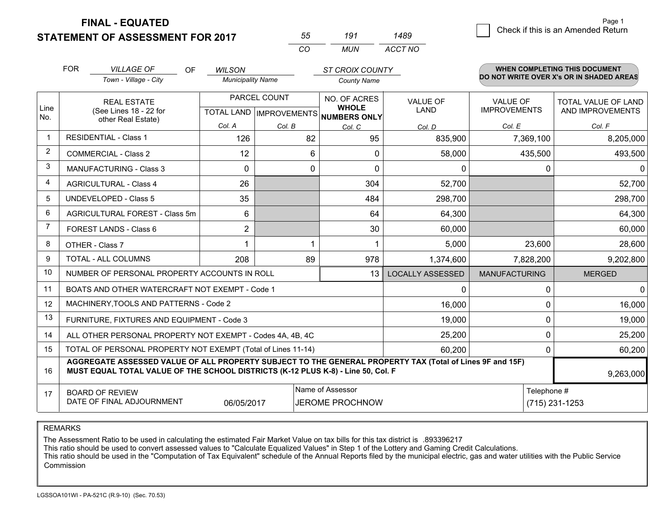**FINAL - EQUATED**

**STATEMENT OF ASSESSMENT FOR 2017** 

| 55  | 191 | 1489    |
|-----|-----|---------|
| ΓO. | MUN | ACCT NO |

|                         | <b>FOR</b>                                                                                                                                                                                   | <b>VILLAGE OF</b><br>OF                                      | <b>WILSON</b>            |              | <b>ST CROIX COUNTY</b>                              |                         |                      | <b>WHEN COMPLETING THIS DOCUMENT</b>     |
|-------------------------|----------------------------------------------------------------------------------------------------------------------------------------------------------------------------------------------|--------------------------------------------------------------|--------------------------|--------------|-----------------------------------------------------|-------------------------|----------------------|------------------------------------------|
|                         |                                                                                                                                                                                              | Town - Village - City                                        | <b>Municipality Name</b> |              | <b>County Name</b>                                  |                         |                      | DO NOT WRITE OVER X's OR IN SHADED AREAS |
|                         | <b>REAL ESTATE</b>                                                                                                                                                                           |                                                              |                          | PARCEL COUNT | NO. OF ACRES                                        | <b>VALUE OF</b>         | <b>VALUE OF</b>      | <b>TOTAL VALUE OF LAND</b>               |
| Line<br>No.             |                                                                                                                                                                                              | (See Lines 18 - 22 for<br>other Real Estate)                 |                          |              | <b>WHOLE</b><br>TOTAL LAND MPROVEMENTS NUMBERS ONLY | <b>LAND</b>             | <b>IMPROVEMENTS</b>  | AND IMPROVEMENTS                         |
|                         |                                                                                                                                                                                              |                                                              | Col. A                   | Col. B       | Col. C                                              | Col. D                  | Col. E               | Col. F                                   |
| $\overline{\mathbf{1}}$ |                                                                                                                                                                                              | <b>RESIDENTIAL - Class 1</b>                                 | 126                      | 82           | 95                                                  | 835,900                 | 7,369,100            | 8,205,000                                |
| 2                       |                                                                                                                                                                                              | <b>COMMERCIAL - Class 2</b>                                  | 12                       | 6            | $\mathbf{0}$                                        | 58,000                  | 435,500              | 493,500                                  |
| 3                       |                                                                                                                                                                                              | <b>MANUFACTURING - Class 3</b>                               | $\Omega$                 | 0            | $\Omega$                                            | $\mathbf{0}$            | $\Omega$             | $\Omega$                                 |
| 4                       |                                                                                                                                                                                              | <b>AGRICULTURAL - Class 4</b>                                | 26                       |              | 304                                                 | 52,700                  |                      | 52,700                                   |
| 5                       |                                                                                                                                                                                              | <b>UNDEVELOPED - Class 5</b>                                 | 35                       |              | 484                                                 | 298,700                 |                      | 298,700                                  |
| 6                       |                                                                                                                                                                                              | AGRICULTURAL FOREST - Class 5m                               | 6                        |              | 64                                                  | 64,300                  |                      | 64,300                                   |
| 7                       |                                                                                                                                                                                              | FOREST LANDS - Class 6                                       | $\overline{2}$           |              | 30                                                  | 60,000                  |                      | 60,000                                   |
| 8                       |                                                                                                                                                                                              | OTHER - Class 7                                              |                          |              |                                                     | 5,000                   | 23,600               | 28,600                                   |
| 9                       |                                                                                                                                                                                              | TOTAL - ALL COLUMNS                                          | 208                      | 89           | 978                                                 | 1,374,600               | 7,828,200            | 9,202,800                                |
| 10                      |                                                                                                                                                                                              | NUMBER OF PERSONAL PROPERTY ACCOUNTS IN ROLL                 |                          |              | 13                                                  | <b>LOCALLY ASSESSED</b> | <b>MANUFACTURING</b> | <b>MERGED</b>                            |
| 11                      |                                                                                                                                                                                              | BOATS AND OTHER WATERCRAFT NOT EXEMPT - Code 1               |                          |              |                                                     | 0                       | $\Omega$             | $\Omega$                                 |
| 12                      |                                                                                                                                                                                              | MACHINERY, TOOLS AND PATTERNS - Code 2                       |                          |              |                                                     | 16,000                  | $\mathbf 0$          | 16,000                                   |
| 13                      |                                                                                                                                                                                              | FURNITURE, FIXTURES AND EQUIPMENT - Code 3                   |                          |              |                                                     | 19,000                  | 0                    | 19,000                                   |
| 14                      |                                                                                                                                                                                              | ALL OTHER PERSONAL PROPERTY NOT EXEMPT - Codes 4A, 4B, 4C    |                          |              |                                                     | 25,200                  | $\mathbf 0$          | 25,200                                   |
| 15                      |                                                                                                                                                                                              | TOTAL OF PERSONAL PROPERTY NOT EXEMPT (Total of Lines 11-14) |                          |              | 60,200                                              | $\Omega$                | 60,200               |                                          |
| 16                      | AGGREGATE ASSESSED VALUE OF ALL PROPERTY SUBJECT TO THE GENERAL PROPERTY TAX (Total of Lines 9F and 15F)<br>MUST EQUAL TOTAL VALUE OF THE SCHOOL DISTRICTS (K-12 PLUS K-8) - Line 50, Col. F |                                                              |                          |              |                                                     |                         |                      | 9,263,000                                |
| 17                      |                                                                                                                                                                                              | <b>BOARD OF REVIEW</b>                                       |                          |              | Name of Assessor                                    |                         | Telephone #          |                                          |
|                         |                                                                                                                                                                                              | DATE OF FINAL ADJOURNMENT                                    | 06/05/2017               |              | <b>JEROME PROCHNOW</b>                              |                         |                      | (715) 231-1253                           |

REMARKS

The Assessment Ratio to be used in calculating the estimated Fair Market Value on tax bills for this tax district is .893396217

This ratio should be used to convert assessed values to "Calculate Equalized Values" in Step 1 of the Lottery and Gaming Credit Calculations.<br>This ratio should be used in the "Computation of Tax Equivalent" schedule of the Commission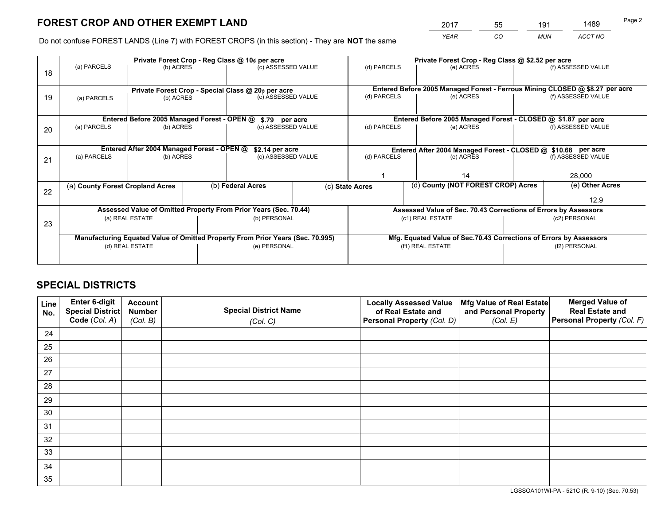*YEAR CO MUN ACCT NO* <sup>2017</sup> <sup>55</sup> <sup>191</sup> <sup>1489</sup>

Do not confuse FOREST LANDS (Line 7) with FOREST CROPS (in this section) - They are **NOT** the same

|    | Private Forest Crop - Reg Class @ 10¢ per acre                                 |                                             |  |                                                                  |                                                               | Private Forest Crop - Reg Class @ \$2.52 per acre                  |                                                                              |               |                    |
|----|--------------------------------------------------------------------------------|---------------------------------------------|--|------------------------------------------------------------------|---------------------------------------------------------------|--------------------------------------------------------------------|------------------------------------------------------------------------------|---------------|--------------------|
| 18 | (a) PARCELS                                                                    | (b) ACRES                                   |  | (c) ASSESSED VALUE                                               |                                                               | (d) PARCELS                                                        | (e) ACRES                                                                    |               | (f) ASSESSED VALUE |
|    |                                                                                |                                             |  | Private Forest Crop - Special Class @ 20¢ per acre               |                                                               |                                                                    | Entered Before 2005 Managed Forest - Ferrous Mining CLOSED @ \$8.27 per acre |               |                    |
| 19 | (a) PARCELS                                                                    | (b) ACRES                                   |  | (c) ASSESSED VALUE                                               |                                                               | (d) PARCELS                                                        | (e) ACRES                                                                    |               | (f) ASSESSED VALUE |
|    |                                                                                |                                             |  |                                                                  |                                                               |                                                                    |                                                                              |               |                    |
|    |                                                                                | Entered Before 2005 Managed Forest - OPEN @ |  | \$.79 per acre                                                   |                                                               |                                                                    | Entered Before 2005 Managed Forest - CLOSED @ \$1.87 per acre                |               |                    |
| 20 | (a) PARCELS                                                                    | (b) ACRES                                   |  | (c) ASSESSED VALUE                                               |                                                               | (d) PARCELS                                                        | (e) ACRES                                                                    |               | (f) ASSESSED VALUE |
|    | Entered After 2004 Managed Forest - OPEN @<br>\$2.14 per acre                  |                                             |  |                                                                  | Entered After 2004 Managed Forest - CLOSED @ \$10.68 per acre |                                                                    |                                                                              |               |                    |
| 21 | (a) PARCELS                                                                    | (b) ACRES                                   |  |                                                                  | (d) PARCELS<br>(c) ASSESSED VALUE                             |                                                                    | (e) ACRES                                                                    |               | (f) ASSESSED VALUE |
|    |                                                                                |                                             |  |                                                                  |                                                               |                                                                    |                                                                              |               |                    |
|    |                                                                                |                                             |  |                                                                  |                                                               |                                                                    | 14                                                                           |               | 28,000             |
|    | (a) County Forest Cropland Acres                                               |                                             |  | (b) Federal Acres                                                |                                                               | (c) State Acres                                                    | (d) County (NOT FOREST CROP) Acres                                           |               | (e) Other Acres    |
| 22 |                                                                                |                                             |  |                                                                  |                                                               |                                                                    |                                                                              |               | 12.9               |
|    |                                                                                |                                             |  | Assessed Value of Omitted Property From Prior Years (Sec. 70.44) |                                                               | Assessed Value of Sec. 70.43 Corrections of Errors by Assessors    |                                                                              |               |                    |
|    |                                                                                | (a) REAL ESTATE                             |  | (b) PERSONAL                                                     |                                                               | (c1) REAL ESTATE                                                   |                                                                              |               | (c2) PERSONAL      |
| 23 |                                                                                |                                             |  |                                                                  |                                                               |                                                                    |                                                                              |               |                    |
|    | Manufacturing Equated Value of Omitted Property From Prior Years (Sec. 70.995) |                                             |  |                                                                  |                                                               | Mfg. Equated Value of Sec.70.43 Corrections of Errors by Assessors |                                                                              |               |                    |
|    | (d) REAL ESTATE                                                                |                                             |  | (e) PERSONAL                                                     |                                                               | (f1) REAL ESTATE                                                   |                                                                              | (f2) PERSONAL |                    |
|    |                                                                                |                                             |  |                                                                  |                                                               |                                                                    |                                                                              |               |                    |

# **SPECIAL DISTRICTS**

| Line<br>No. | Enter 6-digit<br>Special District<br>Code (Col. A) | <b>Account</b><br><b>Number</b> | <b>Special District Name</b> | <b>Locally Assessed Value</b><br>of Real Estate and | Mfg Value of Real Estate<br>and Personal Property | <b>Merged Value of</b><br><b>Real Estate and</b><br>Personal Property (Col. F) |
|-------------|----------------------------------------------------|---------------------------------|------------------------------|-----------------------------------------------------|---------------------------------------------------|--------------------------------------------------------------------------------|
|             |                                                    | (Col. B)                        | (Col. C)                     | Personal Property (Col. D)                          | (Col. E)                                          |                                                                                |
| 24          |                                                    |                                 |                              |                                                     |                                                   |                                                                                |
| 25          |                                                    |                                 |                              |                                                     |                                                   |                                                                                |
| 26          |                                                    |                                 |                              |                                                     |                                                   |                                                                                |
| 27          |                                                    |                                 |                              |                                                     |                                                   |                                                                                |
| 28          |                                                    |                                 |                              |                                                     |                                                   |                                                                                |
| 29          |                                                    |                                 |                              |                                                     |                                                   |                                                                                |
| 30          |                                                    |                                 |                              |                                                     |                                                   |                                                                                |
| 31          |                                                    |                                 |                              |                                                     |                                                   |                                                                                |
| 32          |                                                    |                                 |                              |                                                     |                                                   |                                                                                |
| 33          |                                                    |                                 |                              |                                                     |                                                   |                                                                                |
| 34          |                                                    |                                 |                              |                                                     |                                                   |                                                                                |
| 35          |                                                    |                                 |                              |                                                     |                                                   |                                                                                |

LGSSOA101WI-PA - 521C (R. 9-10) (Sec. 70.53)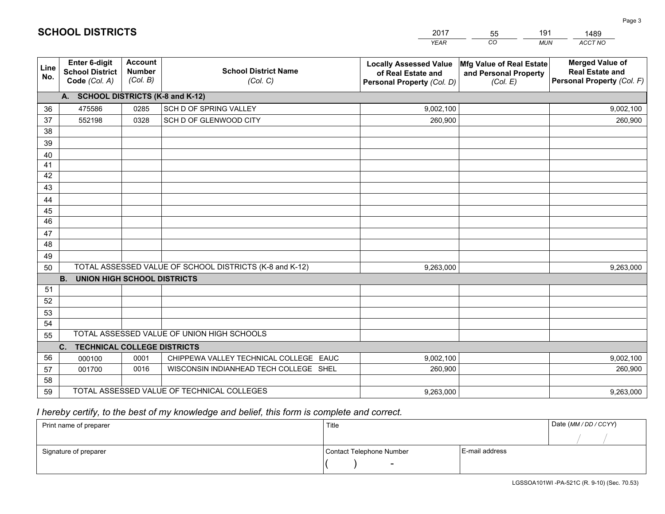|                 |                                                                 |                                             |                                                         | <b>YEAR</b>                                                                       | CO<br><b>MUN</b>                                              | ACCT NO                                                                        |
|-----------------|-----------------------------------------------------------------|---------------------------------------------|---------------------------------------------------------|-----------------------------------------------------------------------------------|---------------------------------------------------------------|--------------------------------------------------------------------------------|
| Line<br>No.     | <b>Enter 6-digit</b><br><b>School District</b><br>Code (Col. A) | <b>Account</b><br><b>Number</b><br>(Col. B) | <b>School District Name</b><br>(Col. C)                 | <b>Locally Assessed Value</b><br>of Real Estate and<br>Personal Property (Col. D) | Mfg Value of Real Estate<br>and Personal Property<br>(Col. E) | <b>Merged Value of</b><br><b>Real Estate and</b><br>Personal Property (Col. F) |
|                 | A. SCHOOL DISTRICTS (K-8 and K-12)                              |                                             |                                                         |                                                                                   |                                                               |                                                                                |
| 36              | 475586                                                          | 0285                                        | SCH D OF SPRING VALLEY                                  | 9,002,100                                                                         |                                                               | 9,002,100                                                                      |
| 37              | 552198                                                          | 0328                                        | SCH D OF GLENWOOD CITY                                  | 260,900                                                                           |                                                               | 260,900                                                                        |
| 38              |                                                                 |                                             |                                                         |                                                                                   |                                                               |                                                                                |
| 39              |                                                                 |                                             |                                                         |                                                                                   |                                                               |                                                                                |
| 40              |                                                                 |                                             |                                                         |                                                                                   |                                                               |                                                                                |
| 41              |                                                                 |                                             |                                                         |                                                                                   |                                                               |                                                                                |
| 42              |                                                                 |                                             |                                                         |                                                                                   |                                                               |                                                                                |
| 43              |                                                                 |                                             |                                                         |                                                                                   |                                                               |                                                                                |
| 44              |                                                                 |                                             |                                                         |                                                                                   |                                                               |                                                                                |
| 45              |                                                                 |                                             |                                                         |                                                                                   |                                                               |                                                                                |
| $\overline{46}$ |                                                                 |                                             |                                                         |                                                                                   |                                                               |                                                                                |
| 47              |                                                                 |                                             |                                                         |                                                                                   |                                                               |                                                                                |
| 48              |                                                                 |                                             |                                                         |                                                                                   |                                                               |                                                                                |
| 49              |                                                                 |                                             |                                                         |                                                                                   |                                                               |                                                                                |
| 50              |                                                                 |                                             | TOTAL ASSESSED VALUE OF SCHOOL DISTRICTS (K-8 and K-12) | 9,263,000                                                                         |                                                               | 9,263,000                                                                      |
|                 | <b>B.</b><br><b>UNION HIGH SCHOOL DISTRICTS</b>                 |                                             |                                                         |                                                                                   |                                                               |                                                                                |
| 51              |                                                                 |                                             |                                                         |                                                                                   |                                                               |                                                                                |
| 52              |                                                                 |                                             |                                                         |                                                                                   |                                                               |                                                                                |
| 53              |                                                                 |                                             |                                                         |                                                                                   |                                                               |                                                                                |
| 54              |                                                                 |                                             |                                                         |                                                                                   |                                                               |                                                                                |
| 55              |                                                                 |                                             | TOTAL ASSESSED VALUE OF UNION HIGH SCHOOLS              |                                                                                   |                                                               |                                                                                |
|                 | C.<br><b>TECHNICAL COLLEGE DISTRICTS</b>                        |                                             |                                                         |                                                                                   |                                                               |                                                                                |
| 56              | 000100                                                          | 0001                                        | CHIPPEWA VALLEY TECHNICAL COLLEGE EAUC                  | 9,002,100                                                                         |                                                               | 9,002,100                                                                      |
| 57              | 001700                                                          | 0016                                        | WISCONSIN INDIANHEAD TECH COLLEGE SHEL                  | 260,900                                                                           |                                                               | 260,900                                                                        |
| 58              |                                                                 |                                             |                                                         |                                                                                   |                                                               |                                                                                |
| 59              |                                                                 |                                             | TOTAL ASSESSED VALUE OF TECHNICAL COLLEGES              | 9,263,000                                                                         |                                                               | 9,263,000                                                                      |

55

191

# *I hereby certify, to the best of my knowledge and belief, this form is complete and correct.*

**SCHOOL DISTRICTS**

| Print name of preparer | Title                    |                | Date (MM / DD / CCYY) |
|------------------------|--------------------------|----------------|-----------------------|
|                        |                          |                |                       |
| Signature of preparer  | Contact Telephone Number | E-mail address |                       |
|                        | $\overline{\phantom{0}}$ |                |                       |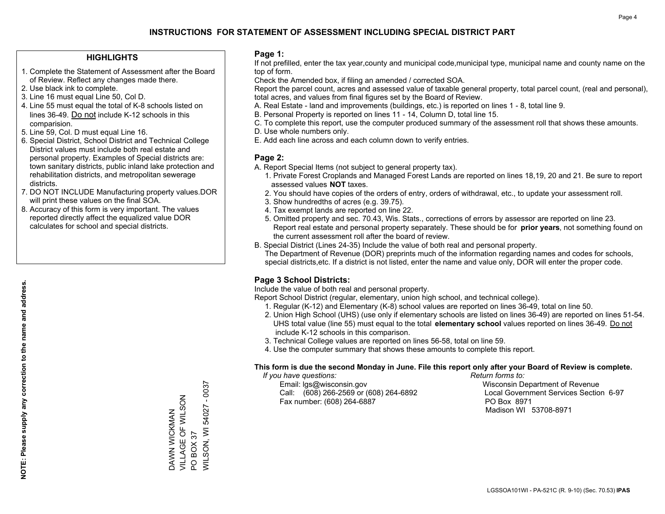### **HIGHLIGHTS**

- 1. Complete the Statement of Assessment after the Board of Review. Reflect any changes made there.
- 2. Use black ink to complete.
- 3. Line 16 must equal Line 50, Col D.
- 4. Line 55 must equal the total of K-8 schools listed on lines 36-49. Do not include K-12 schools in this comparision.
- 5. Line 59, Col. D must equal Line 16.
- 6. Special District, School District and Technical College District values must include both real estate and personal property. Examples of Special districts are: town sanitary districts, public inland lake protection and rehabilitation districts, and metropolitan sewerage districts.
- 7. DO NOT INCLUDE Manufacturing property values.DOR will print these values on the final SOA.
- 8. Accuracy of this form is very important. The values reported directly affect the equalized value DOR calculates for school and special districts.

### **Page 1:**

 If not prefilled, enter the tax year,county and municipal code,municipal type, municipal name and county name on the top of form.

Check the Amended box, if filing an amended / corrected SOA.

 Report the parcel count, acres and assessed value of taxable general property, total parcel count, (real and personal), total acres, and values from final figures set by the Board of Review.

- A. Real Estate land and improvements (buildings, etc.) is reported on lines 1 8, total line 9.
- B. Personal Property is reported on lines 11 14, Column D, total line 15.
- C. To complete this report, use the computer produced summary of the assessment roll that shows these amounts.
- D. Use whole numbers only.
- E. Add each line across and each column down to verify entries.

### **Page 2:**

- A. Report Special Items (not subject to general property tax).
- 1. Private Forest Croplands and Managed Forest Lands are reported on lines 18,19, 20 and 21. Be sure to report assessed values **NOT** taxes.
- 2. You should have copies of the orders of entry, orders of withdrawal, etc., to update your assessment roll.
	- 3. Show hundredths of acres (e.g. 39.75).
- 4. Tax exempt lands are reported on line 22.
- 5. Omitted property and sec. 70.43, Wis. Stats., corrections of errors by assessor are reported on line 23. Report real estate and personal property separately. These should be for **prior years**, not something found on the current assessment roll after the board of review.
- B. Special District (Lines 24-35) Include the value of both real and personal property.
- The Department of Revenue (DOR) preprints much of the information regarding names and codes for schools, special districts,etc. If a district is not listed, enter the name and value only, DOR will enter the proper code.

### **Page 3 School Districts:**

Include the value of both real and personal property.

Report School District (regular, elementary, union high school, and technical college).

- 1. Regular (K-12) and Elementary (K-8) school values are reported on lines 36-49, total on line 50.
- 2. Union High School (UHS) (use only if elementary schools are listed on lines 36-49) are reported on lines 51-54. UHS total value (line 55) must equal to the total **elementary school** values reported on lines 36-49. Do notinclude K-12 schools in this comparison.
- 3. Technical College values are reported on lines 56-58, total on line 59.
- 4. Use the computer summary that shows these amounts to complete this report.

#### **This form is due the second Monday in June. File this report only after your Board of Review is complete.**

 *If you have questions: Return forms to:*

 Email: lgs@wisconsin.gov Wisconsin Department of RevenueCall:  $(608)$  266-2569 or  $(608)$  264-6892 Fax number: (608) 264-6887 PO Box 8971

Local Government Services Section 6-97 Madison WI 53708-8971

DAWN WICKMAN VILLAGE OF WILSON

DAWN WICKMAN<br>VILLAGE OF WILSON

PO BOX 37

 $\overline{S}$ 

WILSON, WI 54027 - 0037

**VILSON, WI 54027 BOX 37** 

 $-0037$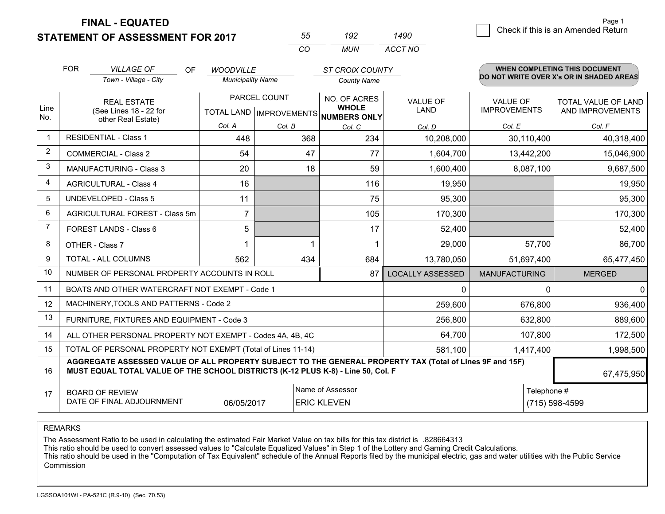**STATEMENT OF ASSESSMENT FOR 2017** 

**FINAL - EQUATED**

| 55  | 192 | 1490    |
|-----|-----|---------|
| CO. | MUN | ACCT NO |

|                | <b>FOR</b>                                                                                                  | <b>VILLAGE OF</b><br>OF.<br>Town - Village - City                                                                                                                                            | <b>WOODVILLE</b><br><b>Municipality Name</b> |                                           | <b>ST CROIX COUNTY</b><br>County Name               |                         |                                        | WHEN COMPLETING THIS DOCUMENT<br>DO NOT WRITE OVER X's OR IN SHADED AREAS |
|----------------|-------------------------------------------------------------------------------------------------------------|----------------------------------------------------------------------------------------------------------------------------------------------------------------------------------------------|----------------------------------------------|-------------------------------------------|-----------------------------------------------------|-------------------------|----------------------------------------|---------------------------------------------------------------------------|
| Line<br>No.    |                                                                                                             | <b>REAL ESTATE</b><br>(See Lines 18 - 22 for<br>other Real Estate)                                                                                                                           |                                              | PARCEL COUNT<br>TOTAL LAND   IMPROVEMENTS | NO. OF ACRES<br><b>WHOLE</b><br><b>NUMBERS ONLY</b> | <b>VALUE OF</b><br>LAND | <b>VALUE OF</b><br><b>IMPROVEMENTS</b> | TOTAL VALUE OF LAND<br>AND IMPROVEMENTS                                   |
|                |                                                                                                             |                                                                                                                                                                                              | Col. A                                       | Col. B                                    | Col. C                                              | Col. D                  | Col. E                                 | Col. F                                                                    |
| $\mathbf{1}$   |                                                                                                             | <b>RESIDENTIAL - Class 1</b>                                                                                                                                                                 | 448                                          | 368                                       | 234                                                 | 10,208,000              | 30,110,400                             | 40,318,400                                                                |
| $\overline{2}$ |                                                                                                             | <b>COMMERCIAL - Class 2</b>                                                                                                                                                                  | 54                                           | 47                                        | 77                                                  | 1,604,700               | 13,442,200                             | 15,046,900                                                                |
| 3              |                                                                                                             | <b>MANUFACTURING - Class 3</b>                                                                                                                                                               | 20                                           | 18                                        | 59                                                  | 1,600,400               | 8,087,100                              | 9,687,500                                                                 |
| 4              |                                                                                                             | <b>AGRICULTURAL - Class 4</b>                                                                                                                                                                | 16                                           |                                           | 116                                                 | 19,950                  |                                        | 19,950                                                                    |
| 5              |                                                                                                             | <b>UNDEVELOPED - Class 5</b>                                                                                                                                                                 | 11                                           |                                           | 75                                                  | 95,300                  |                                        | 95,300                                                                    |
| 6              |                                                                                                             | AGRICULTURAL FOREST - Class 5m                                                                                                                                                               | $\overline{7}$                               |                                           | 105                                                 | 170,300                 |                                        | 170,300                                                                   |
| 7              |                                                                                                             | FOREST LANDS - Class 6                                                                                                                                                                       | 5                                            |                                           | 17                                                  | 52,400                  |                                        | 52,400                                                                    |
| 8              |                                                                                                             | OTHER - Class 7                                                                                                                                                                              |                                              |                                           | 1                                                   | 29,000                  | 57,700                                 | 86,700                                                                    |
| 9              |                                                                                                             | TOTAL - ALL COLUMNS                                                                                                                                                                          | 562                                          | 434                                       | 684                                                 | 13,780,050              | 51,697,400                             | 65,477,450                                                                |
| 10             |                                                                                                             | NUMBER OF PERSONAL PROPERTY ACCOUNTS IN ROLL                                                                                                                                                 |                                              |                                           | 87                                                  | <b>LOCALLY ASSESSED</b> | <b>MANUFACTURING</b>                   | <b>MERGED</b>                                                             |
| 11             |                                                                                                             | BOATS AND OTHER WATERCRAFT NOT EXEMPT - Code 1                                                                                                                                               |                                              |                                           |                                                     | 0                       | 0                                      | 0                                                                         |
| 12             |                                                                                                             | MACHINERY, TOOLS AND PATTERNS - Code 2                                                                                                                                                       |                                              |                                           |                                                     | 259,600                 | 676,800                                | 936,400                                                                   |
| 13             |                                                                                                             | FURNITURE, FIXTURES AND EQUIPMENT - Code 3                                                                                                                                                   |                                              |                                           |                                                     | 256,800                 | 632,800                                | 889,600                                                                   |
| 14             |                                                                                                             | ALL OTHER PERSONAL PROPERTY NOT EXEMPT - Codes 4A, 4B, 4C                                                                                                                                    |                                              |                                           |                                                     | 64,700                  | 107,800                                | 172,500                                                                   |
| 15             |                                                                                                             | TOTAL OF PERSONAL PROPERTY NOT EXEMPT (Total of Lines 11-14)                                                                                                                                 |                                              |                                           | 581,100                                             | 1,417,400               | 1,998,500                              |                                                                           |
| 16             |                                                                                                             | AGGREGATE ASSESSED VALUE OF ALL PROPERTY SUBJECT TO THE GENERAL PROPERTY TAX (Total of Lines 9F and 15F)<br>MUST EQUAL TOTAL VALUE OF THE SCHOOL DISTRICTS (K-12 PLUS K-8) - Line 50, Col. F |                                              |                                           |                                                     |                         |                                        | 67,475,950                                                                |
| 17             | Name of Assessor<br><b>BOARD OF REVIEW</b><br>DATE OF FINAL ADJOURNMENT<br>06/05/2017<br><b>ERIC KLEVEN</b> |                                                                                                                                                                                              |                                              |                                           |                                                     |                         | Telephone #                            | (715) 598-4599                                                            |

REMARKS

The Assessment Ratio to be used in calculating the estimated Fair Market Value on tax bills for this tax district is .828664313

This ratio should be used to convert assessed values to "Calculate Equalized Values" in Step 1 of the Lottery and Gaming Credit Calculations.

 This ratio should be used in the "Computation of Tax Equivalent" schedule of the Annual Reports filed by the municipal electric, gas and water utilities with the Public Service Commission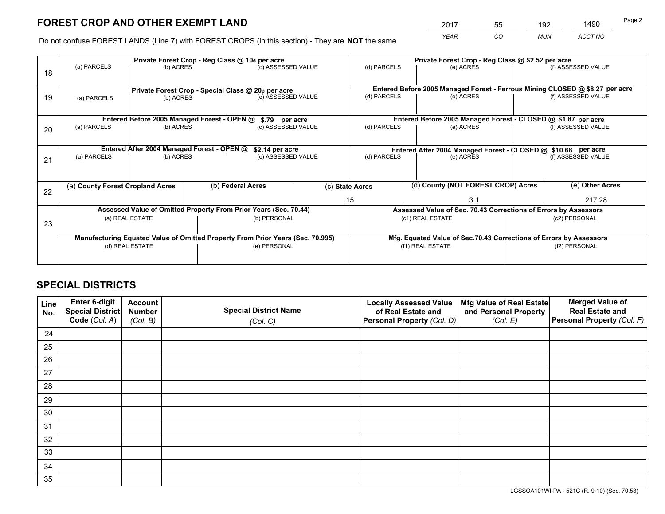*YEAR CO MUN ACCT NO* <sup>2017</sup> <sup>55</sup> <sup>192</sup> <sup>1490</sup>

Do not confuse FOREST LANDS (Line 7) with FOREST CROPS (in this section) - They are **NOT** the same

|    | Private Forest Crop - Reg Class @ 10¢ per acre                                 |                                                                  |  |                                      |  | Private Forest Crop - Reg Class @ \$2.52 per acre                  |                                                               |  |                                                                              |  |
|----|--------------------------------------------------------------------------------|------------------------------------------------------------------|--|--------------------------------------|--|--------------------------------------------------------------------|---------------------------------------------------------------|--|------------------------------------------------------------------------------|--|
| 18 | (a) PARCELS                                                                    | (b) ACRES                                                        |  | (c) ASSESSED VALUE                   |  | (d) PARCELS                                                        | (e) ACRES                                                     |  | (f) ASSESSED VALUE                                                           |  |
|    |                                                                                |                                                                  |  |                                      |  |                                                                    |                                                               |  | Entered Before 2005 Managed Forest - Ferrous Mining CLOSED @ \$8.27 per acre |  |
| 19 | (a) PARCELS                                                                    | Private Forest Crop - Special Class @ 20¢ per acre<br>(b) ACRES  |  | (c) ASSESSED VALUE                   |  | (d) PARCELS                                                        | (e) ACRES                                                     |  | (f) ASSESSED VALUE                                                           |  |
|    |                                                                                | Entered Before 2005 Managed Forest - OPEN @                      |  |                                      |  |                                                                    | Entered Before 2005 Managed Forest - CLOSED @ \$1.87 per acre |  |                                                                              |  |
| 20 | (a) PARCELS                                                                    | (b) ACRES                                                        |  | \$.79 per acre<br>(c) ASSESSED VALUE |  | (d) PARCELS                                                        | (e) ACRES                                                     |  | (f) ASSESSED VALUE                                                           |  |
|    | Entered After 2004 Managed Forest - OPEN @<br>\$2.14 per acre                  |                                                                  |  |                                      |  | Entered After 2004 Managed Forest - CLOSED @ \$10.68 per acre      |                                                               |  |                                                                              |  |
| 21 | (a) PARCELS                                                                    | (b) ACRES                                                        |  | (c) ASSESSED VALUE                   |  | (d) PARCELS                                                        | (e) ACRES                                                     |  | (f) ASSESSED VALUE                                                           |  |
|    | (a) County Forest Cropland Acres                                               |                                                                  |  | (b) Federal Acres                    |  | (c) State Acres                                                    | (d) County (NOT FOREST CROP) Acres                            |  | (e) Other Acres                                                              |  |
| 22 |                                                                                |                                                                  |  |                                      |  | .15                                                                | 3.1                                                           |  | 217.28                                                                       |  |
|    |                                                                                | Assessed Value of Omitted Property From Prior Years (Sec. 70.44) |  |                                      |  | Assessed Value of Sec. 70.43 Corrections of Errors by Assessors    |                                                               |  |                                                                              |  |
| 23 | (b) PERSONAL<br>(a) REAL ESTATE                                                |                                                                  |  | (c1) REAL ESTATE<br>(c2) PERSONAL    |  |                                                                    |                                                               |  |                                                                              |  |
|    | Manufacturing Equated Value of Omitted Property From Prior Years (Sec. 70.995) |                                                                  |  |                                      |  | Mfg. Equated Value of Sec.70.43 Corrections of Errors by Assessors |                                                               |  |                                                                              |  |
|    | (d) REAL ESTATE                                                                |                                                                  |  | (e) PERSONAL                         |  | (f1) REAL ESTATE                                                   |                                                               |  | (f2) PERSONAL                                                                |  |
|    |                                                                                |                                                                  |  |                                      |  |                                                                    |                                                               |  |                                                                              |  |

# **SPECIAL DISTRICTS**

| Line<br>No. | Enter 6-digit<br>Special District<br>Code (Col. A) | <b>Account</b><br><b>Number</b> | <b>Special District Name</b> | <b>Locally Assessed Value</b><br>of Real Estate and | Mfg Value of Real Estate<br>and Personal Property | <b>Merged Value of</b><br><b>Real Estate and</b><br>Personal Property (Col. F) |
|-------------|----------------------------------------------------|---------------------------------|------------------------------|-----------------------------------------------------|---------------------------------------------------|--------------------------------------------------------------------------------|
|             |                                                    | (Col. B)                        | (Col. C)                     | Personal Property (Col. D)                          | (Col. E)                                          |                                                                                |
| 24          |                                                    |                                 |                              |                                                     |                                                   |                                                                                |
| 25          |                                                    |                                 |                              |                                                     |                                                   |                                                                                |
| 26          |                                                    |                                 |                              |                                                     |                                                   |                                                                                |
| 27          |                                                    |                                 |                              |                                                     |                                                   |                                                                                |
| 28          |                                                    |                                 |                              |                                                     |                                                   |                                                                                |
| 29          |                                                    |                                 |                              |                                                     |                                                   |                                                                                |
| 30          |                                                    |                                 |                              |                                                     |                                                   |                                                                                |
| 31          |                                                    |                                 |                              |                                                     |                                                   |                                                                                |
| 32          |                                                    |                                 |                              |                                                     |                                                   |                                                                                |
| 33          |                                                    |                                 |                              |                                                     |                                                   |                                                                                |
| 34          |                                                    |                                 |                              |                                                     |                                                   |                                                                                |
| 35          |                                                    |                                 |                              |                                                     |                                                   |                                                                                |

LGSSOA101WI-PA - 521C (R. 9-10) (Sec. 70.53)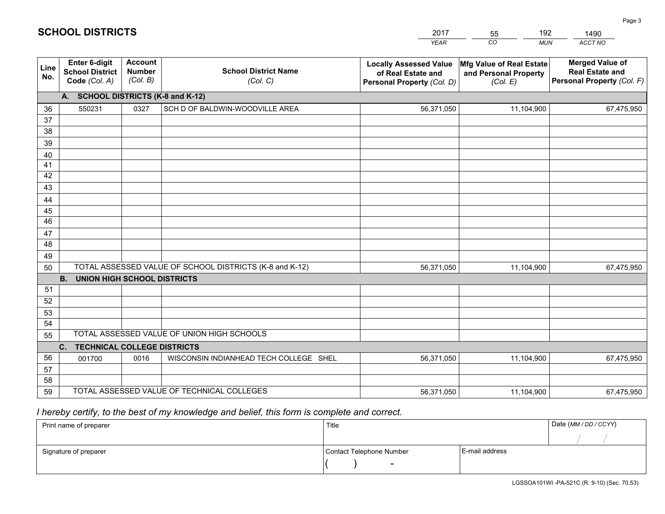|             |                                                          |                                             |                                                         | <b>YEAR</b>                                                                       | CO<br><b>MUN</b>                                              | ACCT NO                                                                        |  |
|-------------|----------------------------------------------------------|---------------------------------------------|---------------------------------------------------------|-----------------------------------------------------------------------------------|---------------------------------------------------------------|--------------------------------------------------------------------------------|--|
| Line<br>No. | Enter 6-digit<br><b>School District</b><br>Code (Col. A) | <b>Account</b><br><b>Number</b><br>(Col. B) | <b>School District Name</b><br>(Col. C)                 | <b>Locally Assessed Value</b><br>of Real Estate and<br>Personal Property (Col. D) | Mfg Value of Real Estate<br>and Personal Property<br>(Col. E) | <b>Merged Value of</b><br><b>Real Estate and</b><br>Personal Property (Col. F) |  |
|             | A. SCHOOL DISTRICTS (K-8 and K-12)                       |                                             |                                                         |                                                                                   |                                                               |                                                                                |  |
| 36          | 550231                                                   | 0327                                        | SCH D OF BALDWIN-WOODVILLE AREA                         | 56,371,050                                                                        | 11,104,900                                                    | 67,475,950                                                                     |  |
| 37          |                                                          |                                             |                                                         |                                                                                   |                                                               |                                                                                |  |
| 38          |                                                          |                                             |                                                         |                                                                                   |                                                               |                                                                                |  |
| 39          |                                                          |                                             |                                                         |                                                                                   |                                                               |                                                                                |  |
| 40          |                                                          |                                             |                                                         |                                                                                   |                                                               |                                                                                |  |
| 41<br>42    |                                                          |                                             |                                                         |                                                                                   |                                                               |                                                                                |  |
| 43          |                                                          |                                             |                                                         |                                                                                   |                                                               |                                                                                |  |
| 44          |                                                          |                                             |                                                         |                                                                                   |                                                               |                                                                                |  |
| 45          |                                                          |                                             |                                                         |                                                                                   |                                                               |                                                                                |  |
| 46          |                                                          |                                             |                                                         |                                                                                   |                                                               |                                                                                |  |
| 47          |                                                          |                                             |                                                         |                                                                                   |                                                               |                                                                                |  |
| 48          |                                                          |                                             |                                                         |                                                                                   |                                                               |                                                                                |  |
| 49          |                                                          |                                             |                                                         |                                                                                   |                                                               |                                                                                |  |
| 50          |                                                          |                                             | TOTAL ASSESSED VALUE OF SCHOOL DISTRICTS (K-8 and K-12) | 56,371,050                                                                        | 11,104,900                                                    | 67,475,950                                                                     |  |
|             | <b>B.</b><br><b>UNION HIGH SCHOOL DISTRICTS</b>          |                                             |                                                         |                                                                                   |                                                               |                                                                                |  |
| 51          |                                                          |                                             |                                                         |                                                                                   |                                                               |                                                                                |  |
| 52          |                                                          |                                             |                                                         |                                                                                   |                                                               |                                                                                |  |
| 53<br>54    |                                                          |                                             |                                                         |                                                                                   |                                                               |                                                                                |  |
| 55          |                                                          |                                             | TOTAL ASSESSED VALUE OF UNION HIGH SCHOOLS              |                                                                                   |                                                               |                                                                                |  |
|             | C.<br><b>TECHNICAL COLLEGE DISTRICTS</b>                 |                                             |                                                         |                                                                                   |                                                               |                                                                                |  |
| 56          | 001700                                                   | 0016                                        | WISCONSIN INDIANHEAD TECH COLLEGE SHEL                  | 56,371,050                                                                        | 11,104,900                                                    | 67,475,950                                                                     |  |
| 57          |                                                          |                                             |                                                         |                                                                                   |                                                               |                                                                                |  |
| 58          |                                                          |                                             |                                                         |                                                                                   |                                                               |                                                                                |  |
| 59          |                                                          |                                             | TOTAL ASSESSED VALUE OF TECHNICAL COLLEGES              | 56,371,050                                                                        | 11,104,900                                                    | 67,475,950                                                                     |  |

55

192

# *I hereby certify, to the best of my knowledge and belief, this form is complete and correct.*

**SCHOOL DISTRICTS**

| Print name of preparer | Title                    |                | Date (MM / DD / CCYY) |
|------------------------|--------------------------|----------------|-----------------------|
|                        |                          |                |                       |
| Signature of preparer  | Contact Telephone Number | E-mail address |                       |
|                        | $\overline{\phantom{0}}$ |                |                       |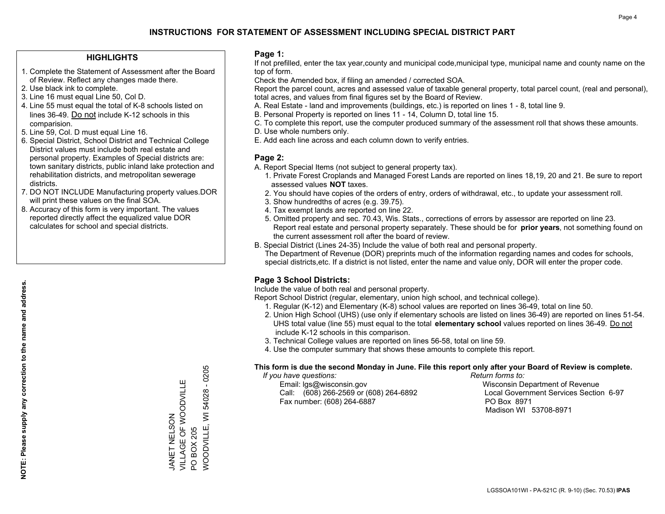### **HIGHLIGHTS**

- 1. Complete the Statement of Assessment after the Board of Review. Reflect any changes made there.
- 2. Use black ink to complete.
- 3. Line 16 must equal Line 50, Col D.
- 4. Line 55 must equal the total of K-8 schools listed on lines 36-49. Do not include K-12 schools in this comparision.
- 5. Line 59, Col. D must equal Line 16.
- 6. Special District, School District and Technical College District values must include both real estate and personal property. Examples of Special districts are: town sanitary districts, public inland lake protection and rehabilitation districts, and metropolitan sewerage districts.
- 7. DO NOT INCLUDE Manufacturing property values.DOR will print these values on the final SOA.
- 8. Accuracy of this form is very important. The values reported directly affect the equalized value DOR calculates for school and special districts.

### **Page 1:**

 If not prefilled, enter the tax year,county and municipal code,municipal type, municipal name and county name on the top of form.

Check the Amended box, if filing an amended / corrected SOA.

 Report the parcel count, acres and assessed value of taxable general property, total parcel count, (real and personal), total acres, and values from final figures set by the Board of Review.

- A. Real Estate land and improvements (buildings, etc.) is reported on lines 1 8, total line 9.
- B. Personal Property is reported on lines 11 14, Column D, total line 15.
- C. To complete this report, use the computer produced summary of the assessment roll that shows these amounts.
- D. Use whole numbers only.
- E. Add each line across and each column down to verify entries.

### **Page 2:**

- A. Report Special Items (not subject to general property tax).
- 1. Private Forest Croplands and Managed Forest Lands are reported on lines 18,19, 20 and 21. Be sure to report assessed values **NOT** taxes.
- 2. You should have copies of the orders of entry, orders of withdrawal, etc., to update your assessment roll.
	- 3. Show hundredths of acres (e.g. 39.75).
- 4. Tax exempt lands are reported on line 22.
- 5. Omitted property and sec. 70.43, Wis. Stats., corrections of errors by assessor are reported on line 23. Report real estate and personal property separately. These should be for **prior years**, not something found on the current assessment roll after the board of review.
- B. Special District (Lines 24-35) Include the value of both real and personal property.
- The Department of Revenue (DOR) preprints much of the information regarding names and codes for schools, special districts,etc. If a district is not listed, enter the name and value only, DOR will enter the proper code.

### **Page 3 School Districts:**

Include the value of both real and personal property.

Report School District (regular, elementary, union high school, and technical college).

- 1. Regular (K-12) and Elementary (K-8) school values are reported on lines 36-49, total on line 50.
- 2. Union High School (UHS) (use only if elementary schools are listed on lines 36-49) are reported on lines 51-54. UHS total value (line 55) must equal to the total **elementary school** values reported on lines 36-49. Do notinclude K-12 schools in this comparison.
- 3. Technical College values are reported on lines 56-58, total on line 59.
- 4. Use the computer summary that shows these amounts to complete this report.

#### **This form is due the second Monday in June. File this report only after your Board of Review is complete.**

 *If you have questions: Return forms to:*

 Email: lgs@wisconsin.gov Wisconsin Department of RevenueCall:  $(608)$  266-2569 or  $(608)$  264-6892 Fax number: (608) 264-6887 PO Box 8971

Local Government Services Section 6-97 Madison WI 53708-8971

 $-0205$ WOODVILLE, WI 54028 - 0205 VILLAGE OF WOODVILLE VILLAGE OF WOODVILLE **NOODVILLE, WI 54028** JANET NELSON JANET NELSON PO BOX 205 PO BOX 205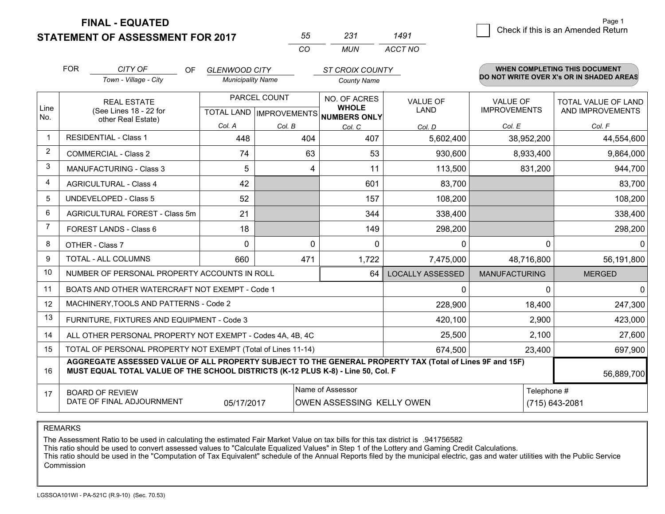**STATEMENT OF ASSESSMENT FOR 2017** 

**FINAL - EQUATED**

| 55  | 231 | 1491    |
|-----|-----|---------|
| CO. | MUN | ACCT NO |

|             | <b>FOR</b>                                                                                                                                                                                   | CITY OF<br><b>OF</b><br>Town - Village - City                | <b>GLENWOOD CITY</b><br><b>Municipality Name</b>     |          | <b>ST CROIX COUNTY</b><br><b>County Name</b> |                                |                                        | WHEN COMPLETING THIS DOCUMENT<br>DO NOT WRITE OVER X's OR IN SHADED AREAS |
|-------------|----------------------------------------------------------------------------------------------------------------------------------------------------------------------------------------------|--------------------------------------------------------------|------------------------------------------------------|----------|----------------------------------------------|--------------------------------|----------------------------------------|---------------------------------------------------------------------------|
| Line<br>No. | <b>REAL ESTATE</b><br>(See Lines 18 - 22 for                                                                                                                                                 |                                                              | PARCEL COUNT<br>TOTAL LAND IMPROVEMENTS NUMBERS ONLY |          | NO. OF ACRES<br><b>WHOLE</b>                 | <b>VALUE OF</b><br><b>LAND</b> | <b>VALUE OF</b><br><b>IMPROVEMENTS</b> | <b>TOTAL VALUE OF LAND</b><br>AND IMPROVEMENTS                            |
|             |                                                                                                                                                                                              | other Real Estate)                                           | Col. A                                               | Col. B   | Col. C                                       | Col. D                         | Col. E                                 | Col. F                                                                    |
| -1          |                                                                                                                                                                                              | <b>RESIDENTIAL - Class 1</b>                                 | 448                                                  | 404      | 407                                          | 5,602,400                      | 38,952,200                             | 44,554,600                                                                |
| 2           |                                                                                                                                                                                              | <b>COMMERCIAL - Class 2</b>                                  | 74                                                   | 63       | 53                                           | 930,600                        | 8,933,400                              | 9,864,000                                                                 |
| 3           |                                                                                                                                                                                              | <b>MANUFACTURING - Class 3</b>                               | 5                                                    | 4        | 11                                           | 113,500                        | 831,200                                | 944,700                                                                   |
| 4           |                                                                                                                                                                                              | <b>AGRICULTURAL - Class 4</b>                                | 42                                                   |          | 601                                          | 83,700                         |                                        | 83,700                                                                    |
| 5           |                                                                                                                                                                                              | UNDEVELOPED - Class 5                                        | 52                                                   |          | 157                                          | 108,200                        |                                        | 108,200                                                                   |
| 6           |                                                                                                                                                                                              | AGRICULTURAL FOREST - Class 5m                               | 21                                                   |          | 344                                          | 338,400                        |                                        | 338,400                                                                   |
| 7           |                                                                                                                                                                                              | FOREST LANDS - Class 6                                       | 18                                                   |          | 149                                          | 298,200                        |                                        | 298,200                                                                   |
| 8           |                                                                                                                                                                                              | OTHER - Class 7                                              | 0                                                    | $\Omega$ | $\Omega$                                     | 0                              | $\Omega$                               | $\mathbf{0}$                                                              |
| 9           |                                                                                                                                                                                              | TOTAL - ALL COLUMNS                                          | 660                                                  | 471      | 1,722                                        | 7,475,000                      | 48,716,800                             | 56,191,800                                                                |
| 10          |                                                                                                                                                                                              | NUMBER OF PERSONAL PROPERTY ACCOUNTS IN ROLL                 |                                                      |          | 64                                           | <b>LOCALLY ASSESSED</b>        | <b>MANUFACTURING</b>                   | <b>MERGED</b>                                                             |
| 11          |                                                                                                                                                                                              | BOATS AND OTHER WATERCRAFT NOT EXEMPT - Code 1               |                                                      |          |                                              | 0                              | $\Omega$                               | $\mathbf 0$                                                               |
| 12          |                                                                                                                                                                                              | MACHINERY, TOOLS AND PATTERNS - Code 2                       |                                                      |          |                                              | 228,900                        | 18,400                                 | 247,300                                                                   |
| 13          |                                                                                                                                                                                              | FURNITURE, FIXTURES AND EQUIPMENT - Code 3                   |                                                      |          |                                              | 420,100                        | 2,900                                  | 423,000                                                                   |
| 14          |                                                                                                                                                                                              | ALL OTHER PERSONAL PROPERTY NOT EXEMPT - Codes 4A, 4B, 4C    |                                                      |          |                                              | 25,500                         | 2,100                                  | 27,600                                                                    |
| 15          |                                                                                                                                                                                              | TOTAL OF PERSONAL PROPERTY NOT EXEMPT (Total of Lines 11-14) |                                                      |          | 674,500                                      | 23,400                         | 697,900                                |                                                                           |
| 16          | AGGREGATE ASSESSED VALUE OF ALL PROPERTY SUBJECT TO THE GENERAL PROPERTY TAX (Total of Lines 9F and 15F)<br>MUST EQUAL TOTAL VALUE OF THE SCHOOL DISTRICTS (K-12 PLUS K-8) - Line 50, Col. F |                                                              |                                                      |          |                                              |                                |                                        | 56,889,700                                                                |
| 17          | Name of Assessor<br><b>BOARD OF REVIEW</b><br>DATE OF FINAL ADJOURNMENT<br>05/17/2017                                                                                                        |                                                              |                                                      |          |                                              | OWEN ASSESSING KELLY OWEN      | Telephone #                            | (715) 643-2081                                                            |

REMARKS

The Assessment Ratio to be used in calculating the estimated Fair Market Value on tax bills for this tax district is .941756582

This ratio should be used to convert assessed values to "Calculate Equalized Values" in Step 1 of the Lottery and Gaming Credit Calculations.<br>This ratio should be used in the "Computation of Tax Equivalent" schedule of the Commission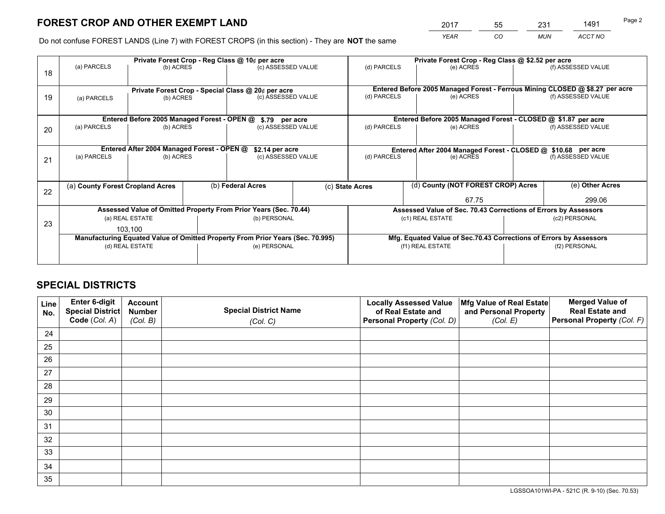*YEAR CO MUN ACCT NO* <sup>2017</sup> <sup>55</sup> <sup>231</sup> <sup>1491</sup> Page 2

Do not confuse FOREST LANDS (Line 7) with FOREST CROPS (in this section) - They are **NOT** the same

|    | Private Forest Crop - Reg Class @ 10¢ per acre                                 |                                             |  |                                                                  |  |                 | Private Forest Crop - Reg Class @ \$2.52 per acre                            |  |                    |  |
|----|--------------------------------------------------------------------------------|---------------------------------------------|--|------------------------------------------------------------------|--|-----------------|------------------------------------------------------------------------------|--|--------------------|--|
| 18 | (a) PARCELS                                                                    | (b) ACRES                                   |  | (c) ASSESSED VALUE                                               |  | (d) PARCELS     | (e) ACRES                                                                    |  | (f) ASSESSED VALUE |  |
|    |                                                                                |                                             |  | Private Forest Crop - Special Class @ 20¢ per acre               |  |                 | Entered Before 2005 Managed Forest - Ferrous Mining CLOSED @ \$8.27 per acre |  |                    |  |
| 19 | (a) PARCELS                                                                    | (b) ACRES                                   |  | (c) ASSESSED VALUE                                               |  | (d) PARCELS     | (e) ACRES                                                                    |  | (f) ASSESSED VALUE |  |
|    |                                                                                | Entered Before 2005 Managed Forest - OPEN @ |  | \$.79 per acre                                                   |  |                 | Entered Before 2005 Managed Forest - CLOSED @ \$1.87 per acre                |  |                    |  |
| 20 | (a) PARCELS                                                                    | (b) ACRES                                   |  | (c) ASSESSED VALUE                                               |  | (d) PARCELS     | (e) ACRES                                                                    |  | (f) ASSESSED VALUE |  |
|    | Entered After 2004 Managed Forest - OPEN @<br>\$2.14 per acre                  |                                             |  |                                                                  |  |                 | Entered After 2004 Managed Forest - CLOSED @ \$10.68 per acre                |  |                    |  |
| 21 | (a) PARCELS                                                                    | (b) ACRES                                   |  | (c) ASSESSED VALUE                                               |  | (d) PARCELS     | (e) ACRES                                                                    |  | (f) ASSESSED VALUE |  |
| 22 | (a) County Forest Cropland Acres                                               |                                             |  | (b) Federal Acres                                                |  | (c) State Acres | (d) County (NOT FOREST CROP) Acres                                           |  | (e) Other Acres    |  |
|    |                                                                                |                                             |  |                                                                  |  |                 | 67.75                                                                        |  | 299.06             |  |
|    |                                                                                |                                             |  | Assessed Value of Omitted Property From Prior Years (Sec. 70.44) |  |                 | Assessed Value of Sec. 70.43 Corrections of Errors by Assessors              |  |                    |  |
| 23 |                                                                                | (a) REAL ESTATE                             |  | (b) PERSONAL                                                     |  |                 | (c1) REAL ESTATE                                                             |  | (c2) PERSONAL      |  |
|    |                                                                                | 103.100                                     |  |                                                                  |  |                 |                                                                              |  |                    |  |
|    | Manufacturing Equated Value of Omitted Property From Prior Years (Sec. 70.995) |                                             |  |                                                                  |  |                 | Mfg. Equated Value of Sec.70.43 Corrections of Errors by Assessors           |  |                    |  |
|    | (d) REAL ESTATE                                                                |                                             |  | (e) PERSONAL                                                     |  |                 | (f1) REAL ESTATE                                                             |  | (f2) PERSONAL      |  |
|    |                                                                                |                                             |  |                                                                  |  |                 |                                                                              |  |                    |  |

# **SPECIAL DISTRICTS**

| Line<br>No. | Enter 6-digit<br><b>Special District</b> | <b>Account</b><br><b>Number</b> | <b>Special District Name</b> | <b>Locally Assessed Value</b><br>of Real Estate and | Mfg Value of Real Estate<br>and Personal Property | <b>Merged Value of</b><br><b>Real Estate and</b> |
|-------------|------------------------------------------|---------------------------------|------------------------------|-----------------------------------------------------|---------------------------------------------------|--------------------------------------------------|
|             | Code (Col. A)                            | (Col. B)                        | (Col. C)                     | Personal Property (Col. D)                          | (Col. E)                                          | Personal Property (Col. F)                       |
| 24          |                                          |                                 |                              |                                                     |                                                   |                                                  |
| 25          |                                          |                                 |                              |                                                     |                                                   |                                                  |
| 26          |                                          |                                 |                              |                                                     |                                                   |                                                  |
| 27          |                                          |                                 |                              |                                                     |                                                   |                                                  |
| 28          |                                          |                                 |                              |                                                     |                                                   |                                                  |
| 29          |                                          |                                 |                              |                                                     |                                                   |                                                  |
| 30          |                                          |                                 |                              |                                                     |                                                   |                                                  |
| 31          |                                          |                                 |                              |                                                     |                                                   |                                                  |
| 32          |                                          |                                 |                              |                                                     |                                                   |                                                  |
| 33          |                                          |                                 |                              |                                                     |                                                   |                                                  |
| 34          |                                          |                                 |                              |                                                     |                                                   |                                                  |
| 35          |                                          |                                 |                              |                                                     |                                                   |                                                  |

LGSSOA101WI-PA - 521C (R. 9-10) (Sec. 70.53)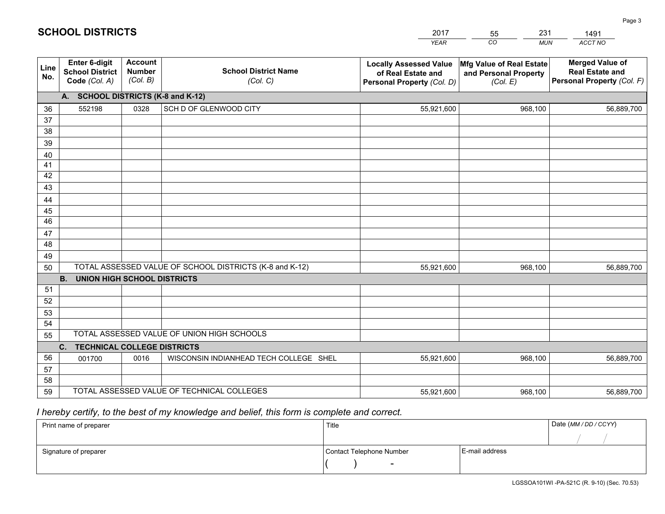|             |                                                                 |                                             |                                                         | <b>YEAR</b>                                                                       | CO<br><b>MUN</b>                                              | ACCT NO                                                                        |
|-------------|-----------------------------------------------------------------|---------------------------------------------|---------------------------------------------------------|-----------------------------------------------------------------------------------|---------------------------------------------------------------|--------------------------------------------------------------------------------|
| Line<br>No. | <b>Enter 6-digit</b><br><b>School District</b><br>Code (Col. A) | <b>Account</b><br><b>Number</b><br>(Col. B) | <b>School District Name</b><br>(Col. C)                 | <b>Locally Assessed Value</b><br>of Real Estate and<br>Personal Property (Col. D) | Mfg Value of Real Estate<br>and Personal Property<br>(Col. E) | <b>Merged Value of</b><br><b>Real Estate and</b><br>Personal Property (Col. F) |
|             | A. SCHOOL DISTRICTS (K-8 and K-12)                              |                                             |                                                         |                                                                                   |                                                               |                                                                                |
| 36          | 552198                                                          | 0328                                        | SCH D OF GLENWOOD CITY                                  | 55,921,600                                                                        | 968,100                                                       | 56,889,700                                                                     |
| 37          |                                                                 |                                             |                                                         |                                                                                   |                                                               |                                                                                |
| 38          |                                                                 |                                             |                                                         |                                                                                   |                                                               |                                                                                |
| 39          |                                                                 |                                             |                                                         |                                                                                   |                                                               |                                                                                |
| 40          |                                                                 |                                             |                                                         |                                                                                   |                                                               |                                                                                |
| 41<br>42    |                                                                 |                                             |                                                         |                                                                                   |                                                               |                                                                                |
| 43          |                                                                 |                                             |                                                         |                                                                                   |                                                               |                                                                                |
| 44          |                                                                 |                                             |                                                         |                                                                                   |                                                               |                                                                                |
| 45          |                                                                 |                                             |                                                         |                                                                                   |                                                               |                                                                                |
| 46          |                                                                 |                                             |                                                         |                                                                                   |                                                               |                                                                                |
| 47          |                                                                 |                                             |                                                         |                                                                                   |                                                               |                                                                                |
| 48          |                                                                 |                                             |                                                         |                                                                                   |                                                               |                                                                                |
| 49          |                                                                 |                                             |                                                         |                                                                                   |                                                               |                                                                                |
| 50          |                                                                 |                                             | TOTAL ASSESSED VALUE OF SCHOOL DISTRICTS (K-8 and K-12) | 55,921,600                                                                        | 968,100                                                       | 56,889,700                                                                     |
|             | <b>B. UNION HIGH SCHOOL DISTRICTS</b>                           |                                             |                                                         |                                                                                   |                                                               |                                                                                |
| 51          |                                                                 |                                             |                                                         |                                                                                   |                                                               |                                                                                |
| 52          |                                                                 |                                             |                                                         |                                                                                   |                                                               |                                                                                |
| 53<br>54    |                                                                 |                                             |                                                         |                                                                                   |                                                               |                                                                                |
| 55          |                                                                 |                                             | TOTAL ASSESSED VALUE OF UNION HIGH SCHOOLS              |                                                                                   |                                                               |                                                                                |
|             | C.<br><b>TECHNICAL COLLEGE DISTRICTS</b>                        |                                             |                                                         |                                                                                   |                                                               |                                                                                |
| 56          | 001700                                                          | 0016                                        | WISCONSIN INDIANHEAD TECH COLLEGE SHEL                  | 55,921,600                                                                        | 968,100                                                       | 56,889,700                                                                     |
| 57          |                                                                 |                                             |                                                         |                                                                                   |                                                               |                                                                                |
| 58          |                                                                 |                                             |                                                         |                                                                                   |                                                               |                                                                                |
| 59          |                                                                 |                                             | TOTAL ASSESSED VALUE OF TECHNICAL COLLEGES              | 55,921,600                                                                        | 968,100                                                       | 56,889,700                                                                     |

55

231

 *I hereby certify, to the best of my knowledge and belief, this form is complete and correct.*

**SCHOOL DISTRICTS**

| Print name of preparer | Title                    |                | Date (MM / DD / CCYY) |
|------------------------|--------------------------|----------------|-----------------------|
|                        |                          |                |                       |
| Signature of preparer  | Contact Telephone Number | E-mail address |                       |
|                        | $\sim$                   |                |                       |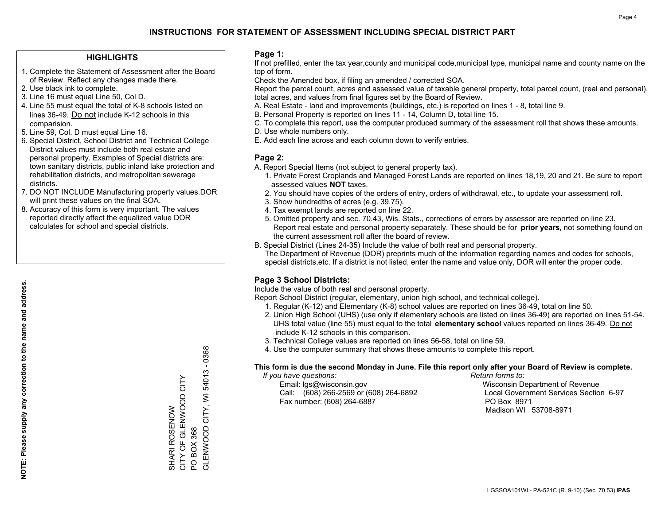### **HIGHLIGHTS**

- 1. Complete the Statement of Assessment after the Board of Review. Reflect any changes made there.
- 2. Use black ink to complete.
- 3. Line 16 must equal Line 50, Col D.
- 4. Line 55 must equal the total of K-8 schools listed on lines 36-49. Do not include K-12 schools in this comparision.
- 5. Line 59, Col. D must equal Line 16.
- 6. Special District, School District and Technical College District values must include both real estate and personal property. Examples of Special districts are: town sanitary districts, public inland lake protection and rehabilitation districts, and metropolitan sewerage districts.
- 7. DO NOT INCLUDE Manufacturing property values.DOR will print these values on the final SOA.

SHARI ROSENOW

CITY OF GLENWOOD CITY

SHARI ROSENOW<br>CITY OF GLENWOOD CITY

PO BOX 368

PO BOX 368<br>GLENWOOD CITY, WI !

GLENWOOD CITY, WI 54013 - 0368

54013-0368

 8. Accuracy of this form is very important. The values reported directly affect the equalized value DOR calculates for school and special districts.

### **Page 1:**

 If not prefilled, enter the tax year,county and municipal code,municipal type, municipal name and county name on the top of form.

Check the Amended box, if filing an amended / corrected SOA.

 Report the parcel count, acres and assessed value of taxable general property, total parcel count, (real and personal), total acres, and values from final figures set by the Board of Review.

- A. Real Estate land and improvements (buildings, etc.) is reported on lines 1 8, total line 9.
- B. Personal Property is reported on lines 11 14, Column D, total line 15.
- C. To complete this report, use the computer produced summary of the assessment roll that shows these amounts.
- D. Use whole numbers only.
- E. Add each line across and each column down to verify entries.

### **Page 2:**

- A. Report Special Items (not subject to general property tax).
- 1. Private Forest Croplands and Managed Forest Lands are reported on lines 18,19, 20 and 21. Be sure to report assessed values **NOT** taxes.
- 2. You should have copies of the orders of entry, orders of withdrawal, etc., to update your assessment roll.
	- 3. Show hundredths of acres (e.g. 39.75).
- 4. Tax exempt lands are reported on line 22.
- 5. Omitted property and sec. 70.43, Wis. Stats., corrections of errors by assessor are reported on line 23. Report real estate and personal property separately. These should be for **prior years**, not something found on the current assessment roll after the board of review.
- B. Special District (Lines 24-35) Include the value of both real and personal property.
- The Department of Revenue (DOR) preprints much of the information regarding names and codes for schools, special districts,etc. If a district is not listed, enter the name and value only, DOR will enter the proper code.

### **Page 3 School Districts:**

Include the value of both real and personal property.

Report School District (regular, elementary, union high school, and technical college).

- 1. Regular (K-12) and Elementary (K-8) school values are reported on lines 36-49, total on line 50.
- 2. Union High School (UHS) (use only if elementary schools are listed on lines 36-49) are reported on lines 51-54. UHS total value (line 55) must equal to the total **elementary school** values reported on lines 36-49. Do notinclude K-12 schools in this comparison.
- 3. Technical College values are reported on lines 56-58, total on line 59.
- 4. Use the computer summary that shows these amounts to complete this report.

#### **This form is due the second Monday in June. File this report only after your Board of Review is complete.**

 *If you have questions: Return forms to:*

 Email: lgs@wisconsin.gov Wisconsin Department of RevenueCall:  $(608)$  266-2569 or  $(608)$  264-6892 Fax number: (608) 264-6887 PO Box 8971

Local Government Services Section 6-97

Madison WI 53708-8971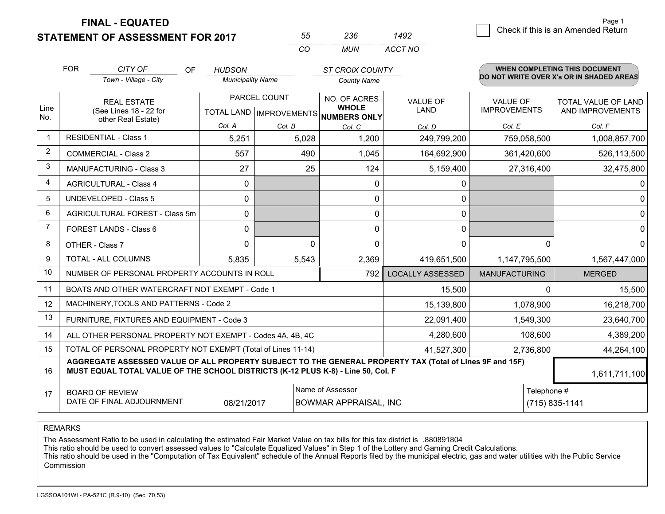**FINAL - EQUATED**

**STATEMENT OF ASSESSMENT FOR 2017** 

| 55 | 236 | 1492    |
|----|-----|---------|
| rη | MUN | ACCT NO |

|                | <b>FOR</b>                                                                                                                                                                                   | CITY OF<br>OF                                                | <b>HUDSON</b>            |                           | <b>ST CROIX COUNTY</b>       |                         |                      | <b>WHEN COMPLETING THIS DOCUMENT</b>     |
|----------------|----------------------------------------------------------------------------------------------------------------------------------------------------------------------------------------------|--------------------------------------------------------------|--------------------------|---------------------------|------------------------------|-------------------------|----------------------|------------------------------------------|
|                |                                                                                                                                                                                              | Town - Village - City                                        | <b>Municipality Name</b> |                           | <b>County Name</b>           |                         |                      | DO NOT WRITE OVER X's OR IN SHADED AREAS |
|                |                                                                                                                                                                                              | <b>REAL ESTATE</b>                                           |                          | PARCEL COUNT              | NO. OF ACRES                 | <b>VALUE OF</b>         | <b>VALUE OF</b>      | TOTAL VALUE OF LAND                      |
| Line<br>No.    |                                                                                                                                                                                              | (See Lines 18 - 22 for<br>other Real Estate)                 |                          | TOTAL LAND   IMPROVEMENTS | <b>WHOLE</b><br>NUMBERS ONLY | <b>LAND</b>             | <b>IMPROVEMENTS</b>  | AND IMPROVEMENTS                         |
|                |                                                                                                                                                                                              |                                                              | Col. A                   | Col. B                    | Col. C                       | Col. D                  | Col. E               | Col. F                                   |
|                |                                                                                                                                                                                              | <b>RESIDENTIAL - Class 1</b>                                 | 5,251                    | 5,028                     | 1,200                        | 249,799,200             | 759,058,500          | 1,008,857,700                            |
| 2              |                                                                                                                                                                                              | <b>COMMERCIAL - Class 2</b>                                  | 557                      | 490                       | 1,045                        | 164,692,900             | 361,420,600          | 526,113,500                              |
| 3              |                                                                                                                                                                                              | <b>MANUFACTURING - Class 3</b>                               | 27                       | 25                        | 124                          | 5,159,400               | 27,316,400           | 32,475,800                               |
| 4              |                                                                                                                                                                                              | <b>AGRICULTURAL - Class 4</b>                                | $\mathbf{0}$             |                           | $\Omega$                     | 0                       |                      | 0                                        |
| 5              |                                                                                                                                                                                              | <b>UNDEVELOPED - Class 5</b>                                 | 0                        |                           | 0                            | 0                       |                      | $\mathbf 0$                              |
| 6              |                                                                                                                                                                                              | AGRICULTURAL FOREST - Class 5m                               | 0                        |                           | 0                            | 0                       |                      | 0                                        |
| $\overline{7}$ |                                                                                                                                                                                              | FOREST LANDS - Class 6                                       | 0                        |                           | $\Omega$                     | 0                       |                      | $\mathbf 0$                              |
| 8              |                                                                                                                                                                                              | OTHER - Class 7                                              | 0                        | 0                         | 0                            | 0                       | $\Omega$             | $\mathbf 0$                              |
| 9              |                                                                                                                                                                                              | TOTAL - ALL COLUMNS                                          | 5,835                    | 5,543                     | 2,369                        | 419,651,500             | 1,147,795,500        | 1,567,447,000                            |
| 10             |                                                                                                                                                                                              | NUMBER OF PERSONAL PROPERTY ACCOUNTS IN ROLL                 |                          |                           | 792                          | <b>LOCALLY ASSESSED</b> | <b>MANUFACTURING</b> | <b>MERGED</b>                            |
| 11             |                                                                                                                                                                                              | BOATS AND OTHER WATERCRAFT NOT EXEMPT - Code 1               |                          |                           |                              | 15,500                  | 0                    | 15,500                                   |
| 12             |                                                                                                                                                                                              | MACHINERY, TOOLS AND PATTERNS - Code 2                       |                          |                           |                              | 15,139,800              | 1,078,900            | 16,218,700                               |
| 13             |                                                                                                                                                                                              | FURNITURE, FIXTURES AND EQUIPMENT - Code 3                   |                          |                           |                              | 22,091,400              | 1,549,300            | 23,640,700                               |
| 14             |                                                                                                                                                                                              | ALL OTHER PERSONAL PROPERTY NOT EXEMPT - Codes 4A, 4B, 4C    |                          |                           |                              | 4,280,600               | 108,600              | 4,389,200                                |
| 15             |                                                                                                                                                                                              | TOTAL OF PERSONAL PROPERTY NOT EXEMPT (Total of Lines 11-14) |                          |                           | 41,527,300                   | 2,736,800               | 44,264,100           |                                          |
| 16             | AGGREGATE ASSESSED VALUE OF ALL PROPERTY SUBJECT TO THE GENERAL PROPERTY TAX (Total of Lines 9F and 15F)<br>MUST EQUAL TOTAL VALUE OF THE SCHOOL DISTRICTS (K-12 PLUS K-8) - Line 50, Col. F |                                                              |                          |                           |                              |                         |                      | 1,611,711,100                            |
| 17             |                                                                                                                                                                                              | <b>BOARD OF REVIEW</b>                                       |                          |                           | Name of Assessor             |                         | Telephone #          |                                          |
|                |                                                                                                                                                                                              | DATE OF FINAL ADJOURNMENT                                    | 08/21/2017               |                           | <b>BOWMAR APPRAISAL, INC</b> |                         |                      | (715) 835-1141                           |

REMARKS

The Assessment Ratio to be used in calculating the estimated Fair Market Value on tax bills for this tax district is .880891804<br>This ratio should be used to convert assessed values to "Calculate Equalized Values" in Step 1 Commission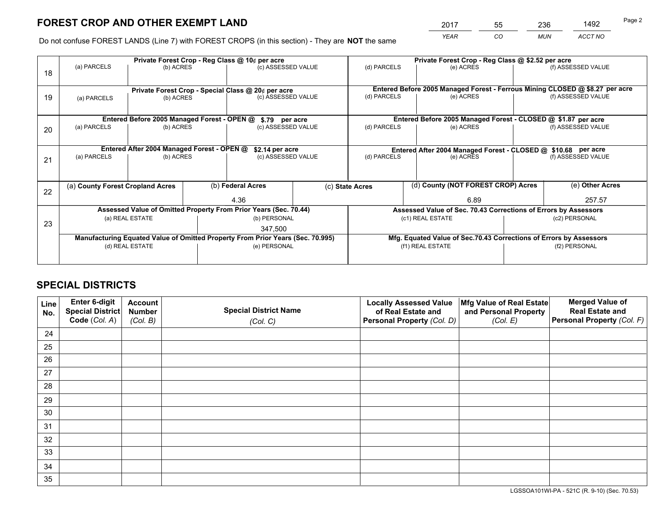*YEAR CO MUN ACCT NO* <sup>2017</sup> <sup>55</sup> <sup>236</sup> <sup>1492</sup>

Do not confuse FOREST LANDS (Line 7) with FOREST CROPS (in this section) - They are **NOT** the same

|    |                                                                                |                                             |                 | Private Forest Crop - Reg Class @ 10¢ per acre                   |  | Private Forest Crop - Reg Class @ \$2.52 per acre |                                                                 |                                                               |  |                                                                              |  |
|----|--------------------------------------------------------------------------------|---------------------------------------------|-----------------|------------------------------------------------------------------|--|---------------------------------------------------|-----------------------------------------------------------------|---------------------------------------------------------------|--|------------------------------------------------------------------------------|--|
| 18 | (a) PARCELS                                                                    | (b) ACRES                                   |                 | (c) ASSESSED VALUE                                               |  | (d) PARCELS                                       |                                                                 | (e) ACRES                                                     |  | (f) ASSESSED VALUE                                                           |  |
|    |                                                                                |                                             |                 |                                                                  |  |                                                   |                                                                 |                                                               |  |                                                                              |  |
|    | Private Forest Crop - Special Class @ 20¢ per acre                             |                                             |                 |                                                                  |  |                                                   |                                                                 |                                                               |  | Entered Before 2005 Managed Forest - Ferrous Mining CLOSED @ \$8.27 per acre |  |
| 19 | (a) PARCELS                                                                    | (b) ACRES                                   |                 | (c) ASSESSED VALUE                                               |  | (d) PARCELS                                       |                                                                 | (e) ACRES                                                     |  | (f) ASSESSED VALUE                                                           |  |
|    |                                                                                |                                             |                 |                                                                  |  |                                                   |                                                                 |                                                               |  |                                                                              |  |
|    |                                                                                | Entered Before 2005 Managed Forest - OPEN @ |                 | \$.79 per acre                                                   |  |                                                   | Entered Before 2005 Managed Forest - CLOSED @ \$1.87 per acre   |                                                               |  |                                                                              |  |
| 20 | (a) PARCELS                                                                    | (b) ACRES                                   |                 | (c) ASSESSED VALUE                                               |  | (d) PARCELS                                       |                                                                 | (e) ACRES                                                     |  | (f) ASSESSED VALUE                                                           |  |
|    |                                                                                |                                             |                 |                                                                  |  |                                                   |                                                                 |                                                               |  |                                                                              |  |
|    |                                                                                | Entered After 2004 Managed Forest - OPEN @  | \$2.14 per acre |                                                                  |  |                                                   |                                                                 | Entered After 2004 Managed Forest - CLOSED @ \$10.68 per acre |  |                                                                              |  |
| 21 | (a) PARCELS                                                                    | (b) ACRES                                   |                 | (c) ASSESSED VALUE                                               |  | (d) PARCELS<br>(e) ACRES                          |                                                                 | (f) ASSESSED VALUE                                            |  |                                                                              |  |
|    |                                                                                |                                             |                 |                                                                  |  |                                                   |                                                                 |                                                               |  |                                                                              |  |
|    |                                                                                |                                             |                 |                                                                  |  |                                                   |                                                                 |                                                               |  |                                                                              |  |
| 22 |                                                                                | (a) County Forest Cropland Acres            |                 | (b) Federal Acres                                                |  | (c) State Acres                                   |                                                                 | (d) County (NOT FOREST CROP) Acres                            |  | (e) Other Acres                                                              |  |
|    |                                                                                |                                             |                 | 4.36                                                             |  |                                                   |                                                                 | 6.89                                                          |  | 257.57                                                                       |  |
|    |                                                                                |                                             |                 | Assessed Value of Omitted Property From Prior Years (Sec. 70.44) |  |                                                   | Assessed Value of Sec. 70.43 Corrections of Errors by Assessors |                                                               |  |                                                                              |  |
| 23 |                                                                                | (a) REAL ESTATE                             |                 | (b) PERSONAL                                                     |  |                                                   | (c1) REAL ESTATE                                                |                                                               |  | (c2) PERSONAL                                                                |  |
|    |                                                                                |                                             |                 | 347,500                                                          |  |                                                   |                                                                 |                                                               |  |                                                                              |  |
|    | Manufacturing Equated Value of Omitted Property From Prior Years (Sec. 70.995) |                                             |                 |                                                                  |  |                                                   |                                                                 |                                                               |  | Mfg. Equated Value of Sec.70.43 Corrections of Errors by Assessors           |  |
|    | (d) REAL ESTATE                                                                |                                             |                 | (e) PERSONAL                                                     |  |                                                   | (f1) REAL ESTATE                                                |                                                               |  | (f2) PERSONAL                                                                |  |
|    |                                                                                |                                             |                 |                                                                  |  |                                                   |                                                                 |                                                               |  |                                                                              |  |

# **SPECIAL DISTRICTS**

| Line<br>No. | Enter 6-digit<br><b>Special District</b> | <b>Account</b><br><b>Number</b> | <b>Special District Name</b> | <b>Locally Assessed Value</b><br>of Real Estate and | Mfg Value of Real Estate<br>and Personal Property | <b>Merged Value of</b><br><b>Real Estate and</b> |
|-------------|------------------------------------------|---------------------------------|------------------------------|-----------------------------------------------------|---------------------------------------------------|--------------------------------------------------|
|             | Code (Col. A)                            | (Col. B)                        | (Col. C)                     | Personal Property (Col. D)                          | (Col. E)                                          | Personal Property (Col. F)                       |
| 24          |                                          |                                 |                              |                                                     |                                                   |                                                  |
| 25          |                                          |                                 |                              |                                                     |                                                   |                                                  |
| 26          |                                          |                                 |                              |                                                     |                                                   |                                                  |
| 27          |                                          |                                 |                              |                                                     |                                                   |                                                  |
| 28          |                                          |                                 |                              |                                                     |                                                   |                                                  |
| 29          |                                          |                                 |                              |                                                     |                                                   |                                                  |
| 30          |                                          |                                 |                              |                                                     |                                                   |                                                  |
| 31          |                                          |                                 |                              |                                                     |                                                   |                                                  |
| 32          |                                          |                                 |                              |                                                     |                                                   |                                                  |
| 33          |                                          |                                 |                              |                                                     |                                                   |                                                  |
| 34          |                                          |                                 |                              |                                                     |                                                   |                                                  |
| 35          |                                          |                                 |                              |                                                     |                                                   |                                                  |

LGSSOA101WI-PA - 521C (R. 9-10) (Sec. 70.53)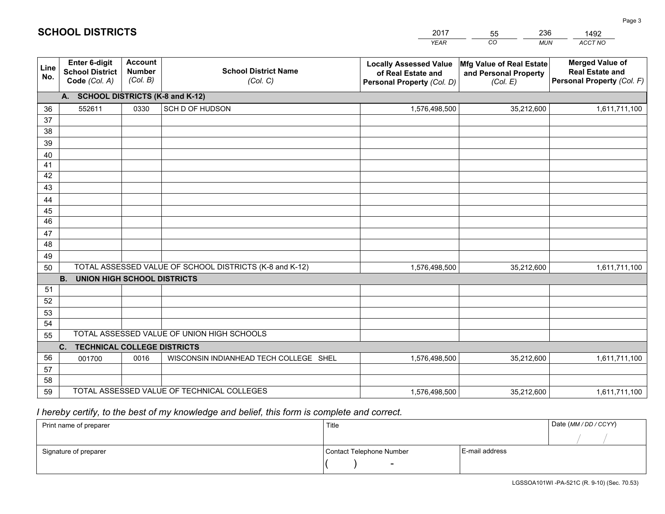|             |                                                          |                                             |                                                         | <b>YEAR</b>                                                                       | CO<br><b>MUN</b>                                              | ACCT NO                                                                        |
|-------------|----------------------------------------------------------|---------------------------------------------|---------------------------------------------------------|-----------------------------------------------------------------------------------|---------------------------------------------------------------|--------------------------------------------------------------------------------|
| Line<br>No. | Enter 6-digit<br><b>School District</b><br>Code (Col. A) | <b>Account</b><br><b>Number</b><br>(Col. B) | <b>School District Name</b><br>(Col. C)                 | <b>Locally Assessed Value</b><br>of Real Estate and<br>Personal Property (Col. D) | Mfg Value of Real Estate<br>and Personal Property<br>(Col. E) | <b>Merged Value of</b><br><b>Real Estate and</b><br>Personal Property (Col. F) |
|             | A. SCHOOL DISTRICTS (K-8 and K-12)                       |                                             |                                                         |                                                                                   |                                                               |                                                                                |
| 36          | 552611                                                   | 0330                                        | SCH D OF HUDSON                                         | 1,576,498,500                                                                     | 35,212,600                                                    | 1,611,711,100                                                                  |
| 37          |                                                          |                                             |                                                         |                                                                                   |                                                               |                                                                                |
| 38          |                                                          |                                             |                                                         |                                                                                   |                                                               |                                                                                |
| 39          |                                                          |                                             |                                                         |                                                                                   |                                                               |                                                                                |
| 40          |                                                          |                                             |                                                         |                                                                                   |                                                               |                                                                                |
| 41<br>42    |                                                          |                                             |                                                         |                                                                                   |                                                               |                                                                                |
| 43          |                                                          |                                             |                                                         |                                                                                   |                                                               |                                                                                |
|             |                                                          |                                             |                                                         |                                                                                   |                                                               |                                                                                |
| 44<br>45    |                                                          |                                             |                                                         |                                                                                   |                                                               |                                                                                |
| 46          |                                                          |                                             |                                                         |                                                                                   |                                                               |                                                                                |
| 47          |                                                          |                                             |                                                         |                                                                                   |                                                               |                                                                                |
| 48          |                                                          |                                             |                                                         |                                                                                   |                                                               |                                                                                |
| 49          |                                                          |                                             |                                                         |                                                                                   |                                                               |                                                                                |
| 50          |                                                          |                                             | TOTAL ASSESSED VALUE OF SCHOOL DISTRICTS (K-8 and K-12) | 1,576,498,500                                                                     | 35,212,600                                                    | 1,611,711,100                                                                  |
|             | <b>B.</b><br>UNION HIGH SCHOOL DISTRICTS                 |                                             |                                                         |                                                                                   |                                                               |                                                                                |
| 51          |                                                          |                                             |                                                         |                                                                                   |                                                               |                                                                                |
| 52          |                                                          |                                             |                                                         |                                                                                   |                                                               |                                                                                |
| 53          |                                                          |                                             |                                                         |                                                                                   |                                                               |                                                                                |
| 54          |                                                          |                                             |                                                         |                                                                                   |                                                               |                                                                                |
| 55          |                                                          |                                             | TOTAL ASSESSED VALUE OF UNION HIGH SCHOOLS              |                                                                                   |                                                               |                                                                                |
|             | C.<br><b>TECHNICAL COLLEGE DISTRICTS</b>                 |                                             |                                                         |                                                                                   |                                                               |                                                                                |
| 56          | 001700                                                   | 0016                                        | WISCONSIN INDIANHEAD TECH COLLEGE SHEL                  | 1,576,498,500                                                                     | 35,212,600                                                    | 1,611,711,100                                                                  |
| 57<br>58    |                                                          |                                             |                                                         |                                                                                   |                                                               |                                                                                |
| 59          |                                                          |                                             | TOTAL ASSESSED VALUE OF TECHNICAL COLLEGES              | 1,576,498,500                                                                     | 35,212,600                                                    | 1,611,711,100                                                                  |
|             |                                                          |                                             |                                                         |                                                                                   |                                                               |                                                                                |

 *I hereby certify, to the best of my knowledge and belief, this form is complete and correct.*

| Print name of preparer | Title                    |                | Date (MM / DD / CCYY) |
|------------------------|--------------------------|----------------|-----------------------|
|                        |                          |                |                       |
| Signature of preparer  | Contact Telephone Number | E-mail address |                       |
|                        | $\sim$                   |                |                       |

| 2017 | 55 | 236   | 1492    |
|------|----|-------|---------|
| YEAR | CO | MI IN | ACCT NO |

**SCHOOL DISTRICTS**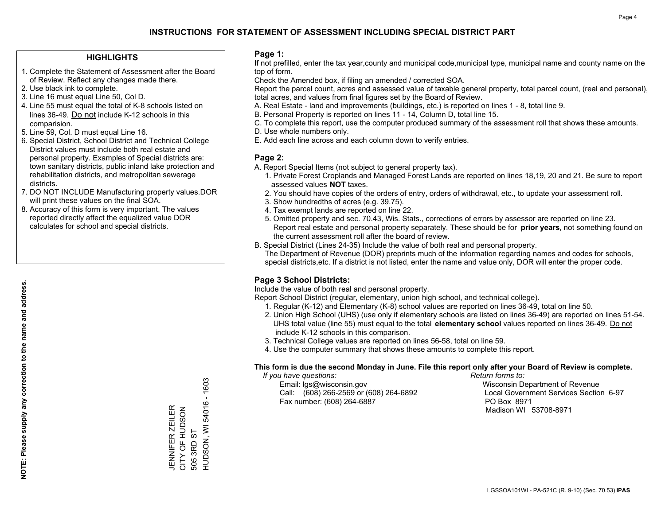### **HIGHLIGHTS**

- 1. Complete the Statement of Assessment after the Board of Review. Reflect any changes made there.
- 2. Use black ink to complete.
- 3. Line 16 must equal Line 50, Col D.
- 4. Line 55 must equal the total of K-8 schools listed on lines 36-49. Do not include K-12 schools in this comparision.
- 5. Line 59, Col. D must equal Line 16.
- 6. Special District, School District and Technical College District values must include both real estate and personal property. Examples of Special districts are: town sanitary districts, public inland lake protection and rehabilitation districts, and metropolitan sewerage districts.
- 7. DO NOT INCLUDE Manufacturing property values.DOR will print these values on the final SOA.
- 8. Accuracy of this form is very important. The values reported directly affect the equalized value DOR calculates for school and special districts.

### **Page 1:**

 If not prefilled, enter the tax year,county and municipal code,municipal type, municipal name and county name on the top of form.

Check the Amended box, if filing an amended / corrected SOA.

 Report the parcel count, acres and assessed value of taxable general property, total parcel count, (real and personal), total acres, and values from final figures set by the Board of Review.

- A. Real Estate land and improvements (buildings, etc.) is reported on lines 1 8, total line 9.
- B. Personal Property is reported on lines 11 14, Column D, total line 15.
- C. To complete this report, use the computer produced summary of the assessment roll that shows these amounts.
- D. Use whole numbers only.
- E. Add each line across and each column down to verify entries.

### **Page 2:**

- A. Report Special Items (not subject to general property tax).
- 1. Private Forest Croplands and Managed Forest Lands are reported on lines 18,19, 20 and 21. Be sure to report assessed values **NOT** taxes.
- 2. You should have copies of the orders of entry, orders of withdrawal, etc., to update your assessment roll.
	- 3. Show hundredths of acres (e.g. 39.75).
- 4. Tax exempt lands are reported on line 22.
- 5. Omitted property and sec. 70.43, Wis. Stats., corrections of errors by assessor are reported on line 23. Report real estate and personal property separately. These should be for **prior years**, not something found on the current assessment roll after the board of review.
- B. Special District (Lines 24-35) Include the value of both real and personal property.

 The Department of Revenue (DOR) preprints much of the information regarding names and codes for schools, special districts,etc. If a district is not listed, enter the name and value only, DOR will enter the proper code.

### **Page 3 School Districts:**

Include the value of both real and personal property.

Report School District (regular, elementary, union high school, and technical college).

- 1. Regular (K-12) and Elementary (K-8) school values are reported on lines 36-49, total on line 50.
- 2. Union High School (UHS) (use only if elementary schools are listed on lines 36-49) are reported on lines 51-54. UHS total value (line 55) must equal to the total **elementary school** values reported on lines 36-49. Do notinclude K-12 schools in this comparison.
- 3. Technical College values are reported on lines 56-58, total on line 59.
- 4. Use the computer summary that shows these amounts to complete this report.

#### **This form is due the second Monday in June. File this report only after your Board of Review is complete.**

 *If you have questions: Return forms to:*

 Email: lgs@wisconsin.gov Wisconsin Department of RevenueCall:  $(608)$  266-2569 or  $(608)$  264-6892 Fax number: (608) 264-6887 PO Box 8971

Local Government Services Section 6-97 Madison WI 53708-8971

54016 - 1603 HUDSON, WI 54016 - 1603 JENNIFER ZEILER<br>CITY OF HUDSON<br>505 3RD ST CITY OF HUDSON JENNIFER ZEILER HUDSON, WI 505 3RD ST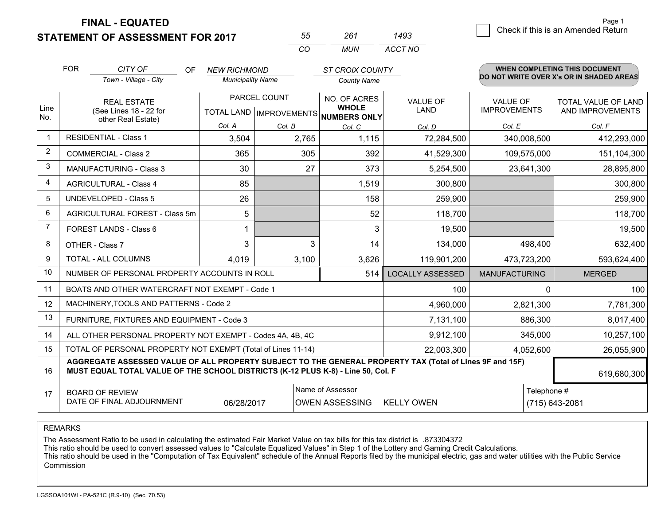**STATEMENT OF ASSESSMENT FOR 2017** 

**FINAL - EQUATED**

|                | <b>FOR</b>                                                                                                                                                                                   | CITY OF<br><b>OF</b>                                      | <b>NEW RICHMOND</b>      |                                  | <b>ST CROIX COUNTY</b>              |                         |                            | <b>WHEN COMPLETING THIS DOCUMENT</b>     |
|----------------|----------------------------------------------------------------------------------------------------------------------------------------------------------------------------------------------|-----------------------------------------------------------|--------------------------|----------------------------------|-------------------------------------|-------------------------|----------------------------|------------------------------------------|
|                |                                                                                                                                                                                              | Town - Village - City                                     | <b>Municipality Name</b> |                                  | <b>County Name</b>                  |                         |                            | DO NOT WRITE OVER X's OR IN SHADED AREAS |
|                |                                                                                                                                                                                              | PARCEL COUNT<br><b>REAL ESTATE</b>                        |                          | NO. OF ACRES                     | <b>VALUE OF</b>                     | <b>VALUE OF</b>         | <b>TOTAL VALUE OF LAND</b> |                                          |
| Line<br>No.    |                                                                                                                                                                                              | (See Lines 18 - 22 for<br>other Real Estate)              |                          | <b>TOTAL LAND   IMPROVEMENTS</b> | <b>WHOLE</b><br><b>NUMBERS ONLY</b> | LAND                    | <b>IMPROVEMENTS</b>        | AND IMPROVEMENTS                         |
|                |                                                                                                                                                                                              |                                                           | Col. A                   | Col. B                           | Col. C                              | Col. D                  | Col. E                     | Col. F                                   |
| $\mathbf 1$    |                                                                                                                                                                                              | <b>RESIDENTIAL - Class 1</b>                              | 3,504                    | 2,765                            | 1,115                               | 72,284,500              | 340,008,500                | 412,293,000                              |
| 2              |                                                                                                                                                                                              | <b>COMMERCIAL - Class 2</b>                               | 365                      | 305                              | 392                                 | 41,529,300              | 109,575,000                | 151,104,300                              |
| 3              |                                                                                                                                                                                              | <b>MANUFACTURING - Class 3</b>                            | 30                       | 27                               | 373                                 | 5,254,500               | 23,641,300                 | 28,895,800                               |
| 4              |                                                                                                                                                                                              | <b>AGRICULTURAL - Class 4</b>                             | 85                       |                                  | 1,519                               | 300,800                 |                            | 300,800                                  |
| 5              |                                                                                                                                                                                              | <b>UNDEVELOPED - Class 5</b>                              | 26                       |                                  | 158                                 | 259,900                 |                            | 259,900                                  |
| 6              | AGRICULTURAL FOREST - Class 5m                                                                                                                                                               |                                                           | 5                        |                                  | 52                                  | 118,700                 |                            | 118,700                                  |
| $\overline{7}$ |                                                                                                                                                                                              | FOREST LANDS - Class 6                                    | $\mathbf 1$              |                                  | 3                                   | 19,500                  |                            | 19,500                                   |
| 8              |                                                                                                                                                                                              | OTHER - Class 7                                           | 3                        | 3                                | 14                                  | 134,000                 | 498,400                    | 632,400                                  |
| 9              |                                                                                                                                                                                              | <b>TOTAL - ALL COLUMNS</b>                                | 4,019                    | 3,100                            | 3,626                               | 119,901,200             | 473,723,200                | 593,624,400                              |
| 10             |                                                                                                                                                                                              | NUMBER OF PERSONAL PROPERTY ACCOUNTS IN ROLL              |                          |                                  | 514                                 | <b>LOCALLY ASSESSED</b> | <b>MANUFACTURING</b>       | <b>MERGED</b>                            |
| 11             |                                                                                                                                                                                              | BOATS AND OTHER WATERCRAFT NOT EXEMPT - Code 1            |                          |                                  |                                     | 100                     | 0                          | 100                                      |
| 12             |                                                                                                                                                                                              | MACHINERY, TOOLS AND PATTERNS - Code 2                    |                          |                                  |                                     | 4,960,000               | 2,821,300                  | 7,781,300                                |
| 13             |                                                                                                                                                                                              | FURNITURE, FIXTURES AND EQUIPMENT - Code 3                |                          |                                  |                                     | 7,131,100               | 886,300                    | 8,017,400                                |
| 14             |                                                                                                                                                                                              | ALL OTHER PERSONAL PROPERTY NOT EXEMPT - Codes 4A, 4B, 4C |                          |                                  |                                     | 9,912,100               | 345,000                    | 10,257,100                               |
| 15             | TOTAL OF PERSONAL PROPERTY NOT EXEMPT (Total of Lines 11-14)                                                                                                                                 |                                                           |                          |                                  |                                     | 22,003,300              | 4,052,600                  | 26,055,900                               |
| 16             | AGGREGATE ASSESSED VALUE OF ALL PROPERTY SUBJECT TO THE GENERAL PROPERTY TAX (Total of Lines 9F and 15F)<br>MUST EQUAL TOTAL VALUE OF THE SCHOOL DISTRICTS (K-12 PLUS K-8) - Line 50, Col. F |                                                           |                          |                                  |                                     |                         | 619,680,300                |                                          |
| 17             | Name of Assessor<br><b>BOARD OF REVIEW</b><br>DATE OF FINAL ADJOURNMENT<br>06/28/2017<br><b>OWEN ASSESSING</b>                                                                               |                                                           |                          |                                  |                                     | <b>KELLY OWEN</b>       | Telephone #                | (715) 643-2081                           |

*CO*

*MUN*

*ACCT NO1493*

*<sup>55</sup> <sup>261</sup>*

REMARKS

The Assessment Ratio to be used in calculating the estimated Fair Market Value on tax bills for this tax district is .873304372<br>This ratio should be used to convert assessed values to "Calculate Equalized Values" in Step 1 Commission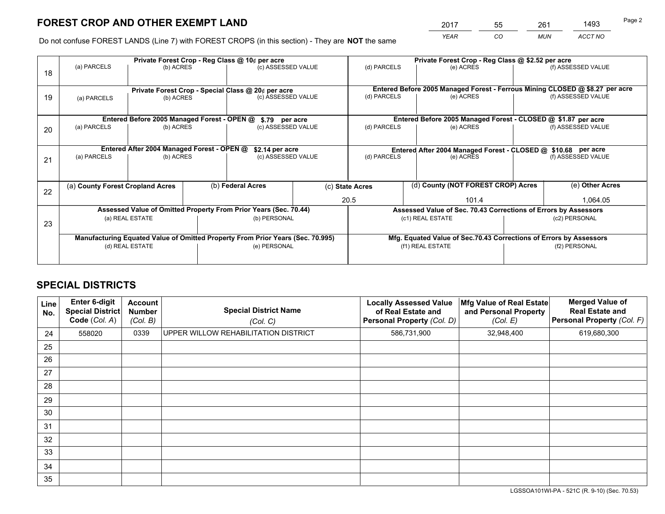*YEAR CO MUN ACCT NO* <sup>2017</sup> <sup>55</sup> <sup>261</sup> <sup>1493</sup>

Do not confuse FOREST LANDS (Line 7) with FOREST CROPS (in this section) - They are **NOT** the same

|    |                                                                                |                                             |                    | Private Forest Crop - Reg Class @ 10¢ per acre |                                                                              | Private Forest Crop - Reg Class @ \$2.52 per acre               |                                                                    |                    |                    |  |
|----|--------------------------------------------------------------------------------|---------------------------------------------|--------------------|------------------------------------------------|------------------------------------------------------------------------------|-----------------------------------------------------------------|--------------------------------------------------------------------|--------------------|--------------------|--|
| 18 | (a) PARCELS                                                                    | (b) ACRES                                   | (c) ASSESSED VALUE |                                                | (d) PARCELS                                                                  | (e) ACRES                                                       |                                                                    | (f) ASSESSED VALUE |                    |  |
|    |                                                                                |                                             |                    |                                                |                                                                              |                                                                 |                                                                    |                    |                    |  |
|    | Private Forest Crop - Special Class @ 20¢ per acre                             |                                             |                    |                                                | Entered Before 2005 Managed Forest - Ferrous Mining CLOSED @ \$8.27 per acre |                                                                 |                                                                    |                    |                    |  |
| 19 | (a) PARCELS                                                                    | (b) ACRES                                   |                    | (c) ASSESSED VALUE                             |                                                                              | (d) PARCELS                                                     | (e) ACRES                                                          |                    | (f) ASSESSED VALUE |  |
|    |                                                                                |                                             |                    |                                                |                                                                              |                                                                 |                                                                    |                    |                    |  |
|    |                                                                                | Entered Before 2005 Managed Forest - OPEN @ |                    | \$.79 per acre                                 |                                                                              |                                                                 | Entered Before 2005 Managed Forest - CLOSED @ \$1.87 per acre      |                    |                    |  |
| 20 | (a) PARCELS                                                                    | (b) ACRES                                   |                    | (c) ASSESSED VALUE                             |                                                                              | (d) PARCELS                                                     | (e) ACRES                                                          |                    | (f) ASSESSED VALUE |  |
|    |                                                                                |                                             |                    |                                                |                                                                              |                                                                 |                                                                    |                    |                    |  |
|    | Entered After 2004 Managed Forest - OPEN @                                     |                                             |                    |                                                | \$2.14 per acre                                                              |                                                                 | Entered After 2004 Managed Forest - CLOSED @ \$10.68 per acre      |                    |                    |  |
| 21 | (a) PARCELS                                                                    | (b) ACRES                                   |                    | (c) ASSESSED VALUE                             |                                                                              | (d) PARCELS<br>(e) ACRES                                        |                                                                    |                    | (f) ASSESSED VALUE |  |
|    |                                                                                |                                             |                    |                                                |                                                                              |                                                                 |                                                                    |                    |                    |  |
|    |                                                                                |                                             |                    |                                                |                                                                              |                                                                 | (d) County (NOT FOREST CROP) Acres                                 |                    |                    |  |
| 22 | (a) County Forest Cropland Acres                                               |                                             | (b) Federal Acres  |                                                |                                                                              | (c) State Acres                                                 |                                                                    |                    | (e) Other Acres    |  |
|    |                                                                                |                                             |                    |                                                |                                                                              | 20.5                                                            | 101.4                                                              |                    | 1,064.05           |  |
|    | Assessed Value of Omitted Property From Prior Years (Sec. 70.44)               |                                             |                    |                                                |                                                                              | Assessed Value of Sec. 70.43 Corrections of Errors by Assessors |                                                                    |                    |                    |  |
| 23 |                                                                                | (a) REAL ESTATE                             |                    | (b) PERSONAL                                   |                                                                              | (c1) REAL ESTATE                                                |                                                                    |                    | (c2) PERSONAL      |  |
|    |                                                                                |                                             |                    |                                                |                                                                              |                                                                 |                                                                    |                    |                    |  |
|    | Manufacturing Equated Value of Omitted Property From Prior Years (Sec. 70.995) |                                             |                    |                                                |                                                                              |                                                                 | Mfg. Equated Value of Sec.70.43 Corrections of Errors by Assessors |                    |                    |  |
|    | (d) REAL ESTATE                                                                |                                             |                    | (e) PERSONAL                                   |                                                                              |                                                                 | (f1) REAL ESTATE                                                   |                    | (f2) PERSONAL      |  |
|    |                                                                                |                                             |                    |                                                |                                                                              |                                                                 |                                                                    |                    |                    |  |

# **SPECIAL DISTRICTS**

| <b>Line</b><br>No. | Enter 6-digit<br><b>Special District</b><br>Code (Col. A) | <b>Account</b><br><b>Number</b><br>(Col. B) | <b>Special District Name</b><br>(Col. C) | <b>Locally Assessed Value</b><br>of Real Estate and<br><b>Personal Property (Col. D)</b> | Mfg Value of Real Estate<br>and Personal Property<br>(Col. E) | <b>Merged Value of</b><br><b>Real Estate and</b><br>Personal Property (Col. F) |
|--------------------|-----------------------------------------------------------|---------------------------------------------|------------------------------------------|------------------------------------------------------------------------------------------|---------------------------------------------------------------|--------------------------------------------------------------------------------|
| 24                 | 558020                                                    | 0339                                        | UPPER WILLOW REHABILITATION DISTRICT     | 586,731,900                                                                              | 32,948,400                                                    | 619,680,300                                                                    |
| 25                 |                                                           |                                             |                                          |                                                                                          |                                                               |                                                                                |
| 26                 |                                                           |                                             |                                          |                                                                                          |                                                               |                                                                                |
| 27                 |                                                           |                                             |                                          |                                                                                          |                                                               |                                                                                |
| 28                 |                                                           |                                             |                                          |                                                                                          |                                                               |                                                                                |
| 29                 |                                                           |                                             |                                          |                                                                                          |                                                               |                                                                                |
| 30                 |                                                           |                                             |                                          |                                                                                          |                                                               |                                                                                |
| 31                 |                                                           |                                             |                                          |                                                                                          |                                                               |                                                                                |
| 32                 |                                                           |                                             |                                          |                                                                                          |                                                               |                                                                                |
| 33                 |                                                           |                                             |                                          |                                                                                          |                                                               |                                                                                |
| 34                 |                                                           |                                             |                                          |                                                                                          |                                                               |                                                                                |
| 35                 |                                                           |                                             |                                          |                                                                                          |                                                               |                                                                                |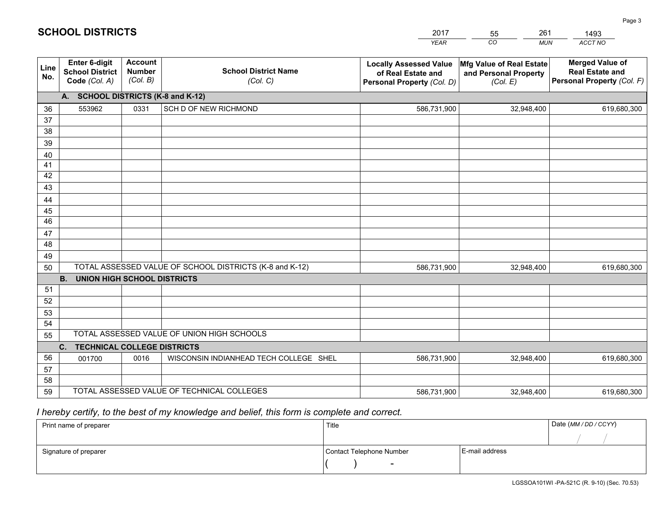|             |                                                                 |                                             |                                                         | <b>YEAR</b>                                                                       | CO<br><b>MUN</b>                                              | <b>ACCT NO</b>                                                                 |
|-------------|-----------------------------------------------------------------|---------------------------------------------|---------------------------------------------------------|-----------------------------------------------------------------------------------|---------------------------------------------------------------|--------------------------------------------------------------------------------|
| Line<br>No. | <b>Enter 6-digit</b><br><b>School District</b><br>Code (Col. A) | <b>Account</b><br><b>Number</b><br>(Col. B) | <b>School District Name</b><br>(Col. C)                 | <b>Locally Assessed Value</b><br>of Real Estate and<br>Personal Property (Col. D) | Mfg Value of Real Estate<br>and Personal Property<br>(Col. E) | <b>Merged Value of</b><br><b>Real Estate and</b><br>Personal Property (Col. F) |
|             | A. SCHOOL DISTRICTS (K-8 and K-12)                              |                                             |                                                         |                                                                                   |                                                               |                                                                                |
| 36          | 553962                                                          | 0331                                        | SCH D OF NEW RICHMOND                                   | 586,731,900                                                                       | 32,948,400                                                    | 619,680,300                                                                    |
| 37          |                                                                 |                                             |                                                         |                                                                                   |                                                               |                                                                                |
| 38          |                                                                 |                                             |                                                         |                                                                                   |                                                               |                                                                                |
| 39          |                                                                 |                                             |                                                         |                                                                                   |                                                               |                                                                                |
| 40          |                                                                 |                                             |                                                         |                                                                                   |                                                               |                                                                                |
| 41          |                                                                 |                                             |                                                         |                                                                                   |                                                               |                                                                                |
| 42          |                                                                 |                                             |                                                         |                                                                                   |                                                               |                                                                                |
| 43          |                                                                 |                                             |                                                         |                                                                                   |                                                               |                                                                                |
| 44<br>45    |                                                                 |                                             |                                                         |                                                                                   |                                                               |                                                                                |
| 46          |                                                                 |                                             |                                                         |                                                                                   |                                                               |                                                                                |
| 47          |                                                                 |                                             |                                                         |                                                                                   |                                                               |                                                                                |
| 48          |                                                                 |                                             |                                                         |                                                                                   |                                                               |                                                                                |
| 49          |                                                                 |                                             |                                                         |                                                                                   |                                                               |                                                                                |
| 50          |                                                                 |                                             | TOTAL ASSESSED VALUE OF SCHOOL DISTRICTS (K-8 and K-12) | 586,731,900                                                                       | 32,948,400                                                    | 619,680,300                                                                    |
|             | <b>B.</b><br><b>UNION HIGH SCHOOL DISTRICTS</b>                 |                                             |                                                         |                                                                                   |                                                               |                                                                                |
| 51          |                                                                 |                                             |                                                         |                                                                                   |                                                               |                                                                                |
| 52          |                                                                 |                                             |                                                         |                                                                                   |                                                               |                                                                                |
| 53          |                                                                 |                                             |                                                         |                                                                                   |                                                               |                                                                                |
| 54          |                                                                 |                                             |                                                         |                                                                                   |                                                               |                                                                                |
| 55          |                                                                 |                                             | TOTAL ASSESSED VALUE OF UNION HIGH SCHOOLS              |                                                                                   |                                                               |                                                                                |
|             | C.<br><b>TECHNICAL COLLEGE DISTRICTS</b>                        |                                             |                                                         |                                                                                   |                                                               |                                                                                |
| 56          | 001700                                                          | 0016                                        | WISCONSIN INDIANHEAD TECH COLLEGE SHEL                  | 586,731,900                                                                       | 32,948,400                                                    | 619,680,300                                                                    |
| 57          |                                                                 |                                             |                                                         |                                                                                   |                                                               |                                                                                |
| 58          |                                                                 |                                             | TOTAL ASSESSED VALUE OF TECHNICAL COLLEGES              |                                                                                   |                                                               |                                                                                |
| 59          |                                                                 |                                             |                                                         | 586,731,900                                                                       | 32,948,400                                                    | 619,680,300                                                                    |

55

261

# *I hereby certify, to the best of my knowledge and belief, this form is complete and correct.*

**SCHOOL DISTRICTS**

| Print name of preparer | Title                    |                | Date (MM / DD / CCYY) |
|------------------------|--------------------------|----------------|-----------------------|
|                        |                          |                |                       |
| Signature of preparer  | Contact Telephone Number | E-mail address |                       |
|                        | $\overline{\phantom{0}}$ |                |                       |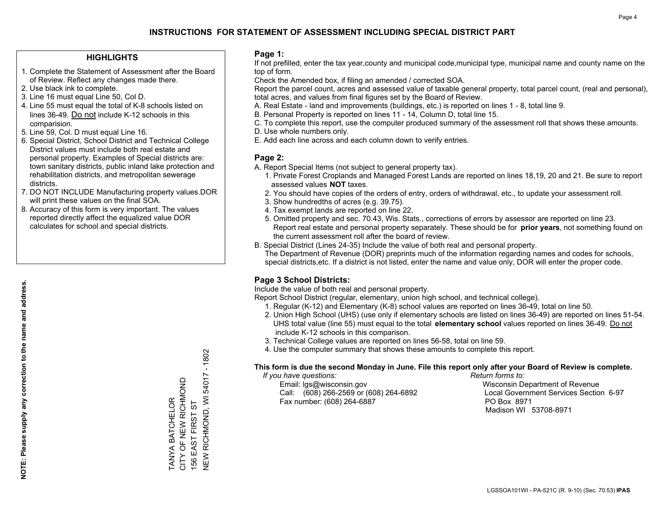### **HIGHLIGHTS**

- 1. Complete the Statement of Assessment after the Board of Review. Reflect any changes made there.
- 2. Use black ink to complete.
- 3. Line 16 must equal Line 50, Col D.
- 4. Line 55 must equal the total of K-8 schools listed on lines 36-49. Do not include K-12 schools in this comparision.
- 5. Line 59, Col. D must equal Line 16.
- 6. Special District, School District and Technical College District values must include both real estate and personal property. Examples of Special districts are: town sanitary districts, public inland lake protection and rehabilitation districts, and metropolitan sewerage districts.
- 7. DO NOT INCLUDE Manufacturing property values.DOR will print these values on the final SOA.

TANYA BATCHELOR CITY OF NEW RICHMOND 156 EAST FIRST ST

TANYA BATCHELOR<br>CITY OF NEW RICHMOND

NEW RICHMOND, WI 54017 - 1802

**NEW RICHMOND, WI 54017** 

156 EAST FIRST ST

 $-1802$ 

 8. Accuracy of this form is very important. The values reported directly affect the equalized value DOR calculates for school and special districts.

### **Page 1:**

 If not prefilled, enter the tax year,county and municipal code,municipal type, municipal name and county name on the top of form.

Check the Amended box, if filing an amended / corrected SOA.

 Report the parcel count, acres and assessed value of taxable general property, total parcel count, (real and personal), total acres, and values from final figures set by the Board of Review.

- A. Real Estate land and improvements (buildings, etc.) is reported on lines 1 8, total line 9.
- B. Personal Property is reported on lines 11 14, Column D, total line 15.
- C. To complete this report, use the computer produced summary of the assessment roll that shows these amounts.
- D. Use whole numbers only.
- E. Add each line across and each column down to verify entries.

### **Page 2:**

- A. Report Special Items (not subject to general property tax).
- 1. Private Forest Croplands and Managed Forest Lands are reported on lines 18,19, 20 and 21. Be sure to report assessed values **NOT** taxes.
- 2. You should have copies of the orders of entry, orders of withdrawal, etc., to update your assessment roll.
	- 3. Show hundredths of acres (e.g. 39.75).
- 4. Tax exempt lands are reported on line 22.
- 5. Omitted property and sec. 70.43, Wis. Stats., corrections of errors by assessor are reported on line 23. Report real estate and personal property separately. These should be for **prior years**, not something found on the current assessment roll after the board of review.
- B. Special District (Lines 24-35) Include the value of both real and personal property.

 The Department of Revenue (DOR) preprints much of the information regarding names and codes for schools, special districts,etc. If a district is not listed, enter the name and value only, DOR will enter the proper code.

### **Page 3 School Districts:**

Include the value of both real and personal property.

Report School District (regular, elementary, union high school, and technical college).

- 1. Regular (K-12) and Elementary (K-8) school values are reported on lines 36-49, total on line 50.
- 2. Union High School (UHS) (use only if elementary schools are listed on lines 36-49) are reported on lines 51-54. UHS total value (line 55) must equal to the total **elementary school** values reported on lines 36-49. Do notinclude K-12 schools in this comparison.
- 3. Technical College values are reported on lines 56-58, total on line 59.
- 4. Use the computer summary that shows these amounts to complete this report.

#### **This form is due the second Monday in June. File this report only after your Board of Review is complete.**

 *If you have questions: Return forms to:*

 Email: lgs@wisconsin.gov Wisconsin Department of RevenueCall:  $(608)$  266-2569 or  $(608)$  264-6892 Fax number: (608) 264-6887 PO Box 8971

Local Government Services Section 6-97 Madison WI 53708-8971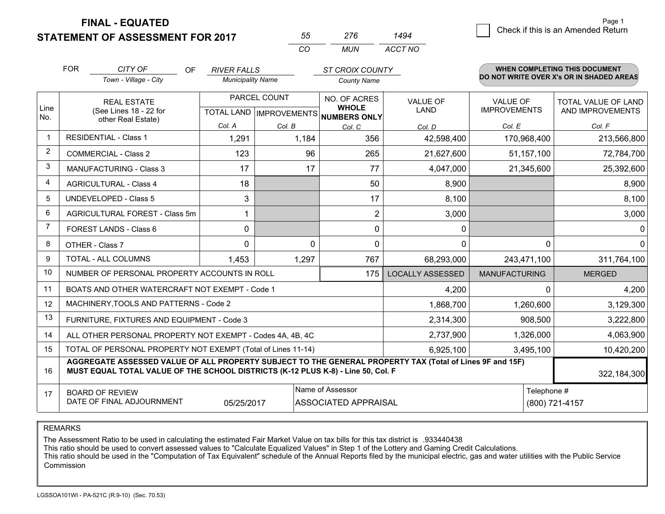**FINAL - EQUATED**

**STATEMENT OF ASSESSMENT FOR 2017** 

| 55  | 276   | 1494    |
|-----|-------|---------|
| CO. | MI IN | ACCT NO |

|                | <b>FOR</b>                                                                                                                                                                                   | CITY OF<br>OF                                                | <b>RIVER FALLS</b> |                                                |                                                                      | <b>ST CROIX COUNTY</b>         |                                        | <b>WHEN COMPLETING THIS DOCUMENT</b><br>DO NOT WRITE OVER X's OR IN SHADED AREAS |  |
|----------------|----------------------------------------------------------------------------------------------------------------------------------------------------------------------------------------------|--------------------------------------------------------------|--------------------|------------------------------------------------|----------------------------------------------------------------------|--------------------------------|----------------------------------------|----------------------------------------------------------------------------------|--|
|                |                                                                                                                                                                                              | Town - Village - City                                        |                    | <b>Municipality Name</b><br><b>County Name</b> |                                                                      |                                |                                        |                                                                                  |  |
| Line<br>No.    |                                                                                                                                                                                              | <b>REAL ESTATE</b><br>(See Lines 18 - 22 for                 |                    | PARCEL COUNT                                   | NO. OF ACRES<br><b>WHOLE</b><br>TOTAL LAND IMPROVEMENTS NUMBERS ONLY | <b>VALUE OF</b><br><b>LAND</b> | <b>VALUE OF</b><br><b>IMPROVEMENTS</b> | TOTAL VALUE OF LAND<br>AND IMPROVEMENTS                                          |  |
|                |                                                                                                                                                                                              | other Real Estate)                                           | Col. A             | Col. B                                         | Col. C                                                               | Col. D                         | Col. E                                 | Col. F                                                                           |  |
| -1             | <b>RESIDENTIAL - Class 1</b>                                                                                                                                                                 |                                                              | 1,291              | 1,184                                          | 356                                                                  | 42,598,400                     | 170,968,400                            | 213,566,800                                                                      |  |
| 2              |                                                                                                                                                                                              | <b>COMMERCIAL - Class 2</b>                                  | 123                | 96                                             | 265                                                                  | 21,627,600                     | 51,157,100                             | 72,784,700                                                                       |  |
| 3              |                                                                                                                                                                                              | <b>MANUFACTURING - Class 3</b>                               | 17                 | 17                                             | 77                                                                   | 4,047,000                      | 21,345,600                             | 25,392,600                                                                       |  |
| 4              |                                                                                                                                                                                              | <b>AGRICULTURAL - Class 4</b>                                | 18                 |                                                | 50                                                                   | 8,900                          |                                        | 8,900                                                                            |  |
| 5              |                                                                                                                                                                                              | <b>UNDEVELOPED - Class 5</b>                                 | 3                  |                                                | 17                                                                   | 8,100                          |                                        | 8,100                                                                            |  |
| 6              |                                                                                                                                                                                              | AGRICULTURAL FOREST - Class 5m                               | 1                  |                                                | $\overline{2}$                                                       | 3,000                          |                                        | 3,000                                                                            |  |
| $\overline{7}$ |                                                                                                                                                                                              | FOREST LANDS - Class 6                                       | 0                  |                                                | 0                                                                    | $\mathbf{0}$                   |                                        | $\Omega$                                                                         |  |
| 8              |                                                                                                                                                                                              | OTHER - Class 7                                              | $\Omega$           | $\Omega$                                       | $\Omega$                                                             | $\Omega$                       | $\Omega$                               | $\Omega$                                                                         |  |
| 9              |                                                                                                                                                                                              | TOTAL - ALL COLUMNS                                          | 1,453              | 1,297                                          | 767                                                                  | 68,293,000                     | 243,471,100                            | 311,764,100                                                                      |  |
| 10             |                                                                                                                                                                                              | NUMBER OF PERSONAL PROPERTY ACCOUNTS IN ROLL                 |                    |                                                | 175                                                                  | <b>LOCALLY ASSESSED</b>        | <b>MANUFACTURING</b>                   | <b>MERGED</b>                                                                    |  |
| 11             |                                                                                                                                                                                              | BOATS AND OTHER WATERCRAFT NOT EXEMPT - Code 1               |                    |                                                |                                                                      | 4,200                          | 0                                      | 4,200                                                                            |  |
| 12             |                                                                                                                                                                                              | MACHINERY, TOOLS AND PATTERNS - Code 2                       |                    |                                                |                                                                      | 1,868,700                      | 1,260,600                              | 3,129,300                                                                        |  |
| 13             |                                                                                                                                                                                              | FURNITURE, FIXTURES AND EQUIPMENT - Code 3                   |                    |                                                |                                                                      | 2,314,300                      | 908,500                                | 3,222,800                                                                        |  |
| 14             |                                                                                                                                                                                              | ALL OTHER PERSONAL PROPERTY NOT EXEMPT - Codes 4A, 4B, 4C    |                    |                                                |                                                                      | 2,737,900                      | 1,326,000                              | 4,063,900                                                                        |  |
| 15             |                                                                                                                                                                                              | TOTAL OF PERSONAL PROPERTY NOT EXEMPT (Total of Lines 11-14) |                    |                                                |                                                                      | 6,925,100                      | 3,495,100                              | 10,420,200                                                                       |  |
| 16             | AGGREGATE ASSESSED VALUE OF ALL PROPERTY SUBJECT TO THE GENERAL PROPERTY TAX (Total of Lines 9F and 15F)<br>MUST EQUAL TOTAL VALUE OF THE SCHOOL DISTRICTS (K-12 PLUS K-8) - Line 50, Col. F |                                                              |                    |                                                |                                                                      |                                | 322,184,300                            |                                                                                  |  |
| 17             |                                                                                                                                                                                              | <b>BOARD OF REVIEW</b><br>DATE OF FINAL ADJOURNMENT          | 05/25/2017         |                                                | Name of Assessor<br><b>ASSOCIATED APPRAISAL</b>                      |                                | Telephone #                            | (800) 721-4157                                                                   |  |

REMARKS

The Assessment Ratio to be used in calculating the estimated Fair Market Value on tax bills for this tax district is .933440438<br>This ratio should be used to convert assessed values to "Calculate Equalized Values" in Step 1 Commission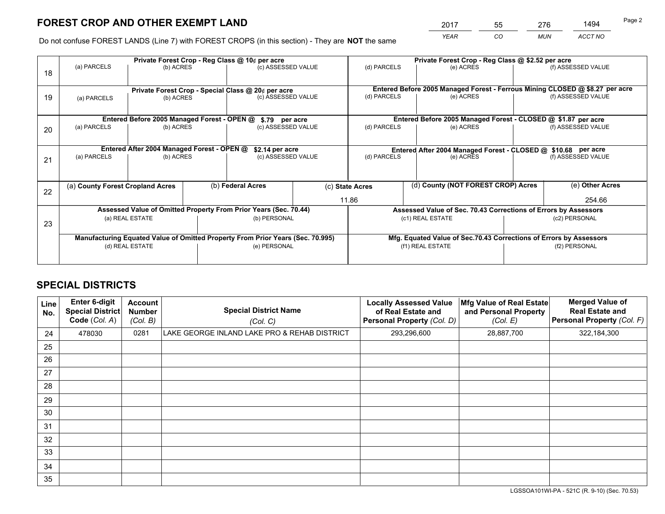*YEAR CO MUN ACCT NO* <sup>2017</sup> <sup>55</sup> <sup>276</sup> <sup>1494</sup> Page 2

Do not confuse FOREST LANDS (Line 7) with FOREST CROPS (in this section) - They are **NOT** the same

|    |                                                                                |                                             |  | Private Forest Crop - Reg Class @ 10¢ per acre     |  | Private Forest Crop - Reg Class @ \$2.52 per acre               |                                                                              |                                                               |                    |  |
|----|--------------------------------------------------------------------------------|---------------------------------------------|--|----------------------------------------------------|--|-----------------------------------------------------------------|------------------------------------------------------------------------------|---------------------------------------------------------------|--------------------|--|
| 18 | (a) PARCELS                                                                    | (b) ACRES                                   |  | (c) ASSESSED VALUE                                 |  | (d) PARCELS                                                     | (e) ACRES                                                                    |                                                               | (f) ASSESSED VALUE |  |
|    |                                                                                |                                             |  | Private Forest Crop - Special Class @ 20¢ per acre |  |                                                                 | Entered Before 2005 Managed Forest - Ferrous Mining CLOSED @ \$8.27 per acre |                                                               |                    |  |
| 19 | (a) PARCELS                                                                    | (b) ACRES                                   |  | (c) ASSESSED VALUE                                 |  | (d) PARCELS                                                     | (e) ACRES                                                                    |                                                               | (f) ASSESSED VALUE |  |
|    |                                                                                | Entered Before 2005 Managed Forest - OPEN @ |  |                                                    |  |                                                                 | Entered Before 2005 Managed Forest - CLOSED @ \$1.87 per acre                |                                                               |                    |  |
| 20 | (a) PARCELS<br>(b) ACRES                                                       |                                             |  | \$.79 per acre<br>(c) ASSESSED VALUE               |  | (d) PARCELS                                                     | (e) ACRES                                                                    |                                                               | (f) ASSESSED VALUE |  |
|    | Entered After 2004 Managed Forest - OPEN @<br>\$2.14 per acre                  |                                             |  |                                                    |  |                                                                 |                                                                              | Entered After 2004 Managed Forest - CLOSED @ \$10.68 per acre |                    |  |
| 21 | (a) PARCELS                                                                    | (b) ACRES                                   |  | (c) ASSESSED VALUE                                 |  | (d) PARCELS                                                     | (e) ACRES                                                                    |                                                               | (f) ASSESSED VALUE |  |
|    | (a) County Forest Cropland Acres                                               |                                             |  | (b) Federal Acres                                  |  | (c) State Acres                                                 | (d) County (NOT FOREST CROP) Acres                                           |                                                               | (e) Other Acres    |  |
| 22 |                                                                                |                                             |  |                                                    |  | 11.86                                                           |                                                                              |                                                               | 254.66             |  |
|    | Assessed Value of Omitted Property From Prior Years (Sec. 70.44)               |                                             |  |                                                    |  | Assessed Value of Sec. 70.43 Corrections of Errors by Assessors |                                                                              |                                                               |                    |  |
| 23 | (a) REAL ESTATE                                                                |                                             |  | (b) PERSONAL                                       |  | (c1) REAL ESTATE                                                |                                                                              | (c2) PERSONAL                                                 |                    |  |
|    | Manufacturing Equated Value of Omitted Property From Prior Years (Sec. 70.995) |                                             |  |                                                    |  |                                                                 | Mfg. Equated Value of Sec.70.43 Corrections of Errors by Assessors           |                                                               |                    |  |
|    | (d) REAL ESTATE                                                                |                                             |  | (e) PERSONAL                                       |  |                                                                 | (f1) REAL ESTATE                                                             | (f2) PERSONAL                                                 |                    |  |
|    |                                                                                |                                             |  |                                                    |  |                                                                 |                                                                              |                                                               |                    |  |

# **SPECIAL DISTRICTS**

| <b>Line</b><br>No. | Enter 6-digit<br><b>Special District</b><br>Code (Col. A) | <b>Account</b><br><b>Number</b><br>(Col. B) | <b>Special District Name</b><br>(Col. C)     | <b>Locally Assessed Value</b><br>of Real Estate and<br><b>Personal Property (Col. D)</b> | Mfg Value of Real Estate<br>and Personal Property<br>(Col. E) | <b>Merged Value of</b><br><b>Real Estate and</b><br>Personal Property (Col. F) |
|--------------------|-----------------------------------------------------------|---------------------------------------------|----------------------------------------------|------------------------------------------------------------------------------------------|---------------------------------------------------------------|--------------------------------------------------------------------------------|
| 24                 | 478030                                                    | 0281                                        | LAKE GEORGE INLAND LAKE PRO & REHAB DISTRICT | 293,296,600                                                                              | 28,887,700                                                    | 322,184,300                                                                    |
| 25                 |                                                           |                                             |                                              |                                                                                          |                                                               |                                                                                |
| 26                 |                                                           |                                             |                                              |                                                                                          |                                                               |                                                                                |
| 27                 |                                                           |                                             |                                              |                                                                                          |                                                               |                                                                                |
| 28                 |                                                           |                                             |                                              |                                                                                          |                                                               |                                                                                |
| 29                 |                                                           |                                             |                                              |                                                                                          |                                                               |                                                                                |
| 30                 |                                                           |                                             |                                              |                                                                                          |                                                               |                                                                                |
| 31                 |                                                           |                                             |                                              |                                                                                          |                                                               |                                                                                |
| 32                 |                                                           |                                             |                                              |                                                                                          |                                                               |                                                                                |
| 33                 |                                                           |                                             |                                              |                                                                                          |                                                               |                                                                                |
| 34                 |                                                           |                                             |                                              |                                                                                          |                                                               |                                                                                |
| 35                 |                                                           |                                             |                                              |                                                                                          |                                                               |                                                                                |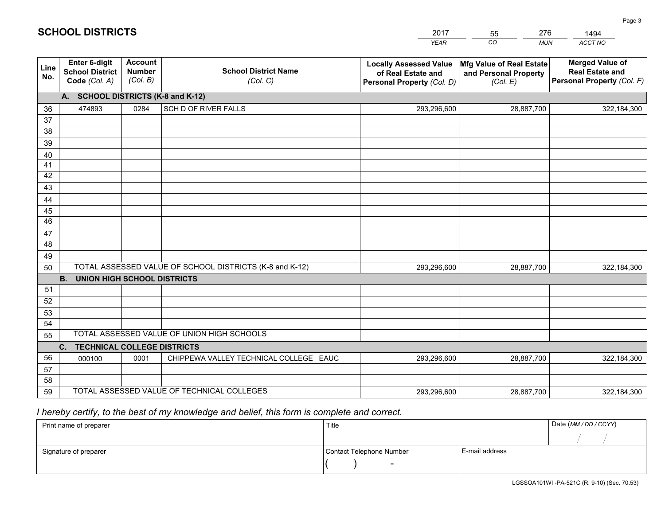|             |                                                          |                                             |                                                         | <b>YEAR</b>                                                                       | CO<br><b>MUN</b>                                              | ACCT NO                                                                        |
|-------------|----------------------------------------------------------|---------------------------------------------|---------------------------------------------------------|-----------------------------------------------------------------------------------|---------------------------------------------------------------|--------------------------------------------------------------------------------|
| Line<br>No. | Enter 6-digit<br><b>School District</b><br>Code (Col. A) | <b>Account</b><br><b>Number</b><br>(Col. B) | <b>School District Name</b><br>(Col. C)                 | <b>Locally Assessed Value</b><br>of Real Estate and<br>Personal Property (Col. D) | Mfg Value of Real Estate<br>and Personal Property<br>(Col. E) | <b>Merged Value of</b><br><b>Real Estate and</b><br>Personal Property (Col. F) |
|             | A. SCHOOL DISTRICTS (K-8 and K-12)                       |                                             |                                                         |                                                                                   |                                                               |                                                                                |
| 36          | 474893                                                   | 0284                                        | SCH D OF RIVER FALLS                                    | 293,296,600                                                                       | 28,887,700                                                    | 322,184,300                                                                    |
| 37          |                                                          |                                             |                                                         |                                                                                   |                                                               |                                                                                |
| 38          |                                                          |                                             |                                                         |                                                                                   |                                                               |                                                                                |
| 39          |                                                          |                                             |                                                         |                                                                                   |                                                               |                                                                                |
| 40          |                                                          |                                             |                                                         |                                                                                   |                                                               |                                                                                |
| 41<br>42    |                                                          |                                             |                                                         |                                                                                   |                                                               |                                                                                |
| 43          |                                                          |                                             |                                                         |                                                                                   |                                                               |                                                                                |
|             |                                                          |                                             |                                                         |                                                                                   |                                                               |                                                                                |
| 44<br>45    |                                                          |                                             |                                                         |                                                                                   |                                                               |                                                                                |
| 46          |                                                          |                                             |                                                         |                                                                                   |                                                               |                                                                                |
| 47          |                                                          |                                             |                                                         |                                                                                   |                                                               |                                                                                |
| 48          |                                                          |                                             |                                                         |                                                                                   |                                                               |                                                                                |
| 49          |                                                          |                                             |                                                         |                                                                                   |                                                               |                                                                                |
| 50          |                                                          |                                             | TOTAL ASSESSED VALUE OF SCHOOL DISTRICTS (K-8 and K-12) | 293,296,600                                                                       | 28,887,700                                                    | 322,184,300                                                                    |
|             | <b>B.</b><br>UNION HIGH SCHOOL DISTRICTS                 |                                             |                                                         |                                                                                   |                                                               |                                                                                |
| 51          |                                                          |                                             |                                                         |                                                                                   |                                                               |                                                                                |
| 52          |                                                          |                                             |                                                         |                                                                                   |                                                               |                                                                                |
| 53          |                                                          |                                             |                                                         |                                                                                   |                                                               |                                                                                |
| 54          |                                                          |                                             |                                                         |                                                                                   |                                                               |                                                                                |
| 55          |                                                          |                                             | TOTAL ASSESSED VALUE OF UNION HIGH SCHOOLS              |                                                                                   |                                                               |                                                                                |
|             | C.<br><b>TECHNICAL COLLEGE DISTRICTS</b>                 |                                             |                                                         |                                                                                   |                                                               |                                                                                |
| 56          | 000100                                                   | 0001                                        | CHIPPEWA VALLEY TECHNICAL COLLEGE EAUC                  | 293,296,600                                                                       | 28,887,700                                                    | 322,184,300                                                                    |
| 57<br>58    |                                                          |                                             |                                                         |                                                                                   |                                                               |                                                                                |
| 59          |                                                          |                                             | TOTAL ASSESSED VALUE OF TECHNICAL COLLEGES              | 293,296,600                                                                       | 28,887,700                                                    | 322,184,300                                                                    |
|             |                                                          |                                             |                                                         |                                                                                   |                                                               |                                                                                |

55

276

 *I hereby certify, to the best of my knowledge and belief, this form is complete and correct.*

**SCHOOL DISTRICTS**

| Print name of preparer | Title                    |                | Date (MM / DD / CCYY) |
|------------------------|--------------------------|----------------|-----------------------|
|                        |                          |                |                       |
| Signature of preparer  | Contact Telephone Number | E-mail address |                       |
|                        | $\sim$                   |                |                       |